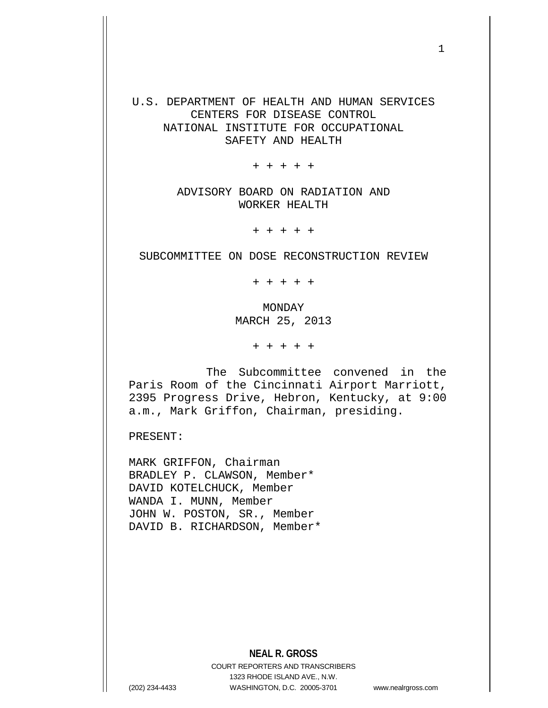U.S. DEPARTMENT OF HEALTH AND HUMAN SERVICES CENTERS FOR DISEASE CONTROL NATIONAL INSTITUTE FOR OCCUPATIONAL SAFETY AND HEALTH

+ + + + +

ADVISORY BOARD ON RADIATION AND WORKER HEALTH

+ + + + +

SUBCOMMITTEE ON DOSE RECONSTRUCTION REVIEW

+ + + + +

MONDAY MARCH 25, 2013

+ + + + +

The Subcommittee convened in the Paris Room of the Cincinnati Airport Marriott, 2395 Progress Drive, Hebron, Kentucky, at 9:00 a.m., Mark Griffon, Chairman, presiding.

PRESENT:

MARK GRIFFON, Chairman BRADLEY P. CLAWSON, Member\* DAVID KOTELCHUCK, Member WANDA I. MUNN, Member JOHN W. POSTON, SR., Member DAVID B. RICHARDSON, Member\*

**NEAL R. GROSS**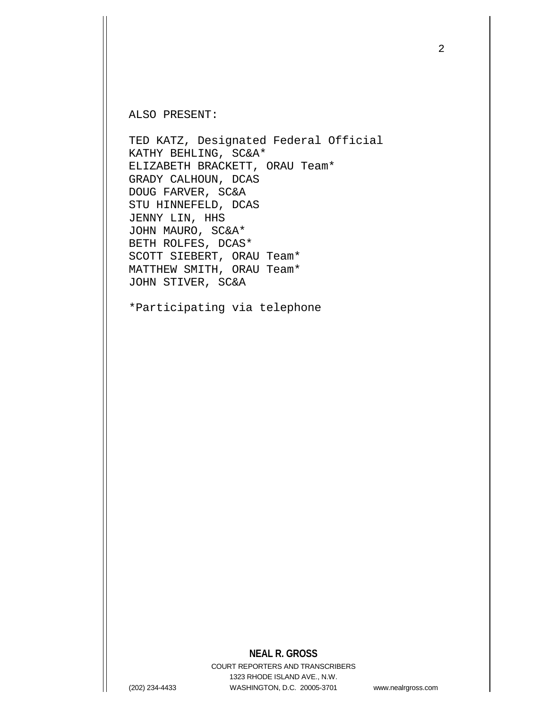ALSO PRESENT:

TED KATZ, Designated Federal Official KATHY BEHLING, SC&A\* ELIZABETH BRACKETT, ORAU Team\* GRADY CALHOUN, DCAS DOUG FARVER, SC&A STU HINNEFELD, DCAS JENNY LIN, HHS JOHN MAURO, SC&A\* BETH ROLFES, DCAS\* SCOTT SIEBERT, ORAU Team\* MATTHEW SMITH, ORAU Team\* JOHN STIVER, SC&A

\*Participating via telephone

## **NEAL R. GROSS**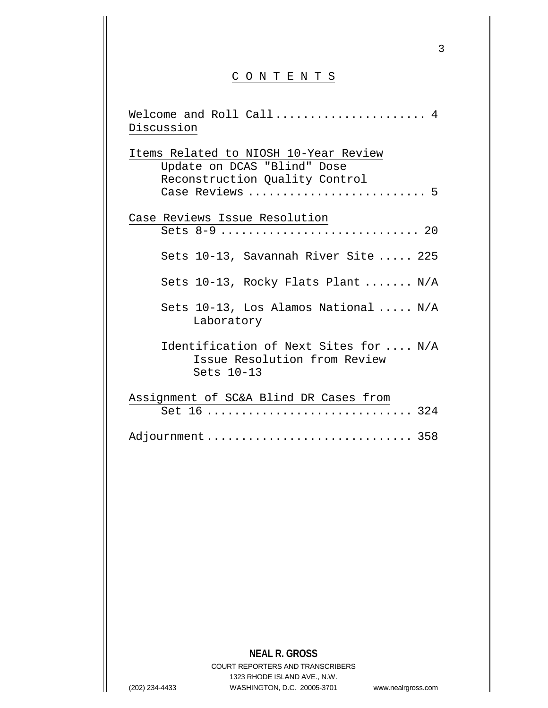## C O N T E N T S

| Welcome and Roll Call<br>4                                                          |
|-------------------------------------------------------------------------------------|
| Discussion                                                                          |
| Items Related to NIOSH 10-Year Review<br>Update on DCAS "Blind" Dose                |
| Reconstruction Quality Control<br>Case Reviews  5                                   |
| Case Reviews Issue Resolution                                                       |
| Sets 8-9  20                                                                        |
| Sets 10-13, Savannah River Site  225                                                |
| Sets $10-13$ , Rocky Flats Plant  N/A                                               |
| Sets $10-13$ , Los Alamos National  N/A<br>Laboratory                               |
| Identification of Next Sites for  N/A<br>Issue Resolution from Review<br>Sets 10-13 |
| Assignment of SC&A Blind DR Cases from                                              |
| Set 16  324                                                                         |
| Adjournment  358                                                                    |

## **NEAL R. GROSS**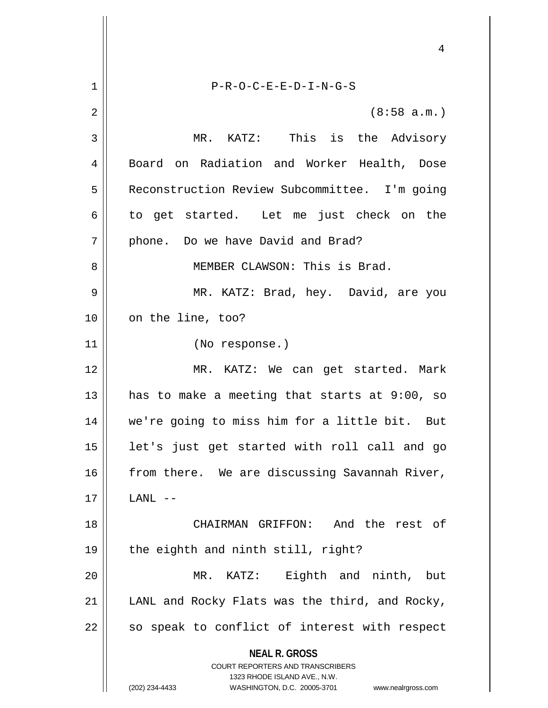**NEAL R. GROSS** COURT REPORTERS AND TRANSCRIBERS 1323 RHODE ISLAND AVE., N.W. (202) 234-4433 WASHINGTON, D.C. 20005-3701 www.nealrgross.com 4 1 P-R-O-C-E-E-D-I-N-G-S  $2 \parallel$  (8:58 a.m.) 3 MR. KATZ: This is the Advisory 4 || Board on Radiation and Worker Health, Dose 5 | Reconstruction Review Subcommittee. I'm going  $6 \parallel$  to get started. Let me just check on the  $7 \parallel$  phone. Do we have David and Brad? 8 || MEMBER CLAWSON: This is Brad. 9 MR. KATZ: Brad, hey. David, are you 10 || on the line, too? 11 (No response.) 12 MR. KATZ: We can get started. Mark 13  $\parallel$  has to make a meeting that starts at 9:00, so 14 we're going to miss him for a little bit. But 15 || let's just get started with roll call and go 16 from there. We are discussing Savannah River,  $17$  || LANL  $--$ 18 CHAIRMAN GRIFFON: And the rest of 19  $\parallel$  the eighth and ninth still, right? 20 MR. KATZ: Eighth and ninth, but 21  $\parallel$  LANL and Rocky Flats was the third, and Rocky,  $22$  so speak to conflict of interest with respect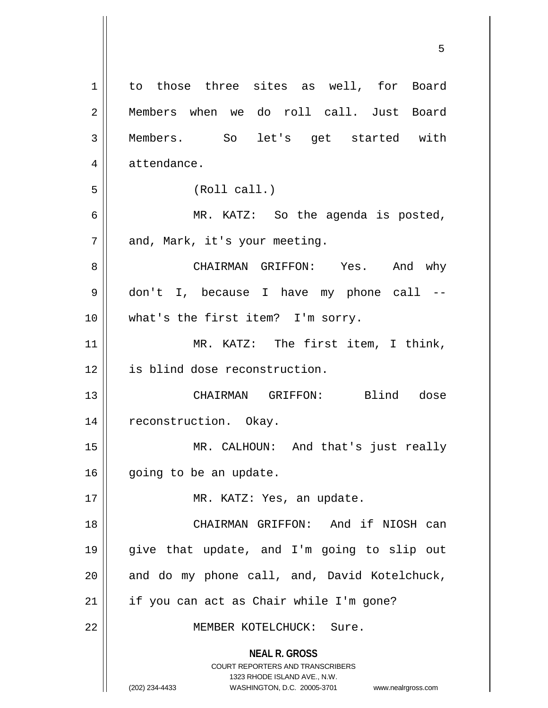**NEAL R. GROSS** COURT REPORTERS AND TRANSCRIBERS 1323 RHODE ISLAND AVE., N.W. (202) 234-4433 WASHINGTON, D.C. 20005-3701 www.nealrgross.com 1 to those three sites as well, for Board 2 Members when we do roll call. Just Board 3 Members. So let's get started with 4 | attendance. 5 (Roll call.) 6 MR. KATZ: So the agenda is posted, 7 || and, Mark, it's your meeting. 8 CHAIRMAN GRIFFON: Yes. And why 9 don't I, because I have my phone call -- 10 || what's the first item? I'm sorry. 11 || MR. KATZ: The first item, I think, 12 is blind dose reconstruction. 13 CHAIRMAN GRIFFON: Blind dose 14 || reconstruction. Okay. 15 MR. CALHOUN: And that's just really 16 | going to be an update. 17 || MR. KATZ: Yes, an update. 18 CHAIRMAN GRIFFON: And if NIOSH can 19 give that update, and I'm going to slip out  $20$  || and do my phone call, and, David Kotelchuck,  $21$  | if you can act as Chair while I'm gone? 22 MEMBER KOTELCHUCK: Sure.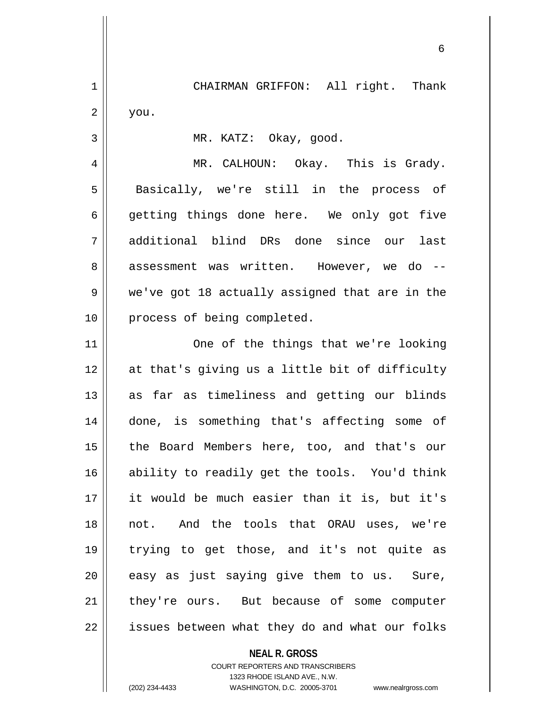1 | CHAIRMAN GRIFFON: All right. Thank  $2 \parallel$  you.

3 MR. KATZ: Okay, good.

4 MR. CALHOUN: Okay. This is Grady. 5 || Basically, we're still in the process of  $6 \parallel$  getting things done here. We only got five 7 additional blind DRs done since our last 8 assessment was written. However, we do --9 we've got 18 actually assigned that are in the 10 || process of being completed.

11 || One of the things that we're looking 12 at that's giving us a little bit of difficulty 13 || as far as timeliness and getting our blinds 14 done, is something that's affecting some of 15 || the Board Members here, too, and that's our 16 ability to readily get the tools. You'd think 17 it would be much easier than it is, but it's 18 not. And the tools that ORAU uses, we're 19 trying to get those, and it's not quite as  $20$  || easy as just saying give them to us. Sure, 21 || they're ours. But because of some computer  $22$  | issues between what they do and what our folks

> **NEAL R. GROSS** COURT REPORTERS AND TRANSCRIBERS 1323 RHODE ISLAND AVE., N.W.

(202) 234-4433 WASHINGTON, D.C. 20005-3701 www.nealrgross.com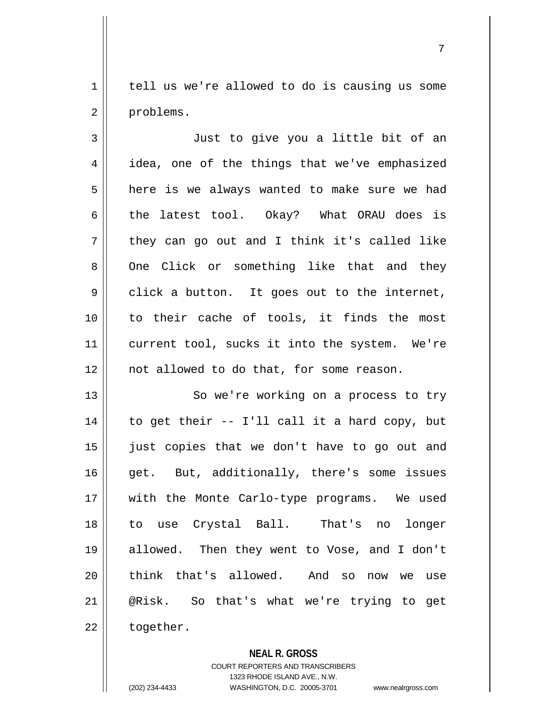$1 \parallel$  tell us we're allowed to do is causing us some 2 | problems.

3 || Just to give you a little bit of an 4 | idea, one of the things that we've emphasized  $5 \parallel$  here is we always wanted to make sure we had 6 the latest tool. Okay? What ORAU does is  $7 \parallel$  they can go out and I think it's called like 8 || One Click or something like that and they  $9 \parallel$  click a button. It goes out to the internet, 10 || to their cache of tools, it finds the most 11 || current tool, sucks it into the system. We're 12 || not allowed to do that, for some reason.

13 || So we're working on a process to try  $14$  | to get their -- I'll call it a hard copy, but 15 just copies that we don't have to go out and 16 || get. But, additionally, there's some issues 17 || with the Monte Carlo-type programs. We used 18 to use Crystal Ball. That's no longer 19 allowed. Then they went to Vose, and I don't 20 || think that's allowed. And so now we use 21 @Risk. So that's what we're trying to get  $22$  | together.

**NEAL R. GROSS**

COURT REPORTERS AND TRANSCRIBERS 1323 RHODE ISLAND AVE., N.W. (202) 234-4433 WASHINGTON, D.C. 20005-3701 www.nealrgross.com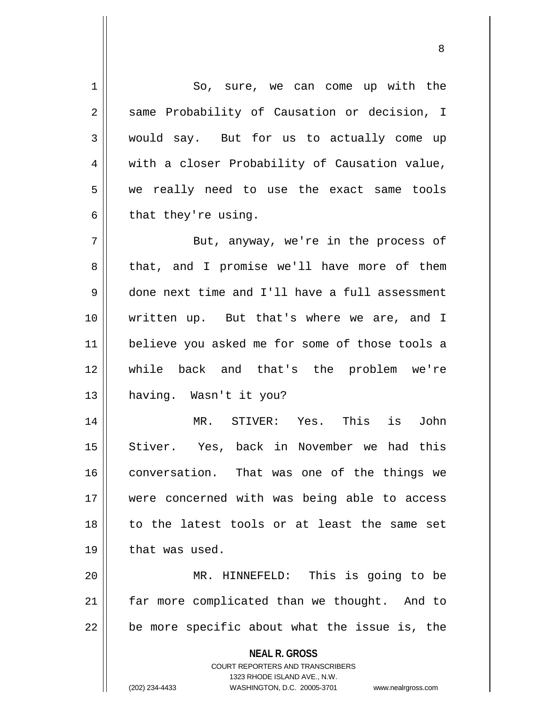**NEAL R. GROSS** COURT REPORTERS AND TRANSCRIBERS 1323 RHODE ISLAND AVE., N.W. (202) 234-4433 WASHINGTON, D.C. 20005-3701 www.nealrgross.com 1 So, sure, we can come up with the 2 | same Probability of Causation or decision, I 3 would say. But for us to actually come up 4 | with a closer Probability of Causation value, 5 we really need to use the exact same tools  $6 \parallel$  that they're using. 7 || But, anyway, we're in the process of 8 that, and I promise we'll have more of them 9 done next time and I'll have a full assessment 10 written up. But that's where we are, and I 11 believe you asked me for some of those tools a 12 while back and that's the problem we're 13 having. Wasn't it you? 14 MR. STIVER: Yes. This is John 15 || Stiver. Yes, back in November we had this 16 conversation. That was one of the things we 17 were concerned with was being able to access 18 || to the latest tools or at least the same set  $19$  | that was used. 20 MR. HINNEFELD: This is going to be 21 | far more complicated than we thought. And to  $22$  | be more specific about what the issue is, the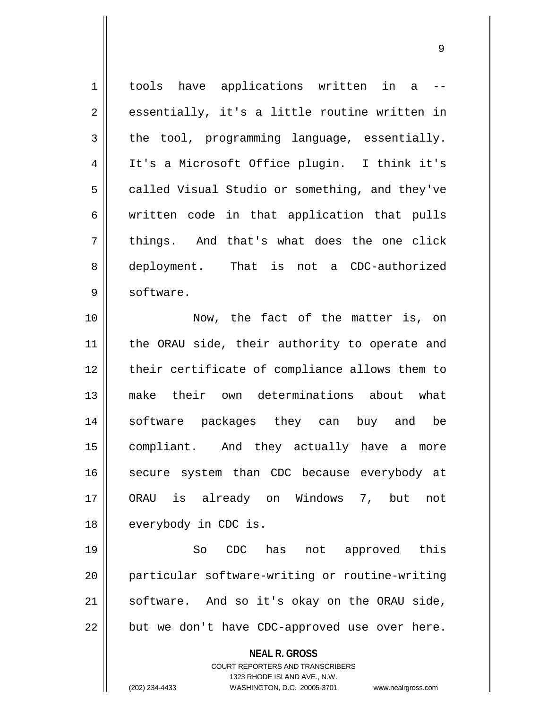1 || tools have applications written in a -- $2 \parallel$  essentially, it's a little routine written in  $3 \parallel$  the tool, programming language, essentially. 4 It's a Microsoft Office plugin. I think it's  $5 \parallel$  called Visual Studio or something, and they've  $6 \parallel$  written code in that application that pulls  $7 \parallel$  things. And that's what does the one click 8 deployment. That is not a CDC-authorized 9 | software. 10 Now, the fact of the matter is, on 11 || the ORAU side, their authority to operate and 12 || their certificate of compliance allows them to

 make their own determinations about what software packages they can buy and be compliant. And they actually have a more 16 || secure system than CDC because everybody at ORAU is already on Windows 7, but not 18 | everybody in CDC is.

19 || So CDC has not approved this particular software-writing or routine-writing software. And so it's okay on the ORAU side, | but we don't have CDC-approved use over here.

## **NEAL R. GROSS**

COURT REPORTERS AND TRANSCRIBERS 1323 RHODE ISLAND AVE., N.W. (202) 234-4433 WASHINGTON, D.C. 20005-3701 www.nealrgross.com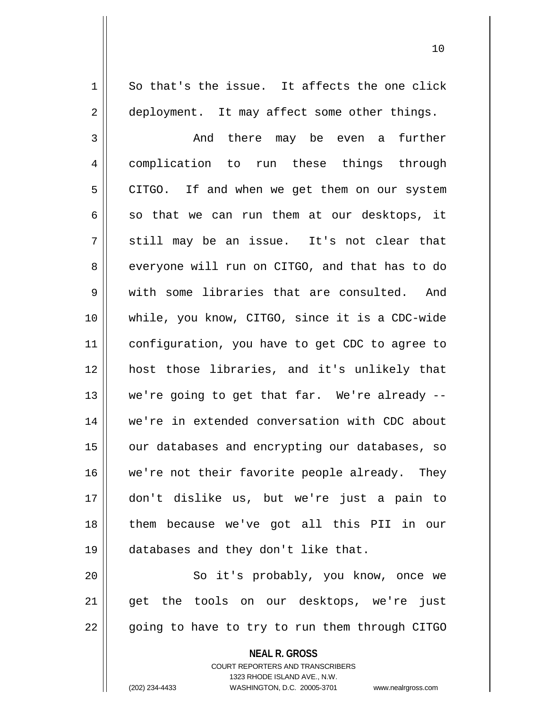$1 \parallel$  So that's the issue. It affects the one click 2 | deployment. It may affect some other things.

3 and there may be even a further 4 | complication to run these things through 5 | CITGO. If and when we get them on our system  $6 \parallel$  so that we can run them at our desktops, it  $7 \parallel$  still may be an issue. It's not clear that 8 everyone will run on CITGO, and that has to do 9 We with some libraries that are consulted. And 10 while, you know, CITGO, since it is a CDC-wide 11 configuration, you have to get CDC to agree to 12 host those libraries, and it's unlikely that 13  $\parallel$  we're going to get that far. We're already --14 we're in extended conversation with CDC about 15 || our databases and encrypting our databases, so 16 we're not their favorite people already. They 17 don't dislike us, but we're just a pain to 18 them because we've got all this PII in our 19 databases and they don't like that.

20 || So it's probably, you know, once we 21 || get the tools on our desktops, we're just 22 || going to have to try to run them through CITGO

> **NEAL R. GROSS** COURT REPORTERS AND TRANSCRIBERS 1323 RHODE ISLAND AVE., N.W.

(202) 234-4433 WASHINGTON, D.C. 20005-3701 www.nealrgross.com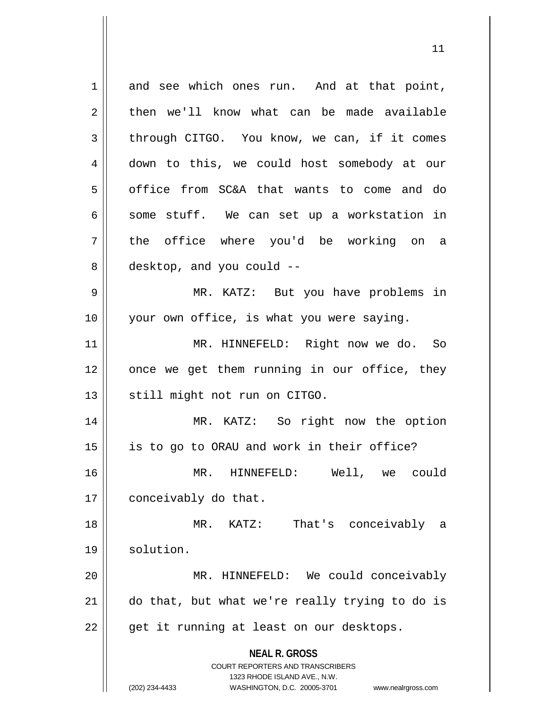**NEAL R. GROSS** COURT REPORTERS AND TRANSCRIBERS 1323 RHODE ISLAND AVE., N.W. (202) 234-4433 WASHINGTON, D.C. 20005-3701 www.nealrgross.com 1 and see which ones run. And at that point,  $2 \parallel$  then we'll know what can be made available 3 through CITGO. You know, we can, if it comes 4 down to this, we could host somebody at our 5 | office from SC&A that wants to come and do  $6 \parallel$  some stuff. We can set up a workstation in 7 the office where you'd be working on a  $8 \parallel$  desktop, and you could  $-$ 9 MR. KATZ: But you have problems in 10 || your own office, is what you were saying. 11 MR. HINNEFELD: Right now we do. So  $12$  | once we get them running in our office, they 13 || still might not run on CITGO. 14 || MR. KATZ: So right now the option 15 || is to go to ORAU and work in their office? 16 MR. HINNEFELD: Well, we could 17 | conceivably do that. 18 MR. KATZ: That's conceivably a 19 | solution. 20 MR. HINNEFELD: We could conceivably 21 do that, but what we're really trying to do is  $22 \parallel$  get it running at least on our desktops.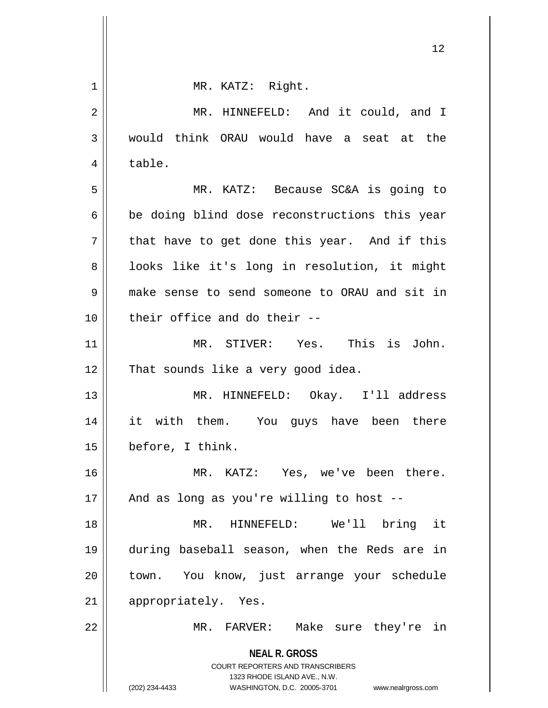| $1\,$          | MR. KATZ: Right.                                                                                                                                                       |
|----------------|------------------------------------------------------------------------------------------------------------------------------------------------------------------------|
| $\overline{2}$ | MR. HINNEFELD: And it could, and I                                                                                                                                     |
| 3              | would think ORAU would have a seat at the                                                                                                                              |
| $\overline{4}$ | table.                                                                                                                                                                 |
| 5              | MR. KATZ: Because SC&A is going to                                                                                                                                     |
| 6              | be doing blind dose reconstructions this year                                                                                                                          |
| 7              | that have to get done this year. And if this                                                                                                                           |
| 8              | looks like it's long in resolution, it might                                                                                                                           |
| 9              | make sense to send someone to ORAU and sit in                                                                                                                          |
| 10             | their office and do their --                                                                                                                                           |
| 11             | MR. STIVER: Yes. This is John.                                                                                                                                         |
| 12             | That sounds like a very good idea.                                                                                                                                     |
| 13             | MR. HINNEFELD: Okay. I'll address                                                                                                                                      |
| 14             | it with them. You guys have been there                                                                                                                                 |
| 15             | before, I think.                                                                                                                                                       |
| 16             | MR. KATZ: Yes, we've been there.                                                                                                                                       |
| 17             | And as long as you're willing to host --                                                                                                                               |
| 18             | HINNEFELD: We'll bring it<br>MR.                                                                                                                                       |
| 19             | during baseball season, when the Reds are in                                                                                                                           |
| 20             | town. You know, just arrange your schedule                                                                                                                             |
| 21             | appropriately. Yes.                                                                                                                                                    |
| 22             | MR. FARVER: Make sure they're in                                                                                                                                       |
|                | <b>NEAL R. GROSS</b><br><b>COURT REPORTERS AND TRANSCRIBERS</b><br>1323 RHODE ISLAND AVE., N.W.<br>(202) 234-4433<br>WASHINGTON, D.C. 20005-3701<br>www.nealrgross.com |

 $\mathop{\text{||}}$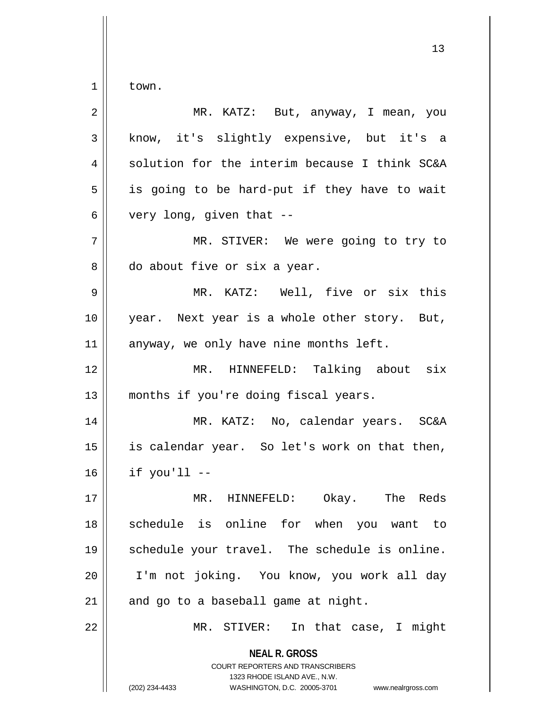$1 \parallel$  town.

| $\overline{2}$ | MR. KATZ: But, anyway, I mean, you                                                                                                                                     |
|----------------|------------------------------------------------------------------------------------------------------------------------------------------------------------------------|
| 3              | know, it's slightly expensive, but it's a                                                                                                                              |
| 4              | solution for the interim because I think SC&A                                                                                                                          |
| 5              | is going to be hard-put if they have to wait                                                                                                                           |
| 6              | very long, given that --                                                                                                                                               |
| 7              | MR. STIVER: We were going to try to                                                                                                                                    |
| 8              | do about five or six a year.                                                                                                                                           |
| $\mathsf 9$    | MR. KATZ: Well, five or six this                                                                                                                                       |
| 10             | year. Next year is a whole other story. But,                                                                                                                           |
| 11             | anyway, we only have nine months left.                                                                                                                                 |
| 12             | MR. HINNEFELD: Talking about six                                                                                                                                       |
| 13             | months if you're doing fiscal years.                                                                                                                                   |
| 14             | MR. KATZ: No, calendar years. SC&A                                                                                                                                     |
| 15             | is calendar year. So let's work on that then,                                                                                                                          |
| 16             | if you'll --                                                                                                                                                           |
| 17             | Okay.<br>The<br>Reds<br>MR. HINNEFELD:                                                                                                                                 |
| 18             | schedule is online for when you want to                                                                                                                                |
| 19             | schedule your travel. The schedule is online.                                                                                                                          |
| 20             | I'm not joking. You know, you work all day                                                                                                                             |
| 21             | and go to a baseball game at night.                                                                                                                                    |
| 22             | In that case, I might<br>MR. STIVER:                                                                                                                                   |
|                | <b>NEAL R. GROSS</b><br><b>COURT REPORTERS AND TRANSCRIBERS</b><br>1323 RHODE ISLAND AVE., N.W.<br>(202) 234-4433<br>WASHINGTON, D.C. 20005-3701<br>www.nealrgross.com |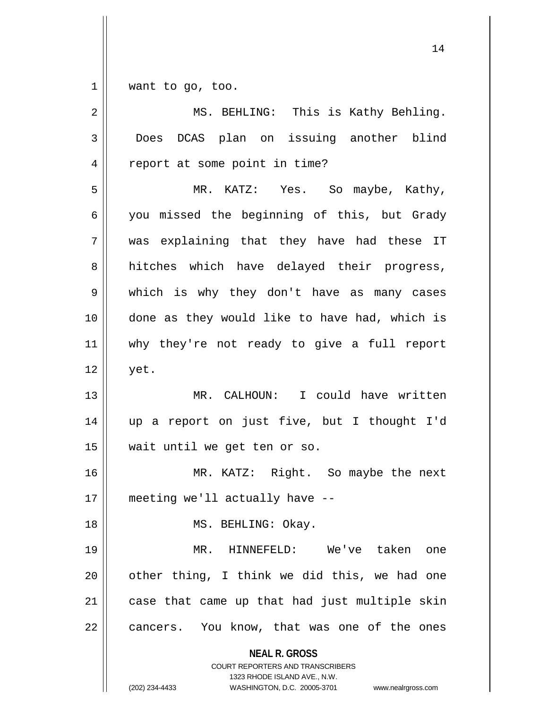$1 \parallel$  want to go, too.

| 2              | MS. BEHLING: This is Kathy Behling.                                                                                                                                    |
|----------------|------------------------------------------------------------------------------------------------------------------------------------------------------------------------|
| 3              | DCAS plan on issuing another blind<br>Does                                                                                                                             |
| $\overline{4}$ | report at some point in time?                                                                                                                                          |
| 5              | MR. KATZ: Yes. So maybe, Kathy,                                                                                                                                        |
| 6              | you missed the beginning of this, but Grady                                                                                                                            |
| 7              | was explaining that they have had these IT                                                                                                                             |
| 8              | hitches which have delayed their progress,                                                                                                                             |
| 9              | which is why they don't have as many cases                                                                                                                             |
| 10             | done as they would like to have had, which is                                                                                                                          |
| 11             | why they're not ready to give a full report                                                                                                                            |
| 12             | yet.                                                                                                                                                                   |
| 13             | MR. CALHOUN: I could have written                                                                                                                                      |
| 14             | up a report on just five, but I thought I'd                                                                                                                            |
| 15             | wait until we get ten or so.                                                                                                                                           |
| 16             | MR. KATZ: Right. So maybe the next                                                                                                                                     |
| 17             | meeting we'll actually have --                                                                                                                                         |
| 18             | MS. BEHLING: Okay.                                                                                                                                                     |
| 19             | MR. HINNEFELD: We've taken<br>one                                                                                                                                      |
| 20             | other thing, I think we did this, we had one                                                                                                                           |
| 21             | case that came up that had just multiple skin                                                                                                                          |
| 22             | cancers. You know, that was one of the ones                                                                                                                            |
|                | <b>NEAL R. GROSS</b><br><b>COURT REPORTERS AND TRANSCRIBERS</b><br>1323 RHODE ISLAND AVE., N.W.<br>(202) 234-4433<br>WASHINGTON, D.C. 20005-3701<br>www.nealrgross.com |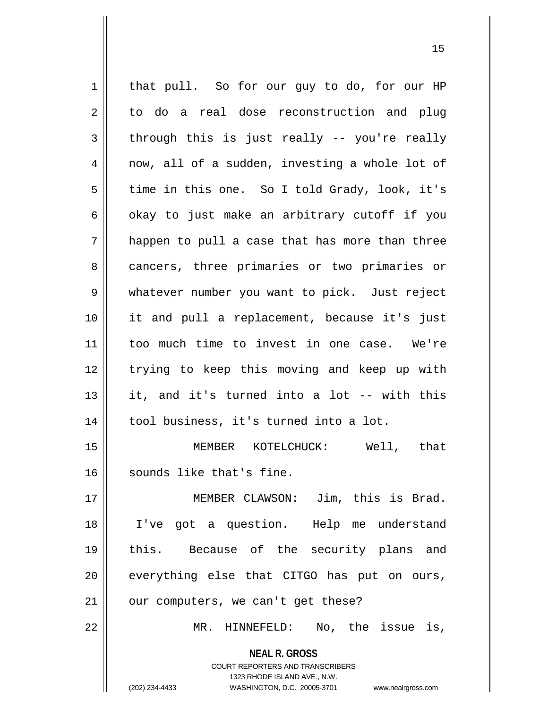**NEAL R. GROSS** COURT REPORTERS AND TRANSCRIBERS 1323 RHODE ISLAND AVE., N.W. 1 | that pull. So for our guy to do, for our HP  $2 \parallel$  to do a real dose reconstruction and plug  $3 \parallel$  through this is just really -- you're really  $4 \parallel$  now, all of a sudden, investing a whole lot of  $5 \parallel$  time in this one. So I told Grady, look, it's  $6 \parallel$  okay to just make an arbitrary cutoff if you  $7 \parallel$  happen to pull a case that has more than three 8 cancers, three primaries or two primaries or 9 || whatever number you want to pick. Just reject 10 it and pull a replacement, because it's just 11 too much time to invest in one case. We're 12 || trying to keep this moving and keep up with 13 it, and it's turned into a lot -- with this 14 | tool business, it's turned into a lot. 15 MEMBER KOTELCHUCK: Well, that 16 Sounds like that's fine. 17 MEMBER CLAWSON: Jim, this is Brad. 18 I've got a question. Help me understand 19 this. Because of the security plans and 20 || everything else that CITGO has put on ours,  $21$  | our computers, we can't get these? 22 MR. HINNEFELD: No, the issue is,

(202) 234-4433 WASHINGTON, D.C. 20005-3701 www.nealrgross.com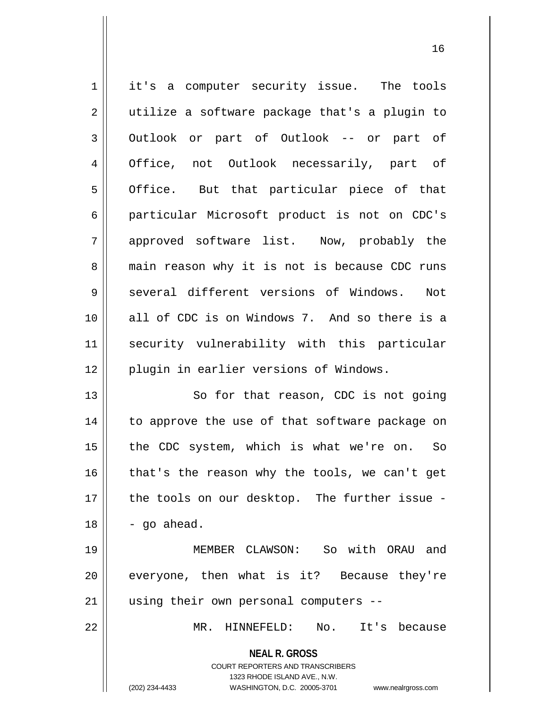| $\mathbf 1$    | it's a computer security issue. The tools                           |
|----------------|---------------------------------------------------------------------|
| $\overline{2}$ | utilize a software package that's a plugin to                       |
| 3              | Outlook or part of Outlook -- or part of                            |
| 4              | Office, not Outlook necessarily, part of                            |
| 5              | Office. But that particular piece of that                           |
| 6              | particular Microsoft product is not on CDC's                        |
| 7              | approved software list. Now, probably the                           |
| 8              | main reason why it is not is because CDC runs                       |
| 9              | several different versions of Windows.<br>Not                       |
| 10             | all of CDC is on Windows 7. And so there is a                       |
| 11             | security vulnerability with this particular                         |
| 12             | plugin in earlier versions of Windows.                              |
| 13             | So for that reason, CDC is not going                                |
| 14             | to approve the use of that software package on                      |
| 15             | the CDC system, which is what we're on. So                          |
| 16             | that's the reason why the tools, we can't get                       |
| 17             | the tools on our desktop. The further issue -                       |
| 18             | - go ahead.                                                         |
| 19             | MEMBER CLAWSON: So with ORAU and                                    |
| 20             | everyone, then what is it? Because they're                          |
| 21             | using their own personal computers --                               |
| 22             | MR. HINNEFELD: No. It's because                                     |
|                | <b>NEAL R. GROSS</b>                                                |
|                | COURT REPORTERS AND TRANSCRIBERS                                    |
|                | 1323 RHODE ISLAND AVE., N.W.                                        |
|                | (202) 234-4433<br>WASHINGTON, D.C. 20005-3701<br>www.nealrgross.com |

<sup>(202) 234-4433</sup> WASHINGTON, D.C. 20005-3701 www.nealrgross.com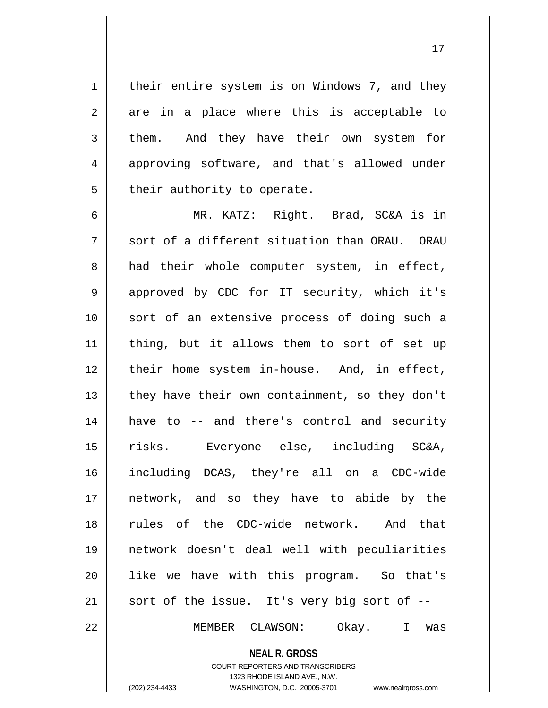1 | their entire system is on Windows 7, and they  $2 \parallel$  are in a place where this is acceptable to 3 them. And they have their own system for 4 approving software, and that's allowed under  $5$  || their authority to operate.

 MR. KATZ: Right. Brad, SC&A is in  $\parallel$  sort of a different situation than ORAU. ORAU  $8 \parallel$  had their whole computer system, in effect, 9 || approved by CDC for IT security, which it's sort of an extensive process of doing such a 11 || thing, but it allows them to sort of set up 12 || their home system in-house. And, in effect,  $\parallel$  they have their own containment, so they don't 14 || have to -- and there's control and security risks. Everyone else, including SC&A, including DCAS, they're all on a CDC-wide network, and so they have to abide by the rules of the CDC-wide network. And that network doesn't deal well with peculiarities 20 || like we have with this program. So that's || sort of the issue. It's very big sort of  $-$ -

22 || MEMBER CLAWSON: Okay. I was

**NEAL R. GROSS**

1323 RHODE ISLAND AVE., N.W.

COURT REPORTERS AND TRANSCRIBERS

(202) 234-4433 WASHINGTON, D.C. 20005-3701 www.nealrgross.com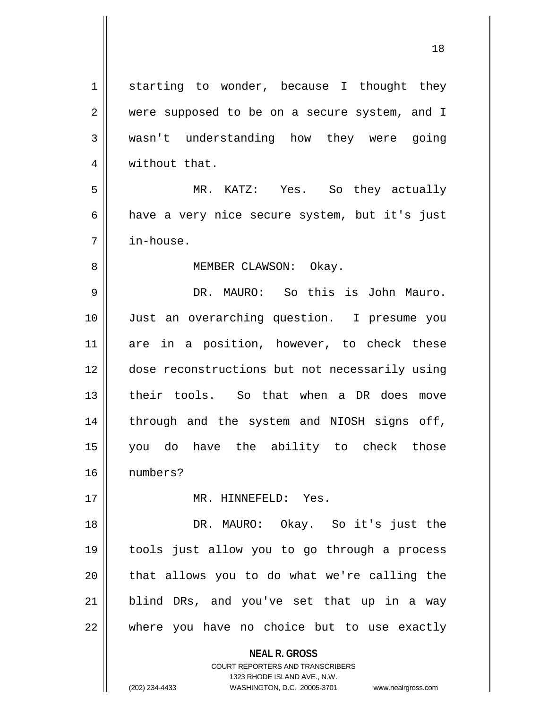**NEAL R. GROSS** COURT REPORTERS AND TRANSCRIBERS 1 starting to wonder, because I thought they 2 || were supposed to be on a secure system, and I wasn't understanding how they were going 4 | without that. MR. KATZ: Yes. So they actually 6 have a very nice secure system, but it's just in-house. 8 || MEMBER CLAWSON: Okay. DR. MAURO: So this is John Mauro. Just an overarching question. I presume you 11 are in a position, however, to check these dose reconstructions but not necessarily using their tools. So that when a DR does move 14 || through and the system and NIOSH signs off, you do have the ability to check those numbers? MR. HINNEFELD: Yes. DR. MAURO: Okay. So it's just the tools just allow you to go through a process || that allows you to do what we're calling the blind DRs, and you've set that up in a way where you have no choice but to use exactly

1323 RHODE ISLAND AVE., N.W.

(202) 234-4433 WASHINGTON, D.C. 20005-3701 www.nealrgross.com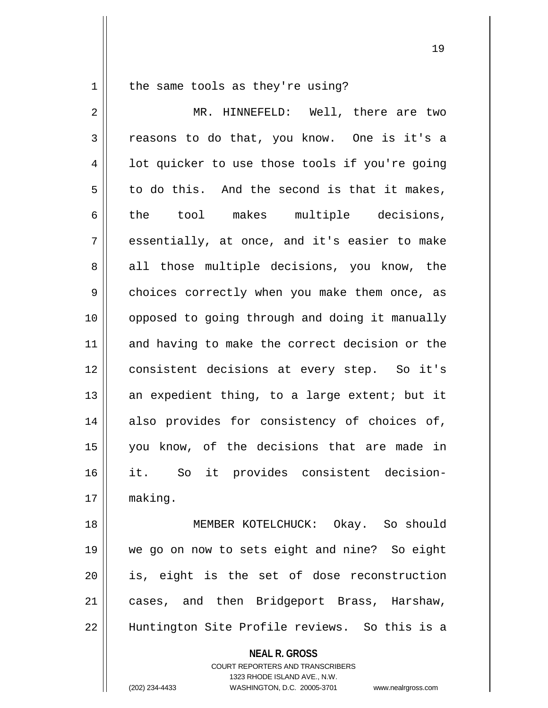$1 \parallel$  the same tools as they're using?

2 MR. HINNEFELD: Well, there are two  $3 \parallel$  reasons to do that, you know. One is it's a  $4 \parallel$  1ot quicker to use those tools if you're going  $5 \parallel$  to do this. And the second is that it makes, 6 || the tool makes multiple decisions,  $7 \parallel$  essentially, at once, and it's easier to make 8 all those multiple decisions, you know, the 9 || choices correctly when you make them once, as 10 || opposed to going through and doing it manually 11 and having to make the correct decision or the 12 consistent decisions at every step. So it's 13  $\parallel$  an expedient thing, to a large extent; but it 14 also provides for consistency of choices of, 15 you know, of the decisions that are made in 16 it. So it provides consistent decision-17 making.

18 || **MEMBER KOTELCHUCK:** Okay. So should 19 we go on now to sets eight and nine? So eight 20 || is, eight is the set of dose reconstruction 21 || cases, and then Bridgeport Brass, Harshaw, 22 Huntington Site Profile reviews. So this is a

**NEAL R. GROSS**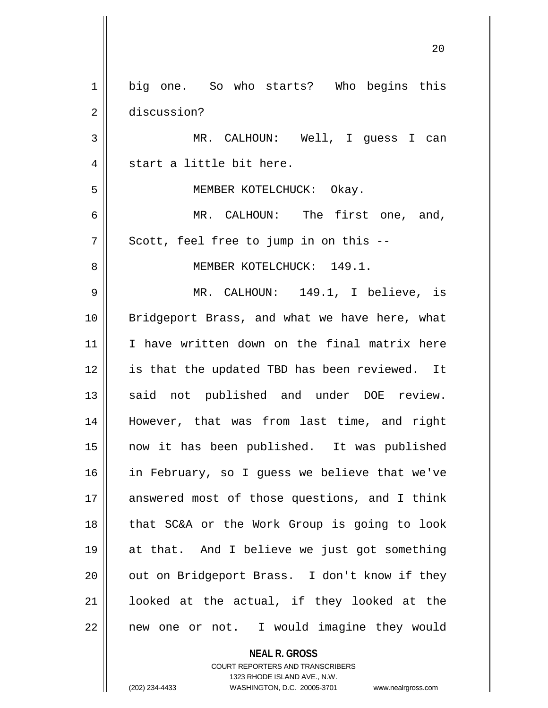| big one. So who starts? Who begins this       |
|-----------------------------------------------|
| discussion?                                   |
| MR. CALHOUN: Well, I guess I can              |
| start a little bit here.                      |
| MEMBER KOTELCHUCK: Okay.                      |
| MR. CALHOUN: The first one, and,              |
| Scott, feel free to jump in on this --        |
| MEMBER KOTELCHUCK: 149.1.                     |
| MR. CALHOUN: 149.1, I believe, is             |
| Bridgeport Brass, and what we have here, what |
| I have written down on the final matrix here  |
| is that the updated TBD has been reviewed. It |
| said not published and under DOE review.      |
| However, that was from last time, and right   |
| now it has been published. It was published   |
| in February, so I guess we believe that we've |
| answered most of those questions, and I think |
| that SC&A or the Work Group is going to look  |
| at that. And I believe we just got something  |
| out on Bridgeport Brass. I don't know if they |
| looked at the actual, if they looked at the   |
| new one or not. I would imagine they would    |
|                                               |

**NEAL R. GROSS** COURT REPORTERS AND TRANSCRIBERS 1323 RHODE ISLAND AVE., N.W. (202) 234-4433 WASHINGTON, D.C. 20005-3701 www.nealrgross.com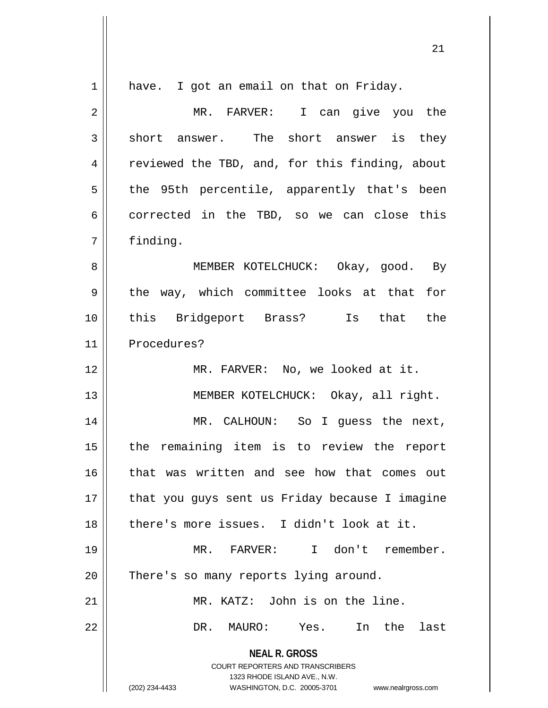| 1  | have. I got an email on that on Friday.                                                                                                                         |
|----|-----------------------------------------------------------------------------------------------------------------------------------------------------------------|
| 2  | MR. FARVER: I can give you the                                                                                                                                  |
| 3  | short answer. The short answer is they                                                                                                                          |
| 4  | reviewed the TBD, and, for this finding, about                                                                                                                  |
| 5  | the 95th percentile, apparently that's been                                                                                                                     |
| 6  | corrected in the TBD, so we can close this                                                                                                                      |
| 7  | finding.                                                                                                                                                        |
| 8  | MEMBER KOTELCHUCK: Okay, good. By                                                                                                                               |
| 9  | the way, which committee looks at that for                                                                                                                      |
| 10 | this Bridgeport Brass? Is that the                                                                                                                              |
| 11 | Procedures?                                                                                                                                                     |
| 12 | MR. FARVER: No, we looked at it.                                                                                                                                |
| 13 | MEMBER KOTELCHUCK: Okay, all right.                                                                                                                             |
| 14 | MR. CALHOUN: So I guess the next,                                                                                                                               |
| 15 | the remaining item is to review the report                                                                                                                      |
| 16 | that was written and see how that comes out                                                                                                                     |
| 17 | that you guys sent us Friday because I imagine                                                                                                                  |
| 18 | there's more issues. I didn't look at it.                                                                                                                       |
| 19 | MR. FARVER: I don't remember.                                                                                                                                   |
| 20 | There's so many reports lying around.                                                                                                                           |
| 21 | MR. KATZ: John is on the line.                                                                                                                                  |
| 22 | In the<br>MAURO: Yes.<br>last<br>DR.                                                                                                                            |
|    | <b>NEAL R. GROSS</b><br>COURT REPORTERS AND TRANSCRIBERS<br>1323 RHODE ISLAND AVE., N.W.<br>(202) 234-4433<br>WASHINGTON, D.C. 20005-3701<br>www.nealrgross.com |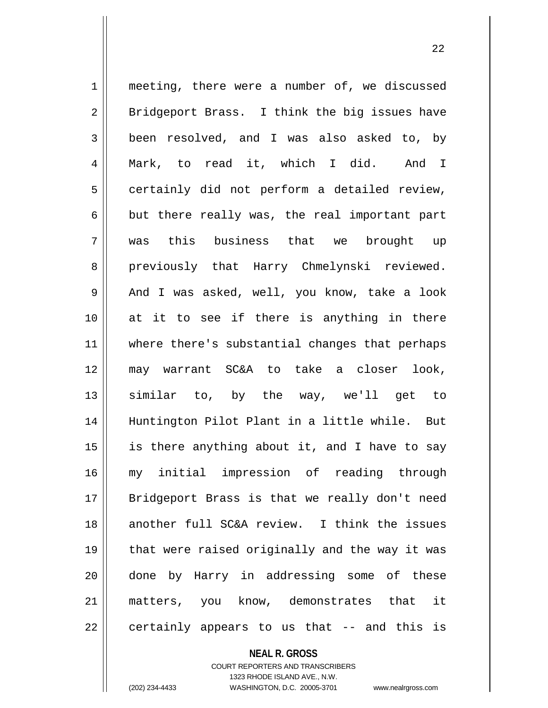1 meeting, there were a number of, we discussed  $2 \parallel$  Bridgeport Brass. I think the big issues have 3 been resolved, and I was also asked to, by 4 Mark, to read it, which I did. And I  $5 \parallel$  certainly did not perform a detailed review,  $6 \parallel$  but there really was, the real important part 7 was this business that we brought up 8 || previously that Harry Chmelynski reviewed. 9 || And I was asked, well, you know, take a look 10 || at it to see if there is anything in there 11 || where there's substantial changes that perhaps 12 may warrant SC&A to take a closer look, 13 similar to, by the way, we'll get to 14 Huntington Pilot Plant in a little while. But 15  $\parallel$  is there anything about it, and I have to say 16 my initial impression of reading through 17 || Bridgeport Brass is that we really don't need 18 another full SC&A review. I think the issues 19 || that were raised originally and the way it was 20 done by Harry in addressing some of these 21 matters, you know, demonstrates that it  $22 \parallel$  certainly appears to us that  $-$  and this is

**NEAL R. GROSS**

COURT REPORTERS AND TRANSCRIBERS 1323 RHODE ISLAND AVE., N.W. (202) 234-4433 WASHINGTON, D.C. 20005-3701 www.nealrgross.com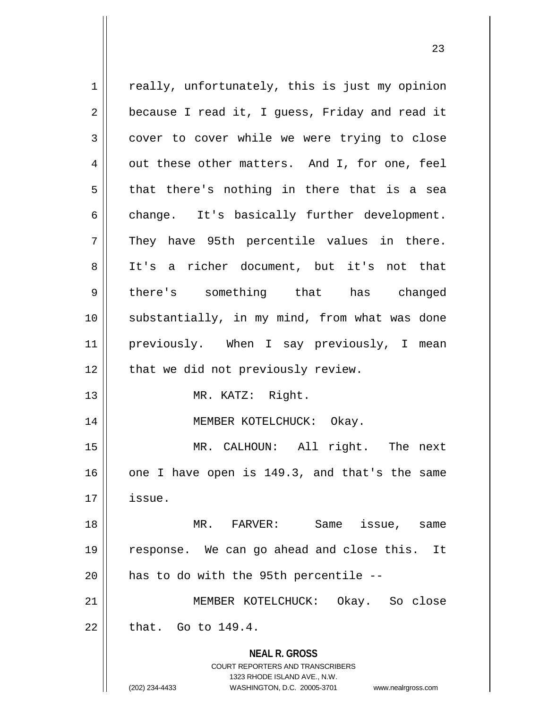| $\mathbf 1$    | really, unfortunately, this is just my opinion                      |
|----------------|---------------------------------------------------------------------|
| 2              | because I read it, I guess, Friday and read it                      |
| 3              | cover to cover while we were trying to close                        |
| $\overline{4}$ | out these other matters. And I, for one, feel                       |
| 5              | that there's nothing in there that is a sea                         |
| 6              | change. It's basically further development.                         |
| 7              | They have 95th percentile values in there.                          |
| 8              | It's a richer document, but it's not that                           |
| 9              | there's something that has changed                                  |
| 10             | substantially, in my mind, from what was done                       |
| 11             | previously. When I say previously, I mean                           |
| 12             | that we did not previously review.                                  |
| 13             | MR. KATZ: Right.                                                    |
| 14             | MEMBER KOTELCHUCK: Okay.                                            |
| 15             | MR. CALHOUN: All right. The next                                    |
| 16             | one I have open is 149.3, and that's the same                       |
| 17             | issue.                                                              |
| 18             | Same<br>MR. FARVER:<br>issue,<br>same                               |
| 19             | response. We can go ahead and close this. It                        |
| 20             | has to do with the 95th percentile --                               |
| 21             | MEMBER KOTELCHUCK: Okay. So close                                   |
| 22             | that. Go to $149.4$ .                                               |
|                | <b>NEAL R. GROSS</b>                                                |
|                | <b>COURT REPORTERS AND TRANSCRIBERS</b>                             |
|                | 1323 RHODE ISLAND AVE., N.W.                                        |
|                | (202) 234-4433<br>WASHINGTON, D.C. 20005-3701<br>www.nealrgross.com |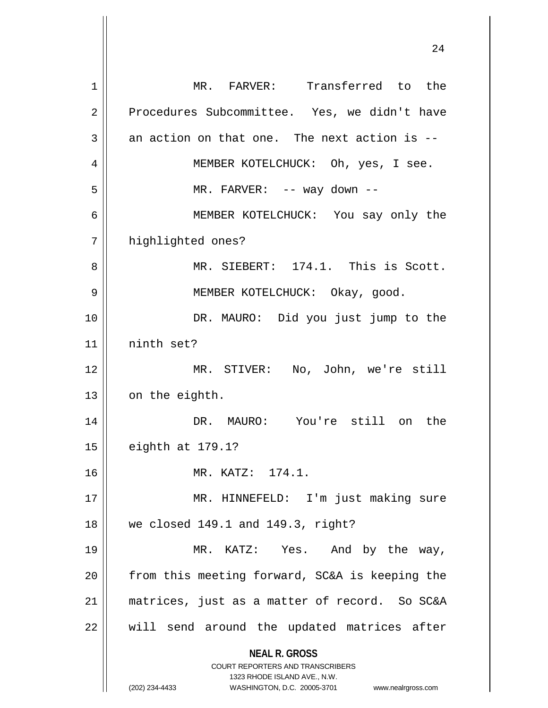|    | 44                                                                  |
|----|---------------------------------------------------------------------|
| 1  | MR. FARVER: Transferred to the                                      |
| 2  | Procedures Subcommittee. Yes, we didn't have                        |
| 3  | an action on that one. The next action is --                        |
| 4  | MEMBER KOTELCHUCK: Oh, yes, I see.                                  |
| 5  | MR. FARVER: -- way down --                                          |
| 6  | MEMBER KOTELCHUCK: You say only the                                 |
| 7  | highlighted ones?                                                   |
| 8  | MR. SIEBERT: 174.1. This is Scott.                                  |
| 9  | MEMBER KOTELCHUCK: Okay, good.                                      |
| 10 | DR. MAURO: Did you just jump to the                                 |
| 11 | ninth set?                                                          |
| 12 | MR. STIVER: No, John, we're still                                   |
| 13 | on the eighth.                                                      |
| 14 | DR. MAURO: You're still on<br>the                                   |
| 15 | eighth at 179.1?                                                    |
| 16 | MR. KATZ: 174.1.                                                    |
| 17 | MR. HINNEFELD: I'm just making sure                                 |
| 18 | we closed 149.1 and 149.3, right?                                   |
| 19 | MR. KATZ: Yes. And by the way,                                      |
| 20 | from this meeting forward, SC&A is keeping the                      |
| 21 | matrices, just as a matter of record. So SC&A                       |
| 22 | will send around the updated matrices after                         |
|    | <b>NEAL R. GROSS</b><br><b>COURT REPORTERS AND TRANSCRIBERS</b>     |
|    | 1323 RHODE ISLAND AVE., N.W.                                        |
|    | (202) 234-4433<br>WASHINGTON, D.C. 20005-3701<br>www.nealrgross.com |

 $\overline{\mathbf{1}}$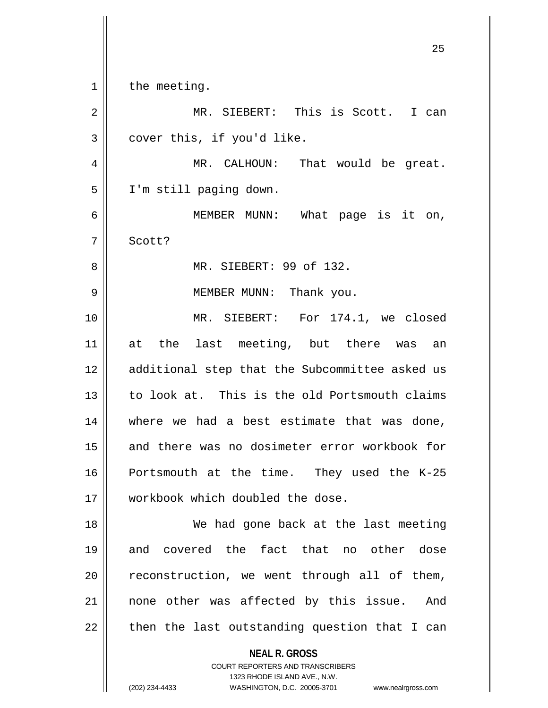$1 \parallel$  the meeting.

| $\overline{2}$ | MR. SIEBERT: This is Scott.<br>I can           |
|----------------|------------------------------------------------|
| 3              | cover this, if you'd like.                     |
| 4              | MR. CALHOUN: That would be great.              |
| 5              | I'm still paging down.                         |
| 6              | MEMBER MUNN: What page is it on,               |
| 7              | Scott?                                         |
| 8              | MR. SIEBERT: 99 of 132.                        |
| 9              | MEMBER MUNN: Thank you.                        |
| 10             | MR. SIEBERT: For 174.1, we closed              |
| 11             | at the last meeting, but there was an          |
| 12             | additional step that the Subcommittee asked us |
| 13             | to look at. This is the old Portsmouth claims  |
| 14             | where we had a best estimate that was done,    |
| 15             | and there was no dosimeter error workbook for  |
| 16             | Portsmouth at the time. They used the K-25     |
| 17             | workbook which doubled the dose.               |
| 18             | We had gone back at the last meeting           |
| 19             | and covered the fact that no other dose        |
| 20             | reconstruction, we went through all of them,   |
| 21             | none other was affected by this issue.<br>And  |
| 22             | then the last outstanding question that I can  |
|                | <b>NEAL R. GROSS</b>                           |

COURT REPORTERS AND TRANSCRIBERS 1323 RHODE ISLAND AVE., N.W.

(202) 234-4433 WASHINGTON, D.C. 20005-3701 www.nealrgross.com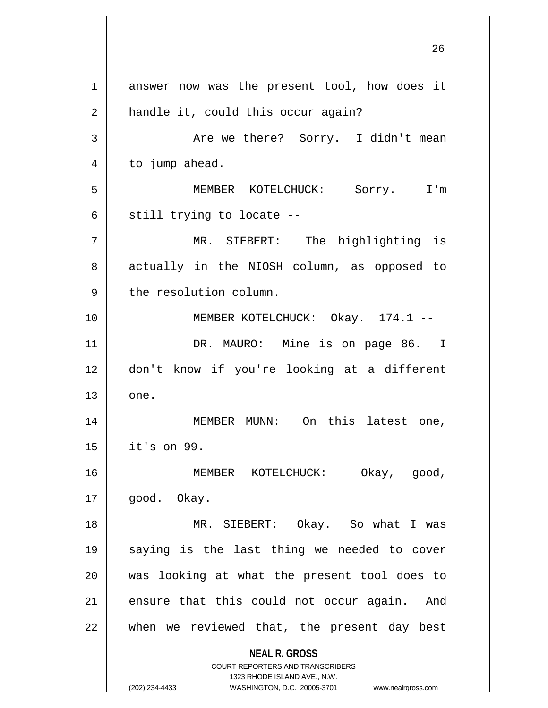**NEAL R. GROSS** COURT REPORTERS AND TRANSCRIBERS 1323 RHODE ISLAND AVE., N.W. (202) 234-4433 WASHINGTON, D.C. 20005-3701 www.nealrgross.com 1 answer now was the present tool, how does it  $2 \parallel$  handle it, could this occur again? 3 Are we there? Sorry. I didn't mean  $4 \parallel$  to jump ahead. 5 MEMBER KOTELCHUCK: Sorry. I'm  $6 \parallel$  still trying to locate --7 MR. SIEBERT: The highlighting is 8 actually in the NIOSH column, as opposed to  $9$  | the resolution column. 10 || MEMBER KOTELCHUCK: Okay. 174.1 --11 || DR. MAURO: Mine is on page 86. I 12 don't know if you're looking at a different  $13 \parallel$  one. 14 || MEMBER MUNN: On this latest one, 15 it's on 99. 16 MEMBER KOTELCHUCK: Okay, good,  $17 \parallel$  good. Okay. 18 MR. SIEBERT: Okay. So what I was 19 saying is the last thing we needed to cover 20 was looking at what the present tool does to  $21$  ensure that this could not occur again. And  $22$  || when we reviewed that, the present day best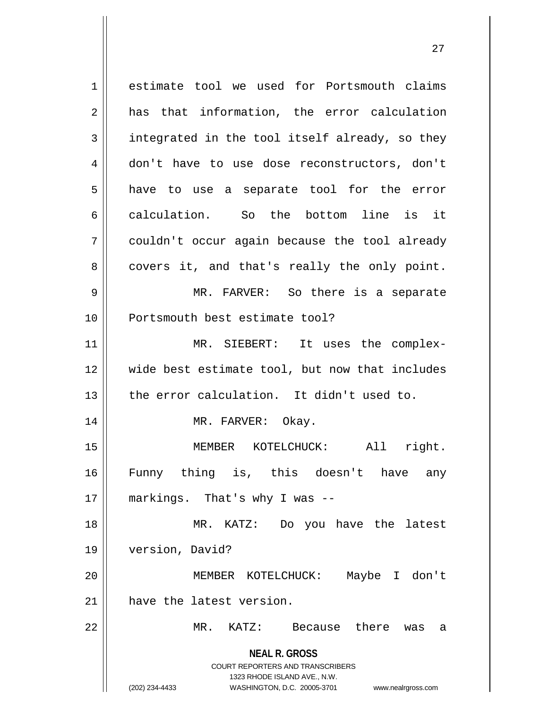**NEAL R. GROSS** COURT REPORTERS AND TRANSCRIBERS 1323 RHODE ISLAND AVE., N.W. (202) 234-4433 WASHINGTON, D.C. 20005-3701 www.nealrgross.com 1 estimate tool we used for Portsmouth claims  $2 \parallel$  has that information, the error calculation  $3 \parallel$  integrated in the tool itself already, so they 4 don't have to use dose reconstructors, don't  $5 \parallel$  have to use a separate tool for the error 6 calculation. So the bottom line is it 7 couldn't occur again because the tool already  $8 \parallel$  covers it, and that's really the only point. 9 MR. FARVER: So there is a separate 10 Portsmouth best estimate tool? 11 || MR. SIEBERT: It uses the complex-12 wide best estimate tool, but now that includes  $13$  | the error calculation. It didn't used to. 14 || MR. FARVER: Okay. 15 || **MEMBER KOTELCHUCK:** All right. 16 Funny thing is, this doesn't have any 17 || markings. That's why I was --18 MR. KATZ: Do you have the latest 19 version, David? 20 MEMBER KOTELCHUCK: Maybe I don't 21 | have the latest version. 22 MR. KATZ: Because there was a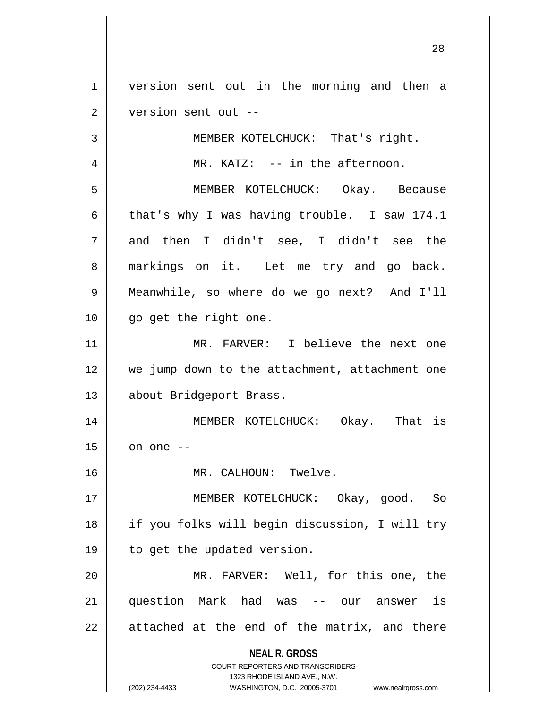1 version sent out in the morning and then a 2 | version sent out --

3 || MEMBER KOTELCHUCK: That's right.

4 || MR. KATZ: -- in the afternoon.

5 MEMBER KOTELCHUCK: Okay. Because 6 that's why I was having trouble. I saw 174.1  $7 \parallel$  and then I didn't see, I didn't see the 8 || markings on it. Let me try and go back. 9 Meanwhile, so where do we go next? And I'll 10 || go get the right one.

11 MR. FARVER: I believe the next one 12 || we jump down to the attachment, attachment one 13 | about Bridgeport Brass.

14 MEMBER KOTELCHUCK: Okay. That is  $15$  on one  $-$ 

16 MR. CALHOUN: Twelve.

17 MEMBER KOTELCHUCK: Okay, good. So 18 if you folks will begin discussion, I will try 19 || to get the updated version.

20 MR. FARVER: Well, for this one, the 21 question Mark had was -- our answer is  $22 \parallel$  attached at the end of the matrix, and there

> **NEAL R. GROSS** COURT REPORTERS AND TRANSCRIBERS

> > 1323 RHODE ISLAND AVE., N.W.

(202) 234-4433 WASHINGTON, D.C. 20005-3701 www.nealrgross.com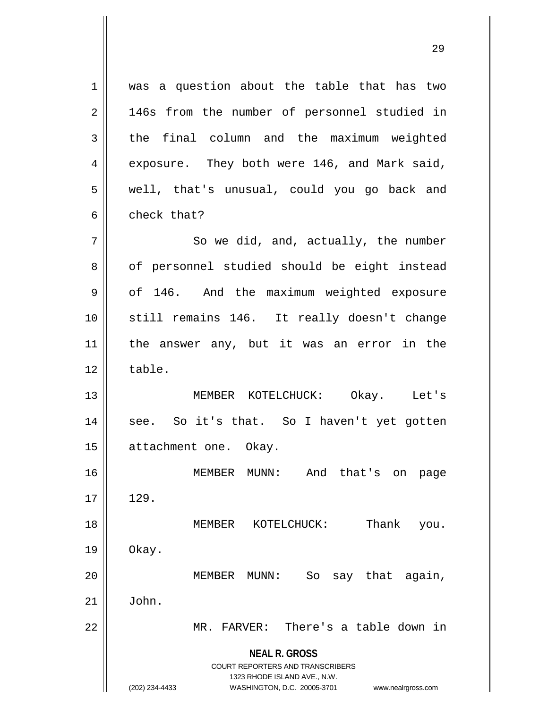**NEAL R. GROSS** COURT REPORTERS AND TRANSCRIBERS 1323 RHODE ISLAND AVE., N.W. (202) 234-4433 WASHINGTON, D.C. 20005-3701 www.nealrgross.com 1 || was a question about the table that has two 2 || 146s from the number of personnel studied in  $3$  the final column and the maximum weighted 4 || exposure. They both were 146, and Mark said, 5 || well, that's unusual, could you go back and 6 check that?  $7 \parallel$  So we did, and, actually, the number 8 || of personnel studied should be eight instead 9 | of 146. And the maximum weighted exposure 10 still remains 146. It really doesn't change 11 the answer any, but it was an error in the  $12 \parallel$  table. 13 MEMBER KOTELCHUCK: Okay. Let's 14 || see. So it's that. So I haven't yet gotten 15 | attachment one. Okay. 16 MEMBER MUNN: And that's on page  $17 \parallel 129$ . 18 MEMBER KOTELCHUCK: Thank you.  $19 \parallel$  Okay. 20 MEMBER MUNN: So say that again,  $21 \parallel$  John. 22 || MR. FARVER: There's a table down in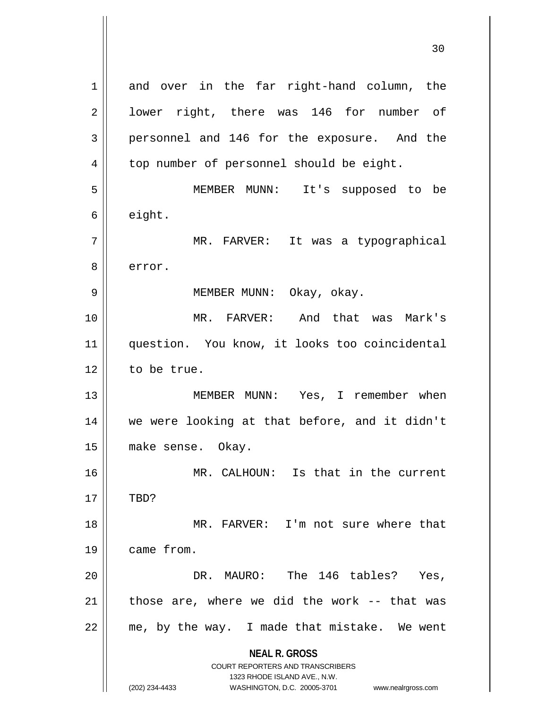**NEAL R. GROSS** COURT REPORTERS AND TRANSCRIBERS 1323 RHODE ISLAND AVE., N.W. (202) 234-4433 WASHINGTON, D.C. 20005-3701 www.nealrgross.com 1 and over in the far right-hand column, the 2 || lower right, there was 146 for number of 3 personnel and 146 for the exposure. And the 4 | top number of personnel should be eight. 5 MEMBER MUNN: It's supposed to be  $6 \parallel$  eight. 7 || TARVER: It was a typographical 8 lerror. 9 MEMBER MUNN: Okay, okay. 10 MR. FARVER: And that was Mark's 11 question. You know, it looks too coincidental  $12$  to be true. 13 MEMBER MUNN: Yes, I remember when 14 we were looking at that before, and it didn't 15 make sense. Okay. 16 MR. CALHOUN: Is that in the current  $17$   $\parallel$  TBD? 18 MR. FARVER: I'm not sure where that 19 came from. 20 DR. MAURO: The 146 tables? Yes,  $21$  || those are, where we did the work -- that was  $22$  | me, by the way. I made that mistake. We went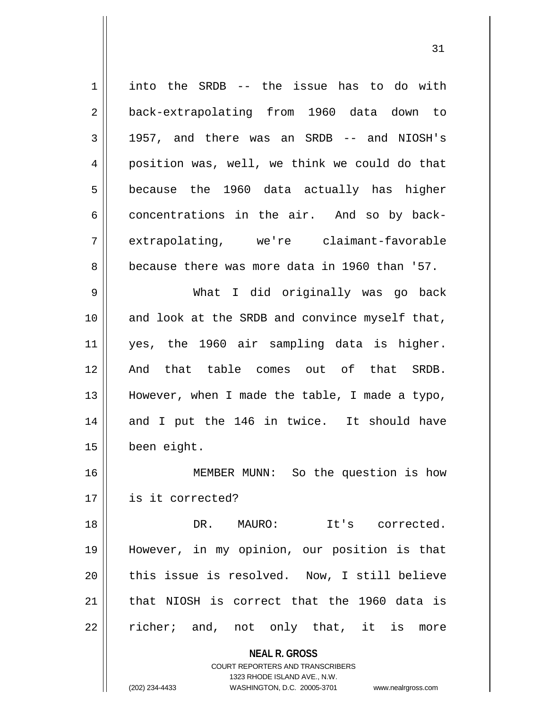**NEAL R. GROSS** COURT REPORTERS AND TRANSCRIBERS 1 | into the SRDB -- the issue has to do with 2 || back-extrapolating from 1960 data down to  $3 \parallel$  1957, and there was an SRDB -- and NIOSH's 4 | position was, well, we think we could do that  $5 \parallel$  because the 1960 data actually has higher  $6 \parallel$  concentrations in the air. And so by back-7 extrapolating, we're claimant-favorable  $8 \parallel$  because there was more data in 1960 than '57. 9 What I did originally was go back 10 || and look at the SRDB and convince myself that, 11 yes, the 1960 air sampling data is higher. 12 And that table comes out of that SRDB. 13 However, when I made the table, I made a typo, 14 and I put the 146 in twice. It should have 15 | been eight. 16 MEMBER MUNN: So the question is how 17 is it corrected? 18 DR. MAURO: It's corrected. 19 However, in my opinion, our position is that 20 || this issue is resolved. Now, I still believe  $21$  | that NIOSH is correct that the 1960 data is  $22$  || richer; and, not only that, it is more

1323 RHODE ISLAND AVE., N.W.

(202) 234-4433 WASHINGTON, D.C. 20005-3701 www.nealrgross.com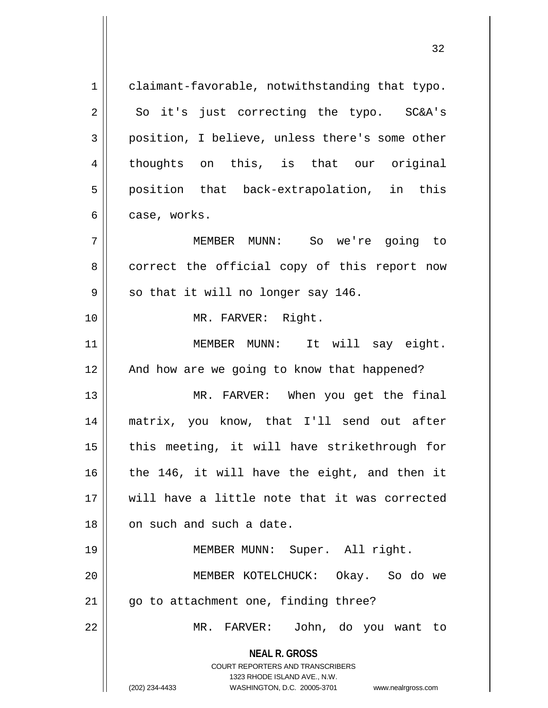| claimant-favorable, notwithstanding that typo.                                                                                                                  |
|-----------------------------------------------------------------------------------------------------------------------------------------------------------------|
| So it's just correcting the typo. SC&A's                                                                                                                        |
| position, I believe, unless there's some other                                                                                                                  |
| thoughts on this, is that our original                                                                                                                          |
| position that back-extrapolation, in this                                                                                                                       |
| case, works.                                                                                                                                                    |
| MEMBER MUNN: So we're going to                                                                                                                                  |
| correct the official copy of this report now                                                                                                                    |
| so that it will no longer say 146.                                                                                                                              |
| MR. FARVER: Right.                                                                                                                                              |
| MEMBER MUNN: It will say eight.                                                                                                                                 |
| And how are we going to know that happened?                                                                                                                     |
| MR. FARVER: When you get the final                                                                                                                              |
| matrix, you know, that I'll send out after                                                                                                                      |
| this meeting, it will have strikethrough for                                                                                                                    |
| the 146, it will have the eight, and then it                                                                                                                    |
| will have a little note that it was corrected                                                                                                                   |
| on such and such a date.                                                                                                                                        |
| MEMBER MUNN: Super. All right.                                                                                                                                  |
| MEMBER KOTELCHUCK: Okay. So do we                                                                                                                               |
| go to attachment one, finding three?                                                                                                                            |
| MR. FARVER: John, do you want to                                                                                                                                |
| <b>NEAL R. GROSS</b><br>COURT REPORTERS AND TRANSCRIBERS<br>1323 RHODE ISLAND AVE., N.W.<br>(202) 234-4433<br>WASHINGTON, D.C. 20005-3701<br>www.nealrgross.com |
|                                                                                                                                                                 |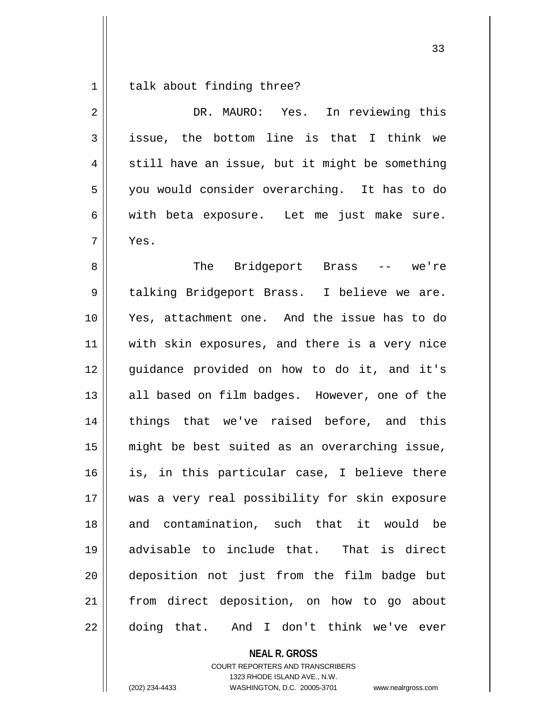$1 \parallel$  talk about finding three?

| $\overline{2}$ | DR. MAURO: Yes. In reviewing this              |
|----------------|------------------------------------------------|
| 3              | issue, the bottom line is that I think we      |
| 4              | still have an issue, but it might be something |
| 5              | you would consider overarching. It has to do   |
| 6              | with beta exposure. Let me just make sure.     |
| 7              | Yes.                                           |
| 8              | The Bridgeport Brass -- we're                  |
| $\mathsf 9$    | talking Bridgeport Brass. I believe we are.    |
| 10             | Yes, attachment one. And the issue has to do   |
| 11             | with skin exposures, and there is a very nice  |
| 12             | guidance provided on how to do it, and it's    |
| 13             | all based on film badges. However, one of the  |
| 14             | things that we've raised before, and this      |
| 15             | might be best suited as an overarching issue,  |
| 16             | is, in this particular case, I believe there   |
| 17             | was a very real possibility for skin exposure  |
| 18             | and contamination, such that it would be       |
| 19             | advisable to include that. That is direct      |
| 20             | deposition not just from the film badge but    |
| 21             | from direct deposition, on how to go about     |
| 22             | doing that. And I don't think we've ever       |

**NEAL R. GROSS** COURT REPORTERS AND TRANSCRIBERS

1323 RHODE ISLAND AVE., N.W.

(202) 234-4433 WASHINGTON, D.C. 20005-3701 www.nealrgross.com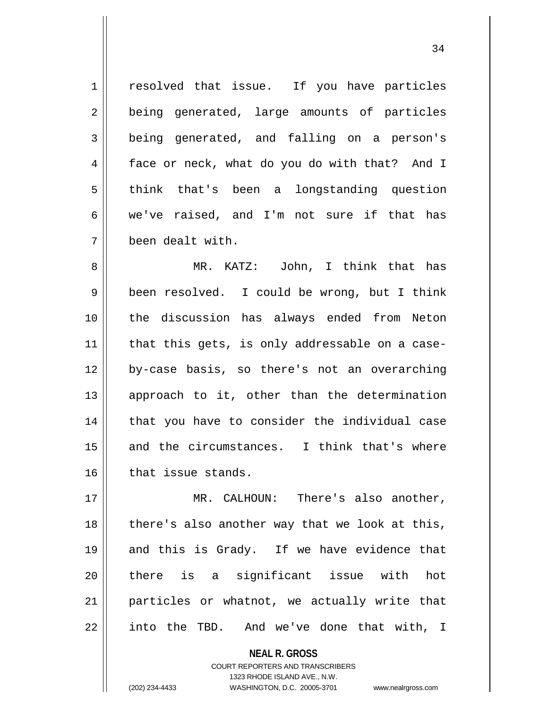1 || resolved that issue. If you have particles 2 || being generated, large amounts of particles 3 being generated, and falling on a person's 4 | face or neck, what do you do with that? And I 5 think that's been a longstanding question 6 we've raised, and I'm not sure if that has 7 been dealt with.

 MR. KATZ: John, I think that has 9 | been resolved. I could be wrong, but I think the discussion has always ended from Neton | that this gets, is only addressable on a case- by-case basis, so there's not an overarching || approach to it, other than the determination 14 || that you have to consider the individual case 15 and the circumstances. I think that's where | that issue stands.

17 MR. CALHOUN: There's also another, 18 || there's also another way that we look at this, 19 || and this is Grady. If we have evidence that 20 there is a significant issue with hot 21 || particles or whatnot, we actually write that 22 || into the TBD. And we've done that with, I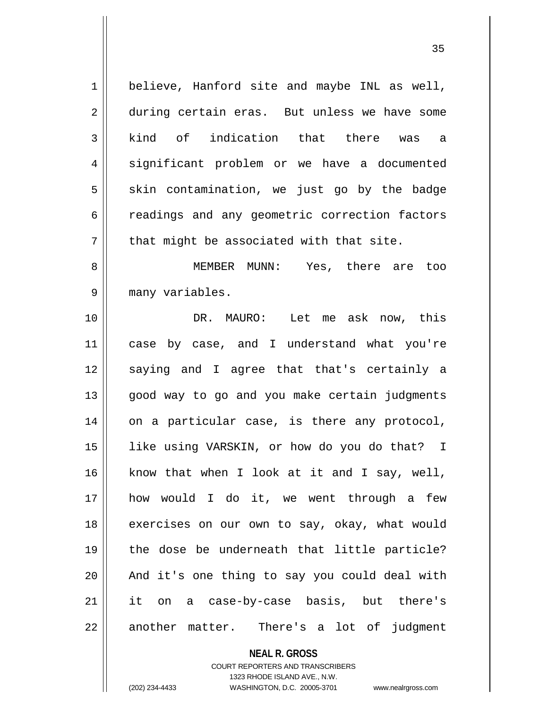1 || believe, Hanford site and maybe INL as well, 2 during certain eras. But unless we have some 3 kind of indication that there was a 4 || significant problem or we have a documented  $5 \parallel$  skin contamination, we just go by the badge 6 canoral 6 readings and any geometric correction factors  $7$  || that might be associated with that site. 8 MEMBER MUNN: Yes, there are too 9 || many variables. 10 DR. MAURO: Let me ask now, this 11 case by case, and I understand what you're 12 || saying and I agree that that's certainly a 13 || good way to go and you make certain judgments 14 || on a particular case, is there any protocol, 15 like using VARSKIN, or how do you do that? I 16 || know that when I look at it and I say, well, 17 how would I do it, we went through a few 18 exercises on our own to say, okay, what would 19 the dose be underneath that little particle?  $20$  || And it's one thing to say you could deal with 21 it on a case-by-case basis, but there's 22 || another matter. There's a lot of judgment

**NEAL R. GROSS**

COURT REPORTERS AND TRANSCRIBERS 1323 RHODE ISLAND AVE., N.W. (202) 234-4433 WASHINGTON, D.C. 20005-3701 www.nealrgross.com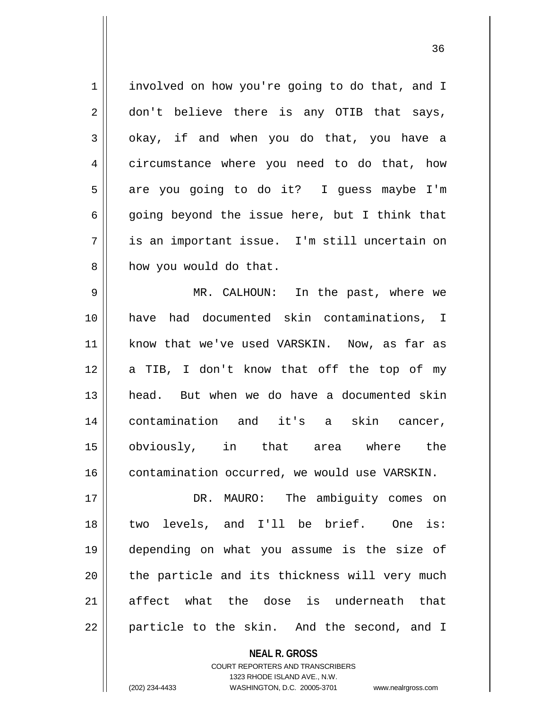| $\mathbf 1$    | involved on how you're going to do that, and I |
|----------------|------------------------------------------------|
| $\overline{2}$ | don't believe there is any OTIB that says,     |
| 3              | okay, if and when you do that, you have a      |
| 4              | circumstance where you need to do that, how    |
| 5              | are you going to do it? I guess maybe I'm      |
| 6              | going beyond the issue here, but I think that  |
| 7              | is an important issue. I'm still uncertain on  |
| 8              | how you would do that.                         |
| 9              | MR. CALHOUN: In the past, where we             |
| 10             | had documented skin contaminations, I<br>have  |
| 11             | know that we've used VARSKIN. Now, as far as   |
| 12             | a TIB, I don't know that off the top of my     |
| 13             | head. But when we do have a documented skin    |
| 14             | contamination and it's a skin cancer,          |
| 15             | obviously, in that area where the              |
| 16             | contamination occurred, we would use VARSKIN.  |
| 17             | MAURO: The ambiguity comes on<br>DR.           |
|                |                                                |

18 || two levels, and I'll be brief. One is: depending on what you assume is the size of | the particle and its thickness will very much affect what the dose is underneath that | particle to the skin. And the second, and I

> **NEAL R. GROSS** COURT REPORTERS AND TRANSCRIBERS 1323 RHODE ISLAND AVE., N.W. (202) 234-4433 WASHINGTON, D.C. 20005-3701 www.nealrgross.com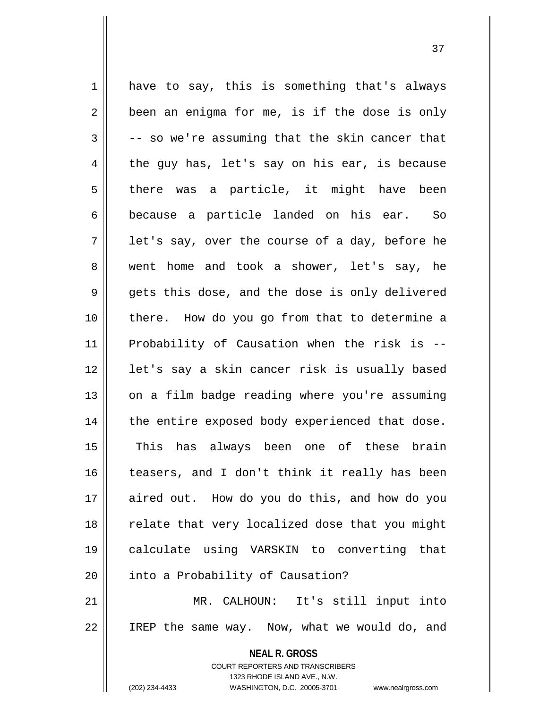**NEAL R. GROSS** COURT REPORTERS AND TRANSCRIBERS 1323 RHODE ISLAND AVE., N.W.  $1 \parallel$  have to say, this is something that's always  $2 \parallel$  been an enigma for me, is if the dose is only  $3 \parallel$  -- so we're assuming that the skin cancer that  $4 \parallel$  the guy has, let's say on his ear, is because  $5 \parallel$  there was a particle, it might have been 6 because a particle landed on his ear. So  $7 \parallel$  let's say, over the course of a day, before he 8 went home and took a shower, let's say, he  $9 \parallel$  gets this dose, and the dose is only delivered 10 there. How do you go from that to determine a 11 Probability of Causation when the risk is -- 12 || let's say a skin cancer risk is usually based  $13$  | on a film badge reading where you're assuming  $14$  | the entire exposed body experienced that dose. 15 This has always been one of these brain 16 teasers, and I don't think it really has been 17 aired out. How do you do this, and how do you 18 || relate that very localized dose that you might 19 calculate using VARSKIN to converting that 20 | into a Probability of Causation? 21 MR. CALHOUN: It's still input into 22 || IREP the same way. Now, what we would do, and

(202) 234-4433 WASHINGTON, D.C. 20005-3701 www.nealrgross.com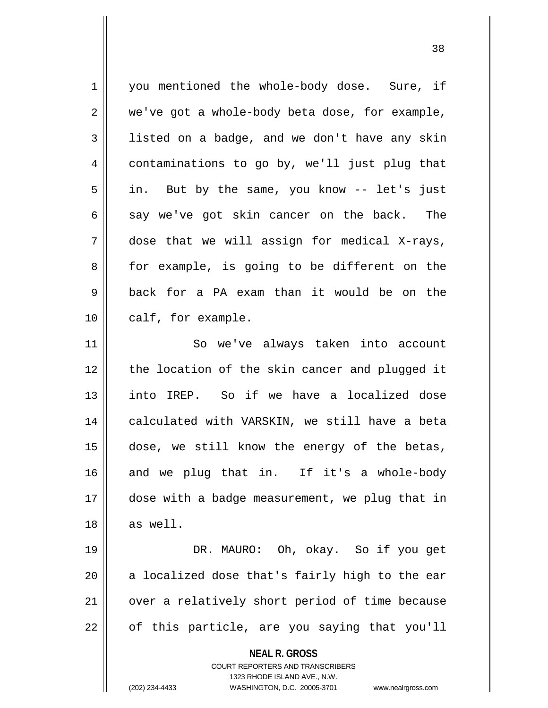**NEAL R. GROSS** COURT REPORTERS AND TRANSCRIBERS 1323 RHODE ISLAND AVE., N.W. 1 you mentioned the whole-body dose. Sure, if  $2 \parallel$  we've got a whole-body beta dose, for example, 3 | listed on a badge, and we don't have any skin 4 contaminations to go by, we'll just plug that  $5 \parallel$  in. But by the same, you know -- let's just  $6 \parallel$  say we've got skin cancer on the back. The  $7 \parallel$  dose that we will assign for medical X-rays,  $8 \parallel$  for example, is going to be different on the 9 back for a PA exam than it would be on the 10 | calf, for example. 11 || So we've always taken into account 12 the location of the skin cancer and plugged it 13 into IREP. So if we have a localized dose 14 || calculated with VARSKIN, we still have a beta 15 dose, we still know the energy of the betas, 16 and we plug that in. If it's a whole-body 17 dose with a badge measurement, we plug that in  $18$  || as well. 19 DR. MAURO: Oh, okay. So if you get  $20$  || a localized dose that's fairly high to the ear 21 | over a relatively short period of time because  $22 \parallel$  of this particle, are you saying that you'll

<sup>(202) 234-4433</sup> WASHINGTON, D.C. 20005-3701 www.nealrgross.com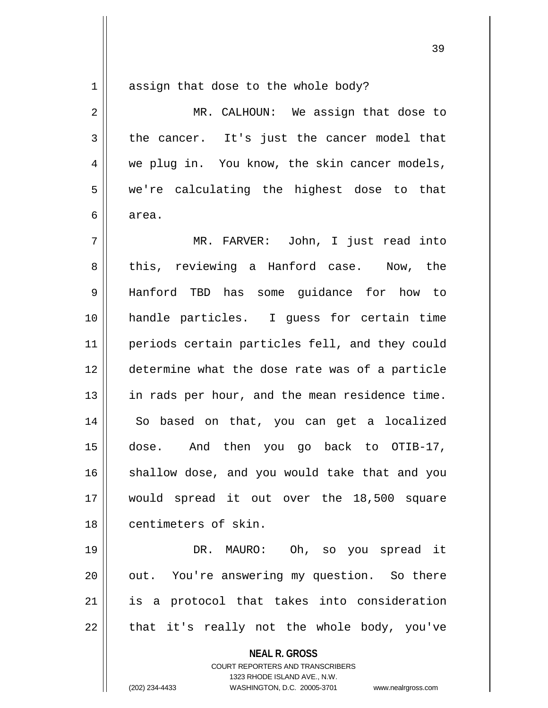assign that dose to the whole body?

| $\overline{2}$ | MR. CALHOUN: We assign that dose to                      |
|----------------|----------------------------------------------------------|
| 3              | the cancer. It's just the cancer model that              |
| 4              | we plug in. You know, the skin cancer models,            |
| 5              | we're calculating the highest dose to that               |
| 6              | area.                                                    |
| 7              | MR. FARVER: John, I just read into                       |
| 8              | this, reviewing a Hanford case. Now, the                 |
| 9              | Hanford TBD has some guidance for how to                 |
| 10             | handle particles. I guess for certain time               |
| 11             | periods certain particles fell, and they could           |
| 12             | determine what the dose rate was of a particle           |
| 13             | in rads per hour, and the mean residence time.           |
| 14             | So based on that, you can get a localized                |
| 15             | dose. And then you go back to OTIB-17,                   |
| 16             | shallow dose, and you would take that and you            |
| 17             | would spread it out over the 18,500 square               |
| 18             | centimeters of skin.                                     |
| 19             | DR. MAURO: Oh, so you spread it                          |
| 20             | out. You're answering my question. So there              |
| 21             | is a protocol that takes into consideration              |
| 22             | that it's really not the whole body, you've              |
|                | <b>NEAL R. GROSS</b><br>COURT REPORTERS AND TRANSCRIBERS |

1323 RHODE ISLAND AVE., N.W.

(202) 234-4433 WASHINGTON, D.C. 20005-3701 www.nealrgross.com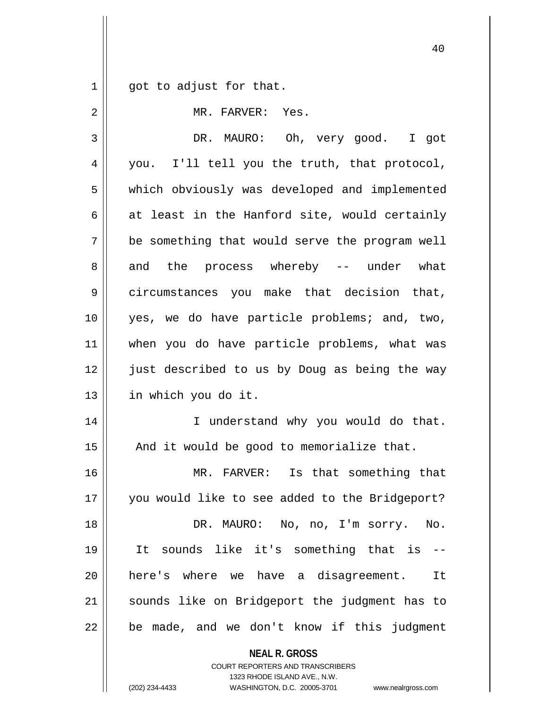$1 \parallel$  got to adjust for that.

| 2  | MR. FARVER: Yes.                               |
|----|------------------------------------------------|
| 3  | DR. MAURO: Oh, very good. I got                |
| 4  | you. I'll tell you the truth, that protocol,   |
| 5  | which obviously was developed and implemented  |
| 6  | at least in the Hanford site, would certainly  |
| 7  | be something that would serve the program well |
| 8  | and the process whereby -- under what          |
| 9  | circumstances you make that decision that,     |
| 10 | yes, we do have particle problems; and, two,   |
| 11 | when you do have particle problems, what was   |
| 12 | just described to us by Doug as being the way  |
| 13 | in which you do it.                            |
| 14 | I understand why you would do that.            |
| 15 | And it would be good to memorialize that.      |
| 16 | MR. FARVER: Is that something that             |
| 17 | you would like to see added to the Bridgeport? |
| 18 | DR. MAURO: No, no, I'm sorry. No.              |
| 19 | It sounds like it's something that is --       |
| 20 | here's where we have a disagreement. It        |
| 21 | sounds like on Bridgeport the judgment has to  |
| 22 | be made, and we don't know if this judgment    |
|    | NEAL R. GROSS                                  |

COURT REPORTERS AND TRANSCRIBERS 1323 RHODE ISLAND AVE., N.W.

(202) 234-4433 WASHINGTON, D.C. 20005-3701 www.nealrgross.com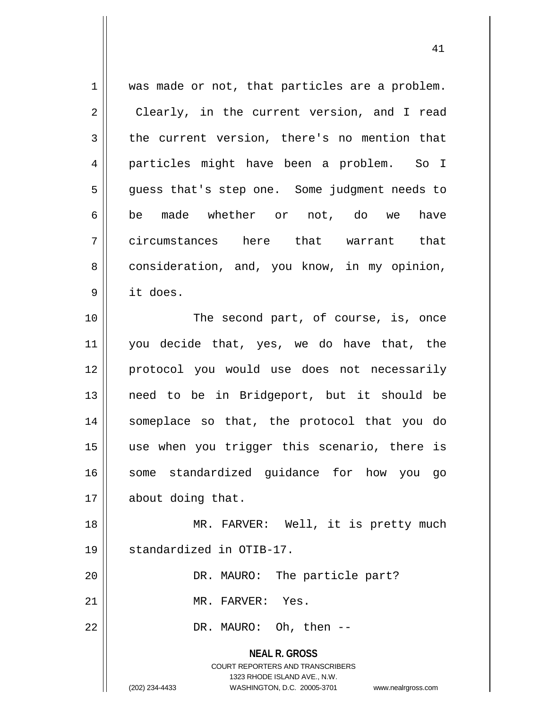**NEAL R. GROSS** COURT REPORTERS AND TRANSCRIBERS 1323 RHODE ISLAND AVE., N.W. 1 || was made or not, that particles are a problem. 2 || Clearly, in the current version, and I read  $3 \parallel$  the current version, there's no mention that 4 particles might have been a problem. So I 5 || guess that's step one. Some judgment needs to 6|| be made whether or not, do we have 7 circumstances here that warrant that 8 consideration, and, you know, in my opinion, 9 it does. 10 || The second part, of course, is, once 11 you decide that, yes, we do have that, the 12 protocol you would use does not necessarily 13 need to be in Bridgeport, but it should be 14 someplace so that, the protocol that you do 15 use when you trigger this scenario, there is 16 some standardized guidance for how you go 17 | about doing that. 18 || MR. FARVER: Well, it is pretty much 19 standardized in OTIB-17. 20 || DR. MAURO: The particle part? 21 || MR. FARVER: Yes. 22 || DR. MAURO: Oh, then --

(202) 234-4433 WASHINGTON, D.C. 20005-3701 www.nealrgross.com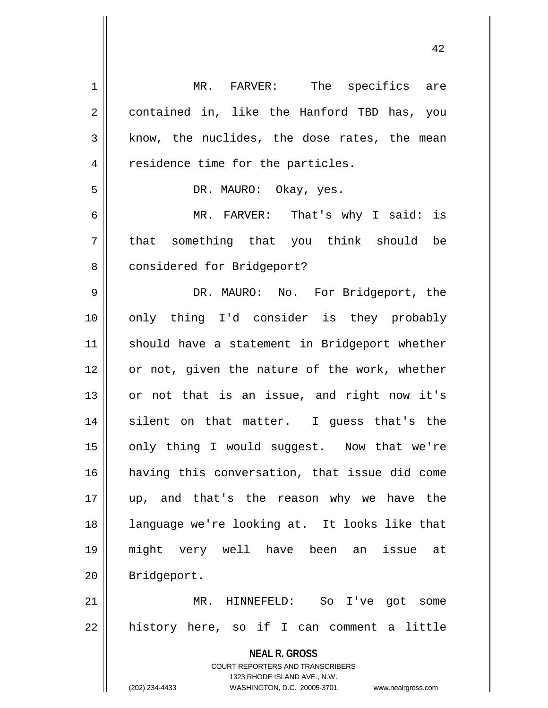| $\mathbf 1$ | MR. FARVER: The specifics are                                       |
|-------------|---------------------------------------------------------------------|
| $\sqrt{2}$  | contained in, like the Hanford TBD has, you                         |
| 3           | know, the nuclides, the dose rates, the mean                        |
| 4           | residence time for the particles.                                   |
| 5           | DR. MAURO: Okay, yes.                                               |
| 6           | MR. FARVER: That's why I said: is                                   |
| 7           | that something that you think should be                             |
| 8           | considered for Bridgeport?                                          |
| $\mathsf 9$ | DR. MAURO: No. For Bridgeport, the                                  |
| 10          | only thing I'd consider is they probably                            |
| 11          | should have a statement in Bridgeport whether                       |
| 12          | or not, given the nature of the work, whether                       |
| 13          | or not that is an issue, and right now it's                         |
| 14          | silent on that matter. I guess that's the                           |
| 15          | only thing I would suggest. Now that we're                          |
| 16          | having this conversation, that issue did come                       |
| 17          | up, and that's the reason why we have the                           |
| 18          | language we're looking at. It looks like that                       |
| 19          | might very well have been an issue at                               |
| 20          | Bridgeport.                                                         |
| 21          | MR. HINNEFELD:<br>So<br>I've<br>got some                            |
| 22          | history here, so if I can comment a little                          |
|             | <b>NEAL R. GROSS</b>                                                |
|             | COURT REPORTERS AND TRANSCRIBERS                                    |
|             | 1323 RHODE ISLAND AVE., N.W.                                        |
|             | (202) 234-4433<br>WASHINGTON, D.C. 20005-3701<br>www.nealrgross.com |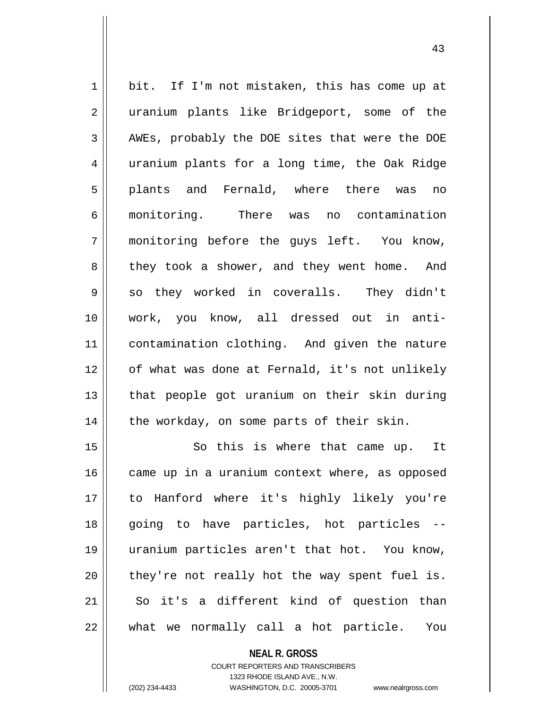1 bit. If I'm not mistaken, this has come up at 2 || uranium plants like Bridgeport, some of the 3 || AWEs, probably the DOE sites that were the DOE 4 uranium plants for a long time, the Oak Ridge 5 plants and Fernald, where there was no 6 monitoring. There was no contamination 7 monitoring before the guys left. You know, 8 || they took a shower, and they went home. And  $9 \parallel$  so they worked in coveralls. They didn't 10 work, you know, all dressed out in anti-11 contamination clothing. And given the nature 12 || of what was done at Fernald, it's not unlikely 13 || that people got uranium on their skin during  $14$  | the workday, on some parts of their skin.

15 || So this is where that came up. It came up in a uranium context where, as opposed to Hanford where it's highly likely you're going to have particles, hot particles -- uranium particles aren't that hot. You know, | they're not really hot the way spent fuel is. 21 || So it's a different kind of question than || what we normally call a hot particle. You

> **NEAL R. GROSS** COURT REPORTERS AND TRANSCRIBERS 1323 RHODE ISLAND AVE., N.W. (202) 234-4433 WASHINGTON, D.C. 20005-3701 www.nealrgross.com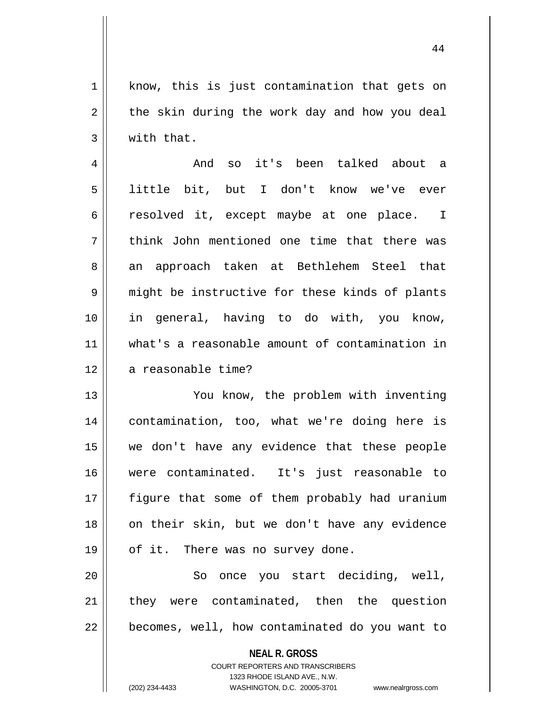1 || know, this is just contamination that gets on  $2 \parallel$  the skin during the work day and how you deal  $3 \parallel$  with that.

4 And so it's been talked about a 5 little bit, but I don't know we've ever 6 c resolved it, except maybe at one place. I 7 || think John mentioned one time that there was 8 || an approach taken at Bethlehem Steel that 9 might be instructive for these kinds of plants 10 in general, having to do with, you know, 11 what's a reasonable amount of contamination in 12 || a reasonable time?

 You know, the problem with inventing contamination, too, what we're doing here is we don't have any evidence that these people were contaminated. It's just reasonable to figure that some of them probably had uranium 18 on their skin, but we don't have any evidence 19 || of it. There was no survey done.

20 || So once you start deciding, well, 21 || they were contaminated, then the question  $22$   $\parallel$  becomes, well, how contaminated do you want to

> **NEAL R. GROSS** COURT REPORTERS AND TRANSCRIBERS 1323 RHODE ISLAND AVE., N.W. (202) 234-4433 WASHINGTON, D.C. 20005-3701 www.nealrgross.com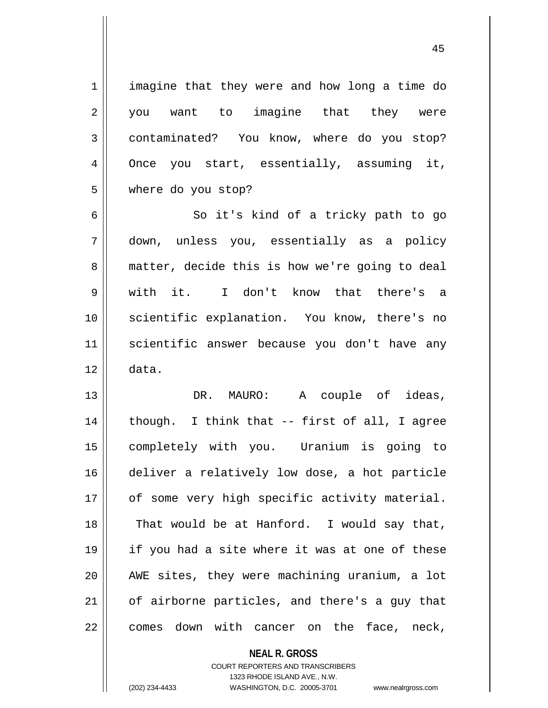1 | imagine that they were and how long a time do 2 you want to imagine that they were 3 | contaminated? You know, where do you stop? 4 || Once you start, essentially, assuming it, 5 where do you stop?

6 || So it's kind of a tricky path to go 7 down, unless you, essentially as a policy 8 || matter, decide this is how we're going to deal 9 with it. I don't know that there's a 10 scientific explanation. You know, there's no 11 scientific answer because you don't have any  $12 \parallel$  data.

13 DR. MAURO: A couple of ideas, 14 || though. I think that -- first of all, I agree 15 completely with you. Uranium is going to 16 deliver a relatively low dose, a hot particle 17 || of some very high specific activity material.  $18$  || That would be at Hanford. I would say that, 19 if you had a site where it was at one of these 20 AWE sites, they were machining uranium, a lot 21 || of airborne particles, and there's a guy that 22 || comes down with cancer on the face, neck,

> **NEAL R. GROSS** COURT REPORTERS AND TRANSCRIBERS 1323 RHODE ISLAND AVE., N.W. (202) 234-4433 WASHINGTON, D.C. 20005-3701 www.nealrgross.com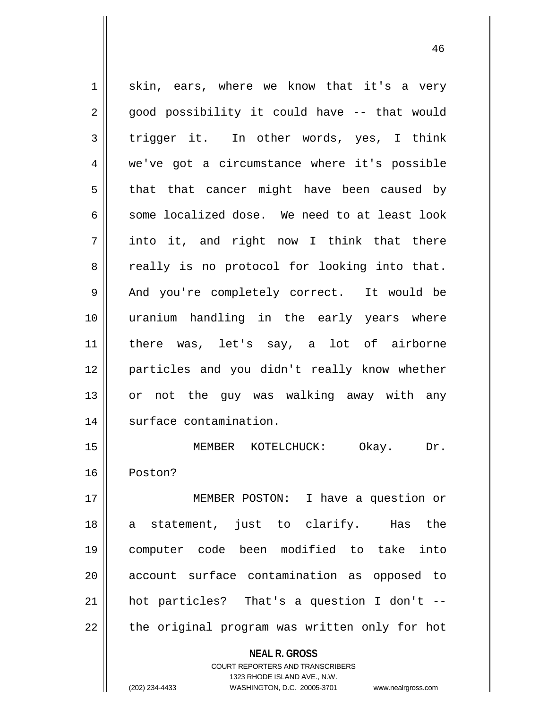$1 \parallel$  skin, ears, where we know that it's a very 2 || good possibility it could have -- that would 3 trigger it. In other words, yes, I think 4 we've got a circumstance where it's possible  $5 \parallel$  that that cancer might have been caused by  $6 \parallel$  some localized dose. We need to at least look 7 into it, and right now I think that there  $8 \parallel$  really is no protocol for looking into that. 9 || And you're completely correct. It would be 10 uranium handling in the early years where 11 || there was, let's say, a lot of airborne 12 particles and you didn't really know whether 13 || or not the guy was walking away with any 14 | surface contamination. 15 MEMBER KOTELCHUCK: Okay. Dr. 16 Poston? 17 MEMBER POSTON: I have a question or 18 a statement, just to clarify. Has the 19 computer code been modified to take into 20 || account surface contamination as opposed to 21 hot particles? That's a question I don't --

22 || the original program was written only for hot

**NEAL R. GROSS** COURT REPORTERS AND TRANSCRIBERS

1323 RHODE ISLAND AVE., N.W.

(202) 234-4433 WASHINGTON, D.C. 20005-3701 www.nealrgross.com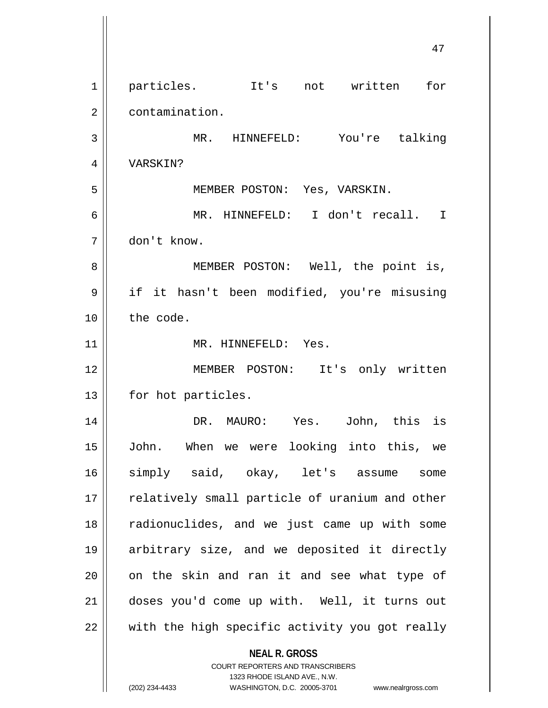**NEAL R. GROSS** COURT REPORTERS AND TRANSCRIBERS 1323 RHODE ISLAND AVE., N.W. 1 particles. It's not written for 2 | contamination. 3 MR. HINNEFELD: You're talking 4 VARSKIN? 5 MEMBER POSTON: Yes, VARSKIN. 6 MR. HINNEFELD: I don't recall. I 7 don't know. 8 || MEMBER POSTON: Well, the point is, 9 if it hasn't been modified, you're misusing 10 the code. 11 || MR. HINNEFELD: Yes. 12 MEMBER POSTON: It's only written 13 | for hot particles. 14 DR. MAURO: Yes. John, this is 15 John. When we were looking into this, we 16 simply said, okay, let's assume some 17 || relatively small particle of uranium and other 18 || radionuclides, and we just came up with some 19 arbitrary size, and we deposited it directly  $20$  || on the skin and ran it and see what type of 21 doses you'd come up with. Well, it turns out  $22$   $\parallel$  with the high specific activity you got really

(202) 234-4433 WASHINGTON, D.C. 20005-3701 www.nealrgross.com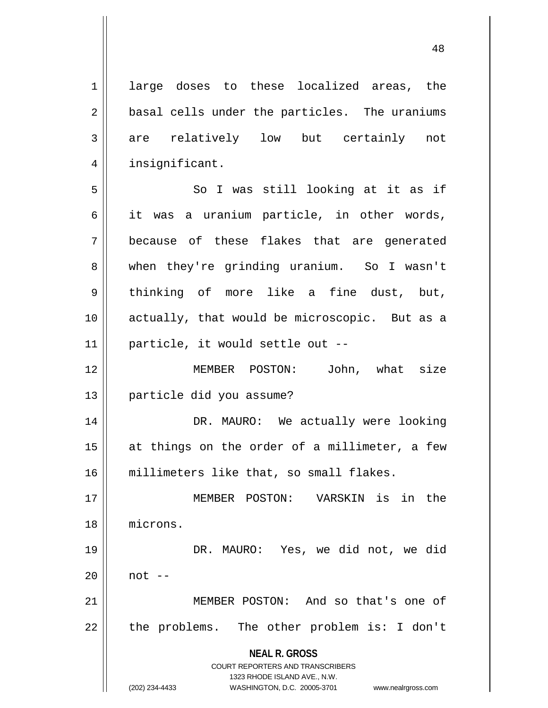1 | large doses to these localized areas, the 2 || basal cells under the particles. The uraniums 3 are relatively low but certainly not 4 | insignificant. 5 || So I was still looking at it as if  $6 \parallel$  it was a uranium particle, in other words, 7 because of these flakes that are generated 8 when they're grinding uranium. So I wasn't 9 || thinking of more like a fine dust, but, 10 actually, that would be microscopic. But as a

11 particle, it would settle out -- 12 MEMBER POSTON: John, what size

13 particle did you assume?

14 DR. MAURO: We actually were looking 15 at things on the order of a millimeter, a few 16 millimeters like that, so small flakes.

 MEMBER POSTON: VARSKIN is in the microns. DR. MAURO: Yes, we did not, we did  $20 \parallel$  not  $-$ MEMBER POSTON: And so that's one of

 $22$  | the problems. The other problem is: I don't

**NEAL R. GROSS** COURT REPORTERS AND TRANSCRIBERS

1323 RHODE ISLAND AVE., N.W. (202) 234-4433 WASHINGTON, D.C. 20005-3701 www.nealrgross.com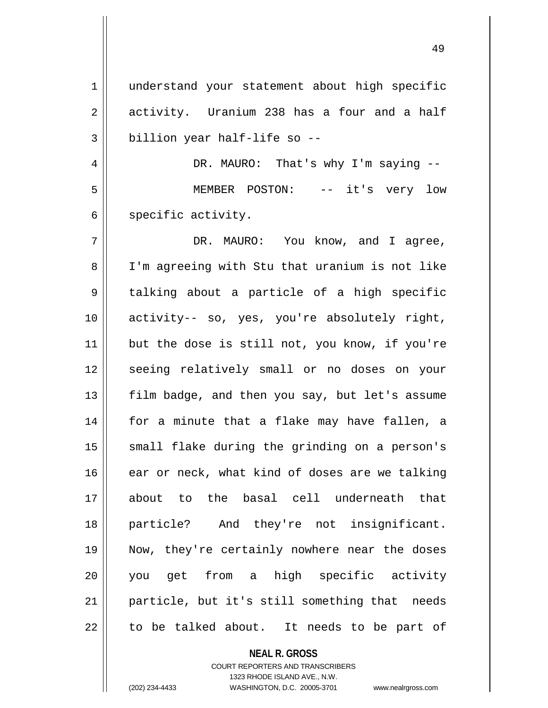1 || understand your statement about high specific  $2 \parallel$  activity. Uranium 238 has a four and a half  $3 \parallel$  billion year half-life so --

4 DR. MAURO: That's why I'm saying -- 5 MEMBER POSTON: -- it's very low  $6 \parallel$  specific activity.

7 DR. MAURO: You know, and I agree, 8 I'm agreeing with Stu that uranium is not like 9 || talking about a particle of a high specific 10 activity-- so, yes, you're absolutely right, 11 || but the dose is still not, you know, if you're 12 || seeing relatively small or no doses on your 13 || film badge, and then you say, but let's assume 14 for a minute that a flake may have fallen, a 15 || small flake during the grinding on a person's 16 ear or neck, what kind of doses are we talking 17 about to the basal cell underneath that 18 particle? And they're not insignificant. 19 Now, they're certainly nowhere near the doses 20 you get from a high specific activity 21 particle, but it's still something that needs  $22$  to be talked about. It needs to be part of

**NEAL R. GROSS**

COURT REPORTERS AND TRANSCRIBERS 1323 RHODE ISLAND AVE., N.W. (202) 234-4433 WASHINGTON, D.C. 20005-3701 www.nealrgross.com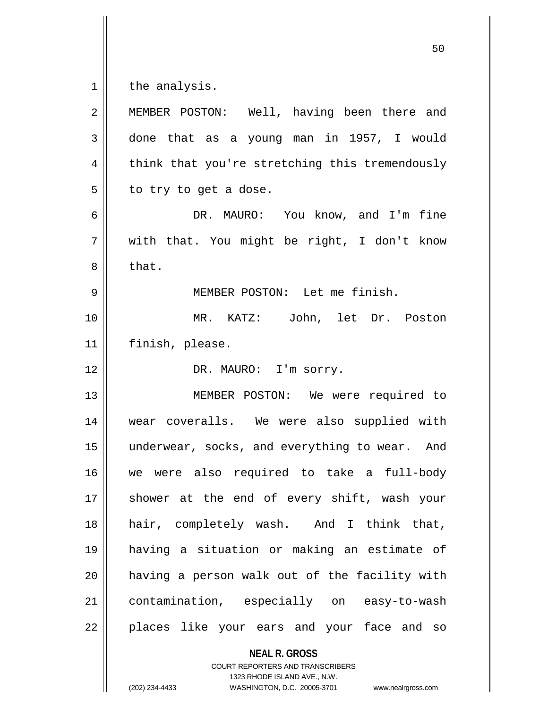the analysis.

| $\overline{2}$ | MEMBER POSTON: Well, having been there and     |
|----------------|------------------------------------------------|
| $\mathbf{3}$   | done that as a young man in 1957, I would      |
| $\overline{4}$ | think that you're stretching this tremendously |
| 5              | to try to get a dose.                          |
| 6              | DR. MAURO: You know, and I'm fine              |
| 7              | with that. You might be right, I don't know    |
| 8              | that.                                          |
| $\mathsf 9$    | MEMBER POSTON: Let me finish.                  |
| 10             | MR. KATZ: John, let Dr. Poston                 |
| 11             | finish, please.                                |
| 12             | DR. MAURO: I'm sorry.                          |
| 13             | MEMBER POSTON: We were required to             |
| 14             | wear coveralls. We were also supplied with     |
| 15             | underwear, socks, and everything to wear. And  |
| 16             | we were also required to take a full-body      |
| 17             | shower at the end of every shift, wash your    |
| 18             | hair, completely wash. And I think that,       |
| 19             | having a situation or making an estimate of    |
| 20             | having a person walk out of the facility with  |
| 21             | contamination, especially on easy-to-wash      |
| 22             | places like your ears and your face and so     |
|                | <b>NEAL R. GROSS</b>                           |

COURT REPORTERS AND TRANSCRIBERS 1323 RHODE ISLAND AVE., N.W.

(202) 234-4433 WASHINGTON, D.C. 20005-3701 www.nealrgross.com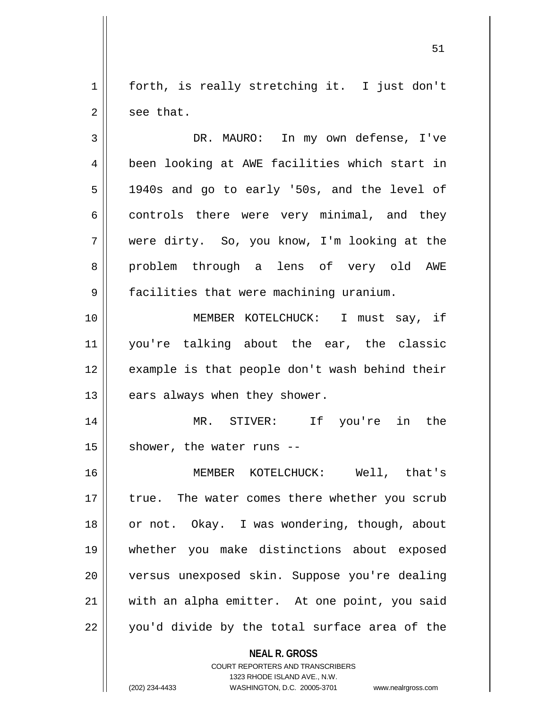1 || forth, is really stretching it. I just don't  $2 \parallel$  see that.

3 DR. MAURO: In my own defense, I've 4 | been looking at AWE facilities which start in 5 1940s and go to early '50s, and the level of  $6 \parallel$  controls there were very minimal, and they 7 were dirty. So, you know, I'm looking at the 8 problem through a lens of very old AWE 9 | facilities that were machining uranium. 10 MEMBER KOTELCHUCK: I must say, if

11 you're talking about the ear, the classic 12 || example is that people don't wash behind their  $13$  | ears always when they shower.

14 MR. STIVER: If you're in the  $15$  | shower, the water runs --

16 MEMBER KOTELCHUCK: Well, that's 17 || true. The water comes there whether you scrub 18 || or not. Okay. I was wondering, though, about 19 whether you make distinctions about exposed 20 versus unexposed skin. Suppose you're dealing 21 || with an alpha emitter. At one point, you said  $22 \parallel$  you'd divide by the total surface area of the

> **NEAL R. GROSS** COURT REPORTERS AND TRANSCRIBERS

> > 1323 RHODE ISLAND AVE., N.W.

(202) 234-4433 WASHINGTON, D.C. 20005-3701 www.nealrgross.com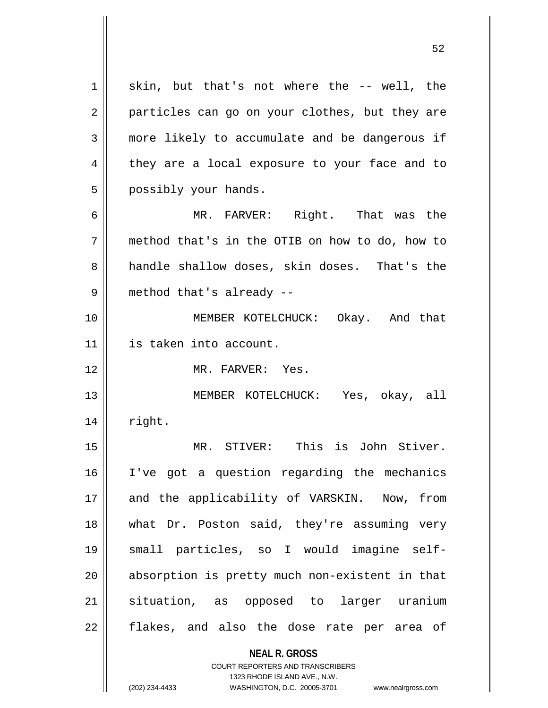$1 \parallel$  skin, but that's not where the -- well, the 2 || particles can go on your clothes, but they are 3 more likely to accumulate and be dangerous if 4 || they are a local exposure to your face and to 5 | possibly your hands.

6 || MR. FARVER: Right. That was the 7 method that's in the OTIB on how to do, how to 8 handle shallow doses, skin doses. That's the 9 || method that's already --

10 MEMBER KOTELCHUCK: Okay. And that 11 is taken into account.

12 MR. FARVER: Yes.

13 MEMBER KOTELCHUCK: Yes, okay, all  $14$   $\parallel$  right.

 MR. STIVER: This is John Stiver. I've got a question regarding the mechanics 17 || and the applicability of VARSKIN. Now, from what Dr. Poston said, they're assuming very small particles, so I would imagine self-20 || absorption is pretty much non-existent in that situation, as opposed to larger uranium 22 || flakes, and also the dose rate per area of

**NEAL R. GROSS**

COURT REPORTERS AND TRANSCRIBERS 1323 RHODE ISLAND AVE., N.W. (202) 234-4433 WASHINGTON, D.C. 20005-3701 www.nealrgross.com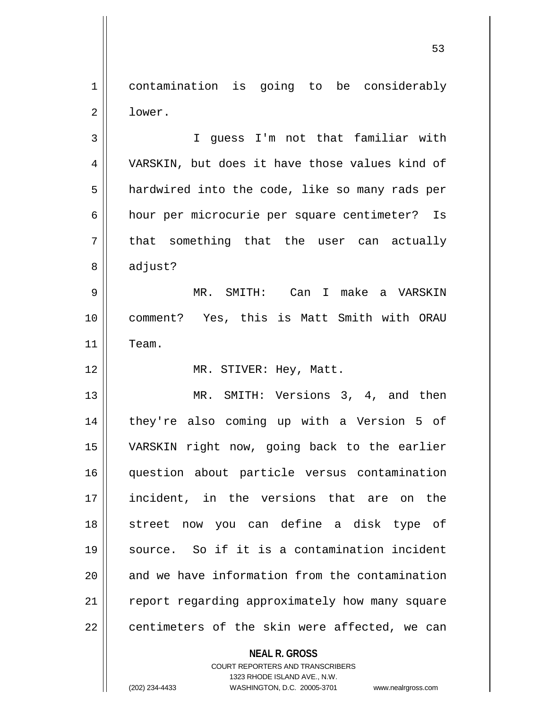1 contamination is going to be considerably 2 lower.

3 || I quess I'm not that familiar with 4 VARSKIN, but does it have those values kind of 5 | hardwired into the code, like so many rads per 6 hour per microcurie per square centimeter? Is  $7 \parallel$  that something that the user can actually  $8 \parallel$  adjust?

9 MR. SMITH: Can I make a VARSKIN 10 comment? Yes, this is Matt Smith with ORAU 11 Team.

12 || MR. STIVER: Hey, Matt.

13 || MR. SMITH: Versions 3, 4, and then they're also coming up with a Version 5 of VARSKIN right now, going back to the earlier question about particle versus contamination 17 || incident, in the versions that are on the street now you can define a disk type of source. So if it is a contamination incident || and we have information from the contamination 21 | report regarding approximately how many square || centimeters of the skin were affected, we can

**NEAL R. GROSS**

COURT REPORTERS AND TRANSCRIBERS 1323 RHODE ISLAND AVE., N.W. (202) 234-4433 WASHINGTON, D.C. 20005-3701 www.nealrgross.com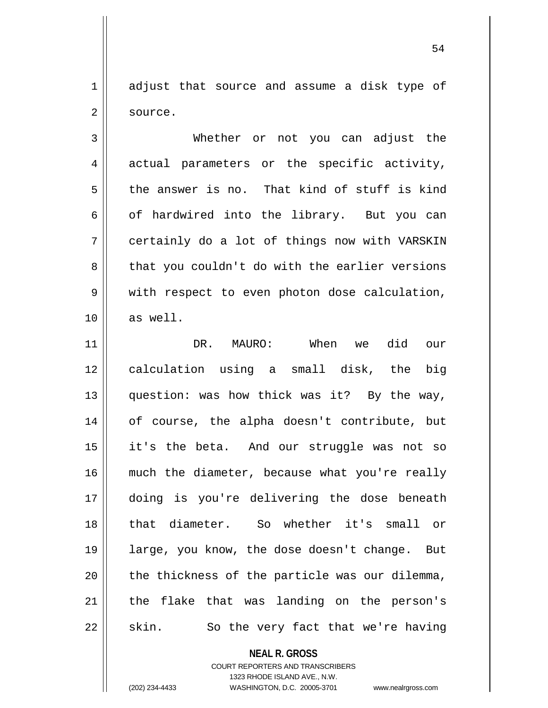1 adjust that source and assume a disk type of 2 source.

3 Whether or not you can adjust the 4 actual parameters or the specific activity,  $5 \parallel$  the answer is no. That kind of stuff is kind  $6 \parallel$  of hardwired into the library. But you can 7 certainly do a lot of things now with VARSKIN 8 that you couldn't do with the earlier versions 9 || with respect to even photon dose calculation, 10 as well.

 DR. MAURO: When we did our 12 || calculation using a small disk, the big question: was how thick was it? By the way, 14 || of course, the alpha doesn't contribute, but it's the beta. And our struggle was not so 16 || much the diameter, because what you're really doing is you're delivering the dose beneath that diameter. So whether it's small or large, you know, the dose doesn't change. But || the thickness of the particle was our dilemma, | the flake that was landing on the person's  $22 \parallel$  skin. So the very fact that we're having

**NEAL R. GROSS**

COURT REPORTERS AND TRANSCRIBERS 1323 RHODE ISLAND AVE., N.W. (202) 234-4433 WASHINGTON, D.C. 20005-3701 www.nealrgross.com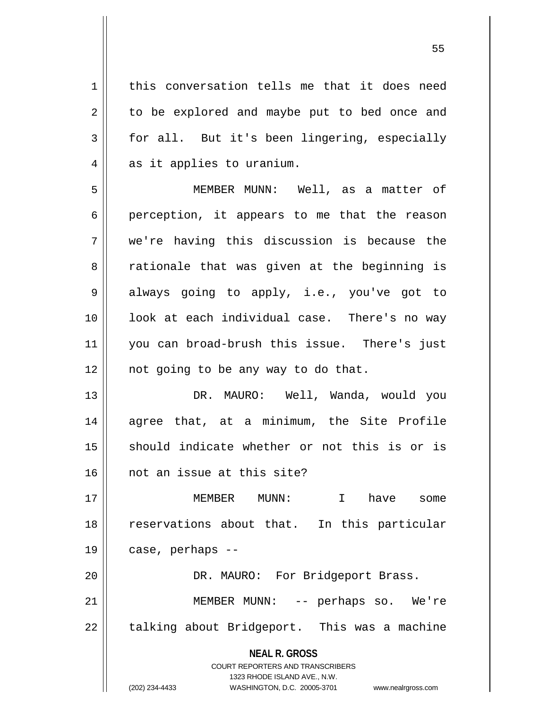1 | this conversation tells me that it does need 2 || to be explored and maybe put to bed once and 3 for all. But it's been lingering, especially  $4 \parallel$  as it applies to uranium. 5 MEMBER MUNN: Well, as a matter of  $6 \parallel$  perception, it appears to me that the reason 7 we're having this discussion is because the 8 a rationale that was given at the beginning is 9 always going to apply, i.e., you've got to 10 || look at each individual case. There's no way 11 you can broad-brush this issue. There's just  $12$  | not going to be any way to do that. 13 DR. MAURO: Well, Wanda, would you 14 agree that, at a minimum, the Site Profile 15 || should indicate whether or not this is or is 16 || not an issue at this site?

17 MEMBER MUNN: I have some 18 || reservations about that. In this particular 19 case, perhaps -- 20 || DR. MAURO: For Bridgeport Brass.

21 MEMBER MUNN: -- perhaps so. We're  $22$  | talking about Bridgeport. This was a machine

> **NEAL R. GROSS** COURT REPORTERS AND TRANSCRIBERS

> > 1323 RHODE ISLAND AVE., N.W.

(202) 234-4433 WASHINGTON, D.C. 20005-3701 www.nealrgross.com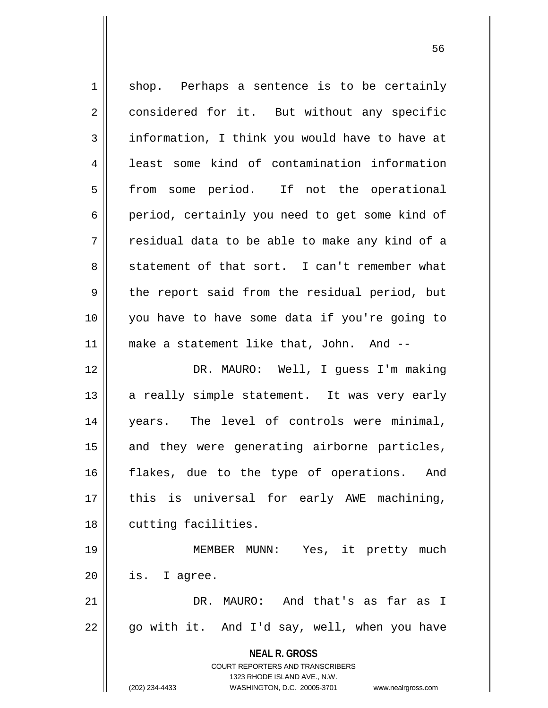| $\mathbf 1$    | shop. Perhaps a sentence is to be certainly                                                         |
|----------------|-----------------------------------------------------------------------------------------------------|
| $\overline{2}$ | considered for it. But without any specific                                                         |
| 3              | information, I think you would have to have at                                                      |
| 4              | least some kind of contamination information                                                        |
| 5              | some period. If not the operational<br>from                                                         |
| 6              | period, certainly you need to get some kind of                                                      |
| 7              | residual data to be able to make any kind of a                                                      |
| 8              | statement of that sort. I can't remember what                                                       |
| 9              | the report said from the residual period, but                                                       |
| 10             | you have to have some data if you're going to                                                       |
| 11             | make a statement like that, John. And --                                                            |
| 12             | DR. MAURO: Well, I guess I'm making                                                                 |
| 13             | a really simple statement. It was very early                                                        |
| 14             | years. The level of controls were minimal,                                                          |
| 15             | and they were generating airborne particles,                                                        |
| 16             | flakes, due to the type of operations. And                                                          |
| 17             | this is universal for early AWE machining,                                                          |
| 18             | cutting facilities.                                                                                 |
| 19             | MEMBER MUNN: Yes, it pretty much                                                                    |
| 20             | is. I agree.                                                                                        |
| 21             | DR. MAURO: And that's as far as I                                                                   |
| 22             | go with it. And I'd say, well, when you have                                                        |
|                | <b>NEAL R. GROSS</b>                                                                                |
|                | <b>COURT REPORTERS AND TRANSCRIBERS</b>                                                             |
|                | 1323 RHODE ISLAND AVE., N.W.<br>(202) 234-4433<br>WASHINGTON, D.C. 20005-3701<br>www.nealrgross.com |
|                |                                                                                                     |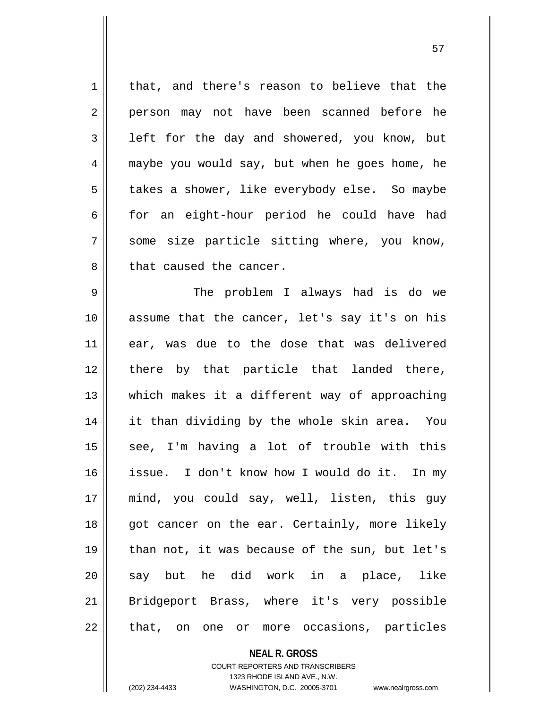1 | that, and there's reason to believe that the 2 || person may not have been scanned before he  $3 \parallel$  left for the day and showered, you know, but 4 maybe you would say, but when he goes home, he 5 | takes a shower, like everybody else. So maybe  $6 \parallel$  for an eight-hour period he could have had  $7 \parallel$  some size particle sitting where, you know, 8 || that caused the cancer. 9 The problem I always had is do we 10 || assume that the cancer, let's say it's on his 11 ear, was due to the dose that was delivered 12 || there by that particle that landed there, 13 which makes it a different way of approaching 14 it than dividing by the whole skin area. You  $15$  see, I'm having a lot of trouble with this 16 issue. I don't know how I would do it. In my 17 mind, you could say, well, listen, this guy 18 || got cancer on the ear. Certainly, more likely 19 than not, it was because of the sun, but let's 20 || say but he did work in a place, like 21 || Bridgeport Brass, where it's very possible

22 || that, on one or more occasions, particles

**NEAL R. GROSS**

COURT REPORTERS AND TRANSCRIBERS 1323 RHODE ISLAND AVE., N.W. (202) 234-4433 WASHINGTON, D.C. 20005-3701 www.nealrgross.com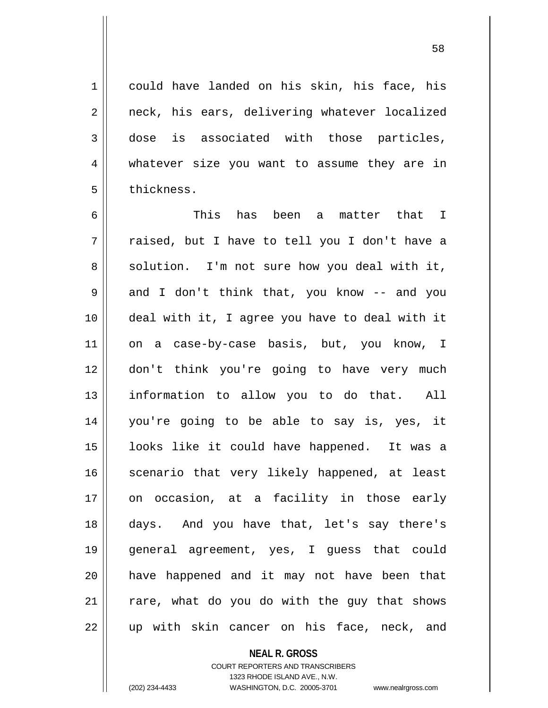1 could have landed on his skin, his face, his 2 || neck, his ears, delivering whatever localized 3 dose is associated with those particles, 4 whatever size you want to assume they are in

 This has been a matter that I  $7 \parallel$  raised, but I have to tell you I don't have a  $8 \parallel$  solution. I'm not sure how you deal with it,  $9 \parallel$  and I don't think that, you know -- and you deal with it, I agree you have to deal with it 11 || on a case-by-case basis, but, you know, I don't think you're going to have very much information to allow you to do that. All you're going to be able to say is, yes, it looks like it could have happened. It was a 16 || scenario that very likely happened, at least on occasion, at a facility in those early days. And you have that, let's say there's general agreement, yes, I guess that could have happened and it may not have been that rare, what do you do with the guy that shows  $22 \parallel$  up with skin cancer on his face, neck, and

> **NEAL R. GROSS** COURT REPORTERS AND TRANSCRIBERS 1323 RHODE ISLAND AVE., N.W. (202) 234-4433 WASHINGTON, D.C. 20005-3701 www.nealrgross.com

5 | thickness.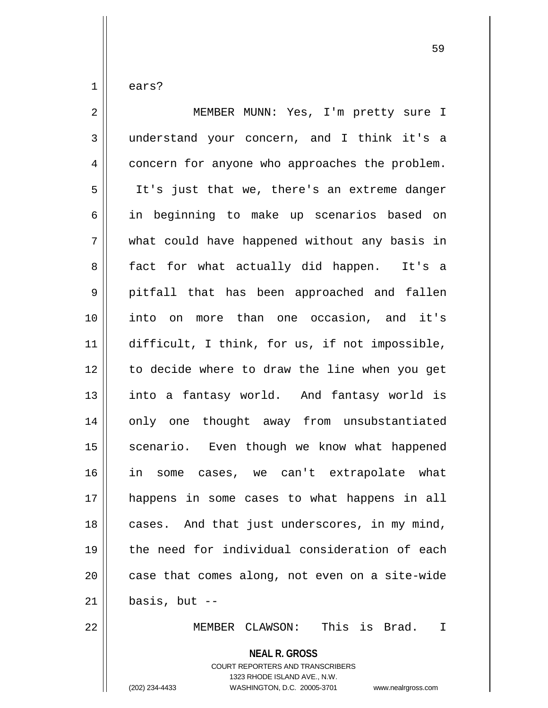$1 \parallel$  ears?

| $\overline{2}$ | MEMBER MUNN: Yes, I'm pretty sure I             |
|----------------|-------------------------------------------------|
| 3              | understand your concern, and I think it's a     |
| $\overline{4}$ | concern for anyone who approaches the problem.  |
| 5              | It's just that we, there's an extreme danger    |
| 6              | in beginning to make up scenarios based on      |
| 7              | what could have happened without any basis in   |
| 8              | fact for what actually did happen. It's a       |
| 9              | pitfall that has been approached and fallen     |
| 10             | into on more than one occasion, and it's        |
| 11             | difficult, I think, for us, if not impossible,  |
| 12             | to decide where to draw the line when you get   |
| 13             | into a fantasy world. And fantasy world is      |
| 14             | only one thought away from unsubstantiated      |
| 15             | scenario. Even though we know what happened     |
| 16             | in some cases, we can't extrapolate what        |
| 17             | happens in some cases to what happens in all    |
| 18             | cases. And that just underscores, in my mind,   |
| 19             | the need for individual consideration of each   |
| 20             | case that comes along, not even on a site-wide  |
| 21             | basis, but $--$                                 |
| 22             | This is Brad.<br>MEMBER CLAWSON:<br>$\mathbf I$ |
|                | <b>NEAL R. GROSS</b>                            |

COURT REPORTERS AND TRANSCRIBERS 1323 RHODE ISLAND AVE., N.W.

(202) 234-4433 WASHINGTON, D.C. 20005-3701 www.nealrgross.com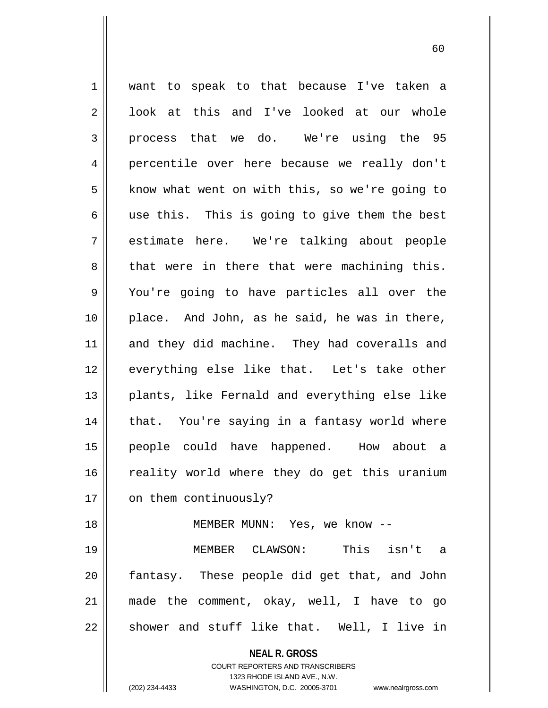**NEAL R. GROSS** COURT REPORTERS AND TRANSCRIBERS 1 || want to speak to that because I've taken a  $2 \parallel$  look at this and I've looked at our whole  $3 \parallel$  process that we do. We're using the 95 4 percentile over here because we really don't 5 | know what went on with this, so we're going to  $6 \parallel$  use this. This is going to give them the best 7 estimate here. We're talking about people  $8 \parallel$  that were in there that were machining this. 9 You're going to have particles all over the 10 place. And John, as he said, he was in there, 11 and they did machine. They had coveralls and 12 || everything else like that. Let's take other 13 plants, like Fernald and everything else like  $14$  | that. You're saying in a fantasy world where 15 people could have happened. How about a 16 || reality world where they do get this uranium 17 | on them continuously? 18 MEMBER MUNN: Yes, we know -- 19 MEMBER CLAWSON: This isn't a  $20$  || fantasy. These people did get that, and John 21 made the comment, okay, well, I have to go  $22 \parallel$  shower and stuff like that. Well, I live in

1323 RHODE ISLAND AVE., N.W.

(202) 234-4433 WASHINGTON, D.C. 20005-3701 www.nealrgross.com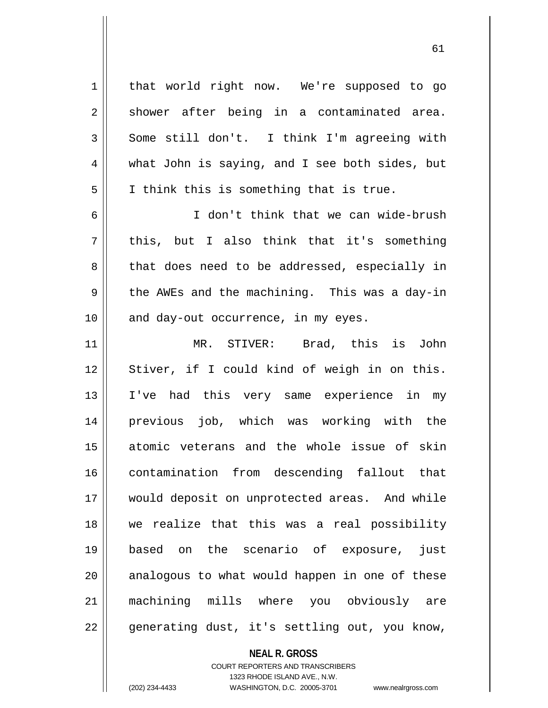1 | that world right now. We're supposed to go  $2 \parallel$  shower after being in a contaminated area.  $3 \parallel$  Some still don't. I think I'm agreeing with 4 what John is saying, and I see both sides, but  $5 \parallel$  I think this is something that is true. 6 I don't think that we can wide-brush  $7 \parallel$  this, but I also think that it's something 8 that does need to be addressed, especially in 9 || the AWEs and the machining. This was a day-in  $10$  | and day-out occurrence, in my eyes. 11 MR. STIVER: Brad, this is John 12 || Stiver, if I could kind of weigh in on this. 13 I've had this very same experience in my 14 previous job, which was working with the 15 atomic veterans and the whole issue of skin 16 contamination from descending fallout that 17 || would deposit on unprotected areas. And while 18 we realize that this was a real possibility 19 based on the scenario of exposure, just  $20$  || analogous to what would happen in one of these 21 machining mills where you obviously are 22 || generating dust, it's settling out, you know,

> **NEAL R. GROSS** COURT REPORTERS AND TRANSCRIBERS

> > 1323 RHODE ISLAND AVE., N.W.

(202) 234-4433 WASHINGTON, D.C. 20005-3701 www.nealrgross.com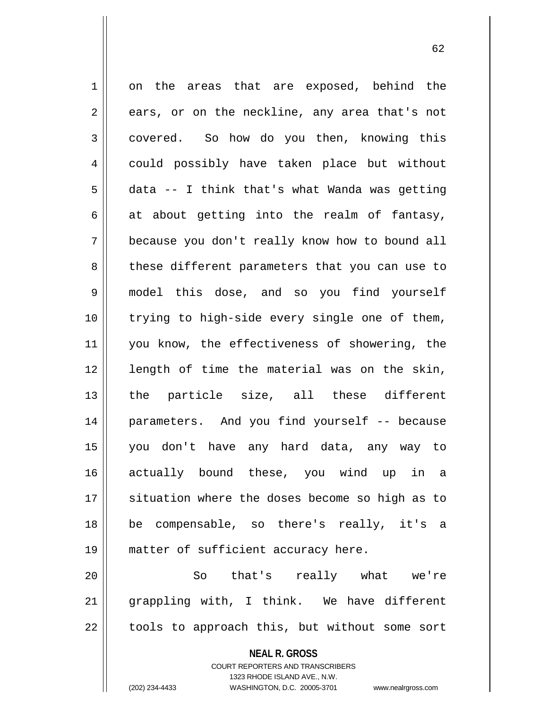1 on the areas that are exposed, behind the  $2 \parallel$  ears, or on the neckline, any area that's not 3 covered. So how do you then, knowing this 4 could possibly have taken place but without  $5 \parallel$  data -- I think that's what Wanda was getting  $6 \parallel$  at about getting into the realm of fantasy, 7 because you don't really know how to bound all 8 these different parameters that you can use to 9 model this dose, and so you find yourself 10 || trying to high-side every single one of them, 11 || you know, the effectiveness of showering, the 12 || length of time the material was on the skin, 13 the particle size, all these different 14 parameters. And you find yourself -- because 15 you don't have any hard data, any way to 16 actually bound these, you wind up in a 17 || situation where the doses become so high as to 18 be compensable, so there's really, it's a 19 || matter of sufficient accuracy here. 20 || So that's really what we're 21 grappling with, I think. We have different  $22$  | tools to approach this, but without some sort

**NEAL R. GROSS**

COURT REPORTERS AND TRANSCRIBERS 1323 RHODE ISLAND AVE., N.W. (202) 234-4433 WASHINGTON, D.C. 20005-3701 www.nealrgross.com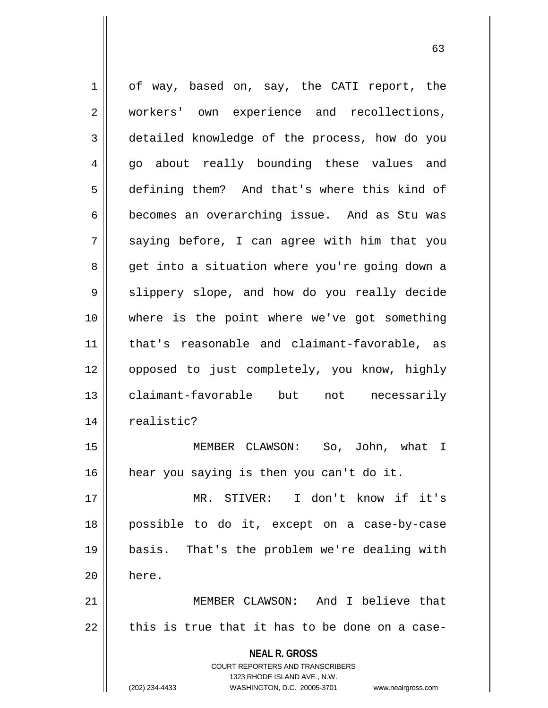| $\mathbf 1$ | of way, based on, say, the CATI report, the                         |
|-------------|---------------------------------------------------------------------|
| 2           | workers' own experience and recollections,                          |
| 3           | detailed knowledge of the process, how do you                       |
| 4           | go about really bounding these values and                           |
| 5           | defining them? And that's where this kind of                        |
| 6           | becomes an overarching issue. And as Stu was                        |
| 7           | saying before, I can agree with him that you                        |
| 8           | get into a situation where you're going down a                      |
| 9           | slippery slope, and how do you really decide                        |
| 10          | where is the point where we've got something                        |
| 11          | that's reasonable and claimant-favorable, as                        |
| 12          | opposed to just completely, you know, highly                        |
| 13          | claimant-favorable but not necessarily                              |
| 14          | realistic?                                                          |
| 15          | MEMBER CLAWSON: So, John, what I                                    |
| 16          | hear you saying is then you can't do it.                            |
| 17          | MR. STIVER: I don't know if it's                                    |
| 18          | possible to do it, except on a case-by-case                         |
| 19          | basis. That's the problem we're dealing with                        |
| 20          | here.                                                               |
| 21          | MEMBER CLAWSON: And I believe that                                  |
| 22          | this is true that it has to be done on a case-                      |
|             | <b>NEAL R. GROSS</b>                                                |
|             | <b>COURT REPORTERS AND TRANSCRIBERS</b>                             |
|             | 1323 RHODE ISLAND AVE., N.W.                                        |
|             | (202) 234-4433<br>WASHINGTON, D.C. 20005-3701<br>www.nealrgross.com |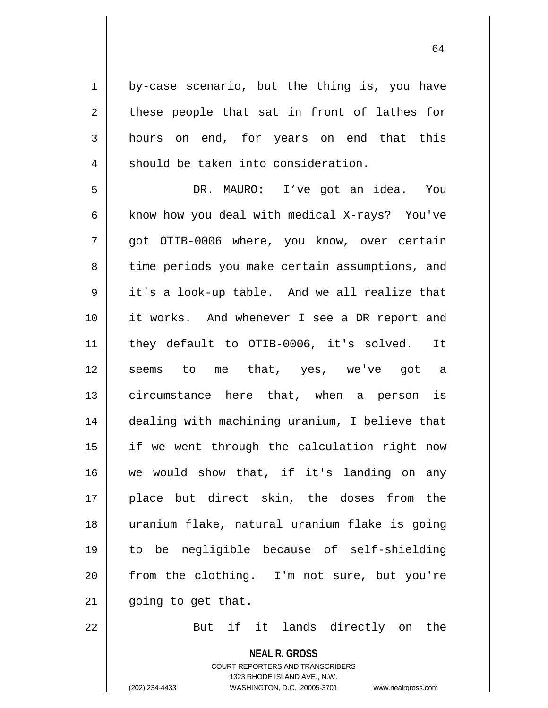$1 \parallel$  by-case scenario, but the thing is, you have  $2 \parallel$  these people that sat in front of lathes for 3 hours on end, for years on end that this  $4 \parallel$  should be taken into consideration.

 DR. MAURO: I've got an idea. You 6 | know how you deal with medical X-rays? You've 7 || qot OTIB-0006 where, you know, over certain 8 || time periods you make certain assumptions, and 9 || it's a look-up table. And we all realize that it works. And whenever I see a DR report and they default to OTIB-0006, it's solved. It 12 seems to me that, yes, we've got a circumstance here that, when a person is dealing with machining uranium, I believe that 15 || if we went through the calculation right now we would show that, if it's landing on any place but direct skin, the doses from the uranium flake, natural uranium flake is going to be negligible because of self-shielding from the clothing. I'm not sure, but you're | going to get that.

22 || But if it lands directly on the

**NEAL R. GROSS** COURT REPORTERS AND TRANSCRIBERS 1323 RHODE ISLAND AVE., N.W. (202) 234-4433 WASHINGTON, D.C. 20005-3701 www.nealrgross.com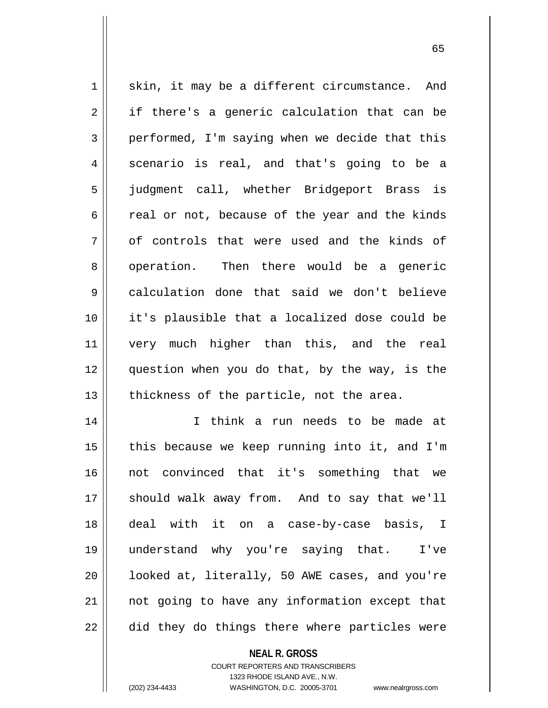$1 \parallel$  skin, it may be a different circumstance. And  $2 \parallel$  if there's a generic calculation that can be  $3 \parallel$  performed, I'm saying when we decide that this 4 || scenario is real, and that's going to be a 5 judgment call, whether Bridgeport Brass is  $6 \parallel$  real or not, because of the year and the kinds  $7 \parallel$  of controls that were used and the kinds of 8 operation. Then there would be a generic 9 calculation done that said we don't believe 10 it's plausible that a localized dose could be 11 very much higher than this, and the real 12 question when you do that, by the way, is the  $13$  || thickness of the particle, not the area.

14 || I think a run needs to be made at  $\parallel$  this because we keep running into it, and I'm not convinced that it's something that we 17 || should walk away from. And to say that we'll deal with it on a case-by-case basis, I understand why you're saying that. I've |  $\blacksquare$  looked at, literally, 50 AWE cases, and you're 21 || not going to have any information except that  $\parallel$  did they do things there where particles were

> **NEAL R. GROSS** COURT REPORTERS AND TRANSCRIBERS 1323 RHODE ISLAND AVE., N.W. (202) 234-4433 WASHINGTON, D.C. 20005-3701 www.nealrgross.com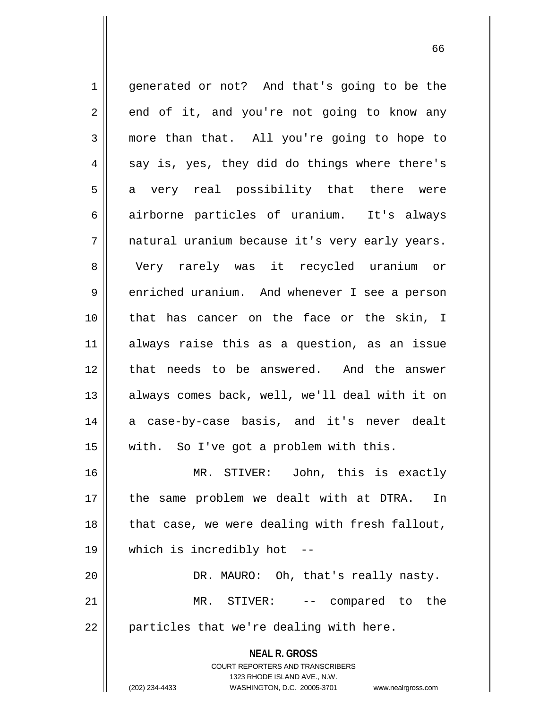**NEAL R. GROSS** COURT REPORTERS AND TRANSCRIBERS 1 || generated or not? And that's going to be the  $2 \parallel$  end of it, and you're not going to know any  $3 \parallel$  more than that. All you're going to hope to  $4 \parallel$  say is, yes, they did do things where there's 5 a very real possibility that there were 6 airborne particles of uranium. It's always 7 || natural uranium because it's very early years. 8 Very rarely was it recycled uranium or 9 | enriched uranium. And whenever I see a person 10 that has cancer on the face or the skin, I 11 always raise this as a question, as an issue 12 || that needs to be answered. And the answer 13 || always comes back, well, we'll deal with it on 14 a case-by-case basis, and it's never dealt 15 with. So I've got a problem with this. 16 MR. STIVER: John, this is exactly 17 || the same problem we dealt with at DTRA. In 18 || that case, we were dealing with fresh fallout, 19 which is incredibly hot -- 20 DR. MAURO: Oh, that's really nasty. 21 MR. STIVER: -- compared to the  $22$  || particles that we're dealing with here.

1323 RHODE ISLAND AVE., N.W.

66

(202) 234-4433 WASHINGTON, D.C. 20005-3701 www.nealrgross.com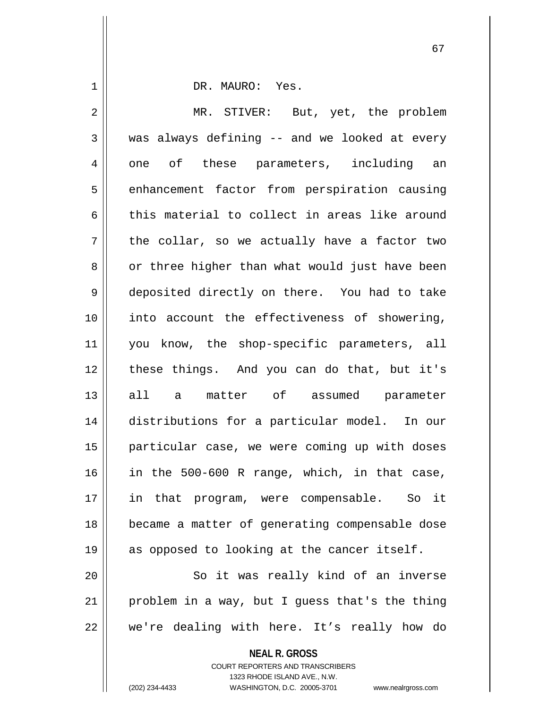1 DR. MAURO: Yes. 2 || MR. STIVER: But, yet, the problem  $3 \parallel$  was always defining -- and we looked at every 4 || one of these parameters, including an 5 | enhancement factor from perspiration causing 6 this material to collect in areas like around  $7 \parallel$  the collar, so we actually have a factor two 8 or three higher than what would just have been 9 deposited directly on there. You had to take 10 into account the effectiveness of showering, 11 you know, the shop-specific parameters, all 12 these things. And you can do that, but it's 13 all a matter of assumed parameter 14 distributions for a particular model. In our 15 particular case, we were coming up with doses 16 in the 500-600 R range, which, in that case, 17 || in that program, were compensable. So it 18 became a matter of generating compensable dose 19 || as opposed to looking at the cancer itself. 20 || So it was really kind of an inverse 21 | problem in a way, but I guess that's the thing

22 || we're dealing with here. It's really how do

**NEAL R. GROSS**

COURT REPORTERS AND TRANSCRIBERS 1323 RHODE ISLAND AVE., N.W. (202) 234-4433 WASHINGTON, D.C. 20005-3701 www.nealrgross.com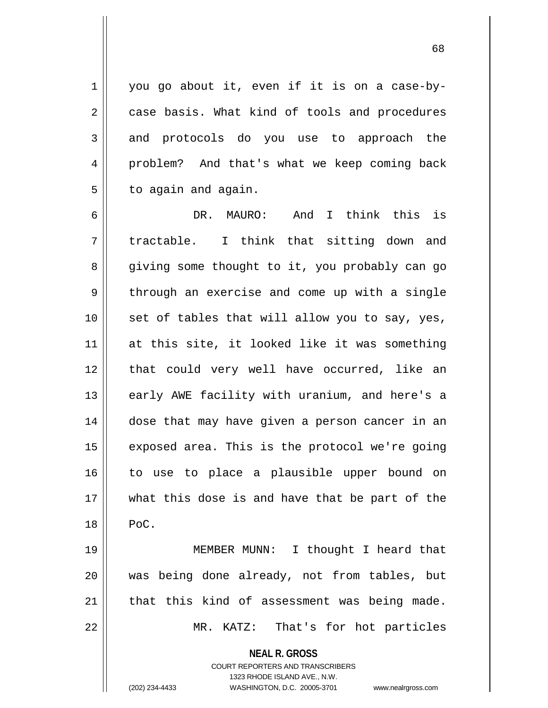$1 \parallel$  you go about it, even if it is on a case-by-2 case basis. What kind of tools and procedures 3 and protocols do you use to approach the 4 || problem? And that's what we keep coming back  $5 \parallel$  to again and again.

6 DR. MAURO: And I think this is  $7 \parallel$  tractable. I think that sitting down and 8 giving some thought to it, you probably can go  $9 \parallel$  through an exercise and come up with a single  $10$  || set of tables that will allow you to say, yes, 11 || at this site, it looked like it was something 12 || that could very well have occurred, like an 13 || early AWE facility with uranium, and here's a 14 || dose that may have given a person cancer in an  $15$  | exposed area. This is the protocol we're going 16 to use to place a plausible upper bound on 17 what this dose is and have that be part of the  $18 \parallel$  PoC.

 MEMBER MUNN: I thought I heard that was being done already, not from tables, but that this kind of assessment was being made. 22 || MR. KATZ: That's for hot particles

**NEAL R. GROSS**

COURT REPORTERS AND TRANSCRIBERS 1323 RHODE ISLAND AVE., N.W. (202) 234-4433 WASHINGTON, D.C. 20005-3701 www.nealrgross.com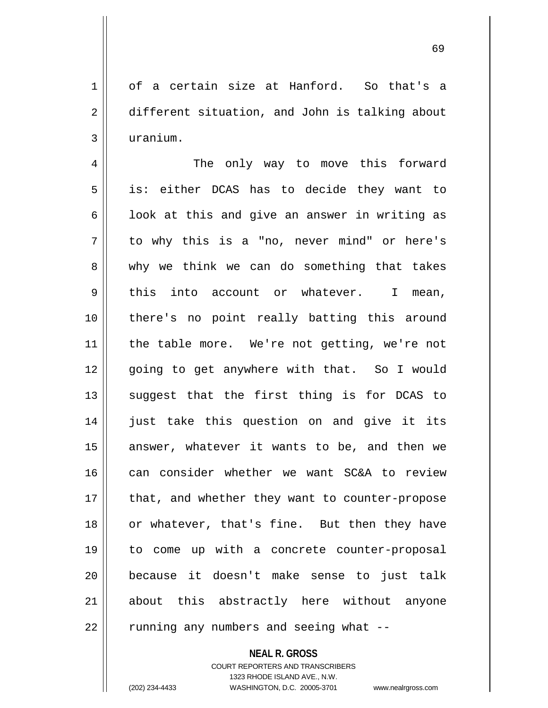1 || of a certain size at Hanford. So that's a 2 different situation, and John is talking about 3 uranium.

4 The only way to move this forward  $5 \parallel$  is: either DCAS has to decide they want to  $6 \parallel$  look at this and give an answer in writing as  $7 \parallel$  to why this is a "no, never mind" or here's 8 why we think we can do something that takes  $9 \parallel$  this into account or whatever. I mean, 10 there's no point really batting this around 11 || the table more. We're not getting, we're not 12 || qoing to get anywhere with that. So I would  $13$  suggest that the first thing is for DCAS to 14 just take this question on and give it its  $15$  answer, whatever it wants to be, and then we 16 can consider whether we want SC&A to review 17 || that, and whether they want to counter-propose 18 or whatever, that's fine. But then they have 19 to come up with a concrete counter-proposal 20 because it doesn't make sense to just talk 21 || about this abstractly here without anyone 22 | running any numbers and seeing what --

> **NEAL R. GROSS** COURT REPORTERS AND TRANSCRIBERS 1323 RHODE ISLAND AVE., N.W. (202) 234-4433 WASHINGTON, D.C. 20005-3701 www.nealrgross.com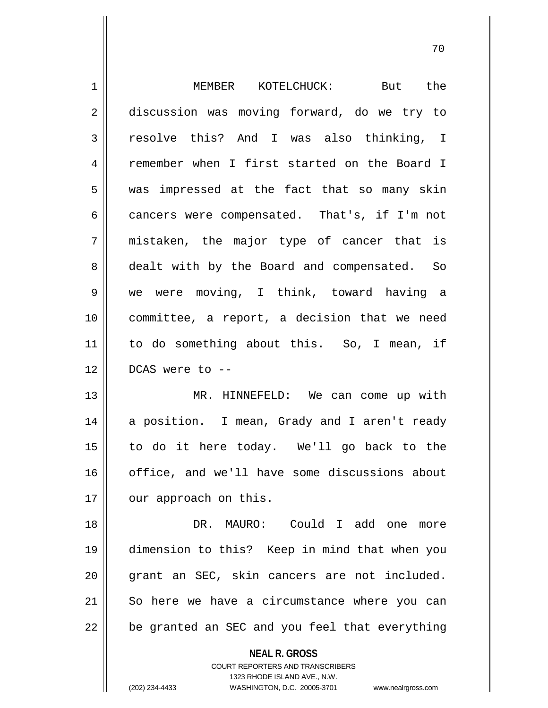| 1  | MEMBER KOTELCHUCK:<br>But the                            |
|----|----------------------------------------------------------|
| 2  | discussion was moving forward, do we try to              |
| 3  | resolve this? And I was also thinking, I                 |
| 4  | remember when I first started on the Board I             |
| 5  | was impressed at the fact that so many skin              |
| 6  | cancers were compensated. That's, if I'm not             |
| 7  | mistaken, the major type of cancer that is               |
| 8  | dealt with by the Board and compensated. So              |
| 9  | we were moving, I think, toward having a                 |
| 10 | committee, a report, a decision that we need             |
| 11 | to do something about this. So, I mean, if               |
| 12 | DCAS were to --                                          |
| 13 | MR. HINNEFELD: We can come up with                       |
| 14 | a position. I mean, Grady and I aren't ready             |
| 15 | to do it here today. We'll go back to the                |
| 16 | office, and we'll have some discussions about            |
| 17 | our approach on this.                                    |
| 18 | DR. MAURO: Could I add one<br>more                       |
| 19 | dimension to this? Keep in mind that when you            |
| 20 | grant an SEC, skin cancers are not included.             |
| 21 | So here we have a circumstance where you can             |
| 22 | be granted an SEC and you feel that everything           |
|    | <b>NEAL R. GROSS</b><br>COURT REPORTERS AND TRANSCRIBERS |

1323 RHODE ISLAND AVE., N.W.

 $\mathop{\text{||}}$ 

(202) 234-4433 WASHINGTON, D.C. 20005-3701 www.nealrgross.com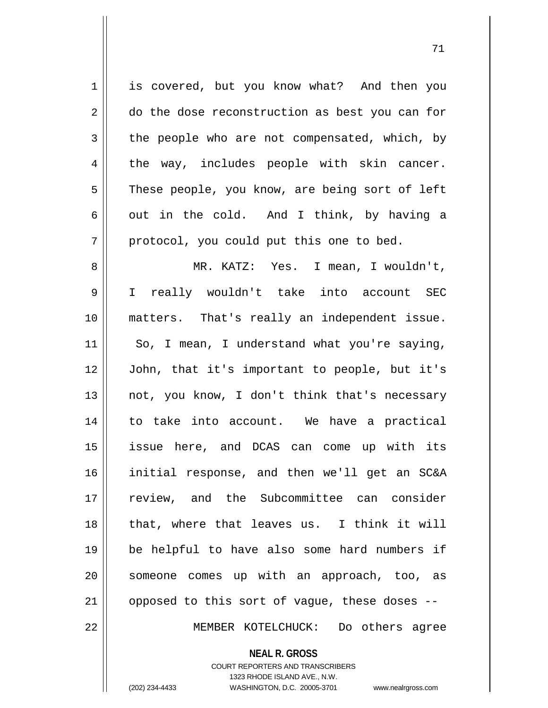**NEAL R. GROSS** 1 is covered, but you know what? And then you 2 do the dose reconstruction as best you can for  $3 \parallel$  the people who are not compensated, which, by  $4 \parallel$  the way, includes people with skin cancer.  $5 \parallel$  These people, you know, are being sort of left 6 || out in the cold. And I think, by having a  $7 \parallel$  protocol, you could put this one to bed. 8 MR. KATZ: Yes. I mean, I wouldn't, 9 I really wouldn't take into account SEC 10 matters. That's really an independent issue.  $11$  So, I mean, I understand what you're saying, 12 John, that it's important to people, but it's 13  $\parallel$  not, you know, I don't think that's necessary 14 to take into account. We have a practical 15 issue here, and DCAS can come up with its 16 initial response, and then we'll get an SC&A 17 review, and the Subcommittee can consider 18 || that, where that leaves us. I think it will 19 be helpful to have also some hard numbers if 20 || someone comes up with an approach, too, as 21  $\parallel$  opposed to this sort of vague, these doses --22 MEMBER KOTELCHUCK: Do others agree

COURT REPORTERS AND TRANSCRIBERS

1323 RHODE ISLAND AVE., N.W. (202) 234-4433 WASHINGTON, D.C. 20005-3701 www.nealrgross.com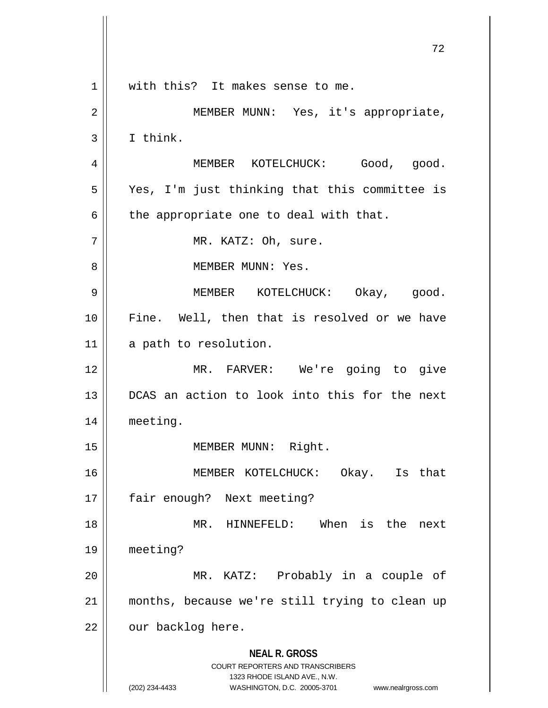**NEAL R. GROSS** COURT REPORTERS AND TRANSCRIBERS 1323 RHODE ISLAND AVE., N.W. (202) 234-4433 WASHINGTON, D.C. 20005-3701 www.nealrgross.com 1 || with this? It makes sense to me. 2 || MEMBER MUNN: Yes, it's appropriate,  $3 \parallel$  I think. 4 | MEMBER KOTELCHUCK: Good, good. 5 Yes, I'm just thinking that this committee is  $6 \parallel$  the appropriate one to deal with that. 7 || MR. KATZ: Oh, sure. 8 MEMBER MUNN: Yes. 9 MEMBER KOTELCHUCK: Okay, good. 10 || Fine. Well, then that is resolved or we have 11 || a path to resolution. 12 MR. FARVER: We're going to give 13 DCAS an action to look into this for the next 14 meeting. 15 || **MEMBER MUNN: Right.** 16 MEMBER KOTELCHUCK: Okay. Is that 17 || fair enough? Next meeting? 18 || MR. HINNEFELD: When is the next 19 meeting? 20 MR. KATZ: Probably in a couple of 21 months, because we're still trying to clean up  $22$  | our backlog here.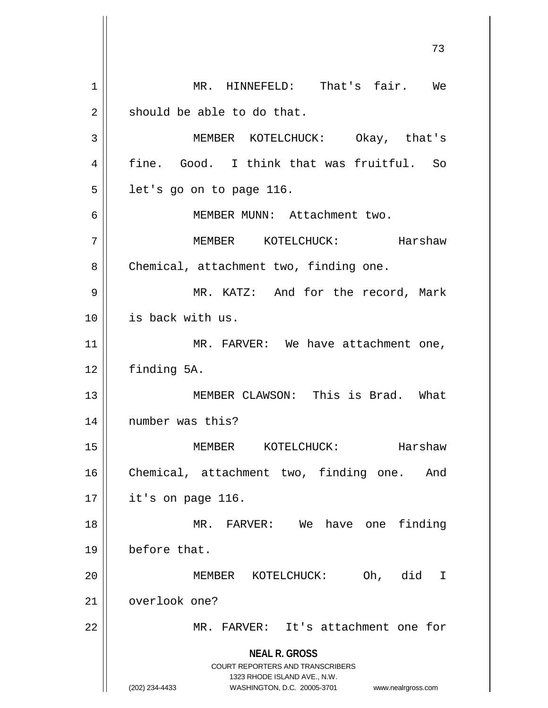**NEAL R. GROSS** COURT REPORTERS AND TRANSCRIBERS 1323 RHODE ISLAND AVE., N.W. (202) 234-4433 WASHINGTON, D.C. 20005-3701 www.nealrgross.com 1 || MR. HINNEFELD: That's fair. We  $2 \parallel$  should be able to do that. 3 MEMBER KOTELCHUCK: Okay, that's 4 fine. Good. I think that was fruitful. So  $5 \parallel$  let's go on to page 116. 6 MEMBER MUNN: Attachment two. 7 MEMBER KOTELCHUCK: Harshaw 8 | Chemical, attachment two, finding one. 9 MR. KATZ: And for the record, Mark 10 is back with us. 11 || MR. FARVER: We have attachment one, 12 finding 5A. 13 || **MEMBER CLAWSON:** This is Brad. What 14 || number was this? 15 MEMBER KOTELCHUCK: Harshaw 16 Chemical, attachment two, finding one. And 17 it's on page 116. 18 MR. FARVER: We have one finding 19 before that. 20 || **MEMBER KOTELCHUCK:** Oh, did I 21 overlook one? 22 MR. FARVER: It's attachment one for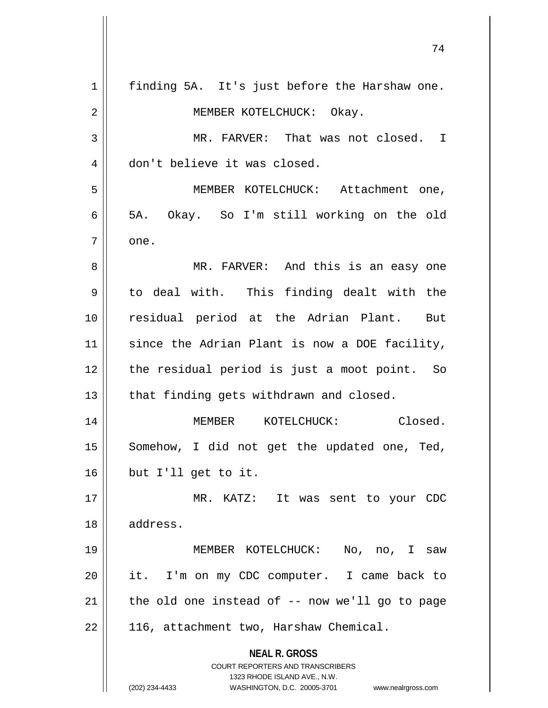|    | 74                                                                      |
|----|-------------------------------------------------------------------------|
| 1  | finding 5A. It's just before the Harshaw one.                           |
| 2  | MEMBER KOTELCHUCK: Okay.                                                |
| 3  | MR. FARVER: That was not closed. I                                      |
| 4  | don't believe it was closed.                                            |
| 5  | MEMBER KOTELCHUCK: Attachment one,                                      |
| 6  | 5A. Okay. So I'm still working on the old                               |
| 7  | one.                                                                    |
| 8  | MR. FARVER: And this is an easy one                                     |
| 9  | to deal with. This finding dealt with the                               |
| 10 | residual period at the Adrian Plant. But                                |
| 11 | since the Adrian Plant is now a DOE facility,                           |
| 12 | the residual period is just a moot point. So                            |
| 13 | that finding gets withdrawn and closed.                                 |
| 14 | Closed.<br>KOTELCHUCK:<br>MEMBER                                        |
| 15 | Somehow, I did not get the updated one, Ted,                            |
| 16 | but I'll get to it.                                                     |
| 17 | MR. KATZ: It was sent to your CDC                                       |
| 18 | address.                                                                |
| 19 | MEMBER KOTELCHUCK:<br>No, no, I saw                                     |
| 20 | it. I'm on my CDC computer. I came back to                              |
| 21 | the old one instead of $-$ - now we'll go to page                       |
| 22 | 116, attachment two, Harshaw Chemical.                                  |
|    | <b>NEAL R. GROSS</b>                                                    |
|    | <b>COURT REPORTERS AND TRANSCRIBERS</b><br>1323 RHODE ISLAND AVE., N.W. |
|    | (202) 234-4433<br>WASHINGTON, D.C. 20005-3701<br>www.nealrgross.com     |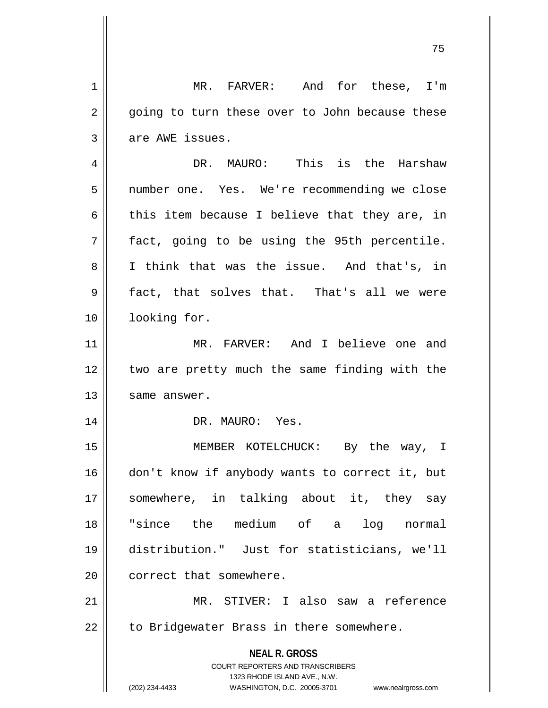| 1  | MR. FARVER: And for these, I'm                                                                      |
|----|-----------------------------------------------------------------------------------------------------|
| 2  | going to turn these over to John because these                                                      |
| 3  | are AWE issues.                                                                                     |
| 4  | DR. MAURO: This is the Harshaw                                                                      |
| 5  | number one. Yes. We're recommending we close                                                        |
| 6  | this item because I believe that they are, in                                                       |
| 7  | fact, going to be using the 95th percentile.                                                        |
| 8  | I think that was the issue. And that's, in                                                          |
| 9  | fact, that solves that. That's all we were                                                          |
| 10 | looking for.                                                                                        |
| 11 | MR. FARVER: And I believe one and                                                                   |
| 12 | two are pretty much the same finding with the                                                       |
| 13 | same answer.                                                                                        |
| 14 | DR. MAURO: Yes.                                                                                     |
| 15 | MEMBER KOTELCHUCK: By the way, I                                                                    |
| 16 | don't know if anybody wants to correct it, but                                                      |
| 17 | somewhere, in talking about it, they say                                                            |
| 18 | "since the medium of a log normal                                                                   |
| 19 | distribution." Just for statisticians, we'll                                                        |
| 20 | correct that somewhere.                                                                             |
| 21 | MR. STIVER: I also saw a reference                                                                  |
| 22 | to Bridgewater Brass in there somewhere.                                                            |
|    | <b>NEAL R. GROSS</b>                                                                                |
|    | COURT REPORTERS AND TRANSCRIBERS                                                                    |
|    | 1323 RHODE ISLAND AVE., N.W.<br>(202) 234-4433<br>WASHINGTON, D.C. 20005-3701<br>www.nealrgross.com |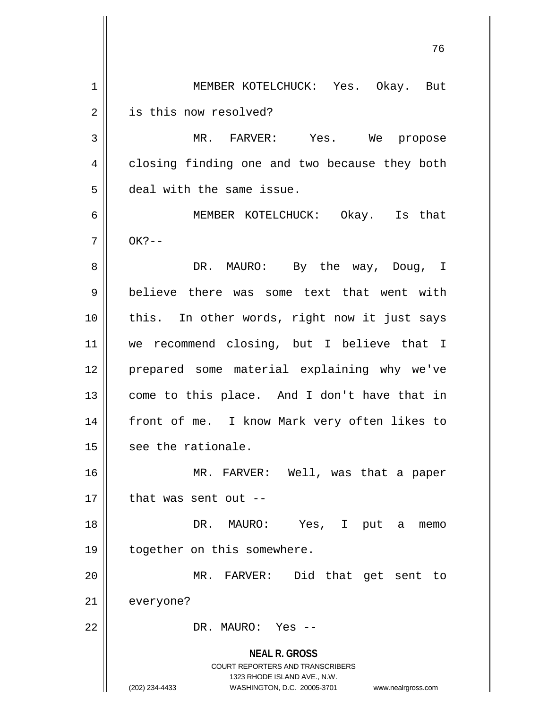**NEAL R. GROSS** COURT REPORTERS AND TRANSCRIBERS 1323 RHODE ISLAND AVE., N.W. (202) 234-4433 WASHINGTON, D.C. 20005-3701 www.nealrgross.com 76 1 MEMBER KOTELCHUCK: Yes. Okay. But 2 | is this now resolved? 3 MR. FARVER: Yes. We propose 4 | closing finding one and two because they both 5 deal with the same issue. 6 MEMBER KOTELCHUCK: Okay. Is that  $7 \parallel$  OK?--8 || PR. MAURO: By the way, Doug, I 9 believe there was some text that went with 10 || this. In other words, right now it just says 11 we recommend closing, but I believe that I 12 prepared some material explaining why we've 13 come to this place. And I don't have that in 14 || front of me. I know Mark very often likes to  $15$  | see the rationale. 16 || MR. FARVER: Well, was that a paper  $17$  || that was sent out --18 DR. MAURO: Yes, I put a memo 19 || together on this somewhere. 20 MR. FARVER: Did that get sent to 21 everyone? 22 DR. MAURO: Yes --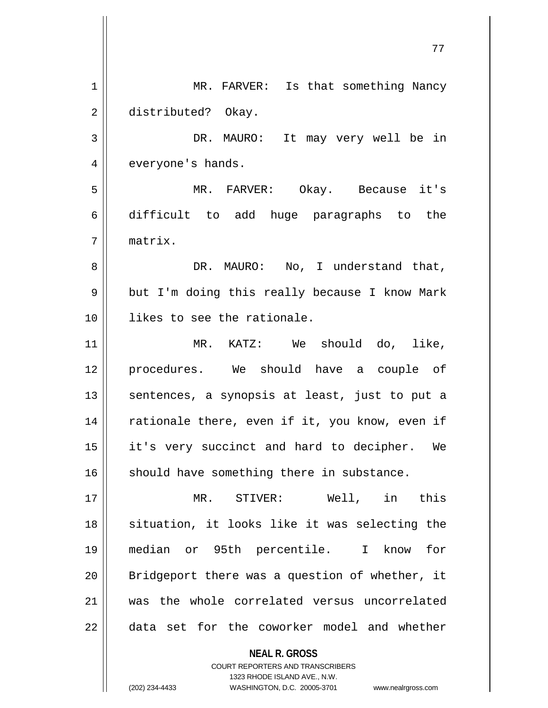|    | 77                                             |
|----|------------------------------------------------|
| 1  | MR. FARVER: Is that something Nancy            |
| 2  | distributed? Okay.                             |
| 3  | DR. MAURO: It may very well be in              |
| 4  | everyone's hands.                              |
| 5  | MR. FARVER: Okay. Because it's                 |
| б  | difficult to add huge paragraphs to the        |
| 7  | matrix.                                        |
| 8  | DR. MAURO: No, I understand that,              |
| 9  | but I'm doing this really because I know Mark  |
| 10 | likes to see the rationale.                    |
| 11 | MR. KATZ: We should do, like,                  |
| 12 | procedures. We should have a couple of         |
| 13 | sentences, a synopsis at least, just to put a  |
| 14 | rationale there, even if it, you know, even if |
| 15 | it's very succinct and hard to decipher. We    |
| 16 | should have something there in substance.      |
| 17 | MR. STIVER: Well, in this                      |
| 18 | situation, it looks like it was selecting the  |
| 19 | median or 95th percentile. I know<br>for       |
| 20 | Bridgeport there was a question of whether, it |
| 21 | was the whole correlated versus uncorrelated   |
| 22 | data set for the coworker model and whether    |
|    | <b>NEAL R. GROSS</b>                           |

COURT REPORTERS AND TRANSCRIBERS 1323 RHODE ISLAND AVE., N.W.

(202) 234-4433 WASHINGTON, D.C. 20005-3701 www.nealrgross.com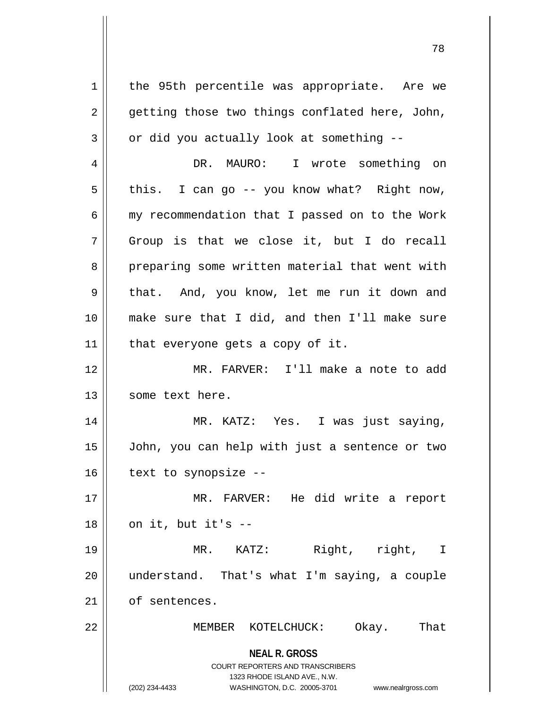**NEAL R. GROSS** COURT REPORTERS AND TRANSCRIBERS 1323 RHODE ISLAND AVE., N.W. (202) 234-4433 WASHINGTON, D.C. 20005-3701 www.nealrgross.com 1 || the 95th percentile was appropriate. Are we  $2 \parallel$  getting those two things conflated here, John,  $3 \parallel$  or did you actually look at something  $-$ 4 DR. MAURO: I wrote something on  $5 \parallel$  this. I can go -- you know what? Right now,  $6$  | my recommendation that I passed on to the Work  $7 \parallel$  Group is that we close it, but I do recall 8 || preparing some written material that went with 9 || that. And, you know, let me run it down and 10 make sure that I did, and then I'll make sure  $11$  | that everyone gets a copy of it. 12 MR. FARVER: I'll make a note to add 13 || some text here. 14 MR. KATZ: Yes. I was just saying, 15 John, you can help with just a sentence or two  $16$  | text to synopsize --17 MR. FARVER: He did write a report  $18$  | on it, but it's  $-$ 19 MR. KATZ: Right, right, I 20 understand. That's what I'm saying, a couple 21 | of sentences. 22 MEMBER KOTELCHUCK: Okay. That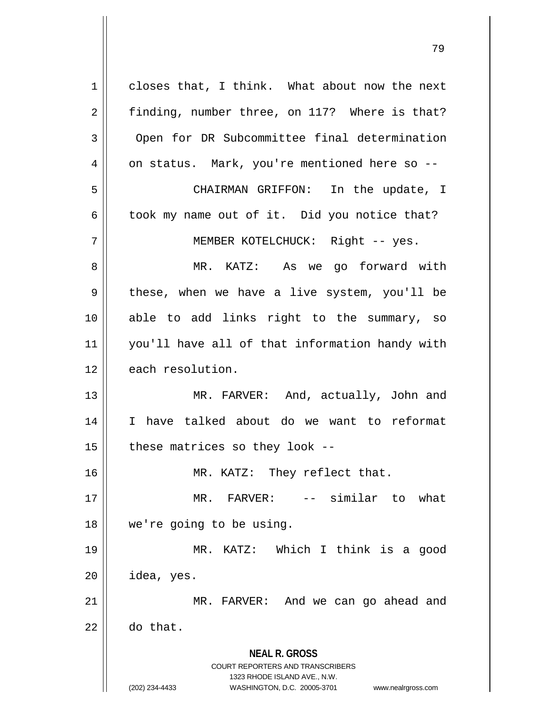**NEAL R. GROSS** COURT REPORTERS AND TRANSCRIBERS 1323 RHODE ISLAND AVE., N.W. (202) 234-4433 WASHINGTON, D.C. 20005-3701 www.nealrgross.com  $1 \parallel$  closes that, I think. What about now the next 2 | finding, number three, on 117? Where is that? 3 Open for DR Subcommittee final determination 4 | on status. Mark, you're mentioned here so --5 CHAIRMAN GRIFFON: In the update, I  $6 \parallel$  took my name out of it. Did you notice that? 7 || MEMBER KOTELCHUCK: Right -- yes. 8 MR. KATZ: As we go forward with 9 these, when we have a live system, you'll be 10 able to add links right to the summary, so 11 you'll have all of that information handy with 12 each resolution. 13 || MR. FARVER: And, actually, John and 14 I have talked about do we want to reformat  $15$  | these matrices so they look --16 || MR. KATZ: They reflect that. 17 MR. FARVER: -- similar to what 18 we're going to be using. 19 MR. KATZ: Which I think is a good  $20$  | idea, yes. 21 MR. FARVER: And we can go ahead and  $22 \parallel$  do that.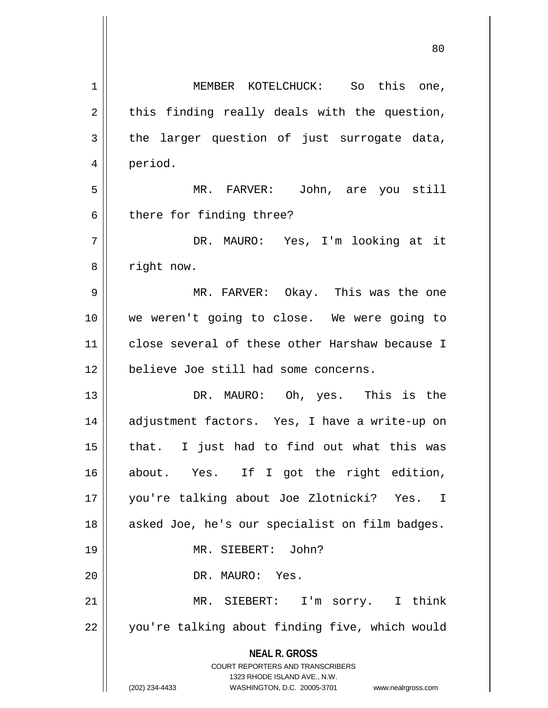| 1  | MEMBER KOTELCHUCK: So this one,                                         |
|----|-------------------------------------------------------------------------|
| 2  | this finding really deals with the question,                            |
| 3  | the larger question of just surrogate data,                             |
| 4  | period.                                                                 |
| 5  | MR. FARVER: John, are you still                                         |
| 6  | there for finding three?                                                |
| 7  | DR. MAURO: Yes, I'm looking at it                                       |
| 8  | right now.                                                              |
| 9  | MR. FARVER: Okay. This was the one                                      |
| 10 | we weren't going to close. We were going to                             |
| 11 | close several of these other Harshaw because I                          |
| 12 | believe Joe still had some concerns.                                    |
| 13 | DR. MAURO: Oh, yes. This is the                                         |
| 14 | adjustment factors. Yes, I have a write-up on                           |
| 15 | that. I just had to find out what this was                              |
| 16 | about. Yes. If I got the right edition,                                 |
|    |                                                                         |
| 17 | you're talking about Joe Zlotnicki? Yes. I                              |
| 18 | asked Joe, he's our specialist on film badges.                          |
| 19 | MR. SIEBERT: John?                                                      |
| 20 | DR. MAURO: Yes.                                                         |
| 21 | MR. SIEBERT: I'm sorry. I think                                         |
| 22 | you're talking about finding five, which would                          |
|    | <b>NEAL R. GROSS</b>                                                    |
|    | <b>COURT REPORTERS AND TRANSCRIBERS</b><br>1323 RHODE ISLAND AVE., N.W. |
|    | (202) 234-4433<br>WASHINGTON, D.C. 20005-3701<br>www.nealrgross.com     |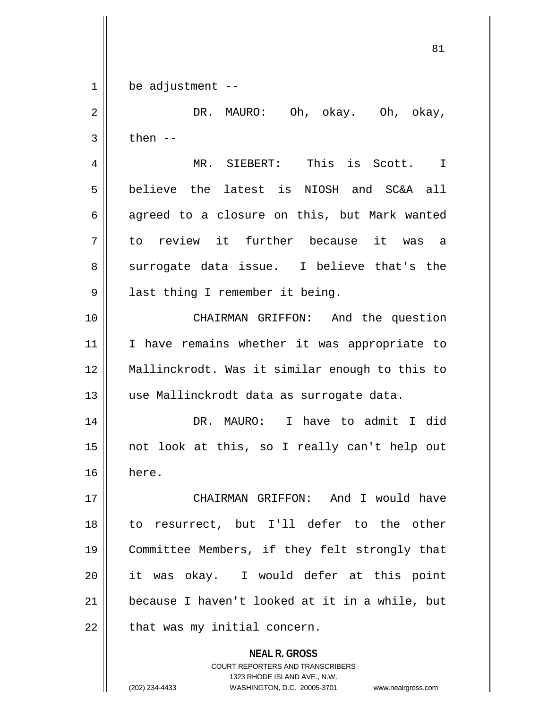$1 \parallel$  be adjustment --

 DR. MAURO: Oh, okay. Oh, okay,  $3 \parallel$  then --

 MR. SIEBERT: This is Scott. I believe the latest is NIOSH and SC&A all || agreed to a closure on this, but Mark wanted to review it further because it was a 8 || surrogate data issue. I believe that's the 9 || last thing I remember it being.

 CHAIRMAN GRIFFON: And the question 11 || I have remains whether it was appropriate to Mallinckrodt. Was it similar enough to this to 13 || use Mallinckrodt data as surrogate data.

 DR. MAURO: I have to admit I did not look at this, so I really can't help out here.

 CHAIRMAN GRIFFON: And I would have to resurrect, but I'll defer to the other Committee Members, if they felt strongly that it was okay. I would defer at this point because I haven't looked at it in a while, but | that was my initial concern.

> **NEAL R. GROSS** COURT REPORTERS AND TRANSCRIBERS 1323 RHODE ISLAND AVE., N.W. (202) 234-4433 WASHINGTON, D.C. 20005-3701 www.nealrgross.com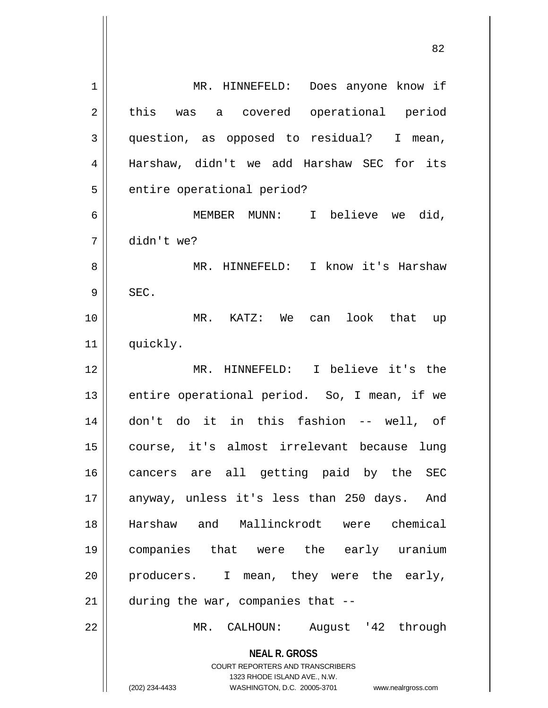| $\mathbf 1$    | Does anyone know if<br>MR. HINNEFELD:                                                               |
|----------------|-----------------------------------------------------------------------------------------------------|
| $\overline{2}$ | this was a covered operational period                                                               |
| 3              | question, as opposed to residual? I mean,                                                           |
| 4              | Harshaw, didn't we add Harshaw SEC for its                                                          |
| 5              | entire operational period?                                                                          |
| 6              | MEMBER MUNN: I believe we did,                                                                      |
| 7              | didn't we?                                                                                          |
| 8              | MR. HINNEFELD: I know it's Harshaw                                                                  |
| 9              | SEC.                                                                                                |
| 10             | MR. KATZ: We can look that up                                                                       |
| 11             | quickly.                                                                                            |
| 12             | MR. HINNEFELD: I believe it's the                                                                   |
|                |                                                                                                     |
| 13             | entire operational period. So, I mean, if we                                                        |
| 14             | don't do it in this fashion -- well, of                                                             |
| 15             | course, it's almost irrelevant because<br>lung                                                      |
| 16             | cancers are all getting paid by the SEC                                                             |
| 17             | anyway, unless it's less than 250 days. And                                                         |
| 18             | Harshaw and Mallinckrodt were chemical                                                              |
| 19             | companies that were the early uranium                                                               |
| 20             | producers. I mean, they were the early,                                                             |
| 21             | during the war, companies that --                                                                   |
| 22             | MR. CALHOUN: August '42 through                                                                     |
|                | <b>NEAL R. GROSS</b><br><b>COURT REPORTERS AND TRANSCRIBERS</b>                                     |
|                | 1323 RHODE ISLAND AVE., N.W.<br>(202) 234-4433<br>WASHINGTON, D.C. 20005-3701<br>www.nealrgross.com |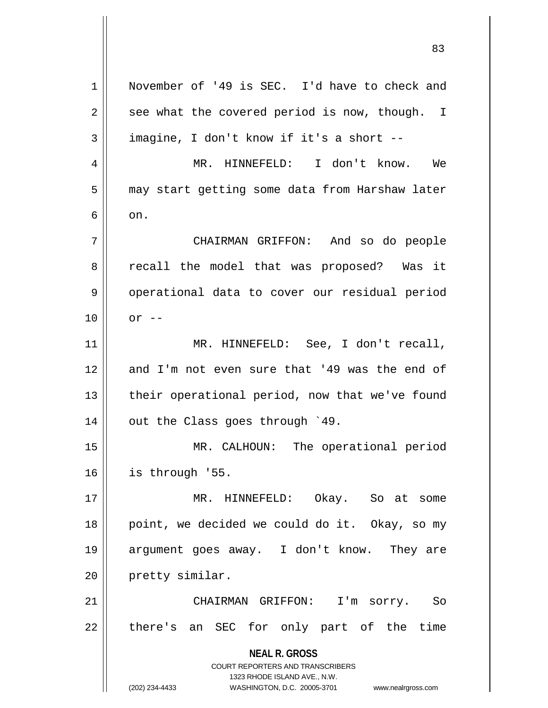**NEAL R. GROSS** COURT REPORTERS AND TRANSCRIBERS 1323 RHODE ISLAND AVE., N.W. (202) 234-4433 WASHINGTON, D.C. 20005-3701 www.nealrgross.com 1 || November of '49 is SEC. I'd have to check and  $2 \parallel$  see what the covered period is now, though. I  $3 \parallel$  imagine, I don't know if it's a short --4 MR. HINNEFELD: I don't know. We 5 | may start getting some data from Harshaw later  $6 \parallel \quad on.$ 7 CHAIRMAN GRIFFON: And so do people 8 || recall the model that was proposed? Was it 9 || operational data to cover our residual period  $10 \parallel \quad$  or --11 || MR. HINNEFELD: See, I don't recall, 12 and I'm not even sure that '49 was the end of 13 || their operational period, now that we've found  $14$  | out the Class goes through  $49$ . 15 MR. CALHOUN: The operational period 16 is through '55. 17 MR. HINNEFELD: Okay. So at some 18 || point, we decided we could do it. Okay, so my 19 argument goes away. I don't know. They are 20 | pretty similar. 21 CHAIRMAN GRIFFON: I'm sorry. So  $22$  || there's an SEC for only part of the time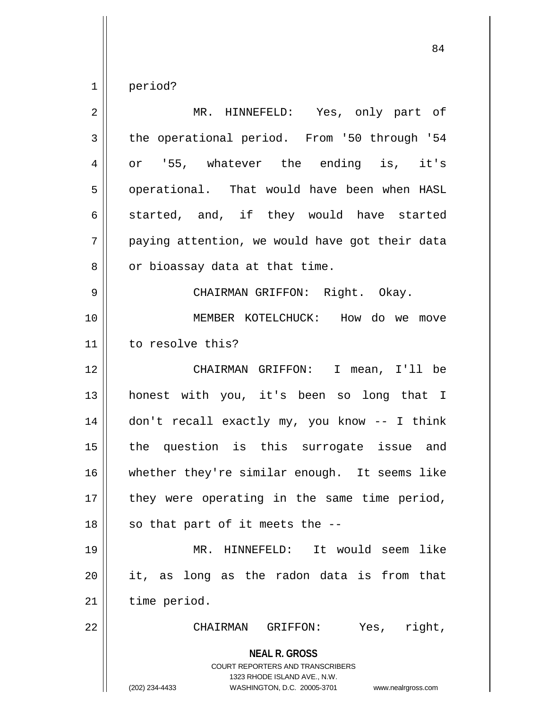$1 \parallel$  period?

| $\overline{2}$ | MR. HINNEFELD: Yes, only part of                                                                                                                                       |
|----------------|------------------------------------------------------------------------------------------------------------------------------------------------------------------------|
| 3              | the operational period. From '50 through '54                                                                                                                           |
| 4              | or '55, whatever the ending is, it's                                                                                                                                   |
| 5              | operational. That would have been when HASL                                                                                                                            |
| 6              | started, and, if they would have started                                                                                                                               |
| 7              | paying attention, we would have got their data                                                                                                                         |
| 8              | or bioassay data at that time.                                                                                                                                         |
| 9              | CHAIRMAN GRIFFON: Right. Okay.                                                                                                                                         |
| 10             | MEMBER KOTELCHUCK: How do we move                                                                                                                                      |
| 11             | to resolve this?                                                                                                                                                       |
| 12             | CHAIRMAN GRIFFON: I mean, I'll be                                                                                                                                      |
| 13             | honest with you, it's been so long that I                                                                                                                              |
| 14             | don't recall exactly my, you know -- I think                                                                                                                           |
| 15             | the question is this surrogate issue and                                                                                                                               |
| 16             | whether they're similar enough. It seems like                                                                                                                          |
| 17             | they were operating in the same time period,                                                                                                                           |
| 18             | so that part of it meets the --                                                                                                                                        |
| 19             | MR. HINNEFELD: It would seem<br>like                                                                                                                                   |
| 20             | it, as long as the radon data is from that                                                                                                                             |
| 21             | time period.                                                                                                                                                           |
| 22             | right,<br>CHAIRMAN<br>GRIFFON:<br>Yes,                                                                                                                                 |
|                | <b>NEAL R. GROSS</b><br><b>COURT REPORTERS AND TRANSCRIBERS</b><br>1323 RHODE ISLAND AVE., N.W.<br>(202) 234-4433<br>WASHINGTON, D.C. 20005-3701<br>www.nealrgross.com |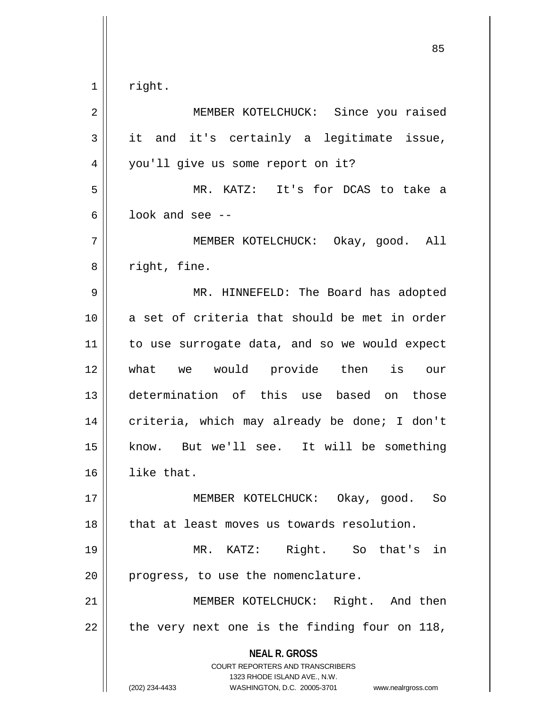$1 \parallel$  right.

| 2              | MEMBER KOTELCHUCK: Since you raised                                                                                                                                    |
|----------------|------------------------------------------------------------------------------------------------------------------------------------------------------------------------|
| 3              | it and it's certainly a legitimate issue,                                                                                                                              |
| $\overline{4}$ | you'll give us some report on it?                                                                                                                                      |
| 5              | MR. KATZ: It's for DCAS to take a                                                                                                                                      |
| 6              | look and see $-$ -                                                                                                                                                     |
| 7              | MEMBER KOTELCHUCK: Okay, good. All                                                                                                                                     |
| 8              | right, fine.                                                                                                                                                           |
| $\mathsf 9$    | MR. HINNEFELD: The Board has adopted                                                                                                                                   |
| 10             | a set of criteria that should be met in order                                                                                                                          |
| 11             | to use surrogate data, and so we would expect                                                                                                                          |
| 12             | what we would provide then is our                                                                                                                                      |
| 13             | determination of this use based on those                                                                                                                               |
| 14             | criteria, which may already be done; I don't                                                                                                                           |
| 15             | know. But we'll see. It will be something                                                                                                                              |
| 16             | like that.                                                                                                                                                             |
| 17             | MEMBER KOTELCHUCK: Okay, good. So                                                                                                                                      |
| 18             | that at least moves us towards resolution.                                                                                                                             |
| 19             | Right. So that's in<br>MR. KATZ:                                                                                                                                       |
| 20             | progress, to use the nomenclature.                                                                                                                                     |
| 21             | MEMBER KOTELCHUCK: Right. And then                                                                                                                                     |
| 22             | the very next one is the finding four on 118,                                                                                                                          |
|                | <b>NEAL R. GROSS</b><br><b>COURT REPORTERS AND TRANSCRIBERS</b><br>1323 RHODE ISLAND AVE., N.W.<br>(202) 234-4433<br>WASHINGTON, D.C. 20005-3701<br>www.nealrgross.com |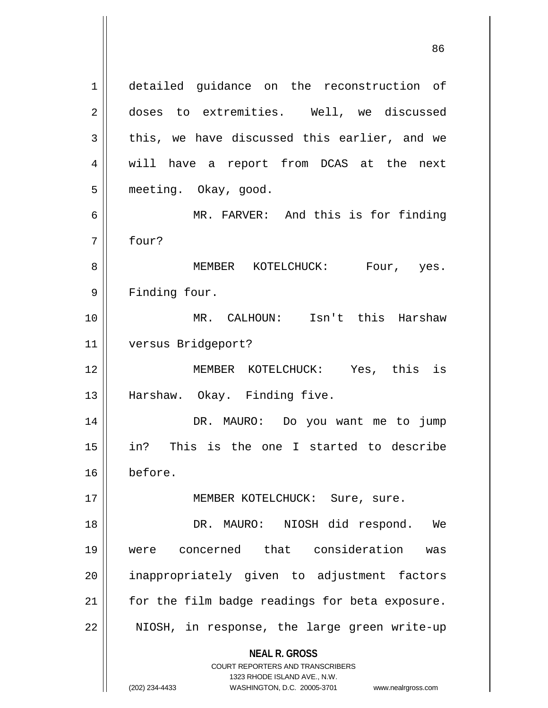**NEAL R. GROSS** COURT REPORTERS AND TRANSCRIBERS 1323 RHODE ISLAND AVE., N.W. 1 detailed guidance on the reconstruction of 2 doses to extremities. Well, we discussed  $3 \parallel$  this, we have discussed this earlier, and we 4 || will have a report from DCAS at the next 5 || meeting. Okay, good. 6 || MR. FARVER: And this is for finding 7 four? 8 MEMBER KOTELCHUCK: Four, yes. 9 Finding four. 10 MR. CALHOUN: Isn't this Harshaw 11 versus Bridgeport? 12 MEMBER KOTELCHUCK: Yes, this is 13 || Harshaw. Okay. Finding five. 14 DR. MAURO: Do you want me to jump 15 in? This is the one I started to describe 16 before. 17 || MEMBER KOTELCHUCK: Sure, sure. 18 DR. MAURO: NIOSH did respond. We 19 were concerned that consideration was 20 || inappropriately given to adjustment factors  $21$  | for the film badge readings for beta exposure.  $22$  || NIOSH, in response, the large green write-up

<sup>(202) 234-4433</sup> WASHINGTON, D.C. 20005-3701 www.nealrgross.com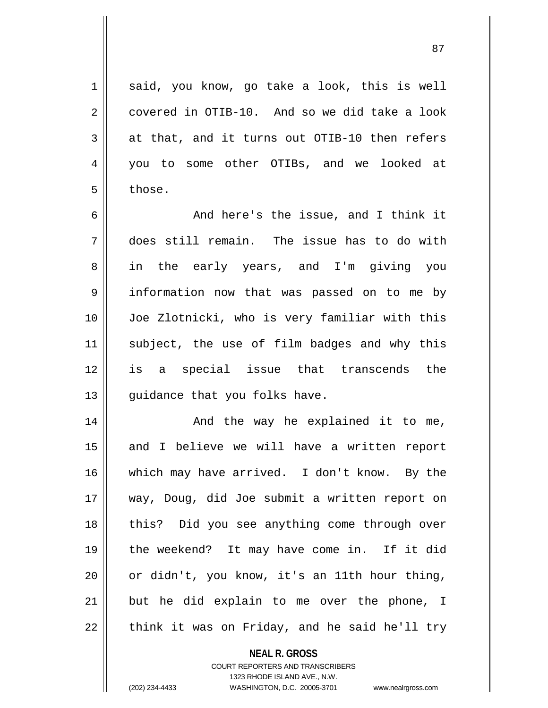87

 $1 \parallel$  said, you know, go take a look, this is well  $2 \parallel$  covered in OTIB-10. And so we did take a look  $3 \parallel$  at that, and it turns out OTIB-10 then refers 4 you to some other OTIBs, and we looked at  $5 \parallel$  those.

6 || The Mand here's the issue, and I think it does still remain. The issue has to do with in the early years, and I'm giving you information now that was passed on to me by Joe Zlotnicki, who is very familiar with this 11 || subject, the use of film badges and why this is a special issue that transcends the || guidance that you folks have.

 And the way he explained it to me, 15 || and I believe we will have a written report which may have arrived. I don't know. By the way, Doug, did Joe submit a written report on 18 || this? Did you see anything come through over the weekend? It may have come in. If it did or didn't, you know, it's an 11th hour thing, || but he did explain to me over the phone, I | think it was on Friday, and he said he'll try

> **NEAL R. GROSS** COURT REPORTERS AND TRANSCRIBERS 1323 RHODE ISLAND AVE., N.W.

(202) 234-4433 WASHINGTON, D.C. 20005-3701 www.nealrgross.com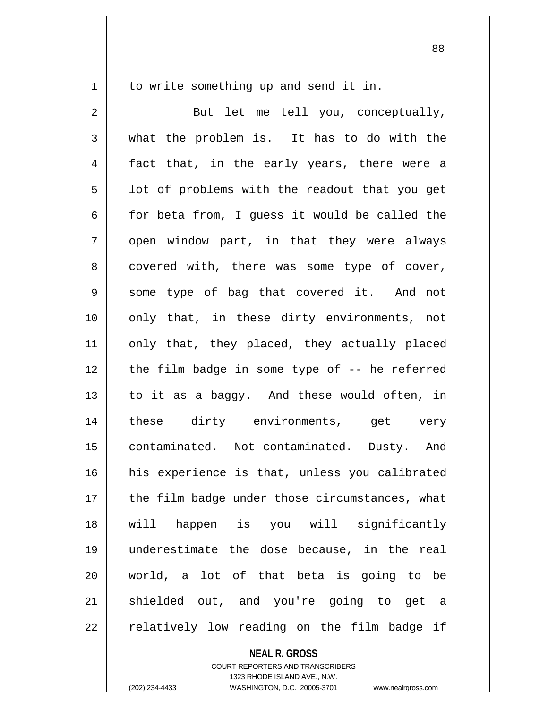1 | to write something up and send it in.

2 || But let me tell you, conceptually, 3 what the problem is. It has to do with the 4 || fact that, in the early years, there were a  $5 \parallel$  1ot of problems with the readout that you get  $6$  for beta from, I guess it would be called the  $7 \parallel$  open window part, in that they were always  $8$  | covered with, there was some type of cover, 9 Some type of bag that covered it. And not 10 || only that, in these dirty environments, not 11 || only that, they placed, they actually placed 12 || the film badge in some type of -- he referred 13 to it as a baggy. And these would often, in 14 these dirty environments, get very 15 contaminated. Not contaminated. Dusty. And 16 || his experience is that, unless you calibrated  $17$  | the film badge under those circumstances, what 18 will happen is you will significantly 19 underestimate the dose because, in the real 20 world, a lot of that beta is going to be 21 shielded out, and you're going to get a 22 || relatively low reading on the film badge if

**NEAL R. GROSS**

COURT REPORTERS AND TRANSCRIBERS 1323 RHODE ISLAND AVE., N.W. (202) 234-4433 WASHINGTON, D.C. 20005-3701 www.nealrgross.com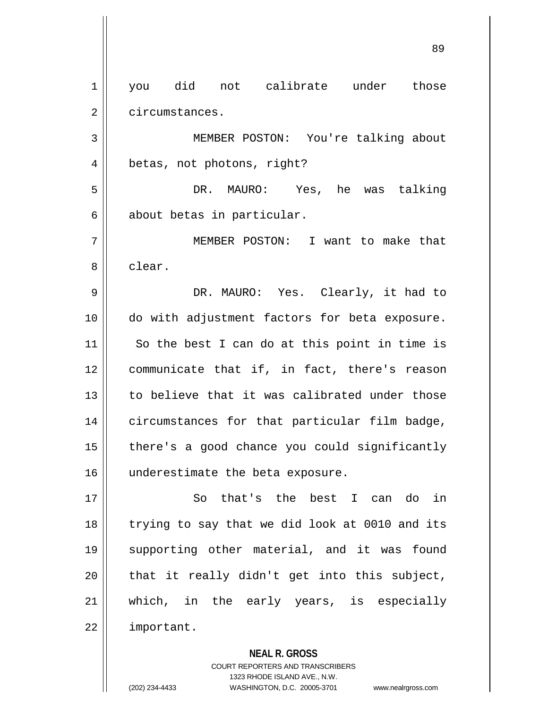1 || you did not calibrate under those 2 | circumstances.

3 MEMBER POSTON: You're talking about 4 || betas, not photons, right?

5 DR. MAURO: Yes, he was talking  $6 \parallel$  about betas in particular.

7 MEMBER POSTON: I want to make that 8 l clear.

9 DR. MAURO: Yes. Clearly, it had to 10 do with adjustment factors for beta exposure.  $11$  So the best I can do at this point in time is 12 | communicate that if, in fact, there's reason 13 to believe that it was calibrated under those 14 | circumstances for that particular film badge, 15 | there's a good chance you could significantly 16 || underestimate the beta exposure.

17 || So that's the best I can do in 18 || trying to say that we did look at 0010 and its 19 supporting other material, and it was found  $20$  || that it really didn't get into this subject, 21 which, in the early years, is especially 22 | important.

**NEAL R. GROSS**

COURT REPORTERS AND TRANSCRIBERS 1323 RHODE ISLAND AVE., N.W. (202) 234-4433 WASHINGTON, D.C. 20005-3701 www.nealrgross.com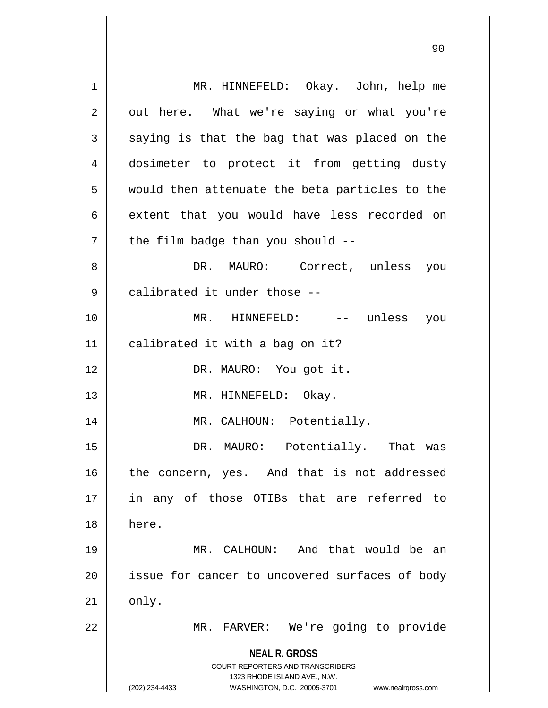**NEAL R. GROSS** COURT REPORTERS AND TRANSCRIBERS 1323 RHODE ISLAND AVE., N.W. (202) 234-4433 WASHINGTON, D.C. 20005-3701 www.nealrgross.com 1 MR. HINNEFELD: Okay. John, help me  $2 \parallel$  out here. What we're saying or what you're  $3 \parallel$  saying is that the bag that was placed on the 4 dosimeter to protect it from getting dusty  $5$  || would then attenuate the beta particles to the 6 extent that you would have less recorded on  $7$  || the film badge than you should --8 DR. MAURO: Correct, unless you 9 || calibrated it under those --10 MR. HINNEFELD: -- unless you  $11$  | calibrated it with a bag on it? 12 || DR. MAURO: You got it. 13 || MR. HINNEFELD: Okay. 14 || MR. CALHOUN: Potentially. 15 DR. MAURO: Potentially. That was 16 || the concern, yes. And that is not addressed 17 in any of those OTIBs that are referred to 18 here. 19 MR. CALHOUN: And that would be an 20 || issue for cancer to uncovered surfaces of body  $21$  only. 22 MR. FARVER: We're going to provide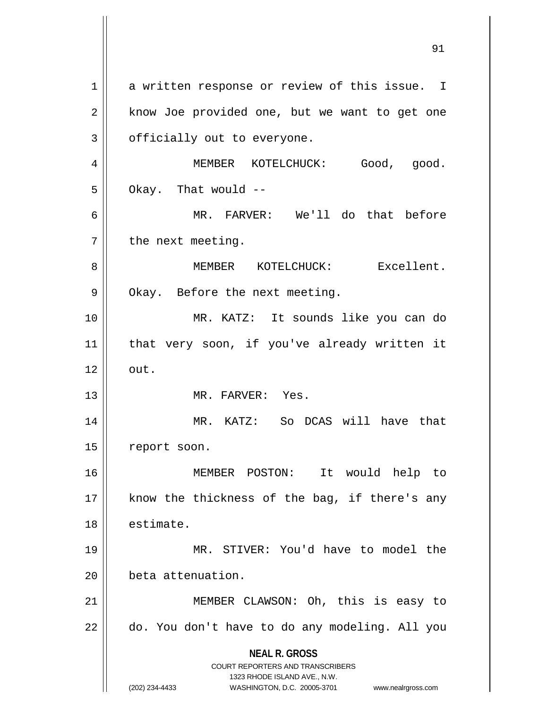**NEAL R. GROSS** COURT REPORTERS AND TRANSCRIBERS 1323 RHODE ISLAND AVE., N.W. (202) 234-4433 WASHINGTON, D.C. 20005-3701 www.nealrgross.com 1 a written response or review of this issue. I 2 || know Joe provided one, but we want to get one  $3 \parallel$  officially out to everyone. 4 | MEMBER KOTELCHUCK: Good, good.  $5 \parallel$  Okay. That would --6 MR. FARVER: We'll do that before  $7$  || the next meeting. 8 MEMBER KOTELCHUCK: Excellent. 9 || Okay. Before the next meeting. 10 MR. KATZ: It sounds like you can do 11 that very soon, if you've already written it  $12 \parallel \quad \text{out.}$ 13 MR. FARVER: Yes. 14 MR. KATZ: So DCAS will have that 15 | report soon. 16 MEMBER POSTON: It would help to  $17$  || know the thickness of the bag, if there's any 18 estimate. 19 MR. STIVER: You'd have to model the 20 | beta attenuation. 21 || MEMBER CLAWSON: Oh, this is easy to  $22$  |  $\,$  do. You don't have to do any modeling. All you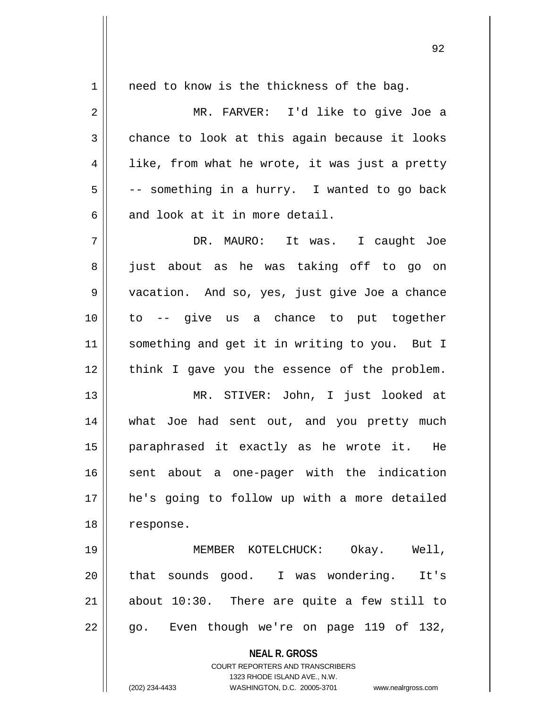**NEAL R. GROSS** COURT REPORTERS AND TRANSCRIBERS 1323 RHODE ISLAND AVE., N.W. 1 || need to know is the thickness of the bag. 2 MR. FARVER: I'd like to give Joe a  $3 \parallel$  chance to look at this again because it looks  $4 \parallel$  like, from what he wrote, it was just a pretty  $5 \parallel$  -- something in a hurry. I wanted to go back  $6 \parallel$  and look at it in more detail. 7 DR. MAURO: It was. I caught Joe 8 || just about as he was taking off to go on 9 vacation. And so, yes, just give Joe a chance 10 to -- give us a chance to put together 11 || something and get it in writing to you. But I 12 think I gave you the essence of the problem. 13 MR. STIVER: John, I just looked at 14 what Joe had sent out, and you pretty much 15 paraphrased it exactly as he wrote it. He 16 || sent about a one-pager with the indication 17 he's going to follow up with a more detailed 18 response. 19 MEMBER KOTELCHUCK: Okay. Well, 20 || that sounds good. I was wondering. It's  $21$  about 10:30. There are quite a few still to  $22 \parallel$  go. Even though we're on page 119 of 132,

(202) 234-4433 WASHINGTON, D.C. 20005-3701 www.nealrgross.com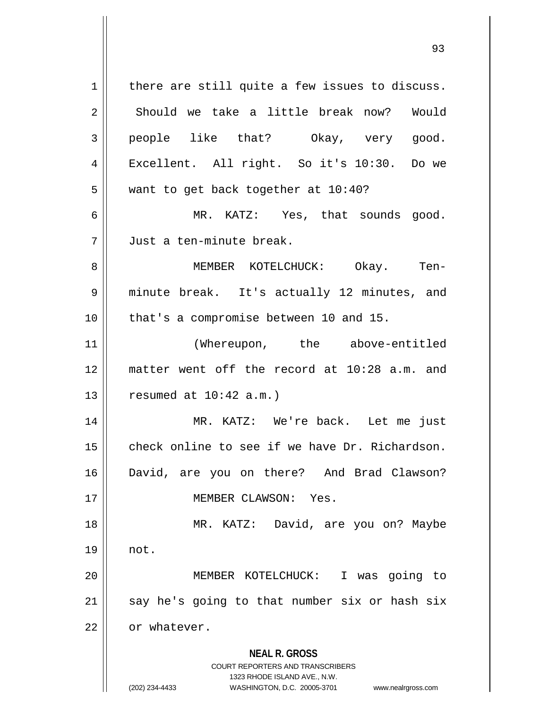**NEAL R. GROSS** COURT REPORTERS AND TRANSCRIBERS 1323 RHODE ISLAND AVE., N.W. (202) 234-4433 WASHINGTON, D.C. 20005-3701 www.nealrgross.com  $1$  there are still quite a few issues to discuss. 2 Should we take a little break now? Would 3 people like that? Okay, very good. 4 || Excellent. All right. So it's 10:30. Do we  $5$  | want to get back together at 10:40? 6 MR. KATZ: Yes, that sounds good. 7 Just a ten-minute break. 8 MEMBER KOTELCHUCK: Okay. Ten-9 minute break. It's actually 12 minutes, and 10 || that's a compromise between 10 and 15. 11 || (Whereupon, the above-entitled 12 matter went off the record at 10:28 a.m. and  $13$  | resumed at  $10:42$  a.m.) 14 MR. KATZ: We're back. Let me just 15 || check online to see if we have Dr. Richardson. 16 David, are you on there? And Brad Clawson? 17 || **MEMBER CLAWSON:** Yes. 18 MR. KATZ: David, are you on? Maybe 19 not. 20 MEMBER KOTELCHUCK: I was going to  $21$  say he's going to that number six or hash six 22 | or whatever.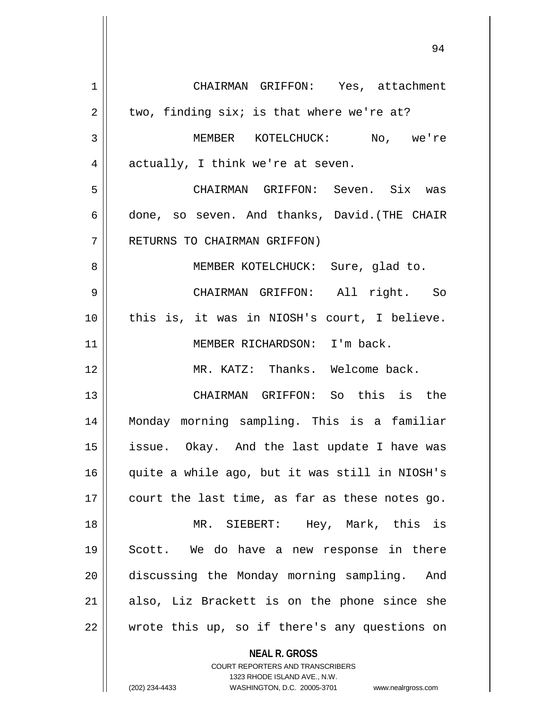CHAIRMAN GRIFFON: Yes, attachment  $2 \parallel$  two, finding six; is that where we're at? MEMBER KOTELCHUCK: No, we're  $4 \parallel$  actually, I think we're at seven. CHAIRMAN GRIFFON: Seven. Six was  $6 \parallel$  done, so seven. And thanks, David.(THE CHAIR 7 || RETURNS TO CHAIRMAN GRIFFON) 8 || MEMBER KOTELCHUCK: Sure, glad to. CHAIRMAN GRIFFON: All right. So this is, it was in NIOSH's court, I believe. 11 || MEMBER RICHARDSON: I'm back. MR. KATZ: Thanks. Welcome back. CHAIRMAN GRIFFON: So this is the Monday morning sampling. This is a familiar 15 || issue. Okay. And the last update I have was quite a while ago, but it was still in NIOSH's  $\parallel$  court the last time, as far as these notes go. MR. SIEBERT: Hey, Mark, this is Scott. We do have a new response in there 20 | discussing the Monday morning sampling. And also, Liz Brackett is on the phone since she | wrote this up, so if there's any questions on

> COURT REPORTERS AND TRANSCRIBERS 1323 RHODE ISLAND AVE., N.W. (202) 234-4433 WASHINGTON, D.C. 20005-3701 www.nealrgross.com

**NEAL R. GROSS**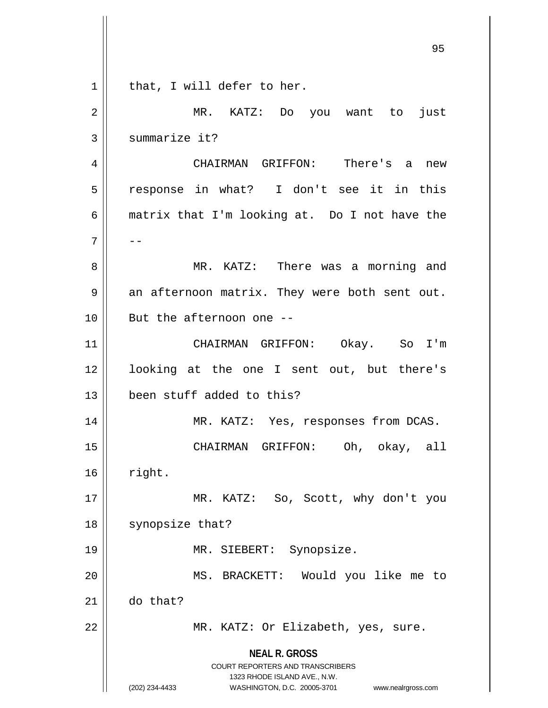| $\mathbf 1$ | that, I will defer to her.                                                                                                                                             |
|-------------|------------------------------------------------------------------------------------------------------------------------------------------------------------------------|
| 2           | MR. KATZ: Do you want to just                                                                                                                                          |
| 3           | summarize it?                                                                                                                                                          |
| 4           | CHAIRMAN GRIFFON: There's a new                                                                                                                                        |
| 5           | response in what? I don't see it in this                                                                                                                               |
| 6           | matrix that I'm looking at. Do I not have the                                                                                                                          |
| 7           |                                                                                                                                                                        |
| 8           | MR. KATZ: There was a morning and                                                                                                                                      |
| 9           | an afternoon matrix. They were both sent out.                                                                                                                          |
| 10          | But the afternoon one --                                                                                                                                               |
| 11          | CHAIRMAN GRIFFON: Okay. So I'm                                                                                                                                         |
| 12          | looking at the one I sent out, but there's                                                                                                                             |
| 13          | been stuff added to this?                                                                                                                                              |
| 14          | MR. KATZ: Yes, responses from DCAS.                                                                                                                                    |
| 15          | CHAIRMAN GRIFFON:<br>Oh, okay, all                                                                                                                                     |
| 16          | right.                                                                                                                                                                 |
| 17          | MR. KATZ: So, Scott, why don't you                                                                                                                                     |
| 18          | synopsize that?                                                                                                                                                        |
| 19          | MR. SIEBERT: Synopsize.                                                                                                                                                |
| 20          | MS. BRACKETT: Would you like me to                                                                                                                                     |
| 21          | do that?                                                                                                                                                               |
| 22          | MR. KATZ: Or Elizabeth, yes, sure.                                                                                                                                     |
|             | <b>NEAL R. GROSS</b><br><b>COURT REPORTERS AND TRANSCRIBERS</b><br>1323 RHODE ISLAND AVE., N.W.<br>WASHINGTON, D.C. 20005-3701<br>(202) 234-4433<br>www.nealrgross.com |

 $\begin{array}{c} \hline \end{array}$ I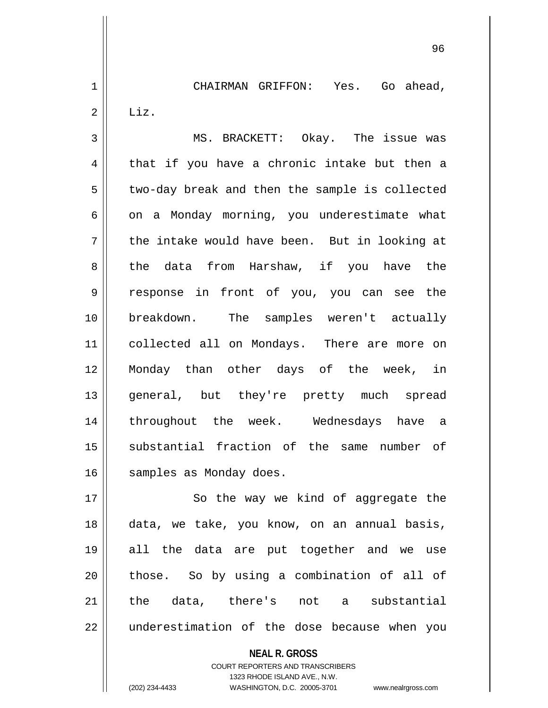1 | CHAIRMAN GRIFFON: Yes. Go ahead,  $2 \parallel$  Liz.

3 MS. BRACKETT: Okay. The issue was  $4 \parallel$  that if you have a chronic intake but then a  $5 \parallel$  two-day break and then the sample is collected  $6 \parallel$  on a Monday morning, you underestimate what  $7 \parallel$  the intake would have been. But in looking at 8 the data from Harshaw, if you have the 9 response in front of you, you can see the 10 breakdown. The samples weren't actually 11 || collected all on Mondays. There are more on 12 Monday than other days of the week, in 13 general, but they're pretty much spread 14 throughout the week. Wednesdays have a 15 || substantial fraction of the same number of 16 | samples as Monday does.

17 || So the way we kind of aggregate the 18 data, we take, you know, on an annual basis, 19 all the data are put together and we use 20 || those. So by using a combination of all of 21 the data, there's not a substantial  $22$  || underestimation of the dose because when you

> **NEAL R. GROSS** COURT REPORTERS AND TRANSCRIBERS 1323 RHODE ISLAND AVE., N.W. (202) 234-4433 WASHINGTON, D.C. 20005-3701 www.nealrgross.com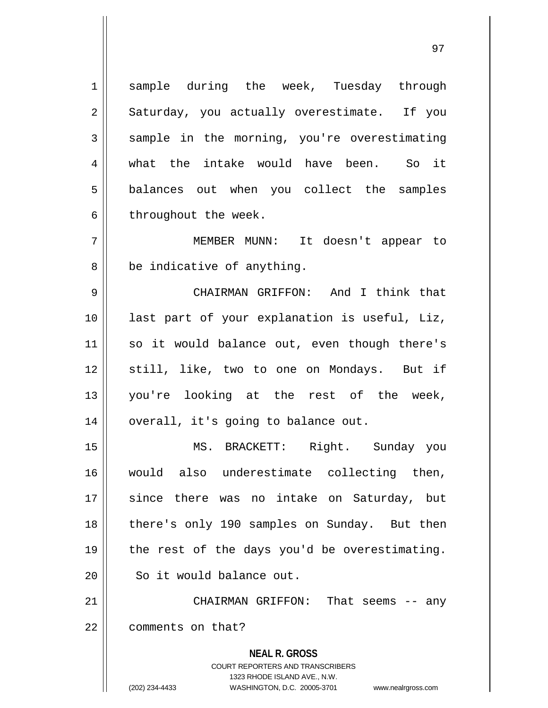1 Sample during the week, Tuesday through  $2 \parallel$  Saturday, you actually overestimate. If you  $3 \parallel$  sample in the morning, you're overestimating 4 what the intake would have been. So it 5 || balances out when you collect the samples  $6 \parallel$  throughout the week.

7 MEMBER MUNN: It doesn't appear to  $8 \parallel$  be indicative of anything.

 CHAIRMAN GRIFFON: And I think that last part of your explanation is useful, Liz, 11 || so it would balance out, even though there's 12 || still, like, two to one on Mondays. But if you're looking at the rest of the week, | overall, it's going to balance out.

 MS. BRACKETT: Right. Sunday you would also underestimate collecting then, 17 since there was no intake on Saturday, but there's only 190 samples on Sunday. But then | the rest of the days you'd be overestimating. 20 | So it would balance out.

21 CHAIRMAN GRIFFON: That seems -- any 22 | comments on that?

> **NEAL R. GROSS** COURT REPORTERS AND TRANSCRIBERS 1323 RHODE ISLAND AVE., N.W. (202) 234-4433 WASHINGTON, D.C. 20005-3701 www.nealrgross.com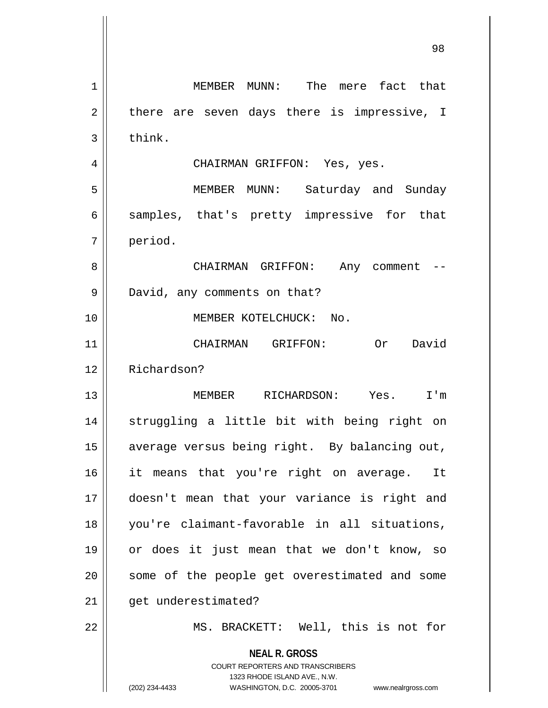**NEAL R. GROSS** COURT REPORTERS AND TRANSCRIBERS 1323 RHODE ISLAND AVE., N.W. (202) 234-4433 WASHINGTON, D.C. 20005-3701 www.nealrgross.com 1 || MEMBER MUNN: The mere fact that  $2 \parallel$  there are seven days there is impressive, I  $3$  | think. 4 CHAIRMAN GRIFFON: Yes, yes. 5 || MEMBER MUNN: Saturday and Sunday  $6 \parallel$  samples, that's pretty impressive for that 7 period. 8 CHAIRMAN GRIFFON: Any comment -- 9 || David, any comments on that? 10 MEMBER KOTELCHUCK: No. 11 CHAIRMAN GRIFFON: Or David 12 Richardson? 13 MEMBER RICHARDSON: Yes. I'm 14 || struggling a little bit with being right on 15 | average versus being right. By balancing out, 16 || it means that you're right on average. It 17 doesn't mean that your variance is right and 18 you're claimant-favorable in all situations, 19 or does it just mean that we don't know, so 20 || some of the people get overestimated and some 21 | qet underestimated? 22 || MS. BRACKETT: Well, this is not for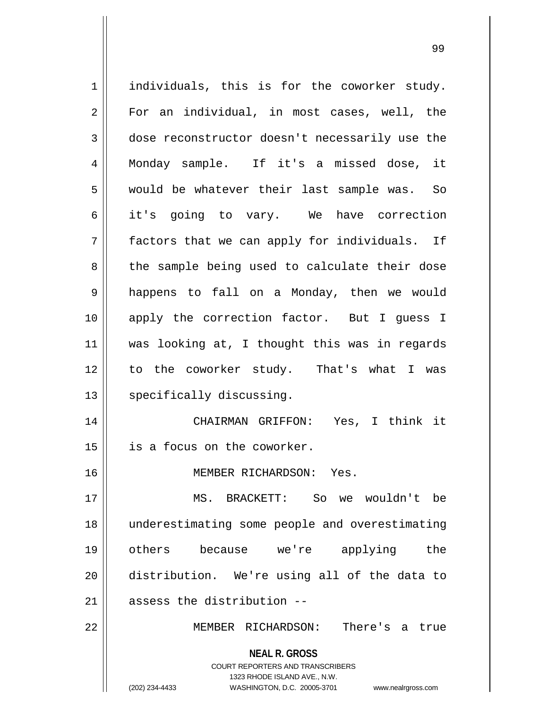**NEAL R. GROSS** COURT REPORTERS AND TRANSCRIBERS 1323 RHODE ISLAND AVE., N.W. (202) 234-4433 WASHINGTON, D.C. 20005-3701 www.nealrgross.com 1 || individuals, this is for the coworker study. 2 || For an individual, in most cases, well, the 3 dose reconstructor doesn't necessarily use the 4 Monday sample. If it's a missed dose, it 5 || would be whatever their last sample was. So 6 it's going to vary. We have correction  $7$  || factors that we can apply for individuals. If 8 || the sample being used to calculate their dose 9 || happens to fall on a Monday, then we would 10 apply the correction factor. But I guess I 11 was looking at, I thought this was in regards 12 to the coworker study. That's what I was 13 | specifically discussing. 14 CHAIRMAN GRIFFON: Yes, I think it 15 is a focus on the coworker. 16 MEMBER RICHARDSON: Yes. 17 MS. BRACKETT: So we wouldn't be 18 underestimating some people and overestimating 19 others because we're applying the 20 distribution. We're using all of the data to  $21$   $\parallel$  assess the distribution  $-$ 22 MEMBER RICHARDSON: There's a true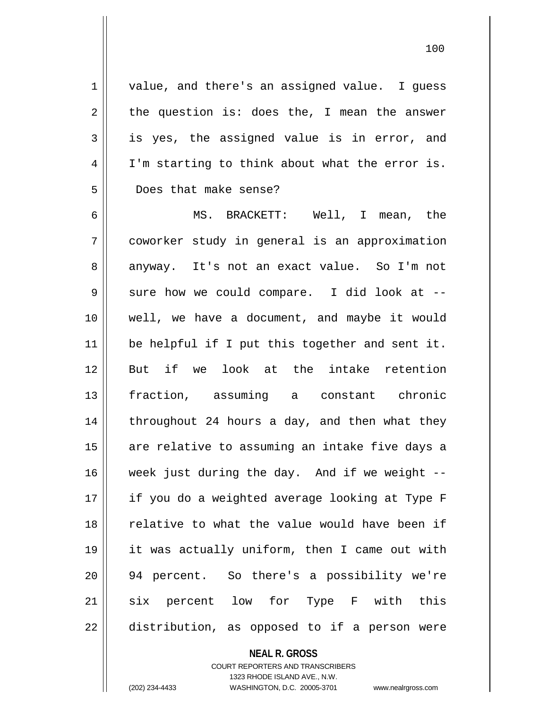1 || value, and there's an assigned value. I guess  $2 \parallel$  the question is: does the, I mean the answer  $3 \parallel$  is yes, the assigned value is in error, and 4 | I'm starting to think about what the error is. 5 Does that make sense?

6 MS. BRACKETT: Well, I mean, the 7 coworker study in general is an approximation 8 anyway. It's not an exact value. So I'm not  $9 \parallel$  sure how we could compare. I did look at  $-$ 10 well, we have a document, and maybe it would 11 || be helpful if I put this together and sent it. 12 But if we look at the intake retention 13 fraction, assuming a constant chronic 14  $\parallel$  throughout 24 hours a day, and then what they 15 || are relative to assuming an intake five days a  $16$  week just during the day. And if we weight  $-$ 17 || if you do a weighted average looking at Type F 18 || relative to what the value would have been if 19 it was actually uniform, then I came out with 20 94 percent. So there's a possibility we're 21 || six percent low for Type F with this 22 || distribution, as opposed to if a person were

## **NEAL R. GROSS**

COURT REPORTERS AND TRANSCRIBERS 1323 RHODE ISLAND AVE., N.W. (202) 234-4433 WASHINGTON, D.C. 20005-3701 www.nealrgross.com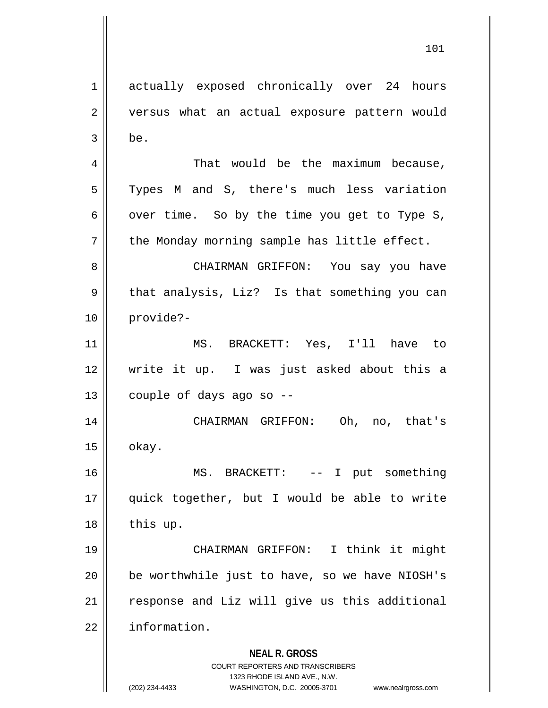**NEAL R. GROSS** COURT REPORTERS AND TRANSCRIBERS 1323 RHODE ISLAND AVE., N.W. (202) 234-4433 WASHINGTON, D.C. 20005-3701 www.nealrgross.com 1 actually exposed chronically over 24 hours 2 || versus what an actual exposure pattern would  $3 \parallel$  be. 4 | That would be the maximum because, 5 || Types M and S, there's much less variation 6 | over time. So by the time you get to Type S,  $7 \parallel$  the Monday morning sample has little effect. 8 CHAIRMAN GRIFFON: You say you have  $9 \parallel$  that analysis, Liz? Is that something you can 10 provide?- 11 MS. BRACKETT: Yes, I'll have to 12 write it up. I was just asked about this a  $13$  | couple of days ago so --14 CHAIRMAN GRIFFON: Oh, no, that's  $15 \parallel$  okay. 16 MS. BRACKETT: -- I put something 17 quick together, but I would be able to write  $18$  | this up. 19 CHAIRMAN GRIFFON: I think it might 20 be worthwhile just to have, so we have NIOSH's 21 || response and Liz will give us this additional 22 | information.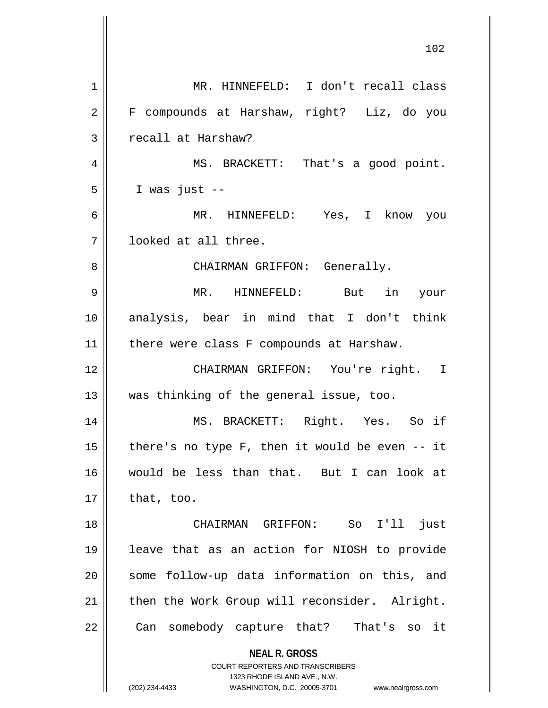**NEAL R. GROSS** COURT REPORTERS AND TRANSCRIBERS 1323 RHODE ISLAND AVE., N.W. (202) 234-4433 WASHINGTON, D.C. 20005-3701 www.nealrgross.com 1 MR. HINNEFELD: I don't recall class 2 F compounds at Harshaw, right? Liz, do you 3 | recall at Harshaw? 4 || MS. BRACKETT: That's a good point.  $5 \parallel$  I was just  $-$ 6 MR. HINNEFELD: Yes, I know you 7 looked at all three. 8 CHAIRMAN GRIFFON: Generally. 9 MR. HINNEFELD: But in your 10 analysis, bear in mind that I don't think 11 || there were class F compounds at Harshaw. 12 CHAIRMAN GRIFFON: You're right. I 13 was thinking of the general issue, too. 14 MS. BRACKETT: Right. Yes. So if 15  $\parallel$  there's no type F, then it would be even -- it 16 would be less than that. But I can look at  $17$  | that, too. 18 CHAIRMAN GRIFFON: So I'll just 19 leave that as an action for NIOSH to provide 20 || some follow-up data information on this, and 21 || then the Work Group will reconsider. Alright. 22 || Can somebody capture that? That's so it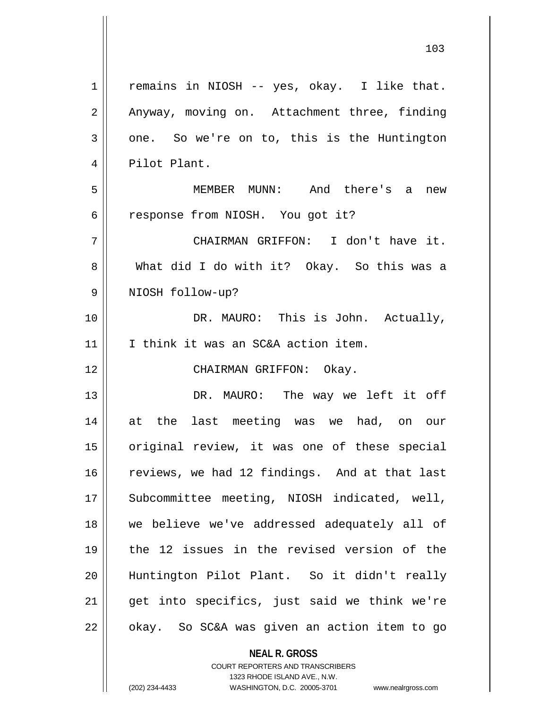| $\mathbf 1$ | remains in NIOSH -- yes, okay. I like that.   |
|-------------|-----------------------------------------------|
| 2           | Anyway, moving on. Attachment three, finding  |
| 3           | one. So we're on to, this is the Huntington   |
| 4           | Pilot Plant.                                  |
| 5           | MEMBER MUNN: And there's a new                |
| 6           | response from NIOSH. You got it?              |
| 7           | CHAIRMAN GRIFFON: I don't have it.            |
| 8           | What did I do with it? Okay. So this was a    |
| 9           | NIOSH follow-up?                              |
| 10          | DR. MAURO: This is John. Actually,            |
| 11          | I think it was an SC&A action item.           |
| 12          | CHAIRMAN GRIFFON: Okay.                       |
| 13          | DR. MAURO: The way we left it off             |
| 14          | at the last meeting was we had, on our        |
| 15          | original review, it was one of these special  |
| 16          | reviews, we had 12 findings. And at that last |
| 17          | Subcommittee meeting, NIOSH indicated, well,  |
| 18          | we believe we've addressed adequately all of  |
| 19          | the 12 issues in the revised version of the   |
| 20          | Huntington Pilot Plant. So it didn't really   |
| 21          | get into specifics, just said we think we're  |
| 22          | okay. So SC&A was given an action item to go  |

1323 RHODE ISLAND AVE., N.W. (202) 234-4433 WASHINGTON, D.C. 20005-3701 www.nealrgross.com

 $\mathbf{I}$ 

**NEAL R. GROSS** COURT REPORTERS AND TRANSCRIBERS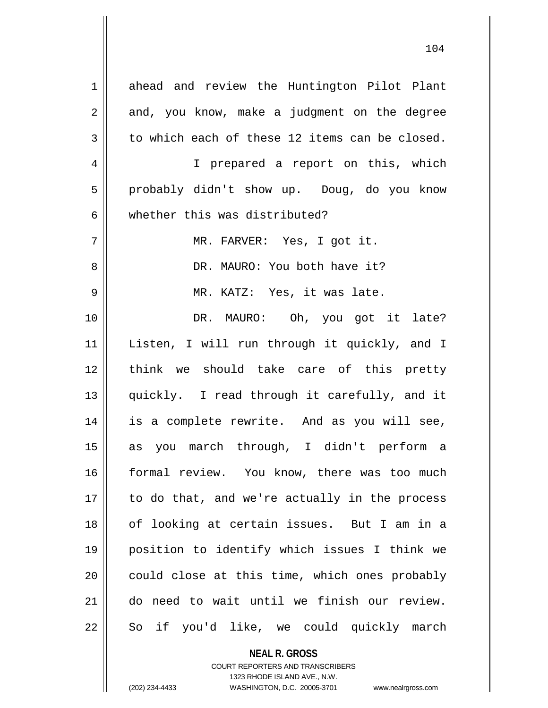| $\mathbf 1$    | ahead and review the Huntington Pilot Plant    |
|----------------|------------------------------------------------|
| $\overline{c}$ | and, you know, make a judgment on the degree   |
| $\mathfrak{Z}$ | to which each of these 12 items can be closed. |
| $\overline{4}$ | I prepared a report on this, which             |
| 5              | probably didn't show up. Doug, do you know     |
| 6              | whether this was distributed?                  |
| 7              | MR. FARVER: Yes, I got it.                     |
| 8              | DR. MAURO: You both have it?                   |
| 9              | MR. KATZ: Yes, it was late.                    |
| 10             | DR. MAURO: Oh, you got it late?                |
| 11             | Listen, I will run through it quickly, and I   |
| 12             | think we should take care of this pretty       |
| 13             | quickly. I read through it carefully, and it   |
| 14             | is a complete rewrite. And as you will see,    |
| 15             | as you march through, I didn't perform a       |
| 16             | formal review. You know, there was too much    |
| 17             | to do that, and we're actually in the process  |
| 18             | of looking at certain issues. But I am in a    |
| 19             | position to identify which issues I think we   |
| 20             | could close at this time, which ones probably  |
| 21             | do need to wait until we finish our review.    |
| 22             | So if you'd like, we could quickly march       |
|                |                                                |

**NEAL R. GROSS** COURT REPORTERS AND TRANSCRIBERS

1323 RHODE ISLAND AVE., N.W.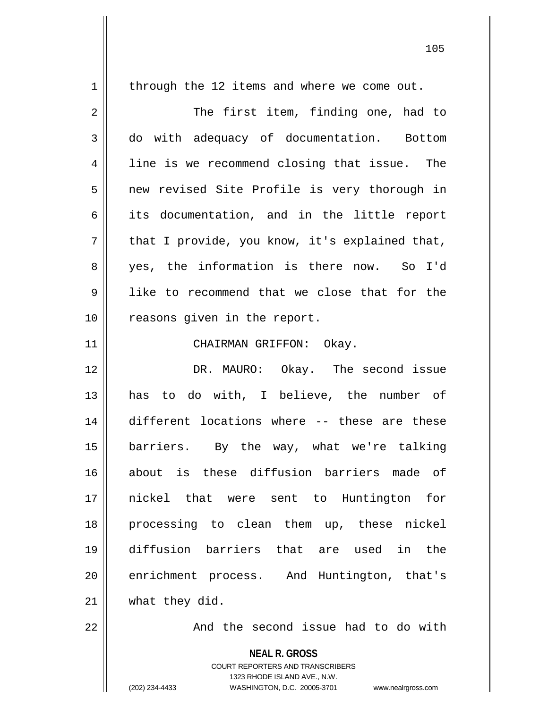| $\mathbf 1$ | through the 12 items and where we come out.                                                                                                                     |
|-------------|-----------------------------------------------------------------------------------------------------------------------------------------------------------------|
| $\sqrt{2}$  | The first item, finding one, had to                                                                                                                             |
| 3           | do with adequacy of documentation. Bottom                                                                                                                       |
| 4           | line is we recommend closing that issue. The                                                                                                                    |
| 5           | new revised Site Profile is very thorough in                                                                                                                    |
| 6           | its documentation, and in the little report                                                                                                                     |
| 7           | that I provide, you know, it's explained that,                                                                                                                  |
| 8           | yes, the information is there now. So I'd                                                                                                                       |
| $\mathsf 9$ | like to recommend that we close that for the                                                                                                                    |
| 10          | reasons given in the report.                                                                                                                                    |
| 11          | CHAIRMAN GRIFFON: Okay.                                                                                                                                         |
| 12          | DR. MAURO: Okay. The second issue                                                                                                                               |
| 13          | has to do with, I believe, the number of                                                                                                                        |
| 14          | different locations where -- these are these                                                                                                                    |
| 15          | barriers. By the way, what we're talking                                                                                                                        |
| 16          | is these diffusion barriers made of<br>about                                                                                                                    |
| 17          | nickel that were sent to Huntington<br>for                                                                                                                      |
| 18          | processing to clean them up, these nickel                                                                                                                       |
| 19          | diffusion barriers that are used in<br>the                                                                                                                      |
| 20          | enrichment process. And Huntington, that's                                                                                                                      |
| 21          | what they did.                                                                                                                                                  |
| 22          | And the second issue had to do with                                                                                                                             |
|             | <b>NEAL R. GROSS</b><br>COURT REPORTERS AND TRANSCRIBERS<br>1323 RHODE ISLAND AVE., N.W.<br>(202) 234-4433<br>WASHINGTON, D.C. 20005-3701<br>www.nealrgross.com |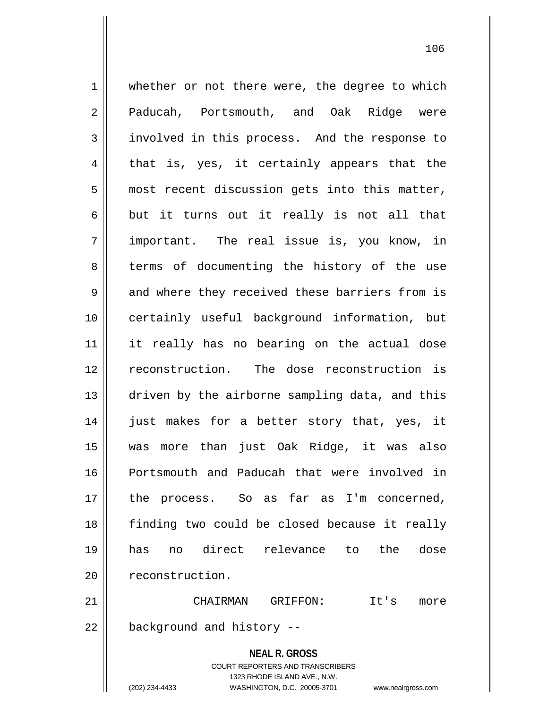1 | whether or not there were, the degree to which 2 Paducah, Portsmouth, and Oak Ridge were 3 involved in this process. And the response to  $4 \parallel$  that is, yes, it certainly appears that the  $5$  | most recent discussion gets into this matter,  $6 \parallel$  but it turns out it really is not all that 7 important. The real issue is, you know, in 8 terms of documenting the history of the use  $9 \parallel$  and where they received these barriers from is 10 certainly useful background information, but 11 it really has no bearing on the actual dose 12 || reconstruction. The dose reconstruction is 13 driven by the airborne sampling data, and this 14 || just makes for a better story that, yes, it 15 was more than just Oak Ridge, it was also 16 Portsmouth and Paducah that were involved in 17 the process. So as far as I'm concerned, 18 finding two could be closed because it really 19 has no direct relevance to the dose 20 | reconstruction. 21 CHAIRMAN GRIFFON: It's more  $22$  | background and history  $-$ 

> **NEAL R. GROSS** COURT REPORTERS AND TRANSCRIBERS 1323 RHODE ISLAND AVE., N.W.

(202) 234-4433 WASHINGTON, D.C. 20005-3701 www.nealrgross.com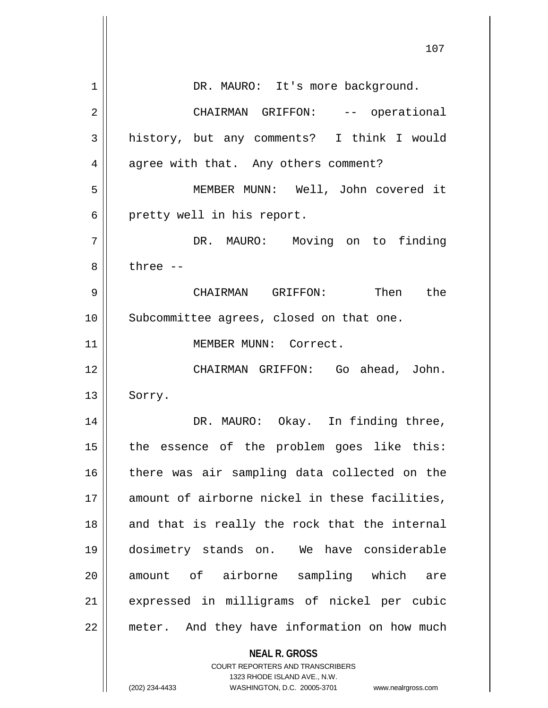|    | 107                                                                 |
|----|---------------------------------------------------------------------|
| 1  | DR. MAURO: It's more background.                                    |
| 2  | CHAIRMAN GRIFFON: -- operational                                    |
| 3  | history, but any comments? I think I would                          |
| 4  | agree with that. Any others comment?                                |
| 5  | MEMBER MUNN: Well, John covered it                                  |
| 6  | pretty well in his report.                                          |
| 7  | DR. MAURO: Moving on to finding                                     |
| 8  | three $--$                                                          |
| 9  | CHAIRMAN GRIFFON: Then the                                          |
| 10 | Subcommittee agrees, closed on that one.                            |
| 11 | MEMBER MUNN: Correct.                                               |
| 12 | CHAIRMAN GRIFFON: Go ahead, John.                                   |
| 13 | Sorry.                                                              |
| 14 | DR. MAURO: Okay. In finding three,                                  |
| 15 | the essence of the problem goes like this:                          |
| 16 | there was air sampling data collected on the                        |
| 17 | amount of airborne nickel in these facilities,                      |
| 18 | and that is really the rock that the internal                       |
| 19 | dosimetry stands on. We have considerable                           |
| 20 | amount of airborne sampling which<br>are                            |
| 21 | expressed in milligrams of nickel per cubic                         |
| 22 | meter. And they have information on how much                        |
|    | <b>NEAL R. GROSS</b><br><b>COURT REPORTERS AND TRANSCRIBERS</b>     |
|    | 1323 RHODE ISLAND AVE., N.W.                                        |
|    | (202) 234-4433<br>WASHINGTON, D.C. 20005-3701<br>www.nealrgross.com |

 $\overline{\phantom{a}}$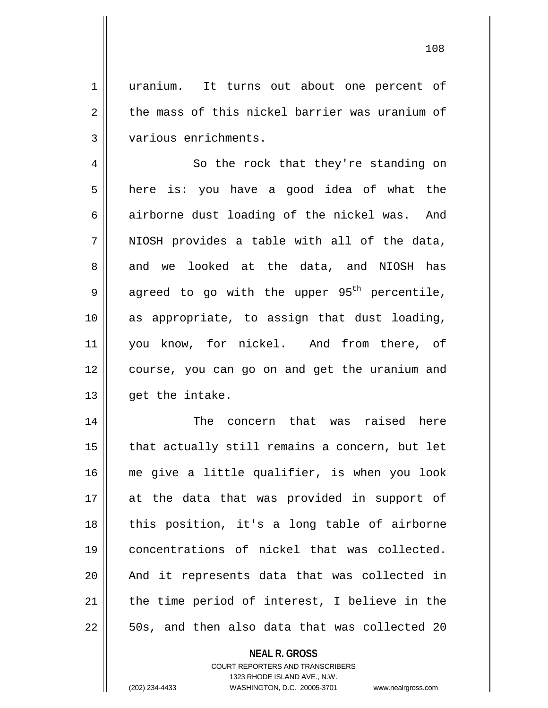1 uranium. It turns out about one percent of  $2 \parallel$  the mass of this nickel barrier was uranium of 3 various enrichments.

4 || So the rock that they're standing on 5 || here is: you have a good idea of what the 6 airborne dust loading of the nickel was. And  $7$  || NIOSH provides a table with all of the data, 8 and we looked at the data, and NIOSH has 9 agreed to go with the upper 95<sup>th</sup> percentile, 10 as appropriate, to assign that dust loading, 11 || you know, for nickel. And from there, of 12 course, you can go on and get the uranium and  $13$  || qet the intake.

 The concern that was raised here | that actually still remains a concern, but let me give a little qualifier, is when you look at the data that was provided in support of 18 || this position, it's a long table of airborne concentrations of nickel that was collected. 20 || And it represents data that was collected in | the time period of interest, I believe in the  $22 \parallel$  50s, and then also data that was collected 20

> **NEAL R. GROSS** COURT REPORTERS AND TRANSCRIBERS 1323 RHODE ISLAND AVE., N.W.

(202) 234-4433 WASHINGTON, D.C. 20005-3701 www.nealrgross.com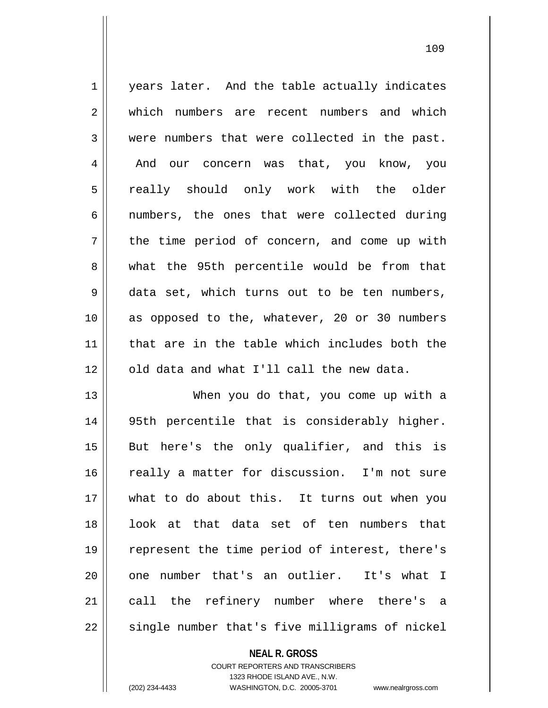1 | years later. And the table actually indicates 2 which numbers are recent numbers and which  $3 \parallel$  were numbers that were collected in the past. 4 | And our concern was that, you know, you 5 really should only work with the older  $6 \parallel$  numbers, the ones that were collected during 7 || the time period of concern, and come up with 8 what the 95th percentile would be from that 9 data set, which turns out to be ten numbers, 10 as opposed to the, whatever, 20 or 30 numbers 11 || that are in the table which includes both the  $12$  | old data and what I'll call the new data.

13 When you do that, you come up with a 14 95th percentile that is considerably higher. 15 || But here's the only qualifier, and this is 16 || really a matter for discussion. I'm not sure 17 what to do about this. It turns out when you 18 || look at that data set of ten numbers that 19 || represent the time period of interest, there's  $20$  || one number that's an outlier. It's what I 21 || call the refinery number where there's a  $22$   $\parallel$  single number that's five milligrams of nickel

## **NEAL R. GROSS**

COURT REPORTERS AND TRANSCRIBERS 1323 RHODE ISLAND AVE., N.W. (202) 234-4433 WASHINGTON, D.C. 20005-3701 www.nealrgross.com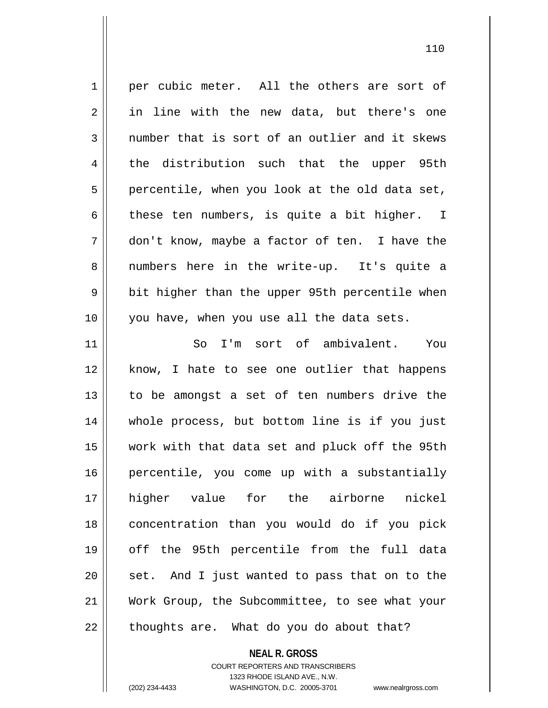1 per cubic meter. All the others are sort of 2 in line with the new data, but there's one  $3$  | number that is sort of an outlier and it skews 4 the distribution such that the upper 95th  $5 \parallel$  percentile, when you look at the old data set, 6 these ten numbers, is quite a bit higher. I 7 don't know, maybe a factor of ten. I have the 8 || numbers here in the write-up. It's quite a 9 || bit higher than the upper 95th percentile when 10 || you have, when you use all the data sets. 11 So I'm sort of ambivalent. You 12 || know, I hate to see one outlier that happens 13 to be amongst a set of ten numbers drive the 14 whole process, but bottom line is if you just 15 work with that data set and pluck off the 95th 16 || percentile, you come up with a substantially 17 higher value for the airborne nickel 18 concentration than you would do if you pick 19 off the 95th percentile from the full data  $20$  || set. And I just wanted to pass that on to the 21 Work Group, the Subcommittee, to see what your  $22$  || thoughts are. What do you do about that?

**NEAL R. GROSS**

COURT REPORTERS AND TRANSCRIBERS 1323 RHODE ISLAND AVE., N.W. (202) 234-4433 WASHINGTON, D.C. 20005-3701 www.nealrgross.com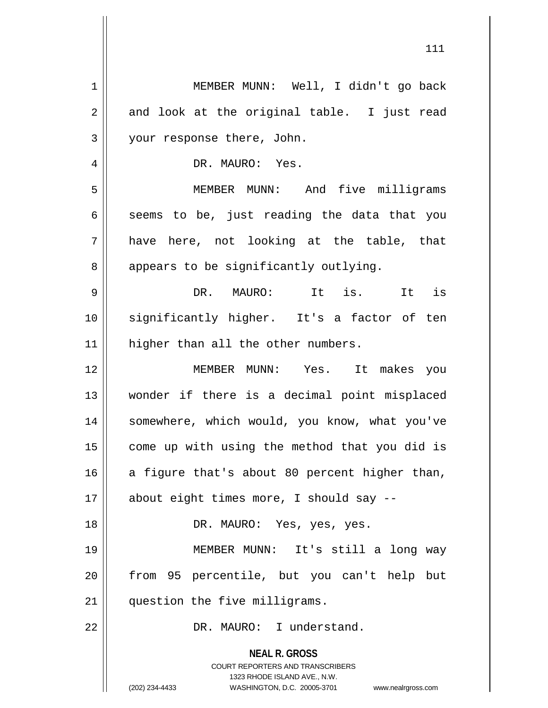| $1\,$       | MEMBER MUNN: Well, I didn't go back                                                                                                                                    |
|-------------|------------------------------------------------------------------------------------------------------------------------------------------------------------------------|
| $\mathbf 2$ | and look at the original table. I just read                                                                                                                            |
| 3           | your response there, John.                                                                                                                                             |
| 4           | DR. MAURO: Yes.                                                                                                                                                        |
| 5           | MEMBER MUNN: And five milligrams                                                                                                                                       |
| 6           | seems to be, just reading the data that you                                                                                                                            |
| 7           | have here, not looking at the table, that                                                                                                                              |
| 8           | appears to be significantly outlying.                                                                                                                                  |
| 9           | It is. It is<br>DR. MAURO:                                                                                                                                             |
| 10          | significantly higher. It's a factor of ten                                                                                                                             |
| 11          | higher than all the other numbers.                                                                                                                                     |
| 12          | MEMBER MUNN: Yes. It makes you                                                                                                                                         |
| 13          | wonder if there is a decimal point misplaced                                                                                                                           |
| 14          | somewhere, which would, you know, what you've                                                                                                                          |
| 15          | come up with using the method that you did is                                                                                                                          |
| 16          | a figure that's about 80 percent higher than,                                                                                                                          |
| 17          | about eight times more, I should say --                                                                                                                                |
| 18          | DR. MAURO: Yes, yes, yes.                                                                                                                                              |
| 19          | MEMBER MUNN: It's still a long way                                                                                                                                     |
| 20          | from 95 percentile, but you can't help but                                                                                                                             |
| 21          | question the five milligrams.                                                                                                                                          |
| 22          | DR. MAURO: I understand.                                                                                                                                               |
|             | <b>NEAL R. GROSS</b><br><b>COURT REPORTERS AND TRANSCRIBERS</b><br>1323 RHODE ISLAND AVE., N.W.<br>(202) 234-4433<br>WASHINGTON, D.C. 20005-3701<br>www.nealrgross.com |

 $\mathsf{I}$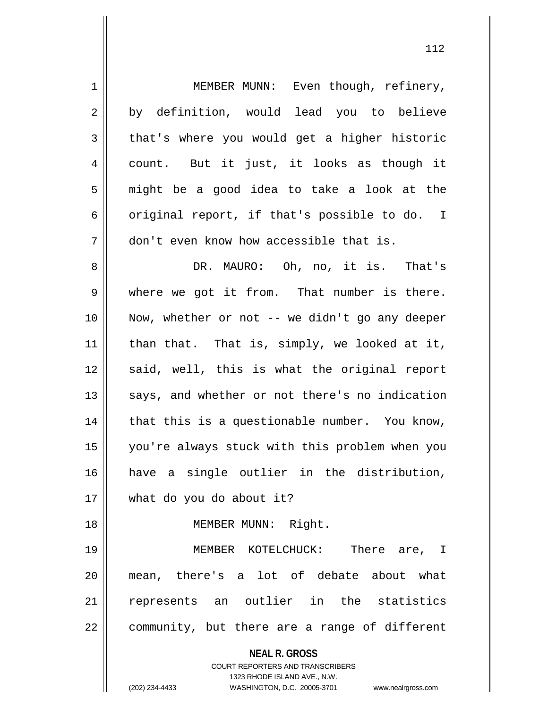| $\mathbf 1$ | MEMBER MUNN: Even though, refinery,                              |
|-------------|------------------------------------------------------------------|
| 2           | by definition, would lead you to believe                         |
| 3           | that's where you would get a higher historic                     |
| 4           | count. But it just, it looks as though it                        |
| 5           | might be a good idea to take a look at the                       |
| 6           | original report, if that's possible to do. I                     |
| 7           | don't even know how accessible that is.                          |
| 8           | DR. MAURO: Oh, no, it is. That's                                 |
| $\mathsf 9$ | where we got it from. That number is there.                      |
| 10          | Now, whether or not -- we didn't go any deeper                   |
| 11          | than that. That is, simply, we looked at it,                     |
| 12          | said, well, this is what the original report                     |
| 13          | says, and whether or not there's no indication                   |
| 14          | that this is a questionable number. You know,                    |
| 15          | you're always stuck with this problem when you                   |
| 16          | have a single outlier in the distribution,                       |
| 17          | what do you do about it?                                         |
| 18          | MEMBER MUNN: Right.                                              |
| 19          | MEMBER KOTELCHUCK: There are, I                                  |
| 20          | mean, there's a lot of debate about what                         |
| 21          | represents an outlier in the statistics                          |
| 22          | community, but there are a range of different                    |
|             | <b>NEAL R. GROSS</b>                                             |
|             | <b>COURT REPORTERS AND TRANSCRIBERS</b>                          |
|             | 1323 RHODE ISLAND AVE., N.W.                                     |
|             | (202) 234-4433<br>WASHINGTON, D.C. 20005-3701 www.nealrgross.com |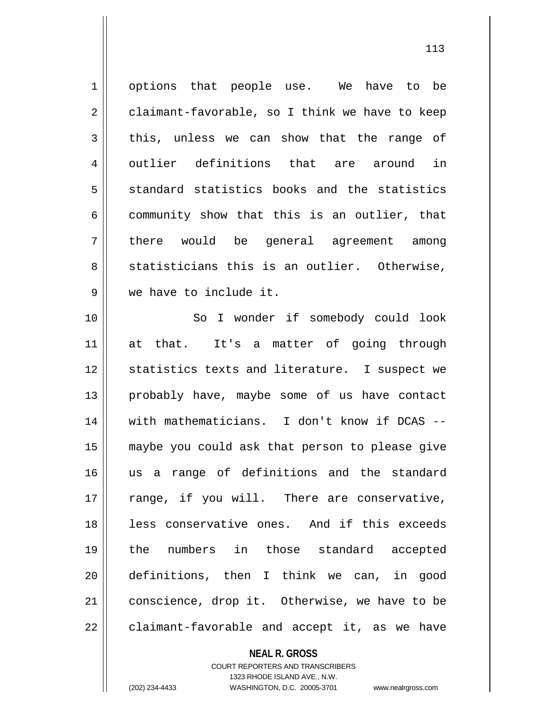1 options that people use. We have to be 2 claimant-favorable, so I think we have to keep  $3 \parallel$  this, unless we can show that the range of 4 || outlier definitions that are around in  $5 \parallel$  standard statistics books and the statistics  $6 \parallel$  community show that this is an outlier, that 7 || there would be general agreement among  $8 \parallel$  statisticians this is an outlier. Otherwise, 9 we have to include it. 10 || So I wonder if somebody could look 11 at that. It's a matter of going through 12 || statistics texts and literature. I suspect we 13 || probably have, maybe some of us have contact 14 with mathematicians. I don't know if DCAS -- 15 maybe you could ask that person to please give 16 us a range of definitions and the standard 17 || range, if you will. There are conservative, 18 || less conservative ones. And if this exceeds 19 the numbers in those standard accepted 20 definitions, then I think we can, in good 21 | conscience, drop it. Otherwise, we have to be  $22$  | claimant-favorable and accept it, as we have

**NEAL R. GROSS**

COURT REPORTERS AND TRANSCRIBERS 1323 RHODE ISLAND AVE., N.W. (202) 234-4433 WASHINGTON, D.C. 20005-3701 www.nealrgross.com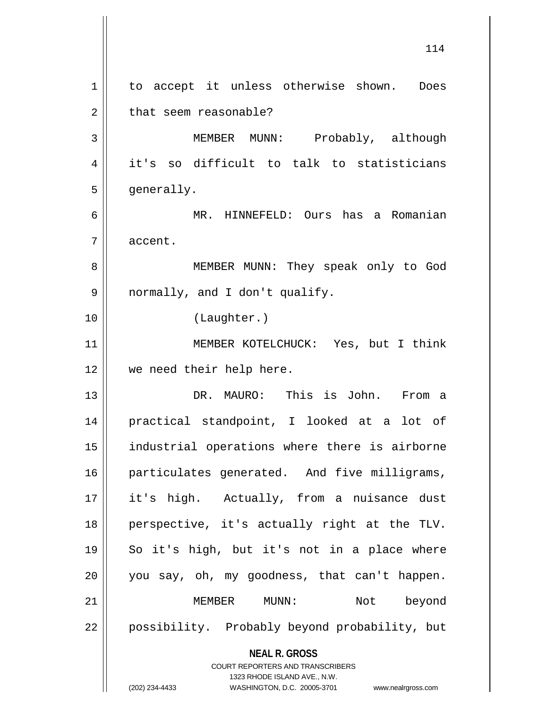**NEAL R. GROSS** COURT REPORTERS AND TRANSCRIBERS 1323 RHODE ISLAND AVE., N.W. (202) 234-4433 WASHINGTON, D.C. 20005-3701 www.nealrgross.com 114 1 to accept it unless otherwise shown. Does 2 | that seem reasonable? 3 MEMBER MUNN: Probably, although 4 it's so difficult to talk to statisticians 5 | generally. 6 MR. HINNEFELD: Ours has a Romanian 7 accent. 8 || MEMBER MUNN: They speak only to God 9 || normally, and I don't qualify. 10 (Laughter.) 11 MEMBER KOTELCHUCK: Yes, but I think 12 we need their help here. 13 DR. MAURO: This is John. From a 14 practical standpoint, I looked at a lot of 15 industrial operations where there is airborne 16 || particulates generated. And five milligrams, 17 it's high. Actually, from a nuisance dust 18 perspective, it's actually right at the TLV. 19 So it's high, but it's not in a place where 20 || you say, oh, my goodness, that can't happen. 21 MEMBER MUNN: Not beyond 22 || possibility. Probably beyond probability, but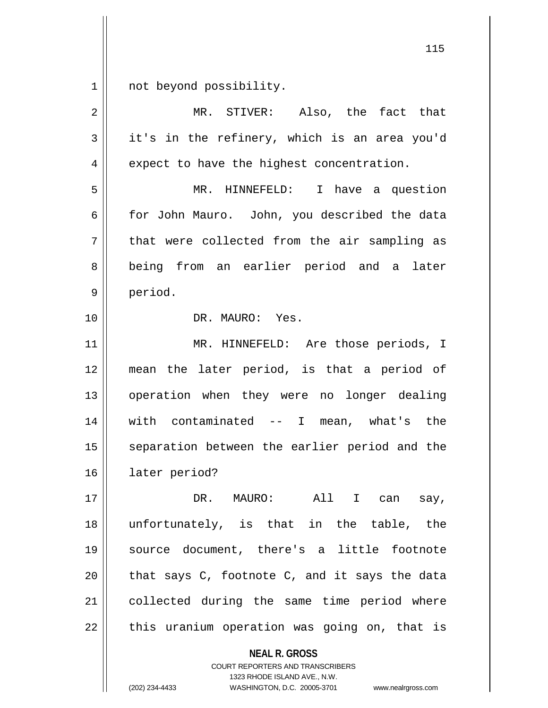$1 \parallel$  not beyond possibility.

| $\overline{2}$ | MR. STIVER: Also, the fact that               |
|----------------|-----------------------------------------------|
| 3              | it's in the refinery, which is an area you'd  |
| 4              | expect to have the highest concentration.     |
| 5              | MR. HINNEFELD: I have a question              |
| 6              | for John Mauro. John, you described the data  |
| 7              | that were collected from the air sampling as  |
| 8              | being from an earlier period and a later      |
| $\mathsf 9$    | period.                                       |
| 10             | DR. MAURO: Yes.                               |
| 11             | MR. HINNEFELD: Are those periods, I           |
| 12             | mean the later period, is that a period of    |
| 13             | operation when they were no longer dealing    |
| 14             | with contaminated $--$ I mean, what's the     |
| 15             | separation between the earlier period and the |
| 16             | later period?                                 |
| 17             | DR.<br>All<br>I can<br>MAURO:<br>say,         |
| 18             | unfortunately, is that in the table, the      |
| 19             | source document, there's a little footnote    |
| 20             | that says C, footnote C, and it says the data |
| 21             | collected during the same time period where   |
| 22             | this uranium operation was going on, that is  |
|                | <b>NEAL R. GROSS</b>                          |

COURT REPORTERS AND TRANSCRIBERS 1323 RHODE ISLAND AVE., N.W.

(202) 234-4433 WASHINGTON, D.C. 20005-3701 www.nealrgross.com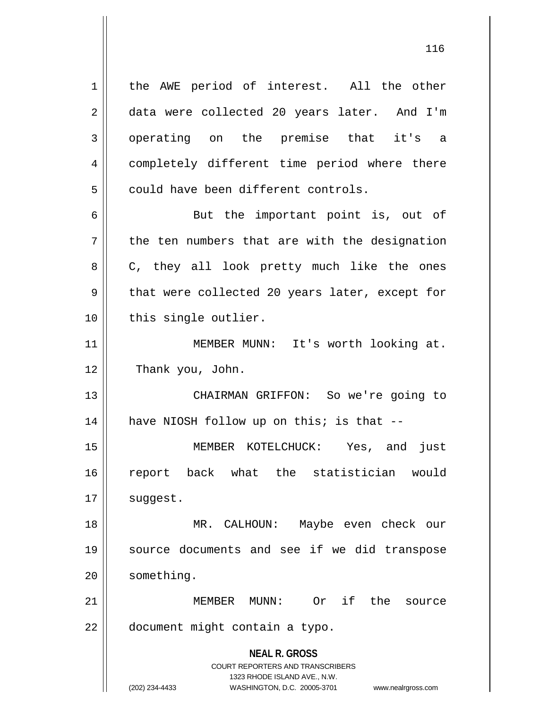**NEAL R. GROSS** COURT REPORTERS AND TRANSCRIBERS 1323 RHODE ISLAND AVE., N.W. 1 | the AWE period of interest. All the other 2 data were collected 20 years later. And I'm 3 operating on the premise that it's a 4 | completely different time period where there  $5$   $\parallel$  could have been different controls. 6 || But the important point is, out of  $7 \parallel$  the ten numbers that are with the designation 8 || C, they all look pretty much like the ones  $9 \parallel$  that were collected 20 years later, except for 10 || this single outlier. 11 || **MEMBER MUNN:** It's worth looking at. 12 | Thank you, John. 13 CHAIRMAN GRIFFON: So we're going to  $14$  | have NIOSH follow up on this; is that --15 MEMBER KOTELCHUCK: Yes, and just 16 report back what the statistician would  $17$  || suggest. 18 MR. CALHOUN: Maybe even check our 19 source documents and see if we did transpose 20 | something. 21 MEMBER MUNN: Or if the source 22 | document might contain a typo.

(202) 234-4433 WASHINGTON, D.C. 20005-3701 www.nealrgross.com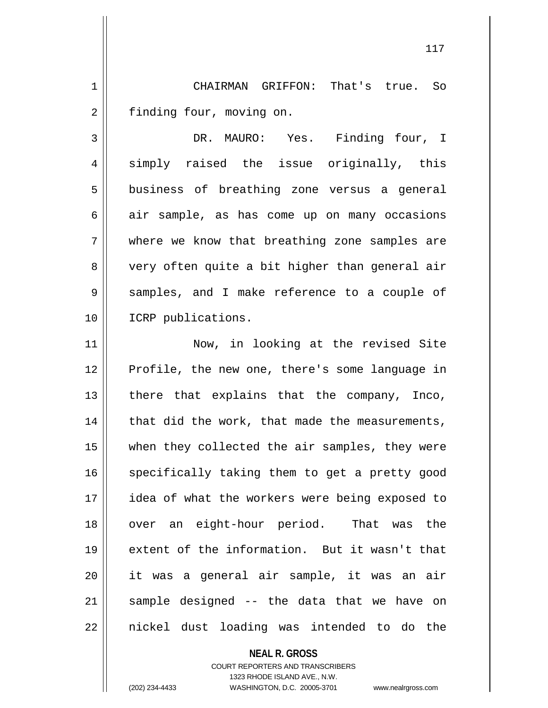1 CHAIRMAN GRIFFON: That's true. So 2 | finding four, moving on.

3 DR. MAURO: Yes. Finding four, I 4 simply raised the issue originally, this 5 | business of breathing zone versus a general  $6 \parallel$  air sample, as has come up on many occasions 7 Where we know that breathing zone samples are 8 || very often quite a bit higher than general air 9 || samples, and I make reference to a couple of 10 ICRP publications.

11 || Now, in looking at the revised Site Profile, the new one, there's some language in | there that explains that the company, Inco, | that did the work, that made the measurements, when they collected the air samples, they were 16 || specifically taking them to get a pretty good idea of what the workers were being exposed to 18 || over an eight-hour period. That was the extent of the information. But it wasn't that it was a general air sample, it was an air 21 || sample designed -- the data that we have on || nickel dust loading was intended to do the

## **NEAL R. GROSS** COURT REPORTERS AND TRANSCRIBERS 1323 RHODE ISLAND AVE., N.W. (202) 234-4433 WASHINGTON, D.C. 20005-3701 www.nealrgross.com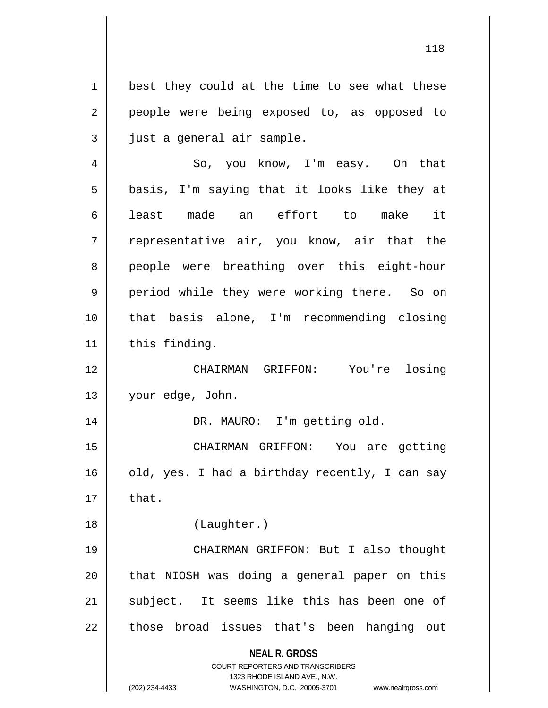**NEAL R. GROSS** COURT REPORTERS AND TRANSCRIBERS 1323 RHODE ISLAND AVE., N.W.  $1 \parallel$  best they could at the time to see what these 2 || people were being exposed to, as opposed to  $3 \parallel$  just a general air sample. 4 So, you know, I'm easy. On that  $5 \parallel$  basis, I'm saying that it looks like they at 6|| least made an effort to make it 7 || representative air, you know, air that the 8 people were breathing over this eight-hour 9 || period while they were working there. So on 10 that basis alone, I'm recommending closing  $11$  | this finding. 12 CHAIRMAN GRIFFON: You're losing 13 | your edge, John. 14 || DR. MAURO: I'm getting old. 15 CHAIRMAN GRIFFON: You are getting  $16$  | old, yes. I had a birthday recently, I can say  $17 \parallel$  that. 18 || (Laughter.) 19 CHAIRMAN GRIFFON: But I also thought  $20$  || that NIOSH was doing a general paper on this 21 || subject. It seems like this has been one of 22 || those broad issues that's been hanging out

<sup>(202) 234-4433</sup> WASHINGTON, D.C. 20005-3701 www.nealrgross.com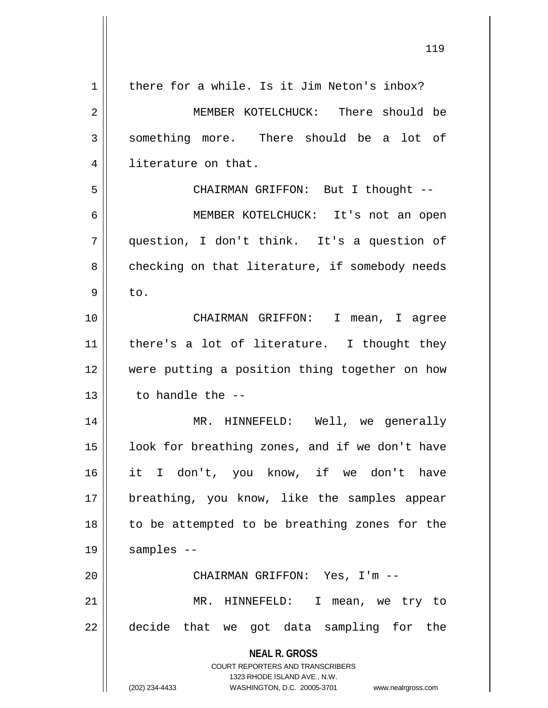| 1  | there for a while. Is it Jim Neton's inbox?                                                         |
|----|-----------------------------------------------------------------------------------------------------|
| 2  | MEMBER KOTELCHUCK: There should be                                                                  |
| 3  | something more. There should be a lot of                                                            |
| 4  | literature on that.                                                                                 |
| 5  | CHAIRMAN GRIFFON: But I thought --                                                                  |
| 6  | MEMBER KOTELCHUCK: It's not an open                                                                 |
| 7  | question, I don't think. It's a question of                                                         |
| 8  | checking on that literature, if somebody needs                                                      |
| 9  | to.                                                                                                 |
| 10 | CHAIRMAN GRIFFON: I mean, I agree                                                                   |
| 11 | there's a lot of literature. I thought they                                                         |
| 12 | were putting a position thing together on how                                                       |
| 13 | to handle the --                                                                                    |
| 14 | MR. HINNEFELD: Well, we generally                                                                   |
| 15 | look for breathing zones, and if we don't have                                                      |
| 16 | it I don't, you know, if we don't have                                                              |
| 17 | breathing, you know, like the samples appear                                                        |
| 18 | to be attempted to be breathing zones for the                                                       |
| 19 | samples --                                                                                          |
| 20 | CHAIRMAN GRIFFON: Yes, I'm --                                                                       |
| 21 | MR. HINNEFELD: I mean, we try to                                                                    |
| 22 | decide that we got data sampling for the                                                            |
|    | <b>NEAL R. GROSS</b>                                                                                |
|    | <b>COURT REPORTERS AND TRANSCRIBERS</b>                                                             |
|    | 1323 RHODE ISLAND AVE., N.W.<br>(202) 234-4433<br>WASHINGTON, D.C. 20005-3701<br>www.nealrgross.com |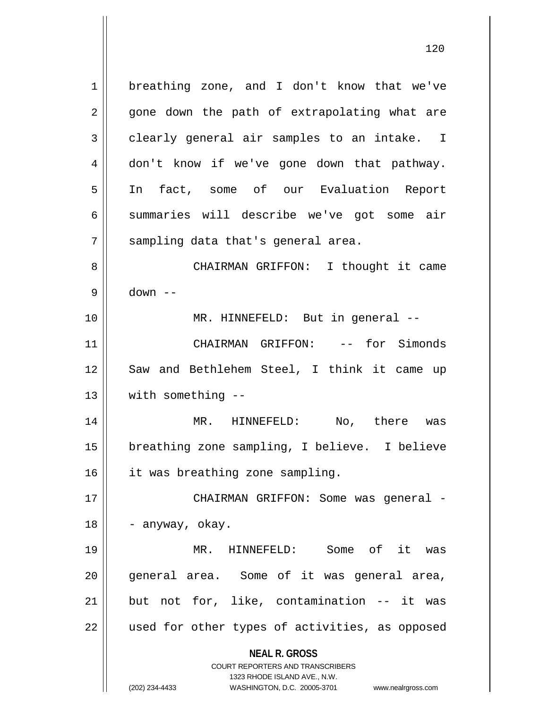**NEAL R. GROSS** COURT REPORTERS AND TRANSCRIBERS 1323 RHODE ISLAND AVE., N.W. (202) 234-4433 WASHINGTON, D.C. 20005-3701 www.nealrgross.com 1 | breathing zone, and I don't know that we've  $2 \parallel$  gone down the path of extrapolating what are  $3 \parallel$  clearly general air samples to an intake. I 4 don't know if we've gone down that pathway. 5 In fact, some of our Evaluation Report 6 summaries will describe we've got some air  $7$  | sampling data that's general area. 8 CHAIRMAN GRIFFON: I thought it came 9 down -- 10 || MR. HINNEFELD: But in general --11 CHAIRMAN GRIFFON: -- for Simonds 12 || Saw and Bethlehem Steel, I think it came up 13 || with something --14 MR. HINNEFELD: No, there was 15 || breathing zone sampling, I believe. I believe 16 | it was breathing zone sampling. 17 CHAIRMAN GRIFFON: Some was general -  $18 \parallel -\text{anyway}, \text{ okay}.$ 19 MR. HINNEFELD: Some of it was 20 general area. Some of it was general area, 21 but not for, like, contamination -- it was 22 || used for other types of activities, as opposed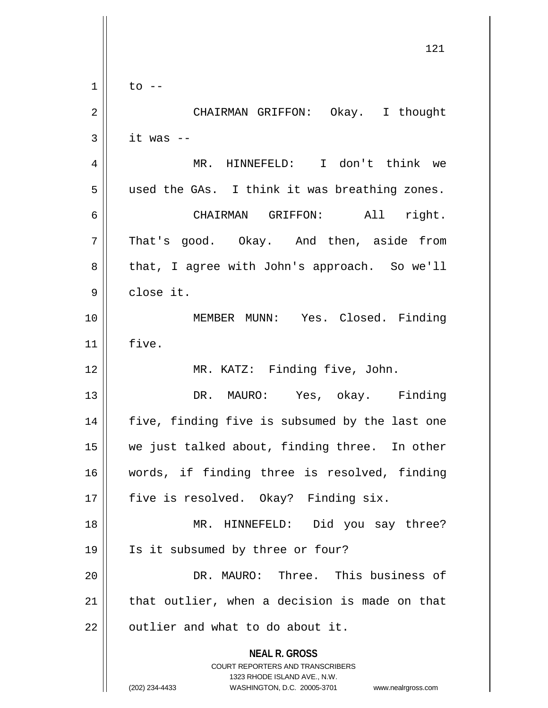|             | 121                                                                                                 |
|-------------|-----------------------------------------------------------------------------------------------------|
| $\mathbf 1$ | $\overline{t}$ o --                                                                                 |
| 2           | CHAIRMAN GRIFFON: Okay. I thought                                                                   |
| 3           | it was --                                                                                           |
| 4           | MR. HINNEFELD: I don't think we                                                                     |
| 5           | used the GAs. I think it was breathing zones.                                                       |
| 6           | CHAIRMAN GRIFFON: All right.                                                                        |
| 7           | That's good. Okay. And then, aside from                                                             |
| 8           | that, I agree with John's approach. So we'll                                                        |
| 9           | close it.                                                                                           |
| 10          | MEMBER MUNN: Yes. Closed. Finding                                                                   |
| 11          | five.                                                                                               |
| 12          | MR. KATZ: Finding five, John.                                                                       |
| 13          | DR. MAURO: Yes, okay. Finding                                                                       |
| 14          | five, finding five is subsumed by the last one                                                      |
| 15          | we just talked about, finding three. In other                                                       |
| 16          | words, if finding three is resolved, finding                                                        |
| 17          | five is resolved. Okay? Finding six.                                                                |
| 18          | MR. HINNEFELD: Did you say three?                                                                   |
| 19          | Is it subsumed by three or four?                                                                    |
| 20          | DR. MAURO: Three. This business of                                                                  |
| 21          | that outlier, when a decision is made on that                                                       |
| 22          | outlier and what to do about it.                                                                    |
|             | <b>NEAL R. GROSS</b><br>COURT REPORTERS AND TRANSCRIBERS                                            |
|             | 1323 RHODE ISLAND AVE., N.W.<br>(202) 234-4433<br>WASHINGTON, D.C. 20005-3701<br>www.nealrgross.com |

 $\mathsf{I}$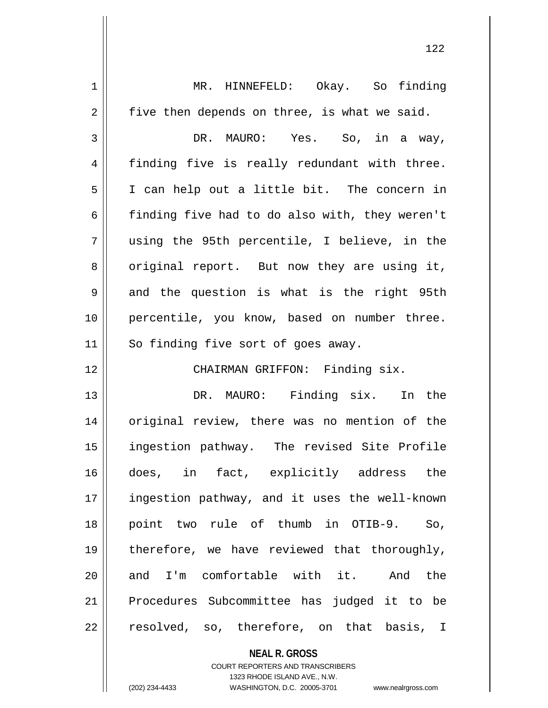| 1  | MR. HINNEFELD: Okay. So finding                |
|----|------------------------------------------------|
| 2  | five then depends on three, is what we said.   |
| 3  | DR. MAURO: Yes. So, in a way,                  |
| 4  | finding five is really redundant with three.   |
| 5  | I can help out a little bit. The concern in    |
| 6  | finding five had to do also with, they weren't |
| 7  | using the 95th percentile, I believe, in the   |
| 8  | original report. But now they are using it,    |
| 9  | and the question is what is the right 95th     |
| 10 | percentile, you know, based on number three.   |
| 11 | So finding five sort of goes away.             |
| 12 | CHAIRMAN GRIFFON: Finding six.                 |
| 13 | DR. MAURO: Finding six. In the                 |
| 14 | original review, there was no mention of the   |
| 15 | ingestion pathway. The revised Site Profile    |
| 16 | does, in fact, explicitly address the          |
| 17 | ingestion pathway, and it uses the well-known  |
| 18 | point two rule of thumb in OTIB-9.<br>So,      |
| 19 | therefore, we have reviewed that thoroughly,   |
| 20 | and I'm comfortable with it. And<br>the        |
| 21 | Procedures Subcommittee has judged it to be    |
| 22 | resolved, so, therefore, on that basis, I      |
|    |                                                |

**NEAL R. GROSS** COURT REPORTERS AND TRANSCRIBERS

1323 RHODE ISLAND AVE., N.W.

(202) 234-4433 WASHINGTON, D.C. 20005-3701 www.nealrgross.com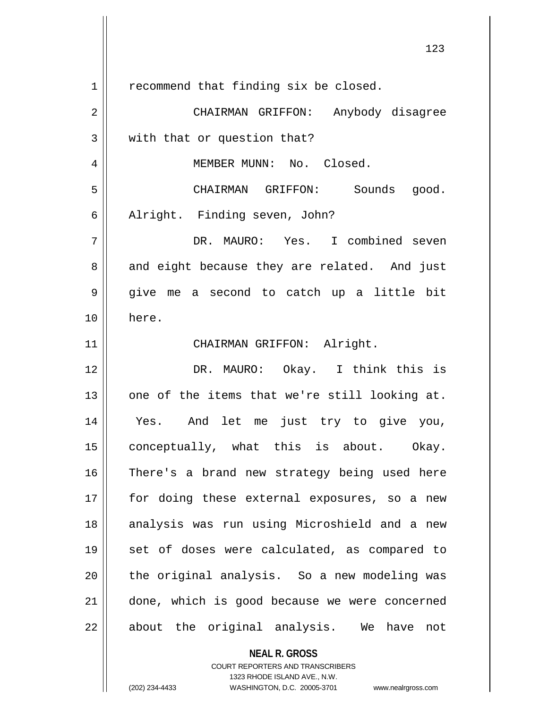| $\mathbf 1$ | recommend that finding six be closed.         |
|-------------|-----------------------------------------------|
| 2           | CHAIRMAN GRIFFON: Anybody disagree            |
| 3           | with that or question that?                   |
| 4           | MEMBER MUNN: No. Closed.                      |
| 5           | CHAIRMAN GRIFFON: Sounds good.                |
| 6           | Alright. Finding seven, John?                 |
| 7           | DR. MAURO: Yes. I combined seven              |
| 8           | and eight because they are related. And just  |
| 9           | give me a second to catch up a little bit     |
| 10          | here.                                         |
| 11          | CHAIRMAN GRIFFON: Alright.                    |
| 12          | DR. MAURO: Okay. I think this is              |
| 13          | one of the items that we're still looking at. |
| 14          | Yes. And let me just try to give you,         |
| 15          | conceptually, what this is about. Okay.       |
| 16          | There's a brand new strategy being used here  |
| 17          | for doing these external exposures, so a new  |
| 18          | analysis was run using Microshield and a new  |
| 19          | set of doses were calculated, as compared to  |
| 20          | the original analysis. So a new modeling was  |
| 21          | done, which is good because we were concerned |
| 22          | about the original analysis. We have<br>not   |
|             | <b>NEAL R. GROSS</b>                          |

COURT REPORTERS AND TRANSCRIBERS 1323 RHODE ISLAND AVE., N.W.

 $\mathsf{II}$ 

(202) 234-4433 WASHINGTON, D.C. 20005-3701 www.nealrgross.com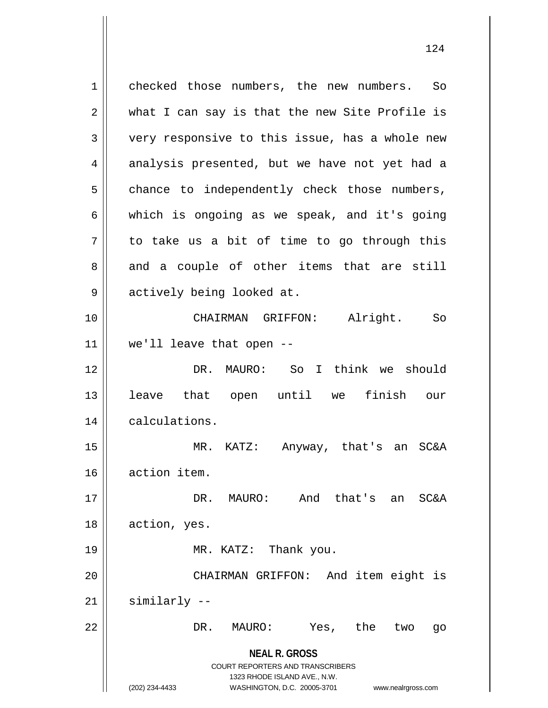**NEAL R. GROSS** COURT REPORTERS AND TRANSCRIBERS 1323 RHODE ISLAND AVE., N.W. (202) 234-4433 WASHINGTON, D.C. 20005-3701 www.nealrgross.com 1 checked those numbers, the new numbers. So  $2 \parallel$  what I can say is that the new Site Profile is 3 very responsive to this issue, has a whole new 4 analysis presented, but we have not yet had a  $5 \parallel$  chance to independently check those numbers,  $6 \parallel$  which is ongoing as we speak, and it's going  $7 \parallel$  to take us a bit of time to go through this  $8 \parallel$  and a couple of other items that are still 9 || actively being looked at. 10 CHAIRMAN GRIFFON: Alright. So  $11$  | we'll leave that open --12 DR. MAURO: So I think we should 13 leave that open until we finish our 14 | calculations. 15 MR. KATZ: Anyway, that's an SC&A 16 action item. 17 DR. MAURO: And that's an SC&A 18 | action, yes. 19 || MR. KATZ: Thank you. 20 CHAIRMAN GRIFFON: And item eight is  $21$  similarly  $-$ 22 || DR. MAURO: Yes, the two go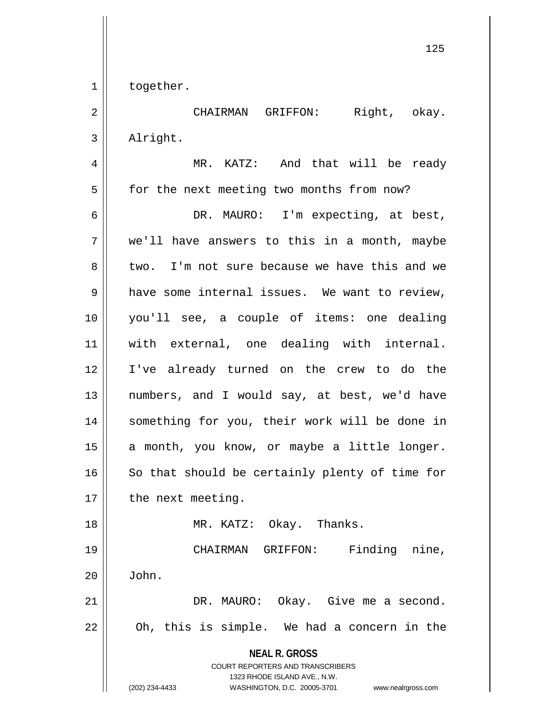1 | together.

2 CHAIRMAN GRIFFON: Right, okay. 3 | Alright.

**NEAL R. GROSS** COURT REPORTERS AND TRANSCRIBERS 1323 RHODE ISLAND AVE., N.W. (202) 234-4433 WASHINGTON, D.C. 20005-3701 www.nealrgross.com 4 MR. KATZ: And that will be ready 5 | for the next meeting two months from now? 6 DR. MAURO: I'm expecting, at best,  $7 \parallel$  we'll have answers to this in a month, maybe 8 two. I'm not sure because we have this and we 9 || have some internal issues. We want to review, 10 you'll see, a couple of items: one dealing 11 with external, one dealing with internal. 12 I've already turned on the crew to do the 13 || numbers, and I would say, at best, we'd have 14 || something for you, their work will be done in 15 || a month, you know, or maybe a little longer.  $16$  So that should be certainly plenty of time for  $17$  || the next meeting. 18 || MR. KATZ: Okay. Thanks. 19 CHAIRMAN GRIFFON: Finding nine,  $20 \parallel$  John. 21 | R. MAURO: Okay. Give me a second.  $22$  || Oh, this is simple. We had a concern in the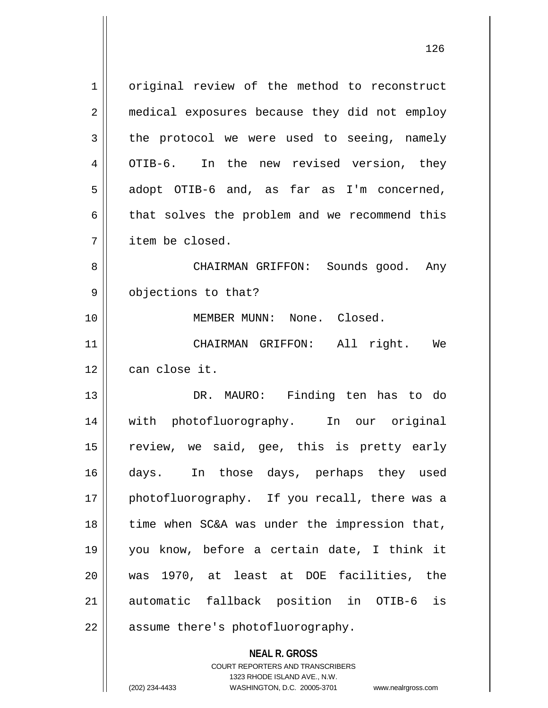1 | original review of the method to reconstruct 2 | medical exposures because they did not employ  $3 \parallel$  the protocol we were used to seeing, namely 4 | OTIB-6. In the new revised version, they  $5 \parallel$  adopt OTIB-6 and, as far as I'm concerned,  $6 \parallel$  that solves the problem and we recommend this 7 item be closed. 8 CHAIRMAN GRIFFON: Sounds good. Any 9 || objections to that? 10 MEMBER MUNN: None. Closed. 11 CHAIRMAN GRIFFON: All right. We 12 can close it. 13 || DR. MAURO: Finding ten has to do 14 with photofluorography. In our original 15  $\parallel$  review, we said, gee, this is pretty early 16 days. In those days, perhaps they used 17 || photofluorography. If you recall, there was a  $18$  | time when SC&A was under the impression that, 19 you know, before a certain date, I think it 20 was 1970, at least at DOE facilities, the 21 automatic fallback position in OTIB-6 is 22 || assume there's photofluorography.

> COURT REPORTERS AND TRANSCRIBERS 1323 RHODE ISLAND AVE., N.W. (202) 234-4433 WASHINGTON, D.C. 20005-3701 www.nealrgross.com

**NEAL R. GROSS**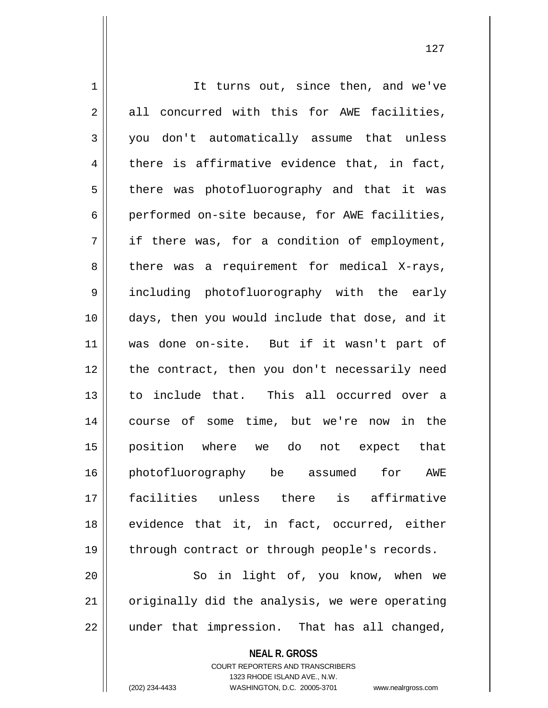1 | It turns out, since then, and we've  $2 \parallel$  all concurred with this for AWE facilities, 3 you don't automatically assume that unless  $4 \parallel$  there is affirmative evidence that, in fact, 5 || there was photofluorography and that it was  $6 \parallel$  performed on-site because, for AWE facilities,  $7 \parallel$  if there was, for a condition of employment,  $8 \parallel$  there was a requirement for medical X-rays, 9 || including photofluorography with the early 10 days, then you would include that dose, and it 11 was done on-site. But if it wasn't part of 12 || the contract, then you don't necessarily need 13 to include that. This all occurred over a 14 course of some time, but we're now in the 15 position where we do not expect that 16 photofluorography be assumed for AWE 17 facilities unless there is affirmative 18 || evidence that it, in fact, occurred, either 19 || through contract or through people's records. 20 || So in light of, you know, when we  $21$  | originally did the analysis, we were operating  $22$  || under that impression. That has all changed,

> COURT REPORTERS AND TRANSCRIBERS 1323 RHODE ISLAND AVE., N.W.

**NEAL R. GROSS**

(202) 234-4433 WASHINGTON, D.C. 20005-3701 www.nealrgross.com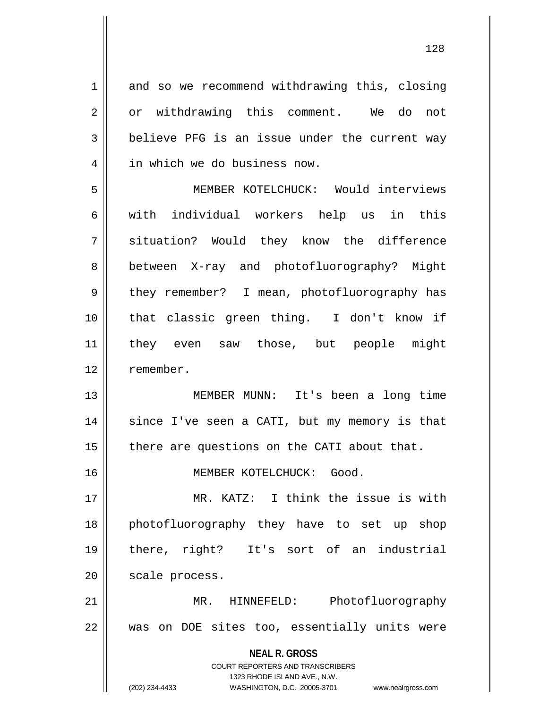1 and so we recommend withdrawing this, closing 2 || or withdrawing this comment. We do not  $3 \parallel$  believe PFG is an issue under the current way 4 || in which we do business now.

5 MEMBER KOTELCHUCK: Would interviews 6 || with individual workers help us in this 7 || situation? Would they know the difference 8 || between X-ray and photofluorography? Might 9 || they remember? I mean, photofluorography has 10 that classic green thing. I don't know if 11 they even saw those, but people might 12 remember.

13 MEMBER MUNN: It's been a long time 14 || since I've seen a CATI, but my memory is that  $15$  | there are questions on the CATI about that.

16 MEMBER KOTELCHUCK: Good.

 MR. KATZ: I think the issue is with photofluorography they have to set up shop there, right? It's sort of an industrial 20 | scale process.

21 MR. HINNEFELD: Photofluorography  $22$  || was on DOE sites too, essentially units were

> **NEAL R. GROSS** COURT REPORTERS AND TRANSCRIBERS 1323 RHODE ISLAND AVE., N.W. (202) 234-4433 WASHINGTON, D.C. 20005-3701 www.nealrgross.com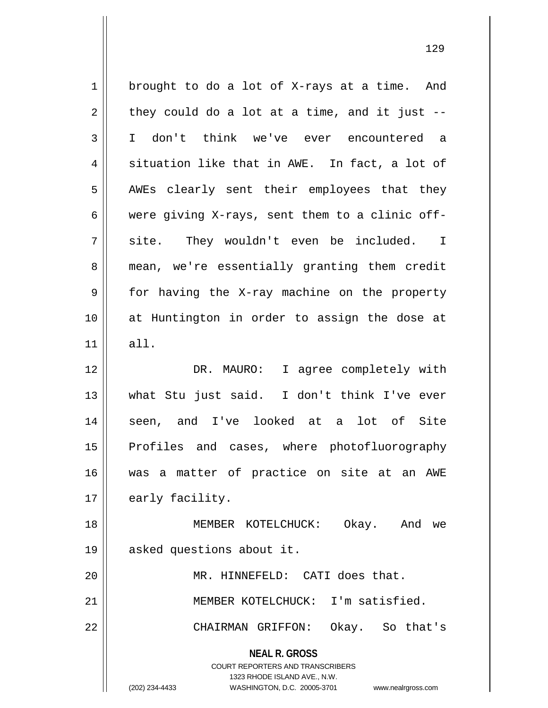**NEAL R. GROSS** COURT REPORTERS AND TRANSCRIBERS 1323 RHODE ISLAND AVE., N.W. (202) 234-4433 WASHINGTON, D.C. 20005-3701 www.nealrgross.com  $1 \parallel$  brought to do a lot of X-rays at a time. And  $2 \parallel$  they could do a lot at a time, and it just --3 I don't think we've ever encountered a  $4 \parallel$  situation like that in AWE. In fact, a lot of 5 || AWEs clearly sent their employees that they 6 were giving X-rays, sent them to a clinic off- $7 \parallel$  site. They wouldn't even be included. I 8 mean, we're essentially granting them credit 9 for having the X-ray machine on the property 10 at Huntington in order to assign the dose at  $11$  all. 12 DR. MAURO: I agree completely with 13 what Stu just said. I don't think I've ever 14 || seen, and I've looked at a lot of Site 15 || Profiles and cases, where photofluorography 16 was a matter of practice on site at an AWE 17 | early facility. 18 MEMBER KOTELCHUCK: Okay. And we 19 asked questions about it. 20 || MR. HINNEFELD: CATI does that. 21 MEMBER KOTELCHUCK: I'm satisfied. 22 CHAIRMAN GRIFFON: Okay. So that's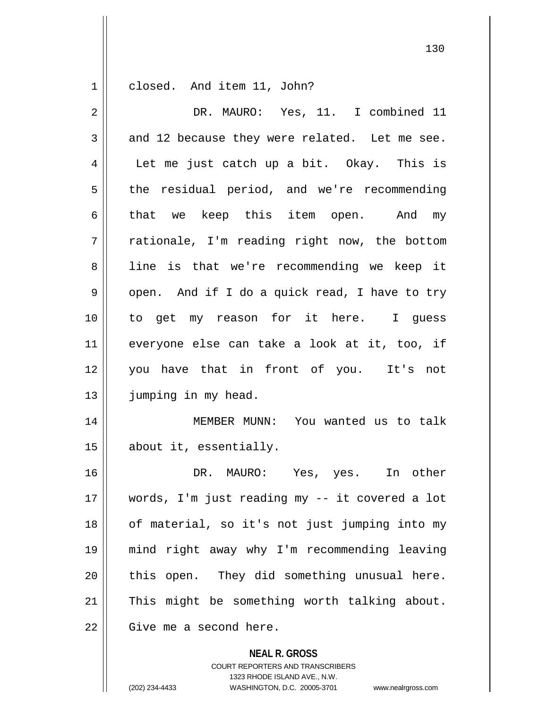1 closed. And item 11, John?

| $\overline{2}$ | DR. MAURO: Yes, 11. I combined 11              |
|----------------|------------------------------------------------|
| 3              | and 12 because they were related. Let me see.  |
| 4              | Let me just catch up a bit. Okay. This is      |
| 5              | the residual period, and we're recommending    |
| 6              | that we keep this item open. And my            |
| 7              | rationale, I'm reading right now, the bottom   |
| 8              | line is that we're recommending we keep it     |
| 9              | open. And if I do a quick read, I have to try  |
| 10             | to get my reason for it here. I guess          |
| 11             | everyone else can take a look at it, too, if   |
| 12             | you have that in front of you. It's not        |
| 13             | jumping in my head.                            |
| 14             | MEMBER MUNN: You wanted us to talk             |
| 15             | about it, essentially.                         |
| 16             | DR. MAURO: Yes, yes. In other                  |
| 17             | words, I'm just reading my -- it covered a lot |
| 18             | of material, so it's not just jumping into my  |
| 19             | mind right away why I'm recommending leaving   |
| 20             | this open. They did something unusual here.    |
| 21             | This might be something worth talking about.   |
| 22             | Give me a second here.                         |
|                | <b>NEAL R. GROSS</b>                           |

COURT REPORTERS AND TRANSCRIBERS 1323 RHODE ISLAND AVE., N.W. (202) 234-4433 WASHINGTON, D.C. 20005-3701 www.nealrgross.com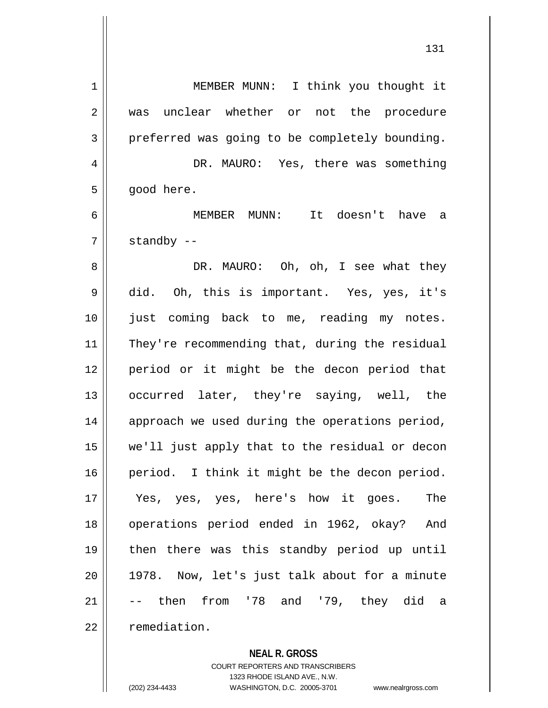| 1  | MEMBER MUNN: I think you thought it            |
|----|------------------------------------------------|
| 2  | unclear whether or not the procedure<br>was    |
| 3  | preferred was going to be completely bounding. |
| 4  | DR. MAURO: Yes, there was something            |
| 5  | good here.                                     |
| 6  | MEMBER MUNN:<br>It doesn't have a              |
| 7  | standby --                                     |
| 8  | DR. MAURO: Oh, oh, I see what they             |
| 9  | did. Oh, this is important. Yes, yes, it's     |
| 10 | just coming back to me, reading my notes.      |
| 11 | They're recommending that, during the residual |
| 12 | period or it might be the decon period that    |
| 13 | occurred later, they're saying, well, the      |
| 14 | approach we used during the operations period, |
| 15 | we'll just apply that to the residual or decon |
| 16 | period. I think it might be the decon period.  |
| 17 | The<br>Yes, yes, yes, here's how it goes.      |
| 18 | operations period ended in 1962, okay?<br>And  |
| 19 | then there was this standby period up until    |
| 20 | 1978. Now, let's just talk about for a minute  |
| 21 | -- then from '78 and '79, they did a           |
| 22 | remediation.                                   |

**NEAL R. GROSS** COURT REPORTERS AND TRANSCRIBERS

1323 RHODE ISLAND AVE., N.W.

(202) 234-4433 WASHINGTON, D.C. 20005-3701 www.nealrgross.com

 $\mathbf{I}$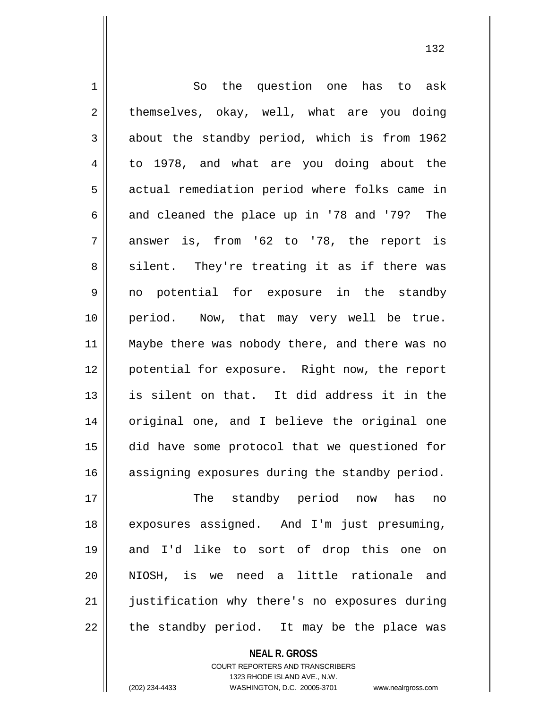1 || So the question one has to ask  $2 \parallel$  themselves, okay, well, what are you doing  $3 \parallel$  about the standby period, which is from 1962 4 to 1978, and what are you doing about the 5 | actual remediation period where folks came in 6  $\parallel$  and cleaned the place up in '78 and '79? The  $7 \parallel$  answer is, from '62 to '78, the report is  $8 \parallel$  silent. They're treating it as if there was 9 || no potential for exposure in the standby 10 period. Now, that may very well be true. 11 || Maybe there was nobody there, and there was no 12 potential for exposure. Right now, the report 13 is silent on that. It did address it in the 14 || original one, and I believe the original one 15 did have some protocol that we questioned for 16 || assigning exposures during the standby period. 17 The standby period now has no 18 exposures assigned. And I'm just presuming, 19 and I'd like to sort of drop this one on 20 NIOSH, is we need a little rationale and 21 || justification why there's no exposures during

 $22$  || the standby period. It may be the place was

**NEAL R. GROSS**

COURT REPORTERS AND TRANSCRIBERS 1323 RHODE ISLAND AVE., N.W. (202) 234-4433 WASHINGTON, D.C. 20005-3701 www.nealrgross.com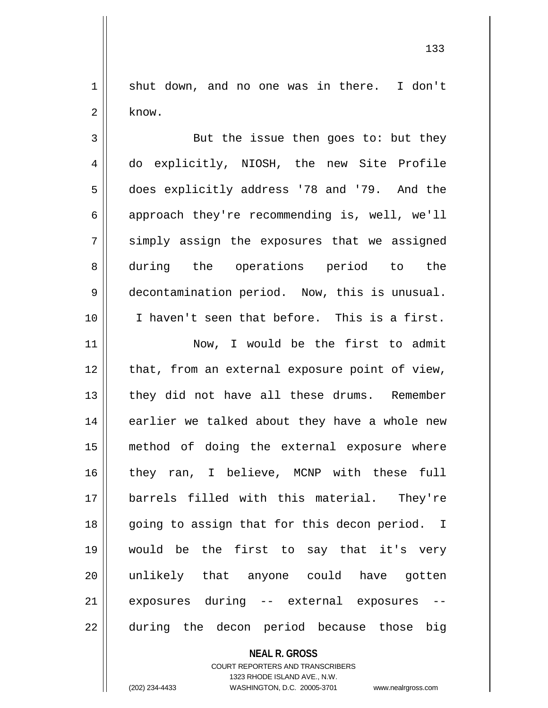1 || shut down, and no one was in there. I don't  $2 \parallel$  know.

3 || But the issue then goes to: but they 4 do explicitly, NIOSH, the new Site Profile 5 does explicitly address '78 and '79. And the  $6 \parallel$  approach they're recommending is, well, we'll 7 || simply assign the exposures that we assigned 8 || during the operations period to the 9 | decontamination period. Now, this is unusual. 10 I haven't seen that before. This is a first. 11 || Now, I would be the first to admit

12 || that, from an external exposure point of view, 13 || they did not have all these drums. Remember 14 || earlier we talked about they have a whole new 15 method of doing the external exposure where 16 they ran, I believe, MCNP with these full 17 barrels filled with this material. They're 18 || going to assign that for this decon period. I 19 would be the first to say that it's very 20 unlikely that anyone could have gotten  $21$  exposures during  $-$  external exposures 22 || during the decon period because those big

## **NEAL R. GROSS**

## COURT REPORTERS AND TRANSCRIBERS 1323 RHODE ISLAND AVE., N.W. (202) 234-4433 WASHINGTON, D.C. 20005-3701 www.nealrgross.com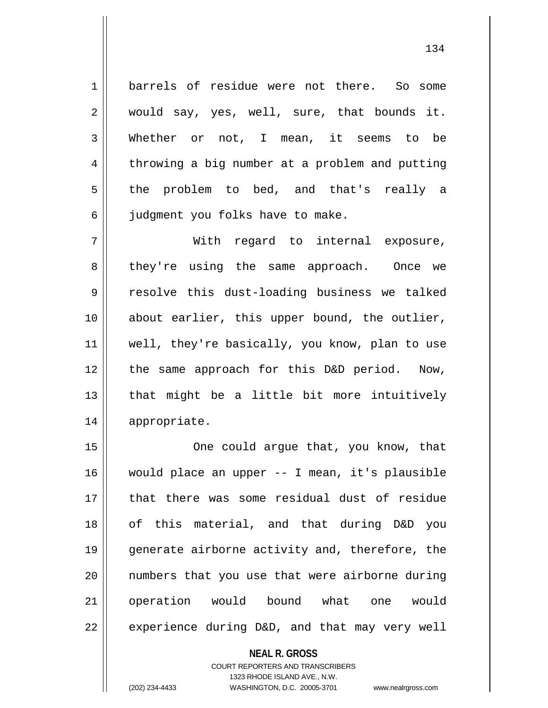1 barrels of residue were not there. So some  $2 \parallel$  would say, yes, well, sure, that bounds it. 3 || Whether or not, I mean, it seems to be 4 throwing a big number at a problem and putting 5 the problem to bed, and that's really a 6 || judgment you folks have to make.

7 With regard to internal exposure, 8 they're using the same approach. Once we 9 || resolve this dust-loading business we talked 10 || about earlier, this upper bound, the outlier, 11 || well, they're basically, you know, plan to use 12 || the same approach for this D&D period. Now,  $13$  || that might be a little bit more intuitively 14 appropriate.

15 || One could argue that, you know, that would place an upper -- I mean, it's plausible that there was some residual dust of residue of this material, and that during D&D you generate airborne activity and, therefore, the numbers that you use that were airborne during 21 | operation would bound what one would | experience during D&D, and that may very well

> **NEAL R. GROSS** COURT REPORTERS AND TRANSCRIBERS 1323 RHODE ISLAND AVE., N.W. (202) 234-4433 WASHINGTON, D.C. 20005-3701 www.nealrgross.com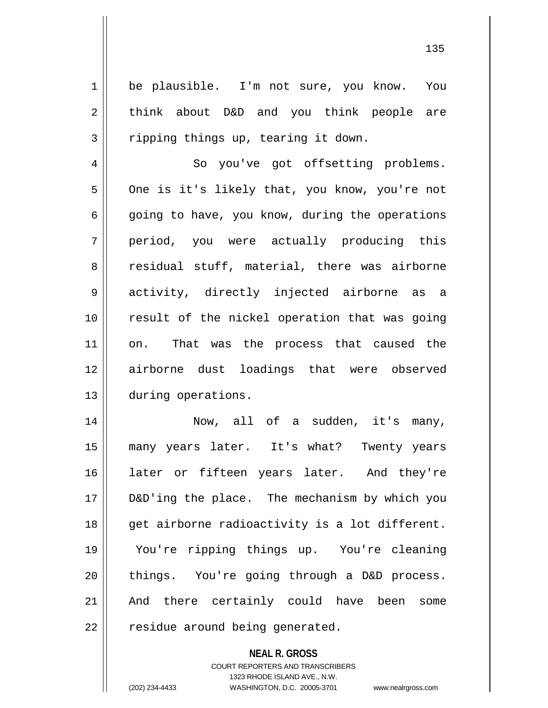1 be plausible. I'm not sure, you know. You  $2 \parallel$  think about D&D and you think people are  $3 \parallel$  ripping things up, tearing it down. 4 | So you've got offsetting problems. 5 | One is it's likely that, you know, you're not  $6 \parallel$  going to have, you know, during the operations 7 period, you were actually producing this 8 || residual stuff, material, there was airborne 9 activity, directly injected airborne as a 10 result of the nickel operation that was going 11 || on. That was the process that caused the 12 airborne dust loadings that were observed 13 during operations. 14 Now, all of a sudden, it's many, 15 many years later. It's what? Twenty years 16 later or fifteen years later. And they're 17 D&D'ing the place. The mechanism by which you 18 || get airborne radioactivity is a lot different. 19 You're ripping things up. You're cleaning 20 || things. You're going through a D&D process. 21 And there certainly could have been some 22 | residue around being generated.

> COURT REPORTERS AND TRANSCRIBERS 1323 RHODE ISLAND AVE., N.W.

**NEAL R. GROSS**

(202) 234-4433 WASHINGTON, D.C. 20005-3701 www.nealrgross.com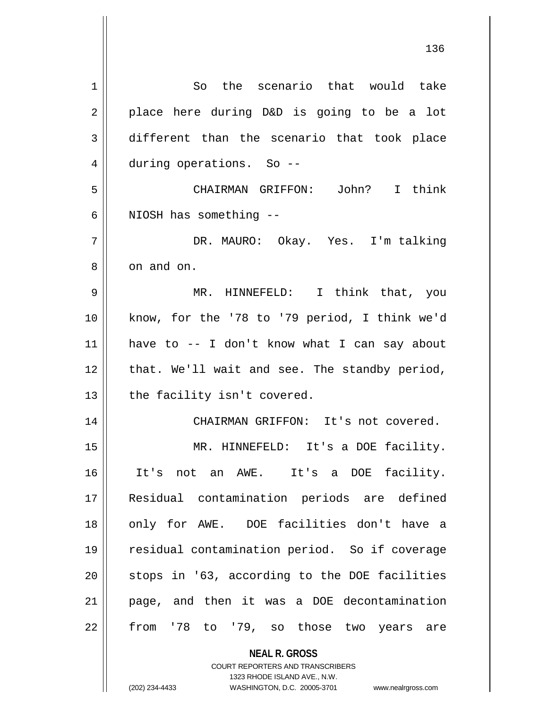| 1  | So the scenario that would take               |
|----|-----------------------------------------------|
| 2  | place here during D&D is going to be a lot    |
| 3  | different than the scenario that took place   |
| 4  | during operations. So --                      |
| 5  | CHAIRMAN GRIFFON: John? I think               |
| 6  | NIOSH has something --                        |
| 7  | DR. MAURO: Okay. Yes. I'm talking             |
| 8  | on and on.                                    |
| 9  | MR. HINNEFELD: I think that, you              |
| 10 | know, for the '78 to '79 period, I think we'd |
| 11 | have to -- I don't know what I can say about  |
| 12 | that. We'll wait and see. The standby period, |
| 13 | the facility isn't covered.                   |
| 14 | CHAIRMAN GRIFFON: It's not covered.           |
| 15 | MR. HINNEFELD: It's a DOE facility.           |
| 16 | It's not an AWE. It's a DOE facility.         |
| 17 | Residual contamination periods are defined    |
| 18 | only for AWE. DOE facilities don't have a     |
| 19 | residual contamination period. So if coverage |
| 20 | stops in '63, according to the DOE facilities |
| 21 | page, and then it was a DOE decontamination   |
| 22 | from '78 to '79, so those two years are       |
|    | <b>NEAL R. GROSS</b>                          |

COURT REPORTERS AND TRANSCRIBERS 1323 RHODE ISLAND AVE., N.W.

 $\mathsf{II}$ 

(202) 234-4433 WASHINGTON, D.C. 20005-3701 www.nealrgross.com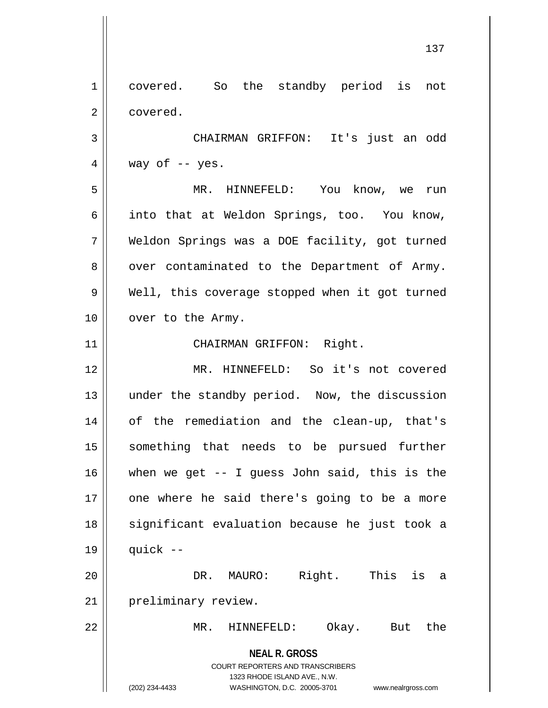**NEAL R. GROSS** COURT REPORTERS AND TRANSCRIBERS 1323 RHODE ISLAND AVE., N.W. (202) 234-4433 WASHINGTON, D.C. 20005-3701 www.nealrgross.com 1 || covered. So the standby period is not 2 | covered. 3 CHAIRMAN GRIFFON: It's just an odd  $4 \parallel$  way of -- yes. 5 MR. HINNEFELD: You know, we run 6 || into that at Weldon Springs, too. You know, 7 | Weldon Springs was a DOE facility, got turned  $8 \parallel$  over contaminated to the Department of Army. 9 || Well, this coverage stopped when it got turned 10 | over to the Army. 11 || CHAIRMAN GRIFFON: Right. 12 MR. HINNEFELD: So it's not covered 13 || under the standby period. Now, the discussion 14 || of the remediation and the clean-up, that's 15 something that needs to be pursued further 16  $\parallel$  when we get -- I guess John said, this is the 17 || one where he said there's going to be a more 18 || significant evaluation because he just took a  $19$  | quick --20 DR. MAURO: Right. This is a 21 | preliminary review. 22 MR. HINNEFELD: Okay. But the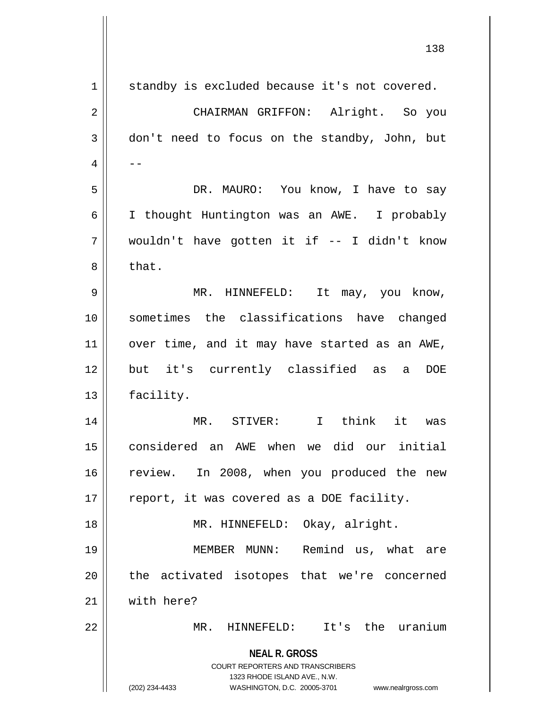| $\mathbf 1$    | standby is excluded because it's not covered.                                                                                                                       |
|----------------|---------------------------------------------------------------------------------------------------------------------------------------------------------------------|
| $\overline{2}$ | CHAIRMAN GRIFFON: Alright. So you                                                                                                                                   |
| 3              | don't need to focus on the standby, John, but                                                                                                                       |
| 4              |                                                                                                                                                                     |
| 5              | DR. MAURO: You know, I have to say                                                                                                                                  |
| 6              | I thought Huntington was an AWE. I probably                                                                                                                         |
| 7              | wouldn't have gotten it if -- I didn't know                                                                                                                         |
| 8              | that.                                                                                                                                                               |
| 9              | MR. HINNEFELD: It may, you know,                                                                                                                                    |
| 10             | sometimes the classifications have changed                                                                                                                          |
| 11             | over time, and it may have started as an AWE,                                                                                                                       |
| 12             | but it's currently classified as<br>a DOE                                                                                                                           |
| 13             | facility.                                                                                                                                                           |
| 14             | MR. STIVER: I think it was                                                                                                                                          |
| 15             | considered an AWE when we did our initial                                                                                                                           |
| 16             | review. In 2008, when you produced the new                                                                                                                          |
| 17             | report, it was covered as a DOE facility.                                                                                                                           |
| 18             | MR. HINNEFELD: Okay, alright.                                                                                                                                       |
| 19             | Remind us, what are<br>MEMBER MUNN:                                                                                                                                 |
| 20             | the activated isotopes that we're concerned                                                                                                                         |
| 21             | with here?                                                                                                                                                          |
| 22             | MR. HINNEFELD: It's the uranium                                                                                                                                     |
|                | <b>NEAL R. GROSS</b><br><b>COURT REPORTERS AND TRANSCRIBERS</b><br>1323 RHODE ISLAND AVE., N.W.<br>(202) 234-4433<br>WASHINGTON, D.C. 20005-3701 www.nealrgross.com |

 $\mathbf{I}$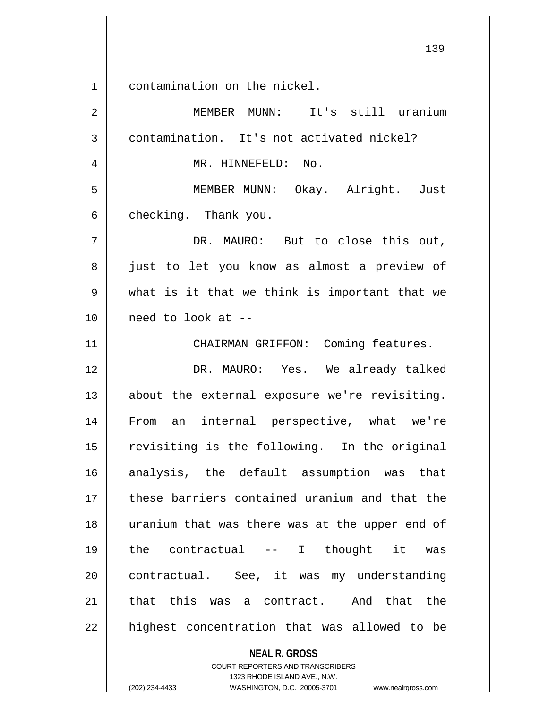1 contamination on the nickel.

**NEAL R. GROSS** COURT REPORTERS AND TRANSCRIBERS 2 MEMBER MUNN: It's still uranium 3 || contamination. It's not activated nickel? 4 || MR. HINNEFELD: No. 5 || MEMBER MUNN: Okay. Alright. Just  $6 \parallel$  checking. Thank you. 7 DR. MAURO: But to close this out, 8 || just to let you know as almost a preview of  $9 \parallel$  what is it that we think is important that we 10 need to look at -- 11 | CHAIRMAN GRIFFON: Coming features. 12 DR. MAURO: Yes. We already talked 13 || about the external exposure we're revisiting. 14 From an internal perspective, what we're 15 || revisiting is the following. In the original 16 analysis, the default assumption was that 17 these barriers contained uranium and that the 18 uranium that was there was at the upper end of 19 the contractual -- I thought it was 20 contractual. See, it was my understanding 21 that this was a contract. And that the  $22$  || highest concentration that was allowed to be

1323 RHODE ISLAND AVE., N.W.

(202) 234-4433 WASHINGTON, D.C. 20005-3701 www.nealrgross.com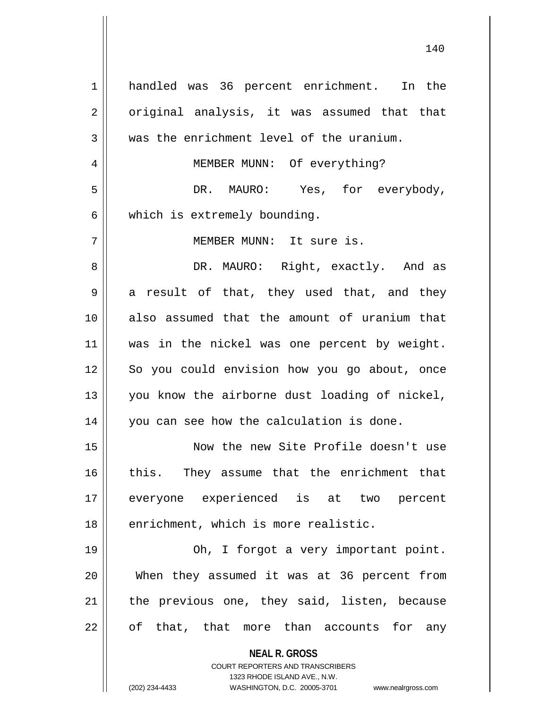| 1  | handled was 36 percent enrichment. In the                           |
|----|---------------------------------------------------------------------|
| 2  | original analysis, it was assumed that that                         |
| 3  | was the enrichment level of the uranium.                            |
| 4  | MEMBER MUNN: Of everything?                                         |
| 5  | DR. MAURO: Yes, for everybody,                                      |
| 6  | which is extremely bounding.                                        |
| 7  | MEMBER MUNN: It sure is.                                            |
| 8  | DR. MAURO: Right, exactly. And as                                   |
| 9  | a result of that, they used that, and they                          |
| 10 | also assumed that the amount of uranium that                        |
| 11 | was in the nickel was one percent by weight.                        |
| 12 | So you could envision how you go about, once                        |
| 13 | you know the airborne dust loading of nickel,                       |
| 14 | you can see how the calculation is done.                            |
| 15 | Now the new Site Profile doesn't use                                |
| 16 | this. They assume that the enrichment that                          |
| 17 | everyone experienced is at two percent                              |
| 18 | enrichment, which is more realistic.                                |
| 19 | Oh, I forgot a very important point.                                |
| 20 | When they assumed it was at 36 percent from                         |
| 21 | the previous one, they said, listen, because                        |
| 22 | of that, that more than accounts for any                            |
|    |                                                                     |
|    | <b>NEAL R. GROSS</b>                                                |
|    | COURT REPORTERS AND TRANSCRIBERS<br>1323 RHODE ISLAND AVE., N.W.    |
|    | (202) 234-4433<br>WASHINGTON, D.C. 20005-3701<br>www.nealrgross.com |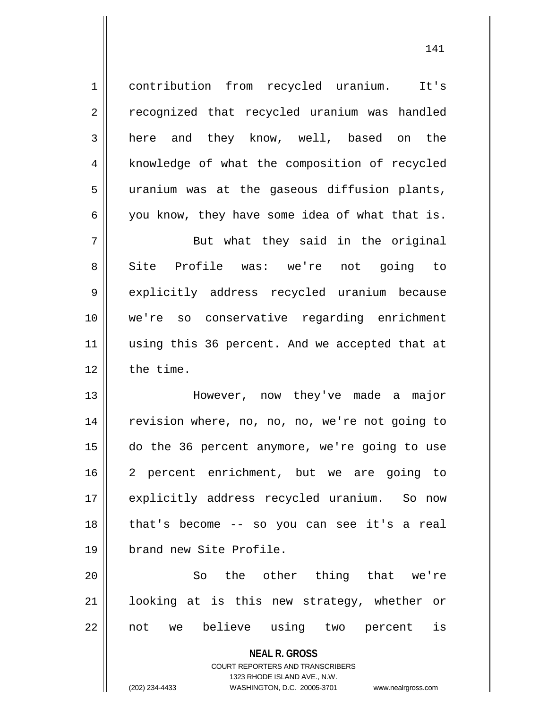1 contribution from recycled uranium. It's 2 || recognized that recycled uranium was handled 3 || here and they know, well, based on the 4 | knowledge of what the composition of recycled 5 | uranium was at the gaseous diffusion plants,  $6 \parallel$  you know, they have some idea of what that is. 7 || But what they said in the original 8 Site Profile was: we're not going to 9 explicitly address recycled uranium because 10 we're so conservative regarding enrichment 11 || using this 36 percent. And we accepted that at

 $12$  | the time.

 However, now they've made a major 14 || revision where, no, no, no, we're not going to do the 36 percent anymore, we're going to use 2 percent enrichment, but we are going to 17 || explicitly address recycled uranium. So now that's become -- so you can see it's a real brand new Site Profile.

20 || So the other thing that we're 21 looking at is this new strategy, whether or 22 || not we believe using two percent is

> **NEAL R. GROSS** COURT REPORTERS AND TRANSCRIBERS 1323 RHODE ISLAND AVE., N.W.

(202) 234-4433 WASHINGTON, D.C. 20005-3701 www.nealrgross.com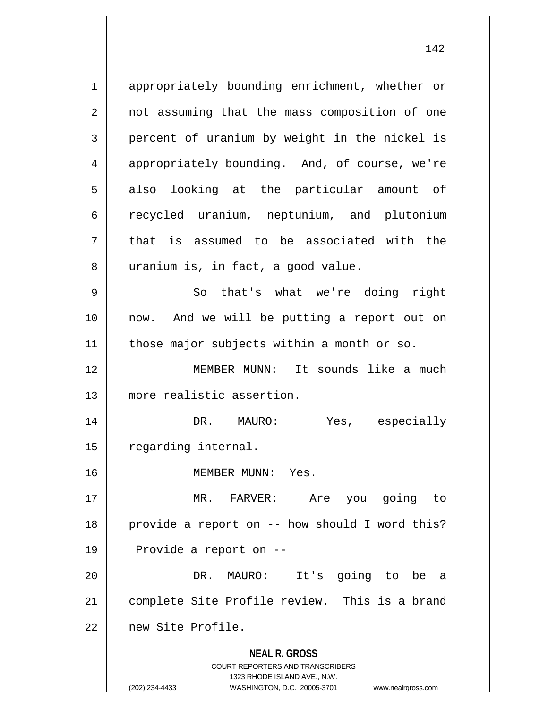**NEAL R. GROSS** COURT REPORTERS AND TRANSCRIBERS 1 || appropriately bounding enrichment, whether or 2 || not assuming that the mass composition of one  $3 \parallel$  percent of uranium by weight in the nickel is 4 appropriately bounding. And, of course, we're  $5 \parallel$  also looking at the particular amount of 6 recycled uranium, neptunium, and plutonium  $7$  || that is assumed to be associated with the 8 || uranium is, in fact, a good value. 9 So that's what we're doing right 10 now. And we will be putting a report out on 11 | those major subjects within a month or so. 12 MEMBER MUNN: It sounds like a much 13 more realistic assertion. 14 DR. MAURO: Yes, especially 15 | regarding internal. 16 MEMBER MUNN: Yes. 17 MR. FARVER: Are you going to  $18$  || provide a report on -- how should I word this? 19 | Provide a report on --20 DR. MAURO: It's going to be a 21 complete Site Profile review. This is a brand 22 new Site Profile.

1323 RHODE ISLAND AVE., N.W.

(202) 234-4433 WASHINGTON, D.C. 20005-3701 www.nealrgross.com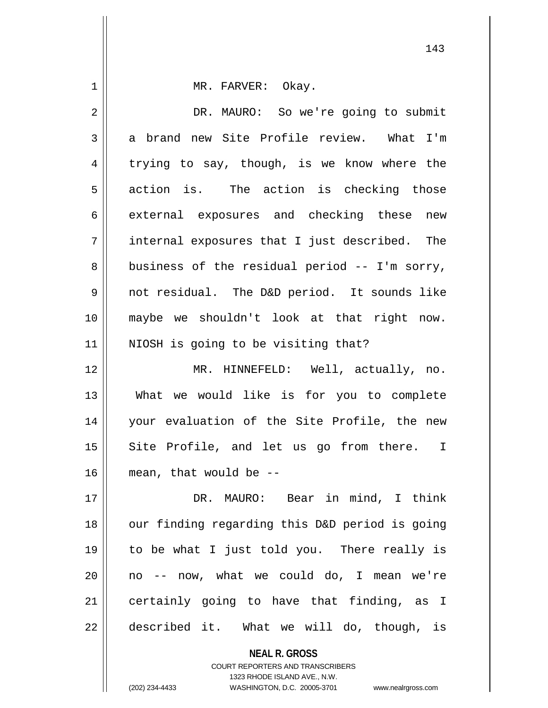1 || MR. FARVER: Okay. 2 | DR. MAURO: So we're going to submit 3 a brand new Site Profile review. What I'm  $4 \parallel$  trying to say, though, is we know where the  $5 \parallel$  action is. The action is checking those 6 external exposures and checking these new 7 internal exposures that I just described. The  $8 \parallel$  business of the residual period -- I'm sorry, 9 not residual. The D&D period. It sounds like 10 maybe we shouldn't look at that right now. 11 || NIOSH is going to be visiting that? 12 MR. HINNEFELD: Well, actually, no. 13 What we would like is for you to complete 14 your evaluation of the Site Profile, the new 15 || Site Profile, and let us go from there. I 16 mean, that would be --

 DR. MAURO: Bear in mind, I think 18 || our finding regarding this D&D period is going to be what I just told you. There really is || no -- now, what we could do, I mean we're certainly going to have that finding, as I 22 || described it. What we will do, though, is

> **NEAL R. GROSS** COURT REPORTERS AND TRANSCRIBERS 1323 RHODE ISLAND AVE., N.W. (202) 234-4433 WASHINGTON, D.C. 20005-3701 www.nealrgross.com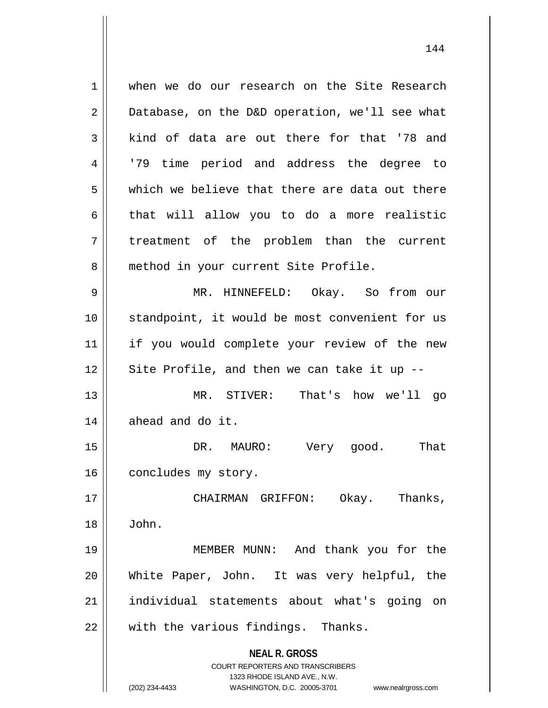**NEAL R. GROSS** COURT REPORTERS AND TRANSCRIBERS 1 when we do our research on the Site Research  $2 \parallel$  Database, on the D&D operation, we'll see what  $3$  kind of data are out there for that '78 and 4 || 179 time period and address the degree to 5 which we believe that there are data out there  $6 \parallel$  that will allow you to do a more realistic 7 || treatment of the problem than the current 8 || method in your current Site Profile. 9 MR. HINNEFELD: Okay. So from our 10 standpoint, it would be most convenient for us 11 || if you would complete your review of the new  $12$  Site Profile, and then we can take it up  $-$ 13 MR. STIVER: That's how we'll go  $14$  || ahead and do it. 15 DR. MAURO: Very good. That 16 | concludes my story. 17 CHAIRMAN GRIFFON: Okay. Thanks, 18 John. 19 MEMBER MUNN: And thank you for the 20 White Paper, John. It was very helpful, the 21 individual statements about what's going on 22 || with the various findings. Thanks.

1323 RHODE ISLAND AVE., N.W.

(202) 234-4433 WASHINGTON, D.C. 20005-3701 www.nealrgross.com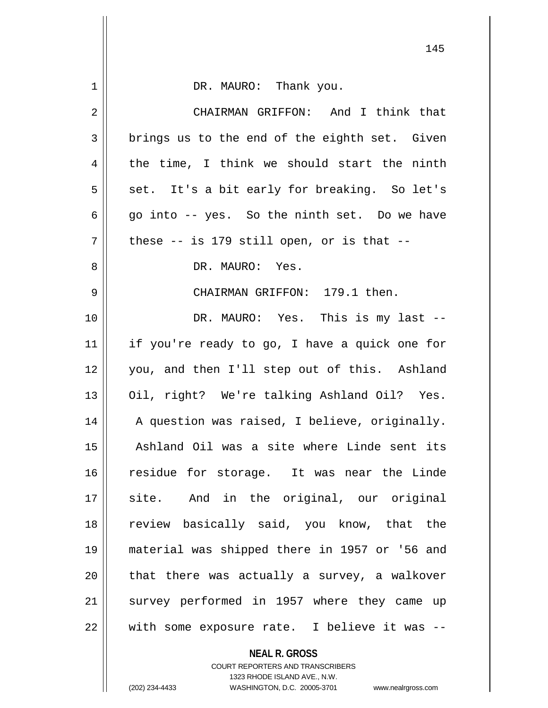| 1  | DR. MAURO: Thank you.                         |
|----|-----------------------------------------------|
| 2  | CHAIRMAN GRIFFON: And I think that            |
| 3  | brings us to the end of the eighth set. Given |
| 4  | the time, I think we should start the ninth   |
| 5  | set. It's a bit early for breaking. So let's  |
| 6  | go into -- yes. So the ninth set. Do we have  |
| 7  | these $--$ is 179 still open, or is that $--$ |
| 8  | DR. MAURO: Yes.                               |
| 9  | CHAIRMAN GRIFFON: 179.1 then.                 |
| 10 | DR. MAURO: Yes. This is my last --            |
| 11 | if you're ready to go, I have a quick one for |
| 12 | you, and then I'll step out of this. Ashland  |
| 13 | Oil, right? We're talking Ashland Oil? Yes.   |
| 14 | A question was raised, I believe, originally. |
| 15 | Ashland Oil was a site where Linde sent its   |
| 16 | residue for storage. It was near the Linde    |
| 17 | site. And in the original, our original       |
| 18 | review basically said, you know, that the     |
| 19 | material was shipped there in 1957 or '56 and |
| 20 | that there was actually a survey, a walkover  |
| 21 | survey performed in 1957 where they came up   |
| 22 | with some exposure rate. I believe it was --  |
|    | <b>NEAL R. GROSS</b>                          |

COURT REPORTERS AND TRANSCRIBERS 1323 RHODE ISLAND AVE., N.W.

 $\mathsf{II}$ 

(202) 234-4433 WASHINGTON, D.C. 20005-3701 www.nealrgross.com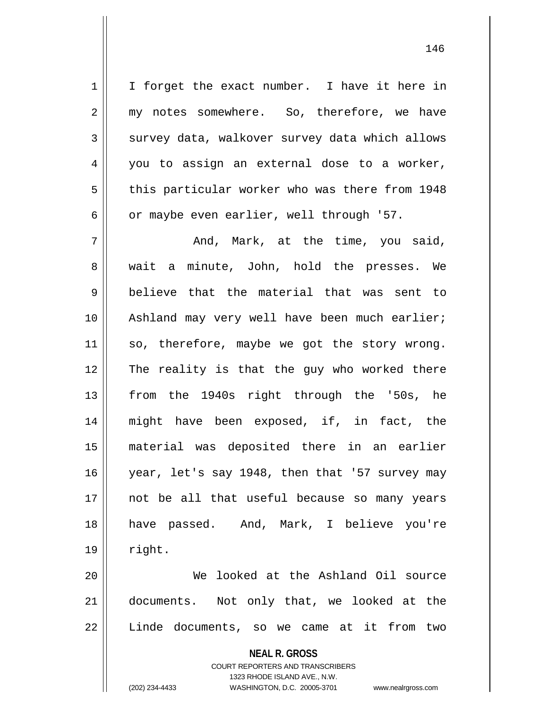1 | I forget the exact number. I have it here in 2 my notes somewhere. So, therefore, we have 3 survey data, walkover survey data which allows 4 || you to assign an external dose to a worker, 5 | this particular worker who was there from 1948 6 | or maybe even earlier, well through '57.

 $7 \parallel$  and, Mark, at the time, you said, 8 || wait a minute, John, hold the presses. We  $9 \parallel$  believe that the material that was sent to 10 || Ashland may very well have been much earlier; 11 || so, therefore, maybe we got the story wrong. 12 The reality is that the guy who worked there 13 || from the 1940s right through the '50s, he 14 || might have been exposed, if, in fact, the 15 material was deposited there in an earlier 16 year, let's say 1948, then that '57 survey may 17 not be all that useful because so many years 18 || have passed. And, Mark, I believe you're  $19 \parallel$  right.

20 We looked at the Ashland Oil source 21 documents. Not only that, we looked at the 22 || Linde documents, so we came at it from two

> **NEAL R. GROSS** COURT REPORTERS AND TRANSCRIBERS 1323 RHODE ISLAND AVE., N.W. (202) 234-4433 WASHINGTON, D.C. 20005-3701 www.nealrgross.com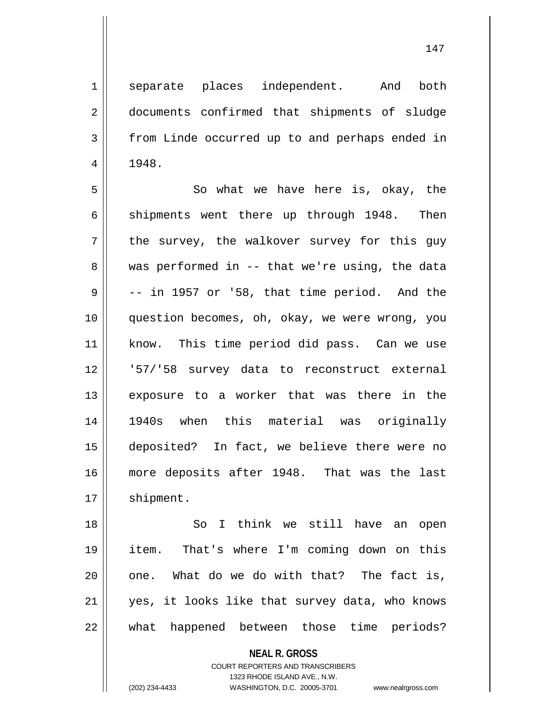1 || separate places independent. And both 2 || documents confirmed that shipments of sludge 3 from Linde occurred up to and perhaps ended in  $4 \parallel 1948.$ 

5 || So what we have here is, okay, the  $6 \parallel$  shipments went there up through 1948. Then  $7 \parallel$  the survey, the walkover survey for this guy  $8 \parallel$  was performed in -- that we're using, the data  $9 \parallel$  -- in 1957 or '58, that time period. And the 10 || question becomes, oh, okay, we were wrong, you 11 || know. This time period did pass. Can we use 12 '57/'58 survey data to reconstruct external 13 exposure to a worker that was there in the 14 1940s when this material was originally 15 deposited? In fact, we believe there were no 16 more deposits after 1948. That was the last 17 | shipment.

 So I think we still have an open item. That's where I'm coming down on this | one. What do we do with that? The fact is, yes, it looks like that survey data, who knows what happened between those time periods?

> **NEAL R. GROSS** COURT REPORTERS AND TRANSCRIBERS

1323 RHODE ISLAND AVE., N.W. (202) 234-4433 WASHINGTON, D.C. 20005-3701 www.nealrgross.com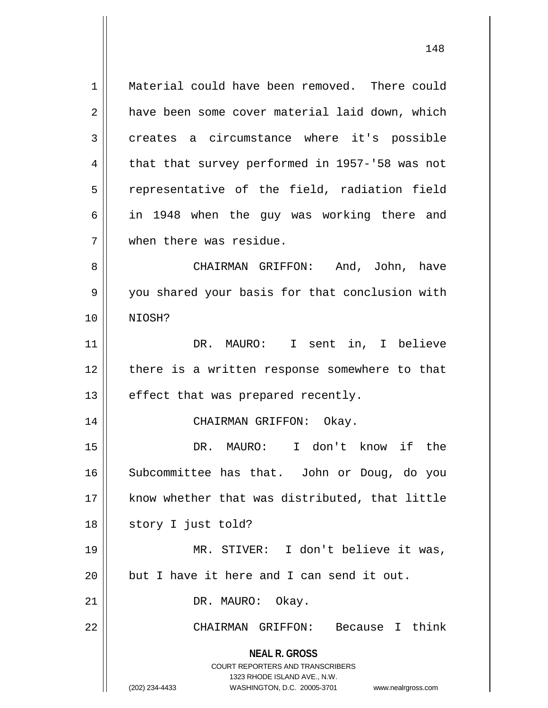**NEAL R. GROSS** COURT REPORTERS AND TRANSCRIBERS 1 || Material could have been removed. There could 2 | have been some cover material laid down, which 3 creates a circumstance where it's possible 4  $\parallel$  that that survey performed in 1957-'58 was not  $5$  representative of the field, radiation field 6 in 1948 when the guy was working there and 7 when there was residue. 8 CHAIRMAN GRIFFON: And, John, have 9 || you shared your basis for that conclusion with 10 NIOSH? 11 DR. MAURO: I sent in, I believe 12 there is a written response somewhere to that  $13$  || effect that was prepared recently. 14 || CHAIRMAN GRIFFON: Okay. 15 DR. MAURO: I don't know if the 16 Subcommittee has that. John or Doug, do you 17 || know whether that was distributed, that little 18 || story I just told? 19 MR. STIVER: I don't believe it was,  $20$  | but I have it here and I can send it out. 21 || DR. MAURO: Okay. 22 CHAIRMAN GRIFFON: Because I think

1323 RHODE ISLAND AVE., N.W. (202) 234-4433 WASHINGTON, D.C. 20005-3701 www.nealrgross.com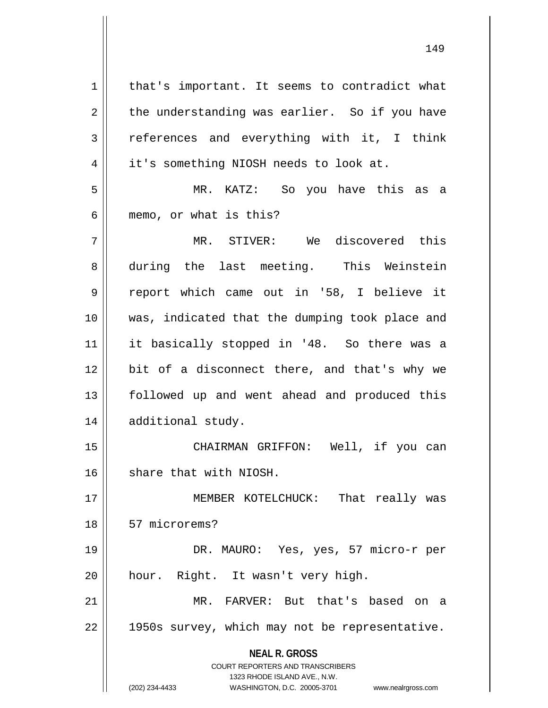| $\mathbf 1$    | that's important. It seems to contradict what                                                       |
|----------------|-----------------------------------------------------------------------------------------------------|
| $\overline{2}$ | the understanding was earlier. So if you have                                                       |
| $\mathfrak{Z}$ | references and everything with it, I think                                                          |
| $\overline{4}$ | it's something NIOSH needs to look at.                                                              |
| 5              | MR. KATZ: So you have this as a                                                                     |
| 6              | memo, or what is this?                                                                              |
| 7              | MR. STIVER: We discovered this                                                                      |
| 8              | during the last meeting. This Weinstein                                                             |
| $\mathsf 9$    | report which came out in '58, I believe it                                                          |
| 10             | was, indicated that the dumping took place and                                                      |
| 11             | it basically stopped in '48. So there was a                                                         |
| 12             | bit of a disconnect there, and that's why we                                                        |
| 13             | followed up and went ahead and produced this                                                        |
| 14             | additional study.                                                                                   |
| 15             | CHAIRMAN GRIFFON: Well, if you can                                                                  |
| 16             | share that with NIOSH.                                                                              |
| 17             | MEMBER KOTELCHUCK: That really was                                                                  |
| 18             | 57 microrems?                                                                                       |
| 19             | DR. MAURO: Yes, yes, 57 micro-r per                                                                 |
| 20             | hour. Right. It wasn't very high.                                                                   |
| 21             | MR. FARVER: But that's based on a                                                                   |
| 22             | 1950s survey, which may not be representative.                                                      |
|                | <b>NEAL R. GROSS</b>                                                                                |
|                | <b>COURT REPORTERS AND TRANSCRIBERS</b>                                                             |
|                | 1323 RHODE ISLAND AVE., N.W.<br>(202) 234-4433<br>WASHINGTON, D.C. 20005-3701<br>www.nealrgross.com |
|                |                                                                                                     |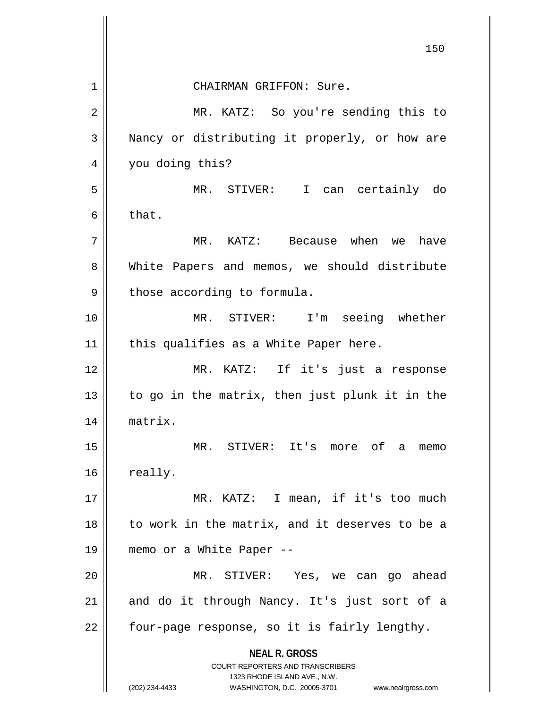|    | 150                                                                                             |
|----|-------------------------------------------------------------------------------------------------|
| 1  | CHAIRMAN GRIFFON: Sure.                                                                         |
| 2  | MR. KATZ: So you're sending this to                                                             |
| 3  | Nancy or distributing it properly, or how are                                                   |
| 4  | you doing this?                                                                                 |
| 5  | MR. STIVER: I can certainly do                                                                  |
| 6  | that.                                                                                           |
| 7  | MR. KATZ: Because when we have                                                                  |
| 8  | White Papers and memos, we should distribute                                                    |
| 9  | those according to formula.                                                                     |
| 10 | MR. STIVER: I'm seeing whether                                                                  |
| 11 | this qualifies as a White Paper here.                                                           |
| 12 | MR. KATZ: If it's just a response                                                               |
| 13 | to go in the matrix, then just plunk it in the                                                  |
| 14 | matrix.                                                                                         |
| 15 | MR. STIVER: It's more of a<br>memo                                                              |
| 16 | really.                                                                                         |
| 17 | MR. KATZ: I mean, if it's too much                                                              |
| 18 | to work in the matrix, and it deserves to be a                                                  |
| 19 | memo or a White Paper --                                                                        |
| 20 | MR. STIVER: Yes, we can go ahead                                                                |
| 21 | and do it through Nancy. It's just sort of a                                                    |
| 22 | four-page response, so it is fairly lengthy.                                                    |
|    | <b>NEAL R. GROSS</b><br><b>COURT REPORTERS AND TRANSCRIBERS</b><br>1323 RHODE ISLAND AVE., N.W. |
|    | (202) 234-4433<br>WASHINGTON, D.C. 20005-3701 www.nealrgross.com                                |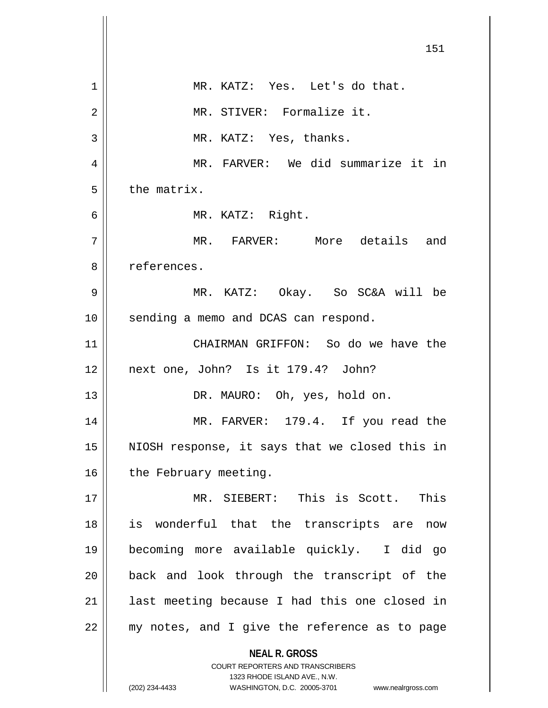|    | 151                                                                                                 |
|----|-----------------------------------------------------------------------------------------------------|
| 1  | MR. KATZ: Yes. Let's do that.                                                                       |
| 2  | MR. STIVER: Formalize it.                                                                           |
| 3  | MR. KATZ: Yes, thanks.                                                                              |
| 4  | MR. FARVER: We did summarize it in                                                                  |
| 5  | the matrix.                                                                                         |
| 6  | MR. KATZ: Right.                                                                                    |
| 7  | MR. FARVER: More details and                                                                        |
| 8  | references.                                                                                         |
| 9  | MR. KATZ: Okay. So SC&A will be                                                                     |
| 10 | sending a memo and DCAS can respond.                                                                |
| 11 | CHAIRMAN GRIFFON: So do we have the                                                                 |
| 12 | next one, John? Is it 179.4? John?                                                                  |
| 13 | DR. MAURO: Oh, yes, hold on.                                                                        |
| 14 | MR. FARVER: 179.4. If you read the                                                                  |
| 15 | NIOSH response, it says that we closed this in                                                      |
| 16 | the February meeting.                                                                               |
| 17 | MR. SIEBERT: This is Scott. This                                                                    |
| 18 | is wonderful that the transcripts are<br>now                                                        |
| 19 | becoming more available quickly. I did go                                                           |
| 20 | back and look through the transcript of the                                                         |
| 21 | last meeting because I had this one closed in                                                       |
| 22 | my notes, and I give the reference as to page                                                       |
|    | <b>NEAL R. GROSS</b><br><b>COURT REPORTERS AND TRANSCRIBERS</b>                                     |
|    | 1323 RHODE ISLAND AVE., N.W.<br>(202) 234-4433<br>WASHINGTON, D.C. 20005-3701<br>www.nealrgross.com |

 $\mathsf{I}$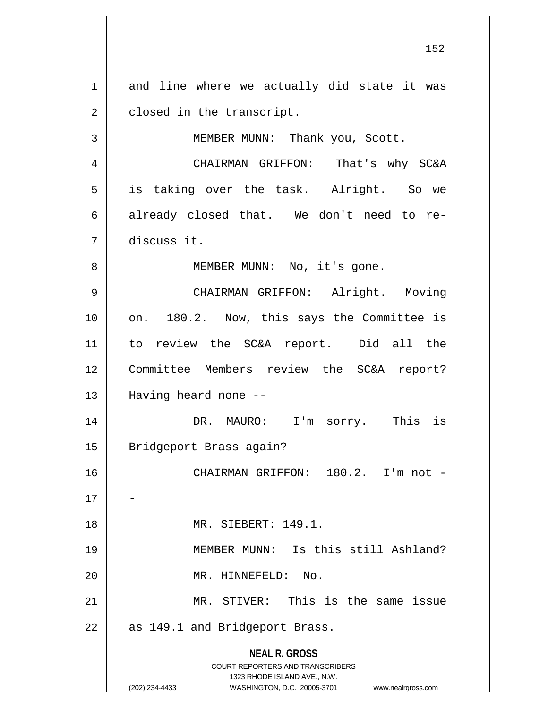**NEAL R. GROSS** COURT REPORTERS AND TRANSCRIBERS 1323 RHODE ISLAND AVE., N.W. (202) 234-4433 WASHINGTON, D.C. 20005-3701 www.nealrgross.com  $1$  and line where we actually did state it was  $2 \parallel$  closed in the transcript. 3 || MEMBER MUNN: Thank you, Scott. 4 CHAIRMAN GRIFFON: That's why SC&A 5 is taking over the task. Alright. So we 6 already closed that. We don't need to re-7 discuss it. 8 || MEMBER MUNN: No, it's gone. 9 CHAIRMAN GRIFFON: Alright. Moving 10 || on. 180.2. Now, this says the Committee is 11 to review the SC&A report. Did all the 12 Committee Members review the SC&A report? 13 || Having heard none --14 DR. MAURO: I'm sorry. This is 15 | Bridgeport Brass again? 16 || CHAIRMAN GRIFFON: 180.2. I'm not - $17$ 18 || MR. SIEBERT: 149.1. 19 MEMBER MUNN: Is this still Ashland? 20 MR. HINNEFELD: No. 21 MR. STIVER: This is the same issue  $22$  | as 149.1 and Bridgeport Brass.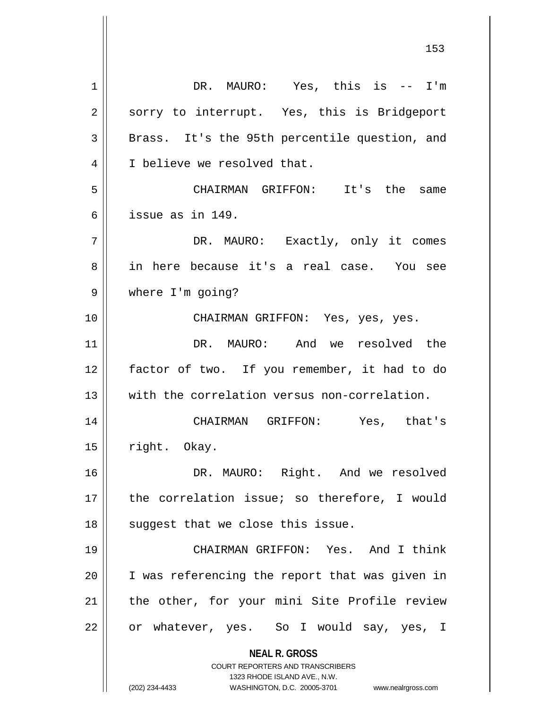**NEAL R. GROSS** COURT REPORTERS AND TRANSCRIBERS 1323 RHODE ISLAND AVE., N.W. (202) 234-4433 WASHINGTON, D.C. 20005-3701 www.nealrgross.com 1 DR. MAURO: Yes, this is -- I'm 2 || sorry to interrupt. Yes, this is Bridgeport 3 || Brass. It's the 95th percentile question, and 4 || I believe we resolved that. 5 CHAIRMAN GRIFFON: It's the same 6 issue as in 149. 7 DR. MAURO: Exactly, only it comes 8 || in here because it's a real case. You see 9 where I'm going? 10 CHAIRMAN GRIFFON: Yes, yes, yes. 11 DR. MAURO: And we resolved the 12 factor of two. If you remember, it had to do 13 With the correlation versus non-correlation. 14 CHAIRMAN GRIFFON: Yes, that's  $15$  || right. Okay. 16 || DR. MAURO: Right. And we resolved 17 the correlation issue; so therefore, I would  $18$  || suggest that we close this issue. 19 || CHAIRMAN GRIFFON: Yes. And I think 20 || I was referencing the report that was given in 21 || the other, for your mini Site Profile review 22 || or whatever, yes. So I would say, yes, I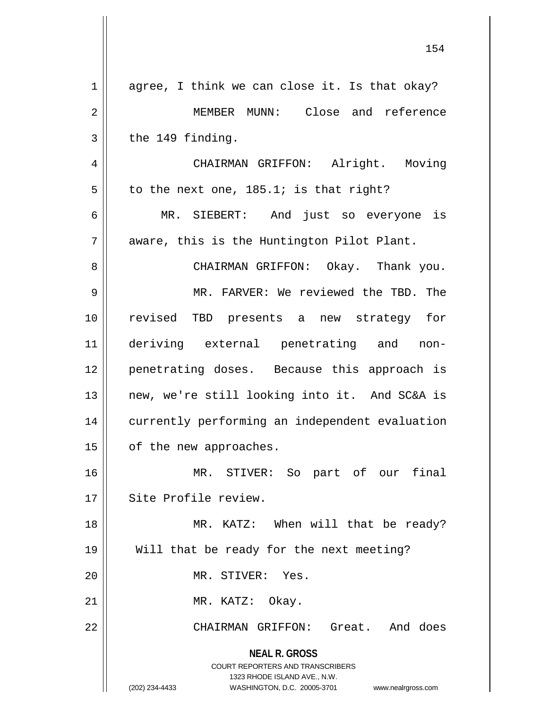|             | エコせ                                                                                                                                                                    |
|-------------|------------------------------------------------------------------------------------------------------------------------------------------------------------------------|
| $\mathbf 1$ | agree, I think we can close it. Is that okay?                                                                                                                          |
| 2           | MEMBER MUNN: Close and reference                                                                                                                                       |
| 3           | the 149 finding.                                                                                                                                                       |
| 4           | CHAIRMAN GRIFFON: Alright. Moving                                                                                                                                      |
| 5           | to the next one, $185.1$ ; is that right?                                                                                                                              |
| 6           | MR. SIEBERT: And just so everyone is                                                                                                                                   |
| 7           | aware, this is the Huntington Pilot Plant.                                                                                                                             |
| 8           | CHAIRMAN GRIFFON: Okay. Thank you.                                                                                                                                     |
| 9           | MR. FARVER: We reviewed the TBD. The                                                                                                                                   |
| 10          | revised TBD presents a new strategy for                                                                                                                                |
| 11          | deriving external penetrating and non-                                                                                                                                 |
| 12          | penetrating doses. Because this approach is                                                                                                                            |
| 13          | new, we're still looking into it. And SC&A is                                                                                                                          |
| 14          | currently performing an independent evaluation                                                                                                                         |
| 15          | of the new approaches.                                                                                                                                                 |
| 16          | MR. STIVER: So part of our final                                                                                                                                       |
| 17          | Site Profile review.                                                                                                                                                   |
| 18          | MR. KATZ: When will that be ready?                                                                                                                                     |
| 19          | Will that be ready for the next meeting?                                                                                                                               |
| 20          | MR. STIVER: Yes.                                                                                                                                                       |
| 21          | MR. KATZ: Okay.                                                                                                                                                        |
| 22          | CHAIRMAN GRIFFON: Great. And does                                                                                                                                      |
|             | <b>NEAL R. GROSS</b><br><b>COURT REPORTERS AND TRANSCRIBERS</b><br>1323 RHODE ISLAND AVE., N.W.<br>(202) 234-4433<br>WASHINGTON, D.C. 20005-3701<br>www.nealrgross.com |

 $\mathsf{I}$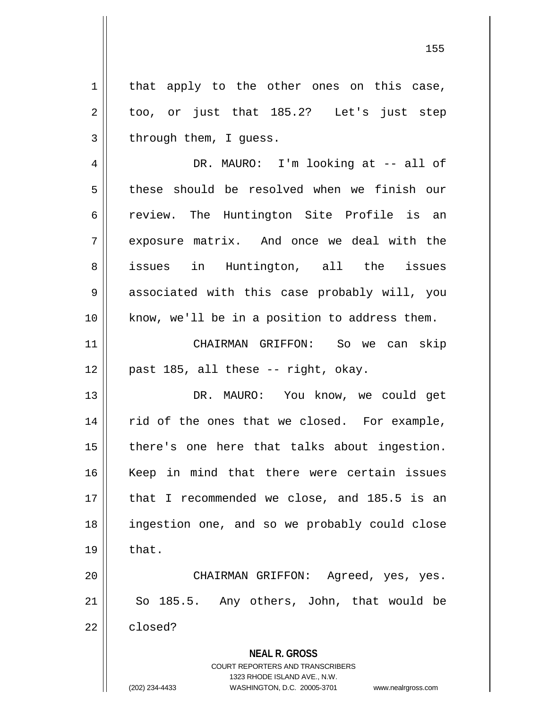155

**NEAL R. GROSS** COURT REPORTERS AND TRANSCRIBERS  $2 \parallel$  too, or just that 185.2? Let's just step  $3 \parallel$  through them, I quess. 4 DR. MAURO: I'm looking at -- all of 5 these should be resolved when we finish our 6 || review. The Huntington Site Profile is an 7 exposure matrix. And once we deal with the 8 || issues in Huntington, all the issues 9 || associated with this case probably will, you 10 || know, we'll be in a position to address them. 11 CHAIRMAN GRIFFON: So we can skip  $12 \parallel$  past 185, all these -- right, okay. 13 DR. MAURO: You know, we could get 14 || rid of the ones that we closed. For example, 15 || there's one here that talks about ingestion. 16 Keep in mind that there were certain issues 17 that I recommended we close, and 185.5 is an 18 ingestion one, and so we probably could close  $19 \parallel$  that. 20 CHAIRMAN GRIFFON: Agreed, yes, yes.  $21$  So 185.5. Any others, John, that would be  $22$  closed?

 $1 \parallel$  that apply to the other ones on this case,

1323 RHODE ISLAND AVE., N.W.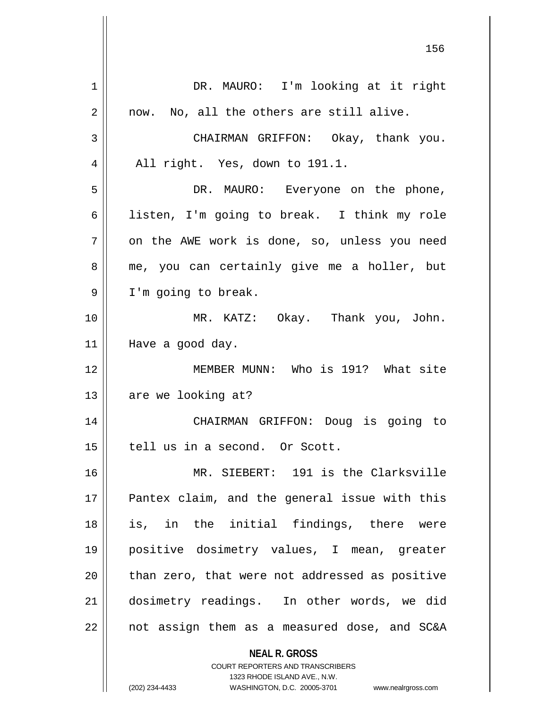| 1  | DR. MAURO: I'm looking at it right                                                               |
|----|--------------------------------------------------------------------------------------------------|
| 2  | now. No, all the others are still alive.                                                         |
| 3  | CHAIRMAN GRIFFON: Okay, thank you.                                                               |
| 4  | All right. Yes, down to 191.1.                                                                   |
| 5  | DR. MAURO: Everyone on the phone,                                                                |
| 6  | listen, I'm going to break. I think my role                                                      |
| 7  | on the AWE work is done, so, unless you need                                                     |
| 8  | me, you can certainly give me a holler, but                                                      |
| 9  | I'm going to break.                                                                              |
| 10 | MR. KATZ: Okay. Thank you, John.                                                                 |
| 11 | Have a good day.                                                                                 |
| 12 | MEMBER MUNN: Who is 191? What site                                                               |
| 13 | are we looking at?                                                                               |
| 14 | CHAIRMAN GRIFFON: Doug is going to                                                               |
| 15 | tell us in a second. Or Scott.                                                                   |
| 16 | MR. SIEBERT: 191 is the Clarksville                                                              |
| 17 | Pantex claim, and the general issue with this                                                    |
| 18 | is, in the initial findings, there were                                                          |
| 19 | positive dosimetry values, I mean, greater                                                       |
| 20 | than zero, that were not addressed as positive                                                   |
| 21 | dosimetry readings. In other words, we did                                                       |
| 22 | not assign them as a measured dose, and SC&A                                                     |
|    | <b>NEAL R. GROSS</b>                                                                             |
|    | <b>COURT REPORTERS AND TRANSCRIBERS</b>                                                          |
|    | 1323 RHODE ISLAND AVE., N.W.<br>(202) 234-4433<br>WASHINGTON, D.C. 20005-3701 www.nealrgross.com |
|    |                                                                                                  |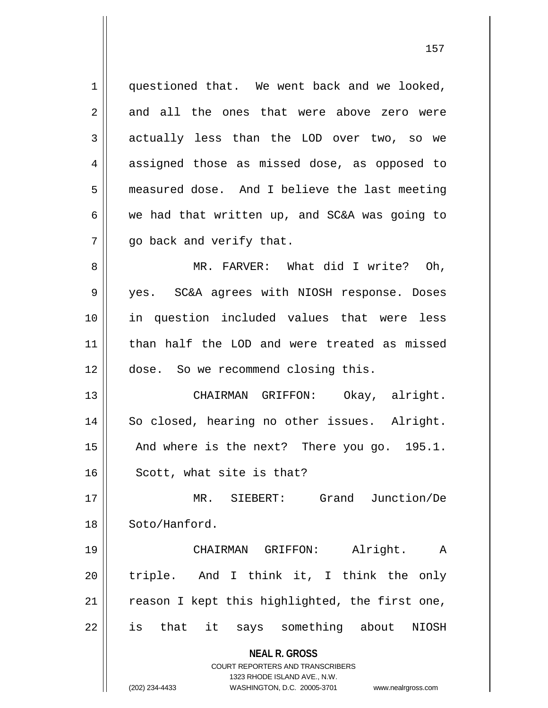1 || questioned that. We went back and we looked,  $2 \parallel$  and all the ones that were above zero were 3 actually less than the LOD over two, so we 4 assigned those as missed dose, as opposed to 5 measured dose. And I believe the last meeting 6 we had that written up, and SC&A was going to  $7 \parallel$  qo back and verify that. 8 MR. FARVER: What did I write? Oh, 9 yes. SC&A agrees with NIOSH response. Doses 10 in question included values that were less 11 than half the LOD and were treated as missed 12 | dose. So we recommend closing this. 13 CHAIRMAN GRIFFON: Okay, alright. 14 || So closed, hearing no other issues. Alright. 15 || And where is the next? There you go. 195.1. 16 || Scott, what site is that? 17 MR. SIEBERT: Grand Junction/De

18 Soto/Hanford.

19 CHAIRMAN GRIFFON: Alright. A 20 || triple. And I think it, I think the only  $21$  reason I kept this highlighted, the first one, 22 || is that it says something about NIOSH

> **NEAL R. GROSS** COURT REPORTERS AND TRANSCRIBERS

> > 1323 RHODE ISLAND AVE., N.W.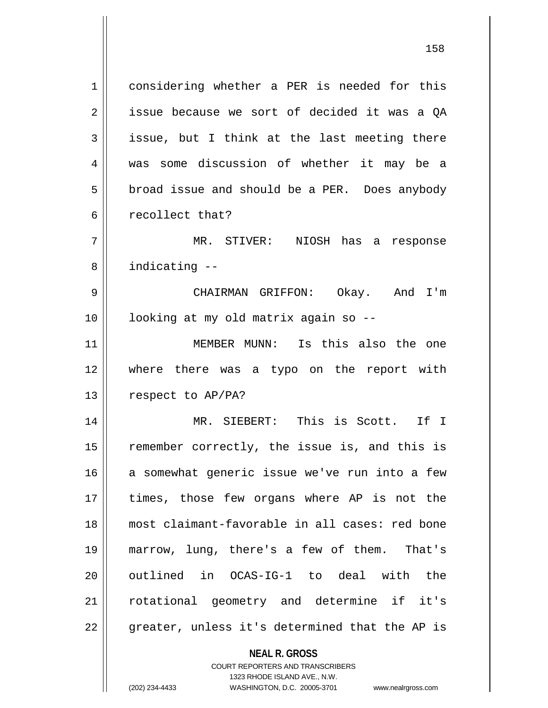1 considering whether a PER is needed for this 2 | issue because we sort of decided it was a OA  $3 \parallel$  issue, but I think at the last meeting there 4 was some discussion of whether it may be a 5 **broad issue and should be a PER.** Does anybody 6 | recollect that? 7 MR. STIVER: NIOSH has a response 8 | indicating --9 CHAIRMAN GRIFFON: Okay. And I'm 10 looking at my old matrix again so -- 11 MEMBER MUNN: Is this also the one 12 where there was a typo on the report with 13 | respect to AP/PA? 14 MR. SIEBERT: This is Scott. If I 15 || remember correctly, the issue is, and this is 16 a somewhat generic issue we've run into a few 17 times, those few organs where AP is not the 18 most claimant-favorable in all cases: red bone 19 marrow, lung, there's a few of them. That's 20 || outlined in OCAS-IG-1 to deal with the 21 || rotational geometry and determine if it's  $22$  || greater, unless it's determined that the AP is

> **NEAL R. GROSS** COURT REPORTERS AND TRANSCRIBERS 1323 RHODE ISLAND AVE., N.W.

(202) 234-4433 WASHINGTON, D.C. 20005-3701 www.nealrgross.com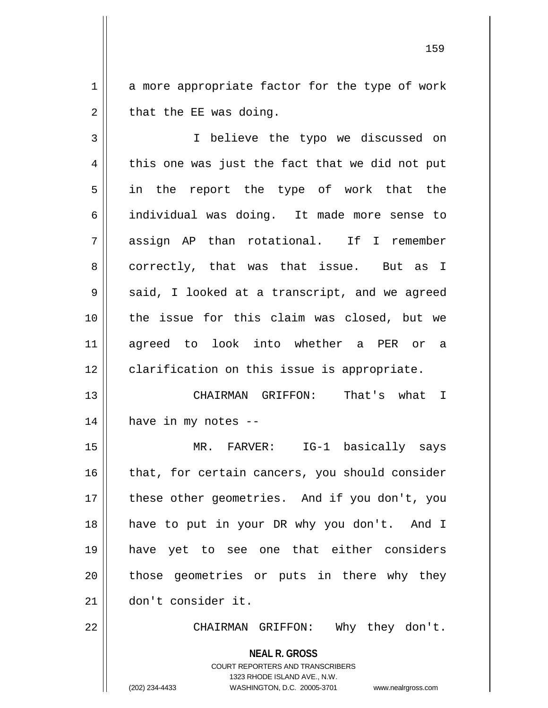$1 \parallel$  a more appropriate factor for the type of work  $2 \parallel$  that the EE was doing.

3 I believe the typo we discussed on  $4 \parallel$  this one was just the fact that we did not put 5 || in the report the type of work that the 6 individual was doing. It made more sense to 7 assign AP than rotational. If I remember 8 || correctly, that was that issue. But as I  $9 \parallel$  said, I looked at a transcript, and we agreed 10 the issue for this claim was closed, but we 11 agreed to look into whether a PER or a 12 clarification on this issue is appropriate.

13 CHAIRMAN GRIFFON: That's what I  $14$  || have in my notes --

15 MR. FARVER: IG-1 basically says 16 || that, for certain cancers, you should consider 17 || these other geometries. And if you don't, you 18 have to put in your DR why you don't. And I 19 have yet to see one that either considers 20 || those geometries or puts in there why they 21 don't consider it.

22 CHAIRMAN GRIFFON: Why they don't.

**NEAL R. GROSS** COURT REPORTERS AND TRANSCRIBERS

1323 RHODE ISLAND AVE., N.W.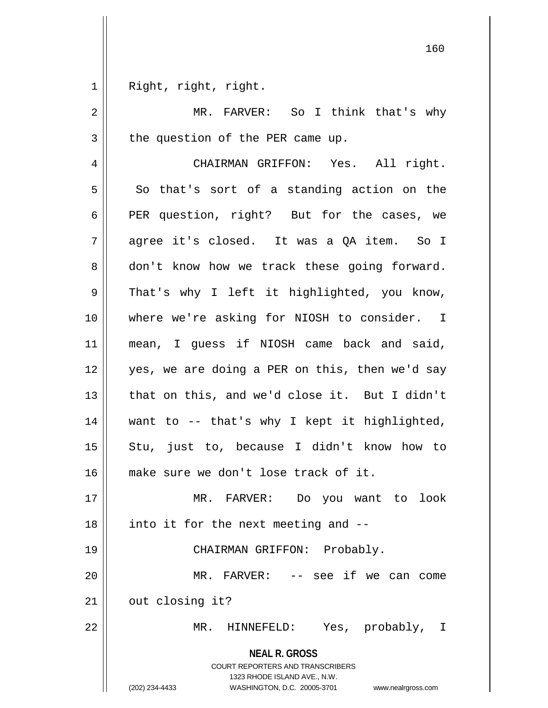Right, right, right.

| 2              | MR. FARVER: So I think that's why                                                                                                                                      |
|----------------|------------------------------------------------------------------------------------------------------------------------------------------------------------------------|
| 3              | the question of the PER came up.                                                                                                                                       |
| $\overline{4}$ | CHAIRMAN GRIFFON: Yes. All right.                                                                                                                                      |
| 5              | So that's sort of a standing action on the                                                                                                                             |
| 6              | PER question, right? But for the cases, we                                                                                                                             |
| 7              | agree it's closed. It was a QA item. So I                                                                                                                              |
| 8              | don't know how we track these going forward.                                                                                                                           |
| 9              | That's why I left it highlighted, you know,                                                                                                                            |
| 10             | where we're asking for NIOSH to consider. I                                                                                                                            |
| 11             | mean, I guess if NIOSH came back and said,                                                                                                                             |
| 12             | yes, we are doing a PER on this, then we'd say                                                                                                                         |
| 13             | that on this, and we'd close it. But I didn't                                                                                                                          |
| 14             | want to -- that's why I kept it highlighted,                                                                                                                           |
| 15             | Stu, just to, because I didn't know how to                                                                                                                             |
| 16             | make sure we don't lose track of it.                                                                                                                                   |
| 17             | MR. FARVER:<br>Do you want to<br>look                                                                                                                                  |
| 18             | into it for the next meeting and --                                                                                                                                    |
| 19             | CHAIRMAN GRIFFON: Probably.                                                                                                                                            |
| 20             | -- see if we can come<br>MR. FARVER:                                                                                                                                   |
| 21             | out closing it?                                                                                                                                                        |
| 22             | Yes, probably,<br>MR.<br>HINNEFELD:<br>I                                                                                                                               |
|                | <b>NEAL R. GROSS</b><br><b>COURT REPORTERS AND TRANSCRIBERS</b><br>1323 RHODE ISLAND AVE., N.W.<br>(202) 234-4433<br>WASHINGTON, D.C. 20005-3701<br>www.nealrgross.com |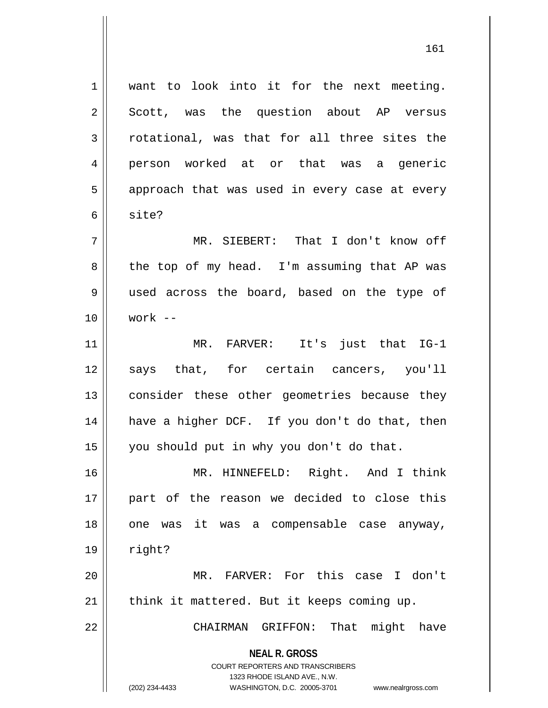1 want to look into it for the next meeting.  $2 \parallel$  Scott, was the question about AP versus  $3 \parallel$  rotational, was that for all three sites the 4 person worked at or that was a generic  $5 \parallel$  approach that was used in every case at every 6 site? 7 MR. SIEBERT: That I don't know off 8 the top of my head. I'm assuming that AP was 9 used across the board, based on the type of 10 work -- 11 MR. FARVER: It's just that IG-1 12 || says that, for certain cancers, you'll 13 || consider these other geometries because they 14 || have a higher DCF. If you don't do that, then 15 you should put in why you don't do that. 16 MR. HINNEFELD: Right. And I think 17 part of the reason we decided to close this 18 || one was it was a compensable case anyway,  $19 \parallel$  right?

20 MR. FARVER: For this case I don't  $21$  | think it mattered. But it keeps coming up.

22 CHAIRMAN GRIFFON: That might have

**NEAL R. GROSS** COURT REPORTERS AND TRANSCRIBERS

1323 RHODE ISLAND AVE., N.W.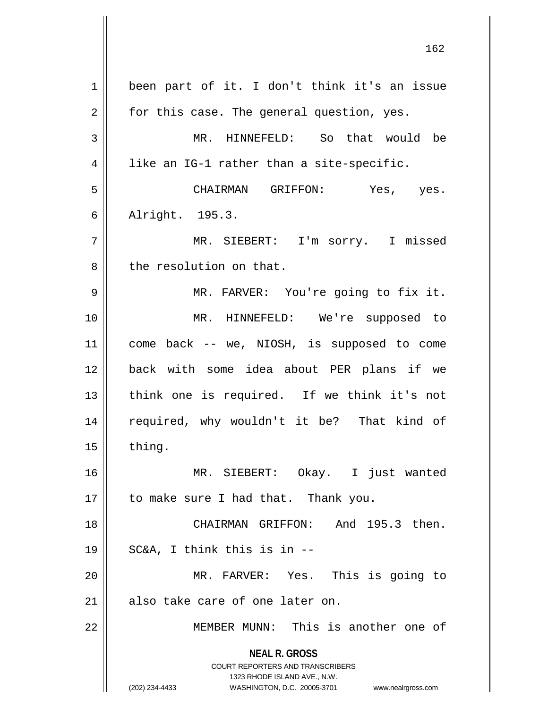**NEAL R. GROSS** COURT REPORTERS AND TRANSCRIBERS 1323 RHODE ISLAND AVE., N.W. (202) 234-4433 WASHINGTON, D.C. 20005-3701 www.nealrgross.com 1 || been part of it. I don't think it's an issue  $2 \parallel$  for this case. The general question, yes. 3 || MR. HINNEFELD: So that would be  $4 \parallel$  like an IG-1 rather than a site-specific. 5 CHAIRMAN GRIFFON: Yes, yes. 6 Alright. 195.3. 7 MR. SIEBERT: I'm sorry. I missed 8 l the resolution on that. 9 MR. FARVER: You're going to fix it. 10 MR. HINNEFELD: We're supposed to 11 come back -- we, NIOSH, is supposed to come 12 back with some idea about PER plans if we 13 || think one is required. If we think it's not 14 || required, why wouldn't it be? That kind of  $15$  | thing. 16 MR. SIEBERT: Okay. I just wanted  $17$  | to make sure I had that. Thank you. 18 CHAIRMAN GRIFFON: And 195.3 then.  $19 \parallel$  SC&A, I think this is in  $-$ 20 MR. FARVER: Yes. This is going to  $21$  also take care of one later on. 22 MEMBER MUNN: This is another one of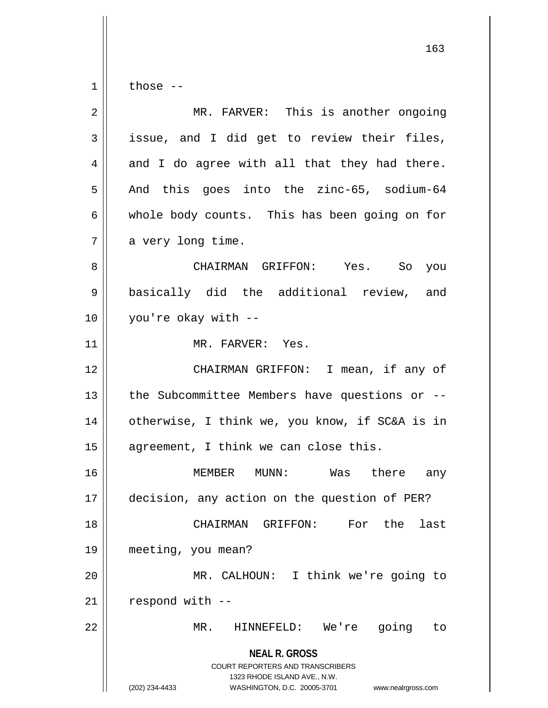$1 \parallel$  those --

| $\overline{2}$ | MR. FARVER: This is another ongoing                                                                                                                             |
|----------------|-----------------------------------------------------------------------------------------------------------------------------------------------------------------|
| 3              | issue, and I did get to review their files,                                                                                                                     |
| 4              | and I do agree with all that they had there.                                                                                                                    |
| 5              | And this goes into the zinc-65, sodium-64                                                                                                                       |
| 6              | whole body counts. This has been going on for                                                                                                                   |
| 7              | a very long time.                                                                                                                                               |
| 8              | CHAIRMAN GRIFFON: Yes. So you                                                                                                                                   |
| 9              | basically did the additional review, and                                                                                                                        |
| 10             | you're okay with --                                                                                                                                             |
| 11             | MR. FARVER: Yes.                                                                                                                                                |
| 12             | CHAIRMAN GRIFFON: I mean, if any of                                                                                                                             |
| 13             | the Subcommittee Members have questions or --                                                                                                                   |
| 14             | otherwise, I think we, you know, if SC&A is in                                                                                                                  |
| 15             | agreement, I think we can close this.                                                                                                                           |
| 16             | MEMBER MUNN: Was there any                                                                                                                                      |
| 17             | decision, any action on the question of PER?                                                                                                                    |
| 18             | CHAIRMAN GRIFFON: For the<br>last                                                                                                                               |
| 19             | meeting, you mean?                                                                                                                                              |
| 20             | MR. CALHOUN: I think we're going to                                                                                                                             |
| 21             | respond with --                                                                                                                                                 |
| 22             | HINNEFELD: We're going<br>$MR$ .<br>to                                                                                                                          |
|                | <b>NEAL R. GROSS</b><br>COURT REPORTERS AND TRANSCRIBERS<br>1323 RHODE ISLAND AVE., N.W.<br>(202) 234-4433<br>WASHINGTON, D.C. 20005-3701<br>www.nealrgross.com |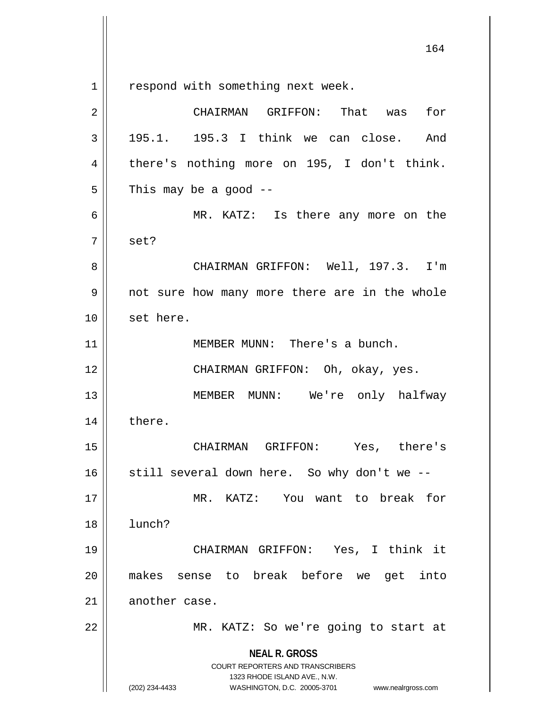respond with something next week.

| 2  | CHAIRMAN GRIFFON: That was<br>for                                                                                                                                      |
|----|------------------------------------------------------------------------------------------------------------------------------------------------------------------------|
| 3  | 195.1. 195.3 I think we can close. And                                                                                                                                 |
| 4  | there's nothing more on 195, I don't think.                                                                                                                            |
| 5  | This may be a good $-$                                                                                                                                                 |
| 6  | MR. KATZ: Is there any more on the                                                                                                                                     |
| 7  | set?                                                                                                                                                                   |
| 8  | CHAIRMAN GRIFFON: Well, 197.3. I'm                                                                                                                                     |
| 9  | not sure how many more there are in the whole                                                                                                                          |
| 10 | set here.                                                                                                                                                              |
| 11 | MEMBER MUNN: There's a bunch.                                                                                                                                          |
| 12 | CHAIRMAN GRIFFON: Oh, okay, yes.                                                                                                                                       |
| 13 | MEMBER MUNN: We're only halfway                                                                                                                                        |
| 14 | there.                                                                                                                                                                 |
| 15 | CHAIRMAN GRIFFON: Yes, there's                                                                                                                                         |
| 16 | still several down here. So why don't we --                                                                                                                            |
| 17 | MR. KATZ:  You want to break for                                                                                                                                       |
| 18 | lunch?                                                                                                                                                                 |
| 19 | CHAIRMAN GRIFFON: Yes, I think it                                                                                                                                      |
| 20 | makes sense to break before we get<br>into                                                                                                                             |
| 21 | another case.                                                                                                                                                          |
| 22 | MR. KATZ: So we're going to start at                                                                                                                                   |
|    | <b>NEAL R. GROSS</b><br><b>COURT REPORTERS AND TRANSCRIBERS</b><br>1323 RHODE ISLAND AVE., N.W.<br>(202) 234-4433<br>WASHINGTON, D.C. 20005-3701<br>www.nealrgross.com |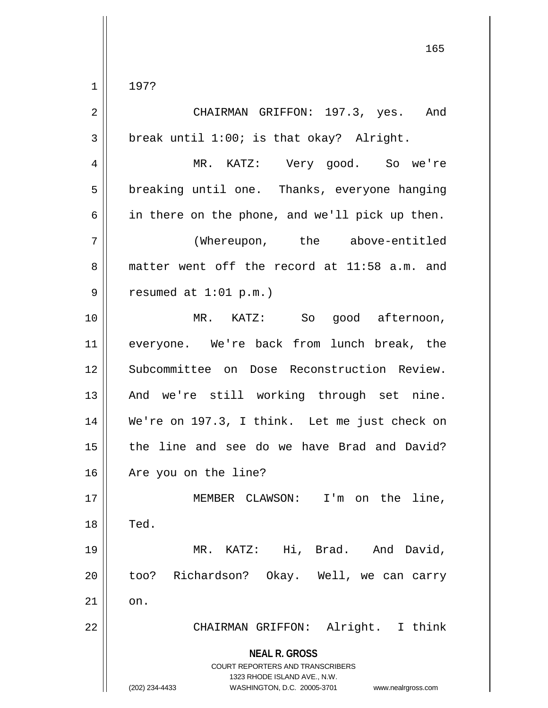$1 || 197?$ 

| 2  | CHAIRMAN GRIFFON: 197.3, yes. And                                                                                                                                      |
|----|------------------------------------------------------------------------------------------------------------------------------------------------------------------------|
| 3  | break until 1:00; is that okay? Alright.                                                                                                                               |
| 4  | MR. KATZ: Very good. So we're                                                                                                                                          |
| 5  | breaking until one. Thanks, everyone hanging                                                                                                                           |
| 6  | in there on the phone, and we'll pick up then.                                                                                                                         |
| 7  | (Whereupon, the above-entitled                                                                                                                                         |
| 8  | matter went off the record at 11:58 a.m. and                                                                                                                           |
| 9  | resumed at $1:01$ p.m.)                                                                                                                                                |
| 10 | MR. KATZ: So good afternoon,                                                                                                                                           |
| 11 | everyone. We're back from lunch break, the                                                                                                                             |
| 12 | Subcommittee on Dose Reconstruction Review.                                                                                                                            |
| 13 | And we're still working through set nine.                                                                                                                              |
| 14 | We're on 197.3, I think. Let me just check on                                                                                                                          |
| 15 | the line and see do we have Brad and David?                                                                                                                            |
| 16 | Are you on the line?                                                                                                                                                   |
| 17 | MEMBER CLAWSON: I'm on the line                                                                                                                                        |
| 18 | Ted.                                                                                                                                                                   |
| 19 | MR. KATZ: Hi, Brad. And David,                                                                                                                                         |
| 20 | too? Richardson? Okay. Well, we can carry                                                                                                                              |
| 21 | on.                                                                                                                                                                    |
| 22 | CHAIRMAN GRIFFON: Alright. I think                                                                                                                                     |
|    | <b>NEAL R. GROSS</b><br><b>COURT REPORTERS AND TRANSCRIBERS</b><br>1323 RHODE ISLAND AVE., N.W.<br>(202) 234-4433<br>WASHINGTON, D.C. 20005-3701<br>www.nealrgross.com |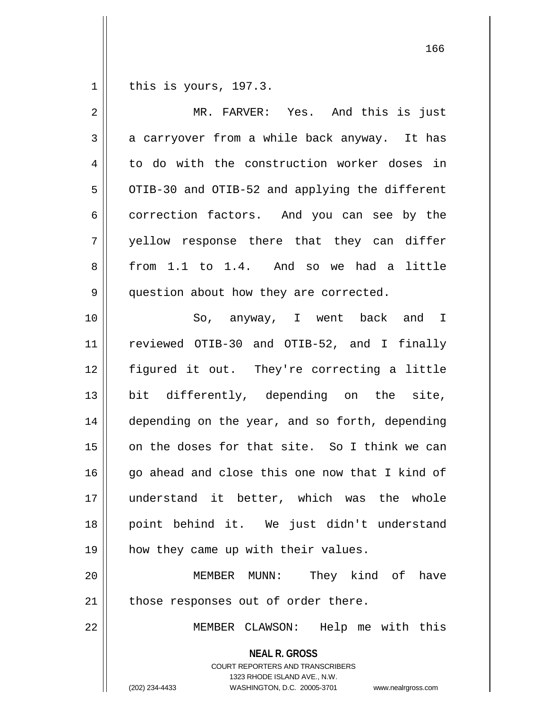1 | this is yours, 197.3.

| $\overline{2}$ | MR. FARVER: Yes. And this is just                                                                                                                                      |
|----------------|------------------------------------------------------------------------------------------------------------------------------------------------------------------------|
| 3              | a carryover from a while back anyway. It has                                                                                                                           |
| 4              | to do with the construction worker doses in                                                                                                                            |
| 5              | OTIB-30 and OTIB-52 and applying the different                                                                                                                         |
| 6              | correction factors. And you can see by the                                                                                                                             |
| 7              | yellow response there that they can differ                                                                                                                             |
| 8              | from 1.1 to 1.4. And so we had a little                                                                                                                                |
| 9              | question about how they are corrected.                                                                                                                                 |
| 10             | So, anyway, I went back and I                                                                                                                                          |
| 11             | reviewed OTIB-30 and OTIB-52, and I finally                                                                                                                            |
| 12             | figured it out. They're correcting a little                                                                                                                            |
| 13             | bit differently, depending on the site,                                                                                                                                |
| 14             | depending on the year, and so forth, depending                                                                                                                         |
| 15             | on the doses for that site. So I think we can                                                                                                                          |
| 16             | go ahead and close this one now that I kind of                                                                                                                         |
| 17             | understand it better, which was the whole                                                                                                                              |
| 18             | point behind it. We just didn't understand                                                                                                                             |
| 19             | how they came up with their values.                                                                                                                                    |
| 20             | They kind of have<br>MEMBER MUNN:                                                                                                                                      |
| 21             | those responses out of order there.                                                                                                                                    |
| 22             | MEMBER CLAWSON: Help me with this                                                                                                                                      |
|                | <b>NEAL R. GROSS</b><br><b>COURT REPORTERS AND TRANSCRIBERS</b><br>1323 RHODE ISLAND AVE., N.W.<br>(202) 234-4433<br>WASHINGTON, D.C. 20005-3701<br>www.nealrgross.com |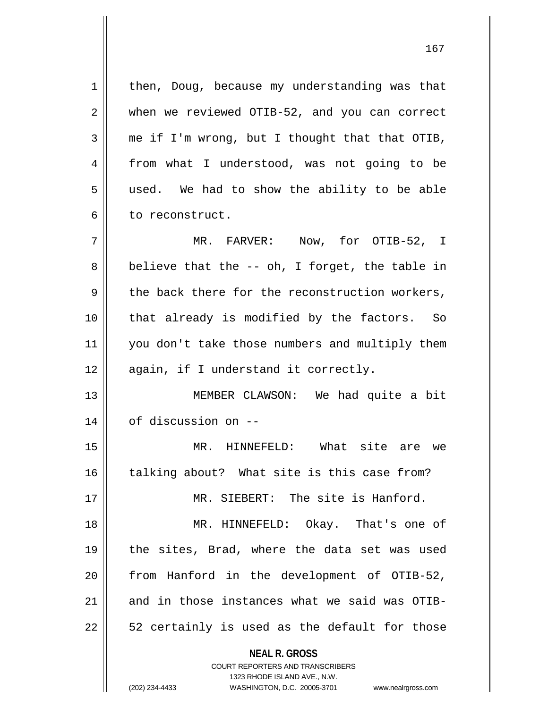**NEAL R. GROSS** COURT REPORTERS AND TRANSCRIBERS  $1$  | then, Doug, because my understanding was that 2 || when we reviewed OTIB-52, and you can correct  $3 \parallel$  me if I'm wrong, but I thought that that OTIB, 4 from what I understood, was not going to be 5 || used. We had to show the ability to be able 6 l to reconstruct. 7 MR. FARVER: Now, for OTIB-52, I  $8 \parallel$  believe that the -- oh, I forget, the table in  $9 \parallel$  the back there for the reconstruction workers, 10 || that already is modified by the factors. So 11 || you don't take those numbers and multiply them 12 || again, if I understand it correctly. 13 MEMBER CLAWSON: We had quite a bit 14 | of discussion on --15 MR. HINNEFELD: What site are we  $16$  talking about? What site is this case from? 17 MR. SIEBERT: The site is Hanford. 18 MR. HINNEFELD: Okay. That's one of 19 || the sites, Brad, where the data set was used 20 from Hanford in the development of OTIB-52, 21  $\parallel$  and in those instances what we said was OTIB- $22 \parallel$  52 certainly is used as the default for those

1323 RHODE ISLAND AVE., N.W.

(202) 234-4433 WASHINGTON, D.C. 20005-3701 www.nealrgross.com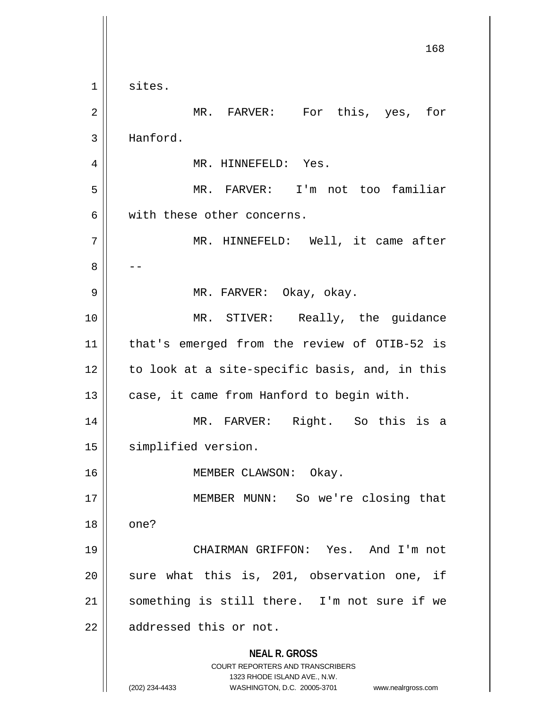**NEAL R. GROSS** COURT REPORTERS AND TRANSCRIBERS 1323 RHODE ISLAND AVE., N.W. (202) 234-4433 WASHINGTON, D.C. 20005-3701 www.nealrgross.com 168  $1 \parallel$  sites. 2 MR. FARVER: For this, yes, for 3 | Hanford. 4 || MR. HINNEFELD: Yes. 5 MR. FARVER: I'm not too familiar 6 with these other concerns. 7 || MR. HINNEFELD: Well, it came after 8 | --9 MR. FARVER: Okay, okay. 10 || MR. STIVER: Really, the guidance 11 || that's emerged from the review of OTIB-52 is  $12$  | to look at a site-specific basis, and, in this  $13$  | case, it came from Hanford to begin with. 14 MR. FARVER: Right. So this is a 15 simplified version. 16 || MEMBER CLAWSON: Okay. 17 || **MEMBER MUNN:** So we're closing that  $18 \parallel$  one? 19 CHAIRMAN GRIFFON: Yes. And I'm not  $20$  sure what this is, 201, observation one, if 21 || something is still there. I'm not sure if we 22 | addressed this or not.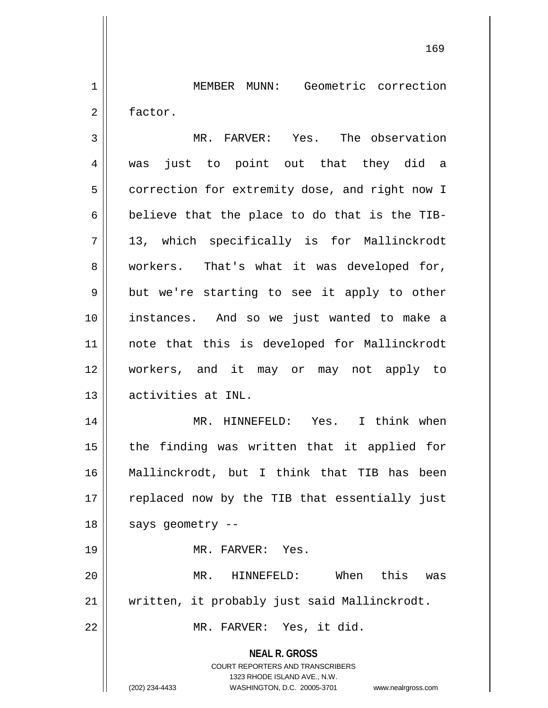1 MEMBER MUNN: Geometric correction 2 factor.

3 || MR. FARVER: Yes. The observation was just to point out that they did a 5 | correction for extremity dose, and right now I  $\parallel$  believe that the place to do that is the TIB- 13, which specifically is for Mallinckrodt 8 || workers. That's what it was developed for,  $9 \parallel$  but we're starting to see it apply to other instances. And so we just wanted to make a note that this is developed for Mallinckrodt workers, and it may or may not apply to activities at INL. MR. HINNEFELD: Yes. I think when || the finding was written that it applied for

16 Mallinckrodt, but I think that TIB has been 17 || replaced now by the TIB that essentially just  $18$  || says geometry --

19 MR. FARVER: Yes.

20 MR. HINNEFELD: When this was 21 || written, it probably just said Mallinckrodt.

22 MR. FARVER: Yes, it did.

**NEAL R. GROSS** COURT REPORTERS AND TRANSCRIBERS

1323 RHODE ISLAND AVE., N.W.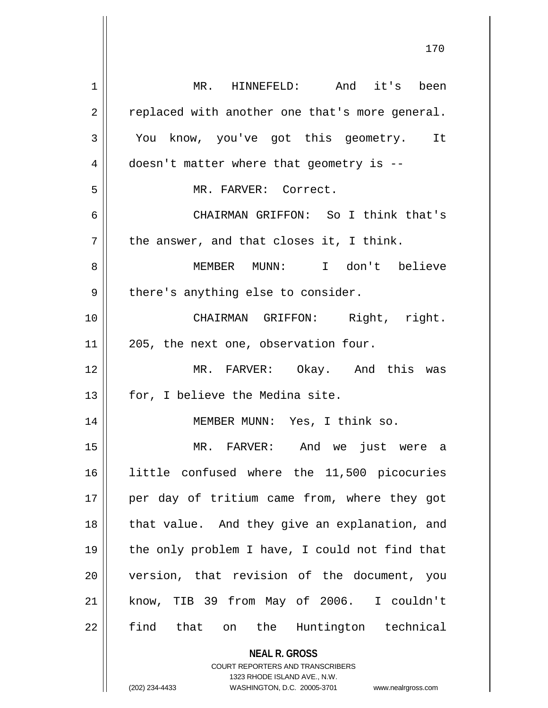| 1  | MR. HINNEFELD: And it's been                                                                        |
|----|-----------------------------------------------------------------------------------------------------|
| 2  | replaced with another one that's more general.                                                      |
| 3  | You know, you've got this geometry. It                                                              |
| 4  | doesn't matter where that geometry is --                                                            |
| 5  | MR. FARVER: Correct.                                                                                |
| 6  | CHAIRMAN GRIFFON: So I think that's                                                                 |
| 7  | the answer, and that closes it, I think.                                                            |
| 8  | MEMBER MUNN: I don't believe                                                                        |
| 9  | there's anything else to consider.                                                                  |
| 10 | CHAIRMAN GRIFFON: Right, right.                                                                     |
| 11 | 205, the next one, observation four.                                                                |
| 12 | MR. FARVER: Okay. And this was                                                                      |
| 13 | for, I believe the Medina site.                                                                     |
| 14 | MEMBER MUNN: Yes, I think so.                                                                       |
| 15 | MR. FARVER: And we just were a                                                                      |
| 16 | little confused where the 11,500 picocuries                                                         |
| 17 | per day of tritium came from, where they got                                                        |
| 18 | that value. And they give an explanation, and                                                       |
| 19 | the only problem I have, I could not find that                                                      |
| 20 | version, that revision of the document, you                                                         |
| 21 | know, TIB 39 from May of 2006. I couldn't                                                           |
| 22 | find that on the Huntington technical                                                               |
|    | <b>NEAL R. GROSS</b>                                                                                |
|    | <b>COURT REPORTERS AND TRANSCRIBERS</b>                                                             |
|    | 1323 RHODE ISLAND AVE., N.W.<br>(202) 234-4433<br>WASHINGTON, D.C. 20005-3701<br>www.nealrgross.com |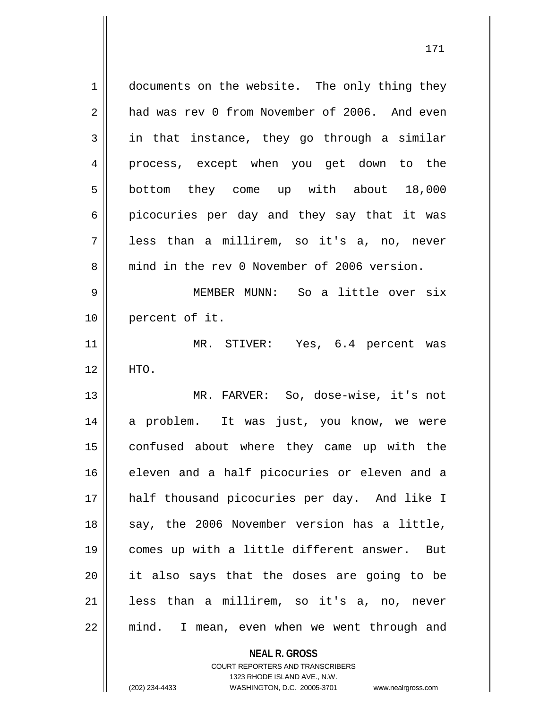1 documents on the website. The only thing they 2 and was rev 0 from November of 2006. And even  $3 \parallel$  in that instance, they go through a similar 4 || process, except when you get down to the 5 | bottom they come up with about 18,000  $6 \parallel$  picocuries per day and they say that it was 7 less than a millirem, so it's a, no, never 8 mind in the rev 0 November of 2006 version. 9 MEMBER MUNN: So a little over six 10 percent of it. 11 || MR. STIVER: Yes, 6.4 percent was  $12 \parallel$  HTO. 13 MR. FARVER: So, dose-wise, it's not 14 a problem. It was just, you know, we were 15 confused about where they came up with the 16 eleven and a half picocuries or eleven and a 17 half thousand picocuries per day. And like I 18 || say, the 2006 November version has a little, 19 comes up with a little different answer. But  $20$  || it also says that the doses are going to be 21 less than a millirem, so it's a, no, never 22 mind. I mean, even when we went through and

> **NEAL R. GROSS** COURT REPORTERS AND TRANSCRIBERS

(202) 234-4433 WASHINGTON, D.C. 20005-3701 www.nealrgross.com

1323 RHODE ISLAND AVE., N.W.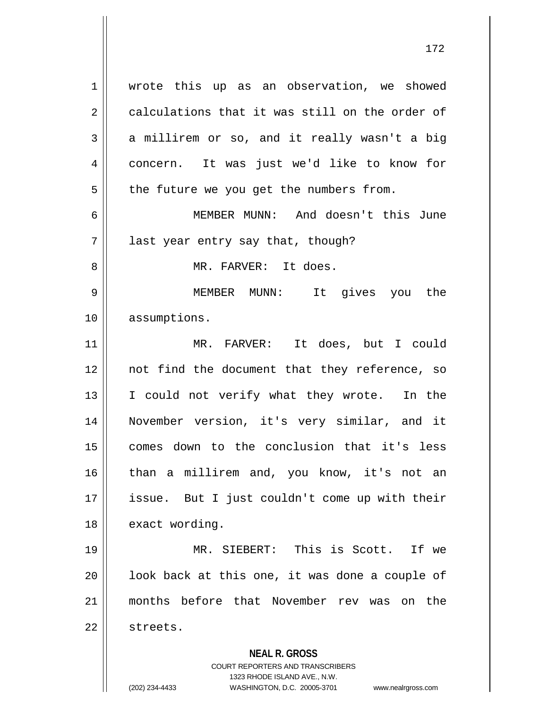1 wrote this up as an observation, we showed  $2 \parallel$  calculations that it was still on the order of  $3 \parallel$  a millirem or so, and it really wasn't a big 4 concern. It was just we'd like to know for  $5 \parallel$  the future we you get the numbers from. 6 MEMBER MUNN: And doesn't this June  $7 \parallel$  last year entry say that, though? 8 MR. FARVER: It does.

9 MEMBER MUNN: It gives you the 10 | assumptions.

11 MR. FARVER: It does, but I could 12 || not find the document that they reference, so 13 || I could not verify what they wrote. In the 14 November version, it's very similar, and it 15 comes down to the conclusion that it's less 16 || than a millirem and, you know, it's not an 17 issue. But I just couldn't come up with their 18 | exact wording.

 MR. SIEBERT: This is Scott. If we || look back at this one, it was done a couple of months before that November rev was on the 22 | streets.

> **NEAL R. GROSS** COURT REPORTERS AND TRANSCRIBERS 1323 RHODE ISLAND AVE., N.W.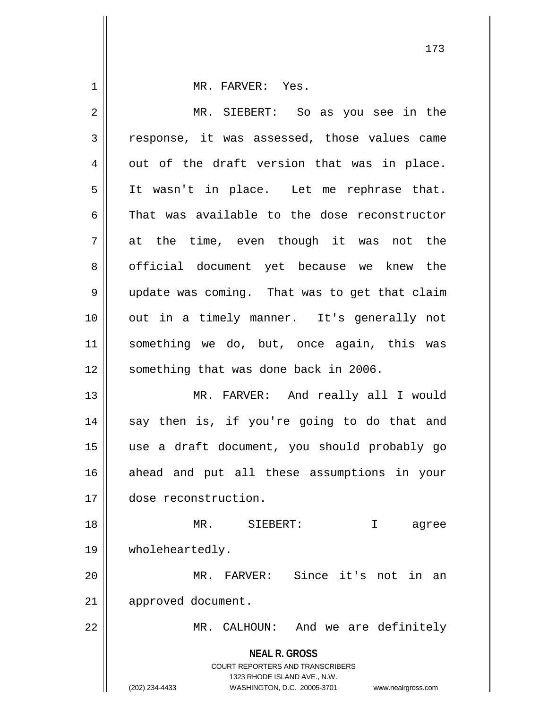**NEAL R. GROSS** COURT REPORTERS AND TRANSCRIBERS 1323 RHODE ISLAND AVE., N.W. (202) 234-4433 WASHINGTON, D.C. 20005-3701 www.nealrgross.com 1 || MR. FARVER: Yes. 2 MR. SIEBERT: So as you see in the 3 | response, it was assessed, those values came  $4 \parallel$  out of the draft version that was in place. 5 || It wasn't in place. Let me rephrase that.  $6 \parallel$  That was available to the dose reconstructor  $7 \parallel$  at the time, even though it was not the 8 || official document yet because we knew the 9 | update was coming. That was to get that claim 10 out in a timely manner. It's generally not 11 something we do, but, once again, this was 12 || something that was done back in 2006. 13 MR. FARVER: And really all I would  $14$  say then is, if you're going to do that and 15 use a draft document, you should probably go 16 ahead and put all these assumptions in your 17 dose reconstruction. 18 MR. SIEBERT: I agree 19 wholeheartedly. 20 MR. FARVER: Since it's not in an 21 | approved document. 22 || MR. CALHOUN: And we are definitely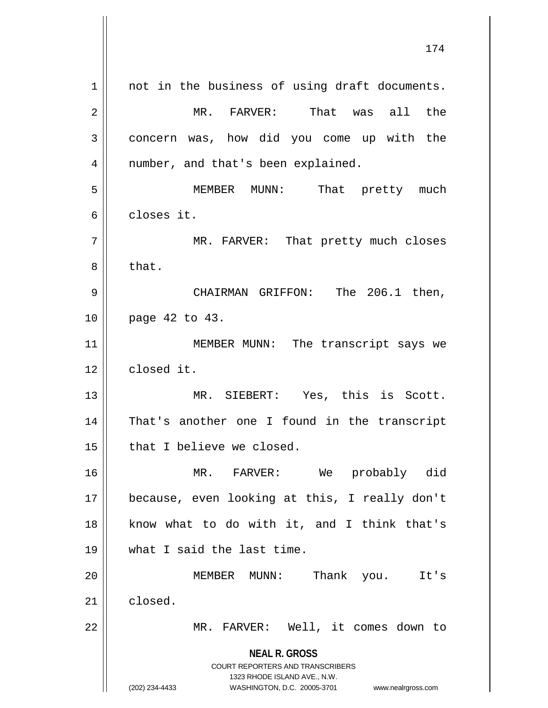**NEAL R. GROSS** COURT REPORTERS AND TRANSCRIBERS 1323 RHODE ISLAND AVE., N.W. (202) 234-4433 WASHINGTON, D.C. 20005-3701 www.nealrgross.com 1 || not in the business of using draft documents. 2 MR. FARVER: That was all the 3 concern was, how did you come up with the  $4 \parallel$  number, and that's been explained. 5 MEMBER MUNN: That pretty much 6 || closes it. 7 | MR. FARVER: That pretty much closes  $8 \parallel$  that. 9 CHAIRMAN GRIFFON: The 206.1 then, 10 page 42 to 43. 11 || MEMBER MUNN: The transcript says we 12 closed it. 13 || MR. SIEBERT: Yes, this is Scott. 14 || That's another one I found in the transcript  $15$  || that I believe we closed. 16 MR. FARVER: We probably did 17 because, even looking at this, I really don't 18 || know what to do with it, and I think that's 19 what I said the last time. 20 MEMBER MUNN: Thank you. It's 21 closed. 22 || MR. FARVER: Well, it comes down to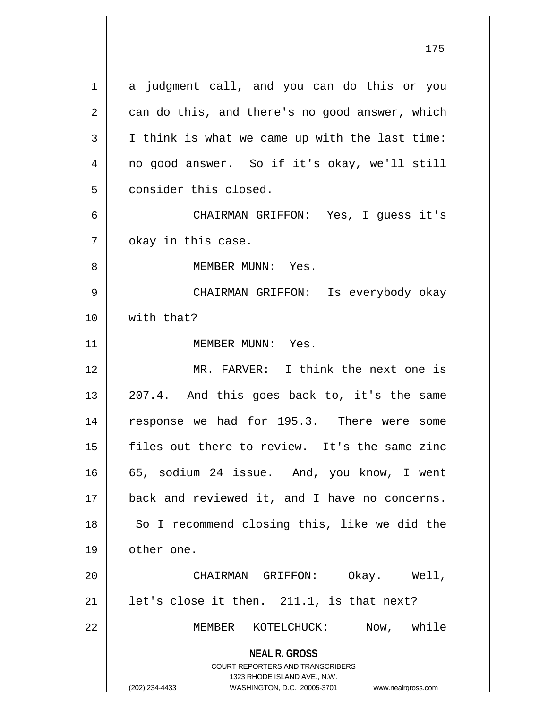**NEAL R. GROSS** COURT REPORTERS AND TRANSCRIBERS 1323 RHODE ISLAND AVE., N.W. (202) 234-4433 WASHINGTON, D.C. 20005-3701 www.nealrgross.com 1 a judgment call, and you can do this or you  $2 \parallel$  can do this, and there's no good answer, which  $3 \parallel$  I think is what we came up with the last time: 4 no good answer. So if it's okay, we'll still 5 consider this closed. 6 CHAIRMAN GRIFFON: Yes, I guess it's  $7 \parallel$  okay in this case. 8 MEMBER MUNN: Yes. 9 CHAIRMAN GRIFFON: Is everybody okay 10 with that? 11 || MEMBER MUNN: Yes. 12 MR. FARVER: I think the next one is  $13 \parallel 207.4$ . And this goes back to, it's the same 14 response we had for 195.3. There were some 15 files out there to review. It's the same zinc 16 || 65, sodium 24 issue. And, you know, I went 17 back and reviewed it, and I have no concerns. 18 || So I recommend closing this, like we did the 19 | other one. 20 CHAIRMAN GRIFFON: Okay. Well,  $21$  | let's close it then. 211.1, is that next? 22 MEMBER KOTELCHUCK: Now, while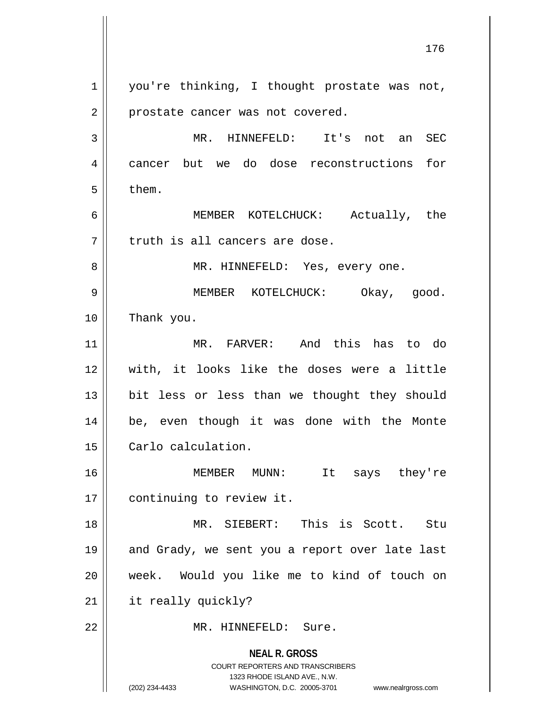**NEAL R. GROSS** COURT REPORTERS AND TRANSCRIBERS 1323 RHODE ISLAND AVE., N.W. (202) 234-4433 WASHINGTON, D.C. 20005-3701 www.nealrgross.com 1 || you're thinking, I thought prostate was not, 2 | prostate cancer was not covered. 3 MR. HINNEFELD: It's not an SEC 4 cancer but we do dose reconstructions for  $5 \parallel$  them. 6 MEMBER KOTELCHUCK: Actually, the  $7$  | truth is all cancers are dose. 8 || MR. HINNEFELD: Yes, every one. 9 MEMBER KOTELCHUCK: Okay, good. 10 Thank you. 11 MR. FARVER: And this has to do 12 With, it looks like the doses were a little 13 || bit less or less than we thought they should 14 be, even though it was done with the Monte 15 | Carlo calculation. 16 MEMBER MUNN: It says they're 17 | continuing to review it. 18 MR. SIEBERT: This is Scott. Stu 19 || and Grady, we sent you a report over late last 20 week. Would you like me to kind of touch on 21 | it really quickly? 22 MR. HINNEFELD: Sure.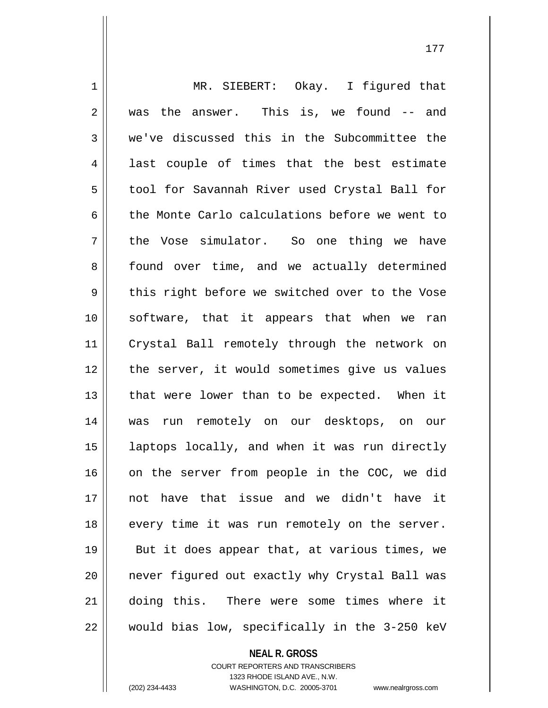1 || MR. SIEBERT: Okay. I figured that 2 was the answer. This is, we found -- and 3 we've discussed this in the Subcommittee the 4 || last couple of times that the best estimate 5 || tool for Savannah River used Crystal Ball for 6 the Monte Carlo calculations before we went to  $7 \parallel$  the Vose simulator. So one thing we have 8 || found over time, and we actually determined  $9 \parallel$  this right before we switched over to the Vose 10 software, that it appears that when we ran 11 Crystal Ball remotely through the network on 12 || the server, it would sometimes give us values  $13$  || that were lower than to be expected. When it 14 was run remotely on our desktops, on our 15 laptops locally, and when it was run directly 16 || on the server from people in the COC, we did 17 not have that issue and we didn't have it 18 || every time it was run remotely on the server. 19 || But it does appear that, at various times, we 20 || never figured out exactly why Crystal Ball was 21 doing this. There were some times where it  $22$  | would bias low, specifically in the 3-250 keV

> **NEAL R. GROSS** COURT REPORTERS AND TRANSCRIBERS 1323 RHODE ISLAND AVE., N.W.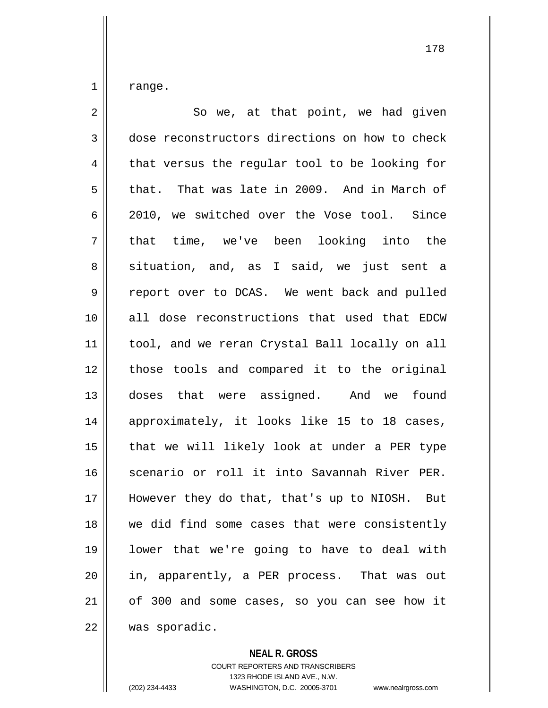$1 \parallel$  range.

| $\overline{a}$ | So we, at that point, we had given             |
|----------------|------------------------------------------------|
| $\mathfrak{Z}$ | dose reconstructors directions on how to check |
| 4              | that versus the regular tool to be looking for |
| 5              | that. That was late in 2009. And in March of   |
| 6              | 2010, we switched over the Vose tool. Since    |
| 7              | that time, we've been looking into the         |
| 8              | situation, and, as I said, we just sent a      |
| $\mathsf 9$    | report over to DCAS. We went back and pulled   |
| 10             | all dose reconstructions that used that EDCW   |
| 11             | tool, and we reran Crystal Ball locally on all |
| 12             | those tools and compared it to the original    |
| 13             | doses that were assigned. And we found         |
| 14             | approximately, it looks like 15 to 18 cases,   |
| 15             | that we will likely look at under a PER type   |
| 16             | scenario or roll it into Savannah River PER.   |
| 17             | However they do that, that's up to NIOSH. But  |
| 18             | we did find some cases that were consistently  |
| 19             | lower that we're going to have to deal with    |
| 20             | in, apparently, a PER process. That was out    |
| 21             | of 300 and some cases, so you can see how it   |
| 22             | was sporadic.                                  |

**NEAL R. GROSS**

COURT REPORTERS AND TRANSCRIBERS 1323 RHODE ISLAND AVE., N.W. (202) 234-4433 WASHINGTON, D.C. 20005-3701 www.nealrgross.com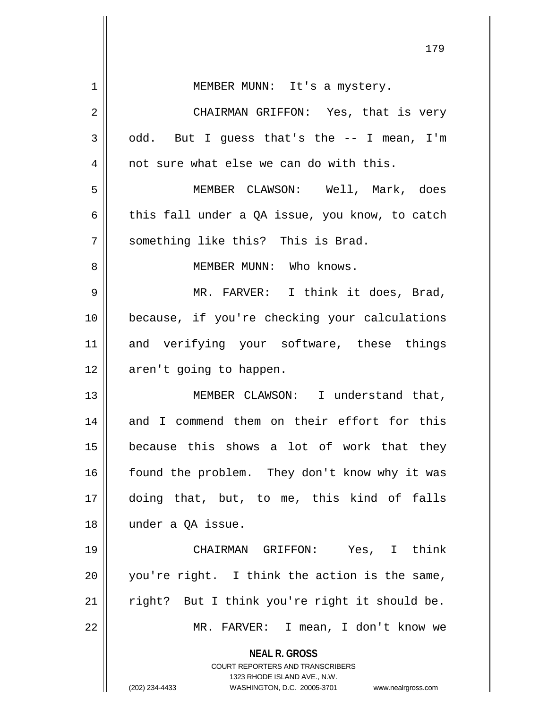|    | エノン                                                                                                                                                                    |
|----|------------------------------------------------------------------------------------------------------------------------------------------------------------------------|
| 1  | MEMBER MUNN: It's a mystery.                                                                                                                                           |
| 2  | CHAIRMAN GRIFFON: Yes, that is very                                                                                                                                    |
| 3  | odd. But I guess that's the -- I mean, I'm                                                                                                                             |
| 4  | not sure what else we can do with this.                                                                                                                                |
| 5  | MEMBER CLAWSON: Well, Mark, does                                                                                                                                       |
| 6  | this fall under a QA issue, you know, to catch                                                                                                                         |
| 7  | something like this? This is Brad.                                                                                                                                     |
| 8  | MEMBER MUNN: Who knows.                                                                                                                                                |
| 9  | MR. FARVER: I think it does, Brad,                                                                                                                                     |
| 10 | because, if you're checking your calculations                                                                                                                          |
| 11 | and verifying your software, these things                                                                                                                              |
| 12 | aren't going to happen.                                                                                                                                                |
| 13 | MEMBER CLAWSON: I understand that,                                                                                                                                     |
| 14 | and I commend them on their effort for this                                                                                                                            |
| 15 | because this shows a lot of work that they                                                                                                                             |
| 16 | found the problem. They don't know why it was                                                                                                                          |
| 17 | doing that, but, to me, this kind of falls                                                                                                                             |
| 18 | under a QA issue.                                                                                                                                                      |
| 19 | CHAIRMAN GRIFFON: Yes, I think                                                                                                                                         |
| 20 | you're right. I think the action is the same,                                                                                                                          |
| 21 | right? But I think you're right it should be.                                                                                                                          |
| 22 | MR. FARVER: I mean, I don't know we                                                                                                                                    |
|    | <b>NEAL R. GROSS</b><br><b>COURT REPORTERS AND TRANSCRIBERS</b><br>1323 RHODE ISLAND AVE., N.W.<br>(202) 234-4433<br>WASHINGTON, D.C. 20005-3701<br>www.nealrgross.com |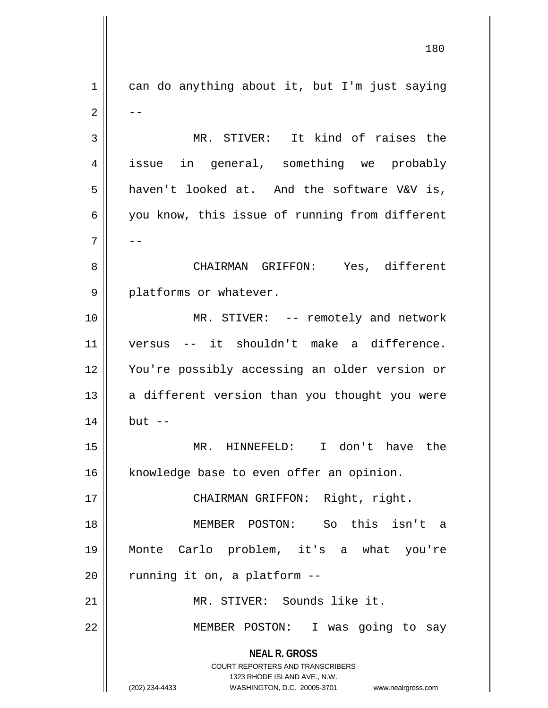**NEAL R. GROSS** COURT REPORTERS AND TRANSCRIBERS 1323 RHODE ISLAND AVE., N.W. (202) 234-4433 WASHINGTON, D.C. 20005-3701 www.nealrgross.com  $1 \parallel$  can do anything about it, but I'm just saying  $2 \parallel - -$ 3 || MR. STIVER: It kind of raises the 4 issue in general, something we probably 5 haven't looked at. And the software V&V is, 6 || you know, this issue of running from different 7 | --8 CHAIRMAN GRIFFON: Yes, different 9 || platforms or whatever. 10 MR. STIVER: -- remotely and network 11 versus -- it shouldn't make a difference. 12 You're possibly accessing an older version or  $13$  a different version than you thought you were  $14$   $\parallel$  but  $-$ 15 MR. HINNEFELD: I don't have the 16 | knowledge base to even offer an opinion. 17 CHAIRMAN GRIFFON: Right, right. 18 MEMBER POSTON: So this isn't a 19 Monte Carlo problem, it's a what you're  $20$  | running it on, a platform  $-$ 21 MR. STIVER: Sounds like it. 22 MEMBER POSTON: I was going to say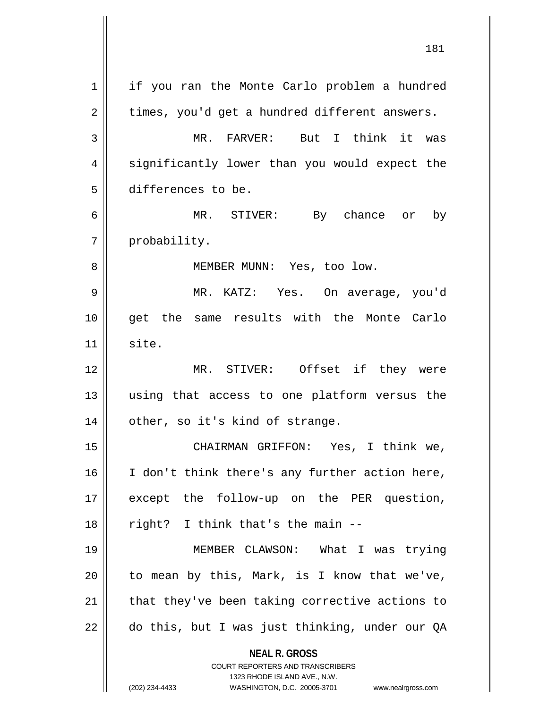| 1  | if you ran the Monte Carlo problem a hundred                        |
|----|---------------------------------------------------------------------|
| 2  | times, you'd get a hundred different answers.                       |
| 3  | MR. FARVER: But I think it was                                      |
| 4  | significantly lower than you would expect the                       |
| 5  | differences to be.                                                  |
| 6  | MR. STIVER: By chance or by                                         |
| 7  | probability.                                                        |
| 8  | MEMBER MUNN: Yes, too low.                                          |
| 9  | MR. KATZ: Yes. On average, you'd                                    |
| 10 | get the same results with the Monte Carlo                           |
| 11 | site.                                                               |
| 12 | MR. STIVER: Offset if they were                                     |
| 13 | using that access to one platform versus the                        |
| 14 | other, so it's kind of strange.                                     |
| 15 | CHAIRMAN GRIFFON: Yes, I think we,                                  |
| 16 | I don't think there's any further action here,                      |
| 17 | except the follow-up on the PER question,                           |
| 18 | right? I think that's the main --                                   |
| 19 | MEMBER CLAWSON: What I was trying                                   |
| 20 | to mean by this, Mark, is I know that we've,                        |
| 21 | that they've been taking corrective actions to                      |
| 22 | do this, but I was just thinking, under our QA                      |
|    |                                                                     |
|    | <b>NEAL R. GROSS</b><br><b>COURT REPORTERS AND TRANSCRIBERS</b>     |
|    | 1323 RHODE ISLAND AVE., N.W.                                        |
|    | (202) 234-4433<br>WASHINGTON, D.C. 20005-3701<br>www.nealrgross.com |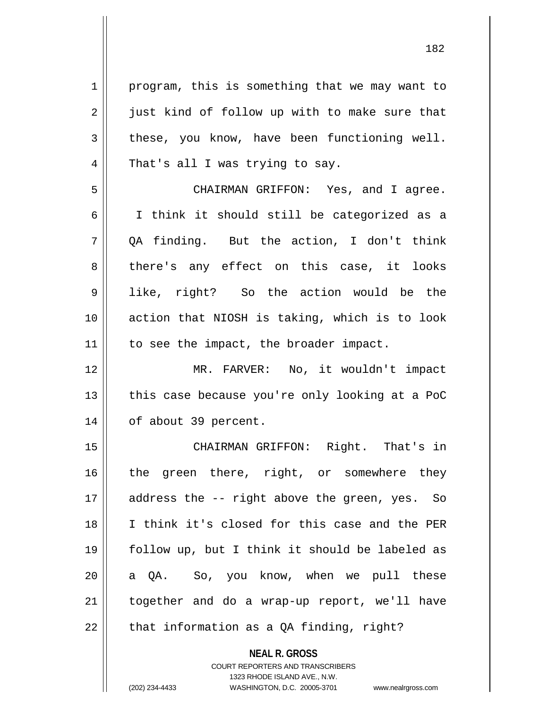1 | program, this is something that we may want to  $2 \parallel$  just kind of follow up with to make sure that  $3 \parallel$  these, you know, have been functioning well.  $4 \parallel$  That's all I was trying to say. 5 CHAIRMAN GRIFFON: Yes, and I agree. 6 I think it should still be categorized as a  $7 \parallel$  OA finding. But the action, I don't think 8 there's any effect on this case, it looks 9 like, right? So the action would be the 10 action that NIOSH is taking, which is to look 11 | to see the impact, the broader impact. 12 MR. FARVER: No, it wouldn't impact  $13$  | this case because you're only looking at a PoC 14 || of about 39 percent. 15 || CHAIRMAN GRIFFON: Right. That's in 16 || the green there, right, or somewhere they 17 || address the -- right above the green, yes. So 18 I think it's closed for this case and the PER 19 follow up, but I think it should be labeled as 20 || a QA. So, you know, when we pull these 21 together and do a wrap-up report, we'll have 22  $\parallel$  that information as a QA finding, right?

> **NEAL R. GROSS** COURT REPORTERS AND TRANSCRIBERS 1323 RHODE ISLAND AVE., N.W.

(202) 234-4433 WASHINGTON, D.C. 20005-3701 www.nealrgross.com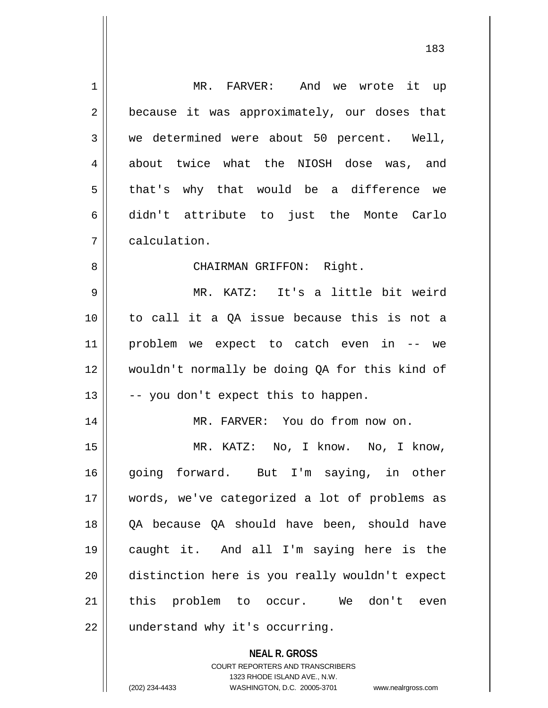| 1  | MR. FARVER: And we wrote it up                           |
|----|----------------------------------------------------------|
| 2  | because it was approximately, our doses that             |
| 3  | we determined were about 50 percent. Well,               |
| 4  | about twice what the NIOSH dose was, and                 |
| 5  | that's why that would be a difference we                 |
| 6  | didn't attribute to just the Monte Carlo                 |
| 7  | calculation.                                             |
| 8  | CHAIRMAN GRIFFON: Right.                                 |
| 9  | MR. KATZ: It's a little bit weird                        |
| 10 | to call it a QA issue because this is not a              |
| 11 | problem we expect to catch even in -- we                 |
| 12 | wouldn't normally be doing QA for this kind of           |
| 13 | -- you don't expect this to happen.                      |
| 14 | MR. FARVER: You do from now on.                          |
| 15 | MR. KATZ: No, I know. No, I know,                        |
| 16 | going forward. But I'm saying, in other                  |
| 17 | words, we've categorized a lot of problems as            |
| 18 | QA because QA should have been, should have              |
| 19 | caught it. And all I'm saying here is the                |
| 20 | distinction here is you really wouldn't expect           |
| 21 | this problem to occur. We don't even                     |
| 22 | understand why it's occurring.                           |
|    | <b>NEAL R. GROSS</b><br>COURT REPORTERS AND TRANSCRIBERS |

1323 RHODE ISLAND AVE., N.W.

 $\prod$ 

(202) 234-4433 WASHINGTON, D.C. 20005-3701 www.nealrgross.com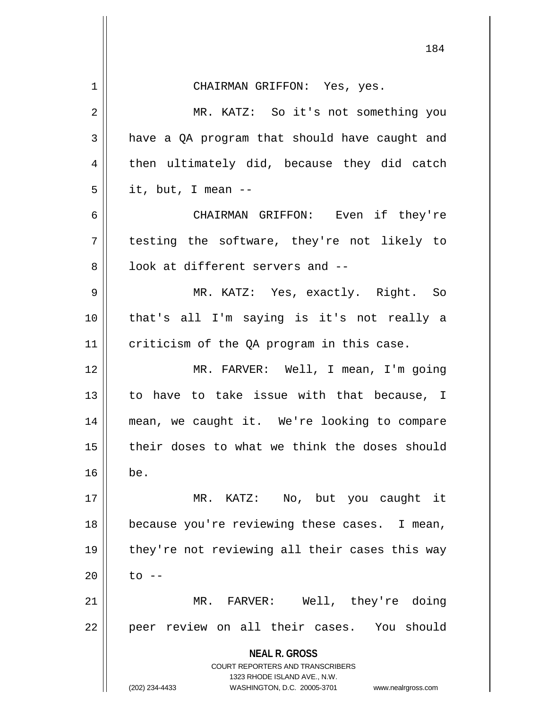|                | 184                                                                                             |
|----------------|-------------------------------------------------------------------------------------------------|
|                |                                                                                                 |
| 1              | CHAIRMAN GRIFFON: Yes, yes.                                                                     |
| $\overline{2}$ | MR. KATZ: So it's not something you                                                             |
| 3              | have a QA program that should have caught and                                                   |
| $\overline{4}$ | then ultimately did, because they did catch                                                     |
| 5              | it, but, I mean --                                                                              |
| 6              | CHAIRMAN GRIFFON: Even if they're                                                               |
| 7              | testing the software, they're not likely to                                                     |
| 8              | look at different servers and --                                                                |
| 9              | MR. KATZ: Yes, exactly. Right. So                                                               |
| 10             | that's all I'm saying is it's not really a                                                      |
| 11             | criticism of the QA program in this case.                                                       |
| 12             | MR. FARVER: Well, I mean, I'm going                                                             |
| 13             | to have to take issue with that because, I                                                      |
| 14             | mean, we caught it. We're looking to compare                                                    |
| 15             | their doses to what we think the doses should                                                   |
| 16             | be.                                                                                             |
| 17             | MR. KATZ: No, but you caught it                                                                 |
| 18             | because you're reviewing these cases. I mean,                                                   |
| 19             | they're not reviewing all their cases this way                                                  |
| 20             | to --                                                                                           |
| 21             | MR. FARVER: Well, they're doing                                                                 |
| 22             | peer review on all their cases. You should                                                      |
|                | <b>NEAL R. GROSS</b><br><b>COURT REPORTERS AND TRANSCRIBERS</b><br>1323 RHODE ISLAND AVE., N.W. |
|                | (202) 234-4433<br>WASHINGTON, D.C. 20005-3701<br>www.nealrgross.com                             |

Ħ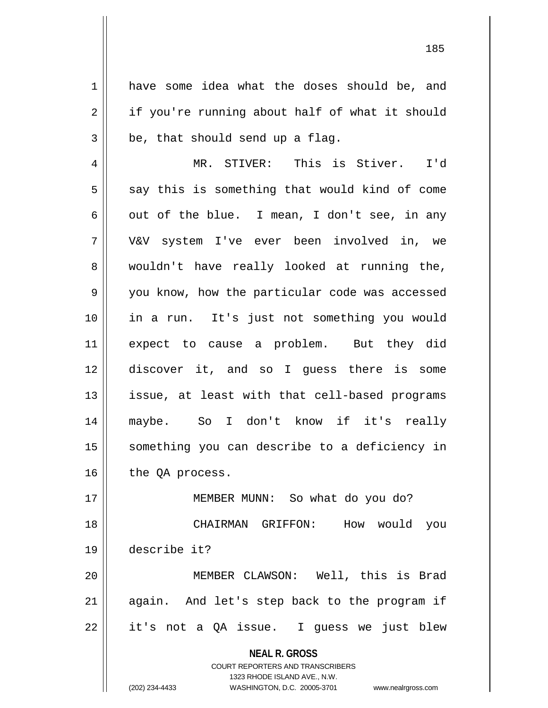1 have some idea what the doses should be, and 2 | if you're running about half of what it should  $3 \parallel$  be, that should send up a flag.

4 MR. STIVER: This is Stiver. I'd  $5 \parallel$  say this is something that would kind of come 6 || out of the blue. I mean, I don't see, in any 7 V&V system I've ever been involved in, we 8 || wouldn't have really looked at running the, 9 || you know, how the particular code was accessed 10 in a run. It's just not something you would 11 expect to cause a problem. But they did 12 discover it, and so I guess there is some 13 || issue, at least with that cell-based programs 14 maybe. So I don't know if it's really 15 || something you can describe to a deficiency in  $16$  | the QA process.

17 || MEMBER MUNN: So what do you do? CHAIRMAN GRIFFON: How would you describe it? MEMBER CLAWSON: Well, this is Brad || again. And let's step back to the program if

 $22 \parallel$  it's not a QA issue. I guess we just blew

**NEAL R. GROSS**

COURT REPORTERS AND TRANSCRIBERS 1323 RHODE ISLAND AVE., N.W. (202) 234-4433 WASHINGTON, D.C. 20005-3701 www.nealrgross.com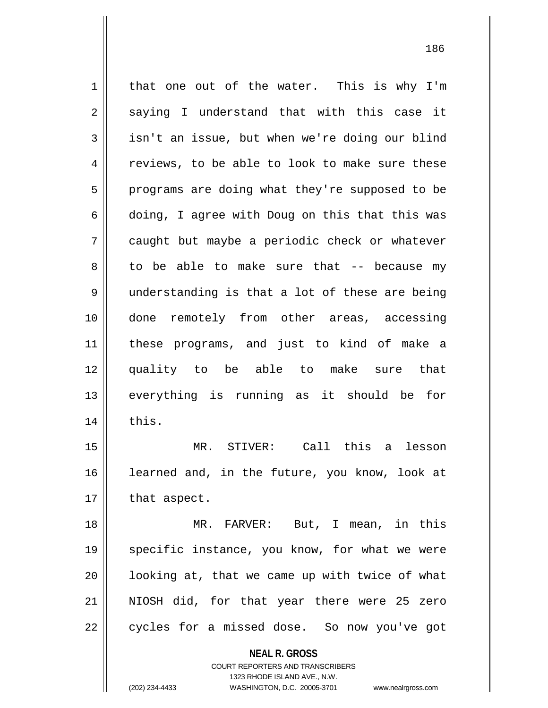$1 \parallel$  that one out of the water. This is why I'm  $2 \parallel$  saying I understand that with this case it  $3 \parallel$  isn't an issue, but when we're doing our blind 4 || reviews, to be able to look to make sure these  $5 \parallel$  programs are doing what they're supposed to be 6 || doing, I agree with Doug on this that this was 7 caught but maybe a periodic check or whatever  $8 \parallel$  to be able to make sure that  $-$  because my 9 understanding is that a lot of these are being 10 done remotely from other areas, accessing 11 these programs, and just to kind of make a 12 quality to be able to make sure that 13 everything is running as it should be for  $14$   $\parallel$  this. 15 MR. STIVER: Call this a lesson 16 || learned and, in the future, you know, look at  $17$  | that aspect. 18 MR. FARVER: But, I mean, in this 19 || specific instance, you know, for what we were

 $20$  ||  $100$ king at, that we came up with twice of what 21 NIOSH did, for that year there were 25 zero  $22$  | cycles for a missed dose. So now you've got

> **NEAL R. GROSS** COURT REPORTERS AND TRANSCRIBERS

> > 1323 RHODE ISLAND AVE., N.W.

(202) 234-4433 WASHINGTON, D.C. 20005-3701 www.nealrgross.com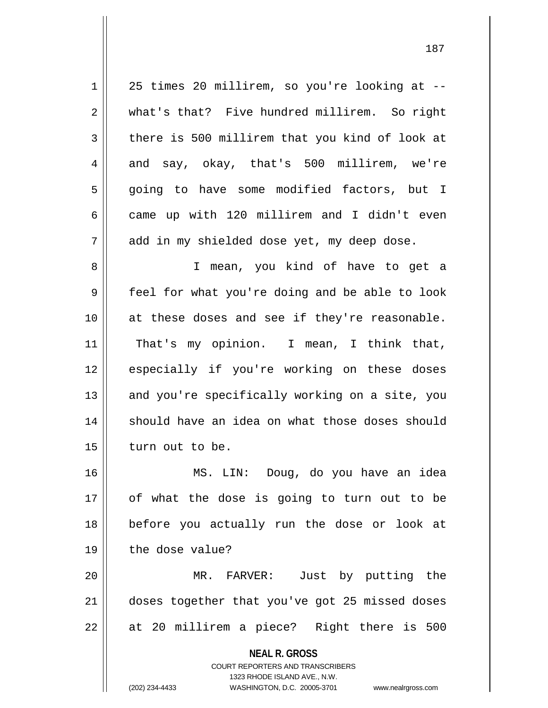| $\mathbf 1$ | 25 times 20 millirem, so you're looking at --                                                       |
|-------------|-----------------------------------------------------------------------------------------------------|
| 2           | what's that? Five hundred millirem. So right                                                        |
| 3           | there is 500 millirem that you kind of look at                                                      |
| 4           | and say, okay, that's 500 millirem, we're                                                           |
| 5           | going to have some modified factors, but I                                                          |
| 6           | came up with 120 millirem and I didn't even                                                         |
| 7           | add in my shielded dose yet, my deep dose.                                                          |
| 8           | I mean, you kind of have to get a                                                                   |
| 9           | feel for what you're doing and be able to look                                                      |
| 10          | at these doses and see if they're reasonable.                                                       |
| 11          | That's my opinion. I mean, I think that,                                                            |
| 12          | especially if you're working on these doses                                                         |
| 13          | and you're specifically working on a site, you                                                      |
| 14          | should have an idea on what those doses should                                                      |
| 15          | turn out to be.                                                                                     |
| 16          | MS. LIN: Doug, do you have an idea                                                                  |
| 17          | of what the dose is going to turn out to be                                                         |
| 18          | before you actually run the dose or look at                                                         |
| 19          | the dose value?                                                                                     |
| 20          | MR. FARVER: Just by putting the                                                                     |
| 21          | doses together that you've got 25 missed doses                                                      |
| 22          | at 20 millirem a piece? Right there is 500                                                          |
|             | <b>NEAL R. GROSS</b>                                                                                |
|             | <b>COURT REPORTERS AND TRANSCRIBERS</b>                                                             |
|             | 1323 RHODE ISLAND AVE., N.W.<br>(202) 234-4433<br>WASHINGTON, D.C. 20005-3701<br>www.nealrgross.com |
|             |                                                                                                     |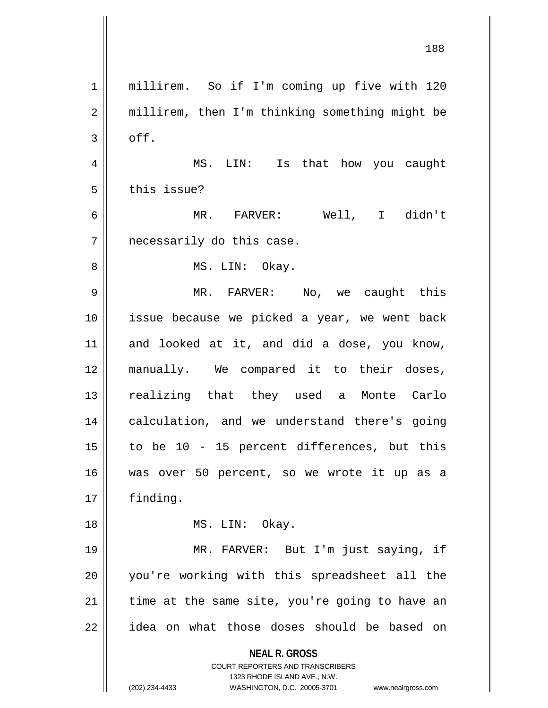**NEAL R. GROSS** COURT REPORTERS AND TRANSCRIBERS 1323 RHODE ISLAND AVE., N.W. (202) 234-4433 WASHINGTON, D.C. 20005-3701 www.nealrgross.com 1 | millirem. So if I'm coming up five with 120 2 || millirem, then I'm thinking something might be  $3 \parallel$  off. 4 MS. LIN: Is that how you caught 5 | this issue? 6 MR. FARVER: Well, I didn't 7 || necessarily do this case. 8 || MS. LIN: Okay. 9 MR. FARVER: No, we caught this 10 issue because we picked a year, we went back  $11$  and looked at it, and did a dose, you know, 12 manually. We compared it to their doses, 13 || realizing that they used a Monte Carlo 14 || calculation, and we understand there's going  $15$  to be 10 - 15 percent differences, but this 16 was over 50 percent, so we wrote it up as a 17 finding. 18 || MS. LIN: Okay. 19 MR. FARVER: But I'm just saying, if 20 you're working with this spreadsheet all the  $21$  time at the same site, you're going to have an 22 || idea on what those doses should be based on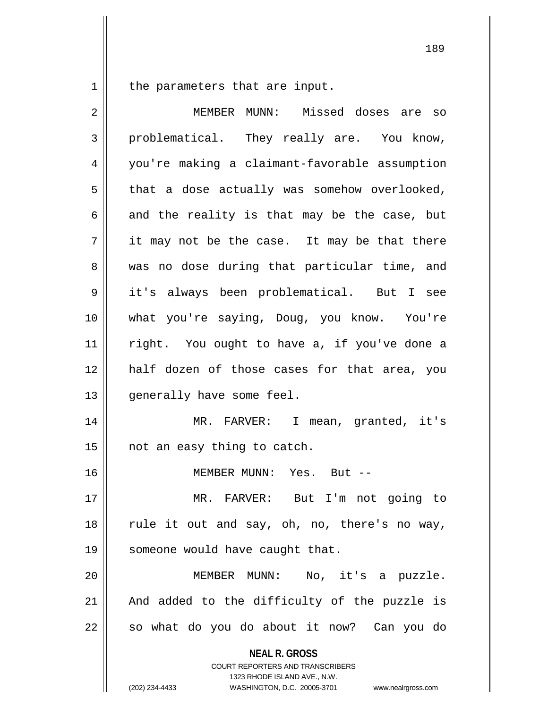the parameters that are input.

| 2  | MEMBER MUNN: Missed doses are so                                                                    |
|----|-----------------------------------------------------------------------------------------------------|
| 3  | problematical. They really are. You know,                                                           |
| 4  | you're making a claimant-favorable assumption                                                       |
| 5  | that a dose actually was somehow overlooked,                                                        |
| 6  | and the reality is that may be the case, but                                                        |
| 7  | it may not be the case. It may be that there                                                        |
| 8  | was no dose during that particular time, and                                                        |
| 9  | it's always been problematical. But I see                                                           |
| 10 | what you're saying, Doug, you know. You're                                                          |
| 11 | right. You ought to have a, if you've done a                                                        |
| 12 | half dozen of those cases for that area, you                                                        |
| 13 | generally have some feel.                                                                           |
| 14 | MR. FARVER: I mean, granted, it's                                                                   |
| 15 | not an easy thing to catch.                                                                         |
| 16 | MEMBER MUNN: Yes. But --                                                                            |
| 17 | MR. FARVER: But I'm not going to                                                                    |
| 18 | rule it out and say, oh, no, there's no way,                                                        |
| 19 | someone would have caught that.                                                                     |
| 20 | MEMBER MUNN: No, it's a puzzle.                                                                     |
| 21 | And added to the difficulty of the puzzle is                                                        |
|    |                                                                                                     |
| 22 | so what do you do about it now? Can you do                                                          |
|    | <b>NEAL R. GROSS</b><br><b>COURT REPORTERS AND TRANSCRIBERS</b>                                     |
|    | 1323 RHODE ISLAND AVE., N.W.<br>(202) 234-4433<br>WASHINGTON, D.C. 20005-3701<br>www.nealrgross.com |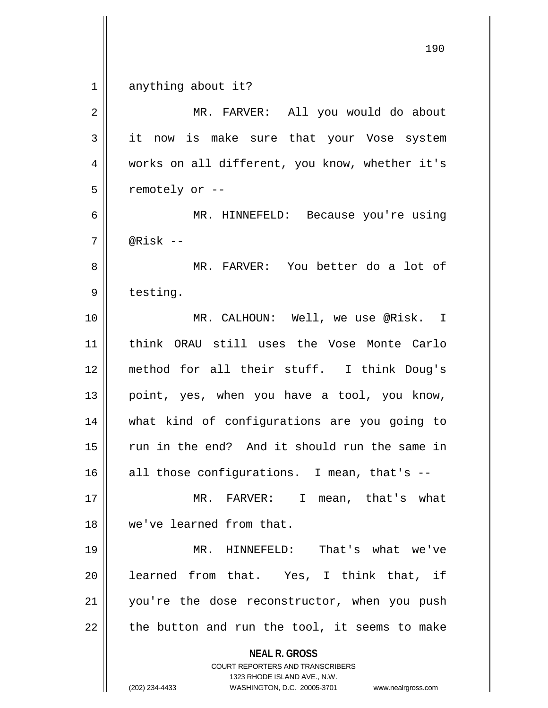|                | 190                                                                                                 |
|----------------|-----------------------------------------------------------------------------------------------------|
| $\mathbf 1$    | anything about it?                                                                                  |
| $\overline{2}$ | MR. FARVER: All you would do about                                                                  |
| 3              | it now is make sure that your Vose system                                                           |
| 4              | works on all different, you know, whether it's                                                      |
| 5              | remotely or --                                                                                      |
| 6              | MR. HINNEFELD: Because you're using                                                                 |
| 7              | @Risk $--$                                                                                          |
| 8              | MR. FARVER: You better do a lot of                                                                  |
| 9              | testing.                                                                                            |
| 10             | MR. CALHOUN: Well, we use @Risk. I                                                                  |
| 11             | think ORAU still uses the Vose Monte Carlo                                                          |
| 12             | method for all their stuff. I think Doug's                                                          |
| 13             | point, yes, when you have a tool, you know,                                                         |
| 14             | what kind of configurations are you going to                                                        |
| 15             | run in the end? And it should run the same in                                                       |
| 16             | all those configurations. I mean, that's --                                                         |
| 17             | MR. FARVER: I<br>mean, that's what                                                                  |
| 18             | we've learned from that.                                                                            |
| 19             | MR. HINNEFELD: That's what we've                                                                    |
| 20             | learned from that. Yes, I think that, if                                                            |
| 21             | you're the dose reconstructor, when you push                                                        |
| 22             | the button and run the tool, it seems to make                                                       |
|                | <b>NEAL R. GROSS</b><br><b>COURT REPORTERS AND TRANSCRIBERS</b>                                     |
|                | 1323 RHODE ISLAND AVE., N.W.<br>(202) 234-4433<br>WASHINGTON, D.C. 20005-3701<br>www.nealrgross.com |

 $\mathsf{I}$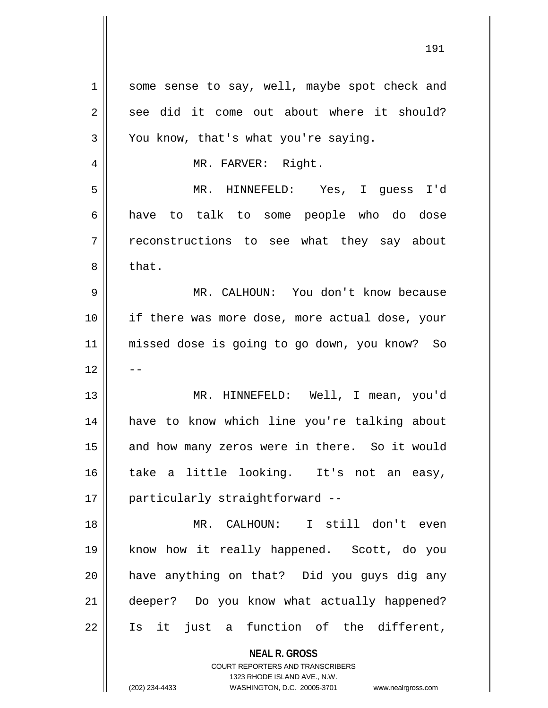**NEAL R. GROSS** COURT REPORTERS AND TRANSCRIBERS 1 some sense to say, well, maybe spot check and  $2 \parallel$  see did it come out about where it should?  $3 \parallel$  You know, that's what you're saying. 4 || MR. FARVER: Right. 5 MR. HINNEFELD: Yes, I guess I'd 6 have to talk to some people who do dose 7 T reconstructions to see what they say about  $8 \parallel$  that. 9 MR. CALHOUN: You don't know because 10 if there was more dose, more actual dose, your 11 missed dose is going to go down, you know? So  $12$ 13 MR. HINNEFELD: Well, I mean, you'd 14 have to know which line you're talking about 15 || and how many zeros were in there. So it would 16 take a little looking. It's not an easy, 17 || particularly straightforward --18 MR. CALHOUN: I still don't even 19 know how it really happened. Scott, do you 20 || have anything on that? Did you guys dig any 21 deeper? Do you know what actually happened? 22 Is it just a function of the different,

1323 RHODE ISLAND AVE., N.W.

(202) 234-4433 WASHINGTON, D.C. 20005-3701 www.nealrgross.com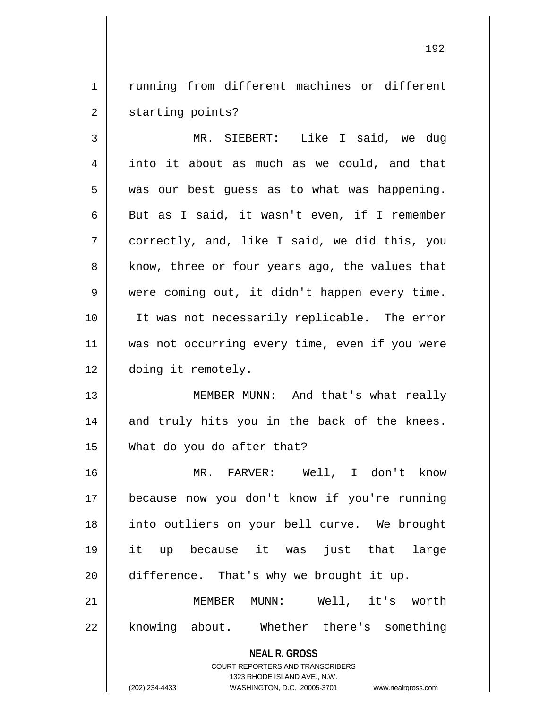1 | running from different machines or different 2 | starting points?

3 MR. SIEBERT: Like I said, we dug 4 || into it about as much as we could, and that  $5 \parallel$  was our best guess as to what was happening. 6 But as I said, it wasn't even, if I remember 7 correctly, and, like I said, we did this, you 8 || know, three or four years ago, the values that 9 | were coming out, it didn't happen every time. 10 It was not necessarily replicable. The error 11 was not occurring every time, even if you were 12 doing it remotely.

13 MEMBER MUNN: And that's what really 14 and truly hits you in the back of the knees. 15 What do you do after that?

 MR. FARVER: Well, I don't know because now you don't know if you're running into outliers on your bell curve. We brought it up because it was just that large | difference. That's why we brought it up.

21 MEMBER MUNN: Well, it's worth 22 || knowing about. Whether there's something

**NEAL R. GROSS**

COURT REPORTERS AND TRANSCRIBERS 1323 RHODE ISLAND AVE., N.W. (202) 234-4433 WASHINGTON, D.C. 20005-3701 www.nealrgross.com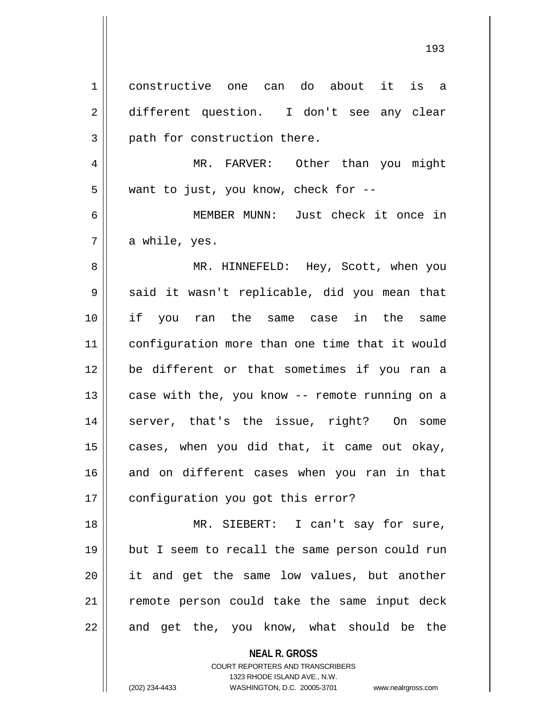1 constructive one can do about it is a 2 || different question. I don't see any clear  $3$  || path for construction there. 4 MR. FARVER: Other than you might 5 || want to just, you know, check for --6 MEMBER MUNN: Just check it once in  $7 \parallel$  a while, yes. 8 MR. HINNEFELD: Hey, Scott, when you 9 || said it wasn't replicable, did you mean that 10 if you ran the same case in the same 11 configuration more than one time that it would 12 be different or that sometimes if you ran a 13  $\parallel$  case with the, you know -- remote running on a 14 || server, that's the issue, right? On some  $15$  cases, when you did that, it came out okay, 16 and on different cases when you ran in that 17 | configuration you got this error? 18 MR. SIEBERT: I can't say for sure, 19 but I seem to recall the same person could run 20 || it and get the same low values, but another

 $22$  || and get the, you know, what should be the

**NEAL R. GROSS** COURT REPORTERS AND TRANSCRIBERS

21 remote person could take the same input deck

1323 RHODE ISLAND AVE., N.W.

(202) 234-4433 WASHINGTON, D.C. 20005-3701 www.nealrgross.com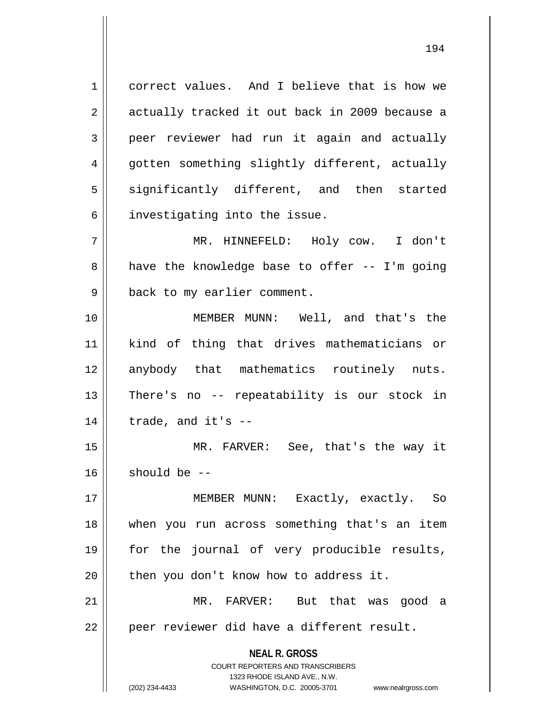1 correct values. And I believe that is how we 2 || actually tracked it out back in 2009 because a 3 peer reviewer had run it again and actually 4 gotten something slightly different, actually 5 || significantly different, and then started  $6$  investigating into the issue. 7 MR. HINNEFELD: Holy cow. I don't

 $8 \parallel$  have the knowledge base to offer -- I'm going 9 || back to my earlier comment.

10 MEMBER MUNN: Well, and that's the 11 kind of thing that drives mathematicians or 12 anybody that mathematics routinely nuts. 13 || There's no -- repeatability is our stock in  $14$  || trade, and it's  $-$ 

15 MR. FARVER: See, that's the way it  $16$  should be  $-$ 

 MEMBER MUNN: Exactly, exactly. So when you run across something that's an item for the journal of very producible results, | then you don't know how to address it. MR. FARVER: But that was good a

 $22$  || peer reviewer did have a different result.

**NEAL R. GROSS** COURT REPORTERS AND TRANSCRIBERS

1323 RHODE ISLAND AVE., N.W.

(202) 234-4433 WASHINGTON, D.C. 20005-3701 www.nealrgross.com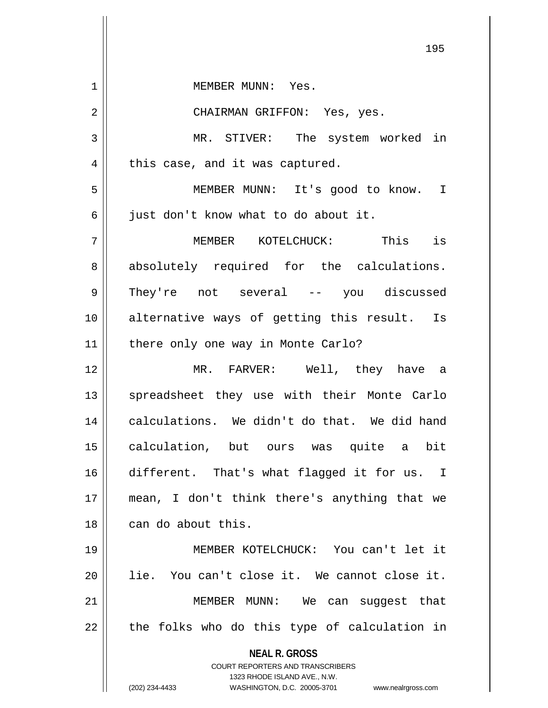| 1  | MEMBER MUNN: Yes.                                                                                   |
|----|-----------------------------------------------------------------------------------------------------|
| 2  | CHAIRMAN GRIFFON: Yes, yes.                                                                         |
| 3  | MR. STIVER: The system worked in                                                                    |
| 4  | this case, and it was captured.                                                                     |
| 5  | MEMBER MUNN: It's good to know. I                                                                   |
| 6  | just don't know what to do about it.                                                                |
| 7  | MEMBER KOTELCHUCK: This is                                                                          |
| 8  | absolutely required for the calculations.                                                           |
| 9  | They're not several -- you discussed                                                                |
| 10 | alternative ways of getting this result. Is                                                         |
| 11 | there only one way in Monte Carlo?                                                                  |
| 12 | MR. FARVER: Well, they have a                                                                       |
| 13 | spreadsheet they use with their Monte Carlo                                                         |
| 14 | calculations. We didn't do that. We did hand                                                        |
| 15 | calculation, but ours was quite a bit                                                               |
| 16 | different. That's what flagged it for us. I                                                         |
| 17 | mean, I don't think there's anything that we                                                        |
| 18 | can do about this.                                                                                  |
| 19 | MEMBER KOTELCHUCK: You can't let it                                                                 |
| 20 | lie. You can't close it. We cannot close it.                                                        |
| 21 | MEMBER MUNN: We can suggest that                                                                    |
| 22 | the folks who do this type of calculation in                                                        |
|    | <b>NEAL R. GROSS</b>                                                                                |
|    | <b>COURT REPORTERS AND TRANSCRIBERS</b>                                                             |
|    | 1323 RHODE ISLAND AVE., N.W.<br>(202) 234-4433<br>WASHINGTON, D.C. 20005-3701<br>www.nealrgross.com |

 $\mathbf{I}$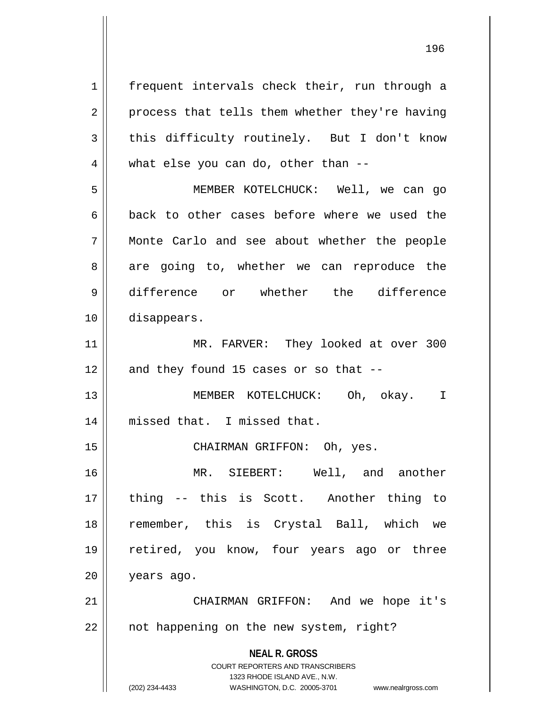**NEAL R. GROSS** COURT REPORTERS AND TRANSCRIBERS 1323 RHODE ISLAND AVE., N.W. 1 || frequent intervals check their, run through a  $2 \parallel$  process that tells them whether they're having 3 this difficulty routinely. But I don't know  $4 \parallel$  what else you can do, other than --5 MEMBER KOTELCHUCK: Well, we can go  $6 \parallel$  back to other cases before where we used the 7 Monte Carlo and see about whether the people 8 || are going to, whether we can reproduce the 9 difference or whether the difference 10 disappears. 11 || MR. FARVER: They looked at over 300  $12$  || and they found 15 cases or so that  $-$ -13 MEMBER KOTELCHUCK: Oh, okay. I 14 missed that. I missed that. 15 || CHAIRMAN GRIFFON: Oh, yes. 16 MR. SIEBERT: Well, and another 17 thing -- this is Scott. Another thing to 18 remember, this is Crystal Ball, which we 19 retired, you know, four years ago or three 20 years ago. 21 CHAIRMAN GRIFFON: And we hope it's 22 | not happening on the new system, right?

(202) 234-4433 WASHINGTON, D.C. 20005-3701 www.nealrgross.com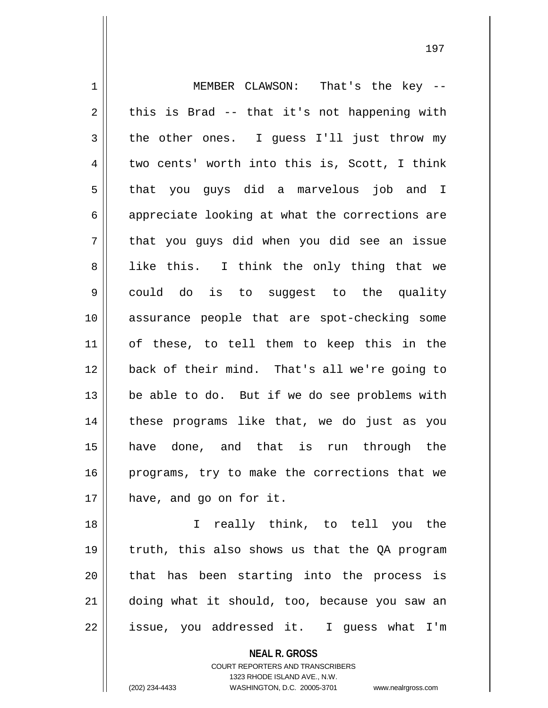1 || MEMBER CLAWSON: That's the key -- $2 \parallel$  this is Brad -- that it's not happening with  $3 \parallel$  the other ones. I quess I'll just throw my  $4 \parallel$  two cents' worth into this is, Scott, I think 5 || that you guys did a marvelous job and I  $6 \parallel$  appreciate looking at what the corrections are  $7 \parallel$  that you guys did when you did see an issue 8 || like this. I think the only thing that we 9 could do is to suggest to the quality 10 assurance people that are spot-checking some 11 of these, to tell them to keep this in the 12 back of their mind. That's all we're going to 13 be able to do. But if we do see problems with 14 these programs like that, we do just as you 15 have done, and that is run through the 16 programs, try to make the corrections that we 17 || have, and go on for it.

 I really think, to tell you the truth, this also shows us that the QA program 20 || that has been starting into the process is doing what it should, too, because you saw an || issue, you addressed it. I guess what I'm

**NEAL R. GROSS**

COURT REPORTERS AND TRANSCRIBERS 1323 RHODE ISLAND AVE., N.W. (202) 234-4433 WASHINGTON, D.C. 20005-3701 www.nealrgross.com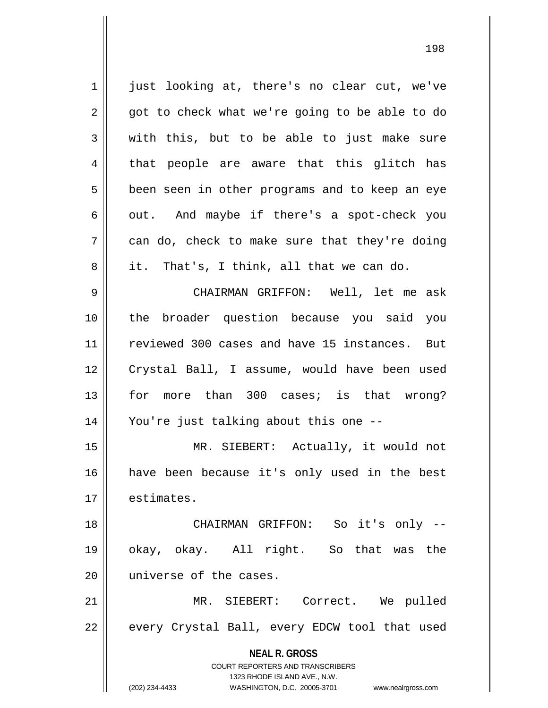**NEAL R. GROSS** COURT REPORTERS AND TRANSCRIBERS 1323 RHODE ISLAND AVE., N.W. (202) 234-4433 WASHINGTON, D.C. 20005-3701 www.nealrgross.com 1 || just looking at, there's no clear cut, we've  $2 \parallel$  got to check what we're going to be able to do  $3 \parallel$  with this, but to be able to just make sure  $4 \parallel$  that people are aware that this glitch has 5 || been seen in other programs and to keep an eye  $6 \parallel$  out. And maybe if there's a spot-check you  $7 \parallel$  can do, check to make sure that they're doing  $8 \parallel$  it. That's, I think, all that we can do. 9 CHAIRMAN GRIFFON: Well, let me ask 10 the broader question because you said you 11 || reviewed 300 cases and have 15 instances. But 12 Crystal Ball, I assume, would have been used 13 for more than 300 cases; is that wrong? 14 You're just talking about this one -- 15 MR. SIEBERT: Actually, it would not 16 have been because it's only used in the best 17 | estimates. 18 CHAIRMAN GRIFFON: So it's only -- 19 okay, okay. All right. So that was the 20 || universe of the cases. 21 MR. SIEBERT: Correct. We pulled 22 || every Crystal Ball, every EDCW tool that used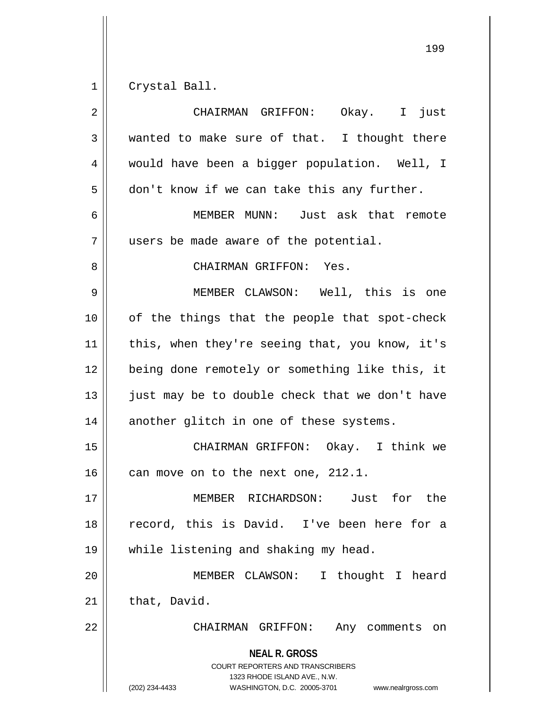1 Crystal Ball.

| $\overline{2}$ | CHAIRMAN GRIFFON: Okay. I just                                                                                                                                         |
|----------------|------------------------------------------------------------------------------------------------------------------------------------------------------------------------|
| 3              | wanted to make sure of that. I thought there                                                                                                                           |
| 4              | would have been a bigger population. Well, I                                                                                                                           |
| 5              | don't know if we can take this any further.                                                                                                                            |
| 6              | MEMBER MUNN: Just ask that remote                                                                                                                                      |
| 7              | users be made aware of the potential.                                                                                                                                  |
| 8              | CHAIRMAN GRIFFON: Yes.                                                                                                                                                 |
| 9              | MEMBER CLAWSON: Well, this is one                                                                                                                                      |
| 10             | of the things that the people that spot-check                                                                                                                          |
| 11             | this, when they're seeing that, you know, it's                                                                                                                         |
| 12             | being done remotely or something like this, it                                                                                                                         |
| 13             | just may be to double check that we don't have                                                                                                                         |
| 14             | another glitch in one of these systems.                                                                                                                                |
| 15             | CHAIRMAN GRIFFON: Okay. I think we                                                                                                                                     |
| 16             | can move on to the next one, 212.1.                                                                                                                                    |
| 17             | Just for the<br>MEMBER RICHARDSON:                                                                                                                                     |
| 18             | record, this is David. I've been here for a                                                                                                                            |
| 19             | while listening and shaking my head.                                                                                                                                   |
| 20             | MEMBER CLAWSON:<br>I thought I heard                                                                                                                                   |
| 21             | that, David.                                                                                                                                                           |
| 22             | CHAIRMAN GRIFFON:<br>Any comments<br>on                                                                                                                                |
|                | <b>NEAL R. GROSS</b><br><b>COURT REPORTERS AND TRANSCRIBERS</b><br>1323 RHODE ISLAND AVE., N.W.<br>(202) 234-4433<br>WASHINGTON, D.C. 20005-3701<br>www.nealrgross.com |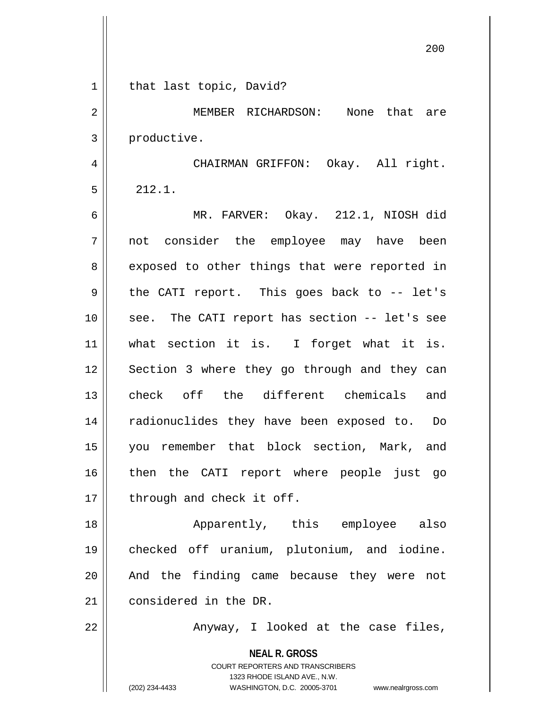| $\mathbf 1$ | that last topic, David?                                                                                                                                                |
|-------------|------------------------------------------------------------------------------------------------------------------------------------------------------------------------|
| 2           | MEMBER RICHARDSON: None that are                                                                                                                                       |
| 3           | productive.                                                                                                                                                            |
| 4           | CHAIRMAN GRIFFON: Okay. All right.                                                                                                                                     |
| 5           | 212.1.                                                                                                                                                                 |
| 6           | MR. FARVER: Okay. 212.1, NIOSH did                                                                                                                                     |
| 7           | not consider the employee may have been                                                                                                                                |
| 8           | exposed to other things that were reported in                                                                                                                          |
| 9           | the CATI report. This goes back to -- let's                                                                                                                            |
| 10          | see. The CATI report has section -- let's see                                                                                                                          |
| 11          | what section it is. I forget what it is.                                                                                                                               |
| 12          | Section 3 where they go through and they can                                                                                                                           |
| 13          | check off the different chemicals<br>and                                                                                                                               |
| 14          | radionuclides they have been exposed to. Do                                                                                                                            |
| 15          | you remember that block section, Mark, and                                                                                                                             |
| 16          | then the CATI report where people just go                                                                                                                              |
| 17          | through and check it off.                                                                                                                                              |
| 18          | Apparently, this employee also                                                                                                                                         |
| 19          | checked off uranium, plutonium, and iodine.                                                                                                                            |
| 20          | And the finding came because they were not                                                                                                                             |
| 21          | considered in the DR.                                                                                                                                                  |
| 22          | Anyway, I looked at the case files,                                                                                                                                    |
|             | <b>NEAL R. GROSS</b><br><b>COURT REPORTERS AND TRANSCRIBERS</b><br>1323 RHODE ISLAND AVE., N.W.<br>(202) 234-4433<br>WASHINGTON, D.C. 20005-3701<br>www.nealrgross.com |

 $\mathsf{I}$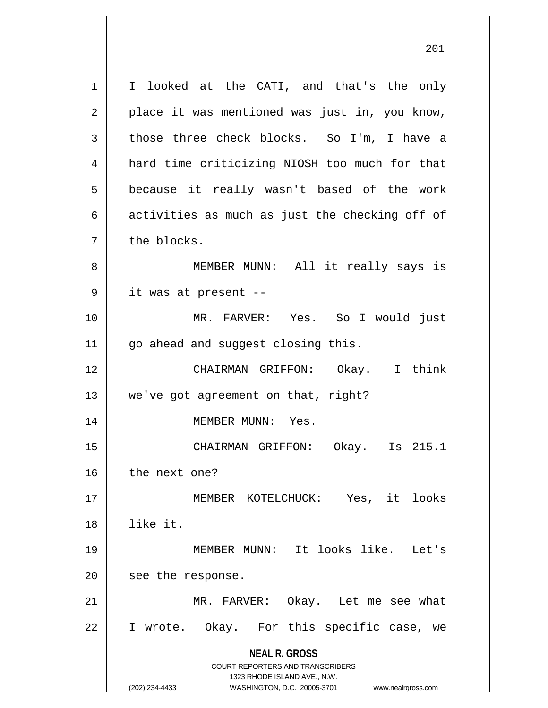**NEAL R. GROSS** COURT REPORTERS AND TRANSCRIBERS 1323 RHODE ISLAND AVE., N.W. (202) 234-4433 WASHINGTON, D.C. 20005-3701 www.nealrgross.com 1 | I looked at the CATI, and that's the only  $2 \parallel$  place it was mentioned was just in, you know,  $3 \parallel$  those three check blocks. So I'm, I have a 4 | hard time criticizing NIOSH too much for that 5 || because it really wasn't based of the work 6  $\parallel$  activities as much as just the checking off of 7 l the blocks. 8 || MEMBER MUNN: All it really says is 9 it was at present -- 10 MR. FARVER: Yes. So I would just 11 || go ahead and suggest closing this. 12 CHAIRMAN GRIFFON: Okay. I think 13 || we've got agreement on that, right? 14 || MEMBER MUNN: Yes. 15 CHAIRMAN GRIFFON: Okay. Is 215.1 16 | the next one? 17 MEMBER KOTELCHUCK: Yes, it looks 18 like it. 19 MEMBER MUNN: It looks like. Let's 20 | see the response. 21 MR. FARVER: Okay. Let me see what 22 || I wrote. Okay. For this specific case, we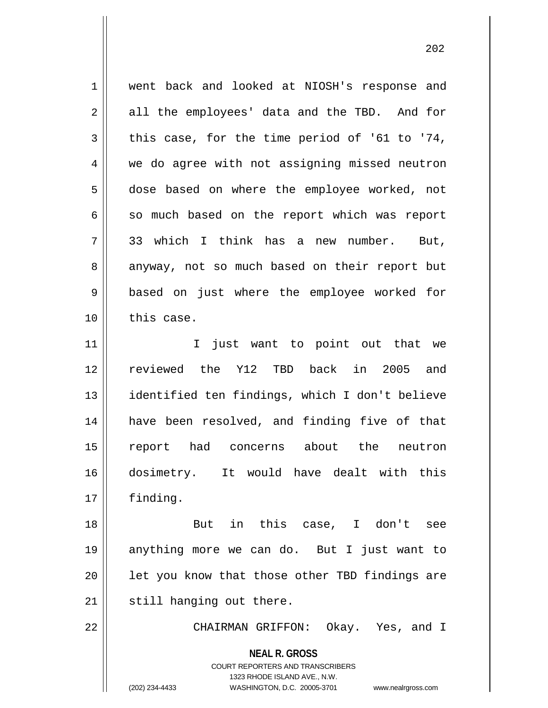1 || went back and looked at NIOSH's response and  $2 \parallel$  all the employees' data and the TBD. And for  $3 \parallel$  this case, for the time period of '61 to '74, 4 we do agree with not assigning missed neutron 5 dose based on where the employee worked, not  $6 \parallel$  so much based on the report which was report 7 33 which I think has a new number. But, 8 anyway, not so much based on their report but 9 || based on just where the employee worked for  $10$   $\parallel$  this case. 11 || I just want to point out that we 12 reviewed the Y12 TBD back in 2005 and 13 || identified ten findings, which I don't believe 14 have been resolved, and finding five of that 15 report had concerns about the neutron 16 dosimetry. It would have dealt with this 17 finding. 18 But in this case, I don't see 19 anything more we can do. But I just want to  $20$  || let you know that those other TBD findings are  $21$  | still hanging out there.

22 CHAIRMAN GRIFFON: Okay. Yes, and I

**NEAL R. GROSS** COURT REPORTERS AND TRANSCRIBERS

1323 RHODE ISLAND AVE., N.W.

(202) 234-4433 WASHINGTON, D.C. 20005-3701 www.nealrgross.com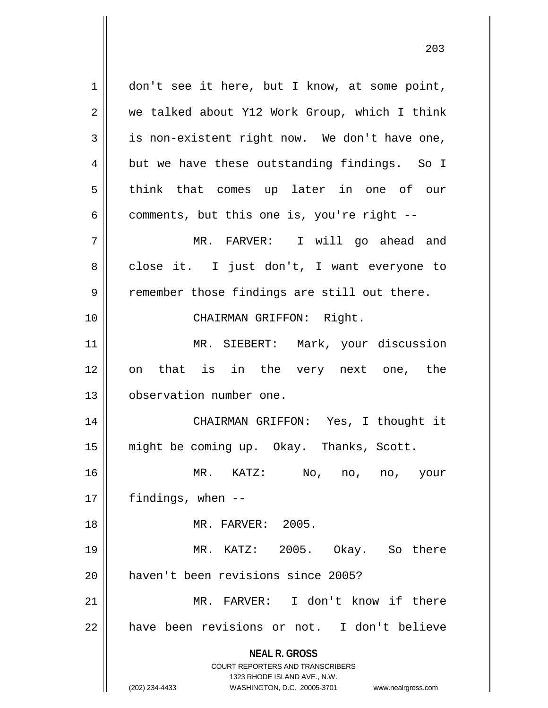**NEAL R. GROSS** COURT REPORTERS AND TRANSCRIBERS 1323 RHODE ISLAND AVE., N.W. (202) 234-4433 WASHINGTON, D.C. 20005-3701 www.nealrgross.com 1 || don't see it here, but I know, at some point, 2 we talked about Y12 Work Group, which I think  $3 \parallel$  is non-existent right now. We don't have one,  $4 \parallel$  but we have these outstanding findings. So I 5 || think that comes up later in one of our  $6 \parallel$  comments, but this one is, you're right --7 MR. FARVER: I will go ahead and 8 || close it. I just don't, I want everyone to  $9 \parallel$  remember those findings are still out there. 10 || CHAIRMAN GRIFFON: Right. 11 || MR. SIEBERT: Mark, your discussion 12 on that is in the very next one, the 13 | observation number one. 14 || CHAIRMAN GRIFFON: Yes, I thought it 15 might be coming up. Okay. Thanks, Scott. 16 MR. KATZ: No, no, no, your  $17$  || findings, when  $-$ 18 MR. FARVER: 2005. 19 MR. KATZ: 2005. Okay. So there 20 || haven't been revisions since 2005? 21 || MR. FARVER: I don't know if there 22 || have been revisions or not. I don't believe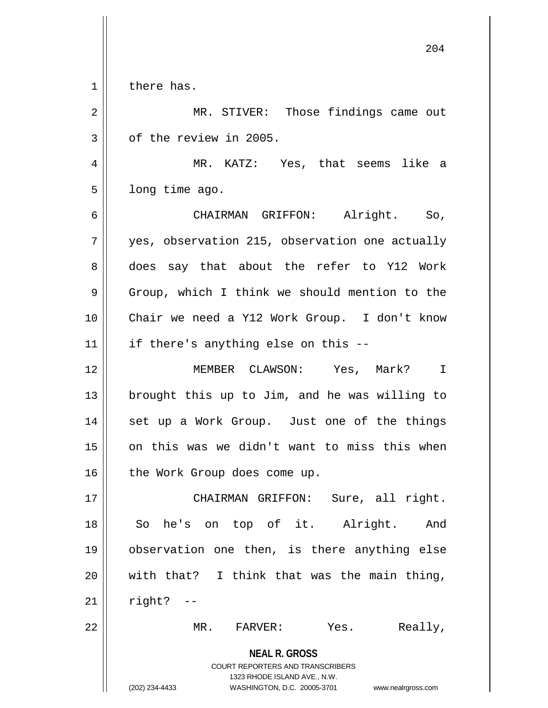1 | there has.

2 MR. STIVER: Those findings came out  $3 \parallel$  of the review in 2005.

4 MR. KATZ: Yes, that seems like a  $5 \parallel$  long time ago.

6 CHAIRMAN GRIFFON: Alright. So, 7 || yes, observation 215, observation one actually 8 does say that about the refer to Y12 Work 9 | Group, which I think we should mention to the 10 Chair we need a Y12 Work Group. I don't know  $11$  | if there's anything else on this --

12 MEMBER CLAWSON: Yes, Mark? I 13 brought this up to Jim, and he was willing to 14 || set up a Work Group. Just one of the things  $15$  on this was we didn't want to miss this when 16 | the Work Group does come up.

17 || CHAIRMAN GRIFFON: Sure, all right. 18 || So he's on top of it. Alright. And 19 observation one then, is there anything else 20  $\parallel$  with that? I think that was the main thing,  $21$  | right? --

22 MR. FARVER: Yes. Really,

**NEAL R. GROSS** COURT REPORTERS AND TRANSCRIBERS 1323 RHODE ISLAND AVE., N.W. (202) 234-4433 WASHINGTON, D.C. 20005-3701 www.nealrgross.com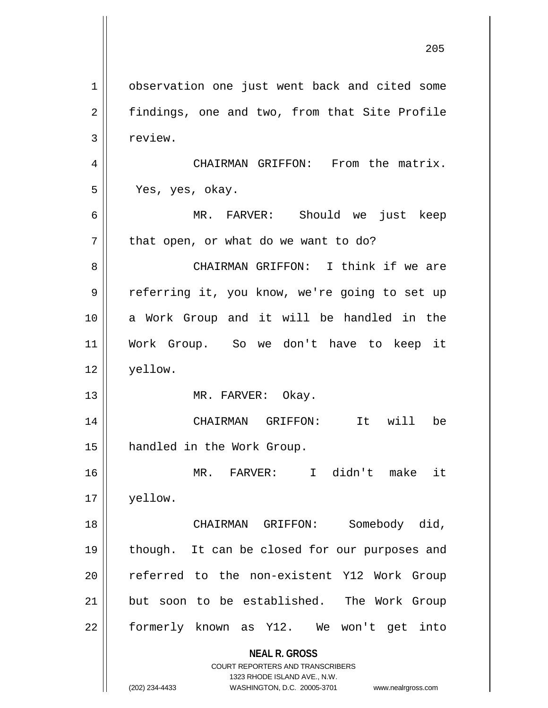**NEAL R. GROSS** COURT REPORTERS AND TRANSCRIBERS 1323 RHODE ISLAND AVE., N.W. 1 | observation one just went back and cited some 2 | findings, one and two, from that Site Profile 3 | review. 4 | CHAIRMAN GRIFFON: From the matrix. 5 Yes, yes, okay. 6 MR. FARVER: Should we just keep  $7$  || that open, or what do we want to do? 8 CHAIRMAN GRIFFON: I think if we are 9 || referring it, you know, we're going to set up 10 a Work Group and it will be handled in the 11 Work Group. So we don't have to keep it 12 yellow. 13 || MR. FARVER: Okay. 14 CHAIRMAN GRIFFON: It will be 15 handled in the Work Group. 16 MR. FARVER: I didn't make it 17 yellow. 18 CHAIRMAN GRIFFON: Somebody did, 19 || though. It can be closed for our purposes and 20 || referred to the non-existent Y12 Work Group 21 but soon to be established. The Work Group 22 formerly known as Y12. We won't get into

(202) 234-4433 WASHINGTON, D.C. 20005-3701 www.nealrgross.com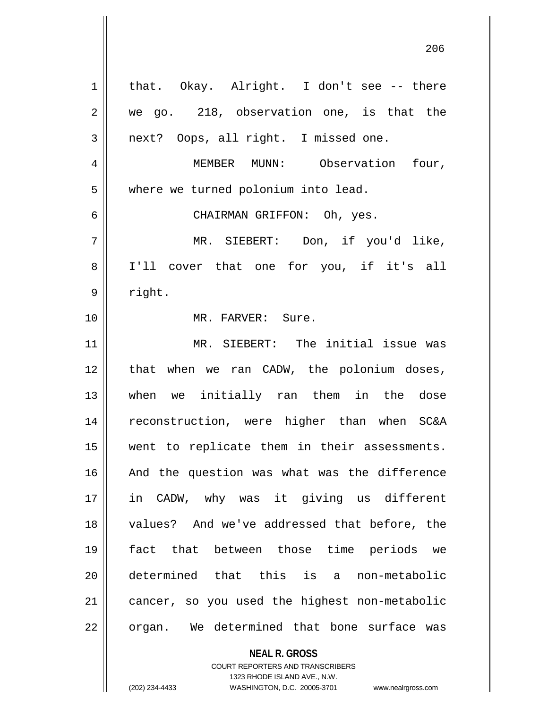| $\mathbf 1$ | that. Okay. Alright. I don't see -- there     |
|-------------|-----------------------------------------------|
| 2           | we go. 218, observation one, is that the      |
| 3           | next? Oops, all right. I missed one.          |
| 4           | MEMBER MUNN: Observation four,                |
| 5           | where we turned polonium into lead.           |
| 6           | CHAIRMAN GRIFFON: Oh, yes.                    |
| 7           | MR. SIEBERT: Don, if you'd like,              |
| 8           | I'll cover that one for you, if it's all      |
| $\mathsf 9$ | right.                                        |
| 10          | MR. FARVER: Sure.                             |
| 11          | MR. SIEBERT: The initial issue was            |
| 12          | that when we ran CADW, the polonium doses,    |
| 13          | when we initially ran them in the dose        |
| 14          | reconstruction, were higher than when SC&A    |
| 15          | went to replicate them in their assessments.  |
| 16          | And the question was what was the difference  |
| 17          | in CADW, why was it giving us different       |
| 18          | values? And we've addressed that before, the  |
| 19          | fact that between those time periods we       |
| 20          | determined that this is a non-metabolic       |
| 21          | cancer, so you used the highest non-metabolic |
| 22          | organ. We determined that bone surface was    |
|             |                                               |

COURT REPORTERS AND TRANSCRIBERS 1323 RHODE ISLAND AVE., N.W.

**NEAL R. GROSS**

(202) 234-4433 WASHINGTON, D.C. 20005-3701 www.nealrgross.com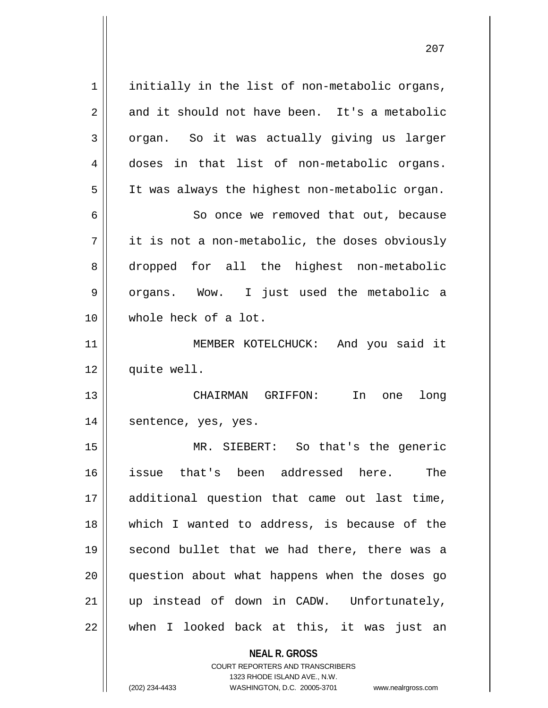$1$  initially in the list of non-metabolic organs,  $2 \parallel$  and it should not have been. It's a metabolic  $3 \parallel$  organ. So it was actually giving us larger 4 doses in that list of non-metabolic organs. 5 | It was always the highest non-metabolic organ. 6 | So once we removed that out, because  $7 \parallel$  it is not a non-metabolic, the doses obviously 8 dropped for all the highest non-metabolic 9 || organs. Wow. I just used the metabolic a 10 whole heck of a lot. 11 || MEMBER KOTELCHUCK: And you said it 12 | quite well. 13 CHAIRMAN GRIFFON: In one long 14 || sentence, yes, yes. 15 MR. SIEBERT: So that's the generic 16 issue that's been addressed here. The 17 additional question that came out last time, 18 which I wanted to address, is because of the 19 || second bullet that we had there, there was a 20 question about what happens when the doses go 21 up instead of down in CADW. Unfortunately, 22 || when I looked back at this, it was just an

> **NEAL R. GROSS** COURT REPORTERS AND TRANSCRIBERS 1323 RHODE ISLAND AVE., N.W.

(202) 234-4433 WASHINGTON, D.C. 20005-3701 www.nealrgross.com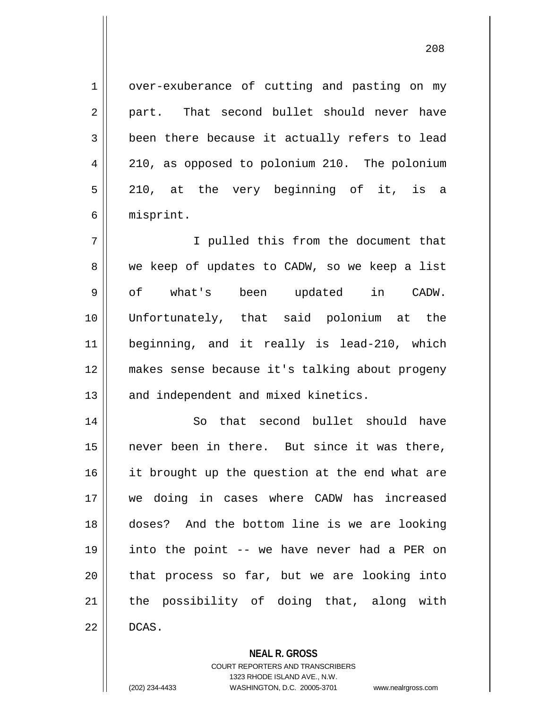1 | over-exuberance of cutting and pasting on my 2 || part. That second bullet should never have  $3 \parallel$  been there because it actually refers to lead 4 | 210, as opposed to polonium 210. The polonium 5 210, at the very beginning of it, is a 6 misprint.

7 || T pulled this from the document that 8 we keep of updates to CADW, so we keep a list 9 || of what's been updated in CADW. 10 Unfortunately, that said polonium at the 11 beginning, and it really is lead-210, which 12 makes sense because it's talking about progeny 13 || and independent and mixed kinetics.

14 || So that second bullet should have 15 never been in there. But since it was there, 16 || it brought up the question at the end what are 17 we doing in cases where CADW has increased 18 doses? And the bottom line is we are looking 19 into the point -- we have never had a PER on  $20$  || that process so far, but we are looking into 21 || the possibility of doing that, along with  $22 \parallel$  DCAS.

**NEAL R. GROSS**

COURT REPORTERS AND TRANSCRIBERS 1323 RHODE ISLAND AVE., N.W. (202) 234-4433 WASHINGTON, D.C. 20005-3701 www.nealrgross.com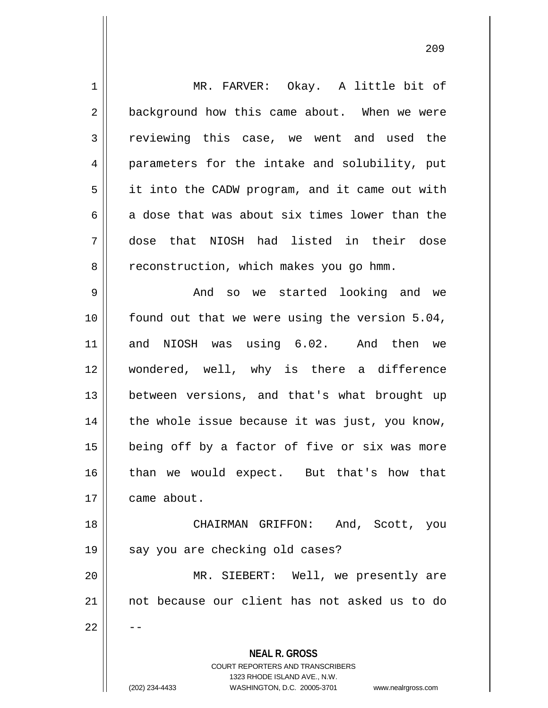| $\mathbf 1$ | MR. FARVER: Okay. A little bit of                                   |
|-------------|---------------------------------------------------------------------|
| 2           | background how this came about. When we were                        |
| 3           | reviewing this case, we went and used the                           |
| 4           | parameters for the intake and solubility, put                       |
| 5           | it into the CADW program, and it came out with                      |
| 6           | a dose that was about six times lower than the                      |
| 7           | dose that NIOSH had listed in their dose                            |
| 8           | reconstruction, which makes you go hmm.                             |
| 9           | And so we started looking and we                                    |
| 10          | found out that we were using the version 5.04,                      |
| 11          | and NIOSH was using 6.02. And then we                               |
| 12          | wondered, well, why is there a difference                           |
| 13          | between versions, and that's what brought up                        |
| 14          | the whole issue because it was just, you know,                      |
| 15          | being off by a factor of five or six was more                       |
| 16          | than we would expect. But that's how that                           |
| 17          | came about.                                                         |
| 18          | CHAIRMAN GRIFFON: And, Scott, you                                   |
| 19          | say you are checking old cases?                                     |
| 20          | MR. SIEBERT: Well, we presently are                                 |
| 21          | not because our client has not asked us to do                       |
| 22          |                                                                     |
|             | <b>NEAL R. GROSS</b>                                                |
|             | <b>COURT REPORTERS AND TRANSCRIBERS</b>                             |
|             | 1323 RHODE ISLAND AVE., N.W.                                        |
|             | (202) 234-4433<br>WASHINGTON, D.C. 20005-3701<br>www.nealrgross.com |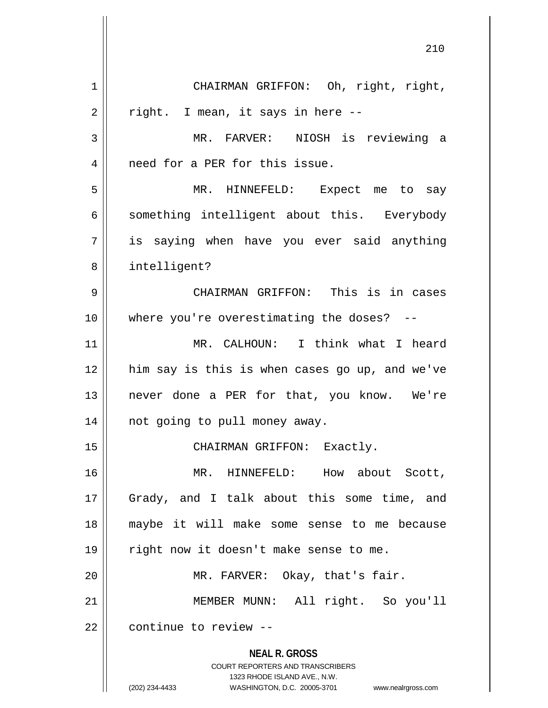**NEAL R. GROSS** COURT REPORTERS AND TRANSCRIBERS 1323 RHODE ISLAND AVE., N.W. (202) 234-4433 WASHINGTON, D.C. 20005-3701 www.nealrgross.com 1 || CHAIRMAN GRIFFON: Oh, right, right,  $2 \parallel$  right. I mean, it says in here --3 MR. FARVER: NIOSH is reviewing a 4 || need for a PER for this issue. 5 MR. HINNEFELD: Expect me to say  $6 \parallel$  something intelligent about this. Everybody 7 is saying when have you ever said anything 8 intelligent? 9 CHAIRMAN GRIFFON: This is in cases 10 || where you're overestimating the doses? --11 || MR. CALHOUN: I think what I heard 12 him say is this is when cases go up, and we've 13 never done a PER for that, you know. We're 14 || not going to pull money away. 15 || CHAIRMAN GRIFFON: Exactly. 16 MR. HINNEFELD: How about Scott, 17 || Grady, and I talk about this some time, and 18 maybe it will make some sense to me because 19 || right now it doesn't make sense to me. 20 || MR. FARVER: Okay, that's fair. 21 MEMBER MUNN: All right. So you'll 22 || continue to review --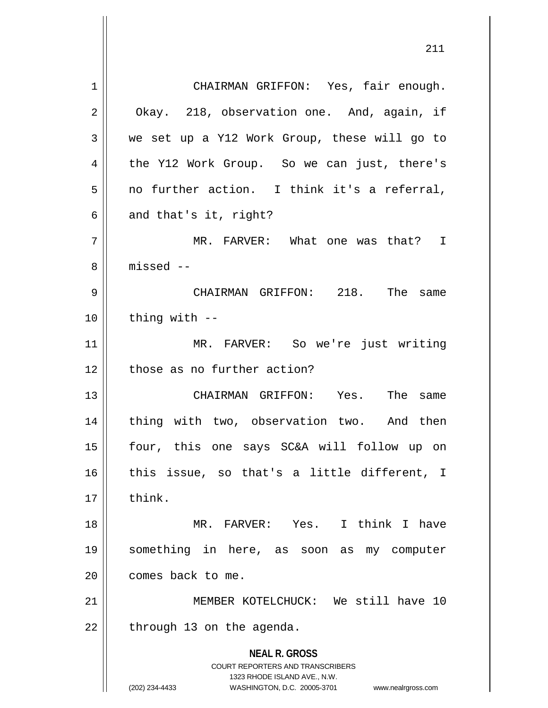**NEAL R. GROSS** COURT REPORTERS AND TRANSCRIBERS 1323 RHODE ISLAND AVE., N.W. (202) 234-4433 WASHINGTON, D.C. 20005-3701 www.nealrgross.com 1 | CHAIRMAN GRIFFON: Yes, fair enough. 2 | Okay. 218, observation one. And, again, if  $3 \parallel$  we set up a Y12 Work Group, these will go to 4 the Y12 Work Group. So we can just, there's  $5 \parallel$  no further action. I think it's a referral,  $6 \parallel$  and that's it, right? 7 MR. FARVER: What one was that? I 8 ll missed --9 CHAIRMAN GRIFFON: 218. The same  $10$   $\parallel$  thing with  $-$ 11 MR. FARVER: So we're just writing 12 those as no further action? 13 CHAIRMAN GRIFFON: Yes. The same 14 || thing with two, observation two. And then 15 four, this one says SC&A will follow up on  $16$  this issue, so that's a little different, I  $17 \parallel$  think. 18 MR. FARVER: Yes. I think I have 19 something in here, as soon as my computer 20 | comes back to me. 21 MEMBER KOTELCHUCK: We still have 10  $22$  || through 13 on the agenda.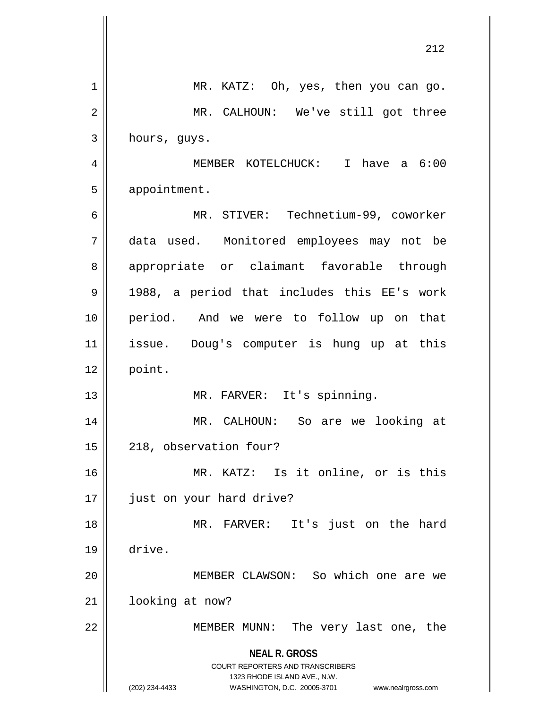|    | 212                                                                                                 |
|----|-----------------------------------------------------------------------------------------------------|
| 1  | MR. KATZ: Oh, yes, then you can go.                                                                 |
| 2  | MR. CALHOUN: We've still got three                                                                  |
| 3  | hours, guys.                                                                                        |
| 4  | MEMBER KOTELCHUCK: I have a 6:00                                                                    |
| 5  | appointment.                                                                                        |
| 6  | MR. STIVER: Technetium-99, coworker                                                                 |
| 7  | data used. Monitored employees may not be                                                           |
| 8  | appropriate or claimant favorable through                                                           |
| 9  | 1988, a period that includes this EE's work                                                         |
| 10 | period. And we were to follow up on that                                                            |
| 11 | issue. Doug's computer is hung up at this                                                           |
| 12 | point.                                                                                              |
| 13 | MR. FARVER: It's spinning.                                                                          |
| 14 | MR. CALHOUN:<br>So are we looking at                                                                |
| 15 | 218, observation four?                                                                              |
| 16 | MR. KATZ: Is it online, or is this                                                                  |
| 17 | just on your hard drive?                                                                            |
| 18 | MR. FARVER: It's just on the hard                                                                   |
| 19 | drive.                                                                                              |
| 20 | MEMBER CLAWSON: So which one are we                                                                 |
| 21 | looking at now?                                                                                     |
| 22 | MEMBER MUNN: The very last one, the                                                                 |
|    | <b>NEAL R. GROSS</b><br><b>COURT REPORTERS AND TRANSCRIBERS</b>                                     |
|    | 1323 RHODE ISLAND AVE., N.W.<br>(202) 234-4433<br>WASHINGTON, D.C. 20005-3701<br>www.nealrgross.com |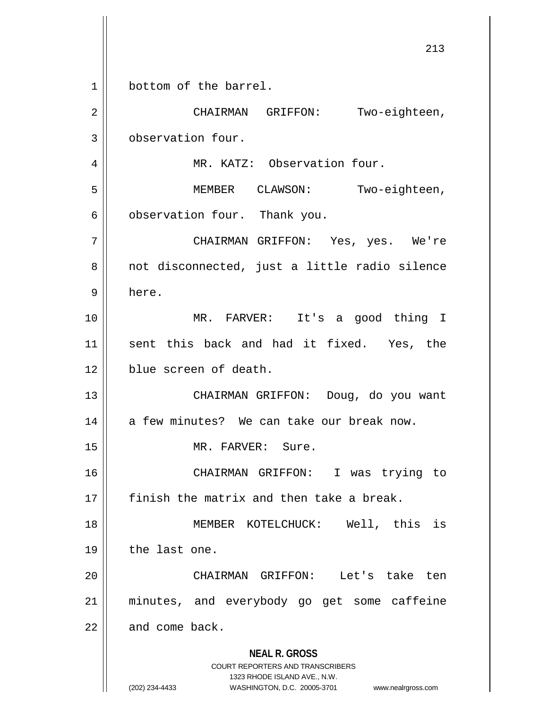**NEAL R. GROSS** COURT REPORTERS AND TRANSCRIBERS 1323 RHODE ISLAND AVE., N.W. (202) 234-4433 WASHINGTON, D.C. 20005-3701 www.nealrgross.com 213 1 bottom of the barrel. 2 || CHAIRMAN GRIFFON: Two-eighteen, 3 | observation four. 4 | MR. KATZ: Observation four. 5 || MEMBER CLAWSON: Two-eighteen,  $6 \parallel$  observation four. Thank you. 7 CHAIRMAN GRIFFON: Yes, yes. We're 8 || not disconnected, just a little radio silence 9 here. 10 MR. FARVER: It's a good thing I 11 sent this back and had it fixed. Yes, the 12 blue screen of death. 13 CHAIRMAN GRIFFON: Doug, do you want  $14$  | a few minutes? We can take our break now. 15 || MR. FARVER: Sure. 16 CHAIRMAN GRIFFON: I was trying to  $17$   $\parallel$  finish the matrix and then take a break. 18 MEMBER KOTELCHUCK: Well, this is 19 | the last one. 20 CHAIRMAN GRIFFON: Let's take ten 21 minutes, and everybody go get some caffeine  $22$  and come back.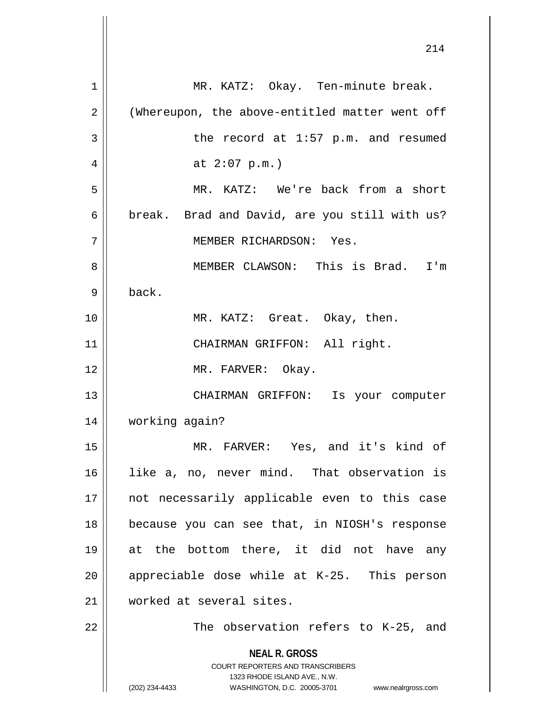**NEAL R. GROSS** COURT REPORTERS AND TRANSCRIBERS 1323 RHODE ISLAND AVE., N.W. (202) 234-4433 WASHINGTON, D.C. 20005-3701 www.nealrgross.com 1 || MR. KATZ: Okay. Ten-minute break. 2 | (Whereupon, the above-entitled matter went off 3 | The record at 1:57 p.m. and resumed 4 |  $at 2:07 p.m.$ 5 MR. KATZ: We're back from a short  $6 \parallel$  break. Brad and David, are you still with us? 7 MEMBER RICHARDSON: Yes. 8 MEMBER CLAWSON: This is Brad. I'm  $9 \parallel$  back. 10 MR. KATZ: Great. Okay, then. 11 || CHAIRMAN GRIFFON: All right. 12 || MR. FARVER: Okay. 13 || CHAIRMAN GRIFFON: Is your computer 14 working again? 15 MR. FARVER: Yes, and it's kind of 16 like a, no, never mind. That observation is 17 || not necessarily applicable even to this case 18 because you can see that, in NIOSH's response 19 at the bottom there, it did not have any  $20$  || appreciable dose while at K-25. This person 21 worked at several sites.  $22$  || The observation refers to K-25, and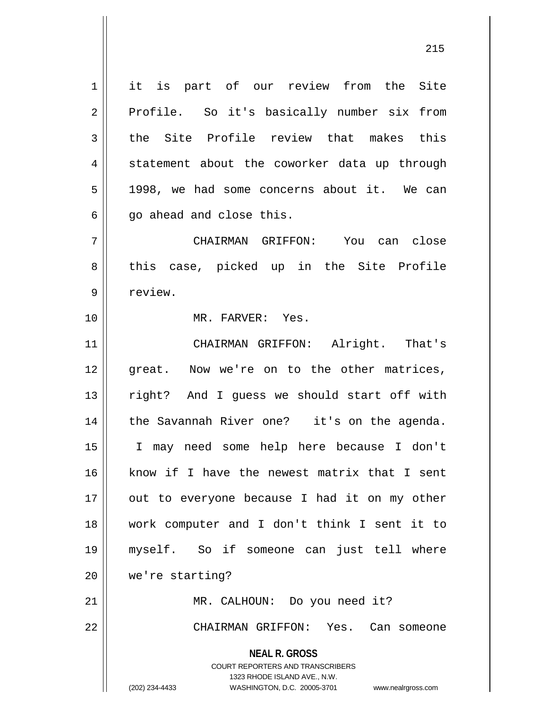1 it is part of our review from the Site 2 || Profile. So it's basically number six from  $3$  the Site Profile review that makes this  $4 \parallel$  statement about the coworker data up through  $5 \parallel$  1998, we had some concerns about it. We can  $6 \parallel$  qo ahead and close this.

7 CHAIRMAN GRIFFON: You can close 8 || this case, picked up in the Site Profile 9 l review.

10 MR. FARVER: Yes.

11 || CHAIRMAN GRIFFON: Alright. That's 12 great. Now we're on to the other matrices, 13 || right? And I guess we should start off with 14 || the Savannah River one? it's on the agenda. 15 I may need some help here because I don't 16 || know if I have the newest matrix that I sent  $17$  | out to everyone because I had it on my other 18 work computer and I don't think I sent it to 19 myself. So if someone can just tell where 20 | we're starting? 21 || MR. CALHOUN: Do you need it?

22 CHAIRMAN GRIFFON: Yes. Can someone

**NEAL R. GROSS** COURT REPORTERS AND TRANSCRIBERS

1323 RHODE ISLAND AVE., N.W.

(202) 234-4433 WASHINGTON, D.C. 20005-3701 www.nealrgross.com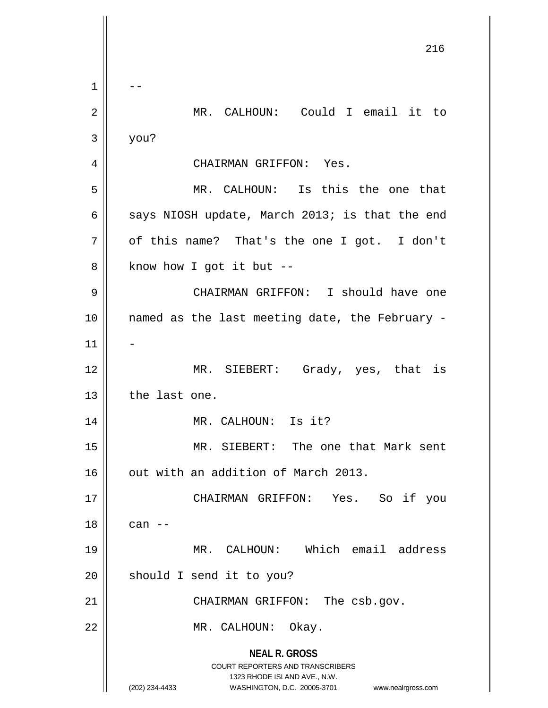**NEAL R. GROSS** COURT REPORTERS AND TRANSCRIBERS 1323 RHODE ISLAND AVE., N.W. (202) 234-4433 WASHINGTON, D.C. 20005-3701 www.nealrgross.com 216  $1 \parallel - -$ 2 MR. CALHOUN: Could I email it to  $3 \parallel$  you? 4 | CHAIRMAN GRIFFON: Yes. 5 MR. CALHOUN: Is this the one that 6 | says NIOSH update, March 2013; is that the end  $7 \parallel$  of this name? That's the one I got. I don't  $8 \parallel$  know how I got it but --9 CHAIRMAN GRIFFON: I should have one 10 named as the last meeting date, the February -  $11$ 12 || MR. SIEBERT: Grady, yes, that is 13 the last one. 14 || MR. CALHOUN: Is it? 15 MR. SIEBERT: The one that Mark sent 16 | out with an addition of March 2013. 17 CHAIRMAN GRIFFON: Yes. So if you  $18 \parallel$  can  $-$ 19 MR. CALHOUN: Which email address 20 || should I send it to you? 21 | CHAIRMAN GRIFFON: The csb.gov. 22 || MR. CALHOUN: Okay.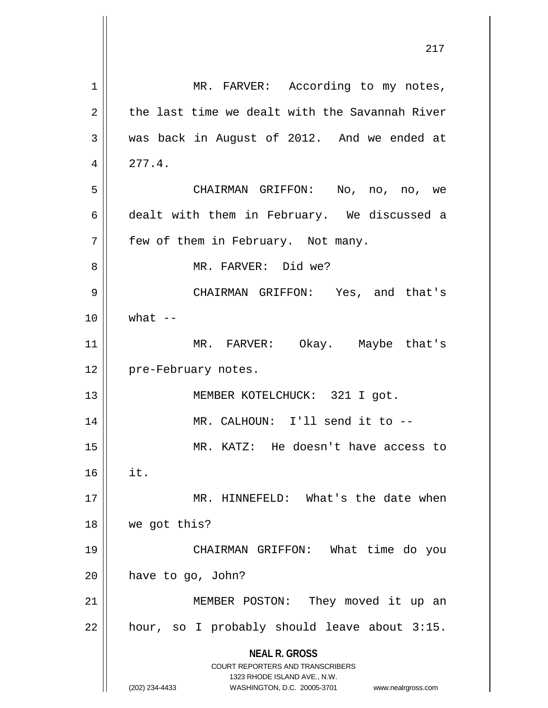|                | 217                                                                                                 |
|----------------|-----------------------------------------------------------------------------------------------------|
| 1              | MR. FARVER: According to my notes,                                                                  |
| $\overline{2}$ | the last time we dealt with the Savannah River                                                      |
| 3              | was back in August of 2012. And we ended at                                                         |
| 4              | 277.4.                                                                                              |
| 5              | CHAIRMAN GRIFFON: No, no, no, we                                                                    |
| 6              | dealt with them in February. We discussed a                                                         |
| 7              | few of them in February. Not many.                                                                  |
| 8              | MR. FARVER: Did we?                                                                                 |
| 9              | CHAIRMAN GRIFFON: Yes, and that's                                                                   |
| 10             | what $--$                                                                                           |
| 11             | MR. FARVER: Okay. Maybe that's                                                                      |
| 12             | pre-February notes.                                                                                 |
| 13             | MEMBER KOTELCHUCK: 321 I got.                                                                       |
| 14             | MR. CALHOUN: I'll send it to --                                                                     |
| 15             | MR. KATZ: He doesn't have access to                                                                 |
| 16             | it.                                                                                                 |
| 17             | MR. HINNEFELD: What's the date when                                                                 |
| 18             | we got this?                                                                                        |
| 19             | CHAIRMAN GRIFFON: What time do you                                                                  |
| 20             | have to go, John?                                                                                   |
| 21             | MEMBER POSTON: They moved it up an                                                                  |
| 22             | hour, so I probably should leave about 3:15.                                                        |
|                | <b>NEAL R. GROSS</b><br><b>COURT REPORTERS AND TRANSCRIBERS</b>                                     |
|                | 1323 RHODE ISLAND AVE., N.W.<br>(202) 234-4433<br>WASHINGTON, D.C. 20005-3701<br>www.nealrgross.com |

 $\mathbf{\mathcal{L}}$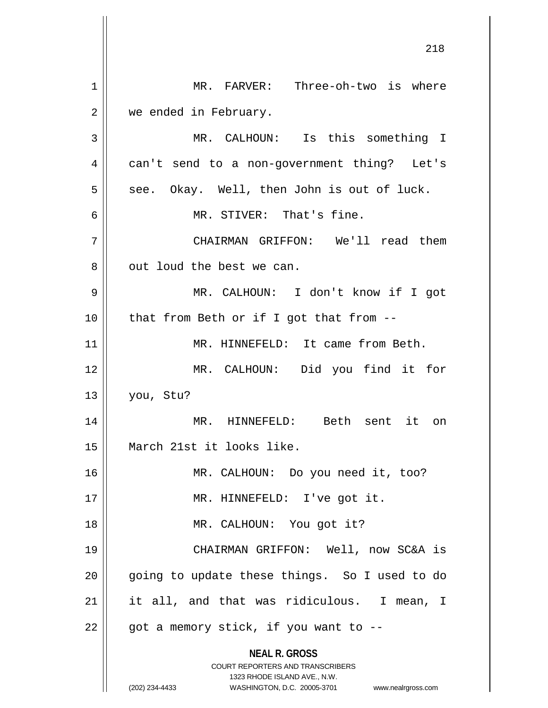**NEAL R. GROSS** COURT REPORTERS AND TRANSCRIBERS 1323 RHODE ISLAND AVE., N.W. (202) 234-4433 WASHINGTON, D.C. 20005-3701 www.nealrgross.com 1 | MR. FARVER: Three-oh-two is where 2 | we ended in February. 3 || MR. CALHOUN: Is this something I 4 || can't send to a non-government thing? Let's  $5 \parallel$  see. Okay. Well, then John is out of luck. 6 MR. STIVER: That's fine. 7 CHAIRMAN GRIFFON: We'll read them 8 || out loud the best we can. 9 MR. CALHOUN: I don't know if I got  $10$  | that from Beth or if I got that from  $-$ 11 || MR. HINNEFELD: It came from Beth. 12 MR. CALHOUN: Did you find it for 13 you, Stu? 14 || MR. HINNEFELD: Beth sent it on 15 March 21st it looks like. 16 MR. CALHOUN: Do you need it, too? 17 || MR. HINNEFELD: I've got it. 18 MR. CALHOUN: You got it? 19 CHAIRMAN GRIFFON: Well, now SC&A is 20 || going to update these things. So I used to do 21 it all, and that was ridiculous. I mean, I  $22$  | got a memory stick, if you want to  $-$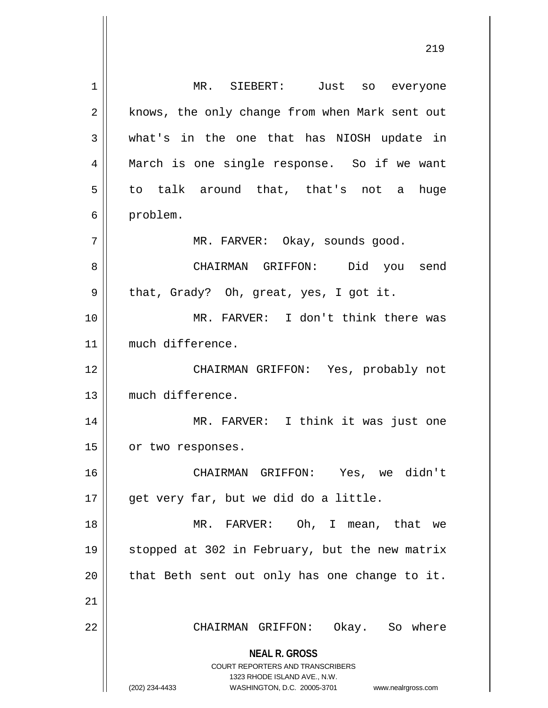**NEAL R. GROSS** COURT REPORTERS AND TRANSCRIBERS 1323 RHODE ISLAND AVE., N.W. (202) 234-4433 WASHINGTON, D.C. 20005-3701 www.nealrgross.com MR. SIEBERT: Just so everyone 2 || knows, the only change from when Mark sent out what's in the one that has NIOSH update in March is one single response. So if we want  $5 \parallel$  to talk around that, that's not a huge 6 | problem. MR. FARVER: Okay, sounds good. CHAIRMAN GRIFFON: Did you send 9 || that, Grady? Oh, great, yes, I got it. MR. FARVER: I don't think there was much difference. CHAIRMAN GRIFFON: Yes, probably not much difference. MR. FARVER: I think it was just one 15 | or two responses. CHAIRMAN GRIFFON: Yes, we didn't || get very far, but we did do a little. MR. FARVER: Oh, I mean, that we stopped at 302 in February, but the new matrix || that Beth sent out only has one change to it. CHAIRMAN GRIFFON: Okay. So where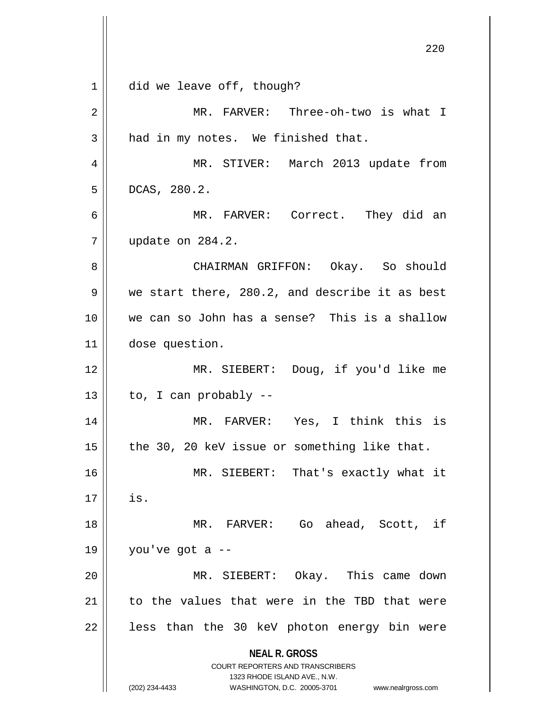|    | 220                                                                                             |
|----|-------------------------------------------------------------------------------------------------|
| 1  | did we leave off, though?                                                                       |
| 2  | MR. FARVER: Three-oh-two is what I                                                              |
| 3  | had in my notes. We finished that.                                                              |
| 4  | MR. STIVER: March 2013 update from                                                              |
| 5  | DCAS, 280.2.                                                                                    |
| 6  | MR. FARVER: Correct. They did an                                                                |
| 7  | update on 284.2.                                                                                |
| 8  | CHAIRMAN GRIFFON: Okay. So should                                                               |
| 9  | we start there, 280.2, and describe it as best                                                  |
| 10 | we can so John has a sense? This is a shallow                                                   |
| 11 | dose question.                                                                                  |
| 12 | MR. SIEBERT: Doug, if you'd like me                                                             |
| 13 | to, I can probably --                                                                           |
| 14 | MR. FARVER: Yes, I think this is                                                                |
| 15 | the 30, 20 keV issue or something like that.                                                    |
| 16 | MR. SIEBERT: That's exactly what it                                                             |
| 17 | is.                                                                                             |
| 18 | MR. FARVER: Go ahead, Scott, if                                                                 |
| 19 | you've got a --                                                                                 |
| 20 | MR. SIEBERT: Okay. This came down                                                               |
| 21 | to the values that were in the TBD that were                                                    |
| 22 | less than the 30 keV photon energy bin were                                                     |
|    | <b>NEAL R. GROSS</b><br><b>COURT REPORTERS AND TRANSCRIBERS</b><br>1323 RHODE ISLAND AVE., N.W. |
|    | (202) 234-4433<br>WASHINGTON, D.C. 20005-3701 www.nealrgross.com                                |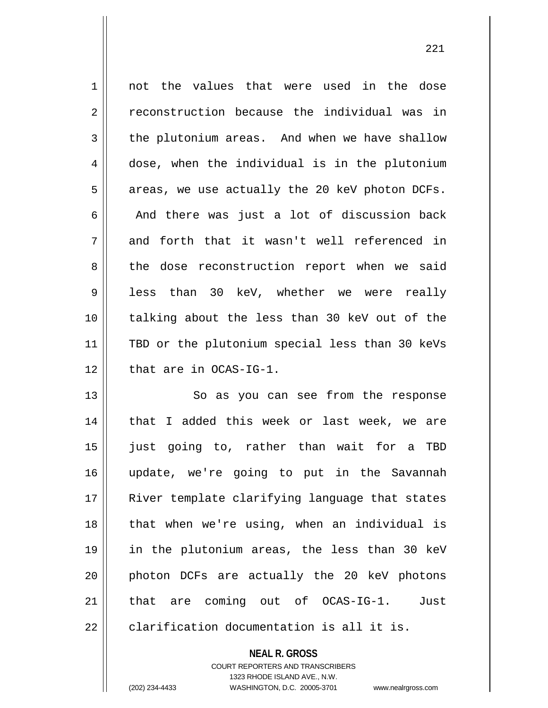1 || not the values that were used in the dose 2 | reconstruction because the individual was in  $3 \parallel$  the plutonium areas. And when we have shallow 4 dose, when the individual is in the plutonium  $5 \parallel$  areas, we use actually the 20 keV photon DCFs.  $6$  || And there was just a lot of discussion back 7 || and forth that it wasn't well referenced in 8 || the dose reconstruction report when we said 9 || less than 30 keV, whether we were really 10 talking about the less than 30 keV out of the 11 || TBD or the plutonium special less than 30 keVs 12 || that are in OCAS-IG-1. 13 || So as you can see from the response 14 || that I added this week or last week, we are 15 just going to, rather than wait for a TBD 16 update, we're going to put in the Savannah 17 || River template clarifying language that states 18 || that when we're using, when an individual is

 $22$  || clarification documentation is all it is.

**NEAL R. GROSS** COURT REPORTERS AND TRANSCRIBERS 1323 RHODE ISLAND AVE., N.W. (202) 234-4433 WASHINGTON, D.C. 20005-3701 www.nealrgross.com

19 in the plutonium areas, the less than 30 keV

20 || photon DCFs are actually the 20 keV photons

21 || that are coming out of OCAS-IG-1. Just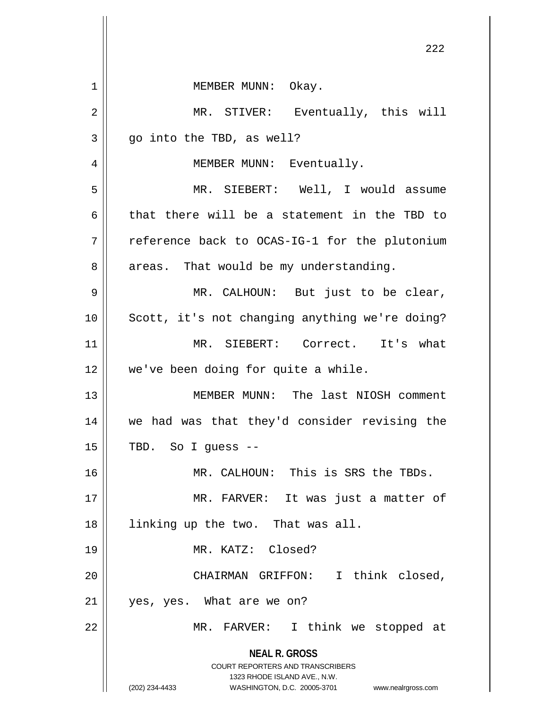**NEAL R. GROSS** COURT REPORTERS AND TRANSCRIBERS 1323 RHODE ISLAND AVE., N.W. (202) 234-4433 WASHINGTON, D.C. 20005-3701 www.nealrgross.com 1 || MEMBER MUNN: Okay. 2 MR. STIVER: Eventually, this will  $3 \parallel$  qo into the TBD, as well? 4 || MEMBER MUNN: Eventually. 5 MR. SIEBERT: Well, I would assume 6 that there will be a statement in the TBD to 7 TH reference back to OCAS-IG-1 for the plutonium  $8 \parallel$  areas. That would be my understanding. 9 MR. CALHOUN: But just to be clear, 10 || Scott, it's not changing anything we're doing? 11 MR. SIEBERT: Correct. It's what 12 we've been doing for quite a while. 13 MEMBER MUNN: The last NIOSH comment 14 we had was that they'd consider revising the  $15 \parallel$  TBD. So I guess --16 MR. CALHOUN: This is SRS the TBDs. 17 || MR. FARVER: It was just a matter of 18 || linking up the two. That was all. 19 MR. KATZ: Closed? 20 CHAIRMAN GRIFFON: I think closed, 21 yes, yes. What are we on? 22 || MR. FARVER: I think we stopped at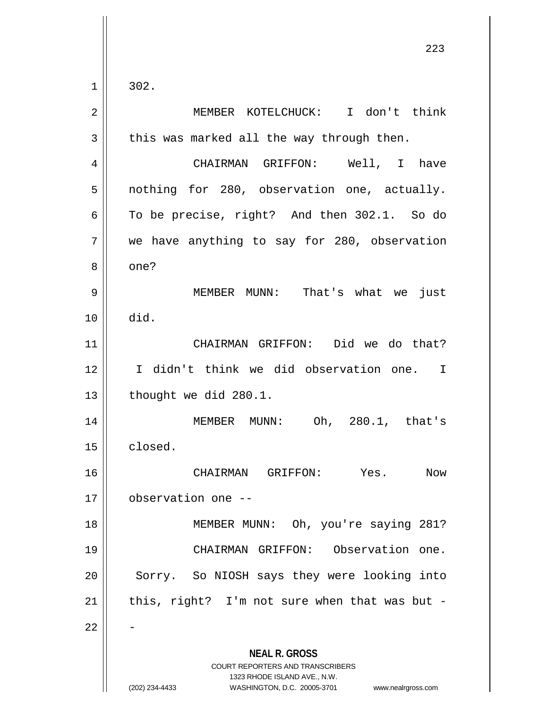$1 \parallel 302.$ 

| $\sqrt{2}$ | MEMBER KOTELCHUCK: I don't think                                                                                                                                |
|------------|-----------------------------------------------------------------------------------------------------------------------------------------------------------------|
| 3          | this was marked all the way through then.                                                                                                                       |
| 4          | CHAIRMAN GRIFFON: Well, I have                                                                                                                                  |
| 5          | nothing for 280, observation one, actually.                                                                                                                     |
| 6          | To be precise, right? And then 302.1. So do                                                                                                                     |
| 7          | we have anything to say for 280, observation                                                                                                                    |
| 8          | one?                                                                                                                                                            |
| 9          | MEMBER MUNN: That's what we<br>just                                                                                                                             |
| 10         | did.                                                                                                                                                            |
| 11         | CHAIRMAN GRIFFON: Did we do that?                                                                                                                               |
| 12         | I didn't think we did observation one. I                                                                                                                        |
| 13         | thought we did 280.1.                                                                                                                                           |
| 14         | MEMBER MUNN: Oh, 280.1, that's                                                                                                                                  |
| 15         | closed.                                                                                                                                                         |
| 16         | CHAIRMAN GRIFFON: Yes.<br>Now                                                                                                                                   |
| 17         | observation one --                                                                                                                                              |
| 18         | MEMBER MUNN: Oh, you're saying 281?                                                                                                                             |
| 19         | CHAIRMAN GRIFFON: Observation one.                                                                                                                              |
| 20         | Sorry. So NIOSH says they were looking into                                                                                                                     |
| 21         | this, right? I'm not sure when that was but -                                                                                                                   |
| 22         |                                                                                                                                                                 |
|            | <b>NEAL R. GROSS</b><br>COURT REPORTERS AND TRANSCRIBERS<br>1323 RHODE ISLAND AVE., N.W.<br>(202) 234-4433<br>WASHINGTON, D.C. 20005-3701<br>www.nealrgross.com |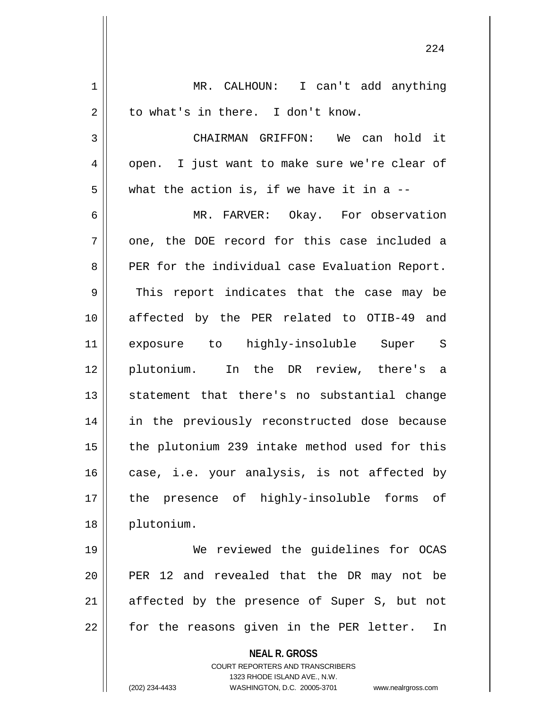**NEAL R. GROSS** COURT REPORTERS AND TRANSCRIBERS 1323 RHODE ISLAND AVE., N.W. 1 || MR. CALHOUN: I can't add anything  $2 \parallel$  to what's in there. I don't know. 3 CHAIRMAN GRIFFON: We can hold it  $4 \parallel$  open. I just want to make sure we're clear of  $5 \parallel$  what the action is, if we have it in a --6 MR. FARVER: Okay. For observation  $7 \parallel$  one, the DOE record for this case included a 8 PER for the individual case Evaluation Report.  $9 \parallel$  This report indicates that the case may be 10 affected by the PER related to OTIB-49 and 11 exposure to highly-insoluble Super S 12 plutonium. In the DR review, there's a 13 || statement that there's no substantial change 14 || in the previously reconstructed dose because  $15$  | the plutonium 239 intake method used for this  $16$  case, i.e. your analysis, is not affected by 17 || the presence of highly-insoluble forms of 18 plutonium. 19 We reviewed the guidelines for OCAS 20 || PER 12 and revealed that the DR may not be  $21$  affected by the presence of Super S, but not  $22 \parallel$  for the reasons given in the PER letter. In

(202) 234-4433 WASHINGTON, D.C. 20005-3701 www.nealrgross.com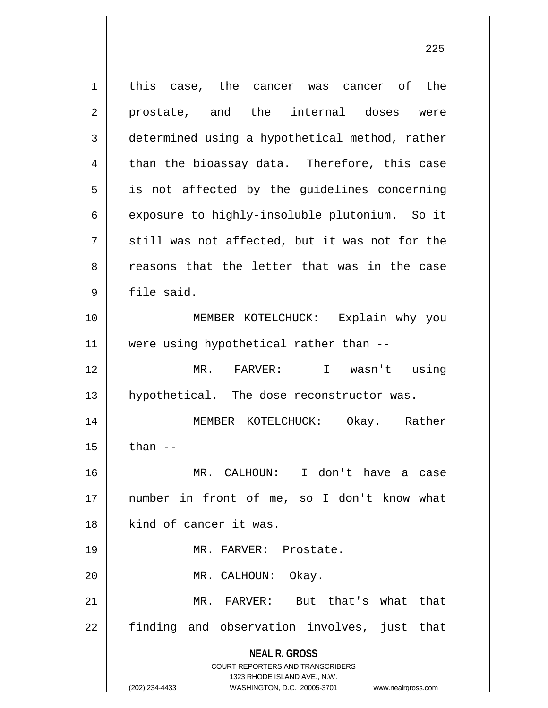**NEAL R. GROSS** COURT REPORTERS AND TRANSCRIBERS 1323 RHODE ISLAND AVE., N.W. (202) 234-4433 WASHINGTON, D.C. 20005-3701 www.nealrgross.com 1 || this case, the cancer was cancer of the 2 prostate, and the internal doses were 3 determined using a hypothetical method, rather  $4 \parallel$  than the bioassay data. Therefore, this case  $5 \parallel$  is not affected by the guidelines concerning 6 exposure to highly-insoluble plutonium. So it  $7$   $\parallel$  still was not affected, but it was not for the 8 and reasons that the letter that was in the case 9 file said. 10 MEMBER KOTELCHUCK: Explain why you 11 were using hypothetical rather than -- 12 MR. FARVER: I wasn't using 13 || hypothetical. The dose reconstructor was. 14 MEMBER KOTELCHUCK: Okay. Rather  $15$   $\parallel$  than  $-$ 16 MR. CALHOUN: I don't have a case 17 number in front of me, so I don't know what 18 kind of cancer it was. 19 || MR. FARVER: Prostate. 20 MR. CALHOUN: Okay. 21 MR. FARVER: But that's what that  $22$  finding and observation involves, just that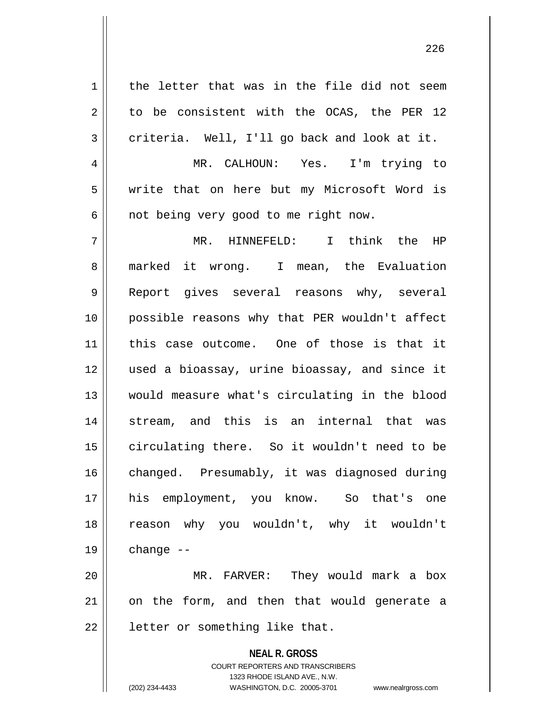$1 \parallel$  the letter that was in the file did not seem  $2 \parallel$  to be consistent with the OCAS, the PER 12  $3 \parallel$  criteria. Well, I'll go back and look at it. 4 || MR. CALHOUN: Yes. I'm trying to 5 write that on here but my Microsoft Word is  $6 \parallel$  not being very good to me right now. 7 MR. HINNEFELD: I think the HP 8 || marked it wrong. I mean, the Evaluation 9 || Report gives several reasons why, several 10 possible reasons why that PER wouldn't affect 11 this case outcome. One of those is that it 12 used a bioassay, urine bioassay, and since it 13 would measure what's circulating in the blood 14 Stream, and this is an internal that was 15 circulating there. So it wouldn't need to be 16 | changed. Presumably, it was diagnosed during 17 his employment, you know. So that's one 18 reason why you wouldn't, why it wouldn't  $19 \parallel$  change --

20 MR. FARVER: They would mark a box  $21$  on the form, and then that would generate a  $22$  | letter or something like that.

> **NEAL R. GROSS** COURT REPORTERS AND TRANSCRIBERS 1323 RHODE ISLAND AVE., N.W. (202) 234-4433 WASHINGTON, D.C. 20005-3701 www.nealrgross.com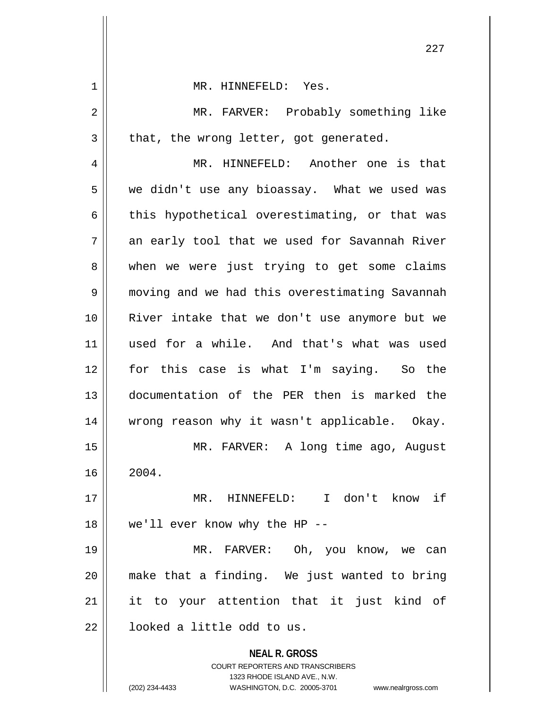| 1  | MR. HINNEFELD: Yes.                                                     |
|----|-------------------------------------------------------------------------|
| 2  | MR. FARVER: Probably something like                                     |
| 3  | that, the wrong letter, got generated.                                  |
| 4  | MR. HINNEFELD: Another one is that                                      |
| 5  | we didn't use any bioassay. What we used was                            |
| 6  | this hypothetical overestimating, or that was                           |
| 7  | an early tool that we used for Savannah River                           |
| 8  | when we were just trying to get some claims                             |
| 9  | moving and we had this overestimating Savannah                          |
| 10 | River intake that we don't use anymore but we                           |
| 11 | used for a while. And that's what was used                              |
| 12 | for this case is what I'm saying. So the                                |
| 13 | documentation of the PER then is marked the                             |
| 14 | wrong reason why it wasn't applicable. Okay.                            |
| 15 | MR. FARVER: A long time ago, August                                     |
| 16 | 2004.                                                                   |
| 17 | MR. HINNEFELD: I don't know if                                          |
| 18 | we'll ever know why the HP --                                           |
| 19 | MR. FARVER: Oh, you know, we can                                        |
| 20 | make that a finding. We just wanted to bring                            |
| 21 | it to your attention that it just kind of                               |
| 22 | looked a little odd to us.                                              |
|    | <b>NEAL R. GROSS</b>                                                    |
|    | <b>COURT REPORTERS AND TRANSCRIBERS</b><br>1323 RHODE ISLAND AVE., N.W. |
|    | (202) 234-4433<br>WASHINGTON, D.C. 20005-3701<br>www.nealrgross.com     |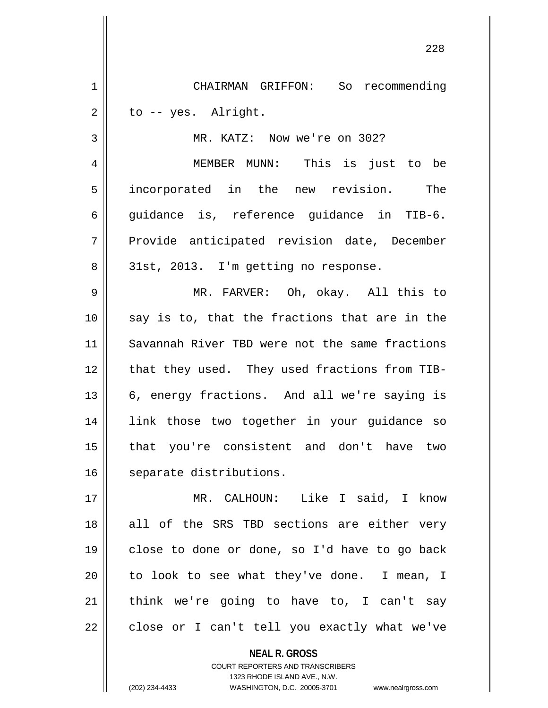1 CHAIRMAN GRIFFON: So recommending  $2 \parallel$  to -- yes. Alright.

3 || MR. KATZ: Now we're on 302?

4 MEMBER MUNN: This is just to be 5 incorporated in the new revision. The 6 quidance is, reference quidance in TIB-6. 7 Provide anticipated revision date, December 8 || 31st, 2013. I'm getting no response.

 MR. FARVER: Oh, okay. All this to || say is to, that the fractions that are in the Savannah River TBD were not the same fractions 12 that they used. They used fractions from TIB-13 || 6, energy fractions. And all we're saying is link those two together in your guidance so that you're consistent and don't have two 16 | separate distributions.

 MR. CALHOUN: Like I said, I know 18 all of the SRS TBD sections are either very close to done or done, so I'd have to go back | to look to see what they've done. I mean, I think we're going to have to, I can't say | close or I can't tell you exactly what we've

> **NEAL R. GROSS** COURT REPORTERS AND TRANSCRIBERS 1323 RHODE ISLAND AVE., N.W. (202) 234-4433 WASHINGTON, D.C. 20005-3701 www.nealrgross.com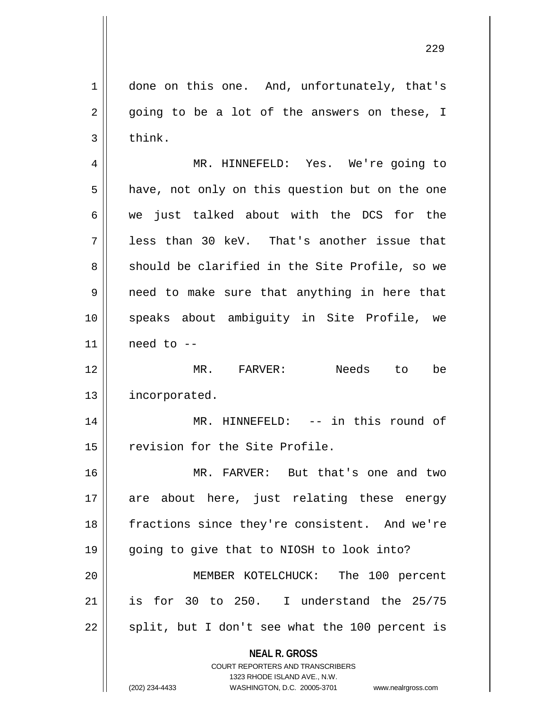1 | done on this one. And, unfortunately, that's  $2 \parallel$  going to be a lot of the answers on these, I  $3 \parallel$  think.

4 MR. HINNEFELD: Yes. We're going to  $5 \parallel$  have, not only on this question but on the one 6 we just talked about with the DCS for the  $7 \parallel$  less than 30 keV. That's another issue that 8 Should be clarified in the Site Profile, so we  $9 \parallel$  need to make sure that anything in here that 10 speaks about ambiguity in Site Profile, we  $11$  need to  $-$ 

12 MR. FARVER: Needs to be 13 | incorporated.

14 || MR. HINNEFELD: -- in this round of 15 | revision for the Site Profile.

16 MR. FARVER: But that's one and two 17 are about here, just relating these energy 18 || fractions since they're consistent. And we're 19 going to give that to NIOSH to look into? 20 MEMBER KOTELCHUCK: The 100 percent 21 is for 30 to 250. I understand the 25/75  $22 \parallel$  split, but I don't see what the 100 percent is

> **NEAL R. GROSS** COURT REPORTERS AND TRANSCRIBERS

> > 1323 RHODE ISLAND AVE., N.W.

(202) 234-4433 WASHINGTON, D.C. 20005-3701 www.nealrgross.com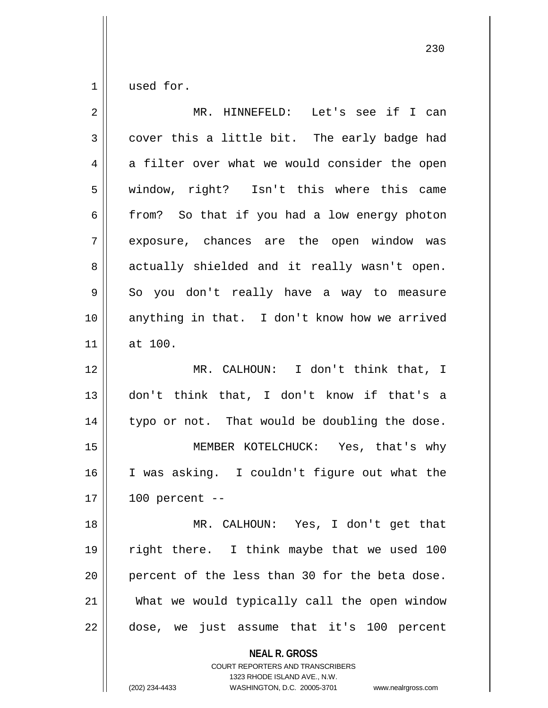$1 \parallel$  used for.

| $\overline{2}$ | MR. HINNEFELD: Let's see if I can              |
|----------------|------------------------------------------------|
| 3              | cover this a little bit. The early badge had   |
| 4              | a filter over what we would consider the open  |
| 5              | window, right? Isn't this where this came      |
| 6              | from? So that if you had a low energy photon   |
| 7              | exposure, chances are the open window was      |
| 8              | actually shielded and it really wasn't open.   |
| 9              | So you don't really have a way to measure      |
| 10             | anything in that. I don't know how we arrived  |
| 11             | at 100.                                        |
| 12             | MR. CALHOUN: I don't think that, I             |
| 13             | don't think that, I don't know if that's a     |
| 14             | typo or not. That would be doubling the dose.  |
| 15             | MEMBER KOTELCHUCK: Yes, that's why             |
| 16             | I was asking. I couldn't figure out what the   |
| 17             | $100$ percent $-$                              |
| 18             | MR. CALHOUN: Yes, I don't get that             |
| 19             | right there. I think maybe that we used 100    |
| 20             | percent of the less than 30 for the beta dose. |
| 21             | What we would typically call the open window   |
| 22             | dose, we just assume that it's 100 percent     |

**NEAL R. GROSS** COURT REPORTERS AND TRANSCRIBERS

1323 RHODE ISLAND AVE., N.W.

(202) 234-4433 WASHINGTON, D.C. 20005-3701 www.nealrgross.com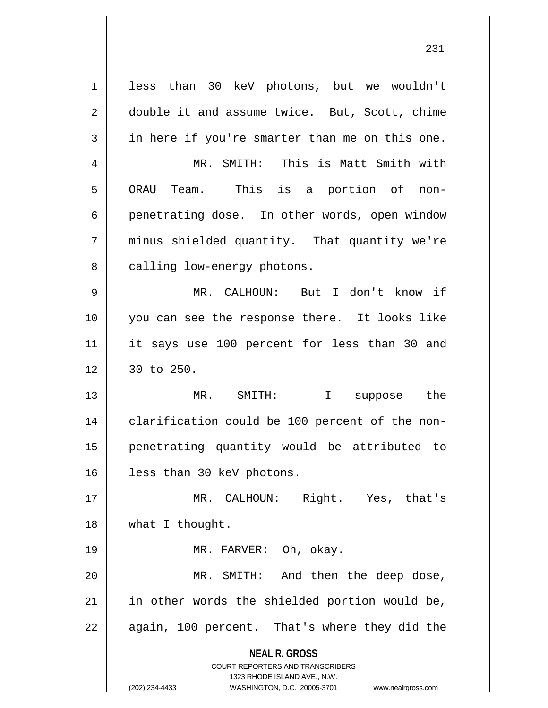**NEAL R. GROSS** COURT REPORTERS AND TRANSCRIBERS 1323 RHODE ISLAND AVE., N.W. 1 || less than 30 keV photons, but we wouldn't 2 double it and assume twice. But, Scott, chime  $3 \parallel$  in here if you're smarter than me on this one. 4 MR. SMITH: This is Matt Smith with 5 || ORAU Team. This is a portion of non-6 penetrating dose. In other words, open window 7 || minus shielded quantity. That quantity we're  $8 \parallel$  calling low-energy photons. 9 MR. CALHOUN: But I don't know if 10 you can see the response there. It looks like 11 it says use 100 percent for less than 30 and  $12 \parallel 30 \text{ to } 250.$ 13 MR. SMITH: I suppose the 14 | clarification could be 100 percent of the non-15 penetrating quantity would be attributed to 16 | less than 30 keV photons. 17 MR. CALHOUN: Right. Yes, that's 18 || what I thought. 19 || MR. FARVER: Oh, okay. 20 MR. SMITH: And then the deep dose,  $21$  in other words the shielded portion would be,  $22 \parallel$  again, 100 percent. That's where they did the

(202) 234-4433 WASHINGTON, D.C. 20005-3701 www.nealrgross.com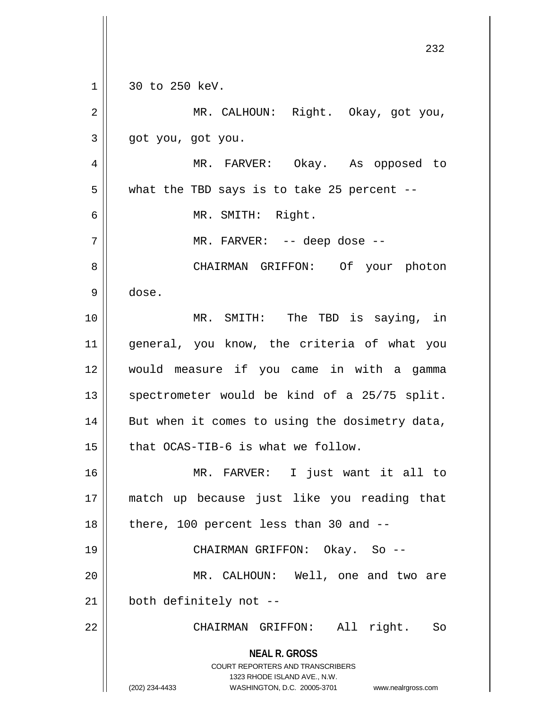**NEAL R. GROSS** COURT REPORTERS AND TRANSCRIBERS 1323 RHODE ISLAND AVE., N.W. (202) 234-4433 WASHINGTON, D.C. 20005-3701 www.nealrgross.com 1 || 30 to 250 keV. MR. CALHOUN: Right. Okay, got you,  $3 \parallel$  got you, got you. MR. FARVER: Okay. As opposed to  $5 \parallel$  what the TBD says is to take 25 percent -- MR. SMITH: Right. MR. FARVER: -- deep dose -- CHAIRMAN GRIFFON: Of your photon dose. MR. SMITH: The TBD is saying, in general, you know, the criteria of what you would measure if you came in with a gamma  $\parallel$  spectrometer would be kind of a 25/75 split. | But when it comes to using the dosimetry data, | that OCAS-TIB-6 is what we follow. MR. FARVER: I just want it all to match up because just like you reading that | there, 100 percent less than 30 and  $-$  CHAIRMAN GRIFFON: Okay. So -- MR. CALHOUN: Well, one and two are | both definitely not --CHAIRMAN GRIFFON: All right. So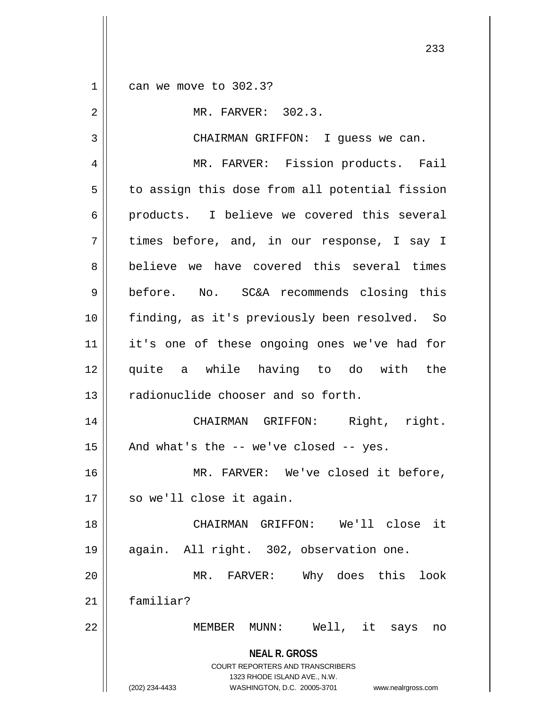$1 \parallel$  can we move to 302.3?

| $\overline{2}$ | MR. FARVER: 302.3.                                                                                                                                                     |
|----------------|------------------------------------------------------------------------------------------------------------------------------------------------------------------------|
| 3              | CHAIRMAN GRIFFON: I guess we can.                                                                                                                                      |
| 4              | MR. FARVER: Fission products. Fail                                                                                                                                     |
| 5              | to assign this dose from all potential fission                                                                                                                         |
| 6              | products. I believe we covered this several                                                                                                                            |
| 7              | times before, and, in our response, I say I                                                                                                                            |
| 8              | believe we have covered this several times                                                                                                                             |
| 9              | before. No. SC&A recommends closing this                                                                                                                               |
| 10             | finding, as it's previously been resolved. So                                                                                                                          |
| 11             | it's one of these ongoing ones we've had for                                                                                                                           |
| 12             | quite a while having to do with the                                                                                                                                    |
| 13             | radionuclide chooser and so forth.                                                                                                                                     |
| 14             | CHAIRMAN GRIFFON: Right, right.                                                                                                                                        |
| 15             | And what's the $-$ we've closed $-$ yes.                                                                                                                               |
| 16             | MR. FARVER: We've closed it before,                                                                                                                                    |
| 17             | so we'll close it again.                                                                                                                                               |
| 18             | CHAIRMAN GRIFFON: We'll close it                                                                                                                                       |
| 19             | again. All right. 302, observation one.                                                                                                                                |
| 20             | MR. FARVER: Why does this<br>look                                                                                                                                      |
| 21             | familiar?                                                                                                                                                              |
| 22             | MEMBER MUNN: Well, it says<br>no                                                                                                                                       |
|                | <b>NEAL R. GROSS</b><br><b>COURT REPORTERS AND TRANSCRIBERS</b><br>1323 RHODE ISLAND AVE., N.W.<br>WASHINGTON, D.C. 20005-3701<br>(202) 234-4433<br>www.nealrgross.com |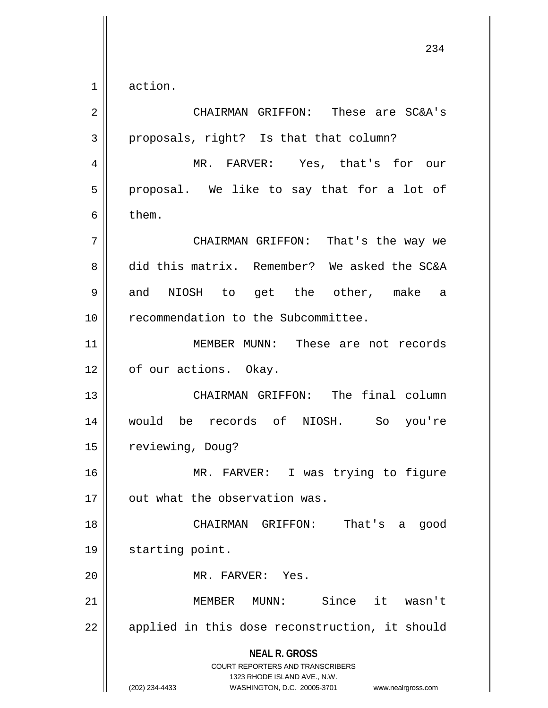$1 \parallel$  action.

| $\overline{2}$ | CHAIRMAN GRIFFON: These are SC&A's                                                                                                                                     |
|----------------|------------------------------------------------------------------------------------------------------------------------------------------------------------------------|
| 3              | proposals, right? Is that that column?                                                                                                                                 |
| 4              | MR. FARVER: Yes, that's for our                                                                                                                                        |
| 5              | proposal. We like to say that for a lot of                                                                                                                             |
| 6              | them.                                                                                                                                                                  |
| 7              | CHAIRMAN GRIFFON: That's the way we                                                                                                                                    |
| 8              | did this matrix. Remember? We asked the SC&A                                                                                                                           |
| 9              | and NIOSH to get the other, make a                                                                                                                                     |
| 10             | recommendation to the Subcommittee.                                                                                                                                    |
| 11             | MEMBER MUNN: These are not records                                                                                                                                     |
| 12             | of our actions. Okay.                                                                                                                                                  |
| 13             | CHAIRMAN GRIFFON: The final column                                                                                                                                     |
| 14             | would be records of NIOSH. So you're                                                                                                                                   |
| 15             | reviewing, Doug?                                                                                                                                                       |
| 16             | MR. FARVER: I was trying to figure                                                                                                                                     |
| 17             | out what the observation was.                                                                                                                                          |
| 18             | That's a<br>CHAIRMAN GRIFFON:<br>good                                                                                                                                  |
| 19             | starting point.                                                                                                                                                        |
| 20             | MR. FARVER: Yes.                                                                                                                                                       |
| 21             | Since it wasn't<br>MEMBER MUNN:                                                                                                                                        |
| 22             | applied in this dose reconstruction, it should                                                                                                                         |
|                | <b>NEAL R. GROSS</b><br><b>COURT REPORTERS AND TRANSCRIBERS</b><br>1323 RHODE ISLAND AVE., N.W.<br>(202) 234-4433<br>WASHINGTON, D.C. 20005-3701<br>www.nealrgross.com |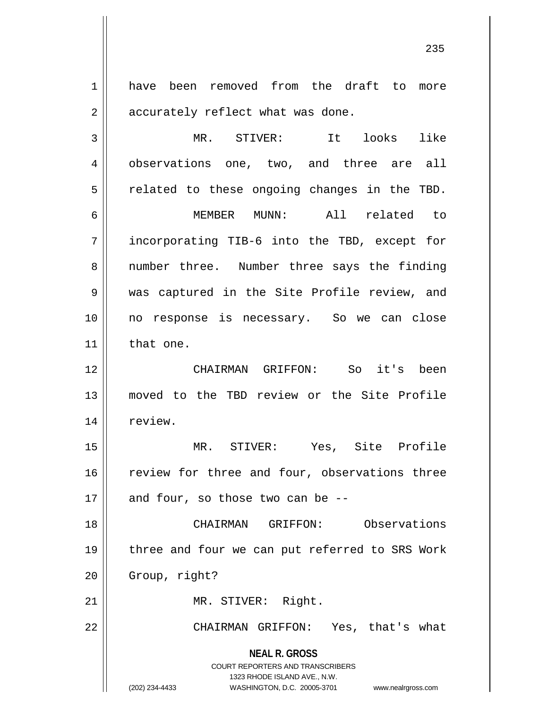1 have been removed from the draft to more  $2 \parallel$  accurately reflect what was done.

3 MR. STIVER: It looks like 4 || observations one, two, and three are all  $5 \parallel$  related to these ongoing changes in the TBD. 6 MEMBER MUNN: All related to 7 incorporating TIB-6 into the TBD, except for 8 || number three. Number three says the finding 9 || was captured in the Site Profile review, and 10 no response is necessary. So we can close 11 | that one.

12 CHAIRMAN GRIFFON: So it's been 13 moved to the TBD review or the Site Profile 14 | review.

15 MR. STIVER: Yes, Site Profile 16 || review for three and four, observations three  $17$  | and four, so those two can be --

18 CHAIRMAN GRIFFON: Observations 19 || three and four we can put referred to SRS Work  $20$  | Group, right?

21 || MR. STIVER: Right.

22 CHAIRMAN GRIFFON: Yes, that's what

**NEAL R. GROSS**

COURT REPORTERS AND TRANSCRIBERS 1323 RHODE ISLAND AVE., N.W. (202) 234-4433 WASHINGTON, D.C. 20005-3701 www.nealrgross.com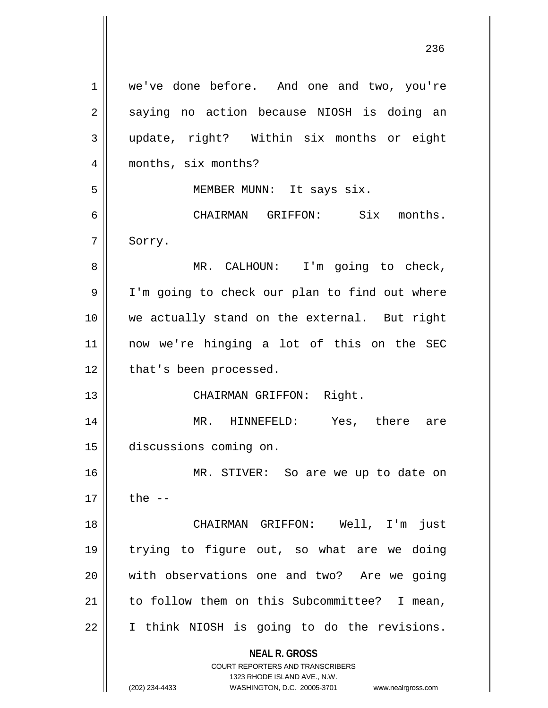**NEAL R. GROSS** COURT REPORTERS AND TRANSCRIBERS 1323 RHODE ISLAND AVE., N.W. (202) 234-4433 WASHINGTON, D.C. 20005-3701 www.nealrgross.com 1 | we've done before. And one and two, you're 2 || saying no action because NIOSH is doing an 3 update, right? Within six months or eight 4 || months, six months? 5 || MEMBER MUNN: It says six. 6 CHAIRMAN GRIFFON: Six months. 7 Sorry. 8 | MR. CALHOUN: I'm going to check, 9 | I'm going to check our plan to find out where 10 we actually stand on the external. But right 11 now we're hinging a lot of this on the SEC 12 | that's been processed. 13 || CHAIRMAN GRIFFON: Right. 14 MR. HINNEFELD: Yes, there are 15 discussions coming on. 16 MR. STIVER: So are we up to date on  $17 \parallel$  the  $-$ 18 CHAIRMAN GRIFFON: Well, I'm just 19 trying to figure out, so what are we doing 20 with observations one and two? Are we going  $21$  | to follow them on this Subcommittee? I mean, 22 | I think NIOSH is going to do the revisions.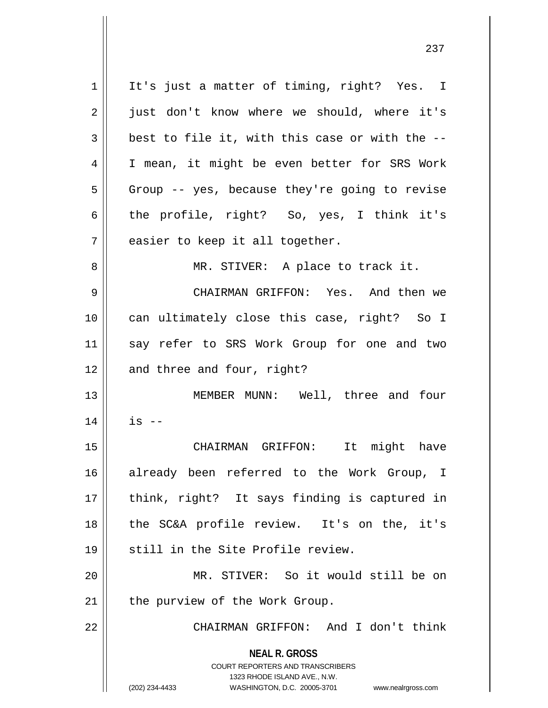**NEAL R. GROSS** COURT REPORTERS AND TRANSCRIBERS 1323 RHODE ISLAND AVE., N.W. (202) 234-4433 WASHINGTON, D.C. 20005-3701 www.nealrgross.com 1 || It's just a matter of timing, right? Yes. I 2 || just don't know where we should, where it's  $3 \parallel$  best to file it, with this case or with the --4 || I mean, it might be even better for SRS Work  $5 \parallel$  Group -- yes, because they're going to revise 6 the profile, right? So, yes, I think it's  $7$  || easier to keep it all together. 8 || MR. STIVER: A place to track it. 9 CHAIRMAN GRIFFON: Yes. And then we 10 || can ultimately close this case, right? So I 11 say refer to SRS Work Group for one and two  $12$  | and three and four, right? 13 MEMBER MUNN: Well, three and four  $14$  || is  $-$ 15 CHAIRMAN GRIFFON: It might have 16 already been referred to the Work Group, I 17 || think, right? It says finding is captured in 18 the SC&A profile review. It's on the, it's 19 || still in the Site Profile review. 20 MR. STIVER: So it would still be on  $21$  | the purview of the Work Group. 22 CHAIRMAN GRIFFON: And I don't think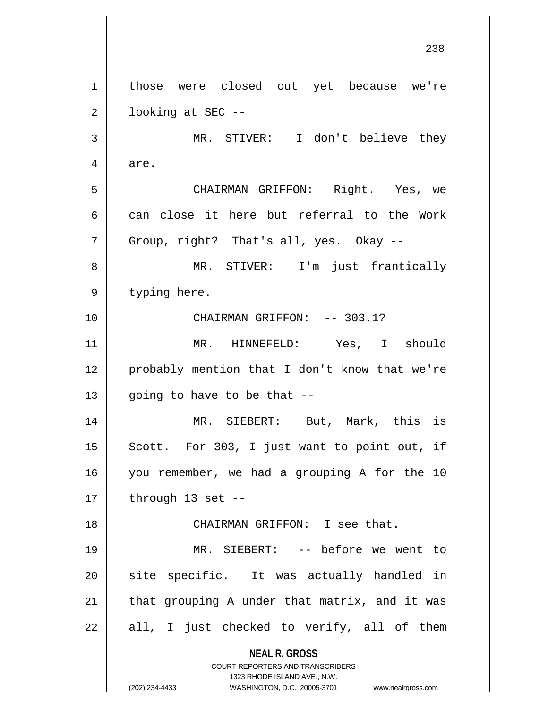**NEAL R. GROSS** COURT REPORTERS AND TRANSCRIBERS 1323 RHODE ISLAND AVE., N.W. (202) 234-4433 WASHINGTON, D.C. 20005-3701 www.nealrgross.com 238 1 | those were closed out yet because we're  $2 \parallel$  looking at SEC --3 || MR. STIVER: I don't believe they 4 are. 5 CHAIRMAN GRIFFON: Right. Yes, we 6 can close it here but referral to the Work  $7 \parallel$  Group, right? That's all, yes. Okay --8 MR. STIVER: I'm just frantically 9 || typing here. 10 CHAIRMAN GRIFFON: -- 303.1? 11 MR. HINNEFELD: Yes, I should 12 || probably mention that I don't know that we're 13  $\parallel$  going to have to be that --14 MR. SIEBERT: But, Mark, this is  $15$  Scott. For 303, I just want to point out, if 16 you remember, we had a grouping A for the 10  $17 \parallel$  through 13 set --18 CHAIRMAN GRIFFON: I see that. 19 MR. SIEBERT: -- before we went to 20 || site specific. It was actually handled in  $21$  | that grouping A under that matrix, and it was  $22 \parallel$  all, I just checked to verify, all of them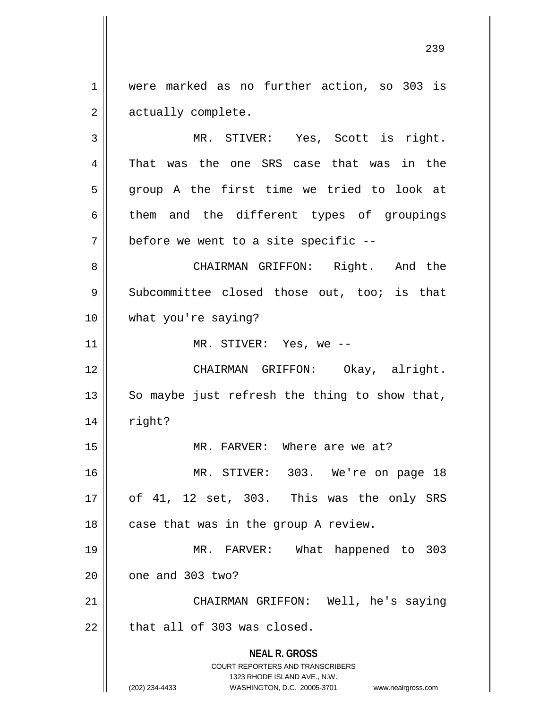1 | were marked as no further action, so 303 is 2 | actually complete.

**NEAL R. GROSS** COURT REPORTERS AND TRANSCRIBERS 1323 RHODE ISLAND AVE., N.W. 3 MR. STIVER: Yes, Scott is right. 4 That was the one SRS case that was in the 5 group A the first time we tried to look at  $6 \parallel$  them and the different types of groupings  $7 \parallel$  before we went to a site specific --8 CHAIRMAN GRIFFON: Right. And the 9 Subcommittee closed those out, too; is that 10 what you're saying? 11 || MR. STIVER: Yes, we --12 CHAIRMAN GRIFFON: Okay, alright. 13  $\parallel$  So maybe just refresh the thing to show that,  $14$   $\parallel$  right? 15 || MR. FARVER: Where are we at? 16 || MR. STIVER: 303. We're on page 18 17 of 41, 12 set, 303. This was the only SRS  $18$  | case that was in the group A review. 19 MR. FARVER: What happened to 303  $20$  |  $\degree$  one and 303 two? 21 || CHAIRMAN GRIFFON: Well, he's saying  $22$  | that all of 303 was closed.

(202) 234-4433 WASHINGTON, D.C. 20005-3701 www.nealrgross.com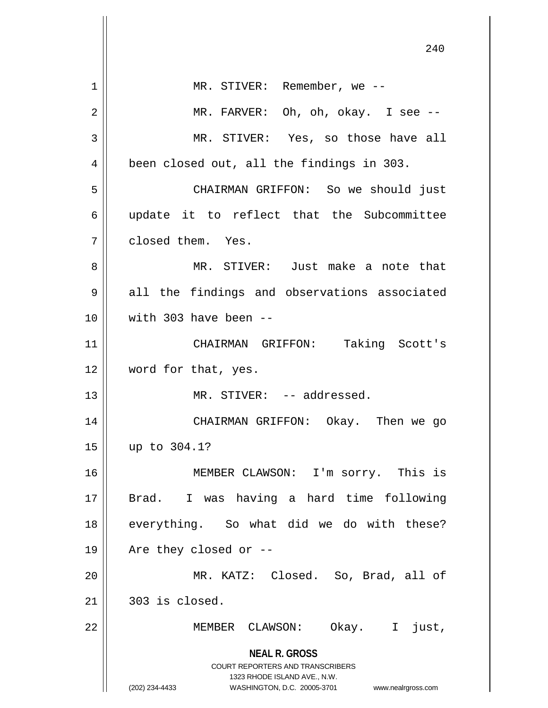**NEAL R. GROSS** COURT REPORTERS AND TRANSCRIBERS 1323 RHODE ISLAND AVE., N.W. (202) 234-4433 WASHINGTON, D.C. 20005-3701 www.nealrgross.com 1 || MR. STIVER: Remember, we --2 MR. FARVER: Oh, oh, okay. I see -- 3 MR. STIVER: Yes, so those have all 4 || been closed out, all the findings in 303. 5 CHAIRMAN GRIFFON: So we should just  $6 \parallel$  update it to reflect that the Subcommittee 7 | closed them. Yes. 8 MR. STIVER: Just make a note that 9 || all the findings and observations associated 10 with 303 have been -- 11 CHAIRMAN GRIFFON: Taking Scott's 12 || word for that, yes. 13 || MR. STIVER: -- addressed. 14 CHAIRMAN GRIFFON: Okay. Then we go 15 up to 304.1? 16 MEMBER CLAWSON: I'm sorry. This is 17 Brad. I was having a hard time following 18 || everything. So what did we do with these? 19  $\parallel$  Are they closed or --20 MR. KATZ: Closed. So, Brad, all of  $21 \parallel 303$  is closed. 22 MEMBER CLAWSON: Okay. I just,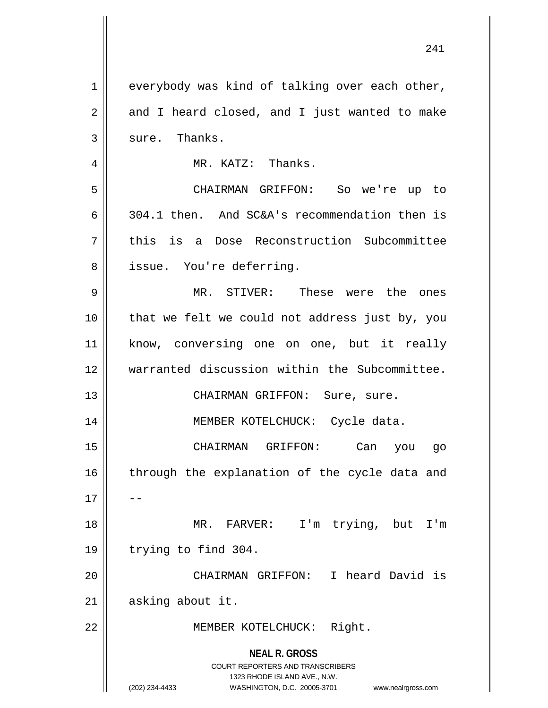| 1  | everybody was kind of talking over each other,                                                                                                                         |
|----|------------------------------------------------------------------------------------------------------------------------------------------------------------------------|
| 2  | and I heard closed, and I just wanted to make                                                                                                                          |
| 3  | sure. Thanks.                                                                                                                                                          |
| 4  | MR. KATZ: Thanks.                                                                                                                                                      |
| 5  | CHAIRMAN GRIFFON: So we're up to                                                                                                                                       |
| 6  | 304.1 then. And SC&A's recommendation then is                                                                                                                          |
| 7  | this is a Dose Reconstruction Subcommittee                                                                                                                             |
| 8  | issue. You're deferring.                                                                                                                                               |
| 9  | MR. STIVER: These were the ones                                                                                                                                        |
| 10 | that we felt we could not address just by, you                                                                                                                         |
| 11 | know, conversing one on one, but it really                                                                                                                             |
| 12 | warranted discussion within the Subcommittee.                                                                                                                          |
| 13 | CHAIRMAN GRIFFON: Sure, sure.                                                                                                                                          |
| 14 | MEMBER KOTELCHUCK: Cycle data.                                                                                                                                         |
| 15 | CHAIRMAN GRIFFON:<br>Can you go                                                                                                                                        |
| 16 | through the explanation of the cycle data and                                                                                                                          |
| 17 |                                                                                                                                                                        |
| 18 | MR. FARVER: I'm trying, but I'm                                                                                                                                        |
| 19 | trying to find 304.                                                                                                                                                    |
| 20 | CHAIRMAN GRIFFON: I heard David is                                                                                                                                     |
| 21 | asking about it.                                                                                                                                                       |
| 22 | MEMBER KOTELCHUCK: Right.                                                                                                                                              |
|    | <b>NEAL R. GROSS</b><br><b>COURT REPORTERS AND TRANSCRIBERS</b><br>1323 RHODE ISLAND AVE., N.W.<br>(202) 234-4433<br>WASHINGTON, D.C. 20005-3701<br>www.nealrgross.com |

 $\overline{\phantom{a}}$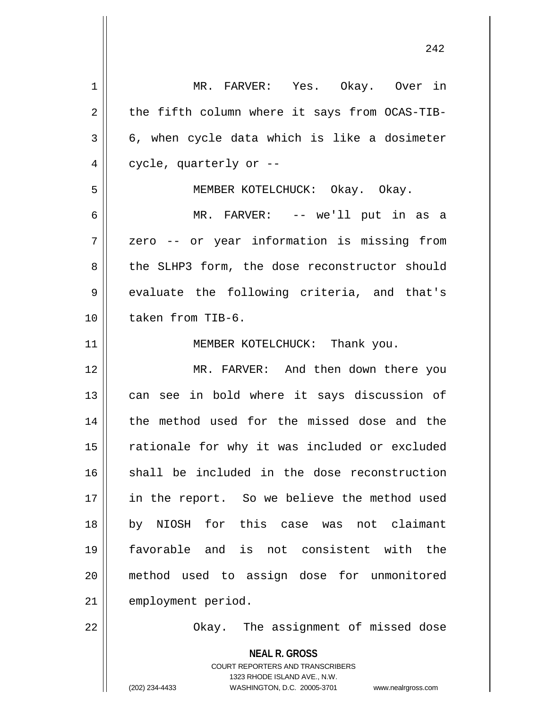| 1              | MR. FARVER: Yes. Okay. Over in                                                                      |
|----------------|-----------------------------------------------------------------------------------------------------|
| $\overline{2}$ | the fifth column where it says from OCAS-TIB-                                                       |
| 3              | 6, when cycle data which is like a dosimeter                                                        |
| 4              | cycle, quarterly or --                                                                              |
| 5              | MEMBER KOTELCHUCK: Okay. Okay.                                                                      |
| 6              | MR. FARVER: -- we'll put in as a                                                                    |
| 7              | zero -- or year information is missing from                                                         |
| 8              | the SLHP3 form, the dose reconstructor should                                                       |
| 9              | evaluate the following criteria, and that's                                                         |
| 10             | taken from TIB-6.                                                                                   |
| 11             | MEMBER KOTELCHUCK: Thank you.                                                                       |
| 12             | MR. FARVER: And then down there you                                                                 |
| 13             | can see in bold where it says discussion of                                                         |
| 14             | the method used for the missed dose and the                                                         |
| 15             | rationale for why it was included or excluded                                                       |
|                | shall be included in the dose reconstruction                                                        |
| 16             |                                                                                                     |
| 17             | in the report. So we believe the method used                                                        |
| 18             | by NIOSH for this case was not claimant                                                             |
| 19             | favorable and is not consistent with the                                                            |
| 20             | method used to assign dose for unmonitored                                                          |
| 21             | employment period.                                                                                  |
| 22             | Okay. The assignment of missed dose                                                                 |
|                | <b>NEAL R. GROSS</b>                                                                                |
|                | <b>COURT REPORTERS AND TRANSCRIBERS</b>                                                             |
|                | 1323 RHODE ISLAND AVE., N.W.<br>(202) 234-4433<br>WASHINGTON, D.C. 20005-3701<br>www.nealrgross.com |
|                |                                                                                                     |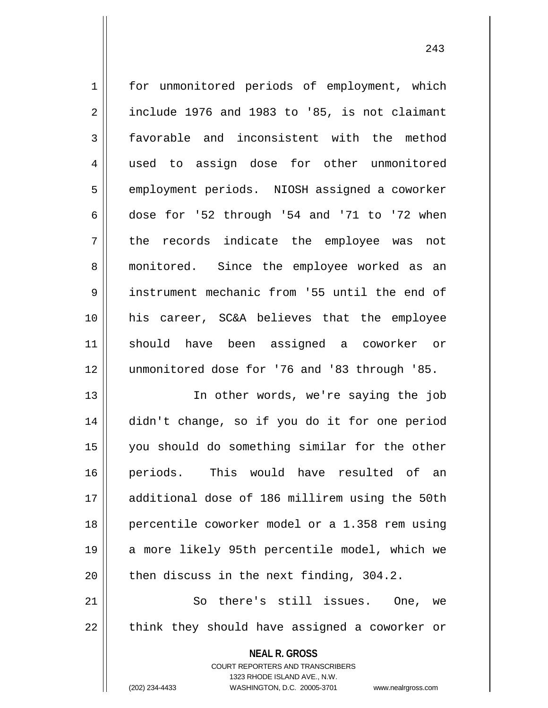1 | for unmonitored periods of employment, which  $2 \parallel$  include 1976 and 1983 to '85, is not claimant 3 favorable and inconsistent with the method 4 || used to assign dose for other unmonitored 5 | employment periods. NIOSH assigned a coworker  $6$  dose for '52 through '54 and '71 to '72 when 7 || the records indicate the employee was not 8 monitored. Since the employee worked as an 9 | instrument mechanic from '55 until the end of 10 his career, SC&A believes that the employee 11 should have been assigned a coworker or 12 unmonitored dose for '76 and '83 through '85. 13 In other words, we're saying the job

 didn't change, so if you do it for one period you should do something similar for the other periods. This would have resulted of an additional dose of 186 millirem using the 50th 18 || percentile coworker model or a 1.358 rem using 19 || a more likely 95th percentile model, which we | then discuss in the next finding, 304.2.

21 || So there's still issues. One, we  $22$  || think they should have assigned a coworker or

**NEAL R. GROSS**

COURT REPORTERS AND TRANSCRIBERS 1323 RHODE ISLAND AVE., N.W. (202) 234-4433 WASHINGTON, D.C. 20005-3701 www.nealrgross.com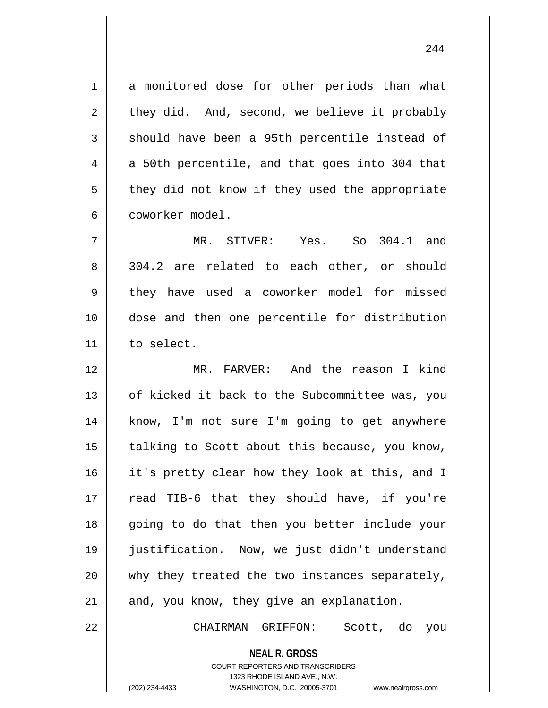1 a monitored dose for other periods than what  $2 \parallel$  they did. And, second, we believe it probably  $3 \parallel$  should have been a 95th percentile instead of  $4 \parallel$  a 50th percentile, and that goes into 304 that  $5 \parallel$  they did not know if they used the appropriate 6 || coworker model.

7 MR. STIVER: Yes. So 304.1 and 8 304.2 are related to each other, or should 9 they have used a coworker model for missed 10 || dose and then one percentile for distribution 11 to select.

12 MR. FARVER: And the reason I kind 13 || of kicked it back to the Subcommittee was, you 14 || know, I'm not sure I'm going to get anywhere  $15$  | talking to Scott about this because, you know, 16 || it's pretty clear how they look at this, and I 17 || read TIB-6 that they should have, if you're 18 || going to do that then you better include your 19 justification. Now, we just didn't understand 20 || why they treated the two instances separately,  $21$  and, you know, they give an explanation.

22 CHAIRMAN GRIFFON: Scott, do you

**NEAL R. GROSS** COURT REPORTERS AND TRANSCRIBERS

1323 RHODE ISLAND AVE., N.W.

(202) 234-4433 WASHINGTON, D.C. 20005-3701 www.nealrgross.com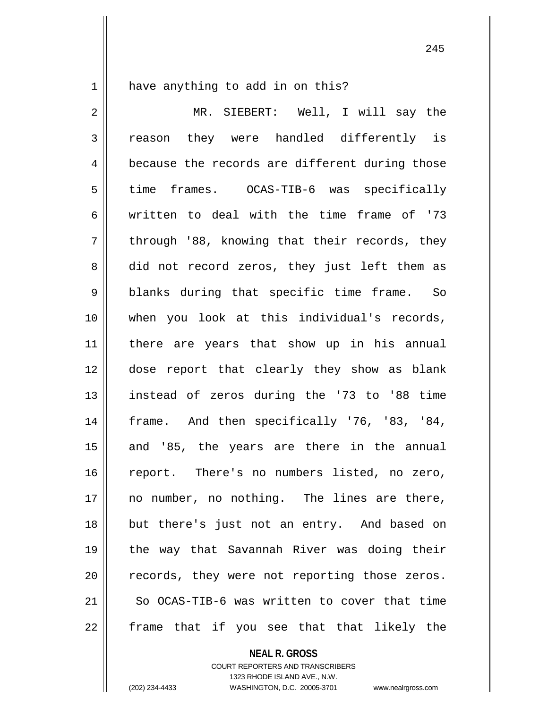1 || have anything to add in on this?

2 MR. SIEBERT: Well, I will say the  $3 \parallel$  reason they were handled differently is 4 | because the records are different during those 5 time frames. OCAS-TIB-6 was specifically 6 written to deal with the time frame of '73  $7 \parallel$  through '88, knowing that their records, they 8 did not record zeros, they just left them as 9 || blanks during that specific time frame. So 10 when you look at this individual's records, 11 || there are years that show up in his annual 12 dose report that clearly they show as blank 13 instead of zeros during the '73 to '88 time 14 || frame. And then specifically '76, '83, '84, 15 || and '85, the years are there in the annual 16 || report. There's no numbers listed, no zero, 17 no number, no nothing. The lines are there, 18 but there's just not an entry. And based on 19 the way that Savannah River was doing their 20 || records, they were not reporting those zeros. 21 So OCAS-TIB-6 was written to cover that time 22 || frame that if you see that that likely the

**NEAL R. GROSS**

COURT REPORTERS AND TRANSCRIBERS 1323 RHODE ISLAND AVE., N.W. (202) 234-4433 WASHINGTON, D.C. 20005-3701 www.nealrgross.com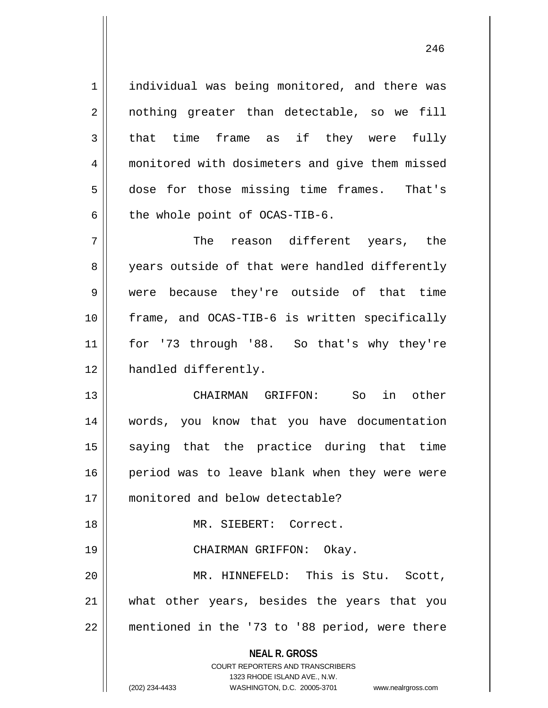1 | individual was being monitored, and there was 2 || nothing greater than detectable, so we fill  $3 \parallel$  that time frame as if they were fully 4 || monitored with dosimeters and give them missed 5 dose for those missing time frames. That's  $6$  | the whole point of OCAS-TIB-6.

 The reason different years, the 8 years outside of that were handled differently were because they're outside of that time frame, and OCAS-TIB-6 is written specifically for '73 through '88. So that's why they're 12 | handled differently.

13 CHAIRMAN GRIFFON: So in other 14 words, you know that you have documentation 15 || saying that the practice during that time 16 period was to leave blank when they were were 17 monitored and below detectable?

18 MR. SIEBERT: Correct.

19 CHAIRMAN GRIFFON: Okay.

20 MR. HINNEFELD: This is Stu. Scott, 21 what other years, besides the years that you 22 || mentioned in the '73 to '88 period, were there

> **NEAL R. GROSS** COURT REPORTERS AND TRANSCRIBERS 1323 RHODE ISLAND AVE., N.W.

(202) 234-4433 WASHINGTON, D.C. 20005-3701 www.nealrgross.com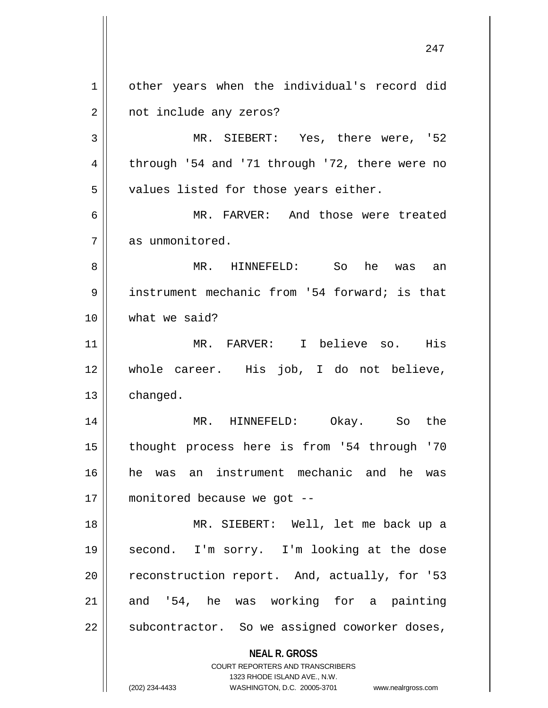**NEAL R. GROSS** COURT REPORTERS AND TRANSCRIBERS 1323 RHODE ISLAND AVE., N.W. (202) 234-4433 WASHINGTON, D.C. 20005-3701 www.nealrgross.com 1 | other years when the individual's record did 2 | not include any zeros? 3 || MR. SIEBERT: Yes, there were, '52 4 || through '54 and '71 through '72, there were no  $5 \parallel$  values listed for those years either. 6 MR. FARVER: And those were treated 7 as unmonitored. 8 MR. HINNEFELD: So he was an 9 | instrument mechanic from '54 forward; is that 10 what we said? 11 MR. FARVER: I believe so. His 12 whole career. His job, I do not believe,  $13$  changed. 14 MR. HINNEFELD: Okay. So the 15 thought process here is from '54 through '70 16 he was an instrument mechanic and he was 17 || monitored because we got --18 MR. SIEBERT: Well, let me back up a 19 second. I'm sorry. I'm looking at the dose 20 | reconstruction report. And, actually, for '53  $21$  and '54, he was working for a painting  $22$  || subcontractor. So we assigned coworker doses,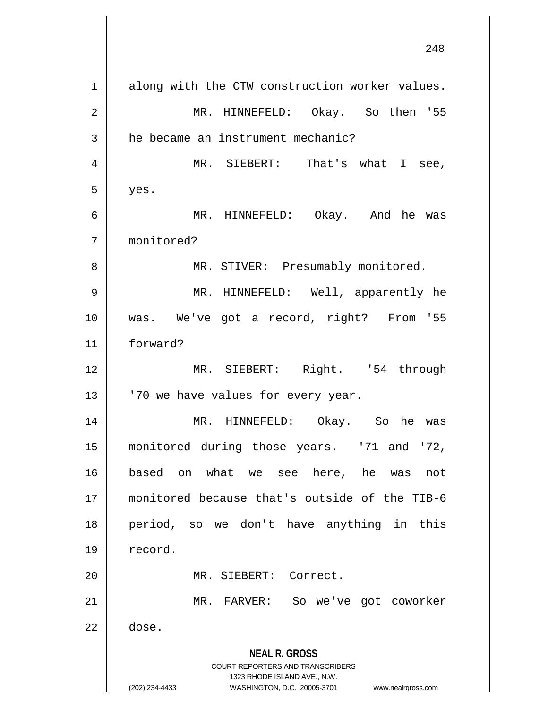| along with the CTW construction worker values.                                                      |
|-----------------------------------------------------------------------------------------------------|
| MR. HINNEFELD: Okay. So then '55                                                                    |
| he became an instrument mechanic?                                                                   |
| MR. SIEBERT: That's what I see,                                                                     |
| yes.                                                                                                |
| MR. HINNEFELD: Okay. And he was                                                                     |
| monitored?                                                                                          |
| MR. STIVER: Presumably monitored.                                                                   |
| MR. HINNEFELD: Well, apparently he                                                                  |
| was. We've got a record, right? From '55                                                            |
| forward?                                                                                            |
| MR. SIEBERT: Right. '54 through                                                                     |
| '70 we have values for every year.                                                                  |
| MR. HINNEFELD: Okay. So he was                                                                      |
| monitored during those years. '71 and '72,                                                          |
| based on what we see here, he was<br>not                                                            |
| monitored because that's outside of the TIB-6                                                       |
| period, so we don't have anything in this                                                           |
| record.                                                                                             |
| MR. SIEBERT: Correct.                                                                               |
| MR. FARVER:<br>So we've got coworker                                                                |
| dose.                                                                                               |
| <b>NEAL R. GROSS</b>                                                                                |
| <b>COURT REPORTERS AND TRANSCRIBERS</b>                                                             |
| 1323 RHODE ISLAND AVE., N.W.<br>(202) 234-4433<br>WASHINGTON, D.C. 20005-3701<br>www.nealrgross.com |
|                                                                                                     |

 $\mathsf{l}$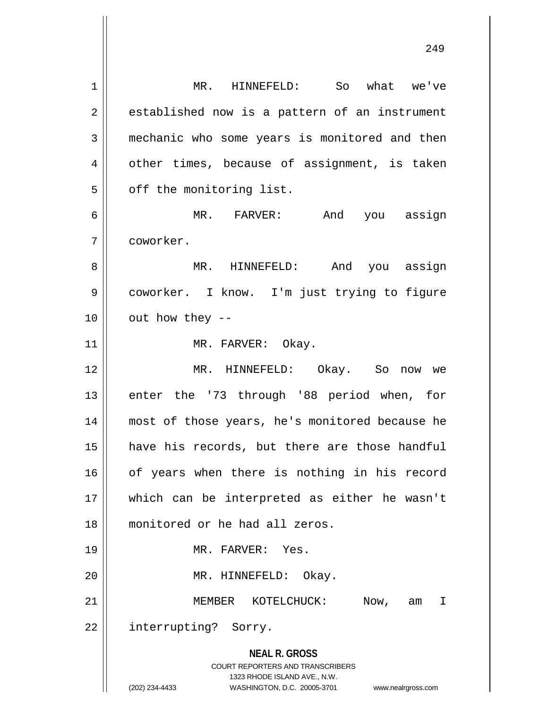**NEAL R. GROSS** COURT REPORTERS AND TRANSCRIBERS 1323 RHODE ISLAND AVE., N.W. (202) 234-4433 WASHINGTON, D.C. 20005-3701 www.nealrgross.com 1 MR. HINNEFELD: So what we've  $2 \parallel$  established now is a pattern of an instrument 3 mechanic who some years is monitored and then 4 || other times, because of assignment, is taken  $5$  |  $\sigma$ ff the monitoring list. 6 MR. FARVER: And you assign 7 coworker. 8 MR. HINNEFELD: And you assign 9 | coworker. I know. I'm just trying to figure  $10$  || out how they --11 || MR. FARVER: Okay. 12 MR. HINNEFELD: Okay. So now we 13 || enter the '73 through '88 period when, for 14 most of those years, he's monitored because he 15 have his records, but there are those handful 16 || of years when there is nothing in his record 17 which can be interpreted as either he wasn't 18 monitored or he had all zeros. 19 MR. FARVER: Yes. 20 MR. HINNEFELD: Okay. 21 MEMBER KOTELCHUCK: Now, am I 22 || interrupting? Sorry.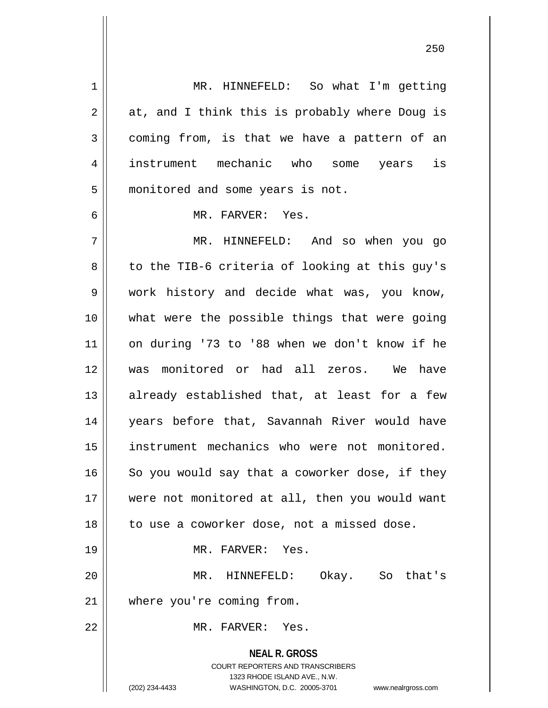**NEAL R. GROSS** COURT REPORTERS AND TRANSCRIBERS 1323 RHODE ISLAND AVE., N.W. 1 || MR. HINNEFELD: So what I'm getting  $2 \parallel$  at, and I think this is probably where Doug is 3 coming from, is that we have a pattern of an 4 instrument mechanic who some years is 5 | monitored and some years is not. 6 MR. FARVER: Yes. 7 MR. HINNEFELD: And so when you go  $8 \parallel$  to the TIB-6 criteria of looking at this guy's 9 Work history and decide what was, you know, 10 what were the possible things that were going 11 on during '73 to '88 when we don't know if he 12 was monitored or had all zeros. We have 13 || already established that, at least for a few 14 years before that, Savannah River would have 15 || instrument mechanics who were not monitored.  $16$  So you would say that a coworker dose, if they 17 were not monitored at all, then you would want  $18$  | to use a coworker dose, not a missed dose. 19 MR. FARVER: Yes. 20 MR. HINNEFELD: Okay. So that's 21 where you're coming from. 22 MR. FARVER: Yes.

(202) 234-4433 WASHINGTON, D.C. 20005-3701 www.nealrgross.com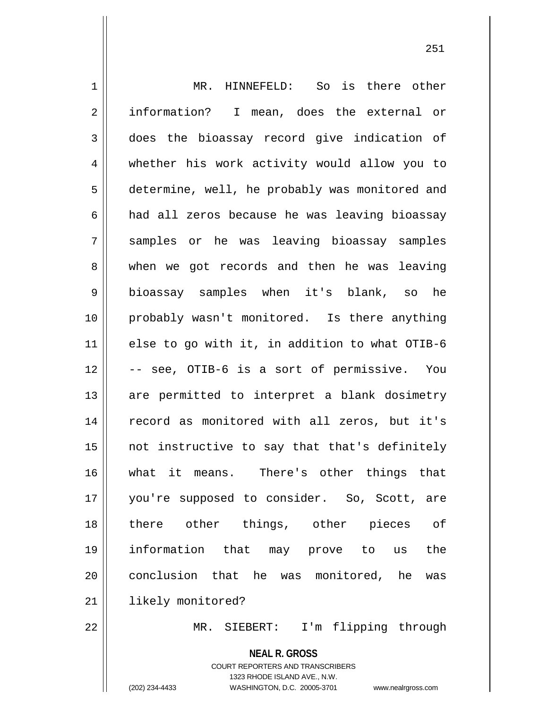1 || MR. HINNEFELD: So is there other 2 || information? I mean, does the external or 3 does the bioassay record give indication of 4 whether his work activity would allow you to 5 determine, well, he probably was monitored and 6 || had all zeros because he was leaving bioassay 7 samples or he was leaving bioassay samples 8 when we got records and then he was leaving 9 bioassay samples when it's blank, so he 10 probably wasn't monitored. Is there anything 11  $\parallel$  else to go with it, in addition to what OTIB-6 12 -- see, OTIB-6 is a sort of permissive. You 13 || are permitted to interpret a blank dosimetry 14 || record as monitored with all zeros, but it's  $15$  || not instructive to say that that's definitely 16 what it means. There's other things that 17 you're supposed to consider. So, Scott, are 18 there other things, other pieces of 19 information that may prove to us the 20 || conclusion that he was monitored, he was 21 | likely monitored?

22 || MR. SIEBERT: I'm flipping through

**NEAL R. GROSS** COURT REPORTERS AND TRANSCRIBERS 1323 RHODE ISLAND AVE., N.W. (202) 234-4433 WASHINGTON, D.C. 20005-3701 www.nealrgross.com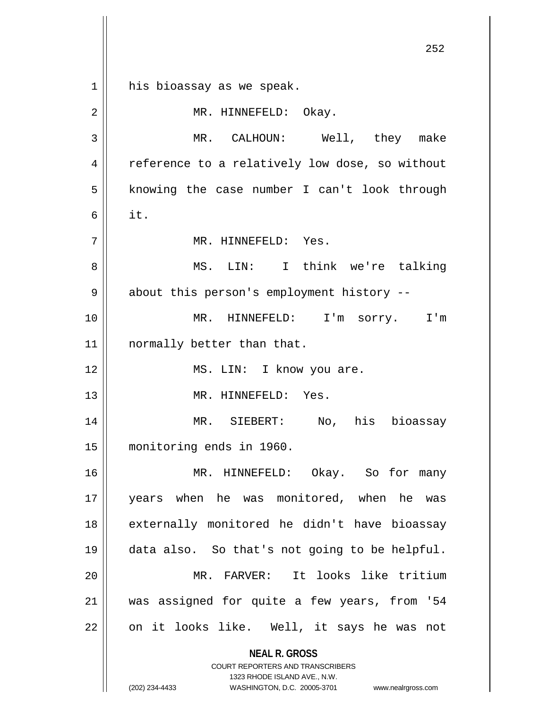his bioassay as we speak.

| $\sqrt{2}$   | MR. HINNEFELD: Okay.                                                                                                                                                   |
|--------------|------------------------------------------------------------------------------------------------------------------------------------------------------------------------|
| $\mathbf{3}$ | MR. CALHOUN: Well, they make                                                                                                                                           |
| 4            | reference to a relatively low dose, so without                                                                                                                         |
| 5            | knowing the case number I can't look through                                                                                                                           |
| 6            | it.                                                                                                                                                                    |
| 7            | MR. HINNEFELD: Yes.                                                                                                                                                    |
| 8            | MS. LIN: I think we're talking                                                                                                                                         |
| 9            | about this person's employment history --                                                                                                                              |
| 10           | MR. HINNEFELD: I'm sorry. I'm                                                                                                                                          |
| 11           | normally better than that.                                                                                                                                             |
| 12           | MS. LIN: I know you are.                                                                                                                                               |
| 13           | MR. HINNEFELD: Yes.                                                                                                                                                    |
| 14           | MR. SIEBERT: No, his bioassay                                                                                                                                          |
| 15           | monitoring ends in 1960.                                                                                                                                               |
| 16           | MR. HINNEFELD: Okay. So for many                                                                                                                                       |
| 17           | years when he was monitored, when he<br>was                                                                                                                            |
| 18           | externally monitored he didn't have bioassay                                                                                                                           |
| 19           | data also. So that's not going to be helpful.                                                                                                                          |
| 20           | MR. FARVER: It looks like tritium                                                                                                                                      |
| 21           | was assigned for quite a few years, from '54                                                                                                                           |
| 22           | on it looks like. Well, it says he was not                                                                                                                             |
|              | <b>NEAL R. GROSS</b><br><b>COURT REPORTERS AND TRANSCRIBERS</b><br>1323 RHODE ISLAND AVE., N.W.<br>(202) 234-4433<br>WASHINGTON, D.C. 20005-3701<br>www.nealrgross.com |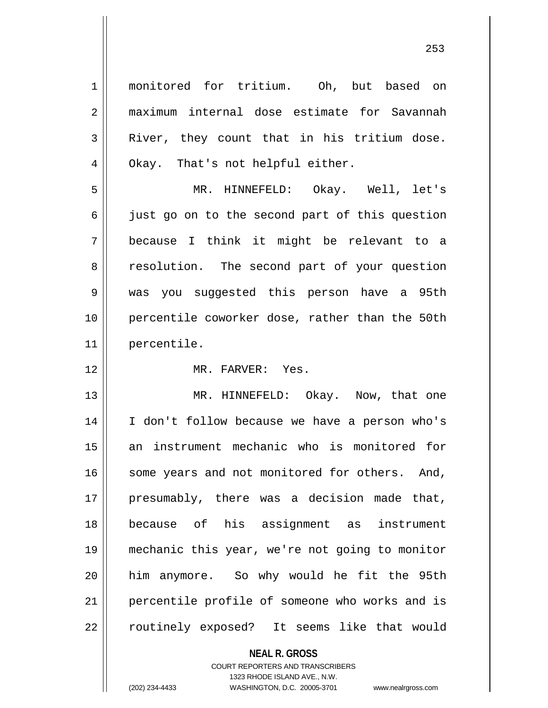1 || monitored for tritium. Oh, but based on 2 maximum internal dose estimate for Savannah  $3$  River, they count that in his tritium dose. 4 || Okay. That's not helpful either. 5 MR. HINNEFELD: Okay. Well, let's  $6 \parallel$  just go on to the second part of this question 7 because I think it might be relevant to a 8 || resolution. The second part of your question 9 was you suggested this person have a 95th 10 percentile coworker dose, rather than the 50th 11 percentile. 12 MR. FARVER: Yes. 13 || MR. HINNEFELD: Okay. Now, that one 14 I don't follow because we have a person who's 15 an instrument mechanic who is monitored for 16 || some years and not monitored for others. And, 17 || presumably, there was a decision made that, 18 because of his assignment as instrument 19 mechanic this year, we're not going to monitor 20 him anymore. So why would he fit the 95th 21 || percentile profile of someone who works and is 22 || routinely exposed? It seems like that would

COURT REPORTERS AND TRANSCRIBERS

**NEAL R. GROSS**

1323 RHODE ISLAND AVE., N.W.

(202) 234-4433 WASHINGTON, D.C. 20005-3701 www.nealrgross.com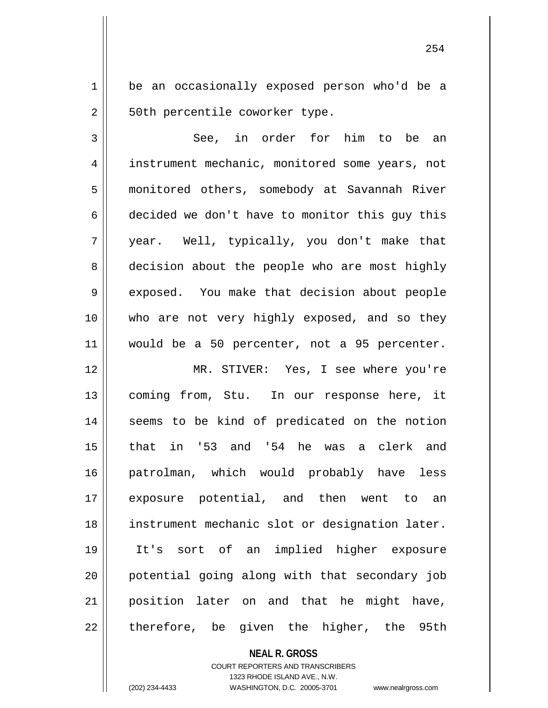1 | be an occasionally exposed person who'd be a 2 | 50th percentile coworker type.

 $3 \parallel$  See, in order for him to be an 4 | instrument mechanic, monitored some years, not 5 monitored others, somebody at Savannah River 6  $\parallel$  decided we don't have to monitor this guy this 7 year. Well, typically, you don't make that 8 decision about the people who are most highly 9 exposed. You make that decision about people 10 who are not very highly exposed, and so they 11 would be a 50 percenter, not a 95 percenter.

 MR. STIVER: Yes, I see where you're 13 || coming from, Stu. In our response here, it 14 || seems to be kind of predicated on the notion that in '53 and '54 he was a clerk and patrolman, which would probably have less exposure potential, and then went to an instrument mechanic slot or designation later. It's sort of an implied higher exposure 20 || potential going along with that secondary job position later on and that he might have, || therefore, be given the higher, the 95th

## **NEAL R. GROSS** COURT REPORTERS AND TRANSCRIBERS 1323 RHODE ISLAND AVE., N.W. (202) 234-4433 WASHINGTON, D.C. 20005-3701 www.nealrgross.com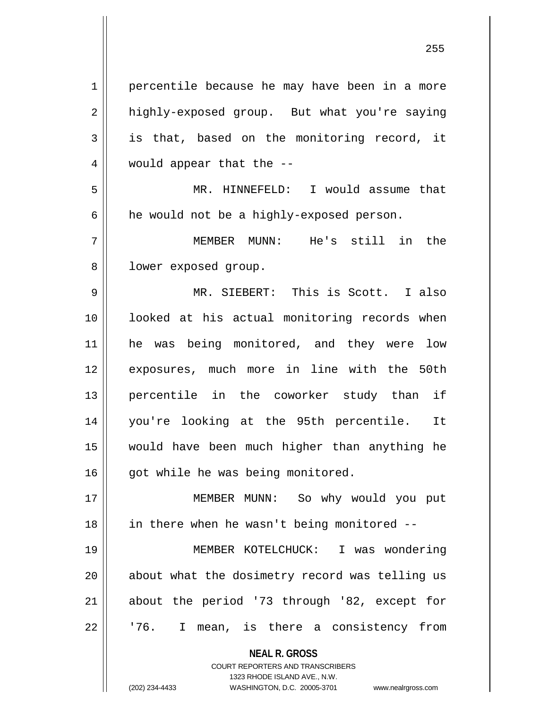**NEAL R. GROSS** COURT REPORTERS AND TRANSCRIBERS 1 || percentile because he may have been in a more 2 | highly-exposed group. But what you're saying  $3 \parallel$  is that, based on the monitoring record, it 4 || would appear that the --5 MR. HINNEFELD: I would assume that  $6 \parallel$  he would not be a highly-exposed person. 7 MEMBER MUNN: He's still in the 8 | lower exposed group. 9 MR. SIEBERT: This is Scott. I also 10 looked at his actual monitoring records when 11 he was being monitored, and they were low 12 exposures, much more in line with the 50th 13 percentile in the coworker study than if 14 you're looking at the 95th percentile. It 15 would have been much higher than anything he 16 || qot while he was being monitored. 17 MEMBER MUNN: So why would you put  $18$  || in there when he wasn't being monitored  $-$ 19 MEMBER KOTELCHUCK: I was wondering 20 || about what the dosimetry record was telling us 21 about the period '73 through '82, except for  $22 \parallel$   $176$ . I mean, is there a consistency from

1323 RHODE ISLAND AVE., N.W.

(202) 234-4433 WASHINGTON, D.C. 20005-3701 www.nealrgross.com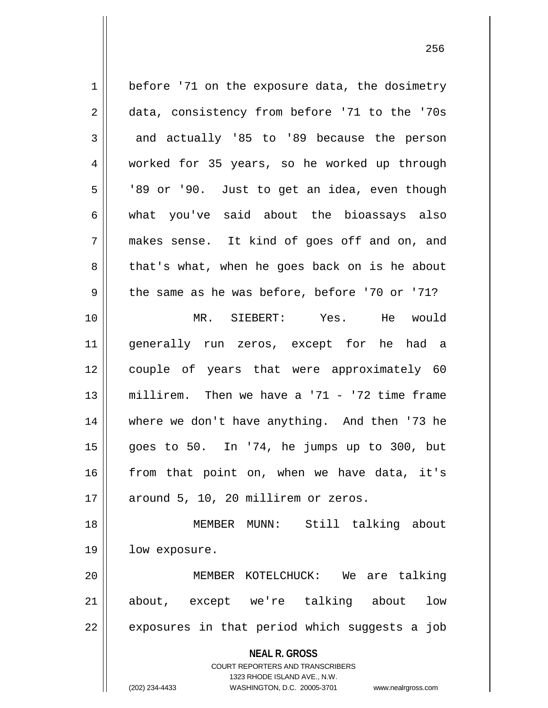**NEAL R. GROSS** COURT REPORTERS AND TRANSCRIBERS 1323 RHODE ISLAND AVE., N.W. 1 | before '71 on the exposure data, the dosimetry 2 data, consistency from before '71 to the '70s  $3 \parallel$  and actually '85 to '89 because the person 4 worked for 35 years, so he worked up through  $5 \parallel$  '89 or '90. Just to get an idea, even though  $6 \parallel$  what you've said about the bioassays also 7 || makes sense. It kind of goes off and on, and 8 that's what, when he goes back on is he about  $9 \parallel$  the same as he was before, before '70 or '71? 10 MR. SIEBERT: Yes. He would 11 generally run zeros, except for he had a 12 couple of years that were approximately 60 13 millirem. Then we have a '71 - '72 time frame 14 || where we don't have anything. And then '73 he 15 goes to 50. In '74, he jumps up to 300, but  $16$  from that point on, when we have data, it's  $17$  | around 5, 10, 20 millirem or zeros. 18 MEMBER MUNN: Still talking about 19 || low exposure. 20 MEMBER KOTELCHUCK: We are talking 21 about, except we're talking about low  $22$  || exposures in that period which suggests a job

(202) 234-4433 WASHINGTON, D.C. 20005-3701 www.nealrgross.com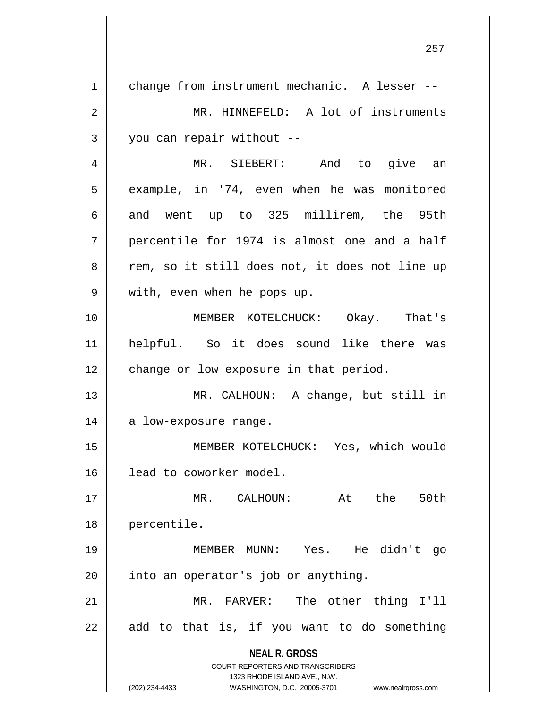**NEAL R. GROSS** COURT REPORTERS AND TRANSCRIBERS 1323 RHODE ISLAND AVE., N.W. (202) 234-4433 WASHINGTON, D.C. 20005-3701 www.nealrgross.com 1 change from instrument mechanic. A lesser --2 | MR. HINNEFELD: A lot of instruments  $3 \parallel$  you can repair without --4 MR. SIEBERT: And to give an 5 | example, in '74, even when he was monitored 6 and went up to 325 millirem, the 95th  $7$  || percentile for 1974 is almost one and a half 8 || rem, so it still does not, it does not line up 9 || with, even when he pops up. 10 MEMBER KOTELCHUCK: Okay. That's 11 helpful. So it does sound like there was 12 | change or low exposure in that period. 13 MR. CALHOUN: A change, but still in 14 || a low-exposure range. 15 MEMBER KOTELCHUCK: Yes, which would 16 | lead to coworker model. 17 MR. CALHOUN: At the 50th 18 percentile. 19 MEMBER MUNN: Yes. He didn't go  $20$  || into an operator's job or anything. 21 || MR. FARVER: The other thing I'll  $22$  || add to that is, if you want to do something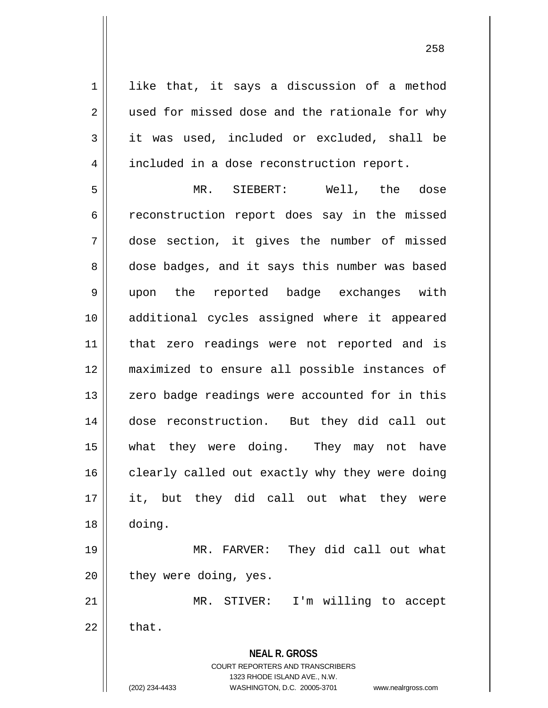1 || like that, it says a discussion of a method 2 | used for missed dose and the rationale for why  $3 \parallel$  it was used, included or excluded, shall be 4 | included in a dose reconstruction report.

 MR. SIEBERT: Well, the dose 6 ceconstruction report does say in the missed dose section, it gives the number of missed 8 dose badges, and it says this number was based upon the reported badge exchanges with additional cycles assigned where it appeared 11 || that zero readings were not reported and is maximized to ensure all possible instances of 13 || zero badge readings were accounted for in this dose reconstruction. But they did call out what they were doing. They may not have clearly called out exactly why they were doing it, but they did call out what they were 18 doing. MR. FARVER: They did call out what

 $20$  || they were doing, yes.

21 || MR. STIVER: I'm willing to accept  $22 \parallel$  that.

> **NEAL R. GROSS** COURT REPORTERS AND TRANSCRIBERS 1323 RHODE ISLAND AVE., N.W.

(202) 234-4433 WASHINGTON, D.C. 20005-3701 www.nealrgross.com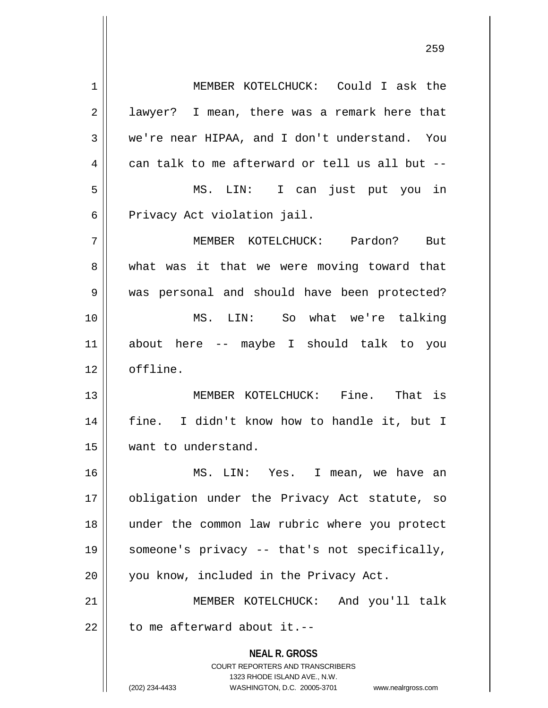**NEAL R. GROSS** COURT REPORTERS AND TRANSCRIBERS 1323 RHODE ISLAND AVE., N.W. 1 MEMBER KOTELCHUCK: Could I ask the  $2 \parallel$  lawyer? I mean, there was a remark here that 3 || we're near HIPAA, and I don't understand. You  $4 \parallel$  can talk to me afterward or tell us all but --5 MS. LIN: I can just put you in 6 || Privacy Act violation jail. 7 MEMBER KOTELCHUCK: Pardon? But 8 what was it that we were moving toward that 9 was personal and should have been protected? 10 MS. LIN: So what we're talking 11 about here -- maybe I should talk to you 12 offline. 13 MEMBER KOTELCHUCK: Fine. That is 14 || fine. I didn't know how to handle it, but I 15 want to understand. 16 MS. LIN: Yes. I mean, we have an 17 obligation under the Privacy Act statute, so 18 under the common law rubric where you protect 19 someone's privacy -- that's not specifically, 20 || you know, included in the Privacy Act. 21 MEMBER KOTELCHUCK: And you'll talk  $22$  | to me afterward about it.--

(202) 234-4433 WASHINGTON, D.C. 20005-3701 www.nealrgross.com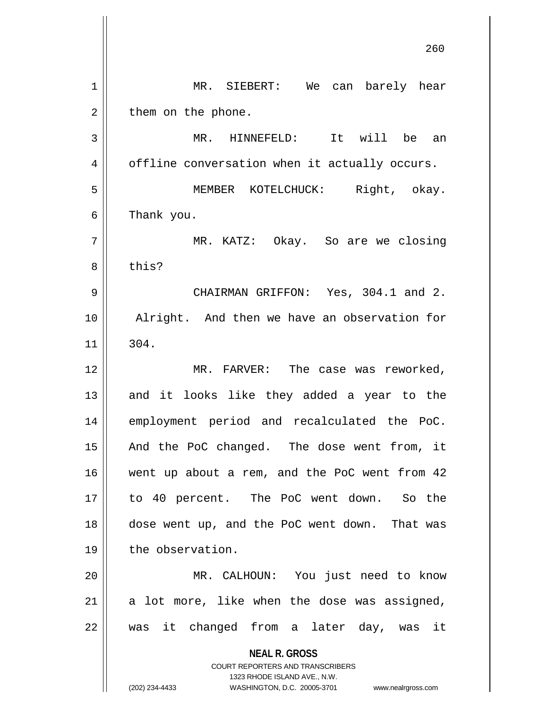|                | 260                                                                 |
|----------------|---------------------------------------------------------------------|
| $\mathbf 1$    | MR. SIEBERT: We can barely hear                                     |
| 2              | them on the phone.                                                  |
| 3              | It will be an<br>MR. HINNEFELD:                                     |
| $\overline{4}$ | offline conversation when it actually occurs.                       |
| 5              | MEMBER KOTELCHUCK: Right, okay.                                     |
| 6              | Thank you.                                                          |
| 7              | MR. KATZ: Okay. So are we closing                                   |
| 8              | this?                                                               |
| 9              | CHAIRMAN GRIFFON: Yes, 304.1 and 2.                                 |
| 10             | Alright. And then we have an observation for                        |
| 11             | 304.                                                                |
| 12             | MR. FARVER: The case was reworked,                                  |
| 13             | and it looks like they added a year to the                          |
| 14             | employment period and recalculated the PoC.                         |
| 15             | And the PoC changed. The dose went from, it                         |
| 16             | went up about a rem, and the PoC went from 42                       |
| 17             | to 40 percent. The PoC went down. So the                            |
| 18             | dose went up, and the PoC went down. That was                       |
| 19             | the observation.                                                    |
| 20             | MR. CALHOUN: You just need to know                                  |
| 21             | a lot more, like when the dose was assigned,                        |
| 22             | was it changed from a later day, was it                             |
|                | <b>NEAL R. GROSS</b>                                                |
|                | COURT REPORTERS AND TRANSCRIBERS<br>1323 RHODE ISLAND AVE., N.W.    |
|                | (202) 234-4433<br>WASHINGTON, D.C. 20005-3701<br>www.nealrgross.com |

 $\mathsf{l}$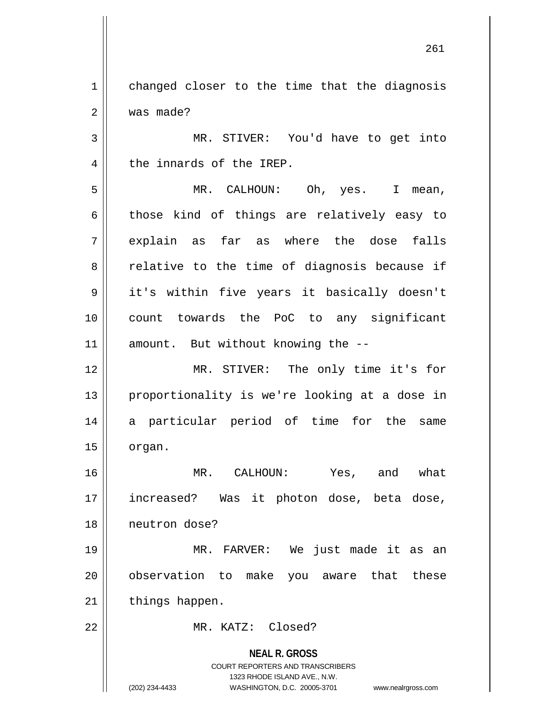1 | changed closer to the time that the diagnosis 2 | was made?

3 || MR. STIVER: You'd have to get into 4 || the innards of the IREP.

5 MR. CALHOUN: Oh, yes. I mean,  $6 \parallel$  those kind of things are relatively easy to  $7 \parallel$  explain as far as where the dose falls  $8 \parallel$  relative to the time of diagnosis because if 9 || it's within five years it basically doesn't 10 count towards the PoC to any significant 11 || amount. But without knowing the --

12 MR. STIVER: The only time it's for 13 || proportionality is we're looking at a dose in 14 a particular period of time for the same  $15$  | organ.

16 MR. CALHOUN: Yes, and what 17 increased? Was it photon dose, beta dose, 18 neutron dose?

19 MR. FARVER: We just made it as an 20 || observation to make you aware that these  $21$  | things happen.

22 MR. KATZ: Closed?

**NEAL R. GROSS** COURT REPORTERS AND TRANSCRIBERS 1323 RHODE ISLAND AVE., N.W. (202) 234-4433 WASHINGTON, D.C. 20005-3701 www.nealrgross.com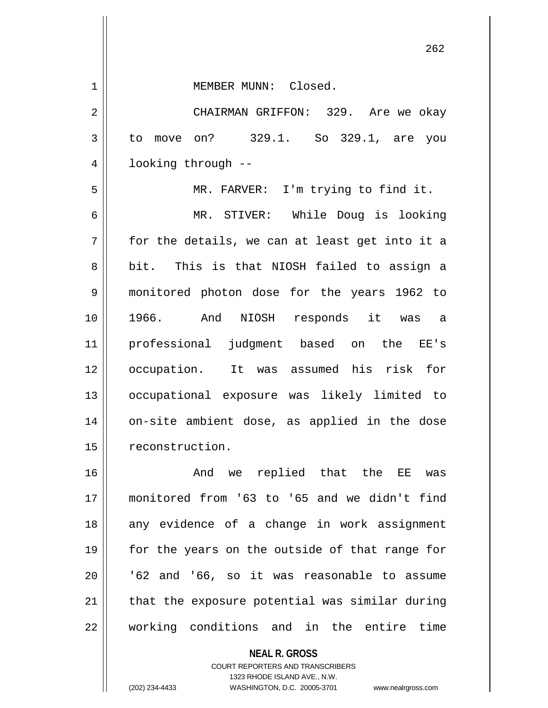1 || MEMBER MUNN: Closed.

2 CHAIRMAN GRIFFON: 329. Are we okay 3 to move on? 329.1. So 329.1, are you 4 | looking through --

5 MR. FARVER: I'm trying to find it.

6 MR. STIVER: While Doug is looking  $7 \parallel$  for the details, we can at least get into it a 8 || bit. This is that NIOSH failed to assign a 9 monitored photon dose for the years 1962 to 10 1966. And NIOSH responds it was a 11 professional judgment based on the EE's 12 occupation. It was assumed his risk for 13 occupational exposure was likely limited to 14 || on-site ambient dose, as applied in the dose 15 | reconstruction.

16 And we replied that the EE was 17 monitored from '63 to '65 and we didn't find 18 || any evidence of a change in work assignment 19 || for the years on the outside of that range for  $20$  |  $\sqrt{62}$  and '66, so it was reasonable to assume 21 || that the exposure potential was similar during 22 || working conditions and in the entire time

> **NEAL R. GROSS** COURT REPORTERS AND TRANSCRIBERS 1323 RHODE ISLAND AVE., N.W. (202) 234-4433 WASHINGTON, D.C. 20005-3701 www.nealrgross.com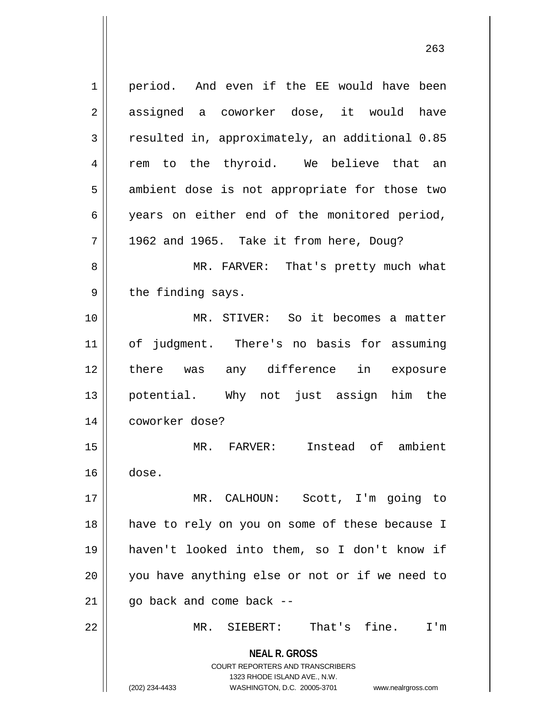**NEAL R. GROSS** COURT REPORTERS AND TRANSCRIBERS 1323 RHODE ISLAND AVE., N.W. (202) 234-4433 WASHINGTON, D.C. 20005-3701 www.nealrgross.com 1 | period. And even if the EE would have been 2 assigned a coworker dose, it would have 3 resulted in, approximately, an additional 0.85 4 || rem to the thyroid. We believe that an  $5 \parallel$  ambient dose is not appropriate for those two 6 years on either end of the monitored period,  $7 \parallel$  1962 and 1965. Take it from here, Doug? 8 MR. FARVER: That's pretty much what  $9 \parallel$  the finding says. 10 MR. STIVER: So it becomes a matter 11 of judgment. There's no basis for assuming 12 there was any difference in exposure 13 potential. Why not just assign him the 14 coworker dose? 15 MR. FARVER: Instead of ambient  $16 \parallel$  dose. 17 MR. CALHOUN: Scott, I'm going to 18 have to rely on you on some of these because I 19 haven't looked into them, so I don't know if 20 you have anything else or not or if we need to  $21$  | qo back and come back --22 MR. SIEBERT: That's fine. I'm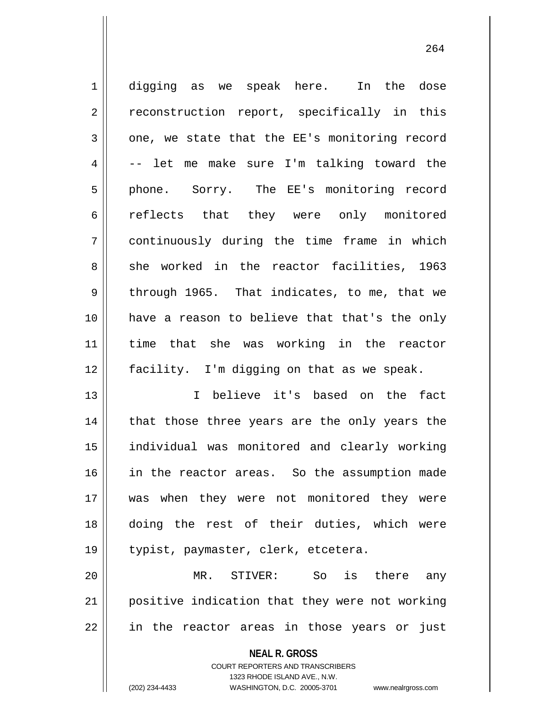1 digging as we speak here. In the dose 2 || reconstruction report, specifically in this  $3 \parallel$  one, we state that the EE's monitoring record  $4 \parallel -$  let me make sure I'm talking toward the 5 || phone. Sorry. The EE's monitoring record 6 || reflects that they were only monitored 7 continuously during the time frame in which 8 she worked in the reactor facilities, 1963  $9 \parallel$  through 1965. That indicates, to me, that we 10 have a reason to believe that that's the only 11 time that she was working in the reactor 12 facility. I'm digging on that as we speak.

 I believe it's based on the fact 14 || that those three years are the only years the individual was monitored and clearly working in the reactor areas. So the assumption made was when they were not monitored they were doing the rest of their duties, which were 19 || typist, paymaster, clerk, etcetera.

20 MR. STIVER: So is there any 21 positive indication that they were not working 22 || in the reactor areas in those years or just

**NEAL R. GROSS**

COURT REPORTERS AND TRANSCRIBERS 1323 RHODE ISLAND AVE., N.W. (202) 234-4433 WASHINGTON, D.C. 20005-3701 www.nealrgross.com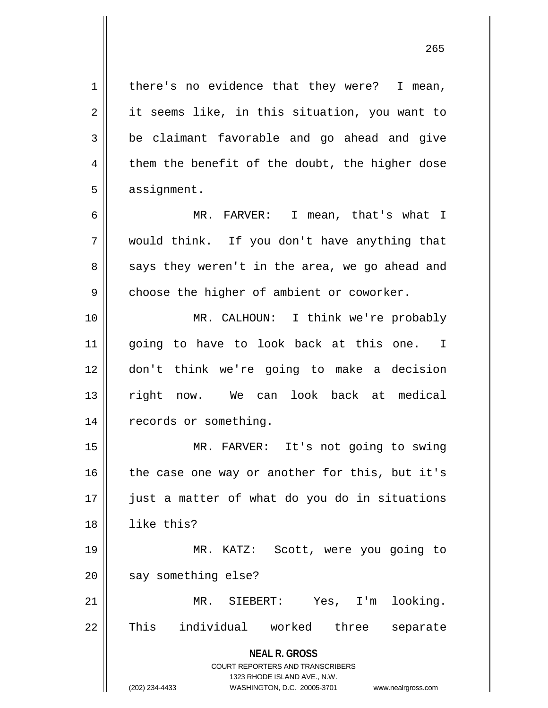$1 \parallel$  there's no evidence that they were? I mean, 2 || it seems like, in this situation, you want to  $3 \parallel$  be claimant favorable and go ahead and give  $4 \parallel$  them the benefit of the doubt, the higher dose  $5 \parallel$  assignment.

6 MR. FARVER: I mean, that's what I 7 would think. If you don't have anything that  $8 \parallel$  says they weren't in the area, we go ahead and  $9 \parallel$  choose the higher of ambient or coworker.

10 MR. CALHOUN: I think we're probably 11 || going to have to look back at this one. I 12 don't think we're going to make a decision 13 || right now. We can look back at medical 14 | records or something.

15 || MR. FARVER: It's not going to swing | the case one way or another for this, but it's just a matter of what do you do in situations like this?

19 MR. KATZ: Scott, were you going to  $20$  | say something else?

21 MR. SIEBERT: Yes, I'm looking. 22 || This individual worked three separate

**NEAL R. GROSS**

COURT REPORTERS AND TRANSCRIBERS 1323 RHODE ISLAND AVE., N.W. (202) 234-4433 WASHINGTON, D.C. 20005-3701 www.nealrgross.com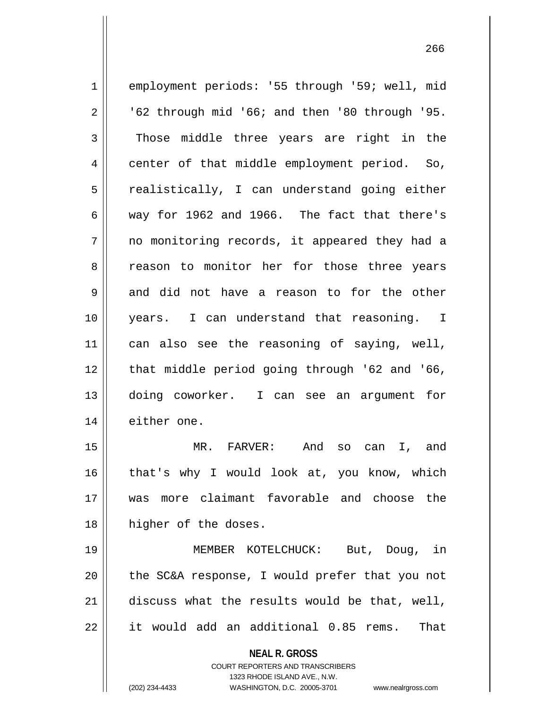| $\mathbf 1$ | employment periods: '55 through '59; well, mid                      |
|-------------|---------------------------------------------------------------------|
| 2           | '62 through mid '66; and then '80 through '95.                      |
| 3           | Those middle three years are right in the                           |
| 4           | center of that middle employment period. So,                        |
| 5           | realistically, I can understand going either                        |
| 6           | way for 1962 and 1966. The fact that there's                        |
| 7           | no monitoring records, it appeared they had a                       |
| 8           | reason to monitor her for those three years                         |
| 9           | and did not have a reason to for the other                          |
| 10          | years. I can understand that reasoning. I                           |
| 11          | can also see the reasoning of saying, well,                         |
| 12          | that middle period going through '62 and '66,                       |
| 13          | doing coworker. I can see an argument for                           |
| 14          | either one.                                                         |
| 15          | MR. FARVER: And so can<br>I, and                                    |
| 16          | that's why I would look at, you know, which                         |
| 17          | was more claimant favorable and choose the                          |
| 18          | higher of the doses.                                                |
| 19          | MEMBER KOTELCHUCK: But, Doug, in                                    |
| 20          | the SC&A response, I would prefer that you not                      |
| 21          | discuss what the results would be that, well,                       |
| 22          | it would add an additional 0.85 rems.<br>That                       |
|             | <b>NEAL R. GROSS</b>                                                |
|             | <b>COURT REPORTERS AND TRANSCRIBERS</b>                             |
|             | 1323 RHODE ISLAND AVE., N.W.                                        |
|             | (202) 234-4433<br>WASHINGTON, D.C. 20005-3701<br>www.nealrgross.com |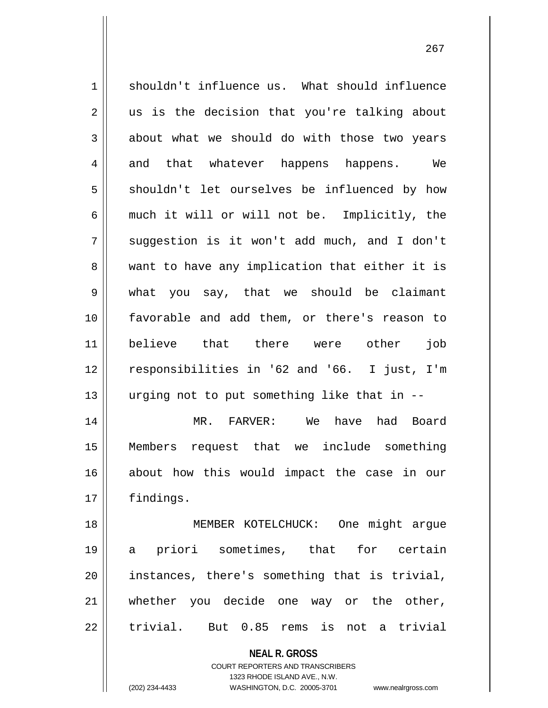1 || shouldn't influence us. What should influence  $2 \parallel$  us is the decision that you're talking about  $3 \parallel$  about what we should do with those two years 4 and that whatever happens happens. We 5 || shouldn't let ourselves be influenced by how  $6 \parallel$  much it will or will not be. Implicitly, the  $7 \parallel$  suggestion is it won't add much, and I don't 8 || want to have any implication that either it is 9 what you say, that we should be claimant 10 favorable and add them, or there's reason to 11 believe that there were other job 12 responsibilities in '62 and '66. I just, I'm 13  $\parallel$  urging not to put something like that in  $-$ 14 MR. FARVER: We have had Board 15 Members request that we include something 16 about how this would impact the case in our 17 | findings. 18 MEMBER KOTELCHUCK: One might argue 19 a priori sometimes, that for certain 20 instances, there's something that is trivial, 21 whether you decide one way or the other,

 $22$  || trivial. But  $0.85$  rems is not a trivial

**NEAL R. GROSS** COURT REPORTERS AND TRANSCRIBERS

1323 RHODE ISLAND AVE., N.W.

(202) 234-4433 WASHINGTON, D.C. 20005-3701 www.nealrgross.com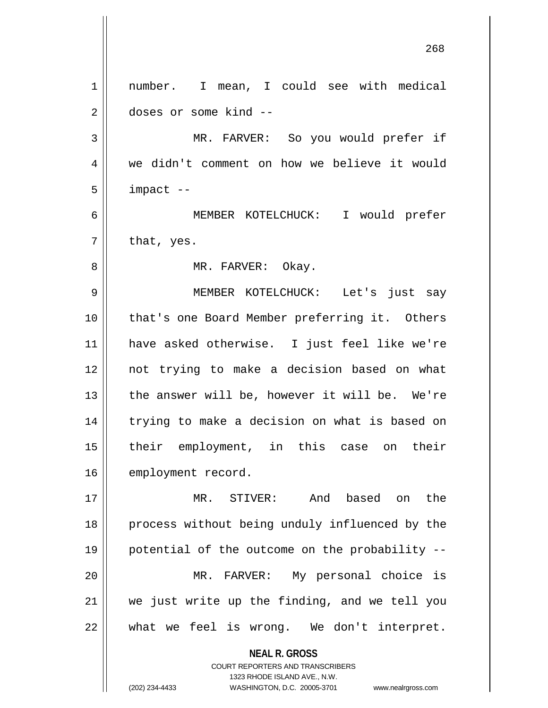|    | 268                                                                 |
|----|---------------------------------------------------------------------|
| 1  | number. I mean, I could see with medical                            |
| 2  | doses or some kind --                                               |
| 3  | MR. FARVER: So you would prefer if                                  |
| 4  | we didn't comment on how we believe it would                        |
| 5  | impact --                                                           |
| 6  | MEMBER KOTELCHUCK: I would prefer                                   |
| 7  | that, yes.                                                          |
| 8  | MR. FARVER: Okay.                                                   |
| 9  | MEMBER KOTELCHUCK: Let's just say                                   |
| 10 | that's one Board Member preferring it. Others                       |
| 11 | have asked otherwise. I just feel like we're                        |
| 12 | not trying to make a decision based on what                         |
| 13 | the answer will be, however it will be. We're                       |
| 14 | trying to make a decision on what is based on                       |
| 15 | their employment, in this case on<br>their                          |
| 16 | employment record.                                                  |
| 17 | And based on<br>MR. STIVER:<br>the                                  |
| 18 | process without being unduly influenced by the                      |
| 19 | potential of the outcome on the probability --                      |
| 20 | MR. FARVER: My personal choice is                                   |
| 21 | we just write up the finding, and we tell you                       |
| 22 | what we feel is wrong. We don't interpret.                          |
|    | <b>NEAL R. GROSS</b><br><b>COURT REPORTERS AND TRANSCRIBERS</b>     |
|    | 1323 RHODE ISLAND AVE., N.W.                                        |
|    | (202) 234-4433<br>WASHINGTON, D.C. 20005-3701<br>www.nealrgross.com |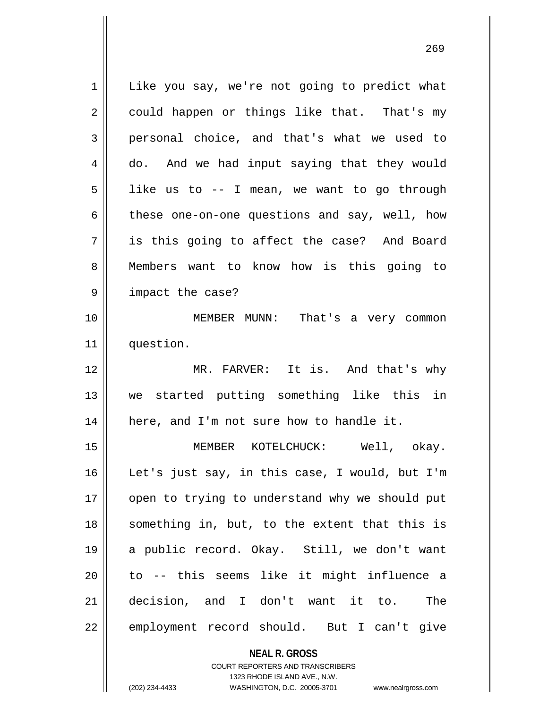**NEAL R. GROSS**  $1 \parallel$  Like you say, we're not going to predict what  $2 \parallel$  could happen or things like that. That's my 3 personal choice, and that's what we used to 4 do. And we had input saying that they would  $5 \parallel$  like us to -- I mean, we want to go through  $6 \parallel$  these one-on-one questions and say, well, how 7 is this going to affect the case? And Board 8 Members want to know how is this going to 9 || impact the case? 10 MEMBER MUNN: That's a very common 11 question. 12 || MR. FARVER: It is. And that's why 13 we started putting something like this in  $14$  | here, and I'm not sure how to handle it. 15 MEMBER KOTELCHUCK: Well, okay. 16 Let's just say, in this case, I would, but I'm 17 || open to trying to understand why we should put 18 || something in, but, to the extent that this is 19 a public record. Okay. Still, we don't want  $20$  || to  $-$  this seems like it might influence a 21 decision, and I don't want it to. The 22 || employment record should. But I can't give

> COURT REPORTERS AND TRANSCRIBERS 1323 RHODE ISLAND AVE., N.W.

(202) 234-4433 WASHINGTON, D.C. 20005-3701 www.nealrgross.com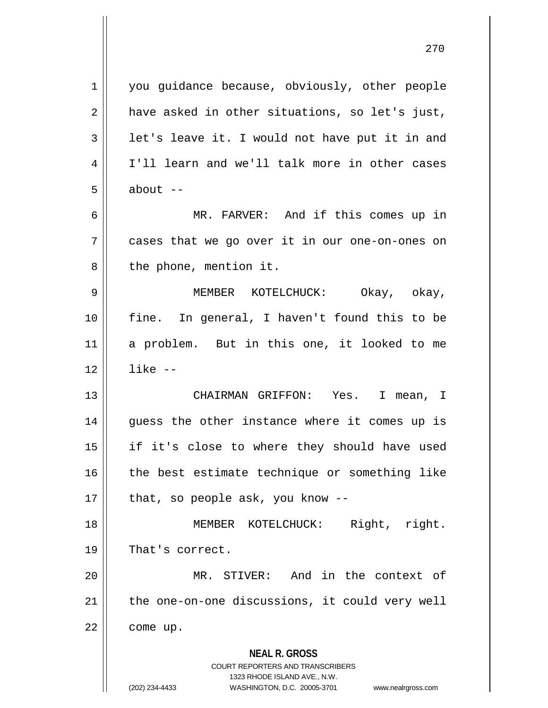**NEAL R. GROSS** COURT REPORTERS AND TRANSCRIBERS 1323 RHODE ISLAND AVE., N.W. 1 | you guidance because, obviously, other people  $2 \parallel$  have asked in other situations, so let's just,  $3 \parallel$  let's leave it. I would not have put it in and 4 I'll learn and we'll talk more in other cases  $5 \parallel$  about  $-$ 6 MR. FARVER: And if this comes up in 7 cases that we go over it in our one-on-ones on  $8$  || the phone, mention it. 9 MEMBER KOTELCHUCK: Okay, okay, 10 fine. In general, I haven't found this to be 11 a problem. But in this one, it looked to me  $12 \parallel$  like  $-$ 13 CHAIRMAN GRIFFON: Yes. I mean, I 14 || guess the other instance where it comes up is 15 if it's close to where they should have used  $16$  | the best estimate technique or something like  $17$  | that, so people ask, you know --18 MEMBER KOTELCHUCK: Right, right. 19 || That's correct. 20 MR. STIVER: And in the context of 21 || the one-on-one discussions, it could very well  $22$  | come up.

(202) 234-4433 WASHINGTON, D.C. 20005-3701 www.nealrgross.com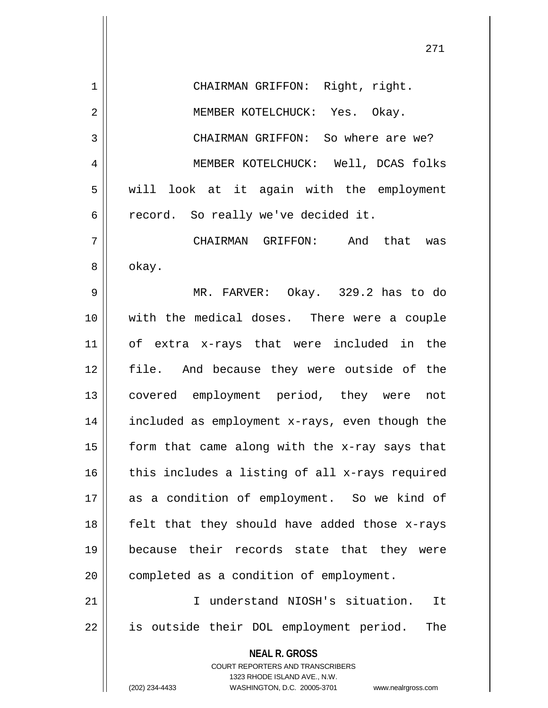**NEAL R. GROSS** COURT REPORTERS AND TRANSCRIBERS 1323 RHODE ISLAND AVE., N.W. (202) 234-4433 WASHINGTON, D.C. 20005-3701 www.nealrgross.com 1 || CHAIRMAN GRIFFON: Right, right. 2 || MEMBER KOTELCHUCK: Yes. Okay. 3 CHAIRMAN GRIFFON: So where are we? 4 MEMBER KOTELCHUCK: Well, DCAS folks 5 || will look at it again with the employment  $6 \parallel$  record. So really we've decided it. 7 CHAIRMAN GRIFFON: And that was 8 | okay. 9 MR. FARVER: Okay. 329.2 has to do 10 with the medical doses. There were a couple 11 of extra x-rays that were included in the 12 || file. And because they were outside of the 13 covered employment period, they were not 14 included as employment x-rays, even though the 15  $\parallel$  form that came along with the x-ray says that  $16$  this includes a listing of all x-rays required 17 as a condition of employment. So we kind of 18  $\parallel$  felt that they should have added those x-rays 19 because their records state that they were 20 | completed as a condition of employment. 21 I understand NIOSH's situation. It 22 || is outside their DOL employment period. The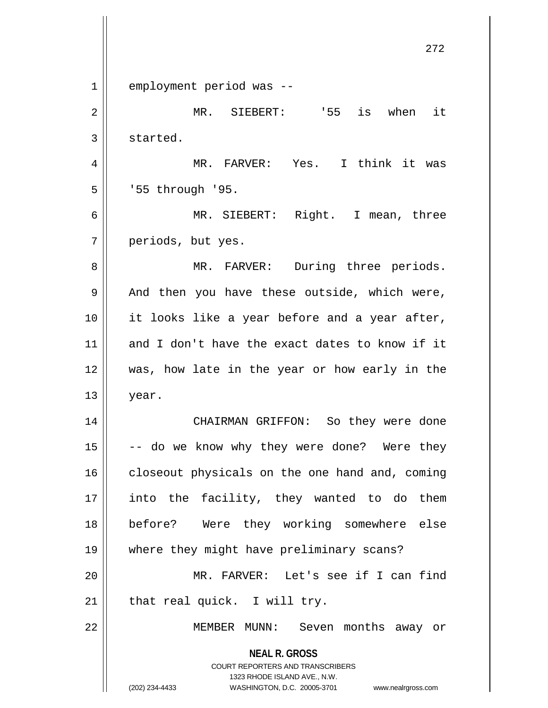**NEAL R. GROSS** COURT REPORTERS AND TRANSCRIBERS 1323 RHODE ISLAND AVE., N.W. (202) 234-4433 WASHINGTON, D.C. 20005-3701 www.nealrgross.com 1 employment period was --2 MR. SIEBERT: '55 is when it  $3 \parallel$  started. 4 MR. FARVER: Yes. I think it was  $5 \parallel$  '55 through '95. 6 MR. SIEBERT: Right. I mean, three 7 || periods, but yes. 8 MR. FARVER: During three periods.  $9 \parallel$  And then you have these outside, which were, 10 || it looks like a year before and a year after, 11 and I don't have the exact dates to know if it 12 was, how late in the year or how early in the  $13 \parallel$  year. 14 CHAIRMAN GRIFFON: So they were done  $15$   $\vert$  -- do we know why they were done? Were they  $16$  closeout physicals on the one hand and, coming 17 || into the facility, they wanted to do them 18 before? Were they working somewhere else 19 where they might have preliminary scans? 20 MR. FARVER: Let's see if I can find  $21$  | that real quick. I will try. 22 || MEMBER MUNN: Seven months away or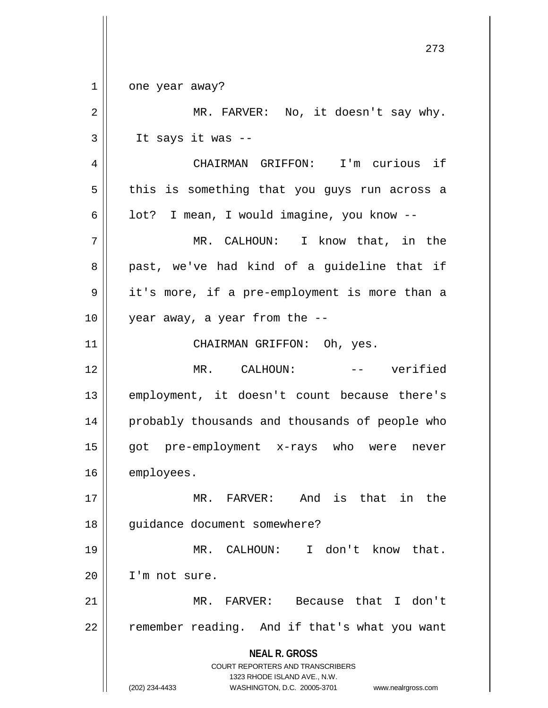**NEAL R. GROSS** COURT REPORTERS AND TRANSCRIBERS 1323 RHODE ISLAND AVE., N.W. (202) 234-4433 WASHINGTON, D.C. 20005-3701 www.nealrgross.com 273 1 || one year away? 2 || MR. FARVER: No, it doesn't say why.  $3 \parallel$  It says it was --4 CHAIRMAN GRIFFON: I'm curious if  $5 \parallel$  this is something that you guys run across a 6 |  $\vert$  lot? I mean, I would imagine, you know --7 MR. CALHOUN: I know that, in the 8 || past, we've had kind of a guideline that if 9 || it's more, if a pre-employment is more than a  $10 \parallel$  year away, a year from the  $-$ 11 || CHAIRMAN GRIFFON: Oh, yes. 12 MR. CALHOUN: -- verified 13 employment, it doesn't count because there's 14 || probably thousands and thousands of people who 15 got pre-employment x-rays who were never 16 | employees. 17 MR. FARVER: And is that in the 18 || guidance document somewhere? 19 MR. CALHOUN: I don't know that. 20 I'm not sure. 21 MR. FARVER: Because that I don't 22 || remember reading. And if that's what you want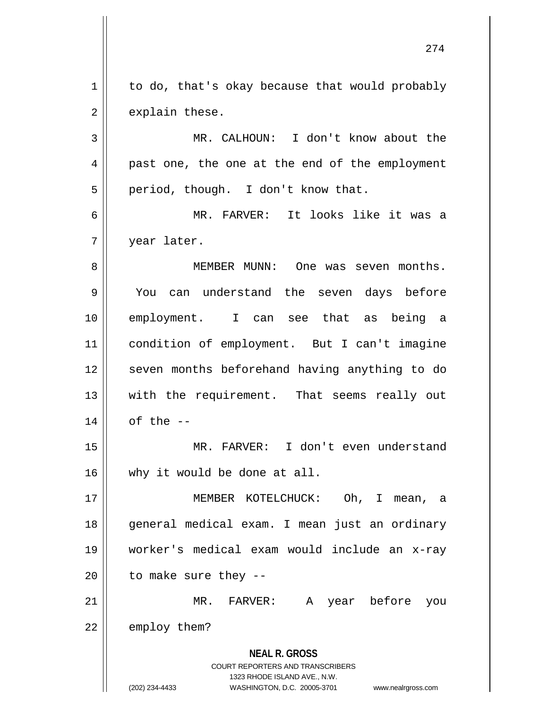$1 \parallel$  to do, that's okay because that would probably  $2 \parallel$  explain these.

3 || MR. CALHOUN: I don't know about the 4 || past one, the one at the end of the employment  $5 \parallel$  period, though. I don't know that.

6 MR. FARVER: It looks like it was a 7 year later.

 MEMBER MUNN: One was seven months. You can understand the seven days before employment. I can see that as being a condition of employment. But I can't imagine 12 || seven months beforehand having anything to do 13 || with the requirement. That seems really out | of the  $-$ 

15 MR. FARVER: I don't even understand 16 why it would be done at all.

 MEMBER KOTELCHUCK: Oh, I mean, a general medical exam. I mean just an ordinary worker's medical exam would include an x-ray | to make sure they --

21 MR. FARVER: A year before you  $22$  || employ them?

> **NEAL R. GROSS** COURT REPORTERS AND TRANSCRIBERS

1323 RHODE ISLAND AVE., N.W. (202) 234-4433 WASHINGTON, D.C. 20005-3701 www.nealrgross.com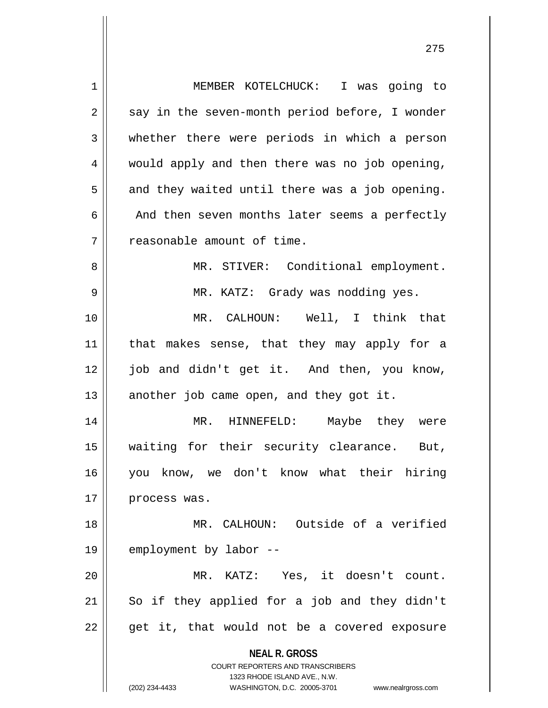| 1              | MEMBER KOTELCHUCK: I was going to                                                                                                                                      |
|----------------|------------------------------------------------------------------------------------------------------------------------------------------------------------------------|
| $\overline{2}$ | say in the seven-month period before, I wonder                                                                                                                         |
| 3              | whether there were periods in which a person                                                                                                                           |
| 4              | would apply and then there was no job opening,                                                                                                                         |
| 5              | and they waited until there was a job opening.                                                                                                                         |
| 6              | And then seven months later seems a perfectly                                                                                                                          |
| 7              | reasonable amount of time.                                                                                                                                             |
| 8              | MR. STIVER: Conditional employment.                                                                                                                                    |
| 9              | MR. KATZ: Grady was nodding yes.                                                                                                                                       |
| 10             | MR. CALHOUN: Well, I think that                                                                                                                                        |
| 11             | that makes sense, that they may apply for a                                                                                                                            |
| 12             | job and didn't get it. And then, you know,                                                                                                                             |
| 13             | another job came open, and they got it.                                                                                                                                |
| 14             | MR. HINNEFELD: Maybe they were                                                                                                                                         |
| 15             | waiting for their security clearance. But,                                                                                                                             |
| 16             | you know, we don't know what their hiring                                                                                                                              |
| 17             | process was.                                                                                                                                                           |
| 18             | MR. CALHOUN: Outside of a verified                                                                                                                                     |
| 19             | employment by labor --                                                                                                                                                 |
| 20             | MR. KATZ: Yes, it doesn't count.                                                                                                                                       |
| 21             | So if they applied for a job and they didn't                                                                                                                           |
| 22             | get it, that would not be a covered exposure                                                                                                                           |
|                | <b>NEAL R. GROSS</b><br><b>COURT REPORTERS AND TRANSCRIBERS</b><br>1323 RHODE ISLAND AVE., N.W.<br>(202) 234-4433<br>WASHINGTON, D.C. 20005-3701<br>www.nealrgross.com |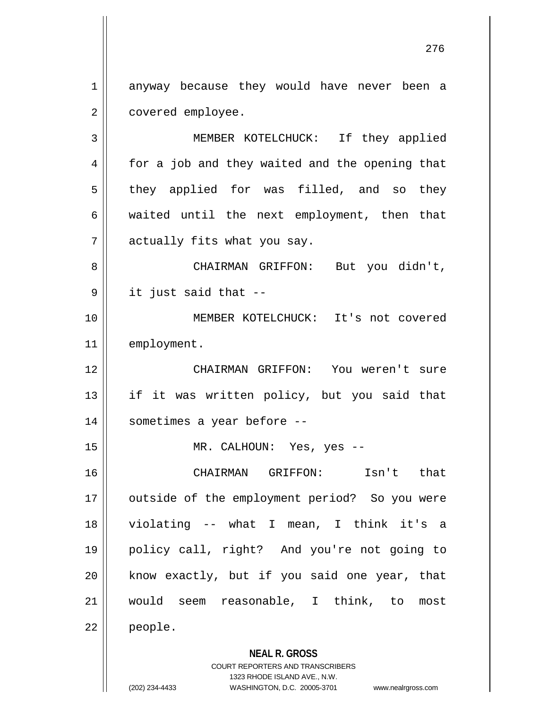1 anyway because they would have never been a 2 | covered employee.

3 MEMBER KOTELCHUCK: If they applied 4 || for a job and they waited and the opening that  $5 \parallel$  they applied for was filled, and so they  $6 \parallel$  waited until the next employment, then that  $7$  || actually fits what you say. 8 CHAIRMAN GRIFFON: But you didn't,  $9 \parallel$  it just said that  $-$ 10 MEMBER KOTELCHUCK: It's not covered 11 | employment. 12 CHAIRMAN GRIFFON: You weren't sure

13 if it was written policy, but you said that 14 || sometimes a year before --

15 || MR. CALHOUN: Yes, yes --

 CHAIRMAN GRIFFON: Isn't that 17 || outside of the employment period? So you were violating -- what I mean, I think it's a policy call, right? And you're not going to know exactly, but if you said one year, that would seem reasonable, I think, to most 22 people.

## **NEAL R. GROSS**

COURT REPORTERS AND TRANSCRIBERS 1323 RHODE ISLAND AVE., N.W. (202) 234-4433 WASHINGTON, D.C. 20005-3701 www.nealrgross.com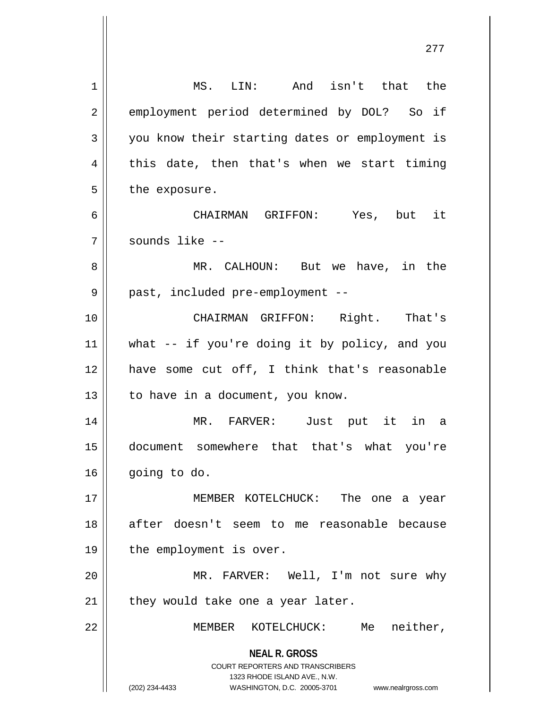| 1              | MS. LIN: And isn't that the                                                                                                                                         |
|----------------|---------------------------------------------------------------------------------------------------------------------------------------------------------------------|
| $\overline{2}$ | employment period determined by DOL? So if                                                                                                                          |
| 3              | you know their starting dates or employment is                                                                                                                      |
| 4              | this date, then that's when we start timing                                                                                                                         |
| 5              | the exposure.                                                                                                                                                       |
| 6              | CHAIRMAN GRIFFON: Yes, but it                                                                                                                                       |
| 7              | sounds like --                                                                                                                                                      |
| 8              | MR. CALHOUN: But we have, in the                                                                                                                                    |
| 9              | past, included pre-employment --                                                                                                                                    |
| 10             | CHAIRMAN GRIFFON: Right. That's                                                                                                                                     |
| 11             | what -- if you're doing it by policy, and you                                                                                                                       |
| 12             | have some cut off, I think that's reasonable                                                                                                                        |
| 13             | to have in a document, you know.                                                                                                                                    |
| 14             | MR. FARVER: Just put it in a                                                                                                                                        |
| 15             | document somewhere that that's what you're                                                                                                                          |
| 16             | going to do.                                                                                                                                                        |
| 17             | MEMBER KOTELCHUCK: The one a year                                                                                                                                   |
| 18             | after doesn't seem to me reasonable because                                                                                                                         |
| 19             | the employment is over.                                                                                                                                             |
| 20             | MR. FARVER: Well, I'm not sure why                                                                                                                                  |
| 21             | they would take one a year later.                                                                                                                                   |
| 22             | Me neither,<br>MEMBER KOTELCHUCK:                                                                                                                                   |
|                | <b>NEAL R. GROSS</b><br><b>COURT REPORTERS AND TRANSCRIBERS</b><br>1323 RHODE ISLAND AVE., N.W.<br>(202) 234-4433<br>WASHINGTON, D.C. 20005-3701 www.nealrgross.com |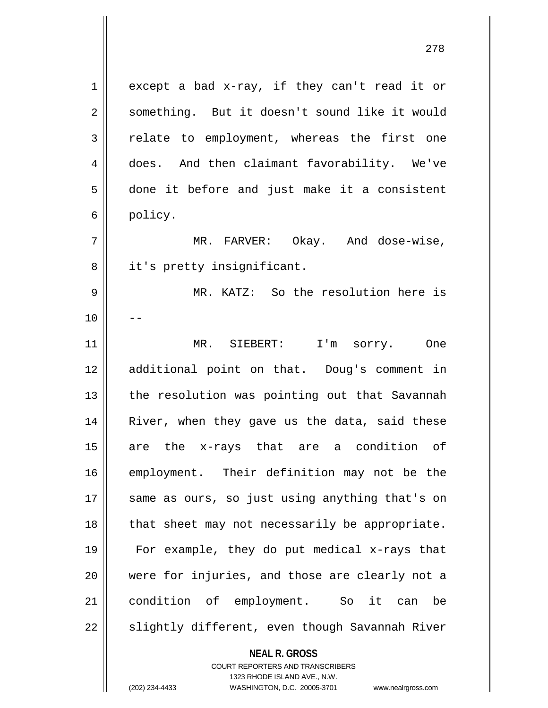$1 \parallel$  except a bad x-ray, if they can't read it or 2 | something. But it doesn't sound like it would  $3 \parallel$  relate to employment, whereas the first one 4 does. And then claimant favorability. We've 5 done it before and just make it a consistent 6 policy. 7 MR. FARVER: Okay. And dose-wise, 8 || it's pretty insignificant. 9 MR. KATZ: So the resolution here is  $10$ 11 MR. SIEBERT: I'm sorry. One 12 additional point on that. Doug's comment in  $13$  || the resolution was pointing out that Savannah 14 || River, when they gave us the data, said these 15 are the x-rays that are a condition of 16 employment. Their definition may not be the 17 || same as ours, so just using anything that's on 18 || that sheet may not necessarily be appropriate. 19 For example, they do put medical x-rays that 20 were for injuries, and those are clearly not a 21 condition of employment. So it can be  $22 \parallel$  slightly different, even though Savannah River

> **NEAL R. GROSS** COURT REPORTERS AND TRANSCRIBERS 1323 RHODE ISLAND AVE., N.W.

(202) 234-4433 WASHINGTON, D.C. 20005-3701 www.nealrgross.com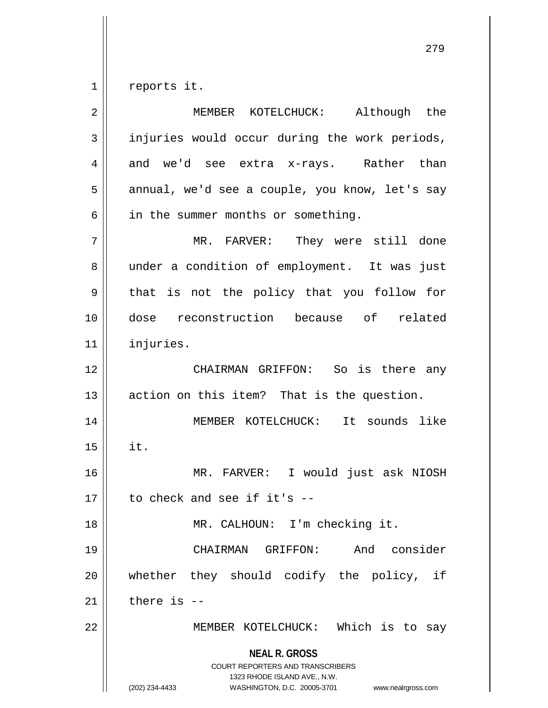$1 \parallel$  reports it.

| $\overline{2}$ | MEMBER KOTELCHUCK: Although the                                                                                                                                        |
|----------------|------------------------------------------------------------------------------------------------------------------------------------------------------------------------|
| 3              | injuries would occur during the work periods,                                                                                                                          |
| 4              | and we'd see extra x-rays. Rather than                                                                                                                                 |
| 5              | annual, we'd see a couple, you know, let's say                                                                                                                         |
| 6              | in the summer months or something.                                                                                                                                     |
| 7              | MR. FARVER: They were still done                                                                                                                                       |
| 8              | under a condition of employment. It was just                                                                                                                           |
| 9              | that is not the policy that you follow for                                                                                                                             |
| 10             | dose reconstruction because of related                                                                                                                                 |
| 11             | injuries.                                                                                                                                                              |
| 12             | CHAIRMAN GRIFFON: So is there any                                                                                                                                      |
| 13             | action on this item? That is the question.                                                                                                                             |
| 14             | MEMBER KOTELCHUCK: It sounds like                                                                                                                                      |
| 15             | it.                                                                                                                                                                    |
| 16             | MR. FARVER: I would just ask NIOSH                                                                                                                                     |
| 17             | to check and see if it's --                                                                                                                                            |
| 18             | MR. CALHOUN: I'm checking it.                                                                                                                                          |
| 19             | consider<br>CHAIRMAN GRIFFON:<br>And                                                                                                                                   |
| 20             | whether they should codify the policy, if                                                                                                                              |
| 21             | there is $-$                                                                                                                                                           |
| 22             | MEMBER KOTELCHUCK: Which is to say                                                                                                                                     |
|                | <b>NEAL R. GROSS</b><br><b>COURT REPORTERS AND TRANSCRIBERS</b><br>1323 RHODE ISLAND AVE., N.W.<br>(202) 234-4433<br>WASHINGTON, D.C. 20005-3701<br>www.nealrgross.com |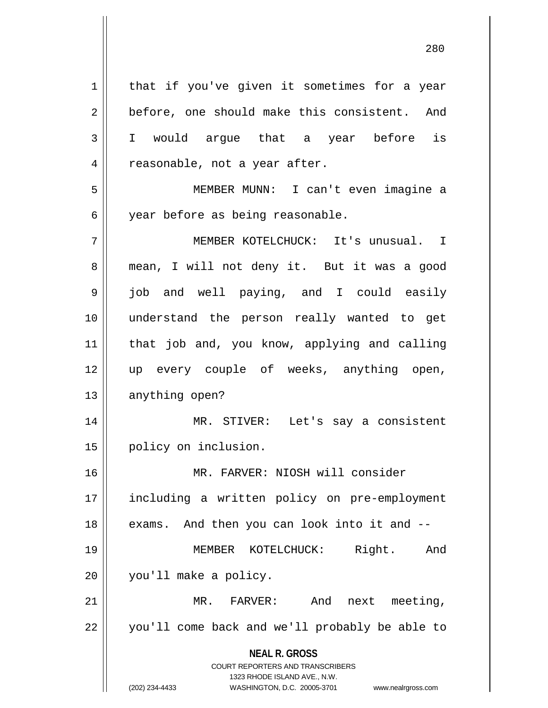**NEAL R. GROSS** COURT REPORTERS AND TRANSCRIBERS 1323 RHODE ISLAND AVE., N.W.  $1 \parallel$  that if you've given it sometimes for a year 2 before, one should make this consistent. And 3 I would argue that a year before is 4 || reasonable, not a year after. 5 MEMBER MUNN: I can't even imagine a 6 | year before as being reasonable. 7 MEMBER KOTELCHUCK: It's unusual. I 8 || mean, I will not deny it. But it was a good 9 || job and well paying, and I could easily 10 understand the person really wanted to get 11 || that job and, you know, applying and calling 12 up every couple of weeks, anything open, 13 || anything open? 14 MR. STIVER: Let's say a consistent 15 | policy on inclusion. 16 MR. FARVER: NIOSH will consider 17 including a written policy on pre-employment  $18$  | exams. And then you can look into it and  $-$ 19 MEMBER KOTELCHUCK: Right. And 20 || you'll make a policy. 21 MR. FARVER: And next meeting, 22 || you'll come back and we'll probably be able to

(202) 234-4433 WASHINGTON, D.C. 20005-3701 www.nealrgross.com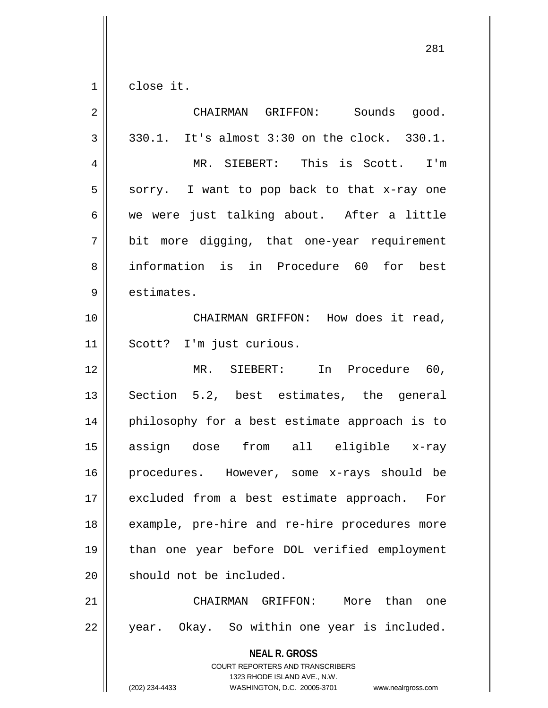$1 \parallel$  close it.

| $\overline{2}$ | CHAIRMAN GRIFFON: Sounds good.                                                                                                                                         |
|----------------|------------------------------------------------------------------------------------------------------------------------------------------------------------------------|
| 3              | 330.1. It's almost 3:30 on the clock. 330.1.                                                                                                                           |
| $\overline{4}$ | MR. SIEBERT: This is Scott. I'm                                                                                                                                        |
| 5              | sorry. I want to pop back to that x-ray one                                                                                                                            |
| 6              | we were just talking about. After a little                                                                                                                             |
| 7              | bit more digging, that one-year requirement                                                                                                                            |
| 8              | information is in Procedure 60 for best                                                                                                                                |
| 9              | estimates.                                                                                                                                                             |
| 10             | CHAIRMAN GRIFFON: How does it read,                                                                                                                                    |
| 11             | Scott? I'm just curious.                                                                                                                                               |
| 12             | MR. SIEBERT:<br>In Procedure 60,                                                                                                                                       |
| 13             | Section 5.2, best estimates, the general                                                                                                                               |
| 14             | philosophy for a best estimate approach is to                                                                                                                          |
| 15             | assign dose from all eligible x-ray                                                                                                                                    |
| 16             | procedures. However, some x-rays should be                                                                                                                             |
| 17             | excluded from a best estimate approach. For                                                                                                                            |
| 18             | example, pre-hire and re-hire procedures more                                                                                                                          |
| 19             | than one year before DOL verified employment                                                                                                                           |
| 20             | should not be included.                                                                                                                                                |
| 21             | More than one<br>CHAIRMAN GRIFFON:                                                                                                                                     |
| 22             | year. Okay. So within one year is included.                                                                                                                            |
|                | <b>NEAL R. GROSS</b><br><b>COURT REPORTERS AND TRANSCRIBERS</b><br>1323 RHODE ISLAND AVE., N.W.<br>(202) 234-4433<br>WASHINGTON, D.C. 20005-3701<br>www.nealrgross.com |
|                |                                                                                                                                                                        |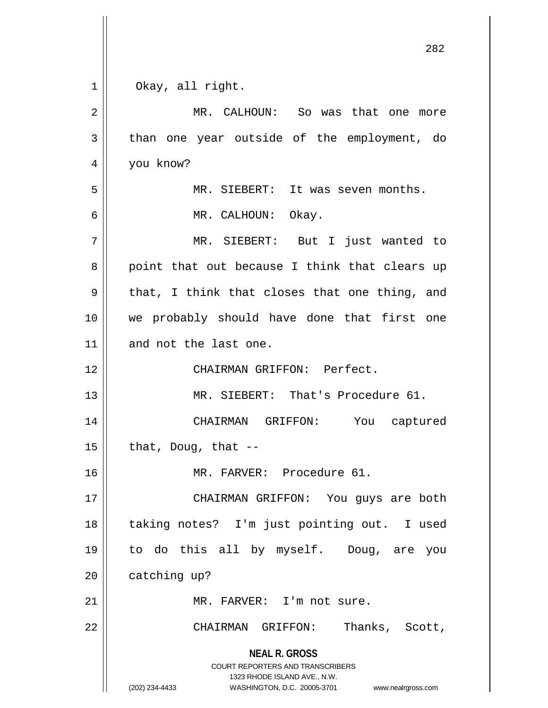$1 \parallel$  Okay, all right.

| $\overline{2}$ | MR. CALHOUN: So was that one more                                                                                                                               |
|----------------|-----------------------------------------------------------------------------------------------------------------------------------------------------------------|
| 3              | than one year outside of the employment, do                                                                                                                     |
| $\overline{4}$ | you know?                                                                                                                                                       |
| 5              | MR. SIEBERT: It was seven months.                                                                                                                               |
| 6              | MR. CALHOUN: Okay.                                                                                                                                              |
| 7              | MR. SIEBERT: But I just wanted to                                                                                                                               |
| 8              | point that out because I think that clears up                                                                                                                   |
| 9              | that, I think that closes that one thing, and                                                                                                                   |
| 10             | we probably should have done that first one                                                                                                                     |
| 11             | and not the last one.                                                                                                                                           |
| 12             | CHAIRMAN GRIFFON: Perfect.                                                                                                                                      |
| 13             | MR. SIEBERT: That's Procedure 61.                                                                                                                               |
| 14             | CHAIRMAN GRIFFON: You captured                                                                                                                                  |
| 15             | that, Doug, that $-$                                                                                                                                            |
| 16             | MR. FARVER: Procedure 61.                                                                                                                                       |
| 17             | CHAIRMAN GRIFFON: You guys are both                                                                                                                             |
| 18             | taking notes? I'm just pointing out. I used                                                                                                                     |
| 19             | to do this all by myself. Doug, are you                                                                                                                         |
| 20             | catching up?                                                                                                                                                    |
| 21             | MR. FARVER: I'm not sure.                                                                                                                                       |
| 22             | CHAIRMAN GRIFFON: Thanks, Scott,                                                                                                                                |
|                | <b>NEAL R. GROSS</b><br>COURT REPORTERS AND TRANSCRIBERS<br>1323 RHODE ISLAND AVE., N.W.<br>(202) 234-4433<br>WASHINGTON, D.C. 20005-3701<br>www.nealrgross.com |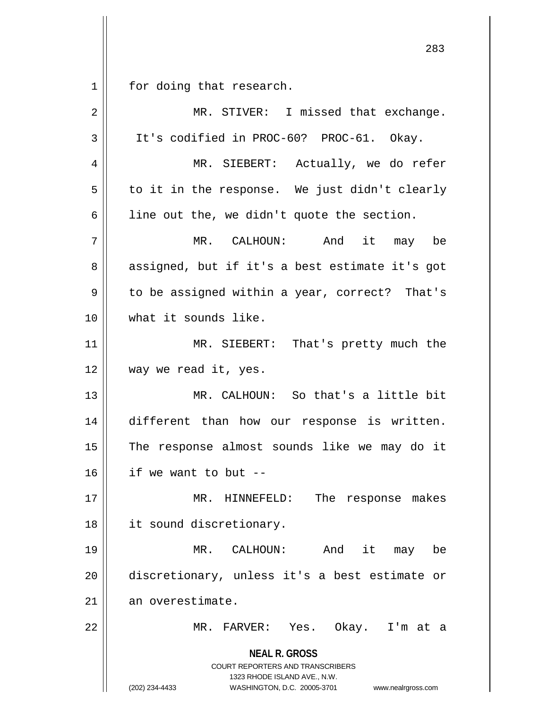$1 \parallel$  for doing that research.

| $\overline{2}$ | MR. STIVER: I missed that exchange.                                                                                                                             |
|----------------|-----------------------------------------------------------------------------------------------------------------------------------------------------------------|
| $\mathbf{3}$   | It's codified in PROC-60? PROC-61. Okay.                                                                                                                        |
| 4              | MR. SIEBERT: Actually, we do refer                                                                                                                              |
| 5              | to it in the response. We just didn't clearly                                                                                                                   |
| 6              | line out the, we didn't quote the section.                                                                                                                      |
| 7              | MR. CALHOUN: And it may be                                                                                                                                      |
| 8              | assigned, but if it's a best estimate it's got                                                                                                                  |
| 9              | to be assigned within a year, correct? That's                                                                                                                   |
| 10             | what it sounds like.                                                                                                                                            |
| 11             | MR. SIEBERT: That's pretty much the                                                                                                                             |
| 12             | way we read it, yes.                                                                                                                                            |
| 13             | MR. CALHOUN: So that's a little bit                                                                                                                             |
| 14             | different than how our response is written.                                                                                                                     |
| 15             | The response almost sounds like we may do it                                                                                                                    |
| 16             | if we want to but --                                                                                                                                            |
| 17             | HINNEFELD: The response makes<br>MR.                                                                                                                            |
| 18             | it sound discretionary.                                                                                                                                         |
| 19             | it may<br>MR. CALHOUN: And<br>be                                                                                                                                |
| 20             | discretionary, unless it's a best estimate or                                                                                                                   |
| 21             | an overestimate.                                                                                                                                                |
| 22             | MR. FARVER: Yes. Okay. I'm at a                                                                                                                                 |
|                | <b>NEAL R. GROSS</b><br>COURT REPORTERS AND TRANSCRIBERS<br>1323 RHODE ISLAND AVE., N.W.<br>(202) 234-4433<br>WASHINGTON, D.C. 20005-3701<br>www.nealrgross.com |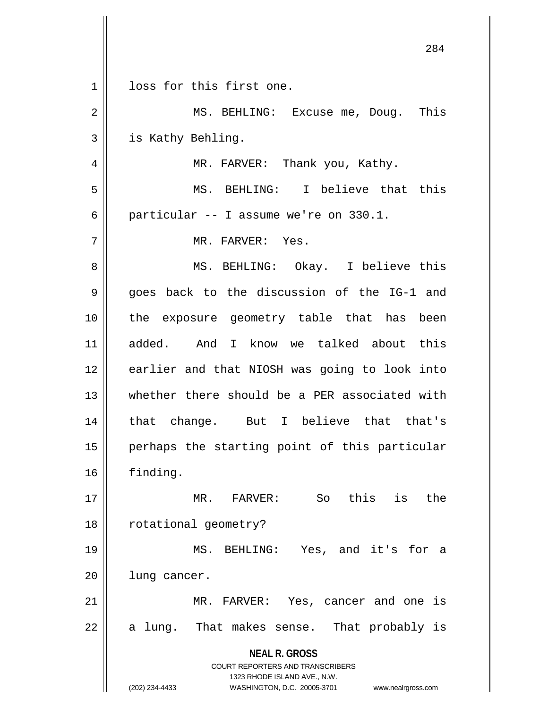|                | ∠ ∪ ±                                                                   |
|----------------|-------------------------------------------------------------------------|
| 1              | loss for this first one.                                                |
| $\overline{2}$ | MS. BEHLING: Excuse me, Doug.<br>This                                   |
| 3              | is Kathy Behling.                                                       |
| 4              | MR. FARVER: Thank you, Kathy.                                           |
| 5              | MS. BEHLING: I believe that this                                        |
| 6              | particular -- I assume we're on 330.1.                                  |
| 7              | MR. FARVER: Yes.                                                        |
| 8              | MS. BEHLING: Okay. I believe this                                       |
| 9              | goes back to the discussion of the IG-1 and                             |
| 10             | the exposure geometry table that has been                               |
| 11             | added. And I know we talked about this                                  |
| 12             | earlier and that NIOSH was going to look into                           |
| 13             | whether there should be a PER associated with                           |
| 14             | that change. But I believe that that's                                  |
| 15             | perhaps the starting point of this particular                           |
| 16             | finding.                                                                |
| 17             | So this is<br>the<br>MR. FARVER:                                        |
| 18             | rotational geometry?                                                    |
| 19             | MS. BEHLING: Yes, and it's for a                                        |
| 20             | lung cancer.                                                            |
| 21             | MR. FARVER: Yes, cancer and one is                                      |
| 22             | a lung. That makes sense. That probably is                              |
|                | <b>NEAL R. GROSS</b>                                                    |
|                | <b>COURT REPORTERS AND TRANSCRIBERS</b><br>1323 RHODE ISLAND AVE., N.W. |
|                | (202) 234-4433<br>WASHINGTON, D.C. 20005-3701<br>www.nealrgross.com     |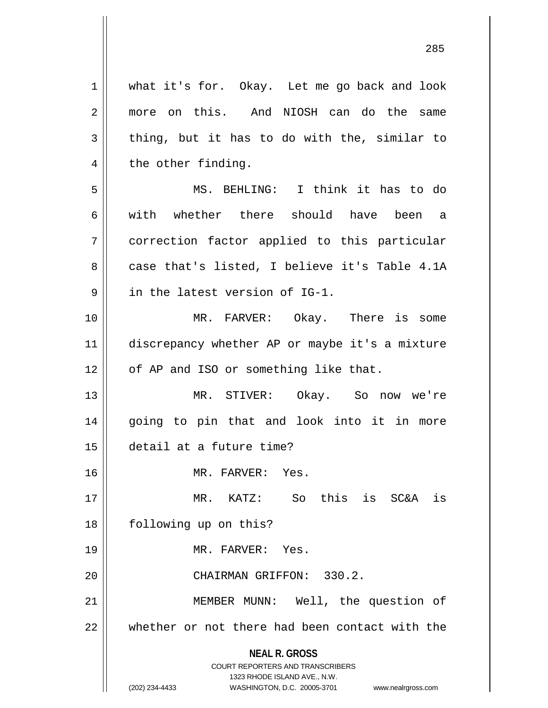**NEAL R. GROSS** COURT REPORTERS AND TRANSCRIBERS 1323 RHODE ISLAND AVE., N.W. 1 | what it's for. Okay. Let me go back and look 2 more on this. And NIOSH can do the same  $3 \parallel$  thing, but it has to do with the, similar to  $4 \parallel$  the other finding. 5 MS. BEHLING: I think it has to do 6 with whether there should have been a 7 correction factor applied to this particular  $8 \parallel$  case that's listed, I believe it's Table 4.1A 9 || in the latest version of IG-1. 10 MR. FARVER: Okay. There is some 11 discrepancy whether AP or maybe it's a mixture 12 | of AP and ISO or something like that. 13 MR. STIVER: Okay. So now we're 14 going to pin that and look into it in more 15 detail at a future time? 16 || MR. FARVER: Yes. 17 MR. KATZ: So this is SC&A is 18 | following up on this? 19 MR. FARVER: Yes. 20 CHAIRMAN GRIFFON: 330.2. 21 || MEMBER MUNN: Well, the question of  $22$   $\parallel$  whether or not there had been contact with the

(202) 234-4433 WASHINGTON, D.C. 20005-3701 www.nealrgross.com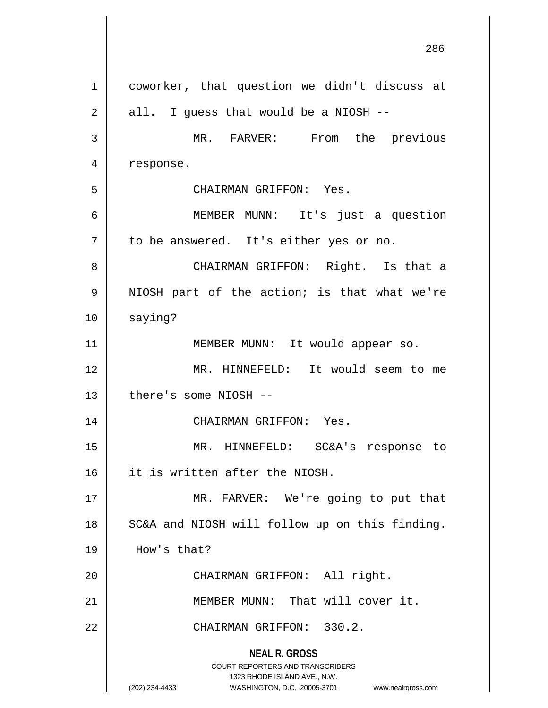**NEAL R. GROSS** COURT REPORTERS AND TRANSCRIBERS 1323 RHODE ISLAND AVE., N.W. (202) 234-4433 WASHINGTON, D.C. 20005-3701 www.nealrgross.com 1 || coworker, that question we didn't discuss at  $2 \parallel$  all. I guess that would be a NIOSH --3 MR. FARVER: From the previous 4 | response. 5 CHAIRMAN GRIFFON: Yes. 6 MEMBER MUNN: It's just a question  $7 \parallel$  to be answered. It's either yes or no. 8 CHAIRMAN GRIFFON: Right. Is that a 9 || NIOSH part of the action; is that what we're 10 saying? 11 || MEMBER MUNN: It would appear so. 12 MR. HINNEFELD: It would seem to me  $13$  | there's some NIOSH --14 CHAIRMAN GRIFFON: Yes. 15 MR. HINNEFELD: SC&A's response to 16 it is written after the NIOSH. 17 || MR. FARVER: We're going to put that 18 || SC&A and NIOSH will follow up on this finding. 19 How's that? 20 || CHAIRMAN GRIFFON: All right. 21 || MEMBER MUNN: That will cover it. 22 || CHAIRMAN GRIFFON: 330.2.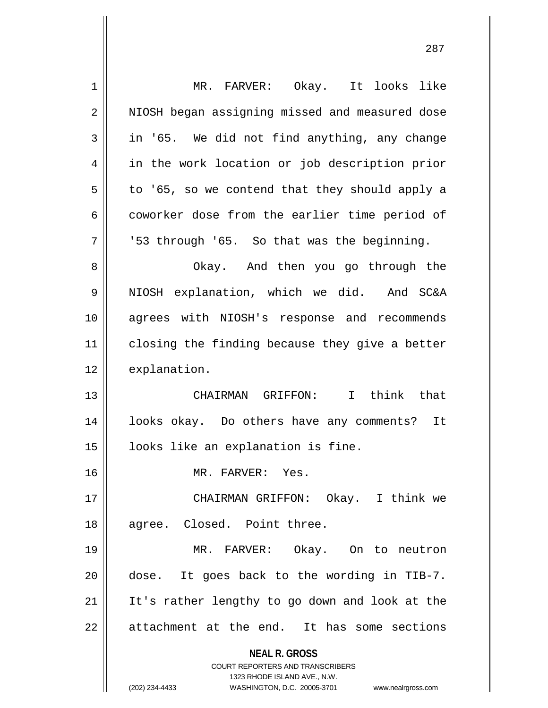| 1  | MR. FARVER: Okay. It looks like                                     |
|----|---------------------------------------------------------------------|
| 2  | NIOSH began assigning missed and measured dose                      |
| 3  | in '65. We did not find anything, any change                        |
| 4  | in the work location or job description prior                       |
| 5  | to '65, so we contend that they should apply a                      |
| 6  | coworker dose from the earlier time period of                       |
| 7  | '53 through '65. So that was the beginning.                         |
| 8  | Okay. And then you go through the                                   |
| 9  | NIOSH explanation, which we did. And SC&A                           |
| 10 | agrees with NIOSH's response and recommends                         |
| 11 | closing the finding because they give a better                      |
| 12 | explanation.                                                        |
| 13 | CHAIRMAN GRIFFON: I think that                                      |
| 14 | looks okay. Do others have any comments? It                         |
| 15 | looks like an explanation is fine.                                  |
| 16 | MR. FARVER: Yes.                                                    |
| 17 | CHAIRMAN GRIFFON: Okay. I think we                                  |
| 18 | agree. Closed. Point three.                                         |
| 19 | MR. FARVER: Okay. On to neutron                                     |
| 20 | dose. It goes back to the wording in TIB-7.                         |
| 21 | It's rather lengthy to go down and look at the                      |
| 22 | attachment at the end. It has some sections                         |
|    |                                                                     |
|    | <b>NEAL R. GROSS</b><br><b>COURT REPORTERS AND TRANSCRIBERS</b>     |
|    | 1323 RHODE ISLAND AVE., N.W.                                        |
|    | (202) 234-4433<br>WASHINGTON, D.C. 20005-3701<br>www.nealrgross.com |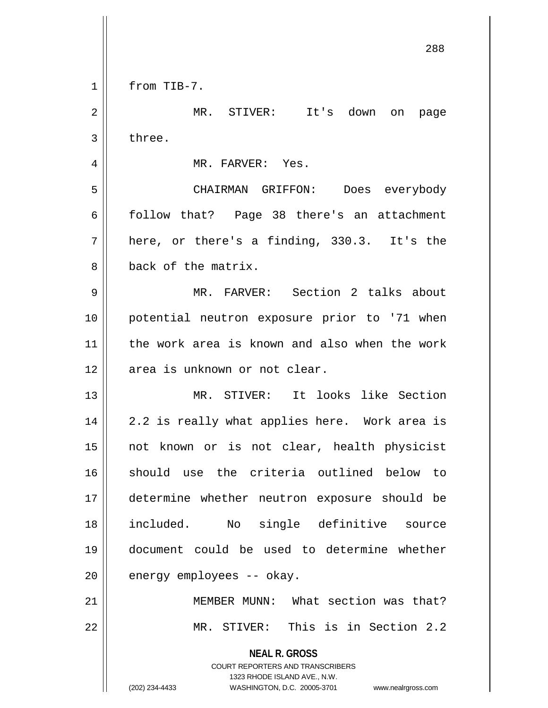**NEAL R. GROSS** COURT REPORTERS AND TRANSCRIBERS 1323 RHODE ISLAND AVE., N.W. 288 1 | from TIB-7. 2 MR. STIVER: It's down on page  $3 \parallel$  three. 4 MR. FARVER: Yes. 5 CHAIRMAN GRIFFON: Does everybody 6 follow that? Page 38 there's an attachment  $7 \parallel$  here, or there's a finding, 330.3. It's the 8 back of the matrix. 9 MR. FARVER: Section 2 talks about 10 potential neutron exposure prior to '71 when 11 the work area is known and also when the work 12 || area is unknown or not clear. 13 MR. STIVER: It looks like Section 14 || 2.2 is really what applies here. Work area is 15 not known or is not clear, health physicist 16 || should use the criteria outlined below to 17 determine whether neutron exposure should be 18 included. No single definitive source 19 document could be used to determine whether  $20$  || energy employees -- okay. 21 MEMBER MUNN: What section was that? 22 || MR. STIVER: This is in Section 2.2

(202) 234-4433 WASHINGTON, D.C. 20005-3701 www.nealrgross.com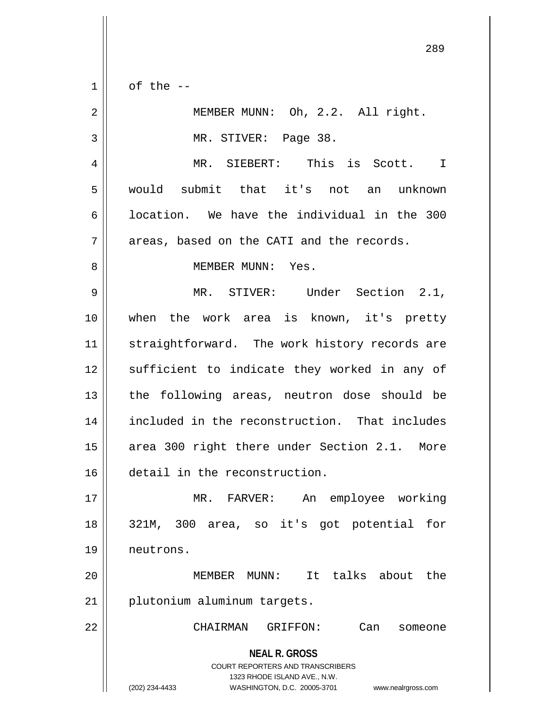$1 \parallel$  of the --

| $\sqrt{2}$ | MEMBER MUNN: Oh, 2.2. All right.                                                                                                                                       |
|------------|------------------------------------------------------------------------------------------------------------------------------------------------------------------------|
| 3          | MR. STIVER: Page 38.                                                                                                                                                   |
| 4          | MR. SIEBERT: This is Scott. I                                                                                                                                          |
| 5          | would submit that it's not an unknown                                                                                                                                  |
| 6          | location. We have the individual in the 300                                                                                                                            |
| 7          | areas, based on the CATI and the records.                                                                                                                              |
| 8          | MEMBER MUNN: Yes.                                                                                                                                                      |
| 9          | MR. STIVER: Under Section 2.1,                                                                                                                                         |
| 10         | when the work area is known, it's pretty                                                                                                                               |
| 11         | straightforward. The work history records are                                                                                                                          |
| 12         | sufficient to indicate they worked in any of                                                                                                                           |
| 13         | the following areas, neutron dose should be                                                                                                                            |
| 14         | included in the reconstruction. That includes                                                                                                                          |
| 15         | area 300 right there under Section 2.1. More                                                                                                                           |
| 16         | detail in the reconstruction.                                                                                                                                          |
| 17         | An employee working<br>MR. FARVER:                                                                                                                                     |
| 18         | 321M, 300 area, so it's got potential for                                                                                                                              |
| 19         | neutrons.                                                                                                                                                              |
| 20         | It talks about<br>the<br>MEMBER<br>$MUNN$ :                                                                                                                            |
| 21         | plutonium aluminum targets.                                                                                                                                            |
| 22         | CHAIRMAN<br>GRIFFON:<br>Can<br>someone                                                                                                                                 |
|            | <b>NEAL R. GROSS</b><br><b>COURT REPORTERS AND TRANSCRIBERS</b><br>1323 RHODE ISLAND AVE., N.W.<br>WASHINGTON, D.C. 20005-3701<br>(202) 234-4433<br>www.nealrgross.com |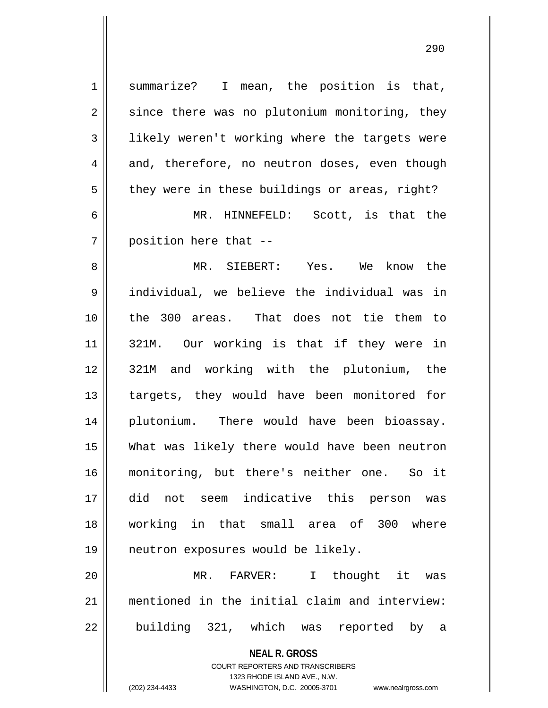| $\mathbf 1$    | summarize? I mean, the position is that,                            |
|----------------|---------------------------------------------------------------------|
| $\overline{2}$ | since there was no plutonium monitoring, they                       |
| $\mathbf{3}$   | likely weren't working where the targets were                       |
| 4              | and, therefore, no neutron doses, even though                       |
| 5              | they were in these buildings or areas, right?                       |
| 6              | MR. HINNEFELD: Scott, is that the                                   |
| 7              | position here that --                                               |
| 8              | MR. SIEBERT: Yes. We know the                                       |
| 9              | individual, we believe the individual was in                        |
| 10             | the 300 areas. That does not tie them to                            |
| 11             | 321M. Our working is that if they were in                           |
| 12             | 321M and working with the plutonium, the                            |
| 13             | targets, they would have been monitored for                         |
| 14             | plutonium. There would have been bioassay.                          |
| 15             | What was likely there would have been neutron                       |
| 16             | monitoring, but there's neither one. So it                          |
| 17             | did not seem indicative this person was                             |
| 18             | working in that small area of 300 where                             |
| 19             | neutron exposures would be likely.                                  |
| 20             | MR. FARVER: I thought it was                                        |
| 21             | mentioned in the initial claim and interview:                       |
| 22             | building 321, which was reported by a                               |
|                | <b>NEAL R. GROSS</b>                                                |
|                | <b>COURT REPORTERS AND TRANSCRIBERS</b>                             |
|                | 1323 RHODE ISLAND AVE., N.W.                                        |
|                | (202) 234-4433<br>WASHINGTON, D.C. 20005-3701<br>www.nealrgross.com |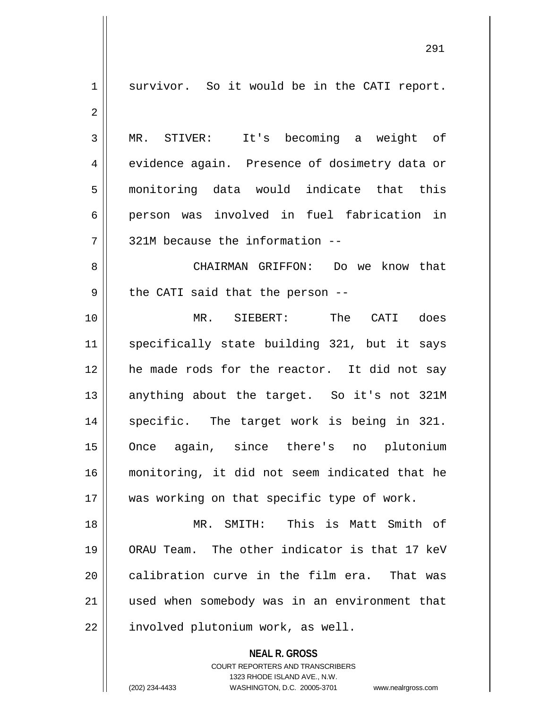**NEAL R. GROSS** COURT REPORTERS AND TRANSCRIBERS 1 || survivor. So it would be in the CATI report. 2 3 MR. STIVER: It's becoming a weight of 4 evidence again. Presence of dosimetry data or 5 monitoring data would indicate that this 6 person was involved in fuel fabrication in  $7$  | 321M because the information --8 CHAIRMAN GRIFFON: Do we know that  $9 \parallel$  the CATI said that the person --10 MR. SIEBERT: The CATI does 11 || specifically state building 321, but it says 12 he made rods for the reactor. It did not say 13 || anything about the target. So it's not 321M 14 || specific. The target work is being in 321. 15 Once again, since there's no plutonium 16 monitoring, it did not seem indicated that he 17 || was working on that specific type of work. 18 MR. SMITH: This is Matt Smith of 19 ORAU Team. The other indicator is that 17 keV  $20$  calibration curve in the film era. That was 21 used when somebody was in an environment that 22 | involved plutonium work, as well.

1323 RHODE ISLAND AVE., N.W.

(202) 234-4433 WASHINGTON, D.C. 20005-3701 www.nealrgross.com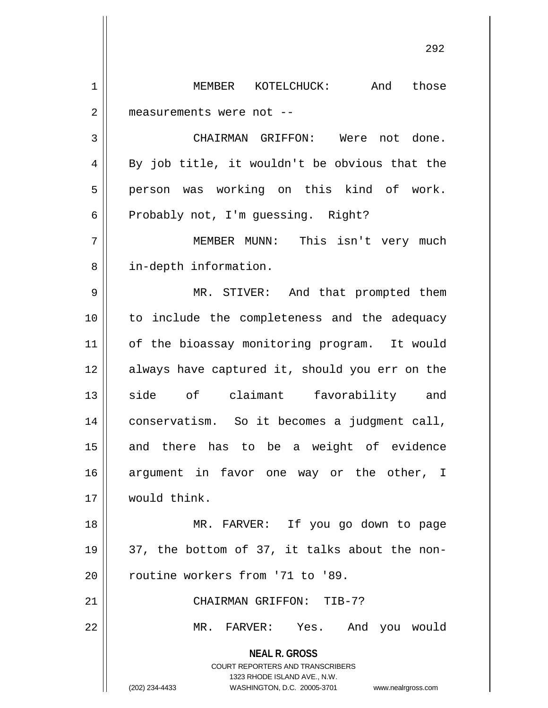1 MEMBER KOTELCHUCK: And those 2 | measurements were not --3 CHAIRMAN GRIFFON: Were not done.  $4 \parallel$  By job title, it wouldn't be obvious that the 5 || person was working on this kind of work.  $6 \parallel$  Probably not, I'm quessing. Right? 7 MEMBER MUNN: This isn't very much 8 || in-depth information. 9 MR. STIVER: And that prompted them 10 to include the completeness and the adequacy 11 || of the bioassay monitoring program. It would 12 always have captured it, should you err on the 13 side of claimant favorability and 14 conservatism. So it becomes a judgment call, 15 || and there has to be a weight of evidence 16 argument in favor one way or the other, I 17 would think. 18 || MR. FARVER: If you go down to page 19  $\vert$  37, the bottom of 37, it talks about the non-20 || routine workers from '71 to '89. 21 CHAIRMAN GRIFFON: TIB-7?

22 MR. FARVER: Yes. And you would

**NEAL R. GROSS** COURT REPORTERS AND TRANSCRIBERS 1323 RHODE ISLAND AVE., N.W.

<sup>(202) 234-4433</sup> WASHINGTON, D.C. 20005-3701 www.nealrgross.com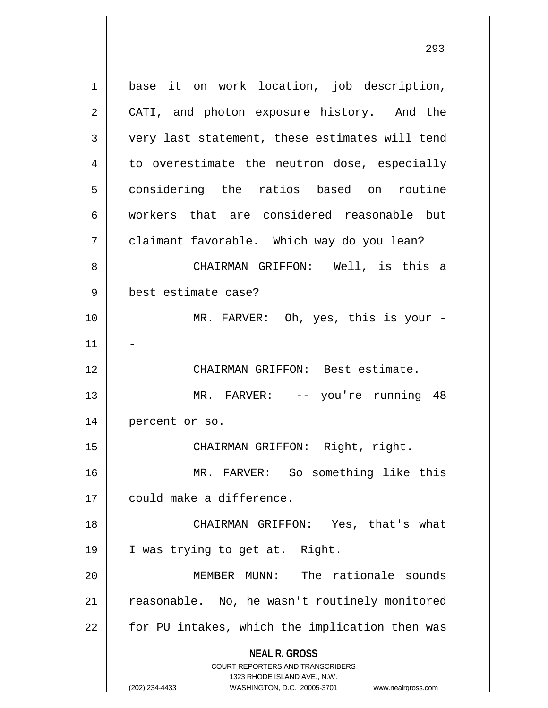**NEAL R. GROSS** COURT REPORTERS AND TRANSCRIBERS 1323 RHODE ISLAND AVE., N.W. 1 || base it on work location, job description, 2 | CATI, and photon exposure history. And the 3 very last statement, these estimates will tend  $4 \parallel$  to overestimate the neutron dose, especially 5 considering the ratios based on routine 6 workers that are considered reasonable but 7 | claimant favorable. Which way do you lean? 8 CHAIRMAN GRIFFON: Well, is this a 9 best estimate case? 10 || MR. FARVER: Oh, yes, this is your - $11$ 12 CHAIRMAN GRIFFON: Best estimate. 13 || MR. FARVER: -- you're running 48 14 | percent or so. 15 CHAIRMAN GRIFFON: Right, right. 16 MR. FARVER: So something like this 17 || could make a difference. 18 CHAIRMAN GRIFFON: Yes, that's what 19 || I was trying to get at. Right. 20 MEMBER MUNN: The rationale sounds 21 | reasonable. No, he wasn't routinely monitored  $22$  | for PU intakes, which the implication then was

<sup>(202) 234-4433</sup> WASHINGTON, D.C. 20005-3701 www.nealrgross.com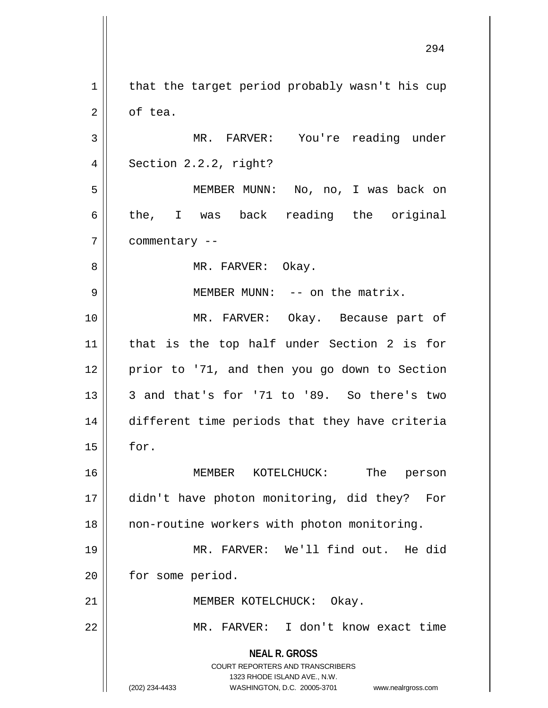**NEAL R. GROSS** COURT REPORTERS AND TRANSCRIBERS 1323 RHODE ISLAND AVE., N.W. (202) 234-4433 WASHINGTON, D.C. 20005-3701 www.nealrgross.com  $1 \parallel$  that the target period probably wasn't his cup 2 | of tea. 3 MR. FARVER: You're reading under  $4 \parallel$  Section 2.2.2, right? 5 MEMBER MUNN: No, no, I was back on  $6 \parallel$  the, I was back reading the original 7 | commentary --8 MR. FARVER: Okay. 9 MEMBER MUNN: -- on the matrix. 10 MR. FARVER: Okay. Because part of 11 that is the top half under Section 2 is for 12 || prior to '71, and then you go down to Section  $13$   $\parallel$  3 and that's for '71 to '89. So there's two 14 different time periods that they have criteria  $15$  | for. 16 MEMBER KOTELCHUCK: The person 17 didn't have photon monitoring, did they? For 18 || non-routine workers with photon monitoring. 19 MR. FARVER: We'll find out. He did 20 | for some period. 21 || MEMBER KOTELCHUCK: Okay. 22 MR. FARVER: I don't know exact time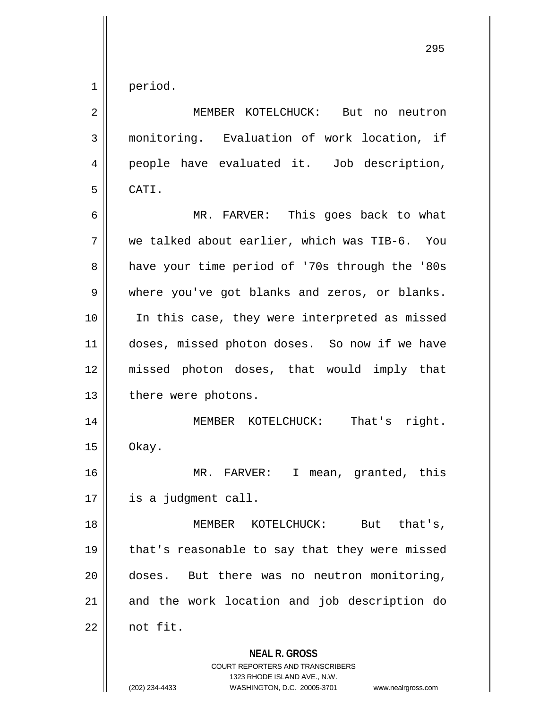1 period.

**NEAL R. GROSS** COURT REPORTERS AND TRANSCRIBERS 2 MEMBER KOTELCHUCK: But no neutron 3 monitoring. Evaluation of work location, if 4 people have evaluated it. Job description, 5 CATI. 6 MR. FARVER: This goes back to what 7 we talked about earlier, which was TIB-6. You 8 a have your time period of '70s through the '80s 9 Where you've got blanks and zeros, or blanks. 10 In this case, they were interpreted as missed 11 || doses, missed photon doses. So now if we have 12 missed photon doses, that would imply that 13 || there were photons. 14 || MEMBER KOTELCHUCK: That's right.  $15 \parallel$  Okay. 16 MR. FARVER: I mean, granted, this 17 is a judgment call. 18 || MEMBER KOTELCHUCK: But that 's, 19  $\parallel$  that's reasonable to say that they were missed 20 doses. But there was no neutron monitoring, 21 || and the work location and job description do  $22 \parallel$  not fit.

1323 RHODE ISLAND AVE., N.W.

(202) 234-4433 WASHINGTON, D.C. 20005-3701 www.nealrgross.com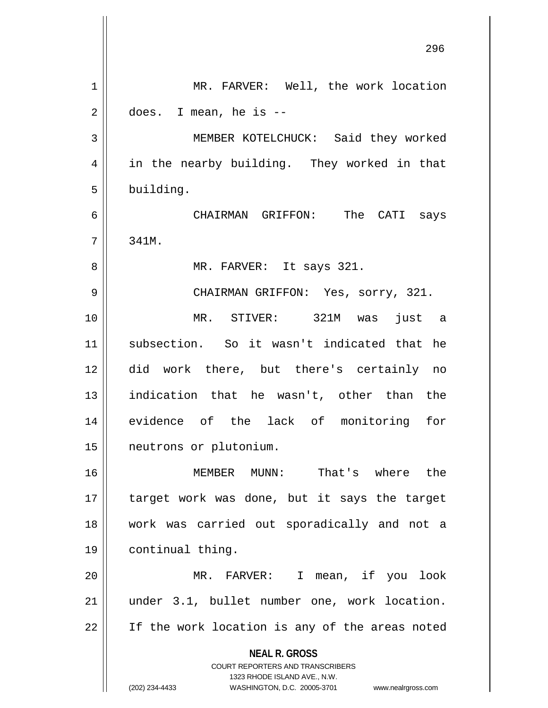|                | 296                                                                 |
|----------------|---------------------------------------------------------------------|
| 1              | MR. FARVER: Well, the work location                                 |
| $\overline{2}$ | does. I mean, he is --                                              |
| 3              | MEMBER KOTELCHUCK: Said they worked                                 |
| 4              | in the nearby building. They worked in that                         |
| 5              | building.                                                           |
| 6              | CHAIRMAN GRIFFON: The CATI says                                     |
| 7              | 341M.                                                               |
| 8              | MR. FARVER: It says 321.                                            |
| 9              | CHAIRMAN GRIFFON: Yes, sorry, 321.                                  |
| 10             | MR. STIVER: 321M was just a                                         |
| 11             | subsection. So it wasn't indicated that he                          |
| 12             | did work there, but there's certainly no                            |
| 13             | indication that he wasn't, other than the                           |
| 14             | evidence of the lack of monitoring for                              |
| $15$           | neutrons or plutonium.                                              |
| 16             | MEMBER MUNN: That's where the                                       |
| 17             | target work was done, but it says the target                        |
| 18             | work was carried out sporadically and not a                         |
| 19             | continual thing.                                                    |
| 20             | MR. FARVER: I mean, if you look                                     |
| 21             | under 3.1, bullet number one, work location.                        |
| 22             | If the work location is any of the areas noted                      |
|                | <b>NEAL R. GROSS</b>                                                |
|                | COURT REPORTERS AND TRANSCRIBERS<br>1323 RHODE ISLAND AVE., N.W.    |
|                | (202) 234-4433<br>WASHINGTON, D.C. 20005-3701<br>www.nealrgross.com |

 $\mathbf{\mathcal{H}}$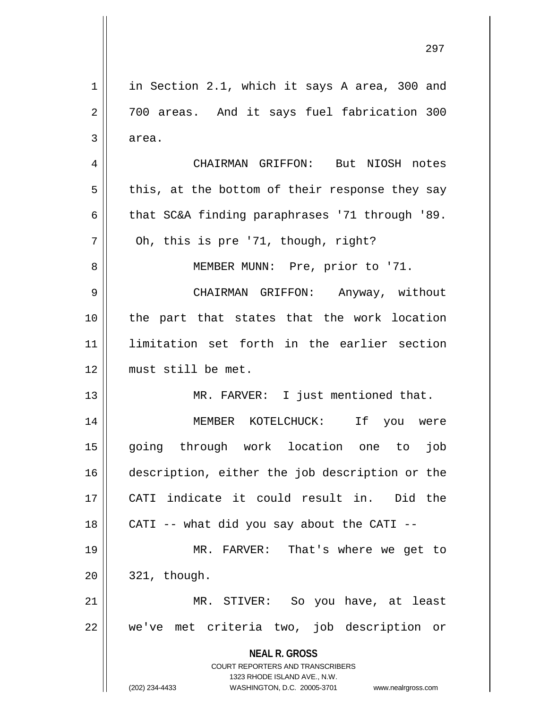**NEAL R. GROSS** COURT REPORTERS AND TRANSCRIBERS 1323 RHODE ISLAND AVE., N.W. (202) 234-4433 WASHINGTON, D.C. 20005-3701 www.nealrgross.com  $1 \parallel$  in Section 2.1, which it says A area, 300 and 2 || 700 areas. And it says fuel fabrication 300  $3 \parallel$  area. 4 CHAIRMAN GRIFFON: But NIOSH notes  $5 \parallel$  this, at the bottom of their response they say 6  $\parallel$  that SC&A finding paraphrases '71 through '89.  $7||$  Oh, this is pre '71, though, right? 8 || MEMBER MUNN: Pre, prior to '71. 9 CHAIRMAN GRIFFON: Anyway, without 10 || the part that states that the work location 11 limitation set forth in the earlier section 12 must still be met. 13 MR. FARVER: I just mentioned that. 14 MEMBER KOTELCHUCK: If you were 15 going through work location one to job 16 description, either the job description or the 17 CATI indicate it could result in. Did the 18  $\parallel$  CATI -- what did you say about the CATI --19 || MR. FARVER: That's where we get to  $20 \parallel 321$ , though. 21 MR. STIVER: So you have, at least 22 || we've met criteria two, job description or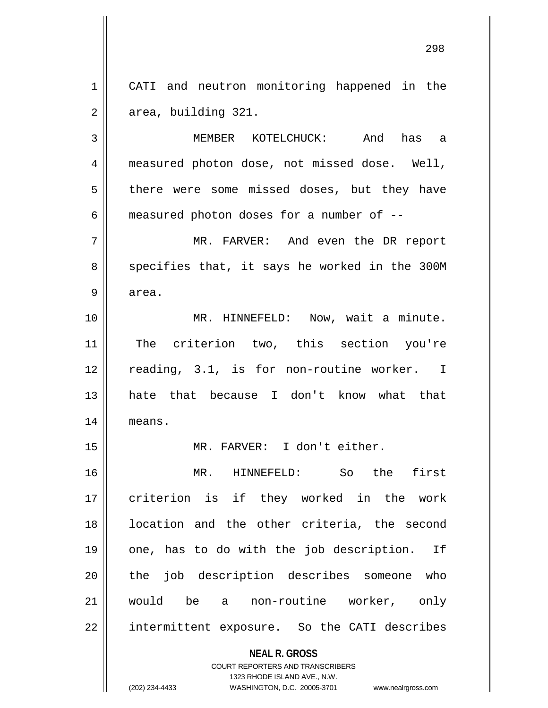1 || CATI and neutron monitoring happened in the  $2 \parallel$  area, building 321.

3 MEMBER KOTELCHUCK: And has a 4 measured photon dose, not missed dose. Well, 5 || there were some missed doses, but they have  $6 \parallel$  measured photon doses for a number of  $-$ 

7 MR. FARVER: And even the DR report  $8 \parallel$  specifies that, it says he worked in the 300M  $9 \parallel$  area.

10 || MR. HINNEFELD: Now, wait a minute. 11 The criterion two, this section you're 12 || reading, 3.1, is for non-routine worker. I 13 hate that because I don't know what that 14 means.

15 MR. FARVER: I don't either.

16 MR. HINNEFELD: So the first 17 || criterion is if they worked in the work 18 || location and the other criteria, the second 19 || one, has to do with the job description. If 20 || the job description describes someone who 21 would be a non-routine worker, only 22 | intermittent exposure. So the CATI describes

> **NEAL R. GROSS** COURT REPORTERS AND TRANSCRIBERS

> > 1323 RHODE ISLAND AVE., N.W.

(202) 234-4433 WASHINGTON, D.C. 20005-3701 www.nealrgross.com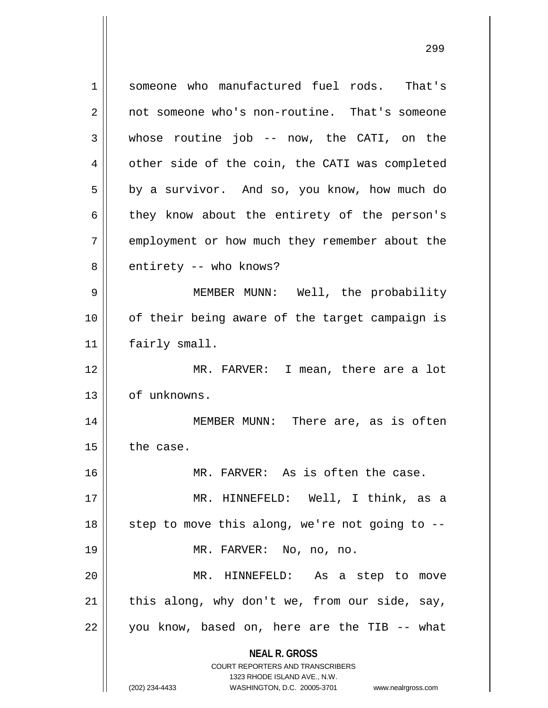**NEAL R. GROSS** COURT REPORTERS AND TRANSCRIBERS 1323 RHODE ISLAND AVE., N.W. (202) 234-4433 WASHINGTON, D.C. 20005-3701 www.nealrgross.com 1 Someone who manufactured fuel rods. That's 2 | not someone who's non-routine. That's someone 3 whose routine job -- now, the CATI, on the 4 | other side of the coin, the CATI was completed  $5 \parallel$  by a survivor. And so, you know, how much do 6 they know about the entirety of the person's 7 | employment or how much they remember about the  $8 \parallel$  entirety -- who knows? 9 MEMBER MUNN: Well, the probability 10 || of their being aware of the target campaign is 11 | fairly small. 12 MR. FARVER: I mean, there are a lot 13 | of unknowns. 14 MEMBER MUNN: There are, as is often  $15$  the case. 16 MR. FARVER: As is often the case. 17 MR. HINNEFELD: Well, I think, as a  $18$   $\parallel$  step to move this along, we're not going to --19 MR. FARVER: No, no, no. 20 MR. HINNEFELD: As a step to move  $21$  | this along, why don't we, from our side, say,  $22 \parallel$  you know, based on, here are the TIB -- what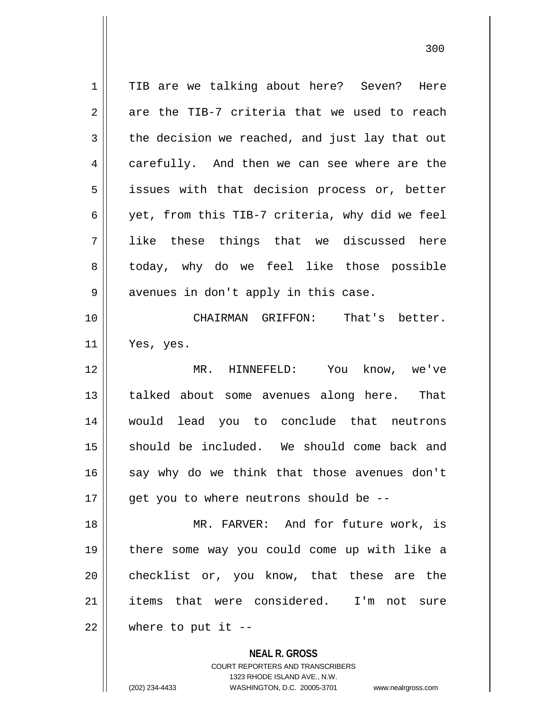1 || TIB are we talking about here? Seven? Here  $2 \parallel$  are the TIB-7 criteria that we used to reach  $3 \parallel$  the decision we reached, and just lay that out 4 carefully. And then we can see where are the 5 || issues with that decision process or, better 6  $\parallel$  yet, from this TIB-7 criteria, why did we feel 7 || like these things that we discussed here 8 || today, why do we feel like those possible  $9 \parallel$  avenues in don't apply in this case. 10 CHAIRMAN GRIFFON: That's better.  $11$  | Yes, yes. 12 MR. HINNEFELD: You know, we've 13 || talked about some avenues along here. That 14 would lead you to conclude that neutrons 15 should be included. We should come back and  $16$  say why do we think that those avenues don't  $17$  || qet you to where neutrons should be --18 MR. FARVER: And for future work, is 19 there some way you could come up with like a 20 checklist or, you know, that these are the 21 items that were considered. I'm not sure  $22$  | where to put it  $-$ 

> **NEAL R. GROSS** COURT REPORTERS AND TRANSCRIBERS 1323 RHODE ISLAND AVE., N.W.

<sup>(202) 234-4433</sup> WASHINGTON, D.C. 20005-3701 www.nealrgross.com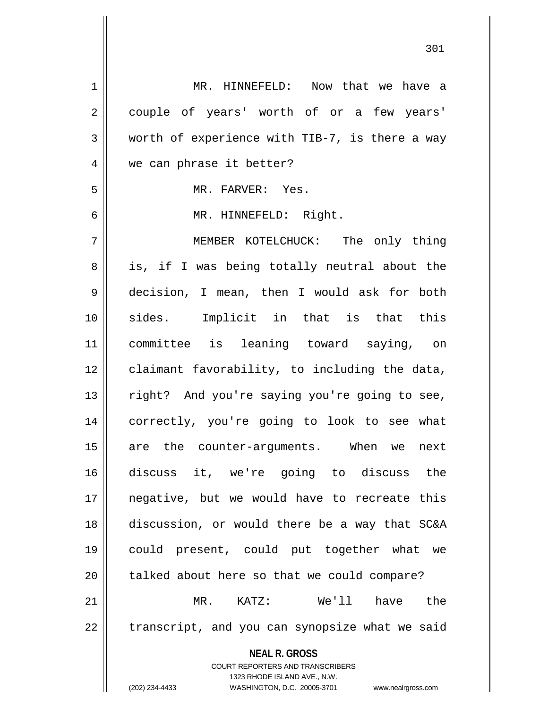| $\mathbf 1$    | MR. HINNEFELD: Now that we have a                                   |
|----------------|---------------------------------------------------------------------|
| $\overline{2}$ | couple of years' worth of or a few years'                           |
| $\mathbf{3}$   | worth of experience with TIB-7, is there a way                      |
| $\overline{4}$ | we can phrase it better?                                            |
| 5              | MR. FARVER: Yes.                                                    |
| 6              | MR. HINNEFELD: Right.                                               |
| 7              | MEMBER KOTELCHUCK: The only thing                                   |
| 8              | is, if I was being totally neutral about the                        |
| $\mathsf 9$    | decision, I mean, then I would ask for both                         |
| 10             | sides. Implicit in that is that this                                |
| 11             | committee is leaning toward saying, on                              |
| 12             | claimant favorability, to including the data,                       |
| 13             | right? And you're saying you're going to see,                       |
| 14             | correctly, you're going to look to see what                         |
| 15             | are the counter-arguments. When we<br>next                          |
| 16             | discuss it, we're going to discuss the                              |
| 17             | negative, but we would have to recreate this                        |
| 18             | discussion, or would there be a way that SC&A                       |
| 19             | could present, could put together what we                           |
| 20             | talked about here so that we could compare?                         |
| 21             | MR. KATZ: We'll<br>the<br>have                                      |
| 22             | transcript, and you can synopsize what we said                      |
|                | <b>NEAL R. GROSS</b>                                                |
|                | <b>COURT REPORTERS AND TRANSCRIBERS</b>                             |
|                | 1323 RHODE ISLAND AVE., N.W.                                        |
|                | (202) 234-4433<br>WASHINGTON, D.C. 20005-3701<br>www.nealrgross.com |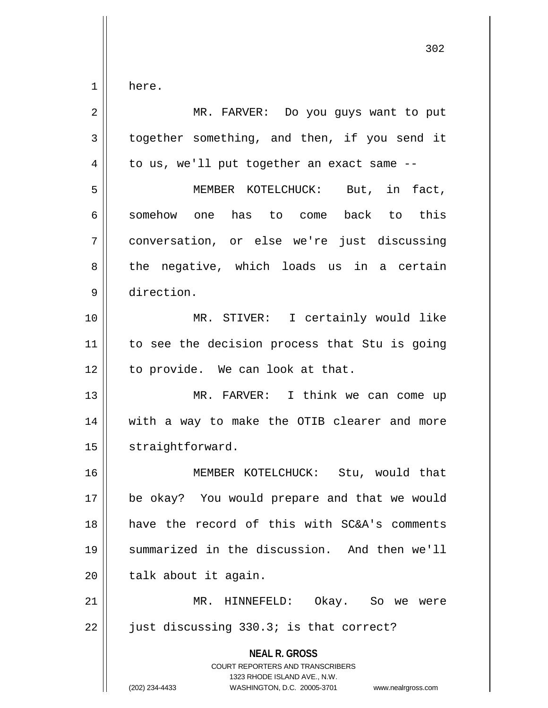$1 \parallel$  here.

| 2  | MR. FARVER: Do you guys want to put                                                                                                                                    |
|----|------------------------------------------------------------------------------------------------------------------------------------------------------------------------|
| 3  | together something, and then, if you send it                                                                                                                           |
| 4  | to us, we'll put together an exact same --                                                                                                                             |
| 5  | MEMBER KOTELCHUCK: But, in fact,                                                                                                                                       |
| 6  | somehow one has to come back to this                                                                                                                                   |
| 7  | conversation, or else we're just discussing                                                                                                                            |
| 8  | the negative, which loads us in a certain                                                                                                                              |
| 9  | direction.                                                                                                                                                             |
| 10 | MR. STIVER: I certainly would like                                                                                                                                     |
| 11 | to see the decision process that Stu is going                                                                                                                          |
| 12 | to provide. We can look at that.                                                                                                                                       |
| 13 | MR. FARVER: I think we can come up                                                                                                                                     |
| 14 | with a way to make the OTIB clearer and more                                                                                                                           |
| 15 | straightforward.                                                                                                                                                       |
| 16 | MEMBER KOTELCHUCK: Stu, would that                                                                                                                                     |
| 17 | be okay? You would prepare and that we would                                                                                                                           |
| 18 | have the record of this with SC&A's comments                                                                                                                           |
| 19 | summarized in the discussion. And then we'll                                                                                                                           |
| 20 | talk about it again.                                                                                                                                                   |
| 21 | MR. HINNEFELD: Okay. So we were                                                                                                                                        |
| 22 | just discussing 330.3; is that correct?                                                                                                                                |
|    | <b>NEAL R. GROSS</b><br><b>COURT REPORTERS AND TRANSCRIBERS</b><br>1323 RHODE ISLAND AVE., N.W.<br>(202) 234-4433<br>WASHINGTON, D.C. 20005-3701<br>www.nealrgross.com |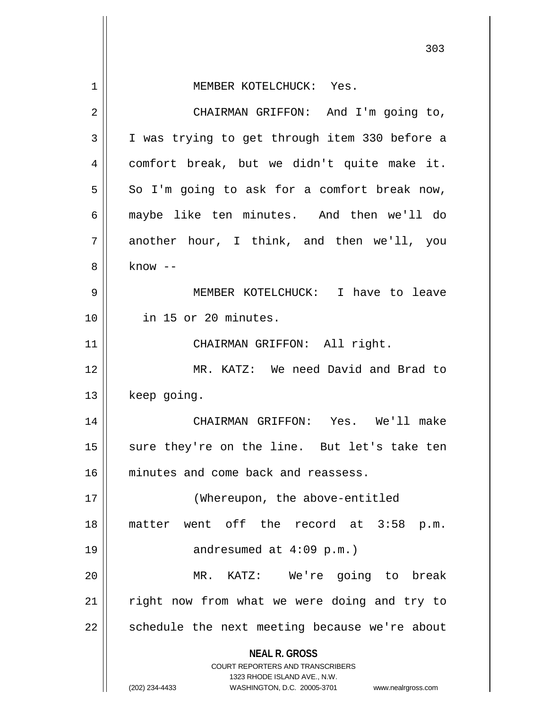|    | 303                                                                     |
|----|-------------------------------------------------------------------------|
| 1  | MEMBER KOTELCHUCK: Yes.                                                 |
| 2  | CHAIRMAN GRIFFON: And I'm going to,                                     |
| 3  | I was trying to get through item 330 before a                           |
| 4  | comfort break, but we didn't quite make it.                             |
| 5  | So I'm going to ask for a comfort break now,                            |
| 6  | maybe like ten minutes. And then we'll do                               |
| 7  | another hour, I think, and then we'll, you                              |
| 8  | $know --$                                                               |
| 9  | MEMBER KOTELCHUCK: I have to leave                                      |
| 10 | in 15 or 20 minutes.                                                    |
| 11 | CHAIRMAN GRIFFON: All right.                                            |
| 12 | MR. KATZ: We need David and Brad to                                     |
| 13 | keep going.                                                             |
| 14 | CHAIRMAN GRIFFON: Yes. We'll make                                       |
| 15 | sure they're on the line. But let's take ten                            |
| 16 | minutes and come back and reassess.                                     |
| 17 | (Whereupon, the above-entitled                                          |
| 18 | matter went off the record at 3:58 p.m.                                 |
| 19 | andresumed at $4:09$ p.m.)                                              |
| 20 | MR. KATZ: We're going to break                                          |
| 21 | right now from what we were doing and try to                            |
| 22 | schedule the next meeting because we're about                           |
|    | <b>NEAL R. GROSS</b>                                                    |
|    | <b>COURT REPORTERS AND TRANSCRIBERS</b><br>1323 RHODE ISLAND AVE., N.W. |
|    | (202) 234-4433<br>WASHINGTON, D.C. 20005-3701<br>www.nealrgross.com     |

 $\mathsf{I}$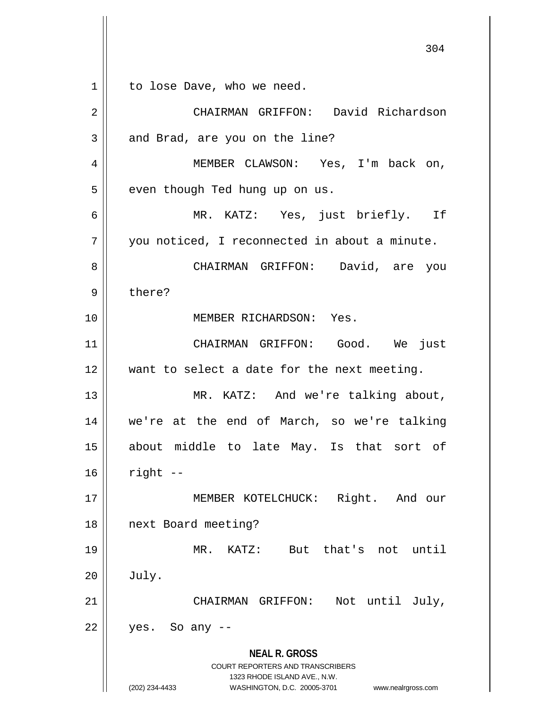**NEAL R. GROSS** COURT REPORTERS AND TRANSCRIBERS 1323 RHODE ISLAND AVE., N.W. 1 | to lose Dave, who we need. 2 CHAIRMAN GRIFFON: David Richardson  $3 \parallel$  and Brad, are you on the line? 4 MEMBER CLAWSON: Yes, I'm back on, 5 | even though Ted hung up on us. 6 MR. KATZ: Yes, just briefly. If 7 || you noticed, I reconnected in about a minute. 8 CHAIRMAN GRIFFON: David, are you 9 bere? 10 MEMBER RICHARDSON: Yes. 11 CHAIRMAN GRIFFON: Good. We just 12 want to select a date for the next meeting. 13 || MR. KATZ: And we're talking about, 14 we're at the end of March, so we're talking 15 about middle to late May. Is that sort of  $16$  right  $-$ 17 || **MEMBER KOTELCHUCK:** Right. And our 18 next Board meeting? 19 MR. KATZ: But that's not until  $20$   $\vert$  July. 21 || CHAIRMAN GRIFFON: Not until July,  $22 \parallel$  yes. So any --

(202) 234-4433 WASHINGTON, D.C. 20005-3701 www.nealrgross.com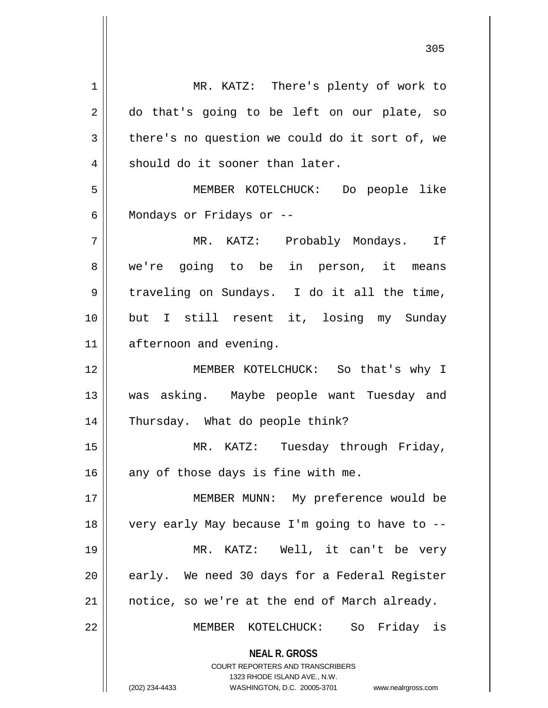| $\mathbf 1$ | MR. KATZ: There's plenty of work to                                 |
|-------------|---------------------------------------------------------------------|
| 2           | do that's going to be left on our plate, so                         |
| 3           | there's no question we could do it sort of, we                      |
| 4           | should do it sooner than later.                                     |
| 5           | MEMBER KOTELCHUCK: Do people like                                   |
| 6           | Mondays or Fridays or --                                            |
| 7           | MR. KATZ: Probably Mondays. If                                      |
| 8           | we're going to be in person, it means                               |
| 9           | traveling on Sundays. I do it all the time,                         |
| 10          | but I still resent it, losing my Sunday                             |
| 11          | afternoon and evening.                                              |
| 12          | MEMBER KOTELCHUCK: So that's why I                                  |
| 13          | was asking. Maybe people want Tuesday and                           |
| 14          | Thursday. What do people think?                                     |
|             |                                                                     |
| 15          | Tuesday through Friday,<br>MR. KATZ:                                |
| 16          | any of those days is fine with me.                                  |
| 17          | MEMBER MUNN: My preference would be                                 |
| 18          | very early May because I'm going to have to --                      |
| 19          | MR. KATZ: Well, it can't be very                                    |
| 20          | early. We need 30 days for a Federal Register                       |
| 21          | notice, so we're at the end of March already.                       |
| 22          | MEMBER KOTELCHUCK: So Friday is                                     |
|             | <b>NEAL R. GROSS</b>                                                |
|             | <b>COURT REPORTERS AND TRANSCRIBERS</b>                             |
|             | 1323 RHODE ISLAND AVE., N.W.                                        |
|             | (202) 234-4433<br>WASHINGTON, D.C. 20005-3701<br>www.nealrgross.com |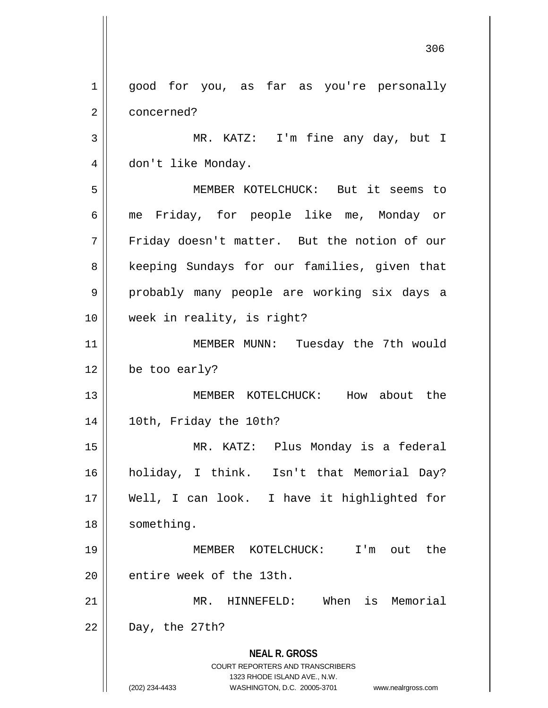**NEAL R. GROSS** COURT REPORTERS AND TRANSCRIBERS 1323 RHODE ISLAND AVE., N.W. (202) 234-4433 WASHINGTON, D.C. 20005-3701 www.nealrgross.com 1 || good for you, as far as you're personally 2 ll concerned? 3 || MR. KATZ: I'm fine any day, but I 4 don't like Monday. 5 MEMBER KOTELCHUCK: But it seems to 6 me Friday, for people like me, Monday or 7 Friday doesn't matter. But the notion of our 8 || keeping Sundays for our families, given that 9 probably many people are working six days a 10 week in reality, is right? 11 || MEMBER MUNN: Tuesday the 7th would  $12 \parallel$  be too early? 13 MEMBER KOTELCHUCK: How about the 14 10th, Friday the 10th? 15 MR. KATZ: Plus Monday is a federal 16 holiday, I think. Isn't that Memorial Day? 17 Well, I can look. I have it highlighted for 18 || something. 19 MEMBER KOTELCHUCK: I'm out the  $20$  || entire week of the 13th. 21 MR. HINNEFELD: When is Memorial  $22 \parallel$  Day, the 27th?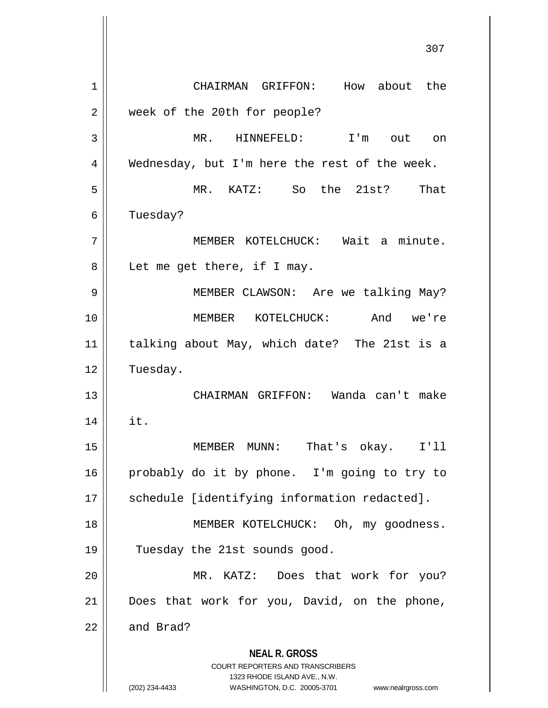**NEAL R. GROSS** COURT REPORTERS AND TRANSCRIBERS 1323 RHODE ISLAND AVE., N.W. (202) 234-4433 WASHINGTON, D.C. 20005-3701 www.nealrgross.com 1 || CHAIRMAN GRIFFON: How about the 2 | week of the 20th for people? 3 MR. HINNEFELD: I'm out on  $4 \parallel$  Wednesday, but I'm here the rest of the week. 5 MR. KATZ: So the 21st? That 6 | Tuesday? 7 MEMBER KOTELCHUCK: Wait a minute. 8 || Let me get there, if I may. 9 || MEMBER CLAWSON: Are we talking May? 10 MEMBER KOTELCHUCK: And we're 11 talking about May, which date? The 21st is a 12 Tuesday. 13 CHAIRMAN GRIFFON: Wanda can't make  $14$  | it. 15 MEMBER MUNN: That's okay. I'll 16 probably do it by phone. I'm going to try to 17 || schedule [identifying information redacted]. 18 || MEMBER KOTELCHUCK: Oh, my goodness. 19 || Tuesday the 21st sounds good. 20 MR. KATZ: Does that work for you? 21 || Does that work for you, David, on the phone,  $22$  and Brad?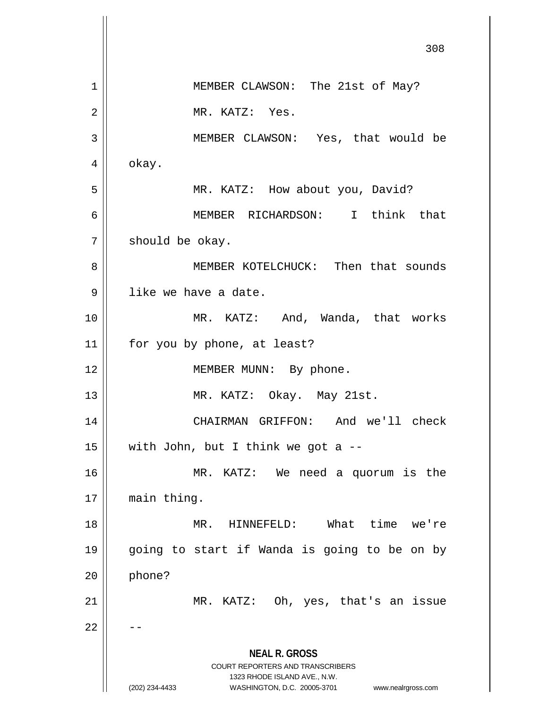|    | 308                                                                                                 |
|----|-----------------------------------------------------------------------------------------------------|
| 1  | MEMBER CLAWSON: The 21st of May?                                                                    |
| 2  | MR. KATZ: Yes.                                                                                      |
| 3  | MEMBER CLAWSON: Yes, that would be                                                                  |
| 4  | okay.                                                                                               |
| 5  | MR. KATZ: How about you, David?                                                                     |
| 6  | MEMBER RICHARDSON: I think that                                                                     |
| 7  | should be okay.                                                                                     |
| 8  | MEMBER KOTELCHUCK: Then that sounds                                                                 |
| 9  | like we have a date.                                                                                |
| 10 | MR. KATZ: And, Wanda, that works                                                                    |
| 11 | for you by phone, at least?                                                                         |
| 12 | MEMBER MUNN: By phone.                                                                              |
| 13 | MR. KATZ: Okay. May 21st.                                                                           |
| 14 | CHAIRMAN GRIFFON:<br>And we'll check                                                                |
| 15 | with John, but I think we got a $-$                                                                 |
| 16 | MR. KATZ: We need a quorum is the                                                                   |
| 17 | main thing.                                                                                         |
| 18 | MR. HINNEFELD: What time we're                                                                      |
| 19 | going to start if Wanda is going to be on by                                                        |
| 20 | phone?                                                                                              |
| 21 | MR. KATZ: Oh, yes, that's an issue                                                                  |
| 22 |                                                                                                     |
|    | <b>NEAL R. GROSS</b>                                                                                |
|    | COURT REPORTERS AND TRANSCRIBERS                                                                    |
|    | 1323 RHODE ISLAND AVE., N.W.<br>(202) 234-4433<br>WASHINGTON, D.C. 20005-3701<br>www.nealrgross.com |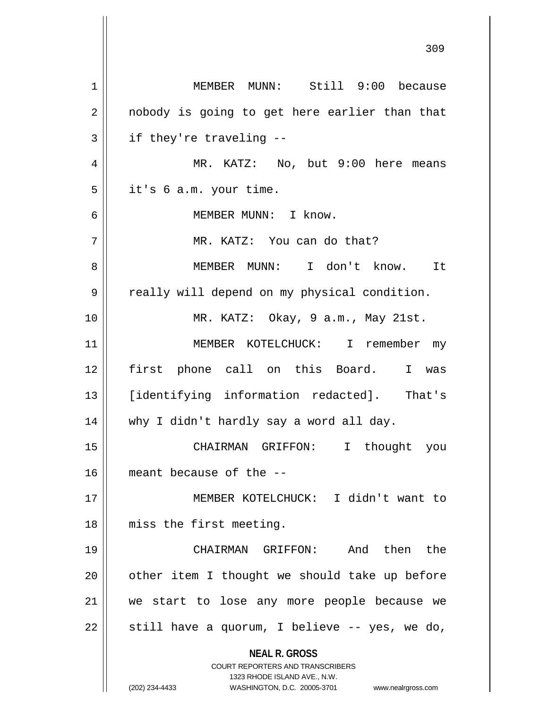| 1  | MEMBER MUNN: Still 9:00 because                                         |
|----|-------------------------------------------------------------------------|
| 2  | nobody is going to get here earlier than that                           |
| 3  | if they're traveling --                                                 |
| 4  | MR. KATZ: No, but 9:00 here means                                       |
| 5  | it's 6 a.m. your time.                                                  |
| 6  | MEMBER MUNN: I know.                                                    |
| 7  | MR. KATZ: You can do that?                                              |
| 8  | MEMBER MUNN: I don't know. It                                           |
| 9  | really will depend on my physical condition.                            |
| 10 | MR. KATZ: Okay, 9 a.m., May 21st.                                       |
| 11 | MEMBER KOTELCHUCK: I remember my                                        |
| 12 | first phone call on this Board. I was                                   |
| 13 | [identifying information redacted]. That's                              |
| 14 | why I didn't hardly say a word all day.                                 |
| 15 | CHAIRMAN GRIFFON: I thought you                                         |
| 16 | meant because of the --                                                 |
| 17 | MEMBER KOTELCHUCK: I didn't want to                                     |
| 18 | miss the first meeting.                                                 |
| 19 | CHAIRMAN GRIFFON: And then the                                          |
| 20 | other item I thought we should take up before                           |
| 21 | we start to lose any more people because we                             |
| 22 | still have a quorum, I believe -- yes, we do,                           |
|    | <b>NEAL R. GROSS</b>                                                    |
|    | <b>COURT REPORTERS AND TRANSCRIBERS</b><br>1323 RHODE ISLAND AVE., N.W. |
|    | (202) 234-4433<br>WASHINGTON, D.C. 20005-3701<br>www.nealrgross.com     |

 $\mathsf{II}$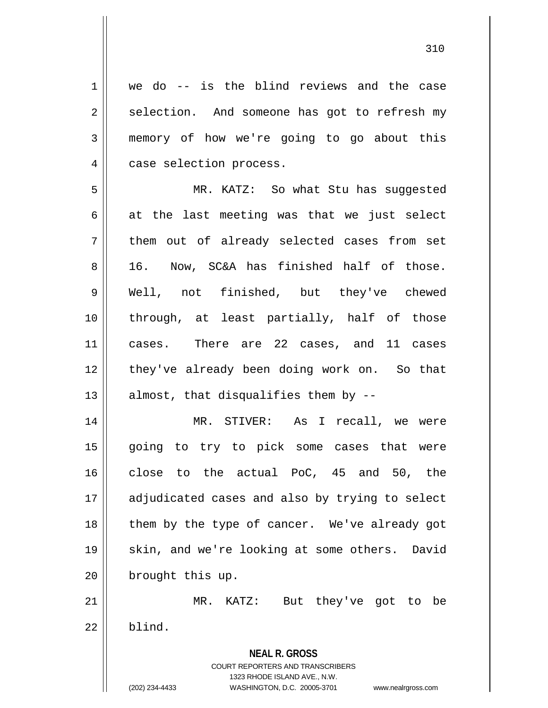**NEAL R. GROSS** COURT REPORTERS AND TRANSCRIBERS 1323 RHODE ISLAND AVE., N.W. 1 | we do -- is the blind reviews and the case  $2 \parallel$  selection. And someone has got to refresh my 3 memory of how we're going to go about this 4 | case selection process. 5 MR. KATZ: So what Stu has suggested  $6 \parallel$  at the last meeting was that we just select  $7$  || them out of already selected cases from set 8 || 16. Now, SC&A has finished half of those. 9 Well, not finished, but they've chewed 10 through, at least partially, half of those 11 cases. There are 22 cases, and 11 cases 12 || they've already been doing work on. So that 13  $\parallel$  almost, that disqualifies them by --14 MR. STIVER: As I recall, we were 15 going to try to pick some cases that were 16 close to the actual PoC, 45 and 50, the 17 || adjudicated cases and also by trying to select 18 || them by the type of cancer. We've already got 19 || skin, and we're looking at some others. David 20 | brought this up. 21 MR. KATZ: But they've got to be  $22 \parallel$  blind.

(202) 234-4433 WASHINGTON, D.C. 20005-3701 www.nealrgross.com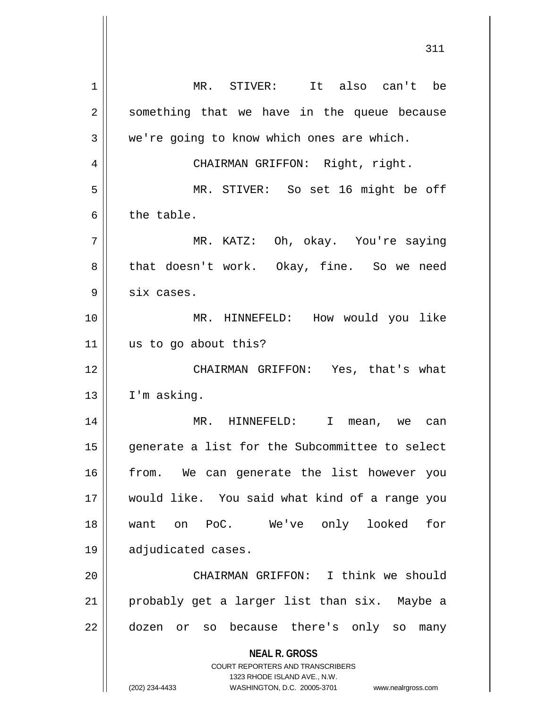**NEAL R. GROSS** COURT REPORTERS AND TRANSCRIBERS 1323 RHODE ISLAND AVE., N.W. 1 MR. STIVER: It also can't be  $2 \parallel$  something that we have in the queue because  $3 \parallel$  we're going to know which ones are which. 4 CHAIRMAN GRIFFON: Right, right. 5 MR. STIVER: So set 16 might be off 6 l the table. 7 MR. KATZ: Oh, okay. You're saying 8 || that doesn't work. Okay, fine. So we need  $9 \parallel$  six cases. 10 MR. HINNEFELD: How would you like 11 || us to go about this? 12 CHAIRMAN GRIFFON: Yes, that's what  $13$  | I'm asking. 14 MR. HINNEFELD: I mean, we can 15 generate a list for the Subcommittee to select 16 || from. We can generate the list however you 17 would like. You said what kind of a range you 18 want on PoC. We've only looked for 19 adjudicated cases. 20 CHAIRMAN GRIFFON: I think we should 21 || probably get a larger list than six. Maybe a 22 || dozen or so because there's only so many

(202) 234-4433 WASHINGTON, D.C. 20005-3701 www.nealrgross.com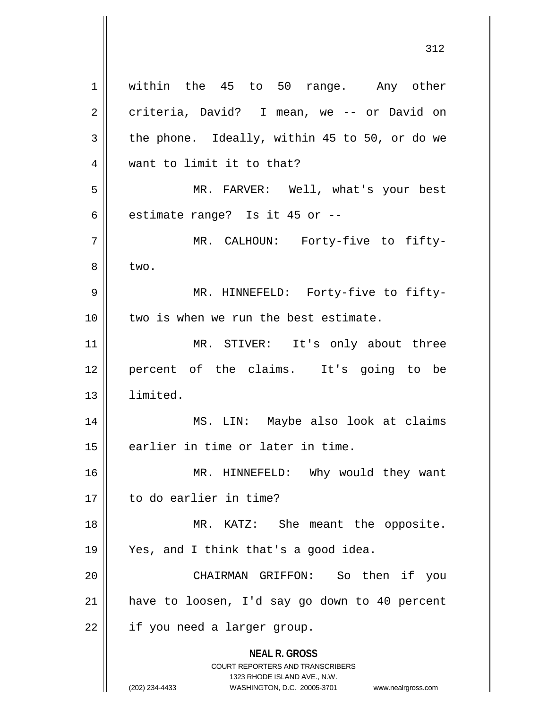**NEAL R. GROSS** COURT REPORTERS AND TRANSCRIBERS 1323 RHODE ISLAND AVE., N.W. (202) 234-4433 WASHINGTON, D.C. 20005-3701 www.nealrgross.com 1 || within the 45 to 50 range. Any other 2 criteria, David? I mean, we -- or David on  $3 \parallel$  the phone. Ideally, within 45 to 50, or do we 4 want to limit it to that? 5 MR. FARVER: Well, what's your best  $6$  || estimate range? Is it 45 or  $-$ -7 || THE MR. CALHOUN: Forty-five to fifty- $8 \parallel$  two. 9 MR. HINNEFELD: Forty-five to fifty-10 || two is when we run the best estimate. 11 || MR. STIVER: It's only about three 12 percent of the claims. It's going to be 13 limited. 14 || MS. LIN: Maybe also look at claims 15 || earlier in time or later in time. 16 || MR. HINNEFELD: Why would they want 17 to do earlier in time? 18 || MR. KATZ: She meant the opposite. 19 Yes, and I think that's a good idea. 20 CHAIRMAN GRIFFON: So then if you 21 have to loosen, I'd say go down to 40 percent 22 | if you need a larger group.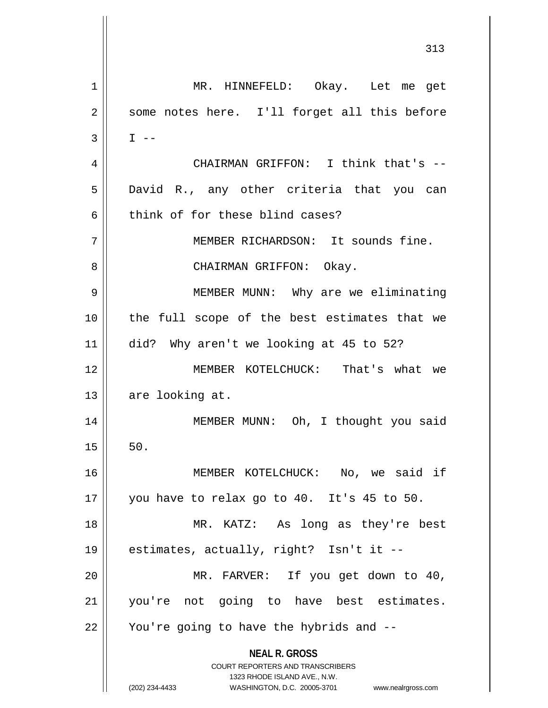**NEAL R. GROSS** COURT REPORTERS AND TRANSCRIBERS 1323 RHODE ISLAND AVE., N.W. (202) 234-4433 WASHINGTON, D.C. 20005-3701 www.nealrgross.com 1 MR. HINNEFELD: Okay. Let me get 2 || some notes here. I'll forget all this before  $3 \parallel$  I --4 CHAIRMAN GRIFFON: I think that's -- 5 || David R., any other criteria that you can  $6$  think of for these blind cases? 7 || MEMBER RICHARDSON: It sounds fine. 8 CHAIRMAN GRIFFON: Okay. 9 || MEMBER MUNN: Why are we eliminating 10 the full scope of the best estimates that we 11 did? Why aren't we looking at 45 to 52? 12 MEMBER KOTELCHUCK: That's what we 13 || are looking at. 14 || MEMBER MUNN: Oh, I thought you said  $15 \parallel 50.$ 16 MEMBER KOTELCHUCK: No, we said if 17  $\parallel$  you have to relax go to 40. It's 45 to 50. 18 MR. KATZ: As long as they're best 19 estimates, actually, right? Isn't it -- 20 MR. FARVER: If you get down to 40, 21 you're not going to have best estimates.  $22$  | You're going to have the hybrids and  $-$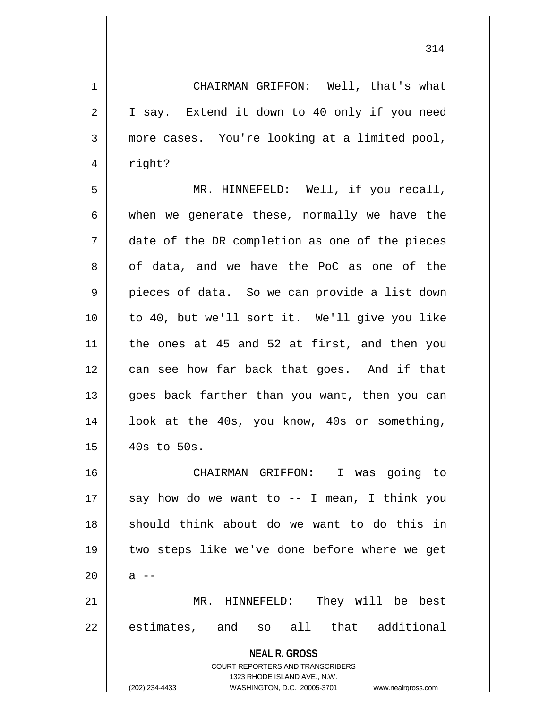**NEAL R. GROSS** COURT REPORTERS AND TRANSCRIBERS 1323 RHODE ISLAND AVE., N.W. 1 CHAIRMAN GRIFFON: Well, that's what 2 | I say. Extend it down to 40 only if you need 3 more cases. You're looking at a limited pool, 4 | right? 5 MR. HINNEFELD: Well, if you recall,  $6 \parallel$  when we generate these, normally we have the 7 date of the DR completion as one of the pieces 8 of data, and we have the PoC as one of the  $9 \parallel$  pieces of data. So we can provide a list down 10 to 40, but we'll sort it. We'll give you like 11 the ones at 45 and 52 at first, and then you 12 can see how far back that goes. And if that 13 goes back farther than you want, then you can 14 || look at the 40s, you know, 40s or something,  $15$  | 40s to 50s. 16 CHAIRMAN GRIFFON: I was going to 17  $\parallel$  say how do we want to -- I mean, I think you 18 should think about do we want to do this in 19 two steps like we've done before where we get  $20 \parallel$  a  $-$ 21 MR. HINNEFELD: They will be best 22 || estimates, and so all that additional

(202) 234-4433 WASHINGTON, D.C. 20005-3701 www.nealrgross.com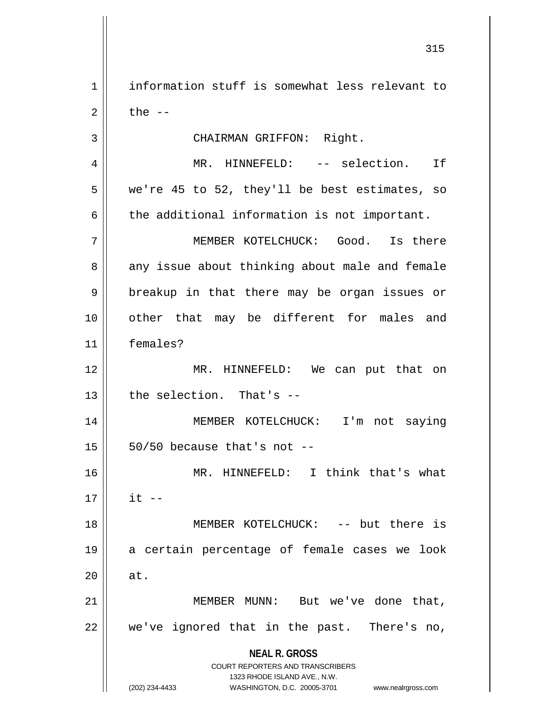1 information stuff is somewhat less relevant to  $2 \parallel$  the  $-$ 

3 || CHAIRMAN GRIFFON: Right.

4 MR. HINNEFELD: -- selection. If  $5 \parallel$  we're 45 to 52, they'll be best estimates, so  $6 \parallel$  the additional information is not important.

7 MEMBER KOTELCHUCK: Good. Is there 8 any issue about thinking about male and female 9 || breakup in that there may be organ issues or 10 || other that may be different for males and 11 females?

12 MR. HINNEFELD: We can put that on  $13$   $\parallel$  the selection. That's  $-$ 

14 MEMBER KOTELCHUCK: I'm not saying  $15 \parallel 50/50$  because that's not --

16 || MR. HINNEFELD: I think that's what  $17 \parallel$  it  $-$  MEMBER KOTELCHUCK: -- but there is a certain percentage of female cases we look  $\parallel$  at. MEMBER MUNN: But we've done that,

22 we've ignored that in the past. There's no,

**NEAL R. GROSS**

COURT REPORTERS AND TRANSCRIBERS 1323 RHODE ISLAND AVE., N.W. (202) 234-4433 WASHINGTON, D.C. 20005-3701 www.nealrgross.com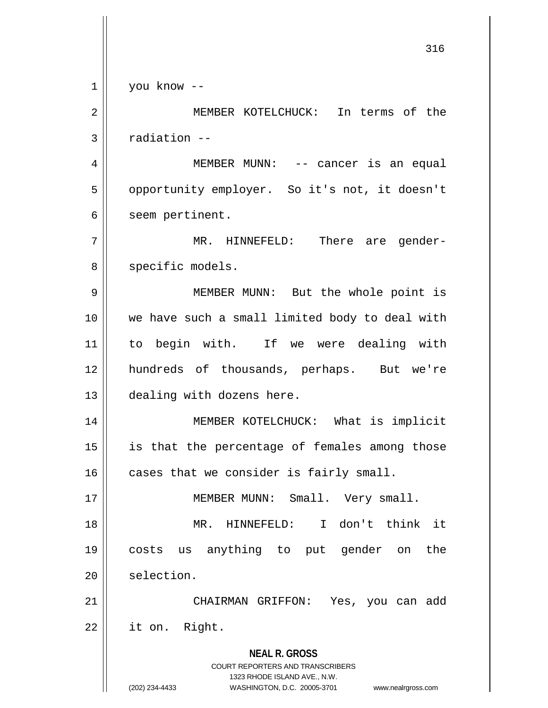**NEAL R. GROSS** COURT REPORTERS AND TRANSCRIBERS 1323 RHODE ISLAND AVE., N.W. (202) 234-4433 WASHINGTON, D.C. 20005-3701 www.nealrgross.com 316 1 you know -- 2 MEMBER KOTELCHUCK: In terms of the  $3 \parallel$  radiation --4 MEMBER MUNN: -- cancer is an equal 5 | opportunity employer. So it's not, it doesn't  $6 \parallel$  seem pertinent. 7 MR. HINNEFELD: There are gender-8 || specific models. 9 MEMBER MUNN: But the whole point is 10 || we have such a small limited body to deal with 11 to begin with. If we were dealing with 12 hundreds of thousands, perhaps. But we're 13 || dealing with dozens here. 14 || MEMBER KOTELCHUCK: What is implicit 15 || is that the percentage of females among those  $16$  cases that we consider is fairly small. 17 || MEMBER MUNN: Small. Very small. 18 MR. HINNEFELD: I don't think it 19 costs us anything to put gender on the 20 | selection. 21 CHAIRMAN GRIFFON: Yes, you can add 22 it on. Right.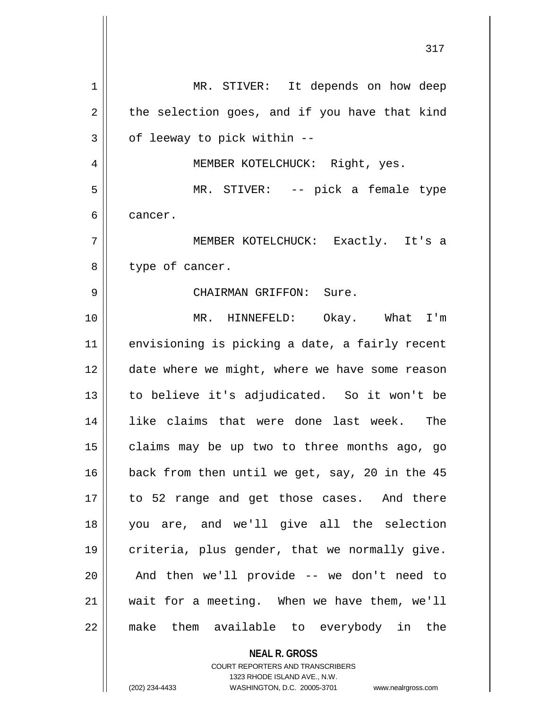| 1  | MR. STIVER: It depends on how deep             |
|----|------------------------------------------------|
| 2  | the selection goes, and if you have that kind  |
| 3  | of leeway to pick within --                    |
| 4  | MEMBER KOTELCHUCK: Right, yes.                 |
| 5  | MR. STIVER: -- pick a female type              |
| 6  | cancer.                                        |
| 7  | MEMBER KOTELCHUCK: Exactly. It's a             |
| 8  | type of cancer.                                |
| 9  | CHAIRMAN GRIFFON: Sure.                        |
| 10 | MR. HINNEFELD: Okay. What I'm                  |
| 11 | envisioning is picking a date, a fairly recent |
| 12 | date where we might, where we have some reason |
| 13 | to believe it's adjudicated. So it won't be    |
| 14 | like claims that were done last week. The      |
| 15 | claims may be up two to three months ago, go   |
| 16 | back from then until we get, say, 20 in the 45 |
| 17 | to 52 range and get those cases. And there     |
| 18 | you are, and we'll give all the selection      |
| 19 | criteria, plus gender, that we normally give.  |
| 20 | And then we'll provide -- we don't need to     |
| 21 | wait for a meeting. When we have them, we'll   |
| 22 | make them available to everybody in the        |
|    | <b>NEAL R. GROSS</b>                           |

COURT REPORTERS AND TRANSCRIBERS 1323 RHODE ISLAND AVE., N.W.

(202) 234-4433 WASHINGTON, D.C. 20005-3701 www.nealrgross.com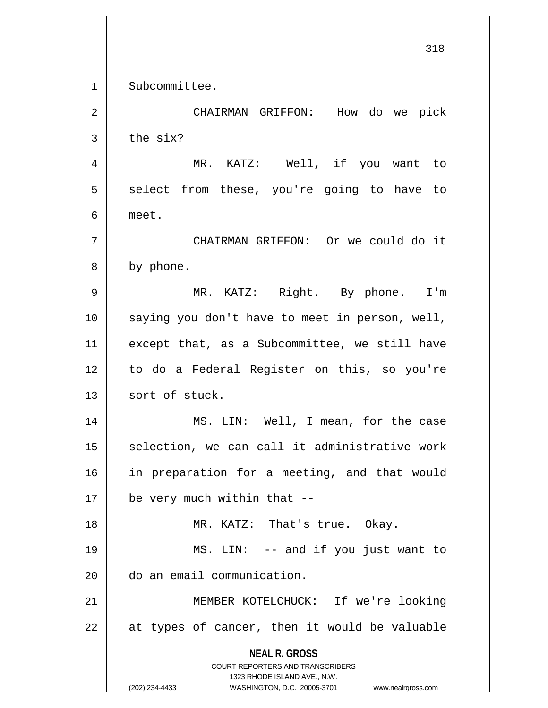1 Subcommittee. 2 CHAIRMAN GRIFFON: How do we pick  $3 \parallel$  the six? 4 || MR. KATZ: Well, if you want to  $5 \parallel$  select from these, you're going to have to 7 CHAIRMAN GRIFFON: Or we could do it

6 meet.

8 | by phone. 9 MR. KATZ: Right. By phone. I'm

10 saying you don't have to meet in person, well, 11 || except that, as a Subcommittee, we still have 12 to do a Federal Register on this, so you're 13 sort of stuck.

14 MS. LIN: Well, I mean, for the case  $15$  selection, we can call it administrative work 16 || in preparation for a meeting, and that would  $17 \parallel$  be very much within that --

18 || MR. KATZ: That's true. Okay.

19 MS. LIN: -- and if you just want to 20 do an email communication.

21 MEMBER KOTELCHUCK: If we're looking  $22$  || at types of cancer, then it would be valuable

> **NEAL R. GROSS** COURT REPORTERS AND TRANSCRIBERS

(202) 234-4433 WASHINGTON, D.C. 20005-3701 www.nealrgross.com

1323 RHODE ISLAND AVE., N.W.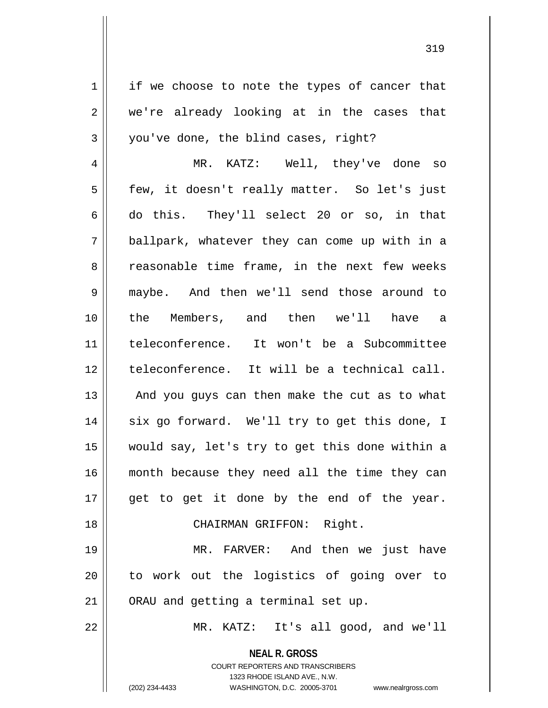$1 \parallel$  if we choose to note the types of cancer that 2 we're already looking at in the cases that  $3 \parallel$  you've done, the blind cases, right?

4 || MR. KATZ: Well, they've done so 5 || few, it doesn't really matter. So let's just 6 do this. They'll select 20 or so, in that 7 ballpark, whatever they can come up with in a 8 || reasonable time frame, in the next few weeks 9 maybe. And then we'll send those around to 10 the Members, and then we'll have a 11 teleconference. It won't be a Subcommittee 12 teleconference. It will be a technical call.  $13$  || And you guys can then make the cut as to what 14 || six go forward. We'll try to get this done, I 15 would say, let's try to get this done within a 16 || month because they need all the time they can  $17$  || get to get it done by the end of the year. 18 || CHAIRMAN GRIFFON: Right. 19 || MR. FARVER: And then we just have

21 || ORAU and getting a terminal set up.

22 MR. KATZ: It's all good, and we'll

**NEAL R. GROSS** COURT REPORTERS AND TRANSCRIBERS

20 || to work out the logistics of going over to

1323 RHODE ISLAND AVE., N.W. (202) 234-4433 WASHINGTON, D.C. 20005-3701 www.nealrgross.com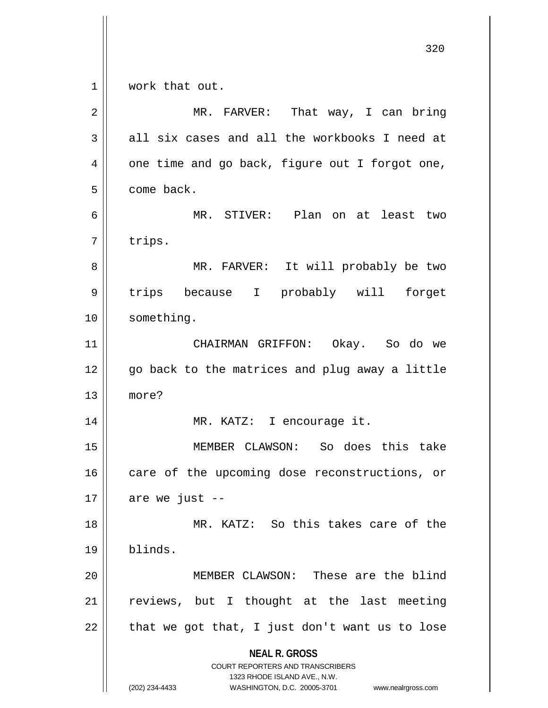**NEAL R. GROSS** COURT REPORTERS AND TRANSCRIBERS 1323 RHODE ISLAND AVE., N.W. (202) 234-4433 WASHINGTON, D.C. 20005-3701 www.nealrgross.com 320 1 || work that out. 2 MR. FARVER: That way, I can bring  $3 \parallel$  all six cases and all the workbooks I need at  $4 \parallel$  one time and go back, figure out I forgot one, 5 come back. 6 MR. STIVER: Plan on at least two  $7 \parallel$  trips. 8 MR. FARVER: It will probably be two 9 || trips because I probably will forget 10 | something. 11 CHAIRMAN GRIFFON: Okay. So do we 12 || go back to the matrices and plug away a little 13 more? 14 || MR. KATZ: I encourage it. 15 MEMBER CLAWSON: So does this take 16 || care of the upcoming dose reconstructions, or  $17$  | are we just --18 MR. KATZ: So this takes care of the 19 blinds. 20 MEMBER CLAWSON: These are the blind  $21$  reviews, but I thought at the last meeting  $22$  | that we got that, I just don't want us to lose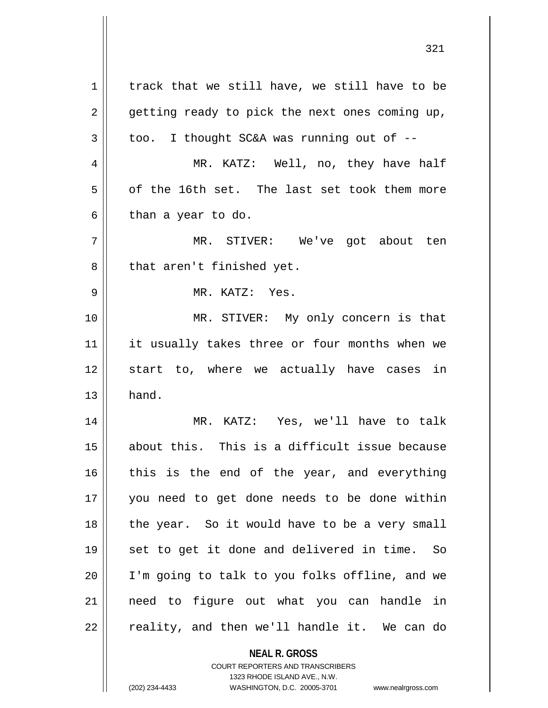**NEAL R. GROSS**  $1 \parallel$  track that we still have, we still have to be  $2 \parallel$  getting ready to pick the next ones coming up,  $3 \parallel$  too. I thought SC&A was running out of  $-$ 4 MR. KATZ: Well, no, they have half  $5 \parallel$  of the 16th set. The last set took them more  $6 \parallel$  than a year to do. 7 MR. STIVER: We've got about ten 8 || that aren't finished yet. 9 MR. KATZ: Yes. 10 || MR. STIVER: My only concern is that 11 || it usually takes three or four months when we 12 || start to, where we actually have cases in  $13 \parallel$  hand. 14 MR. KATZ: Yes, we'll have to talk 15 about this. This is a difficult issue because  $16$  this is the end of the year, and everything 17 you need to get done needs to be done within 18 || the year. So it would have to be a very small 19 || set to get it done and delivered in time. So 20 || I'm going to talk to you folks offline, and we 21 need to figure out what you can handle in  $22 \parallel$  reality, and then we'll handle it. We can do

> COURT REPORTERS AND TRANSCRIBERS 1323 RHODE ISLAND AVE., N.W.

(202) 234-4433 WASHINGTON, D.C. 20005-3701 www.nealrgross.com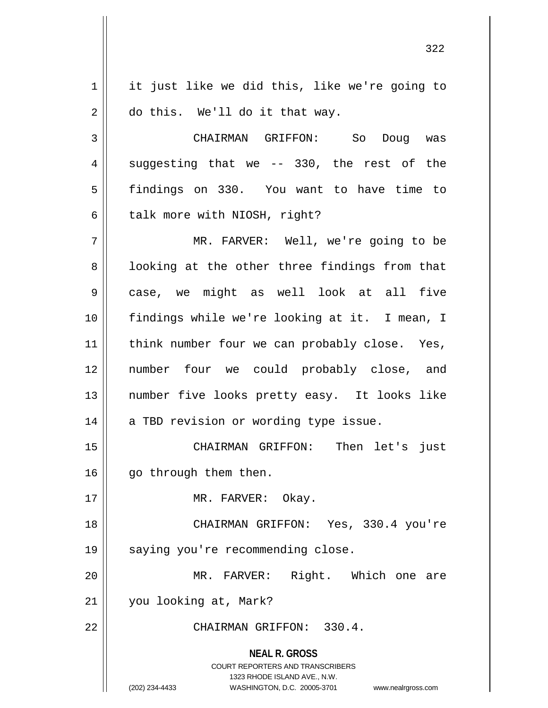1 | it just like we did this, like we're going to  $2 \parallel$  do this. We'll do it that way.

 CHAIRMAN GRIFFON: So Doug was  $4 \parallel$  suggesting that we -- 330, the rest of the findings on 330. You want to have time to || talk more with NIOSH, right?

7 || THE MR. FARVER: Well, we're going to be  $8 \parallel$  looking at the other three findings from that case, we might as well look at all five findings while we're looking at it. I mean, I 11 || think number four we can probably close. Yes, number four we could probably close, and number five looks pretty easy. It looks like | a TBD revision or wording type issue.

15 CHAIRMAN GRIFFON: Then let's just 16 || qo through them then.

17 || MR. FARVER: Okay.

18 || CHAIRMAN GRIFFON: Yes, 330.4 you're 19 || saying you're recommending close.

20 MR. FARVER: Right. Which one are 21 you looking at, Mark?

22 CHAIRMAN GRIFFON: 330.4.

**NEAL R. GROSS** COURT REPORTERS AND TRANSCRIBERS 1323 RHODE ISLAND AVE., N.W. (202) 234-4433 WASHINGTON, D.C. 20005-3701 www.nealrgross.com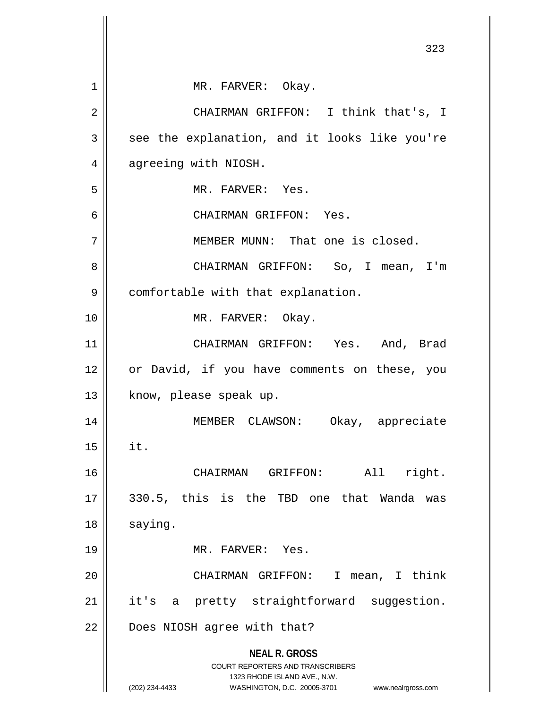|    | 323                                                                 |
|----|---------------------------------------------------------------------|
| 1  | MR. FARVER: Okay.                                                   |
| 2  | CHAIRMAN GRIFFON: I think that's, I                                 |
| 3  | see the explanation, and it looks like you're                       |
| 4  | agreeing with NIOSH.                                                |
| 5  | MR. FARVER: Yes.                                                    |
| 6  | CHAIRMAN GRIFFON: Yes.                                              |
| 7  | MEMBER MUNN: That one is closed.                                    |
| 8  | CHAIRMAN GRIFFON: So, I mean, I'm                                   |
| 9  | comfortable with that explanation.                                  |
| 10 | MR. FARVER: Okay.                                                   |
| 11 | CHAIRMAN GRIFFON: Yes. And, Brad                                    |
| 12 | or David, if you have comments on these, you                        |
| 13 | know, please speak up.                                              |
| 14 | Okay, appreciate<br>MEMBER CLAWSON:                                 |
| 15 | it.                                                                 |
| 16 | All<br>right.<br>CHAIRMAN<br>GRIFFON:                               |
| 17 | 330.5, this is the TBD one that Wanda<br>was                        |
| 18 | saying.                                                             |
| 19 | MR. FARVER: Yes.                                                    |
| 20 | CHAIRMAN GRIFFON:<br>I.<br>mean, I think                            |
| 21 | pretty straightforward suggestion.<br>it's<br>a                     |
| 22 | Does NIOSH agree with that?                                         |
|    | <b>NEAL R. GROSS</b><br><b>COURT REPORTERS AND TRANSCRIBERS</b>     |
|    | 1323 RHODE ISLAND AVE., N.W.                                        |
|    | (202) 234-4433<br>WASHINGTON, D.C. 20005-3701<br>www.nealrgross.com |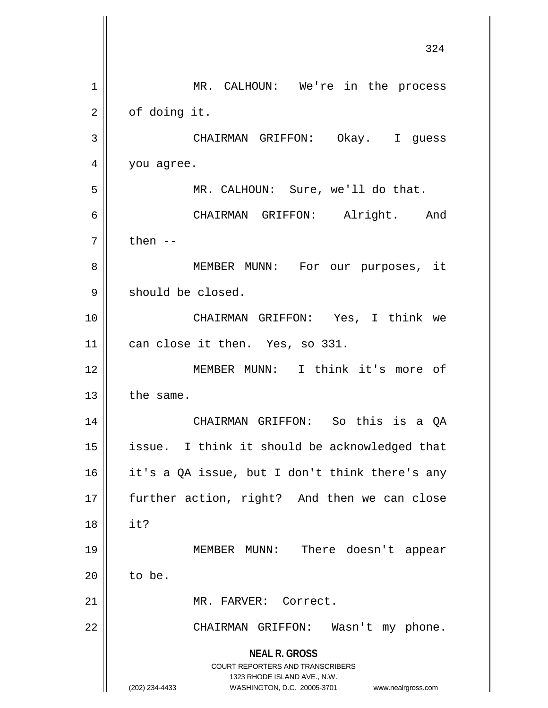**NEAL R. GROSS** COURT REPORTERS AND TRANSCRIBERS 1323 RHODE ISLAND AVE., N.W. (202) 234-4433 WASHINGTON, D.C. 20005-3701 www.nealrgross.com 324 1 || MR. CALHOUN: We're in the process  $2 \parallel$  of doing it. 3 CHAIRMAN GRIFFON: Okay. I guess 4 | you agree. 5 MR. CALHOUN: Sure, we'll do that. 6 CHAIRMAN GRIFFON: Alright. And  $7 \parallel$  then  $-$ 8 || MEMBER MUNN: For our purposes, it 9 | should be closed. 10 CHAIRMAN GRIFFON: Yes, I think we 11 || can close it then. Yes, so 331. 12 MEMBER MUNN: I think it's more of  $13$  the same. 14 CHAIRMAN GRIFFON: So this is a QA 15 || issue. I think it should be acknowledged that 16 it's a QA issue, but I don't think there's any 17 || further action, right? And then we can close 18 it? 19 MEMBER MUNN: There doesn't appear  $20$  | to be. 21 | MR. FARVER: Correct. 22 || CHAIRMAN GRIFFON: Wasn't my phone.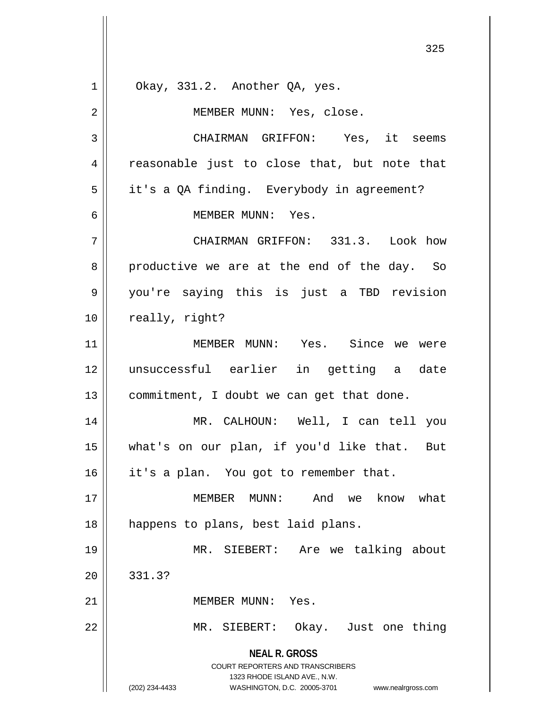**NEAL R. GROSS** COURT REPORTERS AND TRANSCRIBERS 1323 RHODE ISLAND AVE., N.W. (202) 234-4433 WASHINGTON, D.C. 20005-3701 www.nealrgross.com  $1 \parallel$  Okay, 331.2. Another QA, yes. 2 || MEMBER MUNN: Yes, close. 3 CHAIRMAN GRIFFON: Yes, it seems  $4 \parallel$  reasonable just to close that, but note that 5 | it's a QA finding. Everybody in agreement? 6 MEMBER MUNN: Yes. 7 CHAIRMAN GRIFFON: 331.3. Look how  $8 \parallel$  productive we are at the end of the day. So 9 you're saying this is just a TBD revision 10 || really, right? 11 MEMBER MUNN: Yes. Since we were 12 unsuccessful earlier in getting a date 13 || commitment, I doubt we can get that done. 14 MR. CALHOUN: Well, I can tell you 15 what's on our plan, if you'd like that. But 16 | it's a plan. You got to remember that. 17 MEMBER MUNN: And we know what 18 || happens to plans, best laid plans. 19 MR. SIEBERT: Are we talking about  $20 \parallel 331.3?$ 21 MEMBER MUNN: Yes. 22 MR. SIEBERT: Okay. Just one thing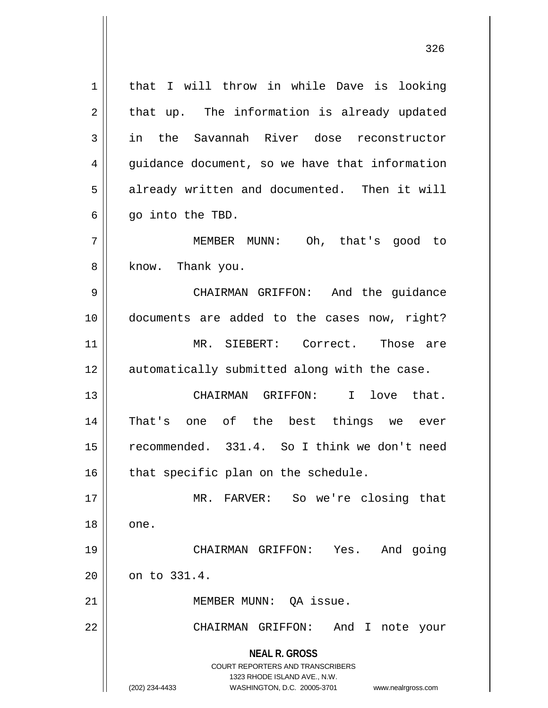| 1  | I will throw in while Dave is looking<br>that                                                                                                                          |
|----|------------------------------------------------------------------------------------------------------------------------------------------------------------------------|
| 2  | that up. The information is already updated                                                                                                                            |
| 3  | in the Savannah River dose reconstructor                                                                                                                               |
| 4  | guidance document, so we have that information                                                                                                                         |
| 5  | already written and documented. Then it will                                                                                                                           |
| 6  | go into the TBD.                                                                                                                                                       |
| 7  | MEMBER MUNN: Oh, that's good to                                                                                                                                        |
| 8  | know. Thank you.                                                                                                                                                       |
| 9  | CHAIRMAN GRIFFON: And the guidance                                                                                                                                     |
| 10 | documents are added to the cases now, right?                                                                                                                           |
| 11 | MR. SIEBERT: Correct. Those are                                                                                                                                        |
| 12 | automatically submitted along with the case.                                                                                                                           |
| 13 |                                                                                                                                                                        |
|    | CHAIRMAN GRIFFON: I<br>love that.                                                                                                                                      |
| 14 | That's one of the best things we ever                                                                                                                                  |
| 15 | recommended. 331.4. So I think we don't need                                                                                                                           |
| 16 | that specific plan on the schedule.                                                                                                                                    |
| 17 | MR. FARVER: So we're closing that                                                                                                                                      |
| 18 | one.                                                                                                                                                                   |
| 19 | And going<br>CHAIRMAN GRIFFON:<br>Yes.                                                                                                                                 |
| 20 | on to 331.4.                                                                                                                                                           |
| 21 | MEMBER MUNN: QA issue.                                                                                                                                                 |
| 22 | CHAIRMAN GRIFFON:<br>And I note your                                                                                                                                   |
|    | <b>NEAL R. GROSS</b><br><b>COURT REPORTERS AND TRANSCRIBERS</b><br>1323 RHODE ISLAND AVE., N.W.<br>(202) 234-4433<br>WASHINGTON, D.C. 20005-3701<br>www.nealrgross.com |
|    |                                                                                                                                                                        |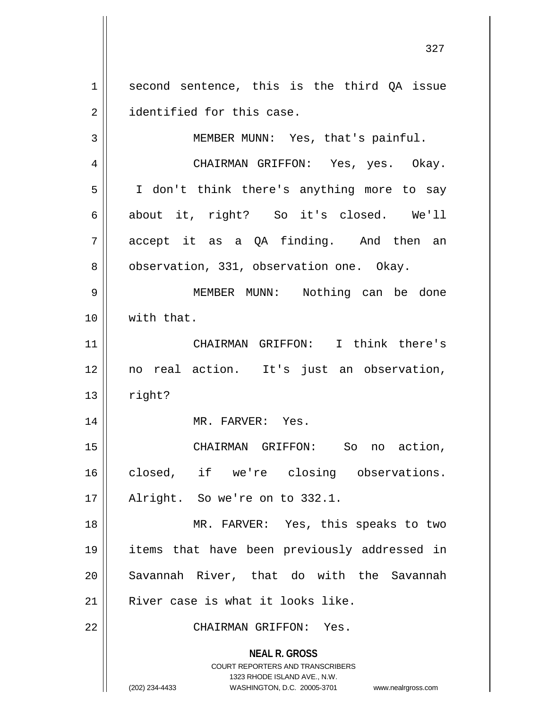1 || second sentence, this is the third QA issue 2 **identified** for this case.

3 || MEMBER MUNN: Yes, that's painful.

4 CHAIRMAN GRIFFON: Yes, yes. Okay. 5 || I don't think there's anything more to say 6 about it, right? So it's closed. We'll  $7 \parallel$  accept it as a QA finding. And then an 8 | observation, 331, observation one. Okay.

9 MEMBER MUNN: Nothing can be done 10 with that.

11 CHAIRMAN GRIFFON: I think there's 12 no real action. It's just an observation,  $13$   $\parallel$  right?

14 || MR. FARVER: Yes.

15 CHAIRMAN GRIFFON: So no action, 16 closed, if we're closing observations. 17 || Alright. So we're on to 332.1.

18 || MR. FARVER: Yes, this speaks to two 19 items that have been previously addressed in 20 Savannah River, that do with the Savannah  $21$  River case is what it looks like.

22 CHAIRMAN GRIFFON: Yes.

**NEAL R. GROSS** COURT REPORTERS AND TRANSCRIBERS

1323 RHODE ISLAND AVE., N.W.

(202) 234-4433 WASHINGTON, D.C. 20005-3701 www.nealrgross.com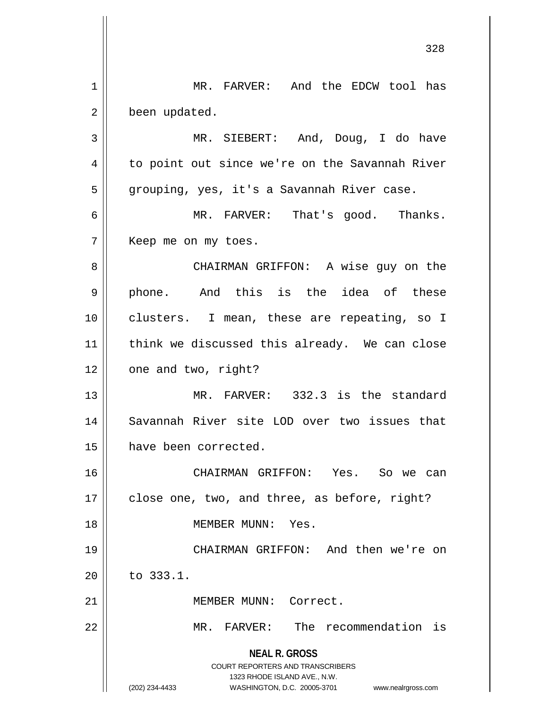**NEAL R. GROSS** COURT REPORTERS AND TRANSCRIBERS 1323 RHODE ISLAND AVE., N.W. (202) 234-4433 WASHINGTON, D.C. 20005-3701 www.nealrgross.com 1 | MR. FARVER: And the EDCW tool has 2 | been updated. 3 MR. SIEBERT: And, Doug, I do have 4 || to point out since we're on the Savannah River 5 | grouping, yes, it's a Savannah River case. 6 MR. FARVER: That's good. Thanks. 7 | Keep me on my toes. 8 CHAIRMAN GRIFFON: A wise guy on the 9 || phone. And this is the idea of these 10 clusters. I mean, these are repeating, so I 11 || think we discussed this already. We can close 12 || one and two, right? 13 MR. FARVER: 332.3 is the standard 14 || Savannah River site LOD over two issues that 15 have been corrected. 16 CHAIRMAN GRIFFON: Yes. So we can  $17$  | close one, two, and three, as before, right? 18 MEMBER MUNN: Yes. 19 CHAIRMAN GRIFFON: And then we're on 20 to 333.1. 21 | MEMBER MUNN: Correct. 22 MR. FARVER: The recommendation is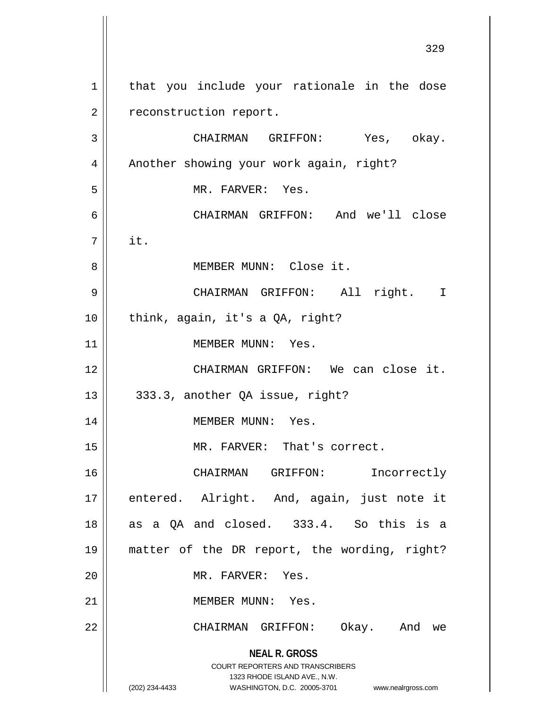**NEAL R. GROSS** COURT REPORTERS AND TRANSCRIBERS 1323 RHODE ISLAND AVE., N.W. (202) 234-4433 WASHINGTON, D.C. 20005-3701 www.nealrgross.com 1 || that you include your rationale in the dose 2 | reconstruction report. 3 CHAIRMAN GRIFFON: Yes, okay. 4 | Another showing your work again, right? 5 || MR. FARVER: Yes. 6 CHAIRMAN GRIFFON: And we'll close 7 it. 8 || MEMBER MUNN: Close it. 9 CHAIRMAN GRIFFON: All right. I 10 || think, again, it's a QA, right? 11 || MEMBER MUNN: Yes. 12 CHAIRMAN GRIFFON: We can close it.  $13 \parallel 333.3$ , another QA issue, right? 14 || MEMBER MUNN: Yes. 15 || MR. FARVER: That's correct. 16 || CHAIRMAN GRIFFON: Incorrectly 17 || entered. Alright. And, again, just note it  $18$  as a QA and closed. 333.4. So this is a 19 matter of the DR report, the wording, right? 20 MR. FARVER: Yes. 21 MEMBER MUNN: Yes. 22 CHAIRMAN GRIFFON: Okay. And we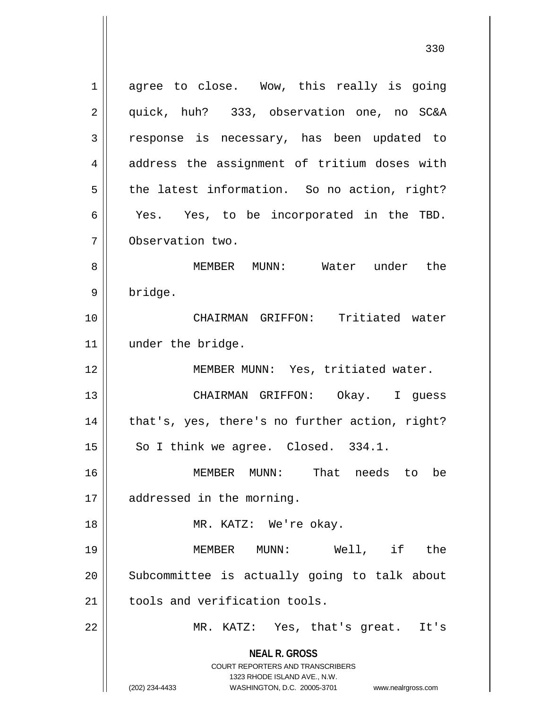**NEAL R. GROSS** COURT REPORTERS AND TRANSCRIBERS 1323 RHODE ISLAND AVE., N.W. 1 agree to close. Wow, this really is going 2 || quick, huh? 333, observation one, no SC&A 3 || response is necessary, has been updated to 4 || address the assignment of tritium doses with  $5 \parallel$  the latest information. So no action, right? 6 Yes. Yes, to be incorporated in the TBD. 7 Observation two. 8 || MEMBER MUNN: Water under the 9 | bridge. 10 CHAIRMAN GRIFFON: Tritiated water 11 | under the bridge. 12 || MEMBER MUNN: Yes, tritiated water. 13 CHAIRMAN GRIFFON: Okay. I guess 14 || that's, yes, there's no further action, right?  $15$  So I think we agree. Closed. 334.1. 16 MEMBER MUNN: That needs to be 17 | addressed in the morning. 18 || MR. KATZ: We're okay. 19 MEMBER MUNN: Well, if the 20 || Subcommittee is actually going to talk about  $21$   $\parallel$  tools and verification tools. 22 MR. KATZ: Yes, that's great. It's

<sup>(202) 234-4433</sup> WASHINGTON, D.C. 20005-3701 www.nealrgross.com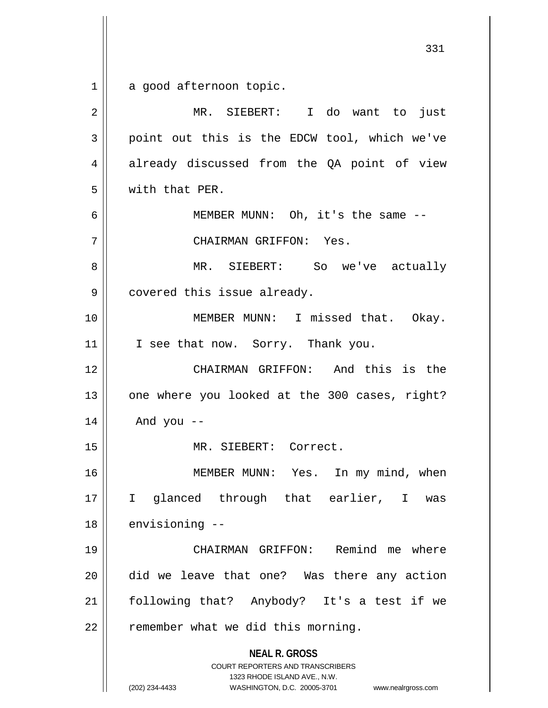$1 \parallel$  a good afternoon topic.

| $\overline{2}$ | MR. SIEBERT: I do want to just                                                                                                                                         |
|----------------|------------------------------------------------------------------------------------------------------------------------------------------------------------------------|
| 3              | point out this is the EDCW tool, which we've                                                                                                                           |
| 4              | already discussed from the QA point of view                                                                                                                            |
| 5              | with that PER.                                                                                                                                                         |
| 6              | MEMBER MUNN: Oh, it's the same --                                                                                                                                      |
| 7              | CHAIRMAN GRIFFON: Yes.                                                                                                                                                 |
| 8              | MR. SIEBERT: So we've actually                                                                                                                                         |
| 9              | covered this issue already.                                                                                                                                            |
| 10             | MEMBER MUNN: I missed that. Okay.                                                                                                                                      |
| 11             | I see that now. Sorry. Thank you.                                                                                                                                      |
| 12             | CHAIRMAN GRIFFON: And this is the                                                                                                                                      |
| 13             | one where you looked at the 300 cases, right?                                                                                                                          |
| 14             | And you $-$                                                                                                                                                            |
| 15             | MR. SIEBERT: Correct.                                                                                                                                                  |
| 16             | MEMBER MUNN: Yes. In my mind, when                                                                                                                                     |
| 17             | glanced through that earlier, I was<br>I.                                                                                                                              |
| 18             | envisioning --                                                                                                                                                         |
| 19             | CHAIRMAN GRIFFON: Remind me where                                                                                                                                      |
| 20             | did we leave that one? Was there any action                                                                                                                            |
| 21             | following that? Anybody? It's a test if we                                                                                                                             |
| 22             | remember what we did this morning.                                                                                                                                     |
|                | <b>NEAL R. GROSS</b><br><b>COURT REPORTERS AND TRANSCRIBERS</b><br>1323 RHODE ISLAND AVE., N.W.<br>(202) 234-4433<br>WASHINGTON, D.C. 20005-3701<br>www.nealrgross.com |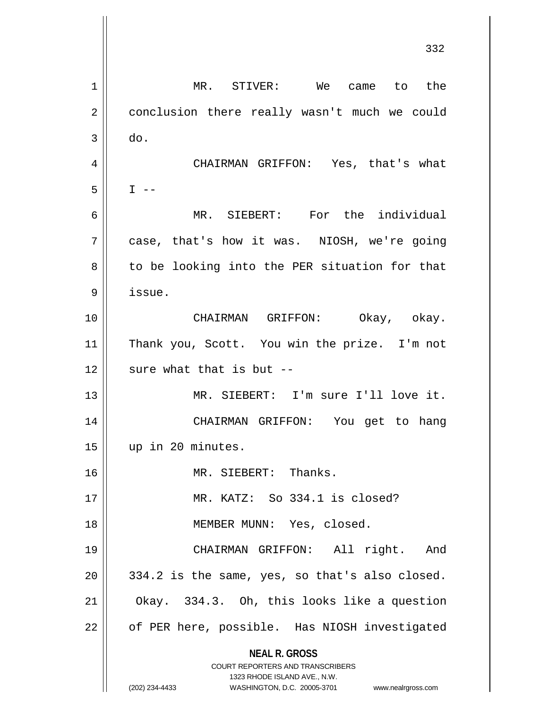**NEAL R. GROSS** COURT REPORTERS AND TRANSCRIBERS 1323 RHODE ISLAND AVE., N.W. (202) 234-4433 WASHINGTON, D.C. 20005-3701 www.nealrgross.com 332 1 || MR. STIVER: We came to the 2 | conclusion there really wasn't much we could  $3 \parallel$  do. 4 CHAIRMAN GRIFFON: Yes, that's what  $5$  I --6 MR. SIEBERT: For the individual 7 case, that's how it was. NIOSH, we're going  $8 \parallel$  to be looking into the PER situation for that 9 issue. 10 CHAIRMAN GRIFFON: Okay, okay. 11 Thank you, Scott. You win the prize. I'm not  $12$  | sure what that is but  $-$ 13 MR. SIEBERT: I'm sure I'll love it. 14 CHAIRMAN GRIFFON: You get to hang 15 up in 20 minutes. 16 MR. SIEBERT: Thanks. 17 MR. KATZ: So 334.1 is closed? 18 || MEMBER MUNN: Yes, closed. 19 CHAIRMAN GRIFFON: All right. And  $20 \parallel 334.2$  is the same, yes, so that's also closed.  $21$  | Okay. 334.3. Oh, this looks like a question 22 | of PER here, possible. Has NIOSH investigated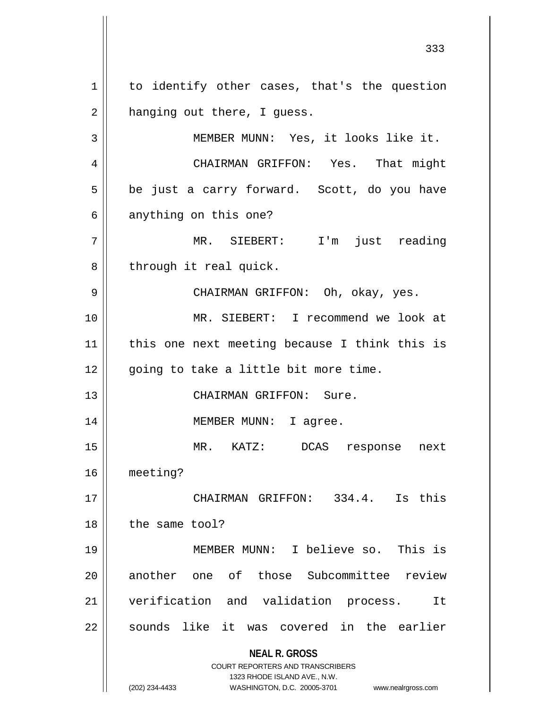**NEAL R. GROSS** COURT REPORTERS AND TRANSCRIBERS 1323 RHODE ISLAND AVE., N.W. 1 | to identify other cases, that's the question  $2 \parallel$  hanging out there, I guess. 3 || MEMBER MUNN: Yes, it looks like it. 4 | CHAIRMAN GRIFFON: Yes. That might  $5 \parallel$  be just a carry forward. Scott, do you have  $6 \parallel$  anything on this one? 7 MR. SIEBERT: I'm just reading  $8$  | through it real quick. 9 CHAIRMAN GRIFFON: Oh, okay, yes. 10 MR. SIEBERT: I recommend we look at 11 || this one next meeting because I think this is 12 || going to take a little bit more time. 13 CHAIRMAN GRIFFON: Sure. 14 MEMBER MUNN: I agree. 15 MR. KATZ: DCAS response next 16 meeting? 17 CHAIRMAN GRIFFON: 334.4. Is this 18 | the same tool? 19 MEMBER MUNN: I believe so. This is 20 || another one of those Subcommittee review 21 || verification and validation process. It 22 || sounds like it was covered in the earlier

(202) 234-4433 WASHINGTON, D.C. 20005-3701 www.nealrgross.com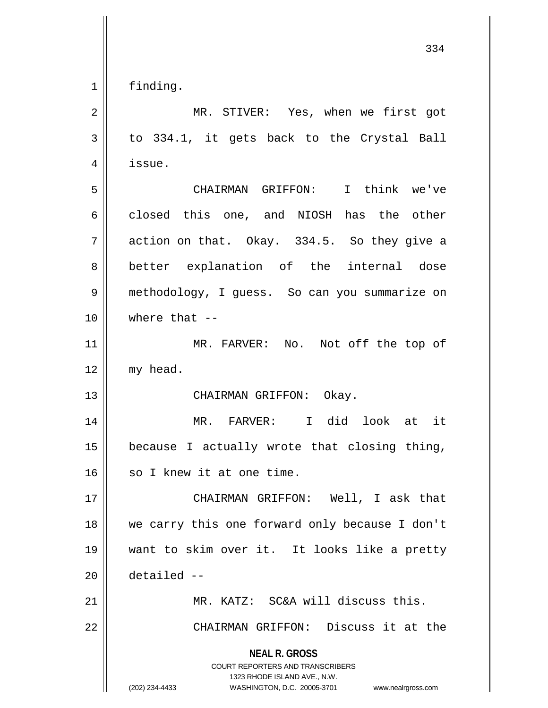finding.

| 2  | MR. STIVER: Yes, when we first got                                                                                                                                     |
|----|------------------------------------------------------------------------------------------------------------------------------------------------------------------------|
| 3  | to 334.1, it gets back to the Crystal Ball                                                                                                                             |
| 4  | issue.                                                                                                                                                                 |
| 5  | CHAIRMAN GRIFFON: I think we've                                                                                                                                        |
| 6  | closed this one, and NIOSH has the other                                                                                                                               |
| 7  | action on that. Okay. 334.5. So they give a                                                                                                                            |
| 8  | better explanation of the internal dose                                                                                                                                |
| 9  | methodology, I guess. So can you summarize on                                                                                                                          |
| 10 | where that $--$                                                                                                                                                        |
| 11 | MR. FARVER: No. Not off the top of                                                                                                                                     |
| 12 | my head.                                                                                                                                                               |
| 13 | CHAIRMAN GRIFFON: Okay.                                                                                                                                                |
| 14 | MR. FARVER: I did look at it                                                                                                                                           |
| 15 | because I actually wrote that closing thing,                                                                                                                           |
| 16 | so I knew it at one time.                                                                                                                                              |
| 17 | CHAIRMAN GRIFFON: Well, I ask that                                                                                                                                     |
| 18 | we carry this one forward only because I don't                                                                                                                         |
| 19 | want to skim over it. It looks like a pretty                                                                                                                           |
| 20 | detailed --                                                                                                                                                            |
| 21 | MR. KATZ: SC&A will discuss this.                                                                                                                                      |
| 22 | CHAIRMAN GRIFFON: Discuss it at the                                                                                                                                    |
|    | <b>NEAL R. GROSS</b><br><b>COURT REPORTERS AND TRANSCRIBERS</b><br>1323 RHODE ISLAND AVE., N.W.<br>(202) 234-4433<br>WASHINGTON, D.C. 20005-3701<br>www.nealrgross.com |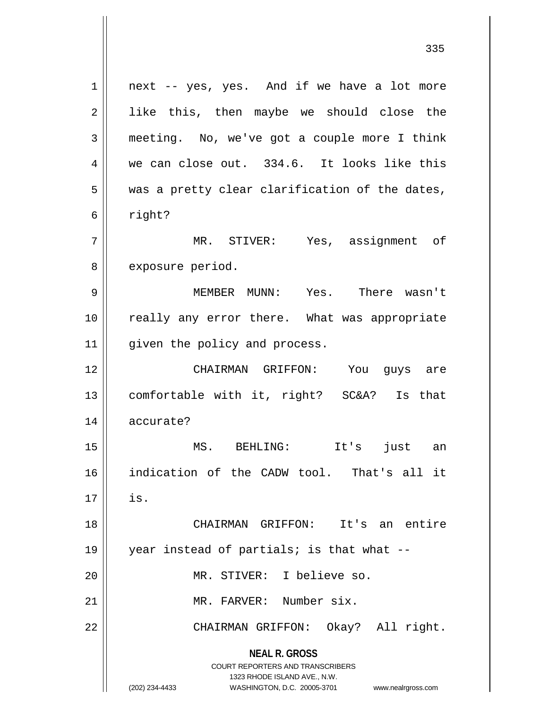**NEAL R. GROSS** COURT REPORTERS AND TRANSCRIBERS 1323 RHODE ISLAND AVE., N.W. (202) 234-4433 WASHINGTON, D.C. 20005-3701 www.nealrgross.com  $1 \parallel$  next -- yes, yes. And if we have a lot more 2 || like this, then maybe we should close the 3 meeting. No, we've got a couple more I think  $4 \parallel$  we can close out. 334.6. It looks like this  $5$  | was a pretty clear clarification of the dates,  $6 \parallel$  right? 7 MR. STIVER: Yes, assignment of 8 | exposure period. 9 MEMBER MUNN: Yes. There wasn't 10 || really any error there. What was appropriate 11 || given the policy and process. 12 CHAIRMAN GRIFFON: You guys are 13 comfortable with it, right? SC&A? Is that 14 accurate? 15 MS. BEHLING: It's just an 16 indication of the CADW tool. That's all it  $17 \parallel$  is. 18 CHAIRMAN GRIFFON: It's an entire 19 year instead of partials; is that what -- 20 MR. STIVER: I believe so. 21 MR. FARVER: Number six. 22 CHAIRMAN GRIFFON: Okay? All right.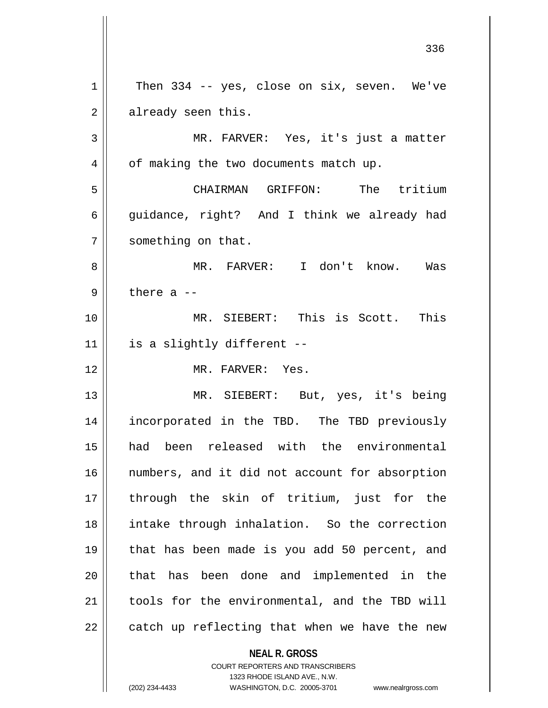**NEAL R. GROSS**  $1 \parallel$  Then 334 -- yes, close on six, seven. We've  $2 \parallel$  already seen this. MR. FARVER: Yes, it's just a matter 4 | of making the two documents match up. CHAIRMAN GRIFFON: The tritium  $\parallel$  quidance, right? And I think we already had 7 | something on that. 8 || MR. FARVER: I don't know. Was  $9 \parallel$  there a  $-$  MR. SIEBERT: This is Scott. This | is a slightly different -- MR. FARVER: Yes. MR. SIEBERT: But, yes, it's being incorporated in the TBD. The TBD previously had been released with the environmental 16 || numbers, and it did not account for absorption through the skin of tritium, just for the intake through inhalation. So the correction that has been made is you add 50 percent, and 20 || that has been done and implemented in the | tools for the environmental, and the TBD will | catch up reflecting that when we have the new

> COURT REPORTERS AND TRANSCRIBERS 1323 RHODE ISLAND AVE., N.W.

(202) 234-4433 WASHINGTON, D.C. 20005-3701 www.nealrgross.com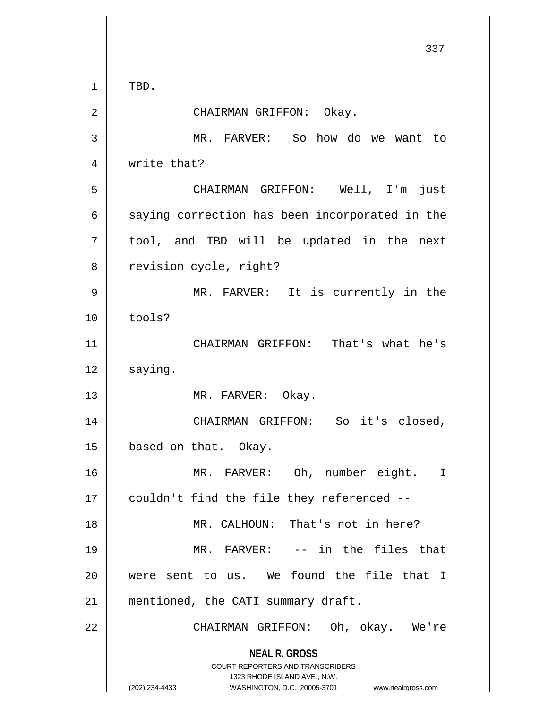**NEAL R. GROSS** COURT REPORTERS AND TRANSCRIBERS 1323 RHODE ISLAND AVE., N.W. (202) 234-4433 WASHINGTON, D.C. 20005-3701 www.nealrgross.com 337  $1 \parallel$  TBD. 2 || CHAIRMAN GRIFFON: Okay. 3 MR. FARVER: So how do we want to 4 | write that? 5 CHAIRMAN GRIFFON: Well, I'm just  $6 \parallel$  saying correction has been incorporated in the  $7 \parallel$  tool, and TBD will be updated in the next 8 | revision cycle, right? 9 MR. FARVER: It is currently in the 10 ll tools? 11 || CHAIRMAN GRIFFON: That's what he's  $12 \parallel$  saying. 13 || MR. FARVER: Okay. 14 || CHAIRMAN GRIFFON: So it's closed, 15 | based on that. Okay. 16 MR. FARVER: Oh, number eight. I 17 | couldn't find the file they referenced --18 || MR. CALHOUN: That's not in here? 19 MR. FARVER: -- in the files that 20 were sent to us. We found the file that I 21 | mentioned, the CATI summary draft. 22 || CHAIRMAN GRIFFON: Oh, okay. We're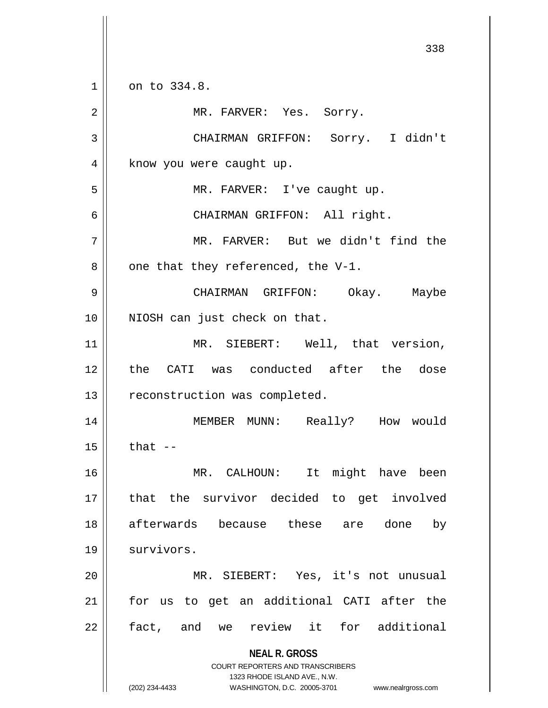**NEAL R. GROSS** COURT REPORTERS AND TRANSCRIBERS 1323 RHODE ISLAND AVE., N.W. 338 1 0n to 334.8. 2 || MR. FARVER: Yes. Sorry. 3 CHAIRMAN GRIFFON: Sorry. I didn't 4 | know you were caught up. 5 || MR. FARVER: I've caught up. 6 CHAIRMAN GRIFFON: All right. 7 MR. FARVER: But we didn't find the  $8$  | one that they referenced, the V-1. 9 CHAIRMAN GRIFFON: Okay. Maybe 10 || NIOSH can just check on that. 11 || MR. SIEBERT: Well, that version, 12 the CATI was conducted after the dose 13 || reconstruction was completed. 14 MEMBER MUNN: Really? How would  $15$  | that  $-$ 16 MR. CALHOUN: It might have been 17 that the survivor decided to get involved 18 afterwards because these are done by 19 | survivors. 20 MR. SIEBERT: Yes, it's not unusual 21 for us to get an additional CATI after the 22 || fact, and we review it for additional

(202) 234-4433 WASHINGTON, D.C. 20005-3701 www.nealrgross.com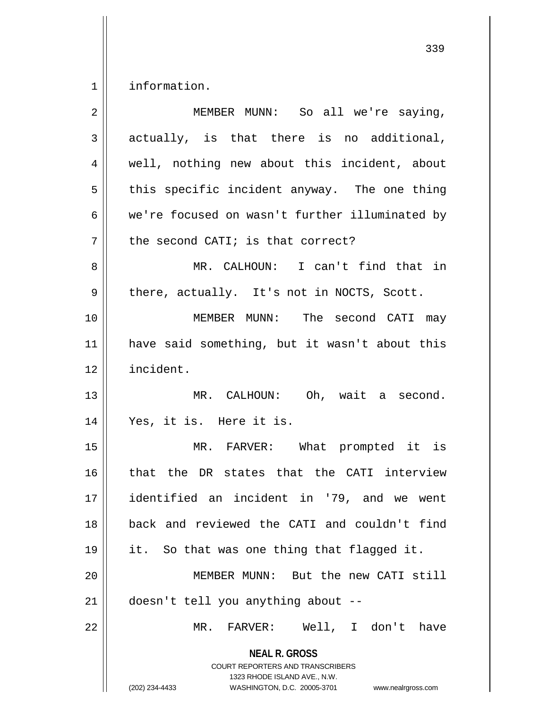1 | information.

| $\overline{2}$ | MEMBER MUNN: So all we're saying,                                                                                                                                      |
|----------------|------------------------------------------------------------------------------------------------------------------------------------------------------------------------|
| 3              | actually, is that there is no additional,                                                                                                                              |
| $\overline{4}$ | well, nothing new about this incident, about                                                                                                                           |
| 5              | this specific incident anyway. The one thing                                                                                                                           |
| 6              | we're focused on wasn't further illuminated by                                                                                                                         |
| 7              | the second CATI; is that correct?                                                                                                                                      |
| 8              | MR. CALHOUN: I can't find that in                                                                                                                                      |
| 9              | there, actually. It's not in NOCTS, Scott.                                                                                                                             |
| 10             | MEMBER MUNN: The second CATI may                                                                                                                                       |
| 11             | have said something, but it wasn't about this                                                                                                                          |
| 12             | incident.                                                                                                                                                              |
| 13             | MR. CALHOUN: Oh, wait a second.                                                                                                                                        |
| 14             | Yes, it is. Here it is.                                                                                                                                                |
| 15             | MR. FARVER: What prompted it is                                                                                                                                        |
| 16             | that the DR states that the CATI interview                                                                                                                             |
| 17             | identified an incident in '79, and we went                                                                                                                             |
| 18             | back and reviewed the CATI and couldn't find                                                                                                                           |
| 19             | it. So that was one thing that flagged it.                                                                                                                             |
| 20             | MEMBER MUNN: But the new CATI still                                                                                                                                    |
| 21             | doesn't tell you anything about --                                                                                                                                     |
| 22             | MR. FARVER: Well, I don't have                                                                                                                                         |
|                | <b>NEAL R. GROSS</b><br><b>COURT REPORTERS AND TRANSCRIBERS</b><br>1323 RHODE ISLAND AVE., N.W.<br>(202) 234-4433<br>WASHINGTON, D.C. 20005-3701<br>www.nealrgross.com |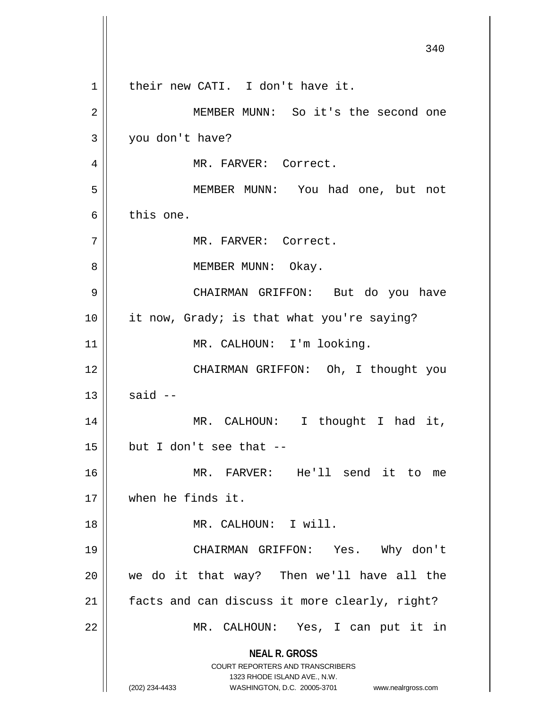**NEAL R. GROSS** COURT REPORTERS AND TRANSCRIBERS 1323 RHODE ISLAND AVE., N.W. (202) 234-4433 WASHINGTON, D.C. 20005-3701 www.nealrgross.com 340 1 || their new CATI. I don't have it. 2 | MEMBER MUNN: So it's the second one 3 you don't have? 4 MR. FARVER: Correct. 5 || MEMBER MUNN: You had one, but not 6 this one. 7 | MR. FARVER: Correct. 8 || MEMBER MUNN: Okay. 9 CHAIRMAN GRIFFON: But do you have 10 it now, Grady; is that what you're saying? 11 || MR. CALHOUN: I'm looking. 12 || CHAIRMAN GRIFFON: Oh, I thought you  $13 \parallel$  said  $-$ 14 || MR. CALHOUN: I thought I had it,  $15$  | but I don't see that --16 MR. FARVER: He'll send it to me 17 when he finds it. 18 MR. CALHOUN: I will. 19 CHAIRMAN GRIFFON: Yes. Why don't 20 we do it that way? Then we'll have all the  $21$  | facts and can discuss it more clearly, right? 22 MR. CALHOUN: Yes, I can put it in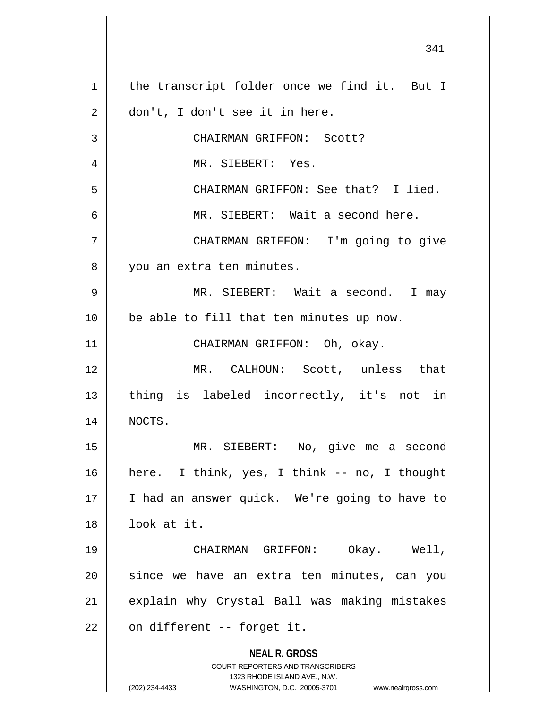**NEAL R. GROSS** COURT REPORTERS AND TRANSCRIBERS 1323 RHODE ISLAND AVE., N.W. (202) 234-4433 WASHINGTON, D.C. 20005-3701 www.nealrgross.com 1 | the transcript folder once we find it. But I 2 | don't, I don't see it in here. 3 || CHAIRMAN GRIFFON: Scott? 4 || MR. SIEBERT: Yes. 5 CHAIRMAN GRIFFON: See that? I lied. 6 || MR. SIEBERT: Wait a second here. 7 CHAIRMAN GRIFFON: I'm going to give 8 || you an extra ten minutes. 9 MR. SIEBERT: Wait a second. I may 10 || be able to fill that ten minutes up now. 11 || CHAIRMAN GRIFFON: Oh, okay. 12 || MR. CALHOUN: Scott, unless that 13 || thing is labeled incorrectly, it's not in 14 NOCTS. 15 MR. SIEBERT: No, give me a second 16 here. I think, yes, I think -- no, I thought 17 || I had an answer quick. We're going to have to 18 look at it. 19 CHAIRMAN GRIFFON: Okay. Well, 20 || since we have an extra ten minutes, can you 21 || explain why Crystal Ball was making mistakes  $22$  | on different -- forget it.